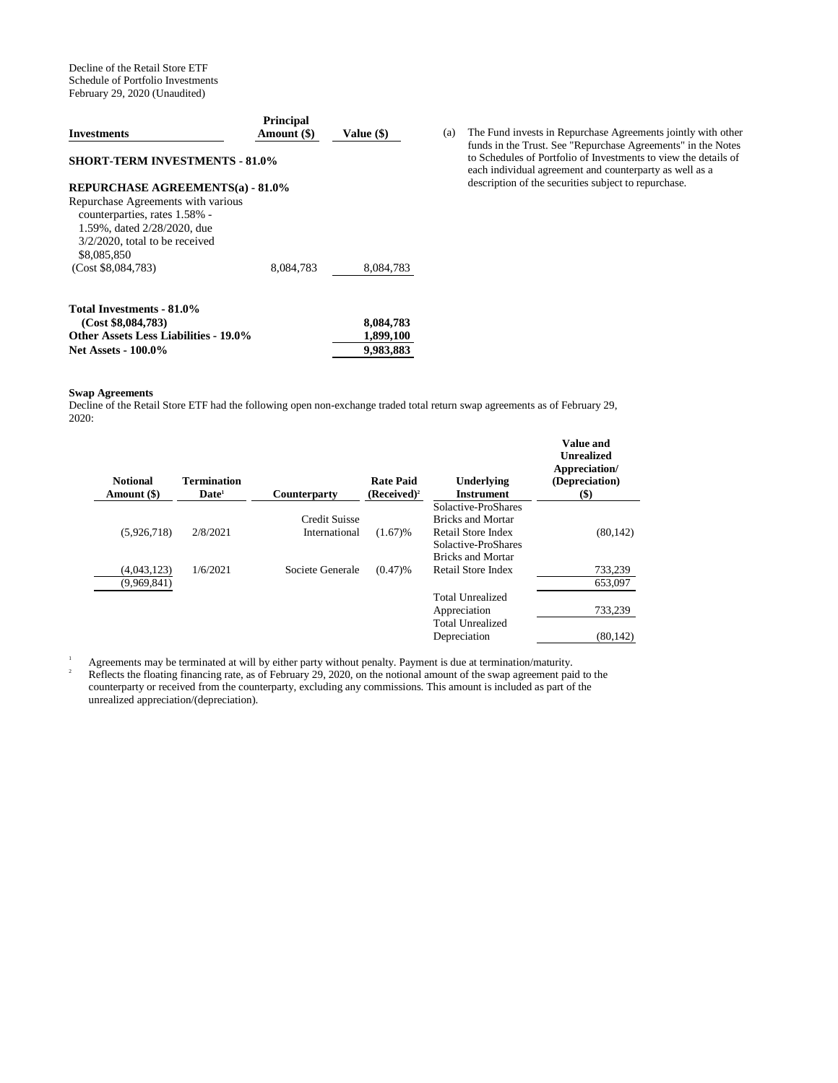Decline of the Retail Store ETF Schedule of Portfolio Investments February 29, 2020 (Unaudited)

| <b>Investments</b>                                                                                                                                     | <b>Principal</b><br>Amount (\$) | Value (\$) |
|--------------------------------------------------------------------------------------------------------------------------------------------------------|---------------------------------|------------|
| <b>SHORT-TERM INVESTMENTS - 81.0%</b>                                                                                                                  |                                 |            |
| <b>REPURCHASE AGREEMENTS(a) - 81.0%</b>                                                                                                                |                                 |            |
| Repurchase Agreements with various<br>counterparties, rates 1.58% -<br>1.59%, dated 2/28/2020, due<br>$3/2/2020$ , total to be received<br>\$8,085,850 |                                 |            |
| (Cost \$8,084,783)                                                                                                                                     | 8,084,783                       | 8,084,783  |
| Total Investments - 81.0%                                                                                                                              |                                 |            |
| (Cost \$8,084,783)                                                                                                                                     |                                 | 8,084,783  |
| <b>Other Assets Less Liabilities - 19.0%</b>                                                                                                           |                                 | 1,899,100  |
| <b>Net Assets - 100.0%</b>                                                                                                                             |                                 | 9,983,883  |

#### **Swap Agreements**

Decline of the Retail Store ETF had the following open non-exchange traded total return swap agreements as of February 29, 2020:

| <b>Notional</b><br>Amount (\$) | <b>Termination</b><br>Date <sup>1</sup> | <b>Counterparty</b> | <b>Rate Paid</b><br>$(Received)^2$ | Underlying<br><b>Instrument</b> | <b>Value and</b><br><b>Unrealized</b><br>Appreciation/<br>(Depreciation)<br>$(\$)$ |
|--------------------------------|-----------------------------------------|---------------------|------------------------------------|---------------------------------|------------------------------------------------------------------------------------|
|                                |                                         |                     |                                    | Solactive-ProShares             |                                                                                    |
|                                |                                         | Credit Suisse       |                                    | <b>Bricks and Mortar</b>        |                                                                                    |
| (5,926,718)                    | 2/8/2021                                | International       | (1.67)%                            | Retail Store Index              | (80, 142)                                                                          |
|                                |                                         |                     |                                    | Solactive-ProShares             |                                                                                    |
|                                |                                         |                     |                                    | <b>Bricks and Mortar</b>        |                                                                                    |
| (4,043,123)                    | 1/6/2021                                | Societe Generale    | (0.47)%                            | Retail Store Index              | 733,239                                                                            |
| (9,969,841)                    |                                         |                     |                                    |                                 | 653,097                                                                            |
|                                |                                         |                     |                                    | <b>Total Unrealized</b>         |                                                                                    |
|                                |                                         |                     |                                    | Appreciation                    | 733,239                                                                            |
|                                |                                         |                     |                                    | <b>Total Unrealized</b>         |                                                                                    |
|                                |                                         |                     |                                    | Depreciation                    | (80, 142)                                                                          |

<sup>1</sup> Agreements may be terminated at will by either party without penalty. Payment is due at termination/maturity. <sup>2</sup> Reflects the floating financing rate, as of February 29, 2020, on the notional amount of the swap agreement paid to the counterparty or received from the counterparty, excluding any commissions. This amount is included as part of the unrealized appreciation/(depreciation).

(a) The Fund invests in Repurchase Agreements jointly with other funds in the Trust. See "Repurchase Agreements" in the Notes to Schedules of Portfolio of Investments to view the details of each individual agreement and counterparty as well as a description of the securities subject to repurchase.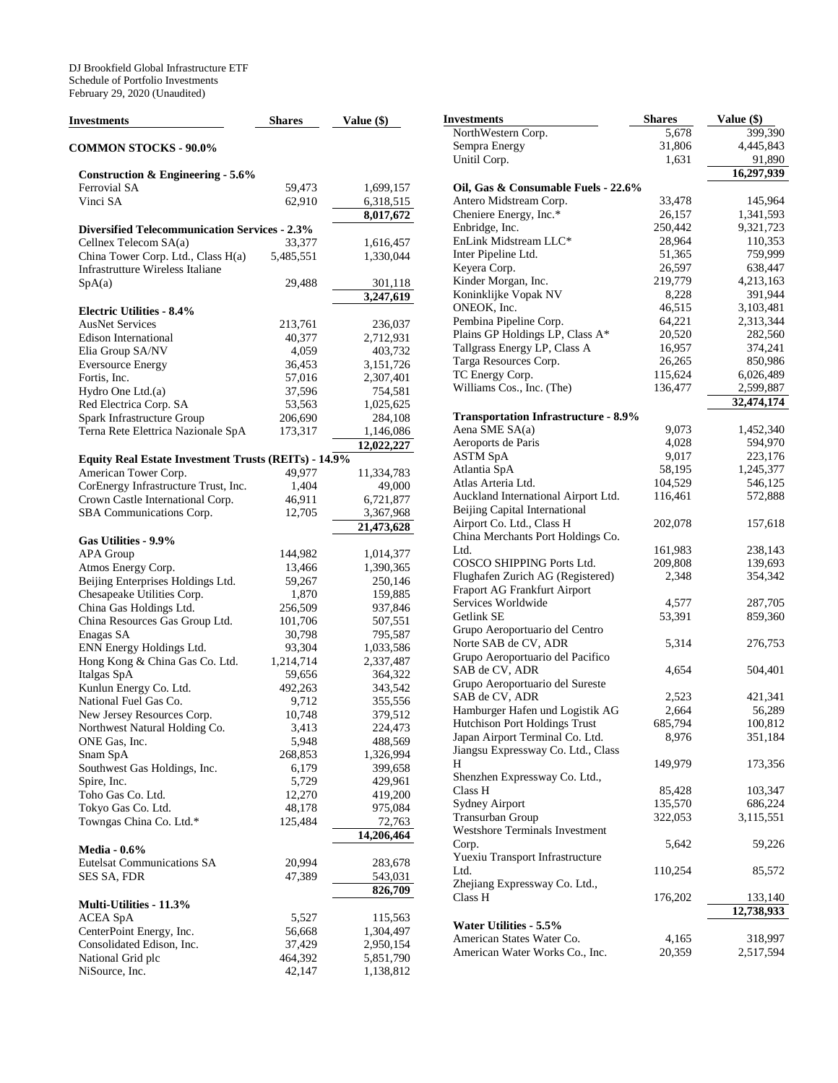DJ Brookfield Global Infrastructure ETF Schedule of Portfolio Investments February 29, 2020 (Unaudited)

| <b>Investments</b>                                                            | <b>Shares</b>    | Value (\$)              |
|-------------------------------------------------------------------------------|------------------|-------------------------|
| <b>COMMON STOCKS - 90.0%</b>                                                  |                  |                         |
| Construction & Engineering - $5.6\%$                                          |                  |                         |
| Ferrovial SA                                                                  | 59,473           | 1,699,157               |
| Vinci SA                                                                      | 62,910           | 6,318,515               |
|                                                                               |                  | 8,017,672               |
| <b>Diversified Telecommunication Services - 2.3%</b>                          |                  |                         |
| Cellnex Telecom SA(a)                                                         | 33,377           | 1,616,457               |
| China Tower Corp. Ltd., Class H(a)<br><b>Infrastrutture Wireless Italiane</b> | 5,485,551        | 1,330,044               |
|                                                                               |                  |                         |
| SpA(a)                                                                        | 29,488           | 301,118<br>3,247,619    |
| <b>Electric Utilities - 8.4%</b>                                              |                  |                         |
| <b>AusNet Services</b>                                                        | 213,761          | 236,037                 |
| <b>Edison International</b>                                                   | 40,377           | 2,712,931               |
| Elia Group SA/NV                                                              | 4,059            | 403,732                 |
| <b>Eversource Energy</b>                                                      | 36,453           | 3,151,726               |
| Fortis, Inc.                                                                  | 57,016           | 2,307,401               |
| Hydro One Ltd.(a)                                                             | 37,596           | 754,581                 |
| Red Electrica Corp. SA                                                        | 53,563           | 1,025,625               |
| Spark Infrastructure Group                                                    | 206,690          | 284,108                 |
| Terna Rete Elettrica Nazionale SpA                                            | 173,317          | 1,146,086               |
|                                                                               |                  | 12,022,227              |
| <b>Equity Real Estate Investment Trusts (REITs) - 14.9%</b>                   |                  |                         |
| American Tower Corp.                                                          | 49,977           | 11,334,783              |
| CorEnergy Infrastructure Trust, Inc.                                          | 1,404            | 49,000                  |
| Crown Castle International Corp.                                              | 46,911           | 6,721,877               |
| SBA Communications Corp.                                                      | 12,705           | 3,367,968               |
|                                                                               |                  | $\overline{21,}473,628$ |
| Gas Utilities - 9.9%                                                          |                  |                         |
| <b>APA Group</b>                                                              | 144,982          | 1,014,377               |
| Atmos Energy Corp.                                                            | 13,466           | 1,390,365               |
| Beijing Enterprises Holdings Ltd.                                             | 59,267           | 250,146                 |
| Chesapeake Utilities Corp.                                                    | 1,870            | 159,885                 |
| China Gas Holdings Ltd.                                                       | 256,509          | 937,846                 |
| China Resources Gas Group Ltd.                                                | 101,706          | 507,551                 |
| Enagas SA<br>ENN Energy Holdings Ltd.                                         | 30,798<br>93,304 | 795,587<br>1,033,586    |
| Hong Kong & China Gas Co. Ltd.                                                | 1,214,714        | 2,337,487               |
| Italgas SpA                                                                   | 59,656           | 364,322                 |
| Kunlun Energy Co. Ltd.                                                        | 492,263          | 343,542                 |
| National Fuel Gas Co.                                                         | 9,712            | 355,556                 |
| New Jersey Resources Corp.                                                    | 10,748           | 379,512                 |
| Northwest Natural Holding Co.                                                 | 3,413            | 224,473                 |
| ONE Gas, Inc.                                                                 | 5,948            | 488,569                 |
| Snam SpA                                                                      | 268,853          | 1,326,994               |
| Southwest Gas Holdings, Inc.                                                  | 6,179            | 399,658                 |
| Spire, Inc.                                                                   | 5,729            | 429,961                 |
| Toho Gas Co. Ltd.                                                             | 12,270           | 419,200                 |
| Tokyo Gas Co. Ltd.                                                            | 48,178           | 975,084                 |
| Towngas China Co. Ltd.*                                                       | 125,484          | 72,763                  |
|                                                                               |                  | $\overline{14,}206,464$ |
| <b>Media - 0.6%</b>                                                           |                  |                         |
| <b>Eutelsat Communications SA</b>                                             | 20,994           | 283,678                 |
| SES SA, FDR                                                                   | 47,389           | 543,031                 |
|                                                                               |                  | 826,709                 |
| Multi-Utilities - 11.3%                                                       |                  |                         |
| <b>ACEA SpA</b>                                                               | 5,527            | 115,563                 |
| CenterPoint Energy, Inc.                                                      | 56,668           | 1,304,497               |
| Consolidated Edison, Inc.                                                     | 37,429           | 2,950,154               |
| National Grid plc                                                             | 464,392          | 5,851,790               |
| NiSource, Inc.                                                                | 42,147           | 1,138,812               |

| Investments                                                | <b>Shares</b>     | Value (\$)             |
|------------------------------------------------------------|-------------------|------------------------|
| NorthWestern Corp.                                         | 5,678             | 399,390                |
| Sempra Energy                                              | 31,806            | 4,445,843              |
| Unitil Corp.                                               | 1,631             | 91,890                 |
|                                                            |                   | 16,297,939             |
| Oil, Gas & Consumable Fuels - 22.6%                        |                   |                        |
| Antero Midstream Corp.                                     | 33,478            | 145,964                |
| Cheniere Energy, Inc.*<br>Enbridge, Inc.                   | 26,157<br>250,442 | 1,341,593<br>9,321,723 |
| EnLink Midstream LLC*                                      | 28,964            | 110,353                |
| Inter Pipeline Ltd.                                        | 51,365            | 759,999                |
| Keyera Corp.                                               | 26,597            | 638,447                |
| Kinder Morgan, Inc.                                        | 219,779           | 4,213,163              |
| Koninklijke Vopak NV                                       | 8,228             | 391,944                |
| ONEOK, Inc.                                                | 46,515            | 3,103,481              |
| Pembina Pipeline Corp.                                     | 64,221            | 2,313,344              |
| Plains GP Holdings LP, Class A*                            | 20,520            | 282,560                |
| Tallgrass Energy LP, Class A                               | 16,957            | 374,241                |
| Targa Resources Corp.                                      | 26,265            | 850,986                |
| TC Energy Corp.                                            | 115,624           | 6,026,489              |
| Williams Cos., Inc. (The)                                  | 136,477           | 2,599,887              |
|                                                            |                   | 32,474,174             |
| <b>Transportation Infrastructure - 8.9%</b>                |                   |                        |
| Aena SME SA(a)                                             | 9,073             | 1,452,340              |
| Aeroports de Paris                                         | 4,028             | 594,970                |
| <b>ASTM SpA</b>                                            | 9,017             | 223,176                |
| Atlantia SpA                                               | 58,195            | 1,245,377              |
| Atlas Arteria Ltd.                                         | 104,529           | 546,125                |
| Auckland International Airport Ltd.                        | 116,461           | 572,888                |
| Beijing Capital International<br>Airport Co. Ltd., Class H | 202,078           | 157,618                |
| China Merchants Port Holdings Co.                          |                   |                        |
| Ltd.                                                       | 161,983           | 238,143                |
| COSCO SHIPPING Ports Ltd.                                  | 209,808           | 139,693                |
| Flughafen Zurich AG (Registered)                           | 2,348             | 354,342                |
| Fraport AG Frankfurt Airport                               |                   |                        |
| Services Worldwide                                         | 4,577             | 287,705                |
| Getlink SE                                                 | 53,391            | 859,360                |
| Grupo Aeroportuario del Centro                             |                   |                        |
| Norte SAB de CV, ADR                                       | 5,314             | 276,753                |
| Grupo Aeroportuario del Pacifico                           |                   |                        |
| SAB de CV, ADR                                             | 4,654             | 504,401                |
| Grupo Aeroportuario del Sureste                            |                   |                        |
| SAB de CV, ADR                                             | 2,523             | 421,341                |
| Hamburger Hafen und Logistik AG                            | 2,664             | 56,289                 |
| <b>Hutchison Port Holdings Trust</b>                       | 685,794           | 100,812                |
| Japan Airport Terminal Co. Ltd.                            | 8,976             | 351,184                |
| Jiangsu Expressway Co. Ltd., Class                         |                   |                        |
| H<br>Shenzhen Expressway Co. Ltd.,                         | 149,979           | 173,356                |
| Class H                                                    | 85,428            | 103,347                |
| Sydney Airport                                             | 135,570           | 686,224                |
| Transurban Group                                           | 322,053           | 3,115,551              |
| Westshore Terminals Investment                             |                   |                        |
| Corp.                                                      | 5,642             | 59,226                 |
| Yuexiu Transport Infrastructure                            |                   |                        |
| Ltd.                                                       | 110,254           | 85,572                 |
| Zhejiang Expressway Co. Ltd.,                              |                   |                        |
| Class H                                                    | 176,202           | 133,140                |
|                                                            |                   | 12,738,933             |
| Water Utilities - 5.5%                                     |                   |                        |
| American States Water Co.                                  | 4,165             | 318,997                |
| American Water Works Co., Inc.                             | 20,359            | 2,517,594              |
|                                                            |                   |                        |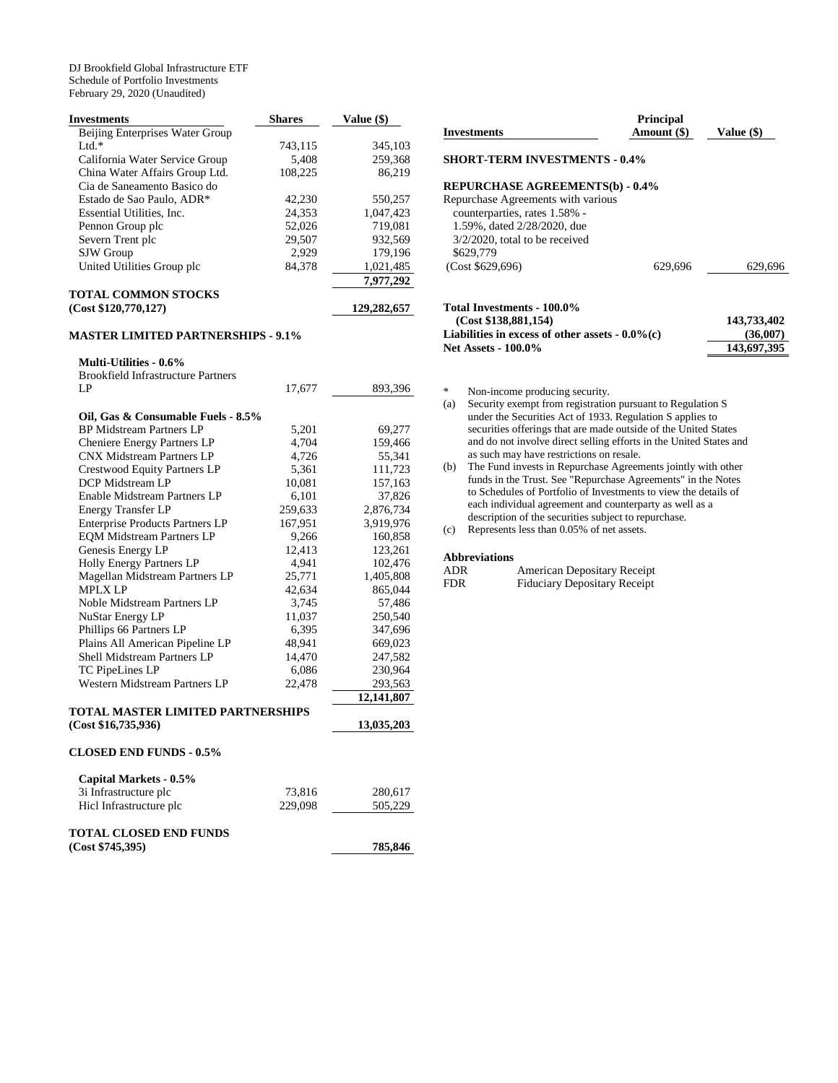DJ Brookfield Global Infrastructure ETF Schedule of Portfolio Investments February 29, 2020 (Unaudited)

| <b>Investments</b>                                                    | <b>Shares</b>    | Value (\$)          |
|-----------------------------------------------------------------------|------------------|---------------------|
| Beijing Enterprises Water Group                                       |                  |                     |
| $Ltd.*$                                                               | 743,115          | 345,103             |
| California Water Service Group                                        | 5,408            | 259,368             |
| China Water Affairs Group Ltd.                                        | 108,225          | 86,219              |
| Cia de Saneamento Basico do                                           |                  |                     |
| Estado de Sao Paulo, ADR*                                             | 42,230           | 550,257             |
| Essential Utilities, Inc.                                             | 24,353           | 1,047,423           |
| Pennon Group plc                                                      | 52,026           | 719,081             |
| Severn Trent plc                                                      | 29,507           | 932,569             |
| SJW Group                                                             | 2,929            | 179,196             |
| United Utilities Group plc                                            | 84,378           | 1,021,485           |
|                                                                       |                  | 7,977,292           |
| <b>TOTAL COMMON STOCKS</b>                                            |                  |                     |
| (Cost \$120,770,127)                                                  |                  | 129,282,657         |
| <b>MASTER LIMITED PARTNERSHIPS - 9.1%</b>                             |                  |                     |
| <b>Multi-Utilities - 0.6%</b>                                         |                  |                     |
| <b>Brookfield Infrastructure Partners</b>                             |                  |                     |
| LP                                                                    | 17,677           | 893,396             |
|                                                                       |                  |                     |
| Oil, Gas & Consumable Fuels - 8.5%<br><b>BP Midstream Partners LP</b> |                  | 69,277              |
| Cheniere Energy Partners LP                                           | 5,201<br>4,704   | 159,466             |
| <b>CNX Midstream Partners LP</b>                                      | 4,726            | 55,341              |
| <b>Crestwood Equity Partners LP</b>                                   | 5,361            | 111,723             |
| DCP Midstream LP                                                      | 10,081           | 157,163             |
| Enable Midstream Partners LP                                          |                  |                     |
| <b>Energy Transfer LP</b>                                             | 6,101<br>259,633 | 37,826<br>2,876,734 |
| <b>Enterprise Products Partners LP</b>                                | 167,951          | 3,919,976           |
| <b>EQM Midstream Partners LP</b>                                      | 9,266            | 160,858             |
| Genesis Energy LP                                                     | 12,413           | 123,261             |
| Holly Energy Partners LP                                              | 4,941            | 102,476             |
| Magellan Midstream Partners LP                                        | 25,771           | 1,405,808           |
| <b>MPLX LP</b>                                                        | 42,634           | 865,044             |
| Noble Midstream Partners LP                                           | 3,745            | 57,486              |
| NuStar Energy LP                                                      | 11,037           | 250,540             |
| Phillips 66 Partners LP                                               | 6,395            | 347,696             |
| Plains All American Pipeline LP                                       | 48,941           | 669,023             |
| Shell Midstream Partners LP                                           | 14,470           | 247,582             |
| TC PipeLines LP                                                       | 6,086            | 230,964             |
| Western Midstream Partners LP                                         | 22,478           | 293,563             |
|                                                                       |                  | 12,141,807          |
| TOTAL MASTER LIMITED PARTNERSHIPS                                     |                  |                     |
| (Cost \$16,735,936)                                                   |                  | 13,035,203          |
| <b>CLOSED END FUNDS - 0.5%</b>                                        |                  |                     |
| Capital Markets - 0.5%                                                |                  |                     |
| 3i Infrastructure plc                                                 | 73,816           | 280,617             |
| Hicl Infrastructure plc                                               | 229,098          | 505,229             |
| <b>TOTAL CLOSED END FUNDS</b>                                         |                  |                     |
| (Cost \$745,395)                                                      |                  | 785,846             |

| <b>Investments</b>                                                                                                                                   | <b>Principal</b><br>Amount (\$) | Value (\$)  |
|------------------------------------------------------------------------------------------------------------------------------------------------------|---------------------------------|-------------|
| <b>SHORT-TERM INVESTMENTS - 0.4%</b>                                                                                                                 |                                 |             |
| <b>REPURCHASE AGREEMENTS(b) - 0.4%</b>                                                                                                               |                                 |             |
| Repurchase Agreements with various<br>counterparties, rates 1.58% -<br>1.59%, dated 2/28/2020, due<br>$3/2/2020$ , total to be received<br>\$629,779 |                                 |             |
| (Cost \$629,696)                                                                                                                                     | 629.696                         | 629,696     |
| Total Investments - 100.0%<br>(Cost \$138,881,154)                                                                                                   |                                 | 143,733,402 |
| Liabilities in excess of other assets $-0.0\%$ (c)                                                                                                   | (36,007)                        |             |

Net Assets - 100.0% 143,697,395

- \* Non-income producing security.<br>
(a) Security exempt from registration
- Security exempt from registration pursuant to Regulation S under the Securities Act of 1933. Regulation S applies to securities offerings that are made outside of the United States and do not involve direct selling efforts in the United States and as such may have restrictions on resale.
- (b) The Fund invests in Repurchase Agreements jointly with other funds in the Trust. See "Repurchase Agreements" in the Notes to Schedules of Portfolio of Investments to view the details of each individual agreement and counterparty as well as a description of the securities subject to repurchase.

(c) Represents less than 0.05% of net assets.

## **Abbreviations**

| ADR        | American Depositary Receipt         |
|------------|-------------------------------------|
| <b>FDR</b> | <b>Fiduciary Depositary Receipt</b> |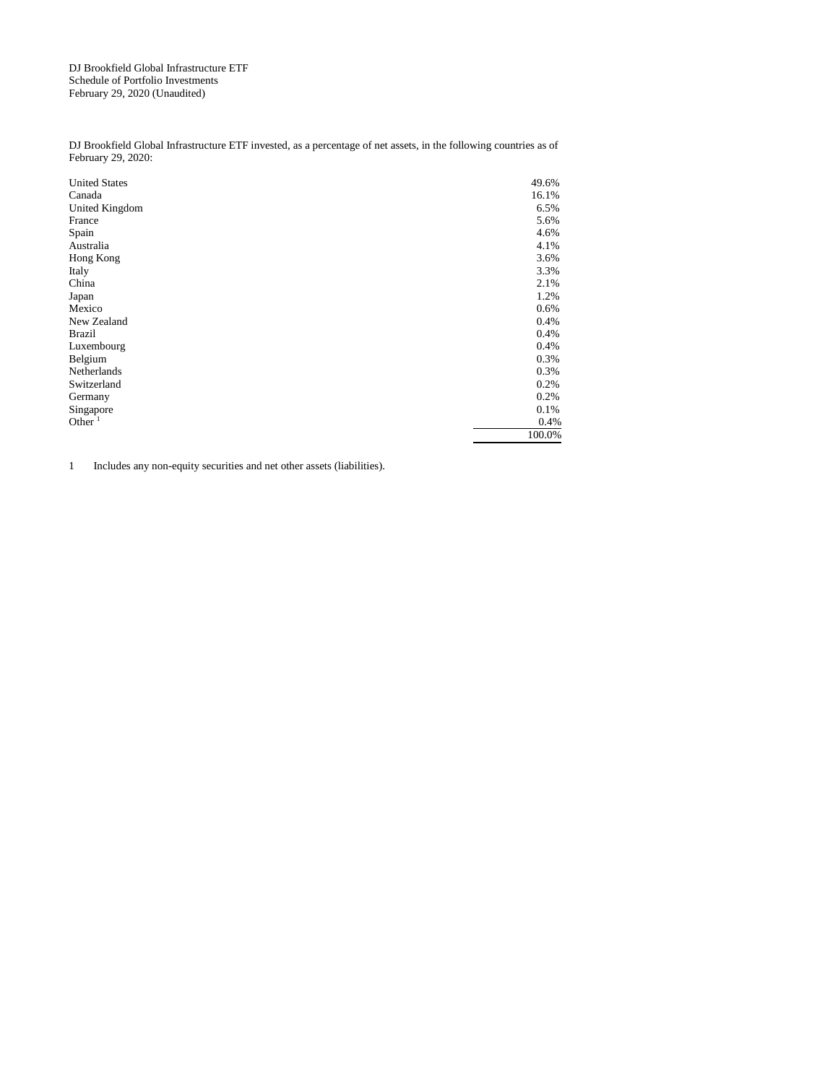DJ Brookfield Global Infrastructure ETF Schedule of Portfolio Investments February 29, 2020 (Unaudited)

DJ Brookfield Global Infrastructure ETF invested, as a percentage of net assets, in the following countries as of February 29, 2020:

| <b>United States</b> | 49.6%  |
|----------------------|--------|
| Canada               | 16.1%  |
| United Kingdom       | 6.5%   |
| France               | 5.6%   |
| Spain                | 4.6%   |
| Australia            | 4.1%   |
| Hong Kong            | 3.6%   |
| Italy                | 3.3%   |
| China                | 2.1%   |
| Japan                | 1.2%   |
| Mexico               | 0.6%   |
| New Zealand          | 0.4%   |
| <b>Brazil</b>        | 0.4%   |
| Luxembourg           | 0.4%   |
| Belgium              | 0.3%   |
| Netherlands          | 0.3%   |
| Switzerland          | 0.2%   |
| Germany              | 0.2%   |
| Singapore            | 0.1%   |
| Other $1$            | 0.4%   |
|                      | 100.0% |

1 Includes any non-equity securities and net other assets (liabilities).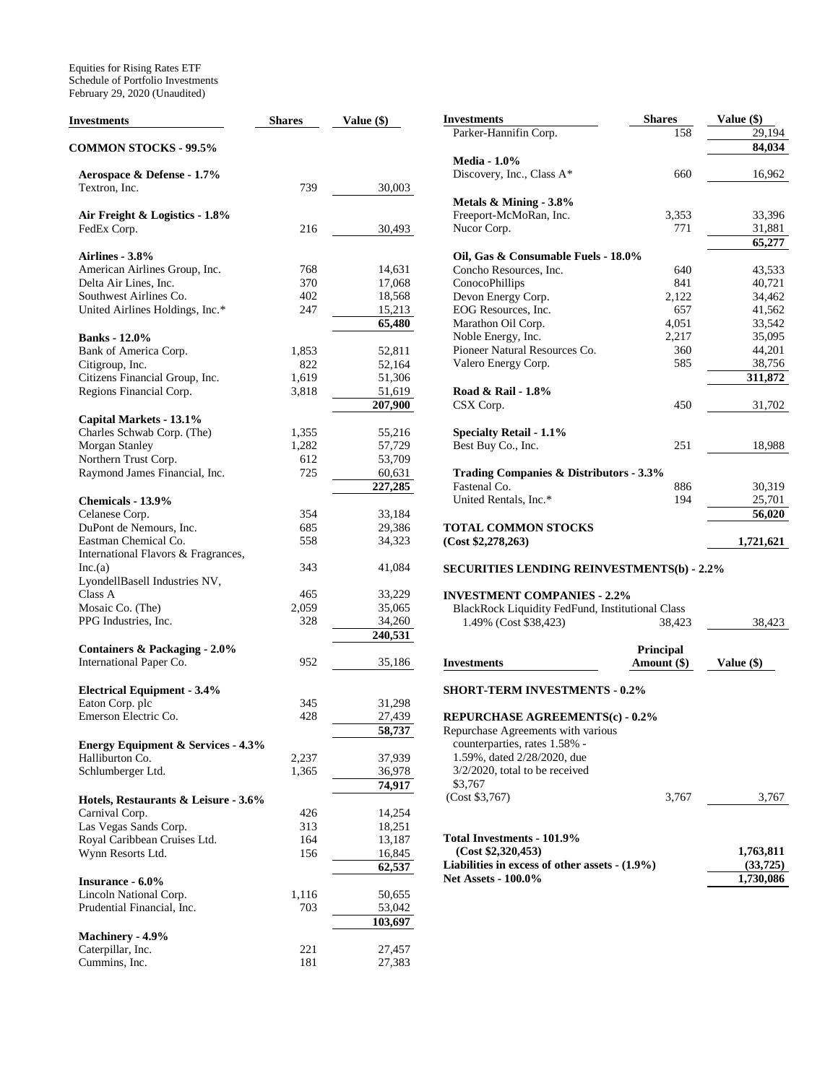Equities for Rising Rates ETF Schedule of Portfolio Investments February 29, 2020 (Unaudited)

| Investments                                                         | <b>Shares</b> | Value $(\$)$ | <b>Investments</b>                                 | Shares           | Value (\$) |
|---------------------------------------------------------------------|---------------|--------------|----------------------------------------------------|------------------|------------|
|                                                                     |               |              | Parker-Hannifin Corp.                              | 158              | 29,194     |
| <b>COMMON STOCKS - 99.5%</b>                                        |               |              |                                                    |                  | 84,034     |
|                                                                     |               |              | <b>Media - 1.0%</b>                                |                  |            |
| Aerospace & Defense - 1.7%                                          |               |              | Discovery, Inc., Class A*                          | 660              | 16,962     |
| Textron, Inc.                                                       | 739           | 30,003       |                                                    |                  |            |
|                                                                     |               |              | Metals & Mining - 3.8%                             |                  |            |
|                                                                     |               |              | Freeport-McMoRan, Inc.                             | 3,353            | 33,396     |
| Air Freight & Logistics - 1.8%                                      |               |              |                                                    | 771              |            |
| FedEx Corp.                                                         | 216           | 30,493       | Nucor Corp.                                        |                  | 31,881     |
|                                                                     |               |              |                                                    |                  | 65,277     |
| Airlines - 3.8%                                                     |               |              | Oil, Gas & Consumable Fuels - 18.0%                |                  |            |
| American Airlines Group, Inc.                                       | 768           | 14.631       | Concho Resources, Inc.                             | 640              | 43,533     |
| Delta Air Lines, Inc.                                               | 370           | 17,068       | ConocoPhillips                                     | 841              | 40,721     |
| Southwest Airlines Co.                                              | 402           | 18,568       | Devon Energy Corp.                                 | 2,122            | 34,462     |
| United Airlines Holdings, Inc.*                                     | 247           | 15,213       | EOG Resources, Inc.                                | 657              | 41,562     |
|                                                                     |               | 65,480       | Marathon Oil Corp.                                 | 4,051            | 33,542     |
| <b>Banks</b> - 12.0%                                                |               |              | Noble Energy, Inc.                                 | 2,217            | 35,095     |
| Bank of America Corp.                                               | 1,853         | 52,811       | Pioneer Natural Resources Co.                      | 360              | 44,201     |
| Citigroup, Inc.                                                     | 822           | 52,164       | Valero Energy Corp.                                | 585              | 38,756     |
|                                                                     |               |              |                                                    |                  |            |
| Citizens Financial Group, Inc.                                      | 1,619         | 51,306       |                                                    |                  | 311,872    |
| Regions Financial Corp.                                             | 3,818         | 51,619       | Road & Rail - 1.8%                                 |                  |            |
|                                                                     |               | 207,900      | CSX Corp.                                          | 450              | 31,702     |
| Capital Markets - 13.1%                                             |               |              |                                                    |                  |            |
| Charles Schwab Corp. (The)                                          | 1,355         | 55,216       | <b>Specialty Retail - 1.1%</b>                     |                  |            |
| Morgan Stanley                                                      | 1,282         | 57,729       | Best Buy Co., Inc.                                 | 251              | 18,988     |
| Northern Trust Corp.                                                | 612           | 53,709       |                                                    |                  |            |
| Raymond James Financial, Inc.                                       | 725           | 60,631       | <b>Trading Companies &amp; Distributors - 3.3%</b> |                  |            |
|                                                                     |               | 227,285      | Fastenal Co.                                       | 886              | 30,319     |
|                                                                     |               |              | United Rentals, Inc.*                              | 194              | 25,701     |
| Chemicals - 13.9%                                                   |               |              |                                                    |                  |            |
| Celanese Corp.                                                      | 354           | 33,184       |                                                    |                  | 56,020     |
| DuPont de Nemours, Inc.                                             | 685           | 29,386       | <b>TOTAL COMMON STOCKS</b>                         |                  |            |
| Eastman Chemical Co.                                                | 558           | 34,323       | (Cost \$2,278,263)                                 |                  | 1,721,621  |
| International Flavors & Fragrances,                                 |               |              |                                                    |                  |            |
| Inc.(a)                                                             | 343           | 41,084       | <b>SECURITIES LENDING REINVESTMENTS(b) - 2.2%</b>  |                  |            |
| LyondellBasell Industries NV,                                       |               |              |                                                    |                  |            |
| Class A                                                             | 465           | 33,229       | <b>INVESTMENT COMPANIES - 2.2%</b>                 |                  |            |
| Mosaic Co. (The)                                                    | 2,059         | 35,065       | BlackRock Liquidity FedFund, Institutional Class   |                  |            |
| PPG Industries, Inc.                                                | 328           | 34,260       | 1.49% (Cost \$38,423)                              | 38,423           | 38,423     |
|                                                                     |               | 240,531      |                                                    |                  |            |
|                                                                     |               |              |                                                    |                  |            |
| <b>Containers &amp; Packaging - 2.0%</b><br>International Paper Co. | 952           | 35,186       |                                                    | <b>Principal</b> | Value (\$) |
|                                                                     |               |              | <b>Investments</b>                                 | Amount (\$)      |            |
|                                                                     |               |              |                                                    |                  |            |
| <b>Electrical Equipment - 3.4%</b>                                  |               |              | <b>SHORT-TERM INVESTMENTS - 0.2%</b>               |                  |            |
| Eaton Corp. plc                                                     | 345           | 31,298       |                                                    |                  |            |
| Emerson Electric Co.                                                | 428           | 27,439       | <b>REPURCHASE AGREEMENTS(c) - 0.2%</b>             |                  |            |
|                                                                     |               | 58,737       | Repurchase Agreements with various                 |                  |            |
| <b>Energy Equipment &amp; Services - 4.3%</b>                       |               |              | counterparties, rates 1.58% -                      |                  |            |
| Halliburton Co.                                                     | 2,237         | 37,939       | 1.59%, dated 2/28/2020, due                        |                  |            |
| Schlumberger Ltd.                                                   | 1,365         | 36,978       | $3/2/2020$ , total to be received                  |                  |            |
|                                                                     |               | 74,917       | \$3,767                                            |                  |            |
| Hotels, Restaurants & Leisure - 3.6%                                |               |              | (Cost \$3,767)                                     | 3,767            | 3,767      |
| Carnival Corp.                                                      | 426           | 14,254       |                                                    |                  |            |
| Las Vegas Sands Corp.                                               | 313           | 18,251       |                                                    |                  |            |
| Royal Caribbean Cruises Ltd.                                        | 164           | 13,187       | <b>Total Investments - 101.9%</b>                  |                  |            |
|                                                                     |               |              | (Cost \$2,320,453)                                 |                  | 1,763,811  |
| Wynn Resorts Ltd.                                                   | 156           | 16,845       |                                                    |                  |            |
|                                                                     |               | 62,537       | Liabilities in excess of other assets $-(1.9\%)$   |                  | (33, 725)  |
| Insurance - 6.0%                                                    |               |              | <b>Net Assets - 100.0%</b>                         |                  | 1,730,086  |
| Lincoln National Corp.                                              | 1,116         | 50,655       |                                                    |                  |            |
| Prudential Financial, Inc.                                          | 703           | 53,042       |                                                    |                  |            |
|                                                                     |               | 103,697      |                                                    |                  |            |
| Machinery - 4.9%                                                    |               |              |                                                    |                  |            |
| Caterpillar, Inc.                                                   | 221           | 27,457       |                                                    |                  |            |
| Cummins, Inc.                                                       | 181           | 27,383       |                                                    |                  |            |
|                                                                     |               |              |                                                    |                  |            |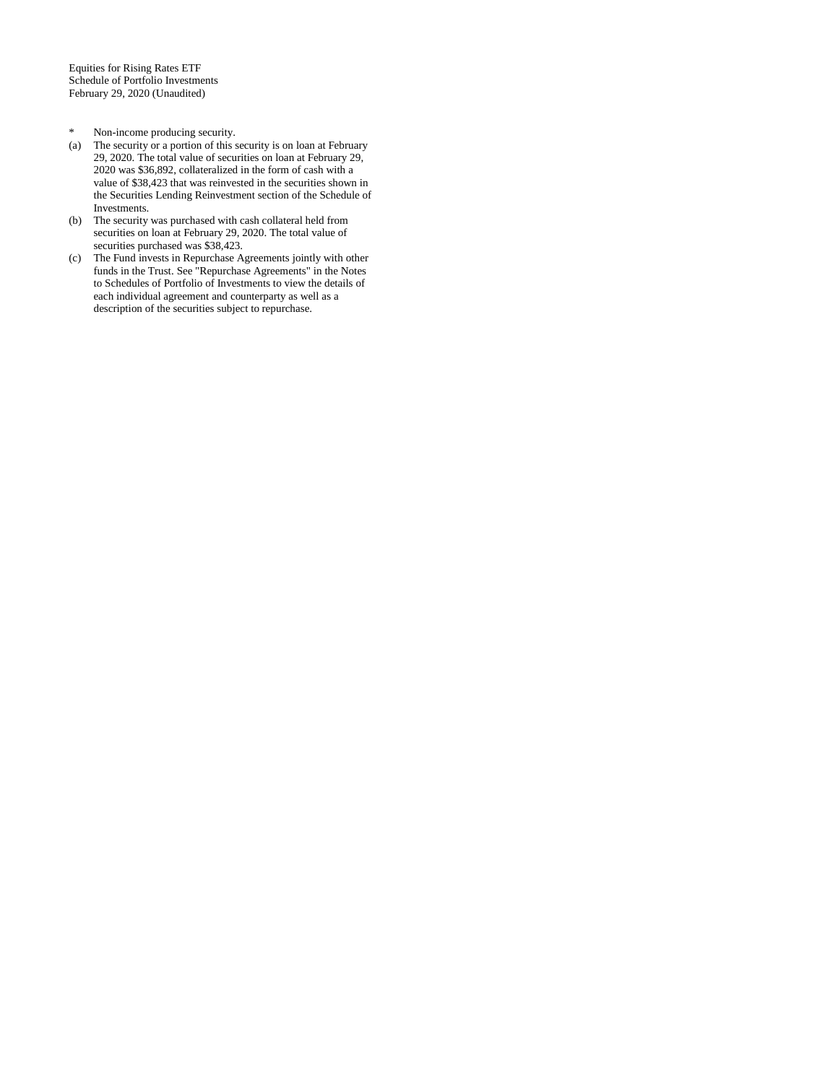Equities for Rising Rates ETF Schedule of Portfolio Investments February 29, 2020 (Unaudited)

- \* Non-income producing security.<br>(a) The security or a portion of this s
- The security or a portion of this security is on loan at February 29, 2020. The total value of securities on loan at February 29, 2020 was \$36,892, collateralized in the form of cash with a value of \$38,423 that was reinvested in the securities shown in the Securities Lending Reinvestment section of the Schedule of Investments.
- (b) The security was purchased with cash collateral held from securities on loan at February 29, 2020. The total value of securities purchased was \$38,423.
- (c) The Fund invests in Repurchase Agreements jointly with other funds in the Trust. See "Repurchase Agreements" in the Notes to Schedules of Portfolio of Investments to view the details of each individual agreement and counterparty as well as a description of the securities subject to repurchase.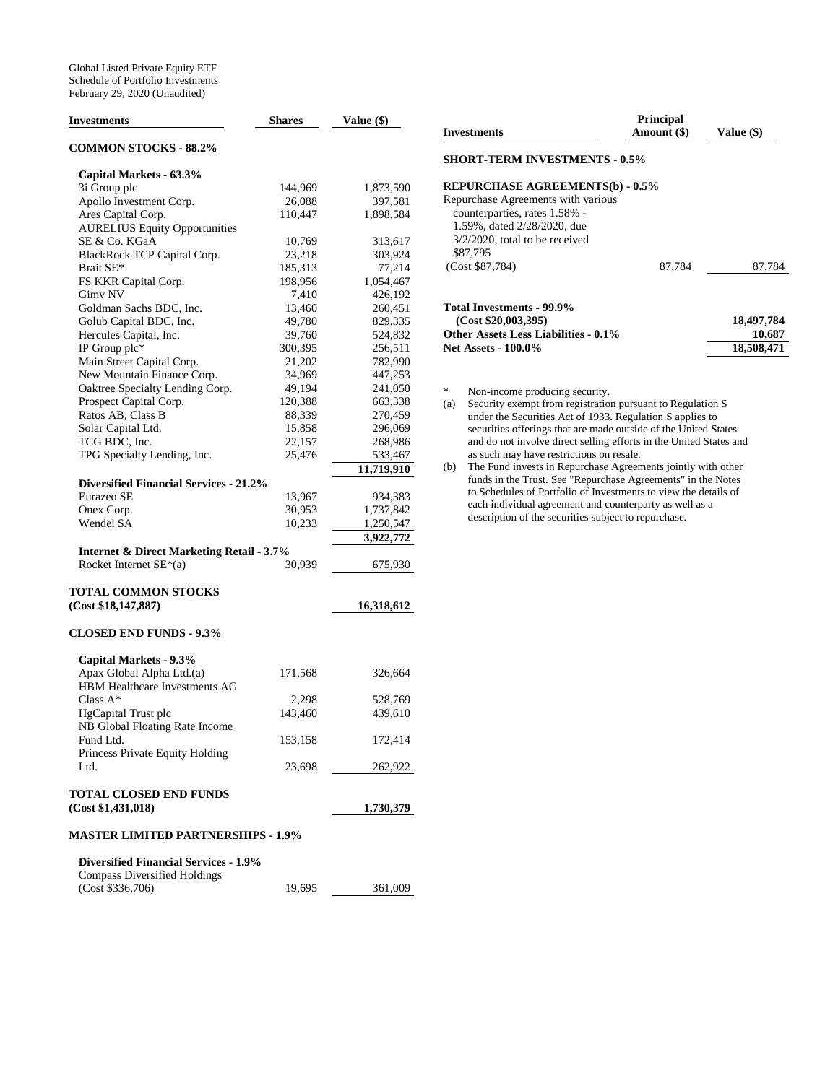| Investments                                          | <b>Shares</b> | Value (\$) |
|------------------------------------------------------|---------------|------------|
| <b>COMMON STOCKS - 88.2%</b>                         |               |            |
| Capital Markets - 63.3%                              |               |            |
| 3i Group plc                                         | 144,969       | 1,873,590  |
| Apollo Investment Corp.                              | 26,088        | 397,581    |
| Ares Capital Corp.                                   | 110,447       | 1,898,584  |
| <b>AURELIUS Equity Opportunities</b>                 |               |            |
| SE & Co. KGaA                                        | 10,769        | 313,617    |
| BlackRock TCP Capital Corp.                          | 23,218        | 303,924    |
| Brait SE*                                            | 185,313       | 77,214     |
| FS KKR Capital Corp.                                 | 198,956       | 1,054,467  |
| Gimv NV                                              | 7,410         | 426,192    |
| Goldman Sachs BDC, Inc.                              | 13,460        | 260,451    |
| Golub Capital BDC, Inc.                              | 49,780        | 829,335    |
| Hercules Capital, Inc.                               | 39,760        | 524,832    |
| IP Group plc*                                        | 300,395       | 256,511    |
| Main Street Capital Corp.                            | 21,202        | 782,990    |
| New Mountain Finance Corp.                           | 34,969        | 447,253    |
| Oaktree Specialty Lending Corp.                      | 49,194        | 241,050    |
| Prospect Capital Corp.                               | 120,388       | 663,338    |
| Ratos AB, Class B                                    | 88,339        | 270,459    |
| Solar Capital Ltd.                                   | 15,858        | 296,069    |
| TCG BDC, Inc.                                        | 22,157        | 268,986    |
| TPG Specialty Lending, Inc.                          | 25,476        | 533,467    |
|                                                      |               | 11,719,910 |
| <b>Diversified Financial Services - 21.2%</b>        |               |            |
| Eurazeo SE                                           | 13,967        | 934,383    |
| Onex Corp.                                           | 30,953        | 1,737,842  |
| Wendel SA                                            | 10,233        | 1,250,547  |
|                                                      |               | 3,922,772  |
| <b>Internet &amp; Direct Marketing Retail - 3.7%</b> |               |            |
| Rocket Internet $SE*(a)$                             | 30,939        | 675,930    |
| <b>TOTAL COMMON STOCKS</b>                           |               |            |
| (Cost \$18, 147, 887)                                |               | 16,318,612 |
| <b>CLOSED END FUNDS - 9.3%</b>                       |               |            |
|                                                      |               |            |
| Capital Markets - 9.3%                               |               |            |
| Apax Global Alpha Ltd.(a)                            | 171,568       | 326,664    |
| HBM Healthcare Investments AG                        |               |            |
| Class $A^*$                                          | 2,298         | 528,769    |
| <b>HgCapital Trust plc</b>                           | 143,460       | 439,610    |
| NB Global Floating Rate Income                       |               |            |
| Fund Ltd.                                            | 153,158       | 172,414    |
| Princess Private Equity Holding                      |               |            |
| Ltd.                                                 | 23,698        | 262,922    |
| <b>TOTAL CLOSED END FUNDS</b>                        |               |            |
| (Cost \$1,431,018)                                   |               | 1,730,379  |
|                                                      |               |            |
| <b>MASTER LIMITED PARTNERSHIPS - 1.9%</b>            |               |            |
| <b>Diversified Financial Services - 1.9%</b>         |               |            |
| <b>Compass Diversified Holdings</b>                  |               |            |
| (Cost \$336,706)                                     | 19,695        | 361,009    |

| Investments                          | <b>Principal</b><br>Amount (\$) | Value $(\$)$ |
|--------------------------------------|---------------------------------|--------------|
| <b>SHORT-TERM INVESTMENTS - 0.5%</b> |                                 |              |
| REPURCHASE AGREEMENTS(b) - 0.5%      |                                 |              |
| Repurchase Agreements with various   |                                 |              |
| counterparties, rates 1.58% -        |                                 |              |
| 1.59%, dated 2/28/2020, due          |                                 |              |
| $3/2/2020$ , total to be received    |                                 |              |
| \$87,795                             |                                 |              |
| (Cost \$87,784)                      | 87.784                          | 87.784       |
|                                      |                                 |              |
| Total Investments - 99.9%            |                                 |              |

 **(Cost \$20,003,395) 18,497,784** Other Assets Less Liabilities - 0.1% 10,687<br>Net Assets - 100.0% 18,508,471 **Net Assets - 100.0%** 

\* Non-income producing security.<br>
(a) Security exempt from registration

Security exempt from registration pursuant to Regulation S under the Securities Act of 1933. Regulation S applies to securities offerings that are made outside of the United States and do not involve direct selling efforts in the United States and as such may have restrictions on resale.

(b) The Fund invests in Repurchase Agreements jointly with other funds in the Trust. See "Repurchase Agreements" in the Notes to Schedules of Portfolio of Investments to view the details of each individual agreement and counterparty as well as a description of the securities subject to repurchase.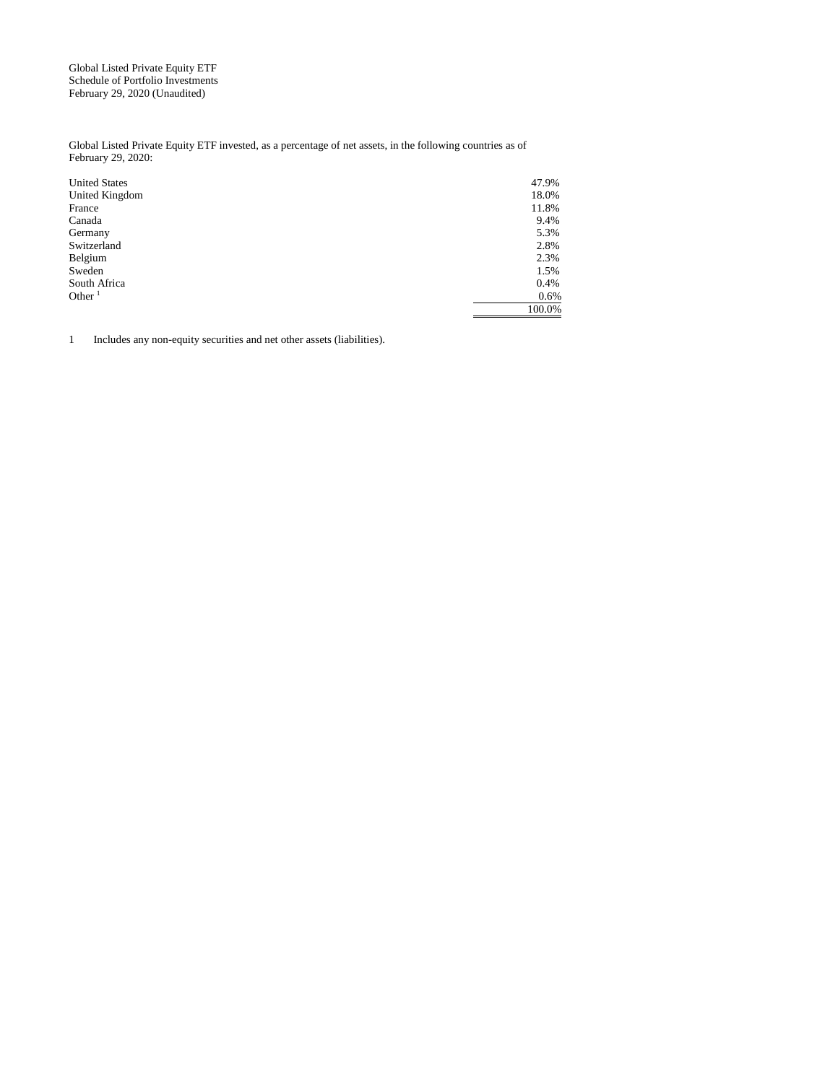Global Listed Private Equity ETF Schedule of Portfolio Investments February 29, 2020 (Unaudited)

Global Listed Private Equity ETF invested, as a percentage of net assets, in the following countries as of February 29, 2020:

| <b>United States</b> | 47.9%  |
|----------------------|--------|
| United Kingdom       | 18.0%  |
| France               | 11.8%  |
| Canada               | 9.4%   |
| Germany              | 5.3%   |
| Switzerland          | 2.8%   |
| Belgium              | 2.3%   |
| Sweden               | 1.5%   |
| South Africa         | 0.4%   |
| Other $1$            | 0.6%   |
|                      | 100.0% |

1 Includes any non-equity securities and net other assets (liabilities).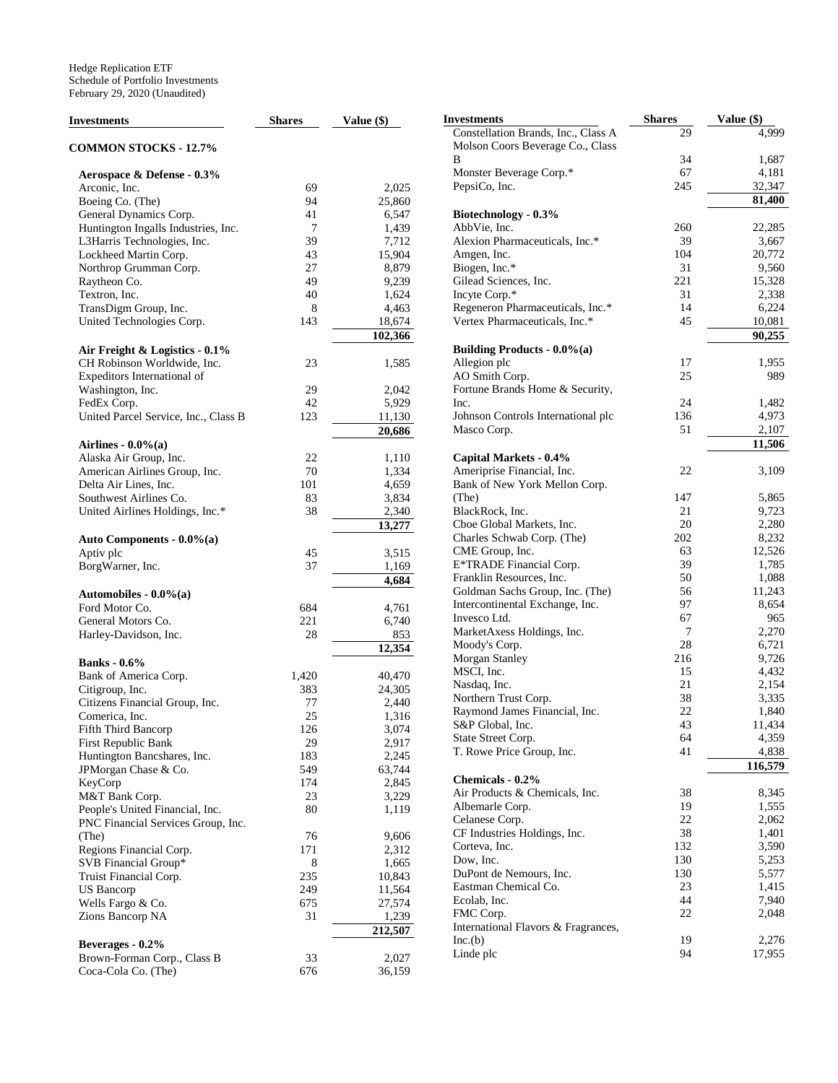| <b>Investments</b>                   | <b>Shares</b> | Value (\$) | <b>Investments</b>                  | <b>Shares</b> | Value (\$) |
|--------------------------------------|---------------|------------|-------------------------------------|---------------|------------|
|                                      |               |            | Constellation Brands, Inc., Class A | 29            | 4.999      |
| <b>COMMON STOCKS - 12.7%</b>         |               |            | Molson Coors Beverage Co., Class    |               |            |
|                                      |               |            | B                                   | 34            | 1,687      |
| Aerospace & Defense - 0.3%           |               |            | Monster Beverage Corp.*             | 67            | 4,181      |
| Arconic, Inc.                        | 69            | 2,025      | PepsiCo, Inc.                       | 245           | 32,347     |
| Boeing Co. (The)                     | 94            | 25,860     |                                     |               | 81,400     |
| General Dynamics Corp.               | 41            | 6,547      | Biotechnology - 0.3%                |               |            |
| Huntington Ingalls Industries, Inc.  | 7             | 1,439      | AbbVie, Inc.                        | 260           | 22,285     |
| L3Harris Technologies, Inc.          | 39            | 7,712      | Alexion Pharmaceuticals, Inc.*      | 39            | 3,667      |
| Lockheed Martin Corp.                | 43            | 15,904     | Amgen, Inc.                         | 104           | 20,772     |
| Northrop Grumman Corp.               | 27            | 8,879      | Biogen, Inc.*                       | 31            | 9,560      |
| Raytheon Co.                         | 49            | 9,239      | Gilead Sciences, Inc.               | 221           | 15,328     |
| Textron, Inc.                        | 40            | 1,624      | Incyte Corp.*                       | 31            | 2,338      |
| TransDigm Group, Inc.                | $\,8\,$       | 4,463      | Regeneron Pharmaceuticals, Inc.*    | 14            | 6,224      |
| United Technologies Corp.            | 143           | 18,674     | Vertex Pharmaceuticals, Inc.*       | 45            | 10,081     |
|                                      |               | 102,366    |                                     |               | 90,255     |
| Air Freight & Logistics - 0.1%       |               |            | <b>Building Products - 0.0%(a)</b>  |               |            |
| CH Robinson Worldwide, Inc.          | 23            | 1,585      | Allegion plc                        | 17            | 1,955      |
| Expeditors International of          |               |            | AO Smith Corp.                      | 25            | 989        |
| Washington, Inc.                     | 29            | 2,042      | Fortune Brands Home & Security,     |               |            |
| FedEx Corp.                          | 42            | 5,929      | Inc.                                | 24            | 1,482      |
| United Parcel Service, Inc., Class B | 123           | 11,130     | Johnson Controls International plc  | 136           | 4,973      |
|                                      |               | 20,686     | Masco Corp.                         | 51            | 2,107      |
|                                      |               |            |                                     |               | 11,506     |
| Airlines - $0.0\%$ (a)               |               |            |                                     |               |            |
| Alaska Air Group, Inc.               | 22            | 1,110      | Capital Markets - 0.4%              | 22            |            |
| American Airlines Group, Inc.        | 70            | 1,334      | Ameriprise Financial, Inc.          |               | 3,109      |
| Delta Air Lines, Inc.                | 101           | 4,659      | Bank of New York Mellon Corp.       |               |            |
| Southwest Airlines Co.               | 83            | 3,834      | (The)                               | 147           | 5,865      |
| United Airlines Holdings, Inc.*      | 38            | 2,340      | BlackRock, Inc.                     | 21            | 9,723      |
|                                      |               | 13,277     | Cboe Global Markets, Inc.           | 20            | 2,280      |
| Auto Components - 0.0%(a)            |               |            | Charles Schwab Corp. (The)          | 202           | 8,232      |
| Aptiv plc                            | 45            | 3,515      | CME Group, Inc.                     | 63            | 12,526     |
| BorgWarner, Inc.                     | 37            | 1,169      | E*TRADE Financial Corp.             | 39            | 1,785      |
|                                      |               | 4,684      | Franklin Resources, Inc.            | 50            | 1,088      |
| Automobiles - $0.0\%$ (a)            |               |            | Goldman Sachs Group, Inc. (The)     | 56            | 11,243     |
| Ford Motor Co.                       | 684           | 4,761      | Intercontinental Exchange, Inc.     | 97            | 8,654      |
| General Motors Co.                   | 221           | 6,740      | Invesco Ltd.                        | 67            | 965        |
| Harley-Davidson, Inc.                | 28            | 853        | MarketAxess Holdings, Inc.          | 7             | 2,270      |
|                                      |               | 12,354     | Moody's Corp.                       | 28            | 6,721      |
| <b>Banks</b> - 0.6%                  |               |            | Morgan Stanley                      | 216           | 9,726      |
| Bank of America Corp.                | 1,420         | 40,470     | MSCI, Inc.                          | 15            | 4,432      |
| Citigroup, Inc.                      | 383           | 24,305     | Nasdaq, Inc.                        | 21            | 2,154      |
| Citizens Financial Group, Inc.       | 77            | 2,440      | Northern Trust Corp.                | 38            | 3,335      |
| Comerica, Inc.                       | 25            | 1,316      | Raymond James Financial, Inc.       | 22            | 1,840      |
| Fifth Third Bancorp                  | 126           | 3,074      | S&P Global, Inc.                    | 43            | 11,434     |
| First Republic Bank                  | 29            | 2,917      | State Street Corp.                  | 64            | 4,359      |
| Huntington Bancshares, Inc.          | 183           | 2,245      | T. Rowe Price Group, Inc.           | 41            | 4,838      |
| JPMorgan Chase & Co.                 | 549           | 63,744     |                                     |               | 116,579    |
| KeyCorp                              | 174           | 2,845      | Chemicals - 0.2%                    |               |            |
| M&T Bank Corp.                       | 23            | 3,229      | Air Products & Chemicals, Inc.      | 38            | 8,345      |
| People's United Financial, Inc.      | 80            | 1,119      | Albemarle Corp.                     | 19            | 1,555      |
| PNC Financial Services Group, Inc.   |               |            | Celanese Corp.                      | $22\,$        | 2,062      |
| (The)                                | 76            | 9,606      | CF Industries Holdings, Inc.        | 38            | 1,401      |
| Regions Financial Corp.              | 171           | 2,312      | Corteva, Inc.                       | 132           | 3,590      |
| SVB Financial Group*                 | 8             | 1,665      | Dow, Inc.                           | 130           | 5,253      |
| Truist Financial Corp.               | 235           | 10,843     | DuPont de Nemours, Inc.             | 130           | 5,577      |
| <b>US</b> Bancorp                    | 249           | 11,564     | Eastman Chemical Co.                | 23            | 1,415      |
| Wells Fargo & Co.                    | 675           | 27,574     | Ecolab, Inc.                        | 44            | 7,940      |
| Zions Bancorp NA                     | 31            |            | FMC Corp.                           | $22\,$        | 2,048      |
|                                      |               | 1,239      | International Flavors & Fragrances, |               |            |
|                                      |               | 212,507    | Inc.(b)                             | 19            | 2,276      |
| Beverages - 0.2%                     |               |            | Linde plc                           | 94            | 17,955     |
| Brown-Forman Corp., Class B          | 33            | 2,027      |                                     |               |            |
| Coca-Cola Co. (The)                  | 676           | 36,159     |                                     |               |            |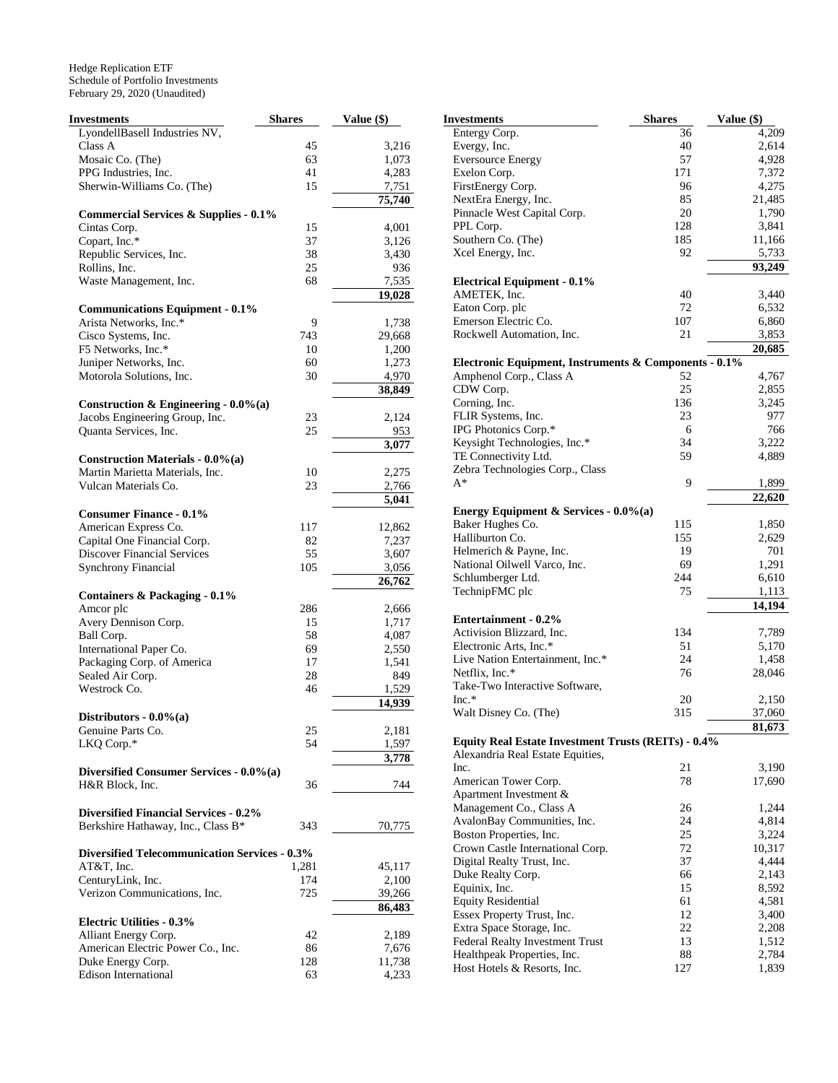| <b>Investments</b>                                   | <b>Shares</b> | Value (\$) |
|------------------------------------------------------|---------------|------------|
| LyondellBasell Industries NV,                        |               |            |
| Class A                                              | 45            | 3,216      |
| Mosaic Co. (The)                                     | 63            | 1,073      |
| PPG Industries, Inc.                                 | 41            | 4,283      |
| Sherwin-Williams Co. (The)                           | 15            | 7,751      |
|                                                      |               | 75,740     |
| <b>Commercial Services &amp; Supplies - 0.1%</b>     |               |            |
| Cintas Corp.                                         | 15            | 4,001      |
| Copart, Inc.*                                        | 37            | 3,126      |
| Republic Services, Inc.                              | 38            | 3,430      |
| Rollins, Inc.                                        | 25            | 936        |
| Waste Management, Inc.                               | 68            | 7,535      |
|                                                      |               | 19,028     |
| <b>Communications Equipment - 0.1%</b>               |               |            |
| Arista Networks, Inc.*                               | 9             | 1,738      |
| Cisco Systems, Inc.                                  | 743           | 29,668     |
| F5 Networks, Inc.*                                   | 10            | 1,200      |
| Juniper Networks, Inc.                               | 60            | 1,273      |
| Motorola Solutions, Inc.                             | 30            | 4,970      |
|                                                      |               | 38,849     |
| Construction & Engineering - $0.0\%$ (a)             |               |            |
| Jacobs Engineering Group, Inc.                       | 23            | 2,124      |
| Quanta Services, Inc.                                | 25            | 953        |
|                                                      |               | 3,077      |
| <b>Construction Materials - 0.0%(a)</b>              |               |            |
| Martin Marietta Materials, Inc.                      | 10            | 2,275      |
| Vulcan Materials Co.                                 | 23            | 2,766      |
|                                                      |               | 5,041      |
| <b>Consumer Finance - 0.1%</b>                       |               |            |
| American Express Co.                                 | 117           | 12,862     |
| Capital One Financial Corp.                          | 82            | 7,237      |
| <b>Discover Financial Services</b>                   | 55            | 3,607      |
| <b>Synchrony Financial</b>                           | 105           | 3,056      |
|                                                      |               | 26,762     |
| Containers & Packaging - 0.1%                        |               |            |
| Amcor plc                                            | 286           | 2,666      |
| Avery Dennison Corp.                                 | 15            | 1,717      |
| Ball Corp.                                           | 58            | 4,087      |
| International Paper Co.                              | 69            | 2,550      |
| Packaging Corp. of America                           | 17            | 1,541      |
| Sealed Air Corp.                                     | 28            | 849        |
| Westrock Co.                                         | 46            | 1,529      |
|                                                      |               | 14,939     |
| Distributors - $0.0\%$ (a)                           |               |            |
| Genuine Parts Co.                                    | 25            | 2,181      |
| LKQ Corp.*                                           | 54            | 1,597      |
|                                                      |               | 3,778      |
| Diversified Consumer Services - 0.0%(a)              |               |            |
| H&R Block, Inc.                                      | 36            | 744        |
|                                                      |               |            |
| <b>Diversified Financial Services - 0.2%</b>         |               |            |
| Berkshire Hathaway, Inc., Class B*                   | 343           | 70,775     |
|                                                      |               |            |
| <b>Diversified Telecommunication Services - 0.3%</b> |               |            |
| AT&T, Inc.                                           | 1,281         | 45,117     |
| CenturyLink, Inc.                                    | 174           | 2,100      |
| Verizon Communications, Inc.                         | 725           | 39,266     |
|                                                      |               | 86,483     |
| <b>Electric Utilities - 0.3%</b>                     |               |            |
| Alliant Energy Corp.                                 | 42            | 2,189      |
| American Electric Power Co., Inc.                    | 86            | 7,676      |
| Duke Energy Corp.                                    | 128           | 11,738     |
| <b>Edison International</b>                          | 63            | 4,233      |

| Investments                                           | <b>Shares</b> | Value (\$)          |
|-------------------------------------------------------|---------------|---------------------|
| Entergy Corp.                                         | 36            | 4,209               |
| Evergy, Inc.                                          | 40            | 2,614               |
| <b>Eversource Energy</b>                              | 57            | 4,928               |
| Exelon Corp.                                          | 171           | 7,372               |
| FirstEnergy Corp.                                     | 96            | 4,275               |
| NextEra Energy, Inc.                                  | 85            | 21,485              |
| Pinnacle West Capital Corp.                           | 20            | 1,790               |
| PPL Corp.                                             | 128           | 3,841               |
| Southern Co. (The)                                    | 185           | 11,166              |
| Xcel Energy, Inc.                                     | 92            | 5,733               |
| <b>Electrical Equipment - 0.1%</b>                    |               | 93,249              |
| AMETEK, Inc.                                          | 40            | 3,440               |
| Eaton Corp. plc                                       | 72            | 6,532               |
| Emerson Electric Co.                                  | 107           | 6,860               |
| Rockwell Automation, Inc.                             | 21            | 3,853               |
|                                                       |               | 20,685              |
| Electronic Equipment, Instruments & Components - 0.1% |               |                     |
| Amphenol Corp., Class A                               | 52            | 4,767               |
| CDW Corp.                                             | 25            | 2,855               |
| Corning, Inc.                                         | 136           | 3,245               |
| FLIR Systems, Inc.                                    | 23            | 977                 |
| IPG Photonics Corp.*                                  | 6             | 766                 |
| Keysight Technologies, Inc.*                          | 34            | 3,222               |
| TE Connectivity Ltd.                                  | 59            | 4,889               |
| Zebra Technologies Corp., Class                       |               |                     |
| A*                                                    | 9             | 1,899               |
|                                                       |               | $\overline{22,620}$ |
| Energy Equipment & Services - 0.0%(a)                 |               |                     |
| Baker Hughes Co.                                      | 115           | 1,850               |
| Halliburton Co.                                       | 155           | 2,629               |
| Helmerich & Payne, Inc.                               | 19            | 701                 |
| National Oilwell Varco, Inc.                          | 69            | 1,291               |
| Schlumberger Ltd.                                     | 244           | 6,610               |
| TechnipFMC plc                                        | 75            | 1,113               |
|                                                       |               | 14,194              |
| <b>Entertainment - 0.2%</b>                           |               |                     |
| Activision Blizzard, Inc.                             | 134           | 7,789               |
| Electronic Arts, Inc.*                                | 51            | 5,170               |
| Live Nation Entertainment, Inc.*                      | 24            | 1,458               |
| Netflix, Inc.*                                        | 76            | 28,046              |
| Take-Two Interactive Software,                        |               |                     |
| $Inc.*$                                               | 20            | 2,150               |
| Walt Disney Co. (The)                                 | 315           | 37,060              |
| Equity Real Estate Investment Trusts (REITs) - 0.4%   |               | 81,673              |
| Alexandria Real Estate Equities,                      |               |                     |
| Inc.                                                  | 21            | 3,190               |
| American Tower Corp.                                  | 78            | 17,690              |
| Apartment Investment &                                |               |                     |
| Management Co., Class A                               | 26            | 1,244               |
| AvalonBay Communities, Inc.                           | 24            | 4,814               |
| Boston Properties, Inc.                               | 25            | 3,224               |
| Crown Castle International Corp.                      | 72            | 10,317              |
| Digital Realty Trust, Inc.                            | 37            | 4,444               |
| Duke Realty Corp.                                     | 66            | 2,143               |
| Equinix, Inc.                                         | 15            | 8,592               |
| <b>Equity Residential</b>                             | 61            | 4,581               |
| Essex Property Trust, Inc.                            | 12            | 3,400               |
| Extra Space Storage, Inc.                             | 22            | 2,208               |
| Federal Realty Investment Trust                       | 13            | 1,512               |
| Healthpeak Properties, Inc.                           | 88            | 2,784               |
| Host Hotels & Resorts, Inc.                           | 127           | 1,839               |
|                                                       |               |                     |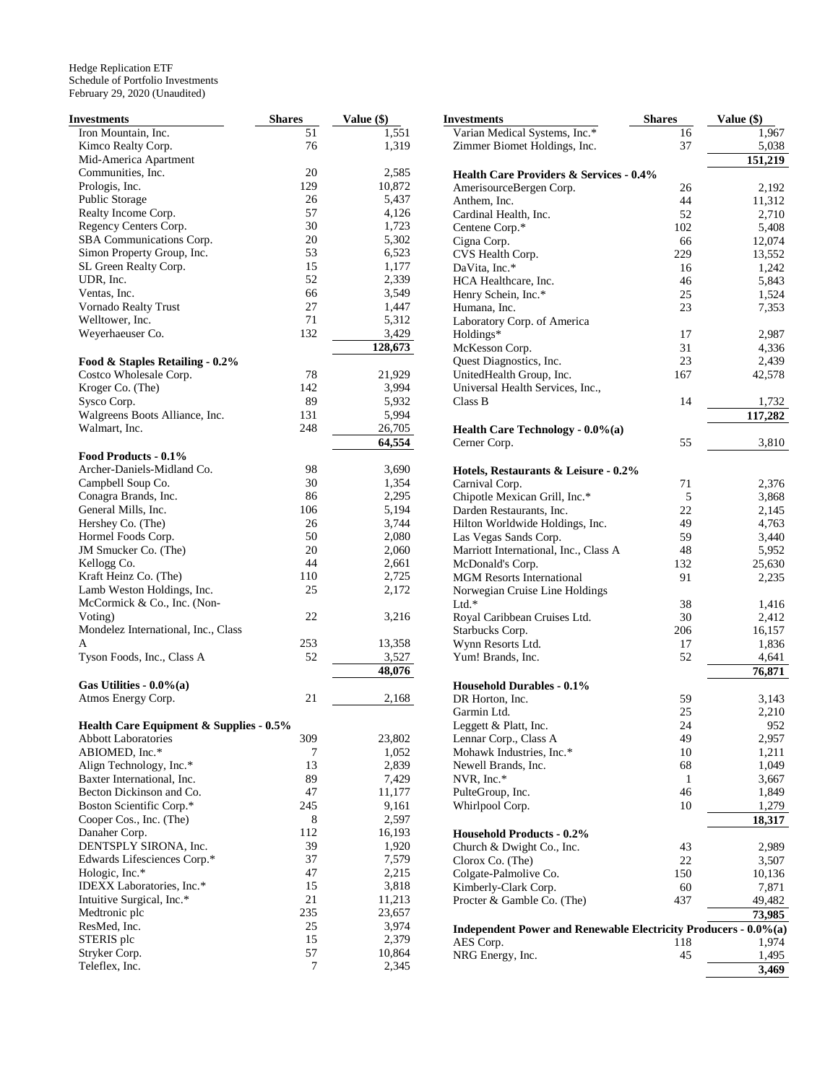| Investments                                         | <b>Shares</b> | Value (\$)     |
|-----------------------------------------------------|---------------|----------------|
| Iron Mountain, Inc.                                 | 51            | 1,551          |
| Kimco Realty Corp.                                  | 76            | 1,319          |
| Mid-America Apartment                               |               |                |
| Communities, Inc.                                   | 20            | 2,585          |
| Prologis, Inc.                                      | 129           | 10,872         |
| Public Storage                                      | 26            | 5,437          |
| Realty Income Corp.                                 | 57            | 4,126          |
| Regency Centers Corp.                               | 30            | 1,723          |
| SBA Communications Corp.                            | 20<br>53      | 5,302          |
| Simon Property Group, Inc.<br>SL Green Realty Corp. | 15            | 6,523<br>1,177 |
| UDR, Inc.                                           | 52            | 2,339          |
| Ventas, Inc.                                        | 66            | 3,549          |
| Vornado Realty Trust                                | 27            | 1,447          |
| Welltower, Inc.                                     | 71            | 5,312          |
| Weyerhaeuser Co.                                    | 132           | 3,429          |
|                                                     |               | 128,673        |
| Food & Staples Retailing - 0.2%                     |               |                |
| Costco Wholesale Corp.                              | 78            | 21,929         |
| Kroger Co. (The)                                    | 142           | 3,994          |
| Sysco Corp.                                         | 89            | 5,932          |
| Walgreens Boots Alliance, Inc.                      | 131           | 5,994          |
| Walmart, Inc.                                       | 248           | 26,705         |
|                                                     |               | 64,554         |
| Food Products - 0.1%                                |               |                |
| Archer-Daniels-Midland Co.                          | 98            | 3,690          |
| Campbell Soup Co.                                   | 30            | 1,354          |
| Conagra Brands, Inc.                                | 86            | 2,295          |
| General Mills, Inc.                                 | 106           | 5,194          |
| Hershey Co. (The)                                   | 26            | 3,744          |
| Hormel Foods Corp.                                  | 50            | 2,080          |
| JM Smucker Co. (The)                                | 20<br>44      | 2,060          |
| Kellogg Co.<br>Kraft Heinz Co. (The)                | 110           | 2,661<br>2,725 |
| Lamb Weston Holdings, Inc.                          | 25            | 2,172          |
| McCormick & Co., Inc. (Non-                         |               |                |
| Voting)                                             | 22            | 3,216          |
| Mondelez International, Inc., Class                 |               |                |
| A                                                   | 253           | 13,358         |
| Tyson Foods, Inc., Class A                          | 52            | 3,527          |
|                                                     |               | 48,076         |
| Gas Utilities - $0.0\%$ (a)                         |               |                |
| Atmos Energy Corp.                                  | 21            | 2,168          |
| Health Care Equipment & Supplies - 0.5%             |               |                |
| <b>Abbott Laboratories</b>                          | 309           | 23,802         |
| ABIOMED, Inc.*                                      | 7             | 1,052          |
| Align Technology, Inc.*                             | 13            | 2,839          |
| Baxter International, Inc.                          | 89            | 7,429          |
| Becton Dickinson and Co.                            | 47            | 11,177         |
| Boston Scientific Corp.*                            | 245           | 9,161          |
| Cooper Cos., Inc. (The)                             | 8             | 2,597          |
| Danaher Corp.                                       | 112           | 16,193         |
| DENTSPLY SIRONA, Inc.                               | 39            | 1,920          |
| Edwards Lifesciences Corp.*                         | 37            | 7,579          |
| Hologic, Inc.*                                      | 47            | 2,215          |
| IDEXX Laboratories, Inc.*                           | 15            | 3,818          |
| Intuitive Surgical, Inc.*                           | 21            | 11,213         |
| Medtronic plc                                       | 235           | 23,657         |
| ResMed, Inc.                                        | 25            | 3,974          |
| STERIS plc                                          | 15            | 2,379          |
| Stryker Corp.<br>Teleflex, Inc.                     | 57<br>7       | 10,864         |
|                                                     |               | 2,345          |

| Investments                                                     | Shares    | Value (\$)     |
|-----------------------------------------------------------------|-----------|----------------|
| Varian Medical Systems, Inc.*                                   | 16        | 1,967          |
| Zimmer Biomet Holdings, Inc.                                    | 37        | 5,038          |
|                                                                 |           | 151,219        |
| <b>Health Care Providers &amp; Services - 0.4%</b>              |           |                |
| AmerisourceBergen Corp.                                         | 26        | 2,192          |
| Anthem, Inc.<br>Cardinal Health, Inc.                           | 44        | 11,312         |
| Centene Corp.*                                                  | 52<br>102 | 2,710<br>5,408 |
| Cigna Corp.                                                     | 66        | 12,074         |
| CVS Health Corp.                                                | 229       | 13,552         |
| DaVita, Inc.*                                                   | 16        | 1,242          |
| HCA Healthcare, Inc.                                            | 46        | 5,843          |
| Henry Schein, Inc.*                                             | 25        | 1,524          |
| Humana, Inc.                                                    | 23        | 7,353          |
| Laboratory Corp. of America                                     |           |                |
| Holdings*                                                       | 17        | 2,987          |
| McKesson Corp.                                                  | 31        | 4,336          |
| Quest Diagnostics, Inc.                                         | 23        | 2,439          |
| UnitedHealth Group, Inc.                                        | 167       | 42,578         |
| Universal Health Services, Inc.,                                |           |                |
| Class B                                                         | 14        | 1,732          |
|                                                                 |           | 117,282        |
| Health Care Technology - 0.0%(a)<br>Cerner Corp.                | 55        | 3,810          |
|                                                                 |           |                |
| Hotels, Restaurants & Leisure - 0.2%                            |           |                |
| Carnival Corp.                                                  | 71        | 2,376          |
| Chipotle Mexican Grill, Inc.*                                   | 5         | 3,868          |
| Darden Restaurants, Inc.                                        | 22        | 2,145          |
| Hilton Worldwide Holdings, Inc.                                 | 49        | 4,763          |
| Las Vegas Sands Corp.                                           | 59        | 3,440          |
| Marriott International, Inc., Class A                           | 48        | 5,952          |
| McDonald's Corp.                                                | 132       | 25,630         |
| <b>MGM Resorts International</b>                                | 91        | 2,235          |
| Norwegian Cruise Line Holdings                                  |           |                |
| Ltd.*                                                           | 38        | 1,416          |
| Royal Caribbean Cruises Ltd.                                    | 30        | 2,412          |
| Starbucks Corp.                                                 | 206       | 16,157         |
| Wynn Resorts Ltd.                                               | 17        | 1,836          |
| Yum! Brands, Inc.                                               | 52        | 4,641          |
|                                                                 |           | 76,871         |
| <b>Household Durables - 0.1%</b><br>DR Horton, Inc.             | 59        |                |
| Garmin Ltd.                                                     | 25        | 3,143<br>2,210 |
| Leggett & Platt, Inc.                                           | 24        | 952            |
| Lennar Corp., Class A                                           | 49        | 2,957          |
| Mohawk Industries, Inc.*                                        | 10        | 1,211          |
| Newell Brands, Inc.                                             | 68        | 1,049          |
| NVR, Inc.*                                                      | 1         | 3,667          |
| PulteGroup, Inc.                                                | 46        | 1,849          |
| Whirlpool Corp.                                                 | 10        | 1,279          |
|                                                                 |           | 18,317         |
| <b>Household Products - 0.2%</b>                                |           |                |
| Church & Dwight Co., Inc.                                       | 43        | 2,989          |
| Clorox Co. (The)                                                | 22        | 3,507          |
| Colgate-Palmolive Co.                                           | 150       | 10,136         |
| Kimberly-Clark Corp.                                            | 60        | 7,871          |
| Procter & Gamble Co. (The)                                      | 437       | 49,482         |
|                                                                 |           | 73,985         |
| Independent Power and Renewable Electricity Producers - 0.0%(a) |           |                |
| AES Corp.                                                       | 118<br>45 | 1,974          |
| NRG Energy, Inc.                                                |           | 1,495          |
|                                                                 |           | 3,469          |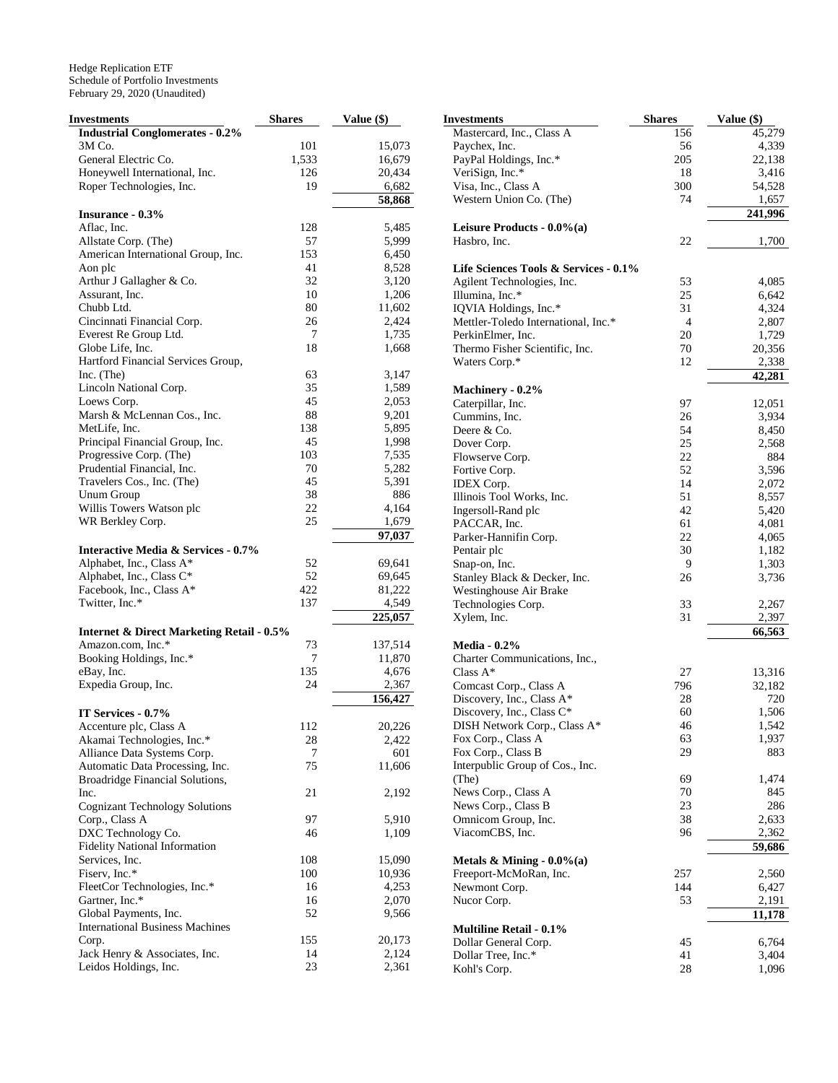| <b>Investments</b>                                    | <b>Shares</b> | Value (\$)      |
|-------------------------------------------------------|---------------|-----------------|
| <b>Industrial Conglomerates - 0.2%</b>                |               |                 |
| 3M Co.                                                | 101           | 15,073          |
| General Electric Co.                                  | 1,533         | 16,679          |
| Honeywell International, Inc.                         | 126           | 20,434          |
| Roper Technologies, Inc.                              | 19            | 6,682           |
|                                                       |               | 58,868          |
| <b>Insurance - 0.3%</b>                               |               |                 |
| Aflac, Inc.                                           | 128           | 5,485           |
| Allstate Corp. (The)                                  | 57            | 5,999           |
| American International Group, Inc.                    | 153           | 6,450           |
| Aon plc                                               | 41            | 8,528           |
| Arthur J Gallagher & Co.                              | 32            | 3,120           |
| Assurant, Inc.                                        | 10            | 1,206           |
| Chubb Ltd.                                            | 80            | 11,602          |
| Cincinnati Financial Corp.                            | 26            | 2,424           |
| Everest Re Group Ltd.                                 | 7             | 1,735           |
| Globe Life, Inc.                                      | 18            | 1,668           |
| Hartford Financial Services Group,                    |               |                 |
| Inc. $(The)$                                          | 63            | 3,147           |
| Lincoln National Corp.                                | 35            | 1,589           |
| Loews Corp.                                           | 45            | 2,053           |
| Marsh & McLennan Cos., Inc.                           | 88            | 9,201           |
| MetLife, Inc.                                         | 138           | 5,895           |
| Principal Financial Group, Inc.                       | 45<br>103     | 1,998           |
| Progressive Corp. (The)<br>Prudential Financial, Inc. | 70            | 7,535<br>5,282  |
| Travelers Cos., Inc. (The)                            | 45            | 5,391           |
| <b>Unum Group</b>                                     | 38            | 886             |
| Willis Towers Watson plc                              | 22            | 4,164           |
| WR Berkley Corp.                                      | 25            | 1,679           |
|                                                       |               | 97,037          |
| <b>Interactive Media &amp; Services - 0.7%</b>        |               |                 |
| Alphabet, Inc., Class A*                              | 52            | 69,641          |
| Alphabet, Inc., Class C*                              | 52            | 69,645          |
| Facebook, Inc., Class A*                              | 422           | 81,222          |
| Twitter, Inc.*                                        | 137           | 4,549           |
|                                                       |               | 225,057         |
| <b>Internet &amp; Direct Marketing Retail - 0.5%</b>  |               |                 |
| Amazon.com, Inc.*                                     | 73            | 137,514         |
| Booking Holdings, Inc.*                               | 7             | 11,870          |
| eBay, Inc.                                            | 135           | 4,676           |
| Expedia Group, Inc.                                   | 24            | 2,367           |
|                                                       |               | 156,427         |
| IT Services - 0.7%                                    |               |                 |
| Accenture plc, Class A                                | 112           | 20,226          |
| Akamai Technologies, Inc.*                            | 28            | 2,422           |
| Alliance Data Systems Corp.                           | 7             | 601             |
| Automatic Data Processing, Inc.                       | 75            | 11,606          |
| Broadridge Financial Solutions,                       |               |                 |
| Inc.                                                  | 21            | 2,192           |
| <b>Cognizant Technology Solutions</b>                 |               |                 |
| Corp., Class A                                        | 97            | 5,910           |
| DXC Technology Co.                                    | 46            | 1,109           |
| <b>Fidelity National Information</b>                  |               |                 |
| Services, Inc.                                        | 108           | 15,090          |
| Fiserv, Inc.*                                         | 100           | 10,936          |
| FleetCor Technologies, Inc.*                          | 16            | 4,253           |
| Gartner, Inc.*                                        | 16            | 2,070           |
| Global Payments, Inc.                                 | 52            | 9,566           |
| <b>International Business Machines</b>                | 155           |                 |
| Corp.<br>Jack Henry & Associates, Inc.                | 14            | 20,173<br>2,124 |
| Leidos Holdings, Inc.                                 | 23            | 2,361           |
|                                                       |               |                 |

| Investments                           | <b>Shares</b>  | Value (\$) |
|---------------------------------------|----------------|------------|
| Mastercard, Inc., Class A             | 156            | 45,279     |
| Paychex, Inc.                         | 56             | 4,339      |
| PayPal Holdings, Inc.*                | 205            | 22,138     |
| VeriSign, Inc.*                       | 18             | 3,416      |
| Visa, Inc., Class A                   | 300            | 54,528     |
| Western Union Co. (The)               | 74             | 1,657      |
|                                       |                | 241,996    |
| Leisure Products - $0.0\%$ (a)        |                |            |
| Hasbro, Inc.                          | 22             | 1,700      |
| Life Sciences Tools & Services - 0.1% |                |            |
| Agilent Technologies, Inc.            | 53             | 4,085      |
| Illumina, Inc.*                       | 25             | 6,642      |
| IQVIA Holdings, Inc.*                 | 31             | 4,324      |
| Mettler-Toledo International, Inc.*   | $\overline{4}$ | 2,807      |
| PerkinElmer, Inc.                     | 20             | 1,729      |
| Thermo Fisher Scientific, Inc.        | 70             | 20,356     |
| Waters Corp.*                         | 12             | 2,338      |
|                                       |                | 42,281     |
| Machinery - 0.2%<br>Caterpillar, Inc. | 97             | 12,051     |
| Cummins, Inc.                         | 26             | 3,934      |
| Deere & Co.                           | 54             | 8,450      |
| Dover Corp.                           | 25             | 2,568      |
| Flowserve Corp.                       | 22             | 884        |
| Fortive Corp.                         | 52             | 3,596      |
| <b>IDEX</b> Corp.                     | 14             | 2,072      |
| Illinois Tool Works, Inc.             | 51             | 8,557      |
| Ingersoll-Rand plc                    | 42             | 5,420      |
| PACCAR, Inc.                          | 61             | 4,081      |
| Parker-Hannifin Corp.                 | 22             | 4,065      |
| Pentair plc                           | 30             | 1,182      |
| Snap-on, Inc.                         | 9              | 1,303      |
| Stanley Black & Decker, Inc.          | 26             | 3,736      |
| Westinghouse Air Brake                |                |            |
| Technologies Corp.                    | 33             | 2,267      |
| Xylem, Inc.                           | 31             | 2,397      |
|                                       |                | 66,563     |
| <b>Media - 0.2%</b>                   |                |            |
| Charter Communications, Inc.,         |                |            |
| Class A*                              | 27             | 13,316     |
| Comcast Corp., Class A                | 796            | 32,182     |
| Discovery, Inc., Class A*             | 28             | 720        |
| Discovery, Inc., Class C*             | 60             | 1,506      |
| DISH Network Corp., Class A*          | 46             | 1,542      |
| Fox Corp., Class A                    | 63             | 1,937      |
| Fox Corp., Class B                    | 29             | 883        |
| Interpublic Group of Cos., Inc.       |                |            |
| (The)                                 | 69             | 1,474      |
| News Corp., Class A                   | 70             | 845        |
| News Corp., Class B                   | 23             | 286        |
| Omnicom Group, Inc.                   | 38             | 2,633      |
| ViacomCBS, Inc.                       | 96             | 2,362      |
| Metals & Mining $-0.0\%$ (a)          |                | 59,686     |
| Freeport-McMoRan, Inc.                | 257            | 2,560      |
| Newmont Corp.                         | 144            | 6,427      |
| Nucor Corp.                           | 53             | 2,191      |
|                                       |                | 11,178     |
| <b>Multiline Retail - 0.1%</b>        |                |            |
| Dollar General Corp.                  | 45             | 6,764      |
| Dollar Tree, Inc.*                    | 41             | 3,404      |
| Kohl's Corp.                          | 28             | 1,096      |
|                                       |                |            |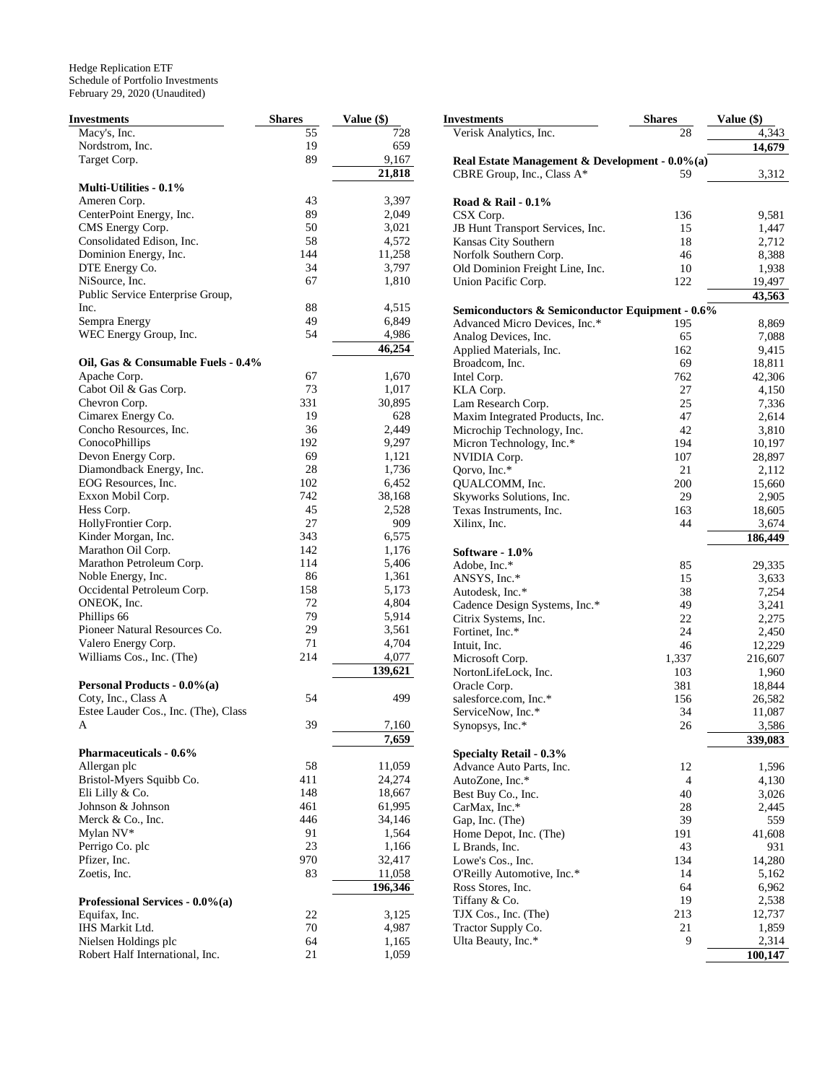| <b>Investments</b>                   | <b>Shares</b> | Value (\$) |
|--------------------------------------|---------------|------------|
| Macy's, Inc.                         | 55            | 728        |
| Nordstrom, Inc.                      | 19            | 659        |
| Target Corp.                         | 89            | 9,167      |
|                                      |               | 21,818     |
| <b>Multi-Utilities - 0.1%</b>        |               |            |
| Ameren Corp.                         | 43            | 3,397      |
| CenterPoint Energy, Inc.             | 89            | 2,049      |
| CMS Energy Corp.                     | 50            | 3,021      |
| Consolidated Edison, Inc.            | 58            | 4,572      |
| Dominion Energy, Inc.                | 144           | 11,258     |
| DTE Energy Co.                       | 34            | 3,797      |
| NiSource, Inc.                       | 67            | 1,810      |
| Public Service Enterprise Group,     |               |            |
| Inc.                                 | 88            | 4,515      |
| Sempra Energy                        | 49            | 6,849      |
| WEC Energy Group, Inc.               | 54            | 4,986      |
|                                      |               | 46,254     |
| Oil, Gas & Consumable Fuels - 0.4%   |               |            |
| Apache Corp.                         | 67            | 1,670      |
| Cabot Oil & Gas Corp.                | 73            | 1,017      |
| Chevron Corp.                        | 331           | 30,895     |
| Cimarex Energy Co.                   | 19            | 628        |
| Concho Resources, Inc.               | 36            | 2,449      |
| ConocoPhillips                       | 192           | 9,297      |
| Devon Energy Corp.                   | 69            | 1,121      |
| Diamondback Energy, Inc.             | 28            | 1,736      |
| EOG Resources, Inc.                  | 102           | 6,452      |
| Exxon Mobil Corp.                    | 742           | 38,168     |
| Hess Corp.                           | 45            | 2,528      |
| HollyFrontier Corp.                  | 27            | 909        |
| Kinder Morgan, Inc.                  | 343           | 6,575      |
| Marathon Oil Corp.                   | 142           | 1,176      |
| Marathon Petroleum Corp.             | 114           | 5,406      |
| Noble Energy, Inc.                   | 86            | 1,361      |
| Occidental Petroleum Corp.           | 158           | 5,173      |
| ONEOK, Inc.                          | 72            | 4,804      |
| Phillips 66                          | 79            | 5,914      |
| Pioneer Natural Resources Co.        | 29            | 3,561      |
| Valero Energy Corp.                  | 71            | 4,704      |
| Williams Cos., Inc. (The)            | 214           | 4,077      |
|                                      |               | 139,621    |
| Personal Products - 0.0%(a)          |               |            |
| Coty, Inc., Class A                  | 54            | 499        |
| Estee Lauder Cos., Inc. (The), Class |               |            |
| A                                    | 39            | 7,160      |
|                                      |               | 7,659      |
| <b>Pharmaceuticals - 0.6%</b>        |               |            |
| Allergan plc                         | 58            | 11,059     |
| Bristol-Myers Squibb Co.             | 411           | 24,274     |
| Eli Lilly & Co.                      | 148           | 18,667     |
| Johnson & Johnson                    | 461           | 61,995     |
| Merck & Co., Inc.                    | 446           | 34,146     |
| Mylan NV*                            | 91            | 1,564      |
| Perrigo Co. plc                      | 23            | 1,166      |
| Pfizer, Inc.                         | 970           | 32,417     |
| Zoetis, Inc.                         | 83            | 11,058     |
|                                      |               | 196,346    |
| Professional Services - 0.0%(a)      |               |            |
| Equifax, Inc.                        | 22            | 3,125      |
| IHS Markit Ltd.                      | 70            | 4,987      |
| Nielsen Holdings plc                 | 64            | 1,165      |
| Robert Half International, Inc.      | 21            | 1,059      |

| Investments                                     | Shares    | Value (\$)       |  |  |
|-------------------------------------------------|-----------|------------------|--|--|
| Verisk Analytics, Inc.                          | 28        | 4,343            |  |  |
|                                                 |           | 14,679           |  |  |
| Real Estate Management & Development - 0.0%(a)  |           |                  |  |  |
| CBRE Group, Inc., Class A*                      | 59        | 3,312            |  |  |
|                                                 |           |                  |  |  |
| Road & Rail - 0.1%<br>CSX Corp.                 | 136       | 9,581            |  |  |
| JB Hunt Transport Services, Inc.                | 15        | 1,447            |  |  |
| Kansas City Southern                            | 18        | 2,712            |  |  |
| Norfolk Southern Corp.                          | 46        | 8,388            |  |  |
| Old Dominion Freight Line, Inc.                 | 10        | 1,938            |  |  |
| Union Pacific Corp.                             | 122       | 19,497           |  |  |
|                                                 |           | 43,563           |  |  |
| Semiconductors & Semiconductor Equipment - 0.6% |           |                  |  |  |
| Advanced Micro Devices, Inc.*                   | 195       | 8,869            |  |  |
| Analog Devices, Inc.                            | 65        | 7,088            |  |  |
| Applied Materials, Inc.                         | 162       | 9,415            |  |  |
| Broadcom, Inc.                                  | 69        | 18,811           |  |  |
| Intel Corp.                                     | 762       | 42,306           |  |  |
| KLA Corp.                                       | 27        | 4,150            |  |  |
| Lam Research Corp.                              | 25        | 7,336            |  |  |
| Maxim Integrated Products, Inc.                 | 47        | 2,614            |  |  |
| Microchip Technology, Inc.                      | 42        | 3,810            |  |  |
| Micron Technology, Inc.*                        | 194       | 10,197           |  |  |
| NVIDIA Corp.                                    | 107       | 28,897           |  |  |
| Oorvo, Inc.*                                    | 21        | 2,112            |  |  |
| QUALCOMM, Inc.<br>Skyworks Solutions, Inc.      | 200<br>29 | 15,660           |  |  |
| Texas Instruments, Inc.                         | 163       | 2,905<br>18,605  |  |  |
| Xilinx, Inc.                                    | 44        | 3,674            |  |  |
|                                                 |           | 186,449          |  |  |
| Software - 1.0%                                 |           |                  |  |  |
| Adobe, Inc.*                                    | 85        | 29,335           |  |  |
| ANSYS, Inc.*                                    | 15        | 3,633            |  |  |
| Autodesk, Inc.*                                 | 38        | 7,254            |  |  |
| Cadence Design Systems, Inc.*                   | 49        | 3,241            |  |  |
| Citrix Systems, Inc.                            | 22        | 2,275            |  |  |
| Fortinet, Inc.*                                 | 24        | 2,450            |  |  |
| Intuit, Inc.                                    | 46        | 12,229           |  |  |
| Microsoft Corp.                                 | 1,337     | 216,607          |  |  |
| NortonLifeLock, Inc.                            | 103       | 1,960            |  |  |
| Oracle Corp.                                    | 381       | 18,844           |  |  |
| salesforce.com, Inc.*<br>ServiceNow, Inc.*      | 156<br>34 | 26,582<br>11,087 |  |  |
|                                                 | 26        | 3,586            |  |  |
| Synopsys, Inc.*                                 |           | 339,083          |  |  |
| <b>Specialty Retail - 0.3%</b>                  |           |                  |  |  |
| Advance Auto Parts, Inc.                        | 12        | 1,596            |  |  |
| AutoZone, Inc.*                                 | 4         | 4,130            |  |  |
| Best Buy Co., Inc.                              | 40        | 3,026            |  |  |
| CarMax, Inc.*                                   | 28        | 2,445            |  |  |
| Gap, Inc. (The)                                 | 39        | 559              |  |  |
| Home Depot, Inc. (The)                          | 191       | 41,608           |  |  |
| L Brands, Inc.                                  | 43        | 931              |  |  |
| Lowe's Cos., Inc.                               | 134       | 14,280           |  |  |
| O'Reilly Automotive, Inc.*                      | 14        | 5,162            |  |  |
| Ross Stores, Inc.                               | 64        | 6,962            |  |  |
| Tiffany & Co.                                   | 19        | 2,538            |  |  |
| TJX Cos., Inc. (The)                            | 213<br>21 | 12,737<br>1,859  |  |  |
| Tractor Supply Co.<br>Ulta Beauty, Inc.*        | 9         | 2,314            |  |  |
|                                                 |           | 100,147          |  |  |
|                                                 |           |                  |  |  |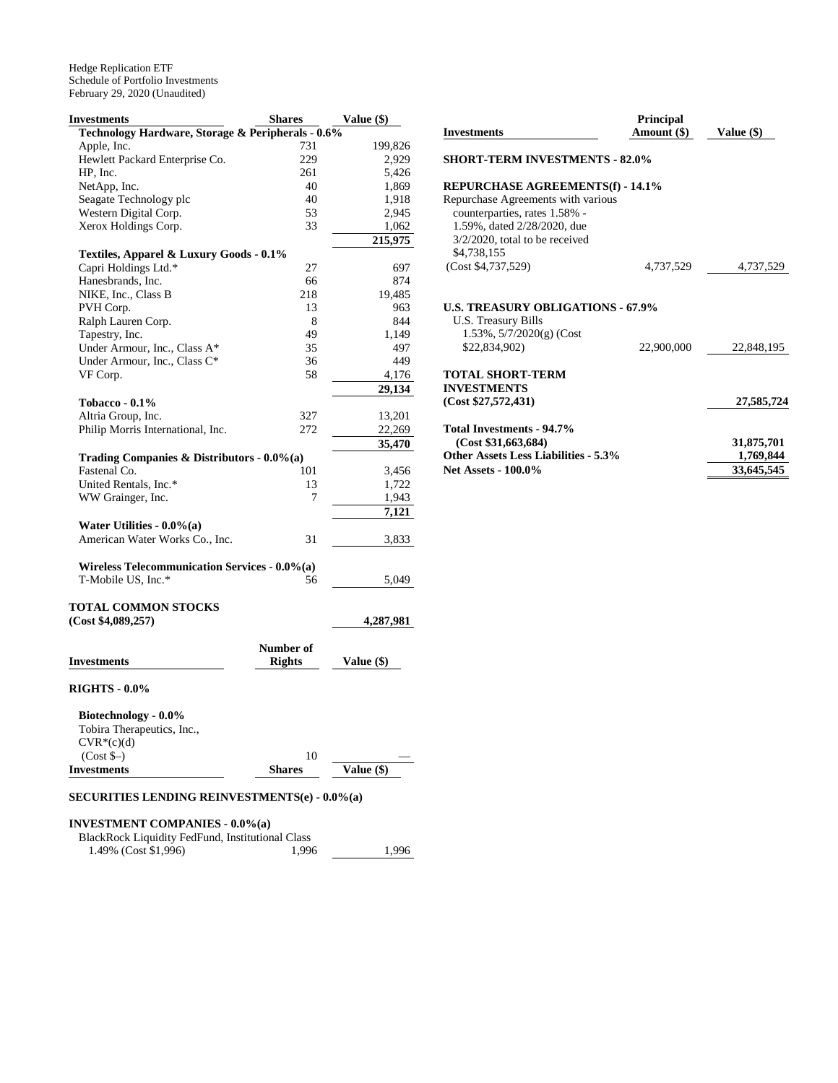| Investments                                                    | <b>Shares</b> | <b>Value (\$)</b> |
|----------------------------------------------------------------|---------------|-------------------|
| Technology Hardware, Storage & Peripherals - 0.6%              |               |                   |
| Apple, Inc.                                                    | 731           | 199,826           |
| Hewlett Packard Enterprise Co.                                 | 229           | 2,929             |
| HP, Inc.                                                       | 261           | 5,426             |
| NetApp, Inc.                                                   | 40            | 1,869             |
| Seagate Technology plc                                         | 40            | 1,918             |
| Western Digital Corp.                                          | 53            | 2,945             |
| Xerox Holdings Corp.                                           | 33            | 1,062             |
|                                                                |               | 215,975           |
| Textiles, Apparel & Luxury Goods - 0.1%                        |               |                   |
| Capri Holdings Ltd.*                                           | 27            | 697               |
| Hanesbrands, Inc.                                              | 66            | 874               |
| NIKE, Inc., Class B                                            | 218           | 19,485            |
| PVH Corp.                                                      | 13            | 963               |
| Ralph Lauren Corp.                                             | 8             | 844               |
| Tapestry, Inc.                                                 | 49            | 1.149             |
| Under Armour, Inc., Class A*                                   | 35            | 497               |
| Under Armour, Inc., Class C*                                   | 36            | 449               |
| VF Corp.                                                       | 58            | 4,176             |
|                                                                |               | 29,134            |
| Tobacco - $0.1\%$                                              |               |                   |
| Altria Group, Inc.                                             | 327           | 13,201            |
| Philip Morris International, Inc.                              | 272           | 22,269            |
|                                                                |               |                   |
|                                                                |               | 35,470            |
| Trading Companies & Distributors - $0.0\%$ (a)<br>Fastenal Co. |               |                   |
|                                                                | 101           | 3,456             |
| United Rentals, Inc.*                                          | 13<br>7       | 1,722             |
| WW Grainger, Inc.                                              |               | 1,943             |
|                                                                |               | 7,121             |
| Water Utilities - $0.0\%$ (a)                                  |               |                   |
| American Water Works Co., Inc.                                 | 31            | 3,833             |
|                                                                |               |                   |
| Wireless Telecommunication Services - 0.0%(a)                  |               |                   |
| T-Mobile US, Inc.*                                             | 56            | 5,049             |
|                                                                |               |                   |
| TOTAL COMMON STOCKS                                            |               |                   |
| (Cost \$4,089,257)                                             |               | 4,287,981         |
|                                                                |               |                   |
|                                                                | Number of     |                   |
| Investments                                                    | <b>Rights</b> | Value (\$)        |
| <b>RIGHTS - 0.0%</b>                                           |               |                   |
|                                                                |               |                   |
| Biotechnology - 0.0%                                           |               |                   |
| Tobira Therapeutics, Inc.,                                     |               |                   |
| $CVR*(c)(d)$                                                   |               |                   |
| $(Cost S-)$                                                    | 10            |                   |
| <b>Investments</b>                                             | <b>Shares</b> | Value (\$)        |

| <b>Investments</b>                                                                                                                                                                         | <b>Principal</b><br>Amount (\$) | Value $(\$)$                          |
|--------------------------------------------------------------------------------------------------------------------------------------------------------------------------------------------|---------------------------------|---------------------------------------|
| <b>SHORT-TERM INVESTMENTS - 82.0%</b>                                                                                                                                                      |                                 |                                       |
| REPURCHASE AGREEMENTS(f) - 14.1%<br>Repurchase Agreements with various<br>counterparties, rates 1.58% -<br>1.59%, dated 2/28/2020, due<br>$3/2/2020$ , total to be received<br>\$4,738,155 |                                 |                                       |
| (Cost \$4,737,529)                                                                                                                                                                         | 4,737,529                       | 4,737,529                             |
| <b>U.S. TREASURY OBLIGATIONS - 67.9%</b><br>U.S. Treasury Bills<br>$1.53\%, 5/7/2020(g)$ (Cost<br>\$22,834,902)                                                                            | 22,900,000                      | 22,848,195                            |
| TOTAL SHORT-TERM<br><b>INVESTMENTS</b><br>(Cost \$27,572,431)                                                                                                                              |                                 | 27,585,724                            |
| Total Investments - 94.7%<br>(Cost \$31,663,684)<br><b>Other Assets Less Liabilities - 5.3%</b><br><b>Net Assets - 100.0%</b>                                                              |                                 | 31,875,701<br>1,769,844<br>33,645,545 |

#### **SECURITIES LENDING REINVESTMENTS(e) - 0.0%(a)**

#### **INVESTMENT COMPANIES - 0.0%(a)**

**Investments** 

BlackRock Liquidity FedFund, Institutional Class 1.49% (Cost \$1,996) 1,996 1,996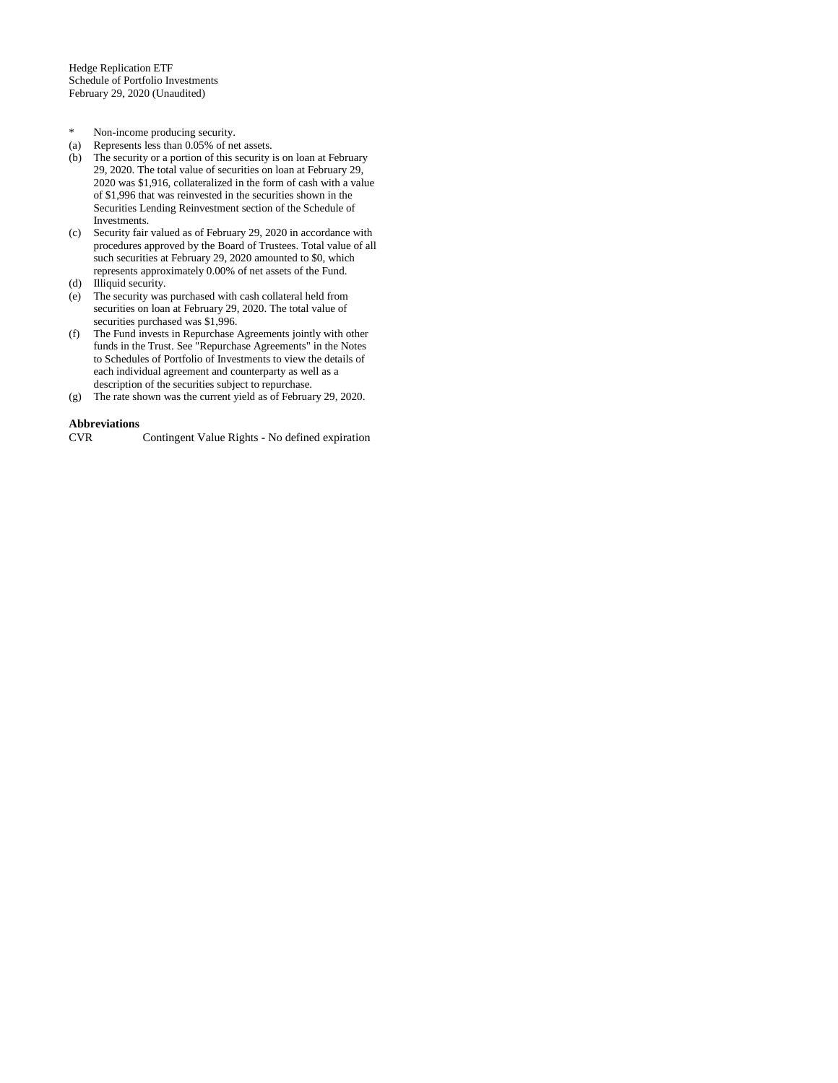- \* Non-income producing security.
- (a) Represents less than 0.05% of net assets.
- (b) The security or a portion of this security is on loan at February 29, 2020. The total value of securities on loan at February 29, 2020 was \$1,916, collateralized in the form of cash with a value of \$1,996 that was reinvested in the securities shown in the Securities Lending Reinvestment section of the Schedule of Investments.
- (c) Security fair valued as of February 29, 2020 in accordance with procedures approved by the Board of Trustees. Total value of all such securities at February 29, 2020 amounted to \$0, which represents approximately 0.00% of net assets of the Fund.
- (d) Illiquid security.
- (e) The security was purchased with cash collateral held from securities on loan at February 29, 2020. The total value of securities purchased was \$1,996.
- (f) The Fund invests in Repurchase Agreements jointly with other funds in the Trust. See "Repurchase Agreements" in the Notes to Schedules of Portfolio of Investments to view the details of each individual agreement and counterparty as well as a description of the securities subject to repurchase.
- (g) The rate shown was the current yield as of February 29, 2020.

# **Abbreviations**

Contingent Value Rights - No defined expiration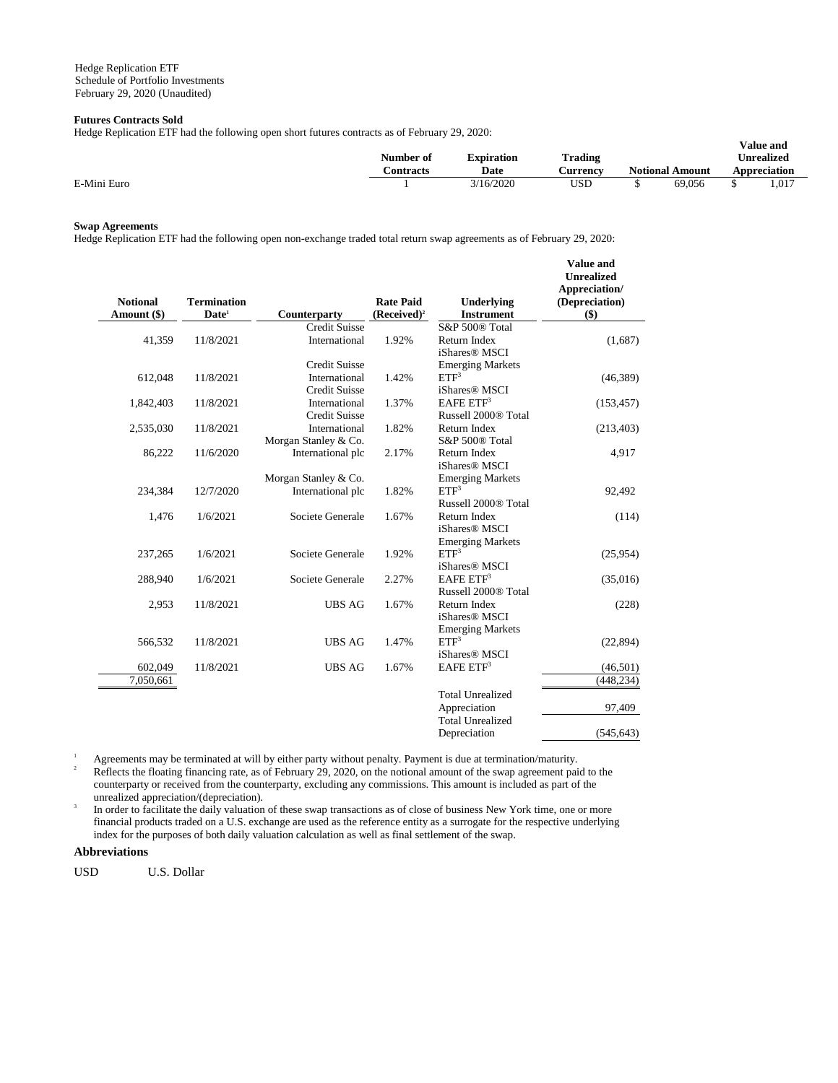## **Futures Contracts Sold**

Hedge Replication ETF had the following open short futures contracts as of February 29, 2020:

|             | Treage Repredition ETT had the following open short futures contracts as of February $\omega$ , $\omega\omega$ .<br>Trading<br>Number of<br><b>Expiration</b> |           |          |  |                        |  | <b>Value and</b><br><b>Unrealized</b> |
|-------------|---------------------------------------------------------------------------------------------------------------------------------------------------------------|-----------|----------|--|------------------------|--|---------------------------------------|
|             | Contracts                                                                                                                                                     | Date      | Aurrency |  | <b>Notional Amount</b> |  | Appreciation                          |
| E-Mini Euro |                                                                                                                                                               | 3/16/2020 | USD      |  | 69.056                 |  | $1.01^{-}$                            |
|             |                                                                                                                                                               |           |          |  |                        |  |                                       |

## **Swap Agreements**

Hedge Replication ETF had the following open non-exchange traded total return swap agreements as of February 29, 2020:

| <b>Notional</b><br>Amount (\$) | <b>Termination</b><br>Date <sup>1</sup> | Counterparty                          | <b>Rate Paid</b><br>$(Received)^2$ | Underlying<br><b>Instrument</b>                    | <b>Value</b> and<br><b>Unrealized</b><br>Appreciation/<br>(Depreciation)<br>$($)$ |
|--------------------------------|-----------------------------------------|---------------------------------------|------------------------------------|----------------------------------------------------|-----------------------------------------------------------------------------------|
|                                |                                         | <b>Credit Suisse</b>                  |                                    | S&P 500® Total                                     |                                                                                   |
| 41,359                         | 11/8/2021                               | International                         | 1.92%                              | Return Index<br>iShares <sup>®</sup> MSCI          | (1,687)                                                                           |
|                                |                                         | <b>Credit Suisse</b>                  |                                    | <b>Emerging Markets</b>                            |                                                                                   |
| 612,048                        | 11/8/2021                               | International<br><b>Credit Suisse</b> | 1.42%                              | ETF <sup>3</sup><br>iShares <sup>®</sup> MSCI      | (46, 389)                                                                         |
| 1,842,403                      | 11/8/2021                               | International                         | 1.37%                              | EAFE ETF <sup>3</sup>                              | (153, 457)                                                                        |
|                                |                                         | <b>Credit Suisse</b>                  |                                    | Russell 2000® Total                                |                                                                                   |
| 2,535,030                      | 11/8/2021                               | International                         | 1.82%                              | Return Index                                       | (213, 403)                                                                        |
|                                |                                         | Morgan Stanley & Co.                  |                                    | S&P 500® Total                                     |                                                                                   |
| 86,222                         | 11/6/2020                               | International plc                     | 2.17%                              | Return Index                                       | 4,917                                                                             |
|                                |                                         |                                       |                                    | iShares <sup>®</sup> MSCI                          |                                                                                   |
|                                |                                         | Morgan Stanley & Co.                  |                                    | <b>Emerging Markets</b>                            |                                                                                   |
| 234,384                        | 12/7/2020                               | International plc                     | 1.82%                              | ETF <sup>3</sup>                                   | 92,492                                                                            |
|                                |                                         |                                       |                                    | Russell 2000® Total                                |                                                                                   |
| 1,476                          | 1/6/2021                                | Societe Generale                      | 1.67%                              | Return Index                                       | (114)                                                                             |
|                                |                                         |                                       |                                    | iShares <sup>®</sup> MSCI                          |                                                                                   |
|                                |                                         | Societe Generale                      |                                    | <b>Emerging Markets</b><br>ETF <sup>3</sup>        |                                                                                   |
| 237,265                        | 1/6/2021                                |                                       | 1.92%                              |                                                    | (25,954)                                                                          |
|                                | 1/6/2021                                | Societe Generale                      | 2.27%                              | iShares <sup>®</sup> MSCI<br>EAFE ETF <sup>3</sup> |                                                                                   |
| 288,940                        |                                         |                                       |                                    | Russell 2000 <sup>®</sup> Total                    | (35,016)                                                                          |
|                                |                                         |                                       |                                    |                                                    |                                                                                   |
| 2,953                          | 11/8/2021                               | <b>UBS AG</b>                         | 1.67%                              | Return Index<br>iShares <sup>®</sup> MSCI          | (228)                                                                             |
|                                |                                         |                                       |                                    |                                                    |                                                                                   |
| 566,532                        | 11/8/2021                               | <b>UBS AG</b>                         | 1.47%                              | <b>Emerging Markets</b><br>ETF <sup>3</sup>        | (22, 894)                                                                         |
|                                |                                         |                                       |                                    | iShares <sup>®</sup> MSCI                          |                                                                                   |
| 602,049                        | 11/8/2021                               | <b>UBS AG</b>                         | 1.67%                              | EAFE ETF <sup>3</sup>                              | (46,501)                                                                          |
| 7,050,661                      |                                         |                                       |                                    |                                                    | (448, 234)                                                                        |
|                                |                                         |                                       |                                    |                                                    |                                                                                   |
|                                |                                         |                                       |                                    | <b>Total Unrealized</b>                            |                                                                                   |
|                                |                                         |                                       |                                    | Appreciation                                       | 97,409                                                                            |
|                                |                                         |                                       |                                    | <b>Total Unrealized</b>                            |                                                                                   |
|                                |                                         |                                       |                                    | Depreciation                                       | (545, 643)                                                                        |

<sup>1</sup> Agreements may be terminated at will by either party without penalty. Payment is due at termination/maturity.<br><sup>2</sup> Beflects the flecting finencing rate as of February 20, 2020, on the potional smount of the sump agreem <sup>2</sup> Reflects the floating financing rate, as of February 29, 2020, on the notional amount of the swap agreement paid to the counterparty or received from the counterparty, excluding any commissions. This amount is included as part of the unrealized appreciation/(depreciation).

3 In order to facilitate the daily valuation of these swap transactions as of close of business New York time, one or more financial products traded on a U.S. exchange are used as the reference entity as a surrogate for the respective underlying index for the purposes of both daily valuation calculation as well as final settlement of the swap.

## **Abbreviations**

USD U.S. Dollar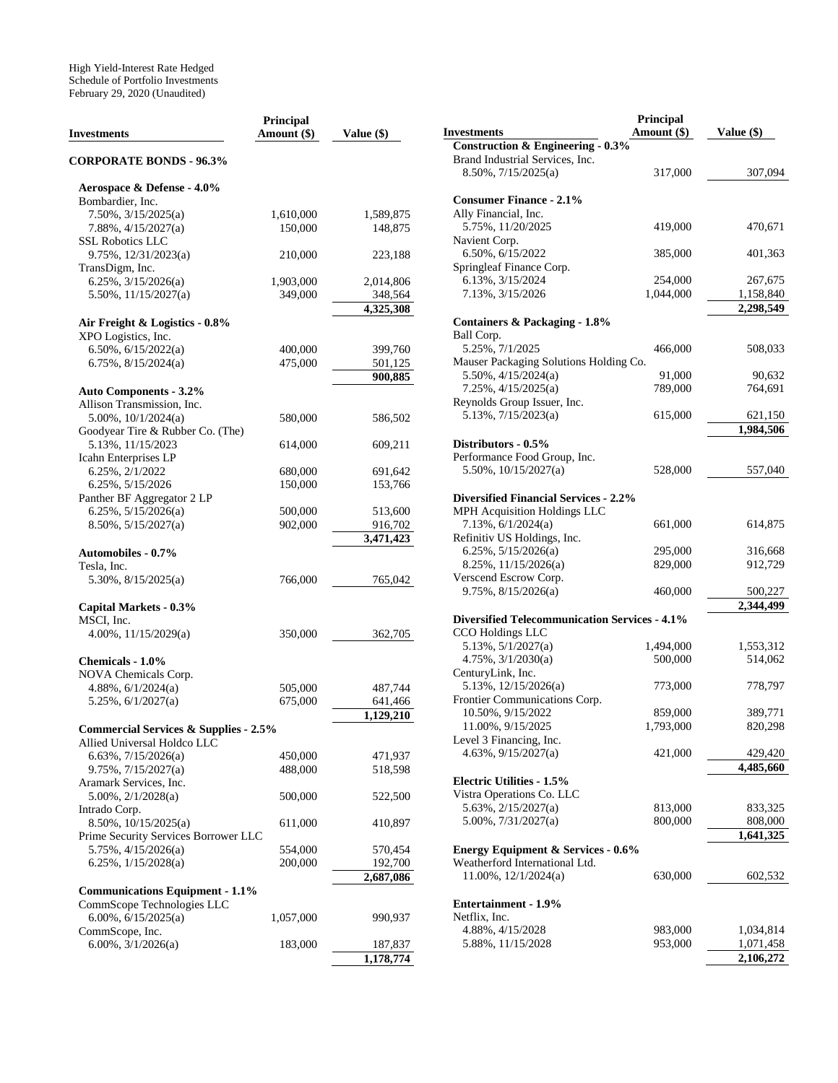| <b>Investments</b>                               | Principal<br>Amount (\$) | Value (\$)           |
|--------------------------------------------------|--------------------------|----------------------|
| <b>CORPORATE BONDS - 96.3%</b>                   |                          |                      |
| Aerospace & Defense - 4.0%                       |                          |                      |
| Bombardier, Inc.                                 |                          |                      |
| 7.50%, 3/15/2025(a)                              | 1,610,000                | 1,589,875            |
| $7.88\%, \frac{4}{15}{2027(a)}$                  | 150,000                  | 148,875              |
| <b>SSL Robotics LLC</b>                          |                          |                      |
| $9.75\%$ , $12/31/2023(a)$                       | 210,000                  | 223,188              |
| TransDigm, Inc.                                  |                          |                      |
| 6.25%, 3/15/2026(a)                              | 1,903,000                | 2,014,806            |
| $5.50\%$ , $11/15/2027(a)$                       | 349,000                  | 348,564              |
|                                                  |                          | 4,325,308            |
| Air Freight & Logistics - 0.8%                   |                          |                      |
| XPO Logistics, Inc.                              |                          |                      |
| 6.50%, $6/15/2022(a)$                            | 400,000                  | 399,760              |
| $6.75\%$ , $8/15/2024(a)$                        | 475,000                  | 501,125              |
|                                                  |                          | 900,885              |
| <b>Auto Components - 3.2%</b>                    |                          |                      |
| Allison Transmission, Inc.                       |                          |                      |
| $5.00\%$ , $10/1/2024(a)$                        | 580,000                  | 586,502              |
| Goodyear Tire & Rubber Co. (The)                 |                          |                      |
| 5.13%, 11/15/2023                                | 614,000                  | 609,211              |
| Icahn Enterprises LP                             |                          |                      |
| 6.25%, 2/1/2022                                  | 680,000                  | 691,642              |
| 6.25%, 5/15/2026                                 | 150,000                  | 153,766              |
| Panther BF Aggregator 2 LP                       |                          |                      |
| 6.25%, 5/15/2026(a)                              | 500,000                  | 513,600              |
| $8.50\%, 5/15/2027(a)$                           | 902,000                  | 916,702              |
|                                                  |                          | 3,471,423            |
| <b>Automobiles - 0.7%</b>                        |                          |                      |
| Tesla, Inc.                                      |                          |                      |
| $5.30\%, 8/15/2025(a)$                           | 766,000                  | 765,042              |
|                                                  |                          |                      |
| Capital Markets - 0.3%                           |                          |                      |
| MSCI, Inc.                                       |                          |                      |
| 4.00%, 11/15/2029(a)                             | 350,000                  | 362,705              |
|                                                  |                          |                      |
| Chemicals - 1.0%                                 |                          |                      |
| NOVA Chemicals Corp.                             |                          |                      |
| $4.88\%, 6/1/2024(a)$                            | 505,000<br>675,000       | 487,744              |
| $5.25\%, 6/1/2027(a)$                            |                          | 641,466<br>1,129,210 |
| <b>Commercial Services &amp; Supplies - 2.5%</b> |                          |                      |
| Allied Universal Holdco LLC                      |                          |                      |
| $6.63\%, 7/15/2026(a)$                           |                          |                      |
| 9.75%, 7/15/2027(a)                              | 450,000<br>488,000       | 471,937<br>518,598   |
| Aramark Services, Inc.                           |                          |                      |
| 5.00%, 2/1/2028(a)                               | 500,000                  | 522,500              |
| Intrado Corp.                                    |                          |                      |
| 8.50%, 10/15/2025(a)                             | 611,000                  | 410,897              |
| Prime Security Services Borrower LLC             |                          |                      |
| 5.75%, 4/15/2026(a)                              | 554,000                  | 570,454              |
| 6.25%, 1/15/2028(a)                              | 200,000                  | 192,700              |
|                                                  |                          | 2,687,086            |
| <b>Communications Equipment - 1.1%</b>           |                          |                      |
| CommScope Technologies LLC                       |                          |                      |
| $6.00\%, 6/15/2025(a)$                           | 1,057,000                | 990,937              |
|                                                  |                          |                      |
| CommScope, Inc.<br>$6.00\%, 3/1/2026(a)$         | 183,000                  | 187,837              |
|                                                  |                          | 1,178,774            |
|                                                  |                          |                      |

|                                                      | <b>Principal</b> |            |
|------------------------------------------------------|------------------|------------|
| <b>Investments</b>                                   | Amount (\$)      | Value (\$) |
| <b>Construction &amp; Engineering - 0.3%</b>         |                  |            |
| Brand Industrial Services, Inc.                      |                  |            |
| $8.50\%, \frac{7}{15}{2025(a)}$                      | 317,000          | 307,094    |
| <b>Consumer Finance - 2.1%</b>                       |                  |            |
| Ally Financial, Inc.                                 |                  |            |
| 5.75%, 11/20/2025                                    | 419,000          | 470,671    |
| Navient Corp.                                        |                  |            |
| 6.50%, 6/15/2022                                     | 385,000          | 401,363    |
| Springleaf Finance Corp.                             |                  |            |
| 6.13%, 3/15/2024                                     | 254,000          | 267,675    |
| 7.13%, 3/15/2026                                     | 1,044,000        | 1,158,840  |
|                                                      |                  | 2,298,549  |
| Containers & Packaging - 1.8%                        |                  |            |
| Ball Corp.                                           |                  |            |
| 5.25%, 7/1/2025                                      | 466,000          | 508,033    |
| Mauser Packaging Solutions Holding Co.               |                  |            |
| $5.50\%$ , $4/15/2024(a)$                            | 91,000           | 90,632     |
| $7.25\%, \frac{4}{15}/2025(a)$                       | 789,000          | 764,691    |
| Reynolds Group Issuer, Inc.                          |                  |            |
| $5.13\%, \frac{7}{15}/2023(a)$                       | 615,000          | 621,150    |
|                                                      |                  | 1,984,506  |
| Distributors - 0.5%                                  |                  |            |
| Performance Food Group, Inc.                         |                  |            |
| $5.50\%$ , $10/15/2027(a)$                           | 528,000          | 557,040    |
|                                                      |                  |            |
| <b>Diversified Financial Services - 2.2%</b>         |                  |            |
| MPH Acquisition Holdings LLC                         |                  |            |
| 7.13%, 6/1/2024(a)                                   | 661,000          | 614,875    |
| Refinitiv US Holdings, Inc.                          |                  |            |
| $6.25\%, 5/15/2026(a)$                               | 295,000          | 316,668    |
| $8.25\%, 11/15/2026(a)$                              | 829,000          | 912,729    |
| Verscend Escrow Corp.                                |                  |            |
| 9.75%, 8/15/2026(a)                                  | 460,000          | 500,227    |
|                                                      |                  | 2,344,499  |
| <b>Diversified Telecommunication Services - 4.1%</b> |                  |            |
| CCO Holdings LLC                                     |                  |            |
| 5.13%, 5/1/2027(a)                                   | 1,494,000        | 1,553,312  |
| $4.75\%, \frac{3}{1/2030(a)}$                        | 500,000          | 514,062    |
| CenturyLink, Inc.                                    |                  |            |
| $5.13\%, 12/15/2026(a)$                              | 773,000          | 778,797    |
| Frontier Communications Corp.                        |                  |            |
| 10.50%, 9/15/2022                                    | 859,000          | 389,771    |
| 11.00%, 9/15/2025                                    | 1,793,000        | 820,298    |
| Level 3 Financing, Inc.                              |                  |            |
| $4.63\%, 9/15/2027(a)$                               | 421,000          | 429,420    |
|                                                      |                  | 4,485,660  |
| <b>Electric Utilities - 1.5%</b>                     |                  |            |
| Vistra Operations Co. LLC                            |                  |            |
| $5.63\%, 2/15/2027(a)$                               | 813,000          | 833,325    |
| $5.00\%, 7/31/2027(a)$                               | 800,000          | 808,000    |
|                                                      |                  | 1,641,325  |
| <b>Energy Equipment &amp; Services - 0.6%</b>        |                  |            |
| Weatherford International Ltd.                       |                  |            |
| $11.00\%$ , $12/1/2024(a)$                           | 630,000          | 602,532    |
|                                                      |                  |            |
| <b>Entertainment - 1.9%</b>                          |                  |            |
| Netflix, Inc.                                        |                  |            |
| 4.88%, 4/15/2028                                     | 983,000          | 1,034,814  |
| 5.88%, 11/15/2028                                    | 953,000          | 1,071,458  |
|                                                      |                  | 2,106,272  |
|                                                      |                  |            |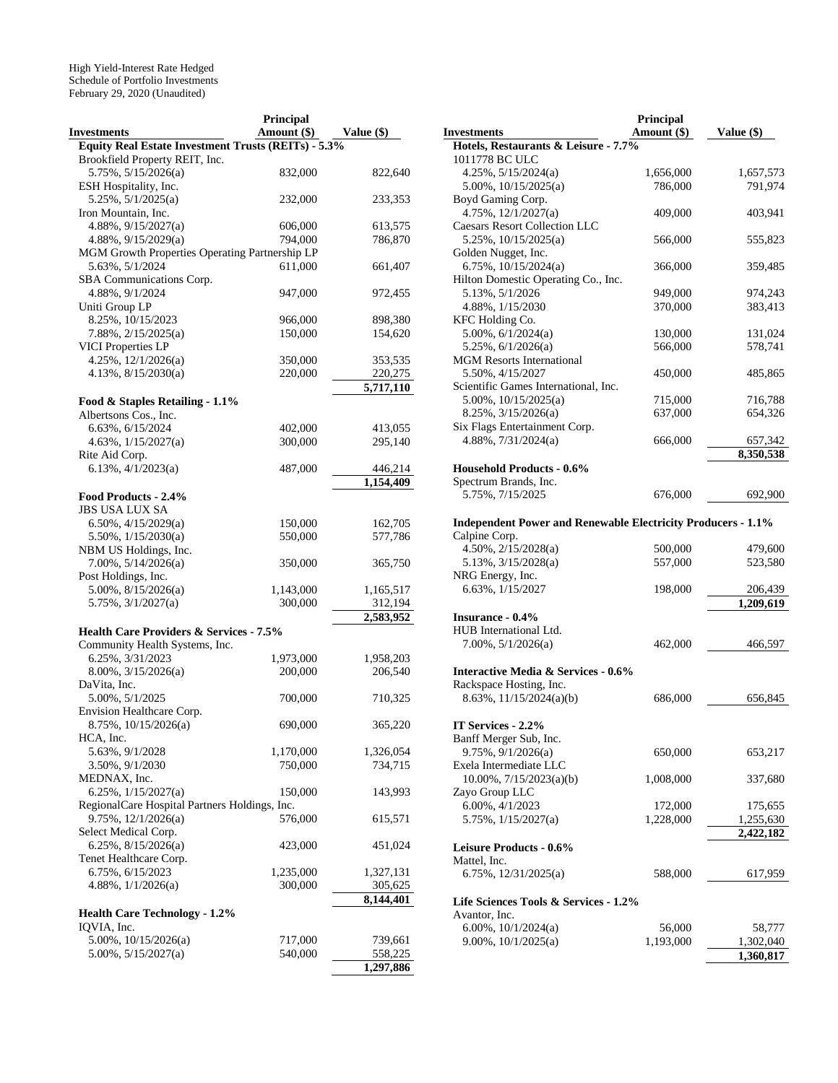|                                                     | Principal   |              |
|-----------------------------------------------------|-------------|--------------|
| <b>Investments</b>                                  | Amount (\$) | Value $(\$)$ |
| Equity Real Estate Investment Trusts (REITs) - 5.3% |             |              |
| Brookfield Property REIT, Inc.                      |             |              |
| $5.75\%, 5/15/2026(a)$                              | 832,000     | 822,640      |
|                                                     |             |              |
| ESH Hospitality, Inc.                               |             |              |
| $5.25\%, 5/1/2025(a)$                               | 232,000     | 233,353      |
| Iron Mountain, Inc.                                 |             |              |
| 4.88%, 9/15/2027(a)                                 | 606,000     | 613,575      |
| 4.88%, 9/15/2029(a)                                 | 794,000     | 786,870      |
| MGM Growth Properties Operating Partnership LP      |             |              |
| 5.63%, 5/1/2024                                     | 611,000     | 661,407      |
| SBA Communications Corp.                            |             |              |
| 4.88%, 9/1/2024                                     | 947,000     | 972,455      |
| Uniti Group LP                                      |             |              |
|                                                     |             |              |
| 8.25%, 10/15/2023                                   | 966,000     | 898,380      |
| 7.88%, 2/15/2025(a)                                 | 150,000     | 154,620      |
| <b>VICI Properties LP</b>                           |             |              |
| 4.25%, 12/1/2026(a)                                 | 350,000     | 353,535      |
| 4.13%, 8/15/2030(a)                                 | 220,000     | 220,275      |
|                                                     |             | 5,717,110    |
| Food & Staples Retailing - 1.1%                     |             |              |
| Albertsons Cos., Inc.                               |             |              |
| 6.63%, 6/15/2024                                    |             |              |
|                                                     | 402,000     | 413,055      |
| $4.63\%, 1/15/2027(a)$                              | 300,000     | 295,140      |
| Rite Aid Corp.                                      |             |              |
| 6.13%, $4/1/2023(a)$                                | 487,000     | 446,214      |
|                                                     |             | 1,154,409    |
| Food Products - 2.4%                                |             |              |
| <b>JBS USA LUX SA</b>                               |             |              |
| $6.50\%, 4/15/2029(a)$                              | 150,000     | 162,705      |
| $5.50\%$ , $1/15/2030(a)$                           | 550,000     | 577,786      |
|                                                     |             |              |
| NBM US Holdings, Inc.                               |             |              |
| 7.00%, 5/14/2026(a)                                 | 350,000     | 365,750      |
| Post Holdings, Inc.                                 |             |              |
| $5.00\%$ , $8/15/2026(a)$                           | 1,143,000   | 1,165,517    |
| 5.75%, 3/1/2027(a)                                  | 300,000     | 312,194      |
|                                                     |             | 2,583,952    |
| <b>Health Care Providers &amp; Services - 7.5%</b>  |             |              |
| Community Health Systems, Inc.                      |             |              |
| 6.25%, 3/31/2023                                    | 1,973,000   | 1,958,203    |
|                                                     |             |              |
| 8.00%, 3/15/2026(a)                                 | 200,000     | 206,540      |
| DaVita, Inc.                                        |             |              |
| 5.00%, 5/1/2025                                     | 700,000     | 710,325      |
| Envision Healthcare Corp.                           |             |              |
| 8.75%, 10/15/2026(a)                                | 690,000     | 365,220      |
| HCA, Inc.                                           |             |              |
| 5.63%, 9/1/2028                                     | 1,170,000   | 1,326,054    |
| 3.50%, 9/1/2030                                     | 750,000     | 734,715      |
| MEDNAX, Inc.                                        |             |              |
| 6.25%, 1/15/2027(a)                                 | 150,000     | 143,993      |
|                                                     |             |              |
| RegionalCare Hospital Partners Holdings, Inc.       |             |              |
| 9.75%, 12/1/2026(a)                                 | 576,000     | 615,571      |
| Select Medical Corp.                                |             |              |
| $6.25\%$ , $8/15/2026(a)$                           | 423,000     | 451,024      |
| Tenet Healthcare Corp.                              |             |              |
| 6.75%, 6/15/2023                                    | 1,235,000   | 1,327,131    |
| $4.88\%, \frac{1}{1/2026(a)}$                       | 300,000     | 305,625      |
|                                                     |             | 8,144,401    |
|                                                     |             |              |
| <b>Health Care Technology - 1.2%</b>                |             |              |
| IQVIA, Inc.                                         |             |              |
| $5.00\%$ , $10/15/2026(a)$                          | 717,000     | 739,661      |
| $5.00\%, 5/15/2027(a)$                              | 540,000     | 558,225      |
|                                                     |             | 1,297,886    |

|                                                                     | Principal   |              |
|---------------------------------------------------------------------|-------------|--------------|
| <b>Investments</b>                                                  | Amount (\$) | Value $(\$)$ |
| Hotels, Restaurants & Leisure - 7.7%                                |             |              |
| 1011778 BC ULC                                                      |             |              |
| $4.25\%, 5/15/2024(a)$                                              | 1,656,000   | 1,657,573    |
| $5.00\%$ , $10/15/2025(a)$                                          | 786,000     | 791,974      |
| Boyd Gaming Corp.                                                   |             |              |
| 4.75%, 12/1/2027(a)                                                 | 409,000     | 403,941      |
| <b>Caesars Resort Collection LLC</b>                                |             |              |
| 5.25%, 10/15/2025(a)                                                | 566,000     | 555,823      |
| Golden Nugget, Inc.                                                 |             |              |
| 6.75%, $10/15/2024(a)$                                              |             | 359,485      |
|                                                                     | 366,000     |              |
| Hilton Domestic Operating Co., Inc.                                 |             |              |
| 5.13%, 5/1/2026                                                     | 949,000     | 974,243      |
| 4.88%, 1/15/2030                                                    | 370,000     | 383,413      |
| KFC Holding Co.                                                     |             |              |
| $5.00\%, 6/1/2024(a)$                                               | 130,000     | 131,024      |
| $5.25\%, 6/1/2026(a)$                                               | 566,000     | 578,741      |
| <b>MGM</b> Resorts International                                    |             |              |
| 5.50%, 4/15/2027                                                    | 450,000     | 485,865      |
| Scientific Games International, Inc.                                |             |              |
| $5.00\%$ , $10/15/2025(a)$                                          | 715,000     | 716,788      |
| $8.25\%, \frac{3}{15}/2026(a)$                                      | 637,000     | 654,326      |
| Six Flags Entertainment Corp.                                       |             |              |
| $4.88\%, 7/31/2024(a)$                                              | 666,000     | 657,342      |
|                                                                     |             | 8,350,538    |
| <b>Household Products - 0.6%</b>                                    |             |              |
| Spectrum Brands, Inc.                                               |             |              |
| 5.75%, 7/15/2025                                                    | 676,000     | 692,900      |
|                                                                     |             |              |
| <b>Independent Power and Renewable Electricity Producers - 1.1%</b> |             |              |
| Calpine Corp.                                                       |             |              |
| 4.50%, 2/15/2028(a)                                                 | 500,000     | 479,600      |
| $5.13\%, \frac{3}{15}/2028(a)$                                      | 557,000     | 523,580      |
|                                                                     |             |              |
| NRG Energy, Inc.                                                    |             |              |
| 6.63%, 1/15/2027                                                    | 198,000     | 206,439      |
|                                                                     |             | 1,209,619    |
| <b>Insurance - 0.4%</b>                                             |             |              |
| HUB International Ltd.                                              |             |              |
| $7.00\%, 5/1/2026(a)$                                               | 462,000     | 466,597      |
|                                                                     |             |              |
| <b>Interactive Media &amp; Services - 0.6%</b>                      |             |              |
| Rackspace Hosting, Inc.                                             |             |              |
| 8.63%, 11/15/2024(a)(b)                                             | 686,000     | 656,845      |
|                                                                     |             |              |
| <b>IT Services - 2.2%</b>                                           |             |              |
| Banff Merger Sub, Inc.                                              |             |              |
| 9.75%, 9/1/2026(a)                                                  | 650,000     | 653,217      |
| Exela Intermediate LLC                                              |             |              |
| 10.00%, 7/15/2023(a)(b)                                             | 1,008,000   | 337,680      |
| Zayo Group LLC                                                      |             |              |
| 6.00%, 4/1/2023                                                     | 172,000     | 175,655      |
| 5.75%, 1/15/2027(a)                                                 | 1,228,000   | 1,255,630    |
|                                                                     |             | 2,422,182    |
| Leisure Products - 0.6%                                             |             |              |
| Mattel, Inc.                                                        |             |              |
|                                                                     |             |              |
| 6.75%, $12/31/2025(a)$                                              | 588,000     | 617,959      |
|                                                                     |             |              |
| Life Sciences Tools & Services - 1.2%                               |             |              |
| Avantor, Inc.                                                       |             |              |
| 6.00%, $10/1/2024(a)$                                               | 56,000      | 58,777       |
| $9.00\%, 10/1/2025(a)$                                              | 1,193,000   | 1,302,040    |
|                                                                     |             | 1,360,817    |
|                                                                     |             |              |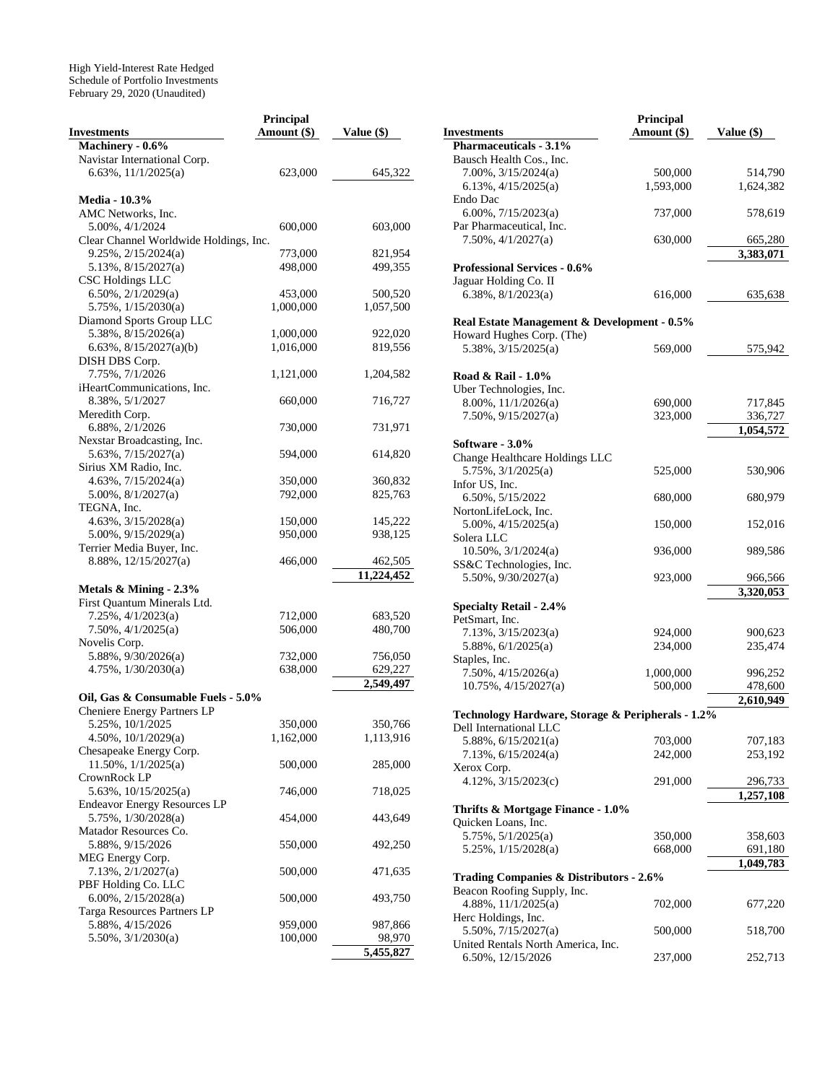|                                        | Principal   |              |
|----------------------------------------|-------------|--------------|
| <b>Investments</b>                     | Amount (\$) | Value $(\$)$ |
| Machinery - 0.6%                       |             |              |
| Navistar International Corp.           |             |              |
| 6.63%, 11/1/2025(a)                    | 623,000     | 645,322      |
|                                        |             |              |
| <b>Media - 10.3%</b>                   |             |              |
| AMC Networks, Inc.                     |             |              |
| 5.00%, 4/1/2024                        | 600,000     | 603,000      |
| Clear Channel Worldwide Holdings, Inc. |             |              |
| $9.25\%, 2/15/2024(a)$                 | 773,000     | 821,954      |
| $5.13\%, \frac{8}{15}/2027(a)$         | 498,000     | 499,355      |
|                                        |             |              |
| <b>CSC Holdings LLC</b>                |             |              |
| $6.50\%$ , $2/1/2029(a)$               | 453,000     | 500,520      |
| 5.75%, 1/15/2030(a)                    | 1,000,000   | 1,057,500    |
| Diamond Sports Group LLC               |             |              |
| $5.38\%, 8/15/2026(a)$                 | 1,000,000   | 922,020      |
| 6.63%, 8/15/2027(a)(b)                 | 1,016,000   | 819,556      |
| DISH DBS Corp.                         |             |              |
| 7.75%, 7/1/2026                        | 1,121,000   | 1,204,582    |
| iHeartCommunications, Inc.             |             |              |
| 8.38%, 5/1/2027                        | 660,000     | 716,727      |
| Meredith Corp.                         |             |              |
| 6.88%, 2/1/2026                        | 730,000     | 731,971      |
| Nexstar Broadcasting, Inc.             |             |              |
| 5.63%, 7/15/2027(a)                    | 594,000     | 614,820      |
| Sirius XM Radio, Inc.                  |             |              |
| $4.63\%, 7/15/2024(a)$                 | 350,000     | 360,832      |
| 5.00%, 8/1/2027(a)                     | 792,000     | 825,763      |
| TEGNA, Inc.                            |             |              |
| 4.63%, 3/15/2028(a)                    | 150,000     | 145,222      |
| 5.00%, 9/15/2029(a)                    | 950,000     | 938,125      |
|                                        |             |              |
| Terrier Media Buyer, Inc.              |             |              |
| 8.88%, 12/15/2027(a)                   | 466,000     | 462,505      |
|                                        |             | 11,224,452   |
| Metals & Mining - 2.3%                 |             |              |
| First Quantum Minerals Ltd.            |             |              |
| $7.25\%, \frac{4}{1/2023(a)}$          | 712,000     | 683,520      |
| $7.50\%, \frac{4}{1/2025(a)}$          | 506,000     | 480,700      |
| Novelis Corp.                          |             |              |
| 5.88%, 9/30/2026(a)                    | 732,000     | 756,050      |
| 4.75%, 1/30/2030(a)                    | 638,000     | 629,227      |
|                                        |             | 2,549,497    |
| Oil, Gas & Consumable Fuels - 5.0%     |             |              |
| Cheniere Energy Partners LP            |             |              |
| 5.25%, 10/1/2025                       | 350,000     | 350,766      |
| $4.50\%, 10/1/2029(a)$                 | 1,162,000   | 1,113,916    |
| Chesapeake Energy Corp.                |             |              |
| $11.50\%, \frac{1}{1/2025(a)}$         | 500,000     | 285,000      |
| CrownRock LP                           |             |              |
|                                        |             |              |
| 5.63%, 10/15/2025(a)                   | 746,000     | 718,025      |
| <b>Endeavor Energy Resources LP</b>    |             |              |
| 5.75%, 1/30/2028(a)                    | 454,000     | 443,649      |
| Matador Resources Co.                  |             |              |
| 5.88%, 9/15/2026                       | 550,000     | 492,250      |
| MEG Energy Corp.                       |             |              |
| 7.13%, 2/1/2027(a)                     | 500,000     | 471,635      |
| PBF Holding Co. LLC                    |             |              |
| $6.00\%, 2/15/2028(a)$                 | 500,000     | 493,750      |
| Targa Resources Partners LP            |             |              |
| 5.88%, 4/15/2026                       | 959,000     | 987,866      |
| $5.50\%, \frac{3}{1/2030(a)}$          | 100,000     | 98,970       |
|                                        |             | 5,455,827    |

|                                                                 | Principal   |                      |
|-----------------------------------------------------------------|-------------|----------------------|
| <b>Investments</b>                                              | Amount (\$) | Value (\$)           |
| Pharmaceuticals - 3.1%                                          |             |                      |
| Bausch Health Cos., Inc.                                        |             |                      |
| $7.00\%$ , $3/15/2024(a)$                                       | 500,000     | 514,790              |
| 6.13%, $4/15/2025(a)$                                           | 1,593,000   | 1,624,382            |
| Endo Dac<br>6.00%, $7/15/2023(a)$                               |             |                      |
| Par Pharmaceutical, Inc.                                        | 737,000     | 578,619              |
| $7.50\%, \frac{4}{1/2027(a)}$                                   | 630,000     | 665,280              |
|                                                                 |             | 3,383,071            |
| <b>Professional Services - 0.6%</b>                             |             |                      |
| Jaguar Holding Co. II                                           |             |                      |
| 6.38%, $8/1/2023(a)$                                            | 616,000     | 635,638              |
|                                                                 |             |                      |
| Real Estate Management & Development - 0.5%                     |             |                      |
| Howard Hughes Corp. (The)                                       |             |                      |
| 5.38%, 3/15/2025(a)                                             | 569,000     | 575,942              |
|                                                                 |             |                      |
| Road & Rail - 1.0%                                              |             |                      |
| Uber Technologies, Inc.                                         |             |                      |
| 8.00%, 11/1/2026(a)                                             | 690,000     | 717,845              |
| $7.50\%$ , $9/15/2027(a)$                                       | 323,000     | 336,727              |
|                                                                 |             | 1,054,572            |
| Software - 3.0%                                                 |             |                      |
| Change Healthcare Holdings LLC<br>$5.75\%, \frac{3}{1/2025(a)}$ |             |                      |
| Infor US, Inc.                                                  | 525,000     | 530,906              |
| 6.50%, 5/15/2022                                                | 680,000     | 680,979              |
| NortonLifeLock, Inc.                                            |             |                      |
| $5.00\%$ , $4/15/2025(a)$                                       | 150,000     | 152,016              |
| Solera LLC                                                      |             |                      |
| 10.50%, 3/1/2024(a)                                             | 936,000     | 989,586              |
| SS&C Technologies, Inc.                                         |             |                      |
| $5.50\%$ , $9/30/2027(a)$                                       | 923,000     | 966,566              |
|                                                                 |             | 3,320,053            |
| <b>Specialty Retail - 2.4%</b>                                  |             |                      |
| PetSmart, Inc.                                                  |             |                      |
| 7.13%, 3/15/2023(a)                                             | 924,000     | 900,623              |
| 5.88%, 6/1/2025(a)                                              | 234,000     | 235,474              |
| Staples, Inc.                                                   |             |                      |
| $7.50\%, \frac{4}{15}{2026(a)}$                                 | 1,000,000   | 996,252              |
| $10.75\%, \frac{4}{15}{2027(a)}$                                | 500,000     | 478,600              |
|                                                                 |             | 2,610,949            |
| Technology Hardware, Storage & Peripherals - 1.2%               |             |                      |
| Dell International LLC                                          |             |                      |
| 5.88%, $6/15/2021(a)$                                           | 703,000     | 707,183              |
| 7.13%, 6/15/2024(a)                                             | 242,000     | 253,192              |
| Xerox Corp.                                                     |             |                      |
| 4.12%, 3/15/2023(c)                                             | 291,000     | 296,733<br>1,257,108 |
| Thrifts & Mortgage Finance - 1.0%                               |             |                      |
| Quicken Loans, Inc.                                             |             |                      |
| 5.75%, 5/1/2025(a)                                              | 350,000     | 358,603              |
| 5.25%, 1/15/2028(a)                                             | 668,000     | 691,180              |
|                                                                 |             | 1,049,783            |
| <b>Trading Companies &amp; Distributors - 2.6%</b>              |             |                      |
| Beacon Roofing Supply, Inc.                                     |             |                      |
| 4.88%, 11/1/2025(a)                                             | 702,000     | 677,220              |
| Herc Holdings, Inc.                                             |             |                      |
| 5.50%, 7/15/2027(a)                                             | 500,000     | 518,700              |
| United Rentals North America, Inc.                              |             |                      |
| 6.50%, 12/15/2026                                               | 237,000     | 252,713              |
|                                                                 |             |                      |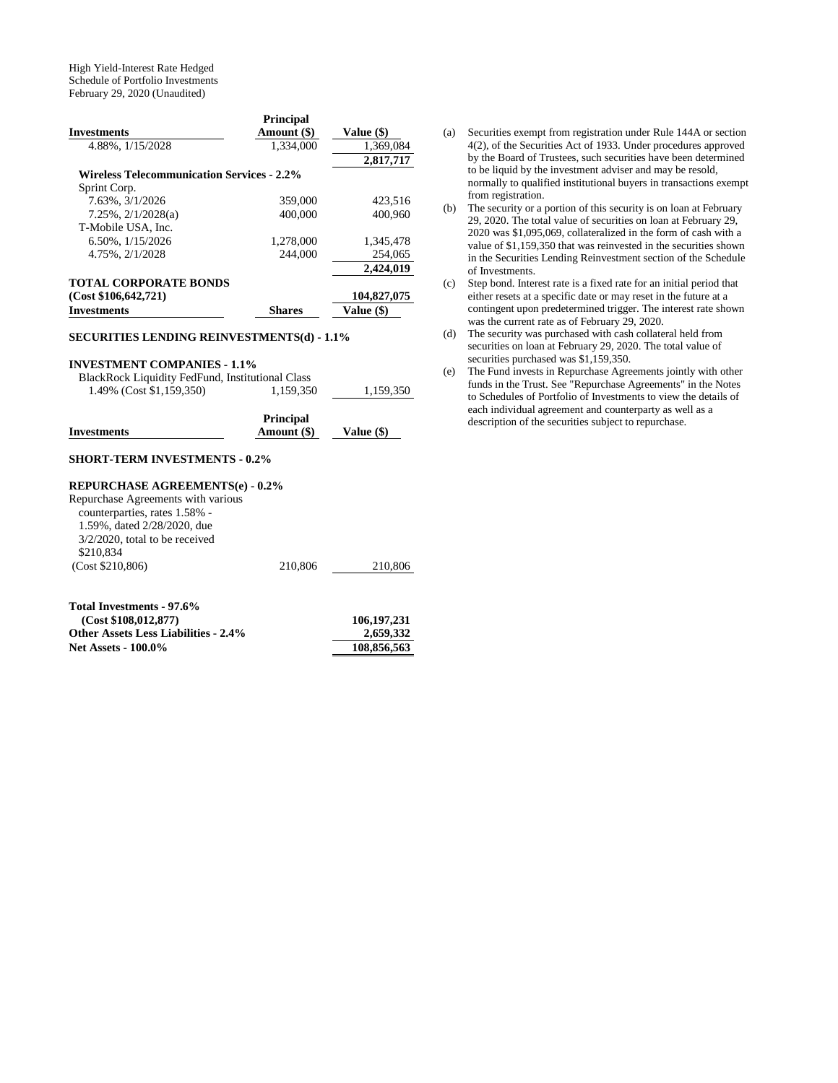| <b>Investments</b>                                | <b>Principal</b><br>Amount (\$) | Value (\$)  |
|---------------------------------------------------|---------------------------------|-------------|
| 4.88%, 1/15/2028                                  | 1.334,000                       | 1,369,084   |
|                                                   |                                 | 2,817,717   |
| <b>Wireless Telecommunication Services - 2.2%</b> |                                 |             |
| Sprint Corp.                                      |                                 |             |
| 7.63%, 3/1/2026                                   | 359,000                         | 423,516     |
| $7.25\%, 2/1/2028(a)$                             | 400,000                         | 400,960     |
| T-Mobile USA. Inc.                                |                                 |             |
| 6.50%, $1/15/2026$                                | 1,278,000                       | 1,345,478   |
| 4.75%, 2/1/2028                                   | 244,000                         | 254,065     |
|                                                   |                                 | 2,424,019   |
| <b>TOTAL CORPORATE BONDS</b>                      |                                 |             |
| (Cost \$106, 642, 721)                            |                                 | 104,827,075 |
| <b>Investments</b>                                | <b>Shares</b>                   | Value (\$)  |

#### **SECURITIES LENDING REINVESTMENTS(d) - 1.1%**

#### **INVESTMENT COMPANIES - 1.1%**

| BlackRock Liquidity FedFund, Institutional Class |           |           |
|--------------------------------------------------|-----------|-----------|
| 1.49% (Cost \$1,159,350)                         | 1.159.350 | 1.159.350 |

|                    | <b>Principal</b> |            |
|--------------------|------------------|------------|
| <b>Investments</b> | Amount (\$)      | Value (\$) |

# **SHORT-TERM INVESTMENTS - 0.2%**

#### **REPURCHASE AGREEMENTS(e) - 0.2%**

| Repurchase Agreements with various |         |         |
|------------------------------------|---------|---------|
| counterparties, rates 1.58% -      |         |         |
| 1.59%, dated 2/28/2020, due        |         |         |
| $3/2/2020$ , total to be received  |         |         |
| \$210,834                          |         |         |
| (Cost \$210,806)                   | 210,806 | 210,806 |
|                                    |         |         |

| Total Investments - 97.6%                   |             |
|---------------------------------------------|-------------|
| (Cost \$108.012.877)                        | 106,197,231 |
| <b>Other Assets Less Liabilities - 2.4%</b> | 2,659,332   |
| <b>Net Assets - 100.0%</b>                  | 108,856,563 |

- (a) Securities exempt from registration under Rule 144A or section 4(2), of the Securities Act of 1933. Under procedures approved by the Board of Trustees, such securities have been determined to be liquid by the investment adviser and may be resold, normally to qualified institutional buyers in transactions exempt from registration.
- (b) The security or a portion of this security is on loan at February 29, 2020. The total value of securities on loan at February 29, 2020 was \$1,095,069, collateralized in the form of cash with a value of \$1,159,350 that was reinvested in the securities shown in the Securities Lending Reinvestment section of the Schedule of Investments.
- (c) Step bond. Interest rate is a fixed rate for an initial period that either resets at a specific date or may reset in the future at a contingent upon predetermined trigger. The interest rate shown was the current rate as of February 29, 2020.
- (d) The security was purchased with cash collateral held from securities on loan at February 29, 2020. The total value of securities purchased was \$1,159,350.
- (e) The Fund invests in Repurchase Agreements jointly with other funds in the Trust. See "Repurchase Agreements" in the Notes to Schedules of Portfolio of Investments to view the details of each individual agreement and counterparty as well as a description of the securities subject to repurchase.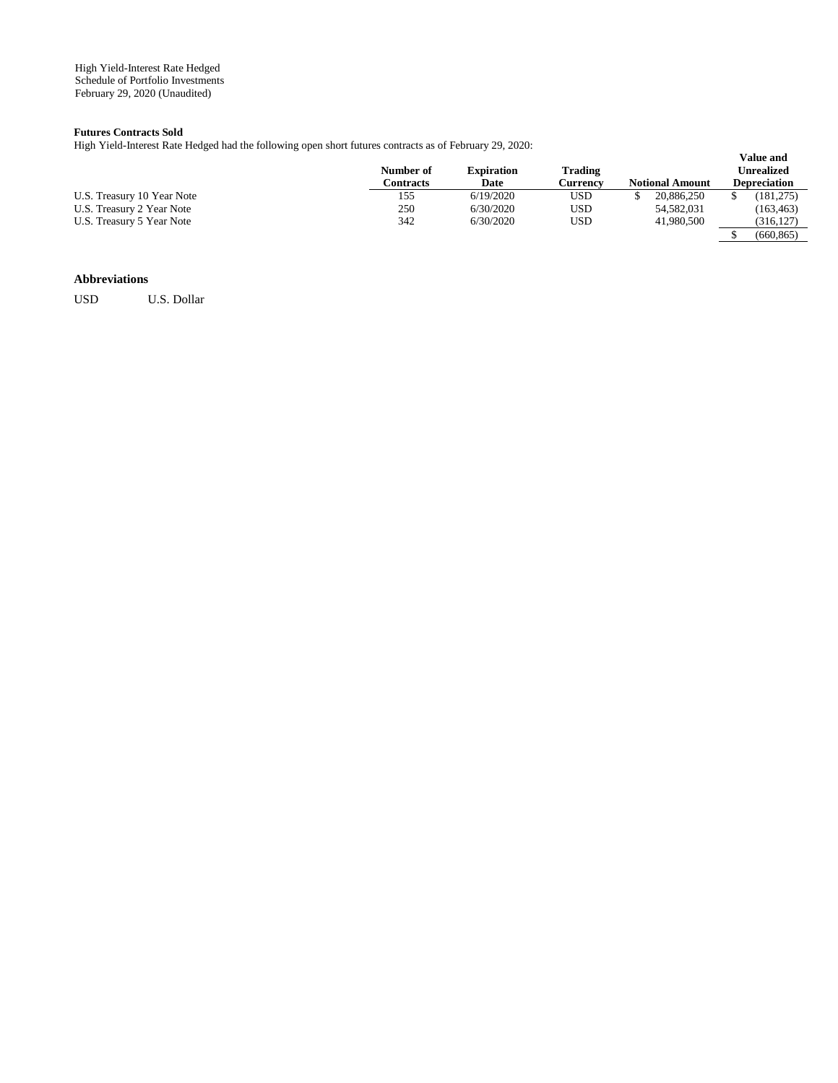#### **Futures Contracts Sold**

High Yield-Interest Rate Hedged had the following open short futures contracts as of February 29, 2020:

|                            | Number of<br>Contracts | <b>Expiration</b><br>Date | Trading<br>Currencv | <b>Notional Amount</b> | <b>Value and</b><br>Unrealized<br><b>Depreciation</b> |
|----------------------------|------------------------|---------------------------|---------------------|------------------------|-------------------------------------------------------|
| U.S. Treasury 10 Year Note | 155                    | 6/19/2020                 | USD                 | 20,886,250             | (181,275)                                             |
| U.S. Treasury 2 Year Note  | 250                    | 6/30/2020                 | USD                 | 54,582,031             | (163, 463)                                            |
| U.S. Treasury 5 Year Note  | 342                    | 6/30/2020                 | USD                 | 41,980,500             | (316, 127)                                            |
|                            |                        |                           |                     |                        | (660.865)                                             |

## **Abbreviations**

USD U.S. Dollar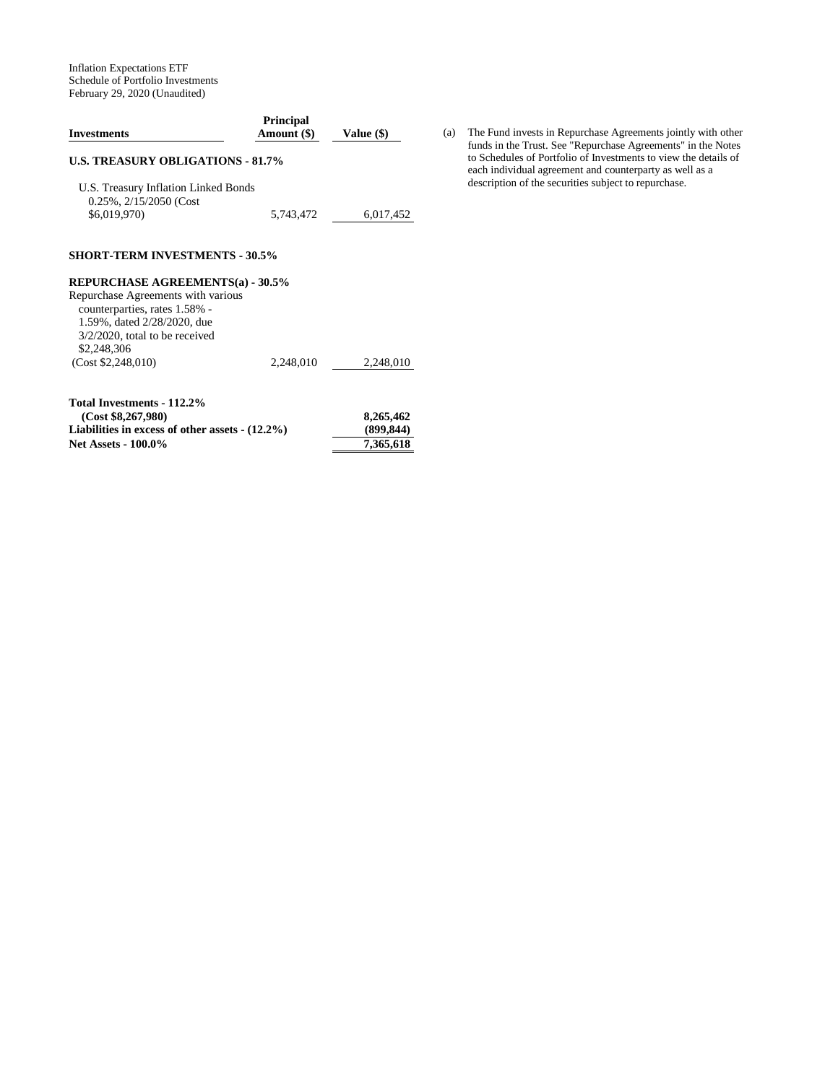Inflation Expectations ETF Schedule of Portfolio Investments February 29, 2020 (Unaudited)

| <b>Investments</b>                                                   | <b>Principal</b><br>Amount (\$) | Value (\$) |
|----------------------------------------------------------------------|---------------------------------|------------|
| <b>U.S. TREASURY OBLIGATIONS - 81.7%</b>                             |                                 |            |
| U.S. Treasury Inflation Linked Bonds<br>$0.25\%$ , $2/15/2050$ (Cost |                                 |            |
| \$6,019,970)                                                         | 5,743,472                       | 6,017,452  |
|                                                                      |                                 |            |
| <b>SHORT-TERM INVESTMENTS - 30.5%</b>                                |                                 |            |
| <b>REPURCHASE AGREEMENTS(a) - 30.5%</b>                              |                                 |            |
| Repurchase Agreements with various<br>counterparties, rates 1.58% -  |                                 |            |
| 1.59%, dated 2/28/2020, due                                          |                                 |            |
| $3/2/2020$ , total to be received<br>\$2,248,306                     |                                 |            |

| $1.9991 1.00991 1.0001 1.000 1.0000 1.0000 0.0000 0.0000 0.0000 0.0000 0.0000 0.0000 0.0000 0.0000 0.0000 0.0000 0.0000 0.0000 0.0000 0.0000 0.0000 0.0000 0.0000 0.0000 0.0000 0.0000 0.0000 0.0000 0.0000 0.0000 0.0000 0.0$ |            |
|--------------------------------------------------------------------------------------------------------------------------------------------------------------------------------------------------------------------------------|------------|
| (Cost \$8,267,980)                                                                                                                                                                                                             | 8,265,462  |
| Liabilities in excess of other assets $-(12.2\%)$                                                                                                                                                                              | (899, 844) |
| <b>Net Assets - 100.0%</b>                                                                                                                                                                                                     | 7.365.618  |
|                                                                                                                                                                                                                                |            |

(a) The Fund invests in Repurchase Agreements jointly with other funds in the Trust. See "Repurchase Agreements" in the Notes to Schedules of Portfolio of Investments to view the details of each individual agreement and counterparty as well as a description of the securities subject to repurchase.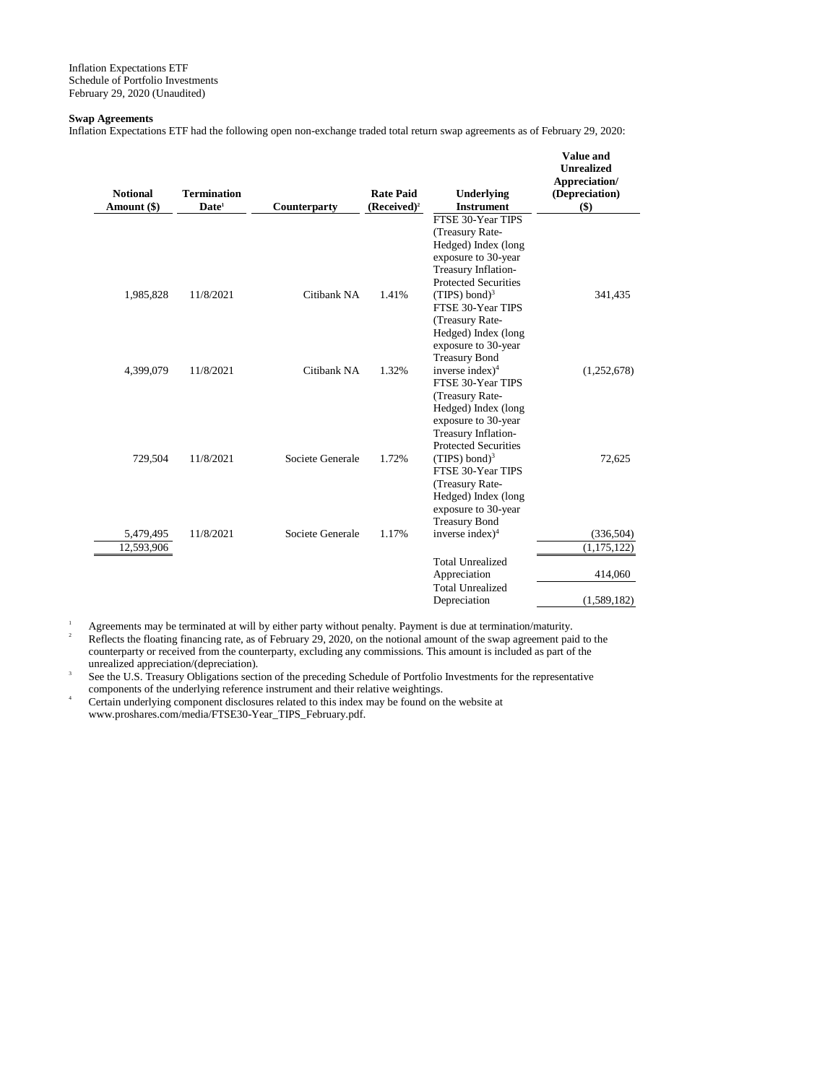#### **Swap Agreements**

Inflation Expectations ETF had the following open non-exchange traded total return swap agreements as of February 29, 2020:

| <b>Notional</b> | <b>Termination</b> |                  | <b>Rate Paid</b> | Underlying                                 | Value and<br><b>Unrealized</b><br>Appreciation/<br>(Depreciation) |
|-----------------|--------------------|------------------|------------------|--------------------------------------------|-------------------------------------------------------------------|
| Amount (\$)     | Date <sup>1</sup>  | Counterparty     | $(Received)^2$   | <b>Instrument</b>                          | $($)$                                                             |
|                 |                    |                  |                  | FTSE 30-Year TIPS                          |                                                                   |
|                 |                    |                  |                  | (Treasury Rate-                            |                                                                   |
|                 |                    |                  |                  | Hedged) Index (long                        |                                                                   |
|                 |                    |                  |                  | exposure to 30-year<br>Treasury Inflation- |                                                                   |
|                 |                    |                  |                  | <b>Protected Securities</b>                |                                                                   |
| 1,985,828       | 11/8/2021          | Citibank NA      | 1.41%            | (TIPS) bond) <sup>3</sup>                  | 341,435                                                           |
|                 |                    |                  |                  | FTSE 30-Year TIPS                          |                                                                   |
|                 |                    |                  |                  | (Treasury Rate-                            |                                                                   |
|                 |                    |                  |                  | Hedged) Index (long                        |                                                                   |
|                 |                    |                  |                  | exposure to 30-year                        |                                                                   |
|                 |                    |                  |                  | <b>Treasury Bond</b>                       |                                                                   |
| 4,399,079       | 11/8/2021          | Citibank NA      | 1.32%            | inverse index $)^4$                        | (1,252,678)                                                       |
|                 |                    |                  |                  | FTSE 30-Year TIPS                          |                                                                   |
|                 |                    |                  |                  | (Treasury Rate-                            |                                                                   |
|                 |                    |                  |                  | Hedged) Index (long<br>exposure to 30-year |                                                                   |
|                 |                    |                  |                  | Treasury Inflation-                        |                                                                   |
|                 |                    |                  |                  | <b>Protected Securities</b>                |                                                                   |
| 729,504         | 11/8/2021          | Societe Generale | 1.72%            | $(TIPS) bond)^3$                           | 72,625                                                            |
|                 |                    |                  |                  | FTSE 30-Year TIPS                          |                                                                   |
|                 |                    |                  |                  | (Treasury Rate-                            |                                                                   |
|                 |                    |                  |                  | Hedged) Index (long                        |                                                                   |
|                 |                    |                  |                  | exposure to 30-year                        |                                                                   |
|                 |                    |                  |                  | <b>Treasury Bond</b>                       |                                                                   |
| 5,479,495       | 11/8/2021          | Societe Generale | 1.17%            | inverse index $)^4$                        | (336, 504)                                                        |
| 12,593,906      |                    |                  |                  |                                            | (1, 175, 122)                                                     |
|                 |                    |                  |                  | <b>Total Unrealized</b>                    |                                                                   |
|                 |                    |                  |                  | Appreciation                               | 414,060                                                           |
|                 |                    |                  |                  | <b>Total Unrealized</b>                    |                                                                   |
|                 |                    |                  |                  | Depreciation                               | (1,589,182)                                                       |

<sup>1</sup> Agreements may be terminated at will by either party without penalty. Payment is due at termination/maturity.<br><sup>2</sup> Pethots the floating financing rate as of February 20, 2020, on the potional amount of the sugn agreeme <sup>2</sup> Reflects the floating financing rate, as of February 29, 2020, on the notional amount of the swap agreement paid to the

counterparty or received from the counterparty, excluding any commissions. This amount is included as part of the unrealized appreciation/(depreciation).

3 See the U.S. Treasury Obligations section of the preceding Schedule of Portfolio Investments for the representative components of the underlying reference instrument and their relative weightings.

Certain underlying component disclosures related to this index may be found on the website at www.proshares.com/media/FTSE30-Year\_TIPS\_February.pdf.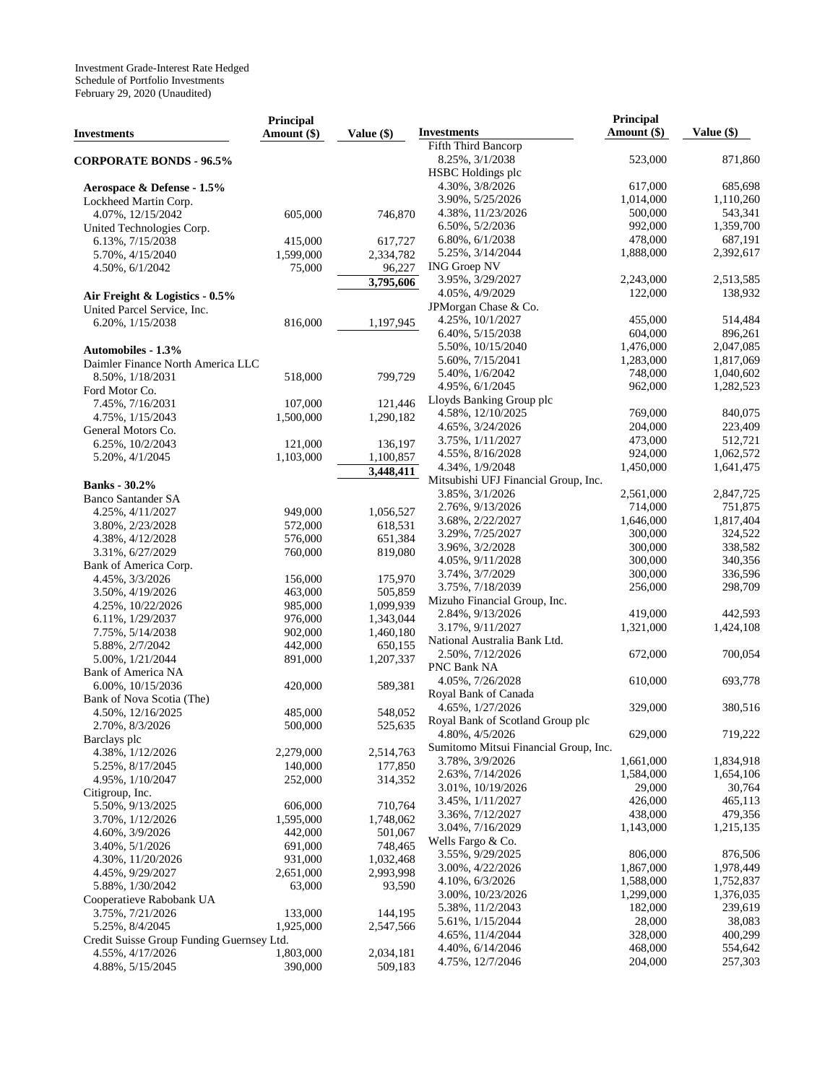|                                           | <b>Principal</b> |            | <b>Investments</b>                               | Principal<br>Amount (\$) | Value (\$)           |
|-------------------------------------------|------------------|------------|--------------------------------------------------|--------------------------|----------------------|
| Investments                               | Amount (\$)      | Value (\$) | Fifth Third Bancorp                              |                          |                      |
| <b>CORPORATE BONDS - 96.5%</b>            |                  |            | 8.25%, 3/1/2038                                  | 523,000                  | 871,860              |
|                                           |                  |            | HSBC Holdings plc                                |                          |                      |
| Aerospace & Defense - 1.5%                |                  |            | 4.30%, 3/8/2026                                  | 617,000                  | 685,698              |
| Lockheed Martin Corp.                     |                  |            | 3.90%, 5/25/2026                                 | 1,014,000                | 1,110,260            |
| 4.07%, 12/15/2042                         | 605,000          | 746,870    | 4.38%, 11/23/2026                                | 500,000                  | 543,341              |
| United Technologies Corp.                 |                  |            | 6.50%, 5/2/2036                                  | 992,000                  | 1,359,700            |
| 6.13%, 7/15/2038                          | 415,000          | 617,727    | 6.80%, 6/1/2038                                  | 478,000                  | 687,191              |
| 5.70%, 4/15/2040                          | 1,599,000        | 2,334,782  | 5.25%, 3/14/2044                                 | 1,888,000                | 2,392,617            |
| 4.50%, 6/1/2042                           | 75,000           | 96,227     | <b>ING Groep NV</b>                              |                          |                      |
|                                           |                  |            | 3.95%, 3/29/2027                                 | 2,243,000                | 2,513,585            |
|                                           |                  | 3,795,606  | 4.05%, 4/9/2029                                  | 122,000                  | 138,932              |
| Air Freight & Logistics - 0.5%            |                  |            | JPMorgan Chase & Co.                             |                          |                      |
| United Parcel Service, Inc.               |                  |            | 4.25%, 10/1/2027                                 | 455,000                  | 514,484              |
| 6.20%, $1/15/2038$                        | 816,000          | 1,197,945  | 6.40%, 5/15/2038                                 | 604,000                  | 896,261              |
|                                           |                  |            | 5.50%, 10/15/2040                                | 1,476,000                | 2,047,085            |
| <b>Automobiles - 1.3%</b>                 |                  |            | 5.60%, 7/15/2041                                 | 1,283,000                | 1,817,069            |
| Daimler Finance North America LLC         |                  |            | 5.40%, 1/6/2042                                  | 748,000                  | 1,040,602            |
| 8.50%, 1/18/2031                          | 518,000          | 799,729    | 4.95%, 6/1/2045                                  | 962,000                  | 1,282,523            |
| Ford Motor Co.                            |                  |            | Lloyds Banking Group plc                         |                          |                      |
| 7.45%, 7/16/2031                          | 107,000          | 121,446    | 4.58%, 12/10/2025                                | 769,000                  | 840,075              |
| 4.75%, $1/15/2043$                        | 1,500,000        | 1,290,182  | 4.65%, 3/24/2026                                 | 204,000                  | 223,409              |
| General Motors Co.                        |                  |            | 3.75%, $1/11/2027$                               | 473,000                  | 512,721              |
| 6.25%, 10/2/2043                          | 121,000          | 136,197    | 4.55%, 8/16/2028                                 | 924,000                  | 1,062,572            |
| 5.20%, 4/1/2045                           | 1,103,000        | 1,100,857  | 4.34%, $1/9/2048$                                | 1,450,000                | 1,641,475            |
|                                           |                  | 3,448,411  | Mitsubishi UFJ Financial Group, Inc.             |                          |                      |
| <b>Banks</b> - 30.2%                      |                  |            | 3.85%, 3/1/2026                                  | 2,561,000                | 2,847,725            |
| <b>Banco Santander SA</b>                 |                  |            | 2.76%, 9/13/2026                                 | 714,000                  | 751,875              |
| 4.25%, 4/11/2027                          | 949,000          | 1,056,527  | 3.68%, 2/22/2027                                 | 1,646,000                | 1,817,404            |
| 3.80%, 2/23/2028                          | 572,000          | 618,531    | 3.29%, 7/25/2027                                 | 300,000                  | 324,522              |
| 4.38%, 4/12/2028                          | 576,000          | 651,384    | 3.96%, 3/2/2028                                  | 300,000                  | 338,582              |
| 3.31%, 6/27/2029                          | 760,000          | 819,080    | 4.05%, 9/11/2028                                 | 300,000                  | 340,356              |
| Bank of America Corp.                     |                  |            | 3.74%, 3/7/2029                                  | 300,000                  | 336,596              |
| 4.45%, 3/3/2026                           | 156,000          | 175,970    |                                                  |                          |                      |
| 3.50%, 4/19/2026                          | 463,000          | 505,859    | 3.75%, 7/18/2039                                 | 256,000                  | 298,709              |
| 4.25%, 10/22/2026                         | 985,000          | 1,099,939  | Mizuho Financial Group, Inc.                     |                          |                      |
| $6.11\%, 1/29/2037$                       | 976,000          | 1,343,044  | 2.84%, 9/13/2026                                 | 419,000<br>1,321,000     | 442,593<br>1,424,108 |
| 7.75%, 5/14/2038                          | 902,000          | 1,460,180  | 3.17%, 9/11/2027                                 |                          |                      |
| 5.88%, 2/7/2042                           | 442,000          | 650,155    | National Australia Bank Ltd.<br>2.50%, 7/12/2026 | 672,000                  | 700,054              |
| 5.00%, $1/21/2044$                        | 891,000          | 1,207,337  | PNC Bank NA                                      |                          |                      |
| Bank of America NA                        |                  |            |                                                  | 610,000                  | 693,778              |
| 6.00%, 10/15/2036                         | 420,000          | 589,381    | 4.05%, 7/26/2028<br>Royal Bank of Canada         |                          |                      |
| Bank of Nova Scotia (The)                 |                  |            | 4.65%, 1/27/2026                                 | 329,000                  |                      |
| 4.50%, 12/16/2025                         | 485,000          | 548,052    |                                                  |                          | 380,516              |
| 2.70%, 8/3/2026                           | 500,000          | 525,635    | Royal Bank of Scotland Group plc                 | 629,000                  | 719,222              |
| Barclays plc                              |                  |            | 4.80%, 4/5/2026                                  |                          |                      |
| 4.38%, 1/12/2026                          | 2,279,000        | 2,514,763  | Sumitomo Mitsui Financial Group, Inc.            |                          |                      |
| 5.25%, 8/17/2045                          | 140,000          | 177,850    | 3.78%, 3/9/2026                                  | 1,661,000                | 1,834,918            |
| 4.95%, $1/10/2047$                        | 252,000          | 314,352    | 2.63%, 7/14/2026                                 | 1,584,000                | 1,654,106            |
| Citigroup, Inc.                           |                  |            | 3.01%, 10/19/2026                                | 29,000                   | 30,764               |
| 5.50%, 9/13/2025                          | 606,000          | 710,764    | 3.45%, $1/11/2027$                               | 426,000                  | 465,113              |
| 3.70%, $1/12/2026$                        | 1,595,000        | 1,748,062  | 3.36%, 7/12/2027                                 | 438,000                  | 479,356              |
| 4.60%, 3/9/2026                           | 442,000          | 501,067    | 3.04%, 7/16/2029                                 | 1,143,000                | 1,215,135            |
| 3.40%, 5/1/2026                           | 691,000          | 748,465    | Wells Fargo & Co.                                |                          |                      |
| 4.30%, 11/20/2026                         | 931,000          | 1,032,468  | 3.55%, 9/29/2025                                 | 806,000                  | 876,506              |
| 4.45%, 9/29/2027                          | 2,651,000        | 2,993,998  | 3.00%, 4/22/2026                                 | 1,867,000                | 1,978,449            |
| 5.88%, $1/30/2042$                        | 63,000           | 93,590     | 4.10%, 6/3/2026                                  | 1,588,000                | 1,752,837            |
| Cooperatieve Rabobank UA                  |                  |            | 3.00%, 10/23/2026                                | 1,299,000                | 1,376,035            |
| 3.75%, 7/21/2026                          | 133,000          | 144,195    | 5.38%, 11/2/2043                                 | 182,000                  | 239,619              |
| 5.25%, 8/4/2045                           | 1,925,000        | 2,547,566  | 5.61%, $1/15/2044$                               | 28,000                   | 38,083               |
| Credit Suisse Group Funding Guernsey Ltd. |                  |            | 4.65%, 11/4/2044                                 | 328,000                  | 400,299              |
| 4.55%, 4/17/2026                          | 1,803,000        | 2,034,181  | 4.40%, 6/14/2046                                 | 468,000                  | 554,642              |
| 4.88%, 5/15/2045                          | 390,000          | 509,183    | 4.75%, 12/7/2046                                 | 204,000                  | 257,303              |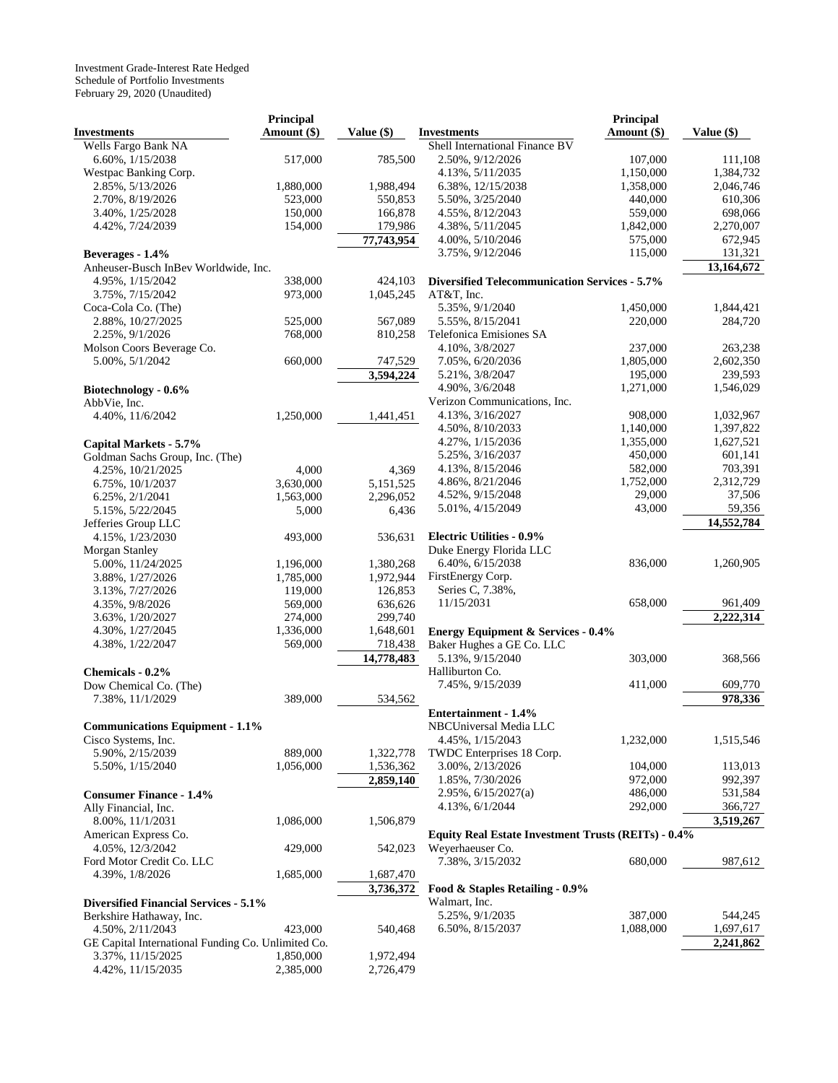|                                                    | Principal   |              |                                                      | Principal   |            |
|----------------------------------------------------|-------------|--------------|------------------------------------------------------|-------------|------------|
| <b>Investments</b>                                 | Amount (\$) | Value $(\$)$ | <b>Investments</b>                                   | Amount (\$) | Value (\$) |
| Wells Fargo Bank NA                                |             |              | Shell International Finance BV                       |             |            |
| 6.60%, 1/15/2038                                   | 517,000     | 785,500      | 2.50%, 9/12/2026                                     | 107,000     | 111,108    |
| Westpac Banking Corp.                              |             |              | 4.13%, 5/11/2035                                     | 1,150,000   | 1,384,732  |
| 2.85%, 5/13/2026                                   | 1,880,000   | 1,988,494    | 6.38%, 12/15/2038                                    | 1,358,000   | 2,046,746  |
| 2.70%, 8/19/2026                                   | 523,000     | 550,853      | 5.50%, 3/25/2040                                     | 440,000     | 610,306    |
| 3.40%, 1/25/2028                                   | 150,000     | 166,878      | 4.55%, 8/12/2043                                     | 559,000     | 698,066    |
| 4.42%, 7/24/2039                                   | 154,000     | 179,986      | 4.38%, 5/11/2045                                     | 1,842,000   | 2,270,007  |
|                                                    |             | 77,743,954   | 4.00%, 5/10/2046                                     | 575,000     | 672,945    |
| Beverages - 1.4%                                   |             |              | 3.75%, 9/12/2046                                     | 115,000     | 131,321    |
| Anheuser-Busch InBev Worldwide, Inc.               |             |              |                                                      |             | 13,164,672 |
|                                                    |             |              | <b>Diversified Telecommunication Services - 5.7%</b> |             |            |
| 4.95%, 1/15/2042                                   | 338,000     | 424,103      |                                                      |             |            |
| 3.75%, 7/15/2042                                   | 973,000     | 1,045,245    | AT&T, Inc.                                           |             |            |
| Coca-Cola Co. (The)                                |             |              | 5.35%, 9/1/2040                                      | 1,450,000   | 1,844,421  |
| 2.88%, 10/27/2025                                  | 525,000     | 567,089      | 5.55%, 8/15/2041                                     | 220,000     | 284,720    |
| 2.25%, 9/1/2026                                    | 768,000     | 810,258      | Telefonica Emisiones SA                              |             |            |
| Molson Coors Beverage Co.                          |             |              | 4.10%, 3/8/2027                                      | 237,000     | 263,238    |
| 5.00%, 5/1/2042                                    | 660,000     | 747,529      | 7.05%, 6/20/2036                                     | 1,805,000   | 2,602,350  |
|                                                    |             | 3,594,224    | 5.21%, $3/8/2047$                                    | 195,000     | 239,593    |
| Biotechnology - 0.6%                               |             |              | 4.90%, 3/6/2048                                      | 1,271,000   | 1,546,029  |
| AbbVie, Inc.                                       |             |              | Verizon Communications, Inc.                         |             |            |
| 4.40%, 11/6/2042                                   | 1,250,000   | 1,441,451    | 4.13%, 3/16/2027                                     | 908,000     | 1,032,967  |
|                                                    |             |              | 4.50%, 8/10/2033                                     | 1,140,000   | 1,397,822  |
| Capital Markets - 5.7%                             |             |              | 4.27%, 1/15/2036                                     | 1,355,000   | 1,627,521  |
| Goldman Sachs Group, Inc. (The)                    |             |              | 5.25%, 3/16/2037                                     | 450,000     | 601,141    |
| 4.25%, $10/21/2025$                                | 4,000       | 4,369        | 4.13%, 8/15/2046                                     | 582,000     | 703,391    |
| 6.75%, 10/1/2037                                   | 3,630,000   | 5,151,525    | 4.86%, 8/21/2046                                     | 1,752,000   | 2,312,729  |
| 6.25%, 2/1/2041                                    | 1,563,000   | 2,296,052    | 4.52%, 9/15/2048                                     | 29,000      | 37,506     |
| 5.15%, 5/22/2045                                   | 5,000       | 6,436        | 5.01%, 4/15/2049                                     | 43,000      | 59,356     |
| Jefferies Group LLC                                |             |              |                                                      |             | 14,552,784 |
| 4.15%, 1/23/2030                                   | 493,000     | 536,631      | <b>Electric Utilities - 0.9%</b>                     |             |            |
| Morgan Stanley                                     |             |              | Duke Energy Florida LLC                              |             |            |
| 5.00%, 11/24/2025                                  | 1,196,000   | 1,380,268    | 6.40%, 6/15/2038                                     | 836,000     | 1,260,905  |
| 3.88%, 1/27/2026                                   | 1,785,000   | 1,972,944    | FirstEnergy Corp.                                    |             |            |
|                                                    | 119,000     | 126,853      | Series C, 7.38%,                                     |             |            |
| 3.13%, 7/27/2026                                   |             |              | 11/15/2031                                           | 658,000     | 961,409    |
| 4.35%, 9/8/2026                                    | 569,000     | 636,626      |                                                      |             |            |
| 3.63%, 1/20/2027                                   | 274,000     | 299,740      |                                                      |             | 2,222,314  |
| 4.30%, $1/27/2045$                                 | 1,336,000   | 1,648,601    | <b>Energy Equipment &amp; Services - 0.4%</b>        |             |            |
| 4.38%, 1/22/2047                                   | 569,000     | 718,438      | Baker Hughes a GE Co. LLC                            |             |            |
|                                                    |             | 14,778,483   | 5.13%, 9/15/2040                                     | 303,000     | 368,566    |
| Chemicals - 0.2%                                   |             |              | Halliburton Co.                                      |             |            |
| Dow Chemical Co. (The)                             |             |              | 7.45%, 9/15/2039                                     | 411,000     | 609,770    |
| 7.38%, 11/1/2029                                   | 389,000     | 534,562      |                                                      |             | 978,336    |
|                                                    |             |              | Entertainment - 1.4%                                 |             |            |
| <b>Communications Equipment - 1.1%</b>             |             |              | NBCUniversal Media LLC                               |             |            |
| Cisco Systems, Inc.                                |             |              | 4.45%, $1/15/2043$                                   | 1,232,000   | 1,515,546  |
| 5.90%, 2/15/2039                                   | 889,000     | 1,322,778    | TWDC Enterprises 18 Corp.                            |             |            |
| 5.50%, $1/15/2040$                                 | 1,056,000   | 1,536,362    | 3.00%, 2/13/2026                                     | 104,000     | 113,013    |
|                                                    |             | 2,859,140    | 1.85%, 7/30/2026                                     | 972,000     | 992,397    |
| <b>Consumer Finance - 1.4%</b>                     |             |              | $2.95\%, 6/15/2027(a)$                               | 486,000     | 531,584    |
| Ally Financial, Inc.                               |             |              | 4.13%, 6/1/2044                                      | 292,000     | 366,727    |
| 8.00%, 11/1/2031                                   | 1,086,000   | 1,506,879    |                                                      |             | 3,519,267  |
| American Express Co.                               |             |              | Equity Real Estate Investment Trusts (REITs) - 0.4%  |             |            |
| 4.05%, 12/3/2042                                   | 429,000     | 542,023      | Weyerhaeuser Co.                                     |             |            |
|                                                    |             |              |                                                      | 680,000     | 987,612    |
| Ford Motor Credit Co. LLC                          |             |              | 7.38%, 3/15/2032                                     |             |            |
| 4.39%, $1/8/2026$                                  | 1,685,000   | 1,687,470    |                                                      |             |            |
|                                                    |             | 3,736,372    | Food & Staples Retailing - 0.9%                      |             |            |
| <b>Diversified Financial Services - 5.1%</b>       |             |              | Walmart, Inc.                                        |             |            |
| Berkshire Hathaway, Inc.                           |             |              | 5.25%, $9/1/2035$                                    | 387,000     | 544,245    |
| 4.50%, 2/11/2043                                   | 423,000     | 540,468      | 6.50%, 8/15/2037                                     | 1,088,000   | 1,697,617  |
| GE Capital International Funding Co. Unlimited Co. |             |              |                                                      |             | 2,241,862  |
| 3.37%, 11/15/2025                                  | 1,850,000   | 1,972,494    |                                                      |             |            |
| 4.42%, 11/15/2035                                  | 2,385,000   | 2,726,479    |                                                      |             |            |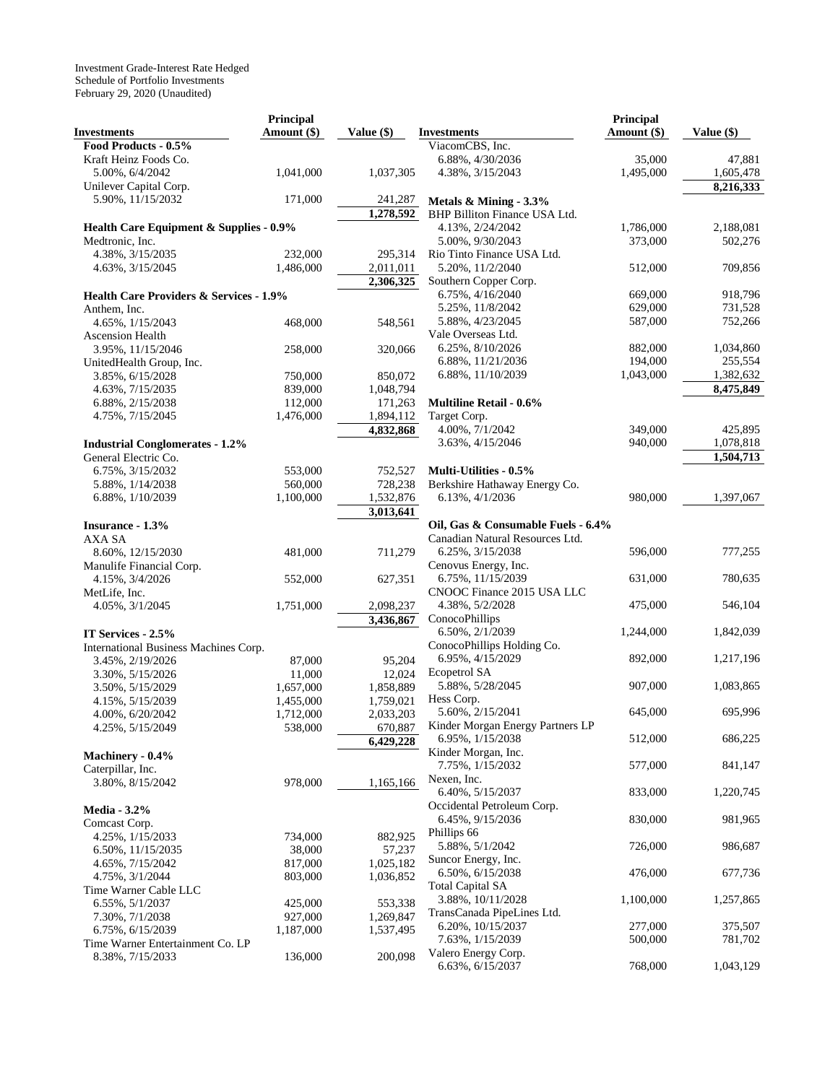|                                                    | Principal            |                        |                                                         | Principal          |                        |
|----------------------------------------------------|----------------------|------------------------|---------------------------------------------------------|--------------------|------------------------|
| <b>Investments</b>                                 | Amount (\$)          | Value $(\$)$           | <b>Investments</b>                                      | Amount $(\$)$      | Value $(\$)$           |
| Food Products - 0.5%                               |                      |                        | ViacomCBS, Inc.                                         |                    |                        |
| Kraft Heinz Foods Co.                              |                      |                        | 6.88%, 4/30/2036                                        | 35,000             | 47,881                 |
| 5.00%, 6/4/2042                                    | 1,041,000            | 1,037,305              | 4.38%, 3/15/2043                                        | 1,495,000          | 1,605,478              |
| Unilever Capital Corp.                             |                      |                        |                                                         |                    | 8,216,333              |
| 5.90%, 11/15/2032                                  | 171,000              | 241,287                | Metals & Mining - 3.3%                                  |                    |                        |
|                                                    |                      | 1,278,592              | BHP Billiton Finance USA Ltd.                           |                    |                        |
| Health Care Equipment & Supplies - 0.9%            |                      |                        | 4.13%, 2/24/2042                                        | 1,786,000          | 2,188,081              |
| Medtronic, Inc.                                    |                      |                        | 5.00%, 9/30/2043                                        | 373,000            | 502,276                |
| 4.38%, 3/15/2035                                   | 232,000              | 295.314                | Rio Tinto Finance USA Ltd.                              |                    |                        |
| 4.63%, 3/15/2045                                   | 1,486,000            | 2,011,011              | 5.20%, 11/2/2040                                        | 512,000            | 709,856                |
|                                                    |                      | 2,306,325              | Southern Copper Corp.                                   |                    |                        |
| <b>Health Care Providers &amp; Services - 1.9%</b> |                      |                        | 6.75%, 4/16/2040                                        | 669,000            | 918,796                |
| Anthem, Inc.                                       |                      |                        | 5.25%, 11/8/2042                                        | 629,000            | 731,528                |
| 4.65%, 1/15/2043                                   | 468,000              | 548,561                | 5.88%, 4/23/2045                                        | 587,000            | 752,266                |
| Ascension Health                                   |                      |                        | Vale Overseas Ltd.                                      |                    |                        |
| 3.95%, 11/15/2046                                  | 258,000              | 320,066                | 6.25%, 8/10/2026                                        | 882,000            | 1,034,860              |
| UnitedHealth Group, Inc.                           |                      |                        | 6.88%, 11/21/2036                                       | 194,000            | 255,554                |
| 3.85%, 6/15/2028                                   | 750,000              | 850,072                | 6.88%, 11/10/2039                                       | 1,043,000          | 1,382,632              |
| 4.63%, 7/15/2035                                   | 839,000              | 1,048,794              |                                                         |                    | 8,475,849              |
| 6.88%, 2/15/2038                                   | 112,000              | 171,263                | <b>Multiline Retail - 0.6%</b>                          |                    |                        |
| 4.75%, 7/15/2045                                   | 1,476,000            | 1,894,112              | Target Corp.                                            |                    |                        |
|                                                    |                      | 4,832,868              | 4.00%, 7/1/2042<br>3.63%, 4/15/2046                     | 349,000<br>940,000 | 425,895                |
| <b>Industrial Conglomerates - 1.2%</b>             |                      |                        |                                                         |                    | 1,078,818<br>1,504,713 |
| General Electric Co.                               |                      |                        |                                                         |                    |                        |
| 6.75%, 3/15/2032                                   | 553,000<br>560,000   | 752,527<br>728,238     | Multi-Utilities - 0.5%<br>Berkshire Hathaway Energy Co. |                    |                        |
| 5.88%, $1/14/2038$<br>6.88%, 1/10/2039             | 1,100,000            | 1,532,876              | 6.13%, 4/1/2036                                         | 980,000            | 1,397,067              |
|                                                    |                      | 3,013,641              |                                                         |                    |                        |
| Insurance - 1.3%                                   |                      |                        | Oil, Gas & Consumable Fuels - 6.4%                      |                    |                        |
| AXA SA                                             |                      |                        | Canadian Natural Resources Ltd.                         |                    |                        |
| 8.60%, 12/15/2030                                  | 481,000              | 711,279                | 6.25%, 3/15/2038                                        | 596,000            | 777,255                |
| Manulife Financial Corp.                           |                      |                        | Cenovus Energy, Inc.                                    |                    |                        |
| 4.15%, 3/4/2026                                    | 552,000              | 627,351                | 6.75%, 11/15/2039                                       | 631,000            | 780,635                |
| MetLife, Inc.                                      |                      |                        | CNOOC Finance 2015 USA LLC                              |                    |                        |
| 4.05%, $3/1/2045$                                  | 1,751,000            | 2,098,237              | 4.38%, 5/2/2028                                         | 475,000            | 546,104                |
|                                                    |                      | 3,436,867              | ConocoPhillips                                          |                    |                        |
| IT Services - 2.5%                                 |                      |                        | 6.50%, 2/1/2039                                         | 1,244,000          | 1,842,039              |
| International Business Machines Corp.              |                      |                        | ConocoPhillips Holding Co.                              |                    |                        |
| 3.45%, 2/19/2026                                   | 87,000               | 95,204                 | 6.95%, 4/15/2029                                        | 892,000            | 1,217,196              |
| 3.30%, 5/15/2026                                   | 11,000               | 12,024                 | Ecopetrol SA                                            |                    |                        |
| 3.50%, 5/15/2029                                   | 1,657,000            | 1,858,889              | 5.88%, 5/28/2045                                        | 907,000            | 1,083,865              |
| 4.15%, 5/15/2039                                   | 1,455,000            | 1,759,021              | Hess Corp.                                              |                    |                        |
| 4.00%, 6/20/2042                                   | 1,712,000            | 2,033,203              | 5.60%, 2/15/2041                                        | 645,000            | 695,996                |
| 4.25%, 5/15/2049                                   | 538,000              | 670,887                | Kinder Morgan Energy Partners LP                        |                    |                        |
|                                                    |                      | 6,429,228              | 6.95%, $1/15/2038$                                      | 512,000            | 686,225                |
| Machinery - 0.4%                                   |                      |                        | Kinder Morgan, Inc.                                     |                    |                        |
| Caterpillar, Inc.                                  |                      |                        | 7.75%, 1/15/2032                                        | 577,000            | 841,147                |
| 3.80%, 8/15/2042                                   | 978,000              | 1,165,166              | Nexen, Inc.<br>6.40%, 5/15/2037                         |                    |                        |
|                                                    |                      |                        |                                                         | 833,000            | 1,220,745              |
| <b>Media - 3.2%</b>                                |                      |                        | Occidental Petroleum Corp.<br>6.45%, 9/15/2036          | 830,000            | 981,965                |
| Comcast Corp.                                      |                      |                        | Phillips 66                                             |                    |                        |
| 4.25%, 1/15/2033                                   | 734,000              | 882,925                | 5.88%, 5/1/2042                                         | 726,000            | 986,687                |
| 6.50%, 11/15/2035                                  | 38,000               | 57,237                 | Suncor Energy, Inc.                                     |                    |                        |
| 4.65%, 7/15/2042                                   | 817,000              | 1,025,182              | 6.50%, 6/15/2038                                        | 476,000            | 677,736                |
| 4.75%, 3/1/2044                                    | 803,000              | 1,036,852              | <b>Total Capital SA</b>                                 |                    |                        |
| Time Warner Cable LLC                              |                      |                        | 3.88%, 10/11/2028                                       | 1,100,000          | 1,257,865              |
| 6.55%, 5/1/2037                                    | 425,000              | 553,338                | TransCanada PipeLines Ltd.                              |                    |                        |
| 7.30%, 7/1/2038<br>6.75%, 6/15/2039                | 927,000<br>1,187,000 | 1,269,847<br>1,537,495 | 6.20%, 10/15/2037                                       | 277,000            | 375,507                |
| Time Warner Entertainment Co. LP                   |                      |                        | 7.63%, 1/15/2039                                        | 500,000            | 781,702                |
| 8.38%, 7/15/2033                                   | 136,000              | 200,098                | Valero Energy Corp.                                     |                    |                        |
|                                                    |                      |                        | 6.63%, 6/15/2037                                        | 768,000            | 1,043,129              |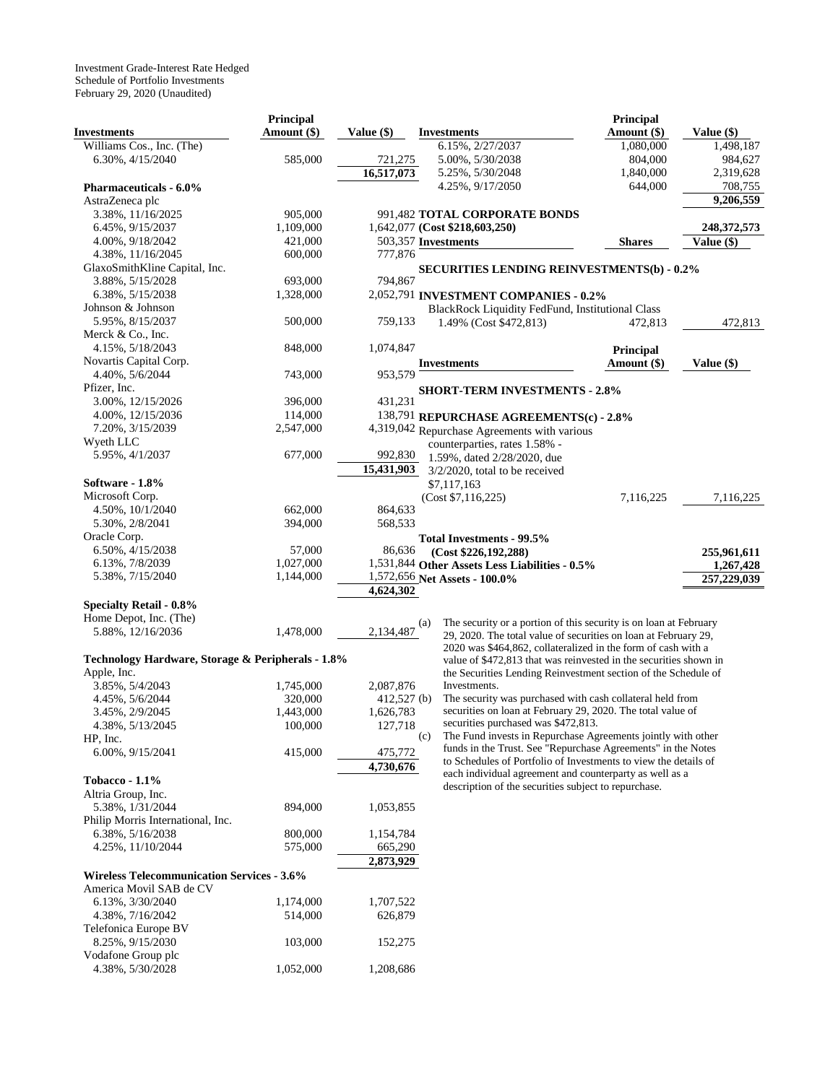|                                                   | <b>Principal</b> |               |                                                                   | Principal        |               |
|---------------------------------------------------|------------------|---------------|-------------------------------------------------------------------|------------------|---------------|
| <b>Investments</b>                                | Amount (\$)      | Value (\$)    | <b>Investments</b>                                                | Amount (\$)      | Value (\$)    |
| Williams Cos., Inc. (The)                         |                  |               | 6.15%, 2/27/2037                                                  | 1,080,000        | 1,498,187     |
| 6.30%, 4/15/2040                                  | 585,000          | 721,275       | 5.00%, 5/30/2038                                                  | 804,000          | 984,627       |
|                                                   |                  | 16,517,073    | 5.25%, 5/30/2048                                                  | 1,840,000        | 2,319,628     |
| <b>Pharmaceuticals - 6.0%</b>                     |                  |               | 4.25%, 9/17/2050                                                  | 644,000          | 708,755       |
| AstraZeneca plc                                   |                  |               |                                                                   |                  | 9,206,559     |
| 3.38%, 11/16/2025                                 | 905,000          |               | 991,482 TOTAL CORPORATE BONDS                                     |                  |               |
| 6.45%, 9/15/2037                                  | 1,109,000        |               | 1,642,077 (Cost \$218,603,250)                                    |                  | 248, 372, 573 |
|                                                   | 421,000          |               | 503,357 Investments                                               |                  |               |
| 4.00%, 9/18/2042                                  |                  |               |                                                                   | <b>Shares</b>    | Value (\$)    |
| 4.38%, 11/16/2045                                 | 600,000          | 777,876       |                                                                   |                  |               |
| GlaxoSmithKline Capital, Inc.                     |                  |               | <b>SECURITIES LENDING REINVESTMENTS(b) - 0.2%</b>                 |                  |               |
| 3.88%, 5/15/2028                                  | 693,000          | 794,867       |                                                                   |                  |               |
| 6.38%, 5/15/2038                                  | 1,328,000        |               | 2,052,791 INVESTMENT COMPANIES - 0.2%                             |                  |               |
| Johnson & Johnson                                 |                  |               | BlackRock Liquidity FedFund, Institutional Class                  |                  |               |
| 5.95%, 8/15/2037                                  | 500,000          | 759,133       | 1.49% (Cost \$472,813)                                            | 472,813          | 472,813       |
| Merck & Co., Inc.                                 |                  |               |                                                                   |                  |               |
| 4.15%, 5/18/2043                                  | 848,000          | 1,074,847     |                                                                   | <b>Principal</b> |               |
| Novartis Capital Corp.                            |                  |               | <b>Investments</b>                                                | Amount (\$)      | Value (\$)    |
| 4.40%, 5/6/2044                                   | 743,000          | 953,579       |                                                                   |                  |               |
| Pfizer, Inc.                                      |                  |               | <b>SHORT-TERM INVESTMENTS - 2.8%</b>                              |                  |               |
| 3.00%, 12/15/2026                                 | 396,000          | 431,231       |                                                                   |                  |               |
| 4.00%, 12/15/2036                                 | 114,000          |               | 138,791 REPURCHASE AGREEMENTS(c) - 2.8%                           |                  |               |
| 7.20%, 3/15/2039                                  | 2,547,000        |               | 4,319,042 Repurchase Agreements with various                      |                  |               |
| Wyeth LLC                                         |                  |               | counterparties, rates 1.58% -                                     |                  |               |
| 5.95%, 4/1/2037                                   | 677,000          | 992,830       | 1.59%, dated 2/28/2020, due                                       |                  |               |
|                                                   |                  | 15,431,903    | $3/2/2020$ , total to be received                                 |                  |               |
| Software - 1.8%                                   |                  |               |                                                                   |                  |               |
| Microsoft Corp.                                   |                  |               | \$7,117,163                                                       |                  |               |
|                                                   |                  |               | (Cost \$7,116,225)                                                | 7,116,225        | 7,116,225     |
| 4.50%, 10/1/2040                                  | 662,000          | 864,633       |                                                                   |                  |               |
| 5.30%, 2/8/2041                                   | 394,000          | 568,533       |                                                                   |                  |               |
| Oracle Corp.                                      |                  |               | <b>Total Investments - 99.5%</b>                                  |                  |               |
| 6.50%, 4/15/2038                                  | 57,000           | 86,636        | (Cost \$226,192,288)                                              |                  | 255,961,611   |
| 6.13%, 7/8/2039                                   | 1,027,000        |               | 1,531,844 Other Assets Less Liabilities - 0.5%                    |                  | 1,267,428     |
| 5.38%, 7/15/2040                                  | 1,144,000        |               | 1,572,656 Net Assets - 100.0%                                     |                  | 257,229,039   |
|                                                   |                  | 4,624,302     |                                                                   |                  |               |
| <b>Specialty Retail - 0.8%</b>                    |                  |               |                                                                   |                  |               |
| Home Depot, Inc. (The)                            |                  | (a)           | The security or a portion of this security is on loan at February |                  |               |
| 5.88%, 12/16/2036                                 | 1,478,000        | 2,134,487     | 29, 2020. The total value of securities on loan at February 29,   |                  |               |
|                                                   |                  |               | 2020 was \$464,862, collateralized in the form of cash with a     |                  |               |
| Technology Hardware, Storage & Peripherals - 1.8% |                  |               | value of \$472,813 that was reinvested in the securities shown in |                  |               |
| Apple, Inc.                                       |                  |               | the Securities Lending Reinvestment section of the Schedule of    |                  |               |
| 3.85%, 5/4/2043                                   | 1,745,000        | 2,087,876     | Investments.                                                      |                  |               |
| 4.45%, 5/6/2044                                   | 320,000          | $412,527$ (b) | The security was purchased with cash collateral held from         |                  |               |
| 3.45%, 2/9/2045                                   | 1,443,000        | 1,626,783     | securities on loan at February 29, 2020. The total value of       |                  |               |
| 4.38%, 5/13/2045                                  | 100,000          | 127,718       | securities purchased was \$472,813.                               |                  |               |
| HP, Inc.                                          |                  | (c)           | The Fund invests in Repurchase Agreements jointly with other      |                  |               |
| 6.00%, 9/15/2041                                  | 415,000          | 475,772       | funds in the Trust. See "Repurchase Agreements" in the Notes      |                  |               |
|                                                   |                  | 4,730,676     | to Schedules of Portfolio of Investments to view the details of   |                  |               |
|                                                   |                  |               | each individual agreement and counterparty as well as a           |                  |               |
| Tobacco - $1.1\%$                                 |                  |               | description of the securities subject to repurchase.              |                  |               |
| Altria Group, Inc.                                |                  |               |                                                                   |                  |               |
| 5.38%, 1/31/2044                                  | 894,000          | 1,053,855     |                                                                   |                  |               |
| Philip Morris International, Inc.                 |                  |               |                                                                   |                  |               |
| 6.38%, 5/16/2038                                  | 800,000          | 1,154,784     |                                                                   |                  |               |
| 4.25%, 11/10/2044                                 | 575,000          | 665,290       |                                                                   |                  |               |
|                                                   |                  | 2,873,929     |                                                                   |                  |               |
| <b>Wireless Telecommunication Services - 3.6%</b> |                  |               |                                                                   |                  |               |
| America Movil SAB de CV                           |                  |               |                                                                   |                  |               |
| 6.13%, 3/30/2040                                  | 1,174,000        | 1,707,522     |                                                                   |                  |               |
| 4.38%, 7/16/2042                                  | 514,000          | 626,879       |                                                                   |                  |               |
| Telefonica Europe BV                              |                  |               |                                                                   |                  |               |
| 8.25%, 9/15/2030                                  | 103,000          | 152,275       |                                                                   |                  |               |
| Vodafone Group plc                                |                  |               |                                                                   |                  |               |
| 4.38%, 5/30/2028                                  | 1,052,000        | 1,208,686     |                                                                   |                  |               |
|                                                   |                  |               |                                                                   |                  |               |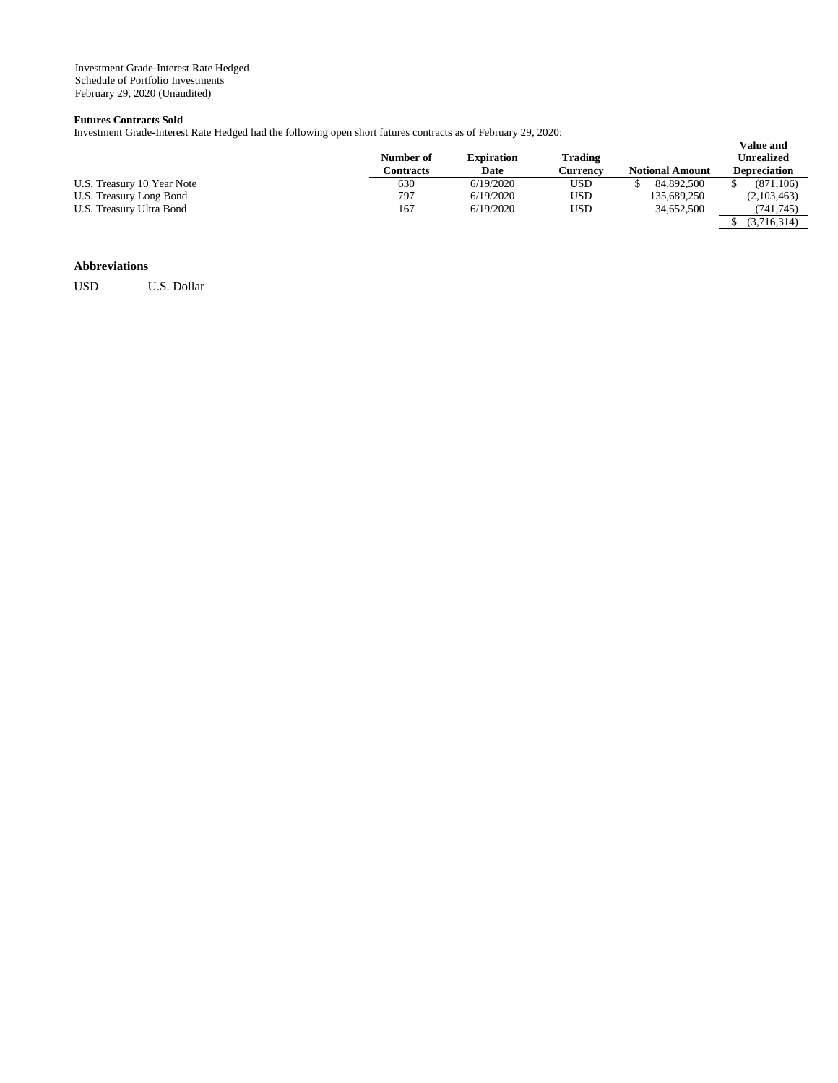# **Futures Contracts Sold**

Investment Grade-Interest Rate Hedged had the following open short futures contracts as of February 29, 2020:

|                            | Number of<br>Contracts | <b>Expiration</b><br>Date | Trading<br>Currencv | <b>Notional Amount</b> | <b>Value and</b><br>Unrealized<br><b>Depreciation</b> |
|----------------------------|------------------------|---------------------------|---------------------|------------------------|-------------------------------------------------------|
| U.S. Treasury 10 Year Note | 630                    | 6/19/2020                 | USD                 | 84.892.500             | (871.106)                                             |
| U.S. Treasury Long Bond    | 797                    | 6/19/2020                 | USD                 | 135,689,250            | (2,103,463)                                           |
| U.S. Treasury Ultra Bond   | 167                    | 6/19/2020                 | USD                 | 34,652,500             | (741, 745)                                            |
|                            |                        |                           |                     |                        | (3,716,314)                                           |

## **Abbreviations**

USD U.S. Dollar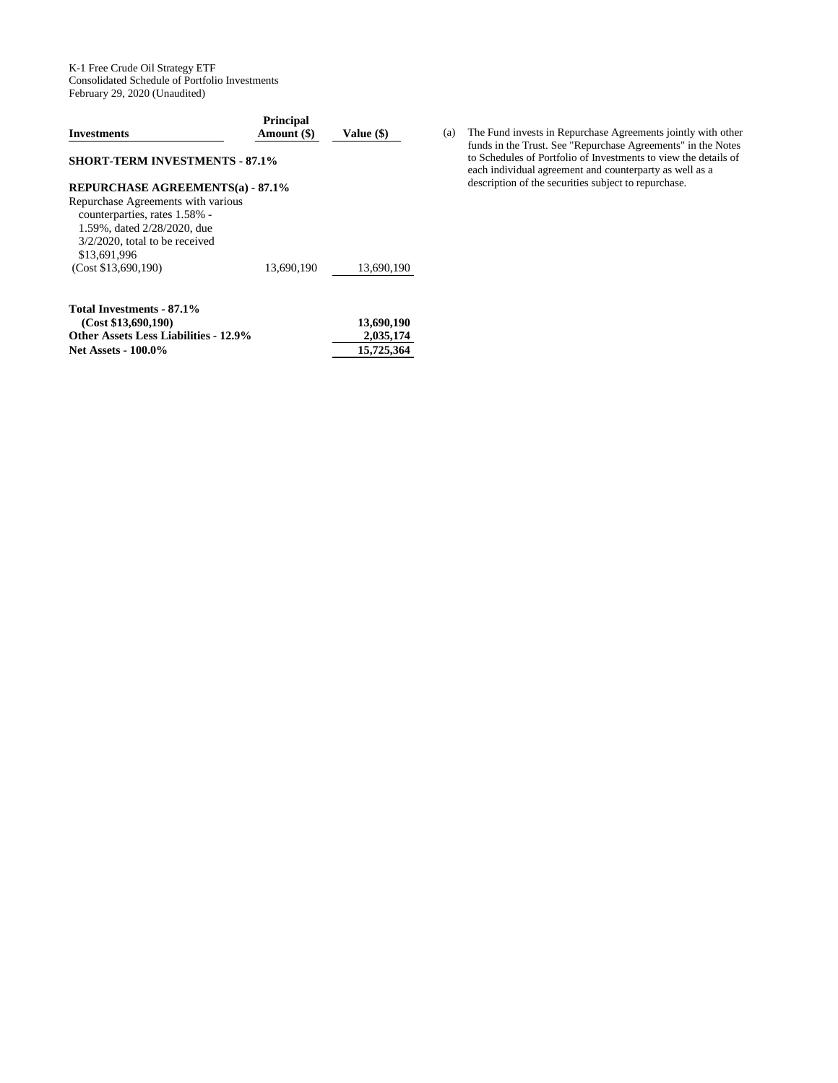K-1 Free Crude Oil Strategy ETF Consolidated Schedule of Portfolio Investments February 29, 2020 (Unaudited)

| <b>Investments</b>                                                                                                                                      | <b>Principal</b><br>Amount (\$) | Value (\$) |
|---------------------------------------------------------------------------------------------------------------------------------------------------------|---------------------------------|------------|
| <b>SHORT-TERM INVESTMENTS - 87.1%</b>                                                                                                                   |                                 |            |
| <b>REPURCHASE AGREEMENTS(a) - 87.1%</b>                                                                                                                 |                                 |            |
| Repurchase Agreements with various<br>counterparties, rates 1.58% -<br>1.59%, dated 2/28/2020, due<br>$3/2/2020$ , total to be received<br>\$13,691,996 |                                 |            |
| (Cost \$13,690,190)                                                                                                                                     | 13.690.190                      | 13.690.190 |
| Total Investments - 87.1%<br>(Cost \$13,690,190)                                                                                                        |                                 | 13,690,190 |
| <b>Other Assets Less Liabilities - 12.9%</b>                                                                                                            |                                 | 2.035.174  |

Net Assets - 100.0% 15,725,364

(a) The Fund invests in Repurchase Agreements jointly with other funds in the Trust. See "Repurchase Agreements" in the Notes to Schedules of Portfolio of Investments to view the details of each individual agreement and counterparty as well as a description of the securities subject to repurchase.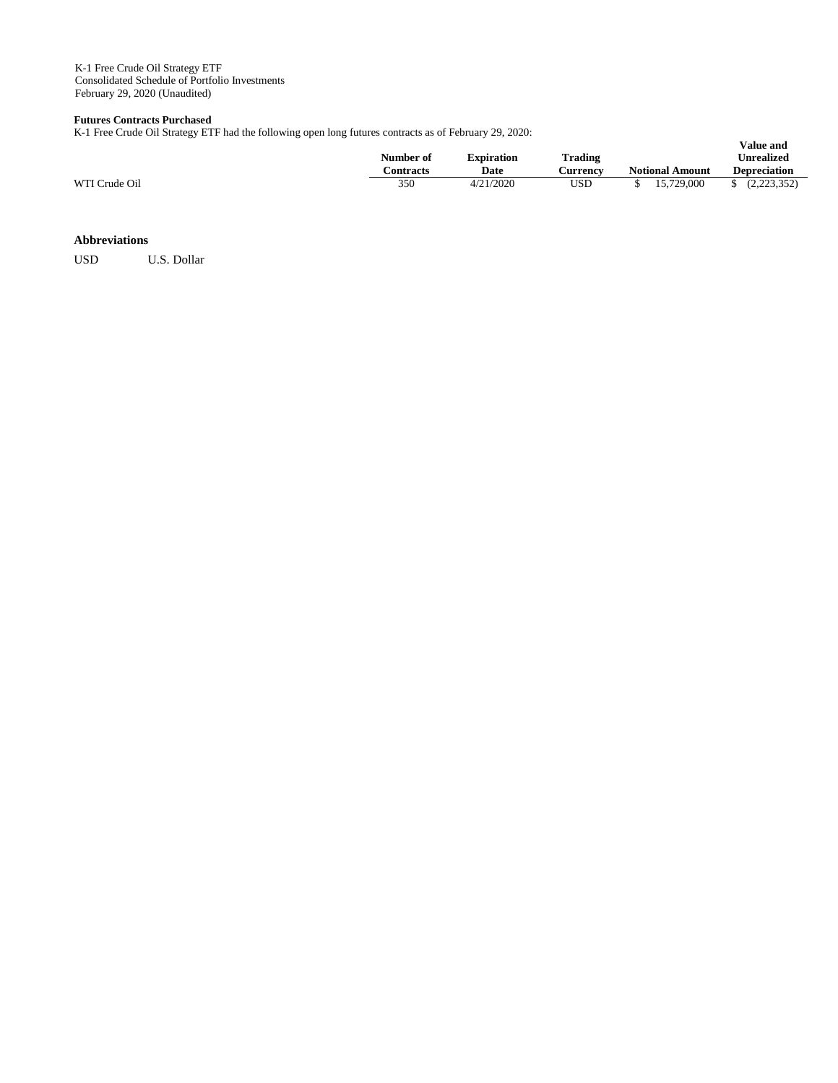K-1 Free Crude Oil Strategy ETF Consolidated Schedule of Portfolio Investments February 29, 2020 (Unaudited)

#### **Futures Contracts Purchased**

K-1 Free Crude Oil Strategy ETF had the following open long futures contracts as of February 29, 2020:

|               | Number of        | Expiration | <b>Trading</b> |                        | Unrealized          |
|---------------|------------------|------------|----------------|------------------------|---------------------|
|               | <b>Contracts</b> | Date       | ∴urrencv       | <b>Notional Amount</b> | <b>Depreciation</b> |
| WTI Crude Oil | 350              | 4/21/2020  | USD            | 15,729,000             | (2,223,352)         |

**Value and** 

# **Abbreviations**

USD U.S. Dollar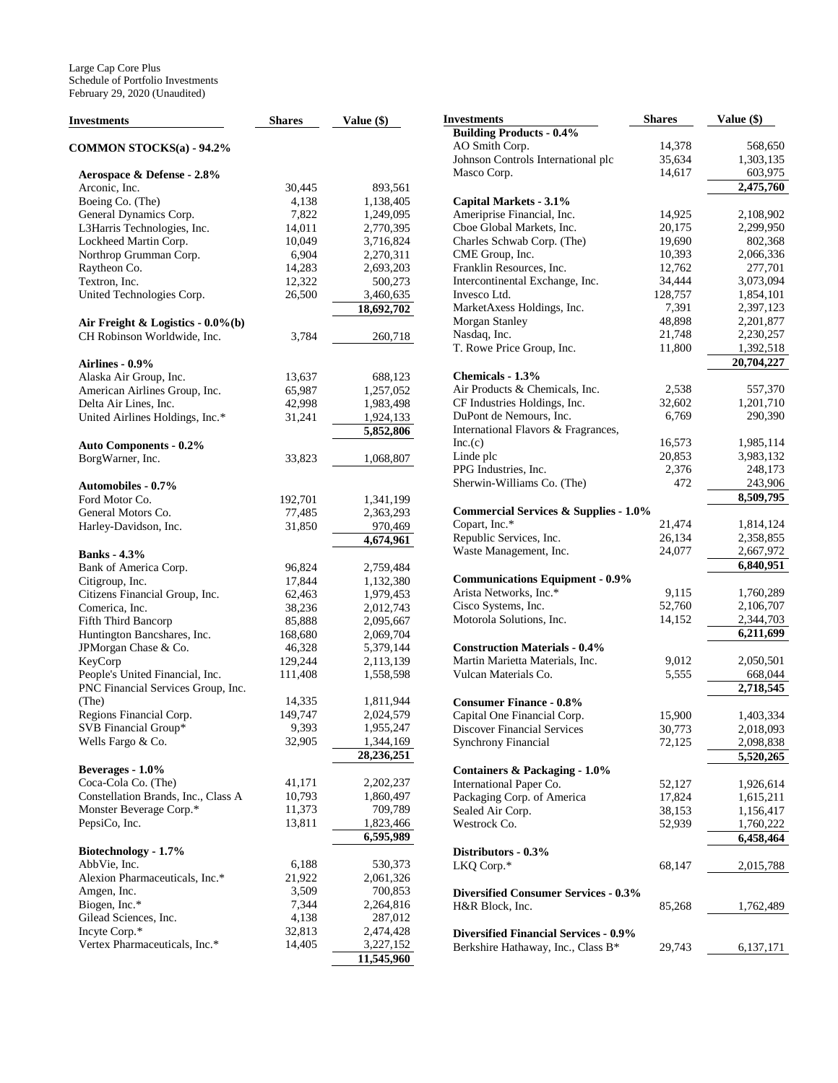| <b>Investments</b>                                                    | <b>Shares</b> | Value (\$)              |
|-----------------------------------------------------------------------|---------------|-------------------------|
| <b>COMMON STOCKS(a) - 94.2%</b>                                       |               |                         |
| Aerospace & Defense - 2.8%                                            |               |                         |
| Arconic, Inc.                                                         | 30,445        | 893,561                 |
| Boeing Co. (The)                                                      | 4,138         | 1,138,405               |
|                                                                       | 7,822         | 1,249,095               |
| General Dynamics Corp.                                                |               |                         |
| L3Harris Technologies, Inc.                                           | 14,011        | 2,770,395               |
| Lockheed Martin Corp.                                                 | 10,049        | 3,716,824               |
| Northrop Grumman Corp.                                                | 6,904         | 2,270,311               |
| Raytheon Co.                                                          | 14,283        | 2,693,203               |
| Textron, Inc.                                                         | 12,322        | 500,273                 |
| United Technologies Corp.                                             | 26,500        | 3,460,635               |
| Air Freight & Logistics - $0.0\%$ (b)                                 |               | 18,692,702              |
| CH Robinson Worldwide, Inc.                                           | 3,784         | 260,718                 |
| <b>Airlines - 0.9%</b>                                                |               |                         |
| Alaska Air Group, Inc.                                                | 13,637        | 688,123                 |
| American Airlines Group, Inc.                                         | 65,987        | 1,257,052               |
| Delta Air Lines, Inc.                                                 | 42,998        | 1,983,498               |
| United Airlines Holdings, Inc.*                                       | 31,241        | 1,924,133               |
|                                                                       |               | 5,852,806               |
| <b>Auto Components - 0.2%</b>                                         |               |                         |
| BorgWarner, Inc.                                                      | 33,823        | 1,068,807               |
| <b>Automobiles - 0.7%</b>                                             |               |                         |
| Ford Motor Co.                                                        | 192,701       | 1,341,199               |
| General Motors Co.                                                    | 77,485        | 2,363,293               |
| Harley-Davidson, Inc.                                                 | 31,850        | 970,469                 |
|                                                                       |               | 4,674,961               |
| <b>Banks</b> - 4.3%                                                   |               |                         |
| Bank of America Corp.                                                 | 96,824        | 2,759,484               |
| Citigroup, Inc.                                                       | 17,844        | 1,132,380               |
| Citizens Financial Group, Inc.                                        | 62,463        | 1,979,453               |
| Comerica, Inc.                                                        | 38,236        | 2,012,743               |
| Fifth Third Bancorp                                                   | 85,888        | 2,095,667               |
| Huntington Bancshares, Inc.                                           | 168,680       | 2,069,704               |
| JPMorgan Chase & Co.                                                  | 46,328        | 5,379,144               |
| KeyCorp                                                               | 129,244       | 2,113,139               |
| People's United Financial, Inc.<br>PNC Financial Services Group, Inc. | 111,408       | 1,558,598               |
| (The)                                                                 | 14,335        | 1,811,944               |
| Regions Financial Corp.                                               | 149,747       | 2,024,579               |
| SVB Financial Group*                                                  | 9,393         | 1,955,247               |
| Wells Fargo & Co.                                                     | 32,905        | 1,344,169               |
|                                                                       |               | 28,236,251              |
| Beverages - 1.0%                                                      |               |                         |
| Coca-Cola Co. (The)                                                   | 41,171        | 2,202,237               |
| Constellation Brands, Inc., Class A                                   | 10,793        | 1,860,497               |
| Monster Beverage Corp.*                                               | 11,373        | 709,789                 |
| PepsiCo, Inc.                                                         | 13,811        | 1,823,466               |
|                                                                       |               | $\overline{6}$ ,595,989 |
| Biotechnology - 1.7%                                                  |               |                         |
| AbbVie, Inc.                                                          | 6,188         | 530,373                 |
| Alexion Pharmaceuticals, Inc.*                                        | 21,922        | 2,061,326               |
| Amgen, Inc.                                                           | 3,509         | 700,853                 |
| Biogen, Inc.*                                                         | 7,344         | 2,264,816               |
| Gilead Sciences, Inc.                                                 | 4,138         | 287,012                 |
| Incyte Corp.*                                                         | 32,813        | 2,474,428               |
| Vertex Pharmaceuticals, Inc.*                                         | 14,405        | 3,227,152               |
|                                                                       |               | 11,545,960              |

| Investments                                      | <b>Shares</b> | Value (\$) |
|--------------------------------------------------|---------------|------------|
| <b>Building Products - 0.4%</b>                  |               |            |
| AO Smith Corp.                                   | 14,378        | 568,650    |
| Johnson Controls International plc               | 35,634        | 1,303,135  |
| Masco Corp.                                      | 14,617        | 603,975    |
|                                                  |               | 2,475,760  |
| Capital Markets - 3.1%                           |               |            |
| Ameriprise Financial, Inc.                       | 14,925        | 2,108,902  |
| Cboe Global Markets, Inc.                        | 20,175        | 2,299,950  |
| Charles Schwab Corp. (The)                       | 19,690        | 802,368    |
| CME Group, Inc.                                  | 10,393        | 2,066,336  |
| Franklin Resources, Inc.                         | 12,762        | 277,701    |
| Intercontinental Exchange, Inc.                  | 34,444        | 3,073,094  |
| Invesco Ltd.                                     | 128,757       | 1,854,101  |
| MarketAxess Holdings, Inc.                       | 7,391         | 2,397,123  |
| Morgan Stanley                                   | 48,898        | 2,201,877  |
| Nasdaq, Inc.                                     | 21,748        | 2,230,257  |
| T. Rowe Price Group, Inc.                        | 11,800        | 1,392,518  |
|                                                  |               | 20,704,227 |
| Chemicals - 1.3%                                 |               |            |
| Air Products & Chemicals, Inc.                   | 2,538         | 557,370    |
| CF Industries Holdings, Inc.                     | 32,602        | 1,201,710  |
| DuPont de Nemours, Inc.                          | 6,769         | 290,390    |
| International Flavors & Fragrances,              |               |            |
| Inc.(c)                                          | 16,573        | 1,985,114  |
| Linde plc                                        | 20,853        | 3,983,132  |
| PPG Industries, Inc.                             | 2,376         | 248,173    |
| Sherwin-Williams Co. (The)                       | 472           | 243,906    |
|                                                  |               | 8,509,795  |
| <b>Commercial Services &amp; Supplies - 1.0%</b> |               |            |
| Copart, Inc.*                                    | 21,474        | 1,814,124  |
| Republic Services, Inc.                          | 26,134        | 2,358,855  |
| Waste Management, Inc.                           | 24,077        | 2,667,972  |
|                                                  |               | 6,840,951  |
| <b>Communications Equipment - 0.9%</b>           |               |            |
| Arista Networks, Inc.*                           | 9,115         | 1,760,289  |
| Cisco Systems, Inc.                              | 52,760        | 2,106,707  |
| Motorola Solutions, Inc.                         | 14,152        | 2,344,703  |
|                                                  |               | 6,211,699  |
| <b>Construction Materials - 0.4%</b>             |               |            |
| Martin Marietta Materials, Inc.                  | 9,012         | 2,050,501  |
| Vulcan Materials Co.                             | 5,555         | 668,044    |
|                                                  |               | 2,718,545  |
| <b>Consumer Finance - 0.8%</b>                   |               |            |
| Capital One Financial Corp.                      | 15,900        | 1,403,334  |
| <b>Discover Financial Services</b>               | 30,773        | 2,018,093  |
| <b>Synchrony Financial</b>                       | 72,125        | 2,098,838  |
|                                                  |               | 5,520,265  |
| <b>Containers &amp; Packaging - 1.0%</b>         |               |            |
| International Paper Co.                          | 52,127        | 1,926,614  |
| Packaging Corp. of America                       | 17,824        | 1,615,211  |
| Sealed Air Corp.                                 | 38,153        | 1,156,417  |
| Westrock Co.                                     | 52,939        | 1,760,222  |
|                                                  |               | 6,458,464  |
| Distributors - 0.3%                              |               |            |
| LKQ Corp.*                                       | 68,147        | 2,015,788  |
|                                                  |               |            |
| <b>Diversified Consumer Services - 0.3%</b>      |               |            |
| H&R Block, Inc.                                  | 85,268        | 1,762,489  |
|                                                  |               |            |
| <b>Diversified Financial Services - 0.9%</b>     |               |            |
| Berkshire Hathaway, Inc., Class B*               | 29,743        | 6,137,171  |
|                                                  |               |            |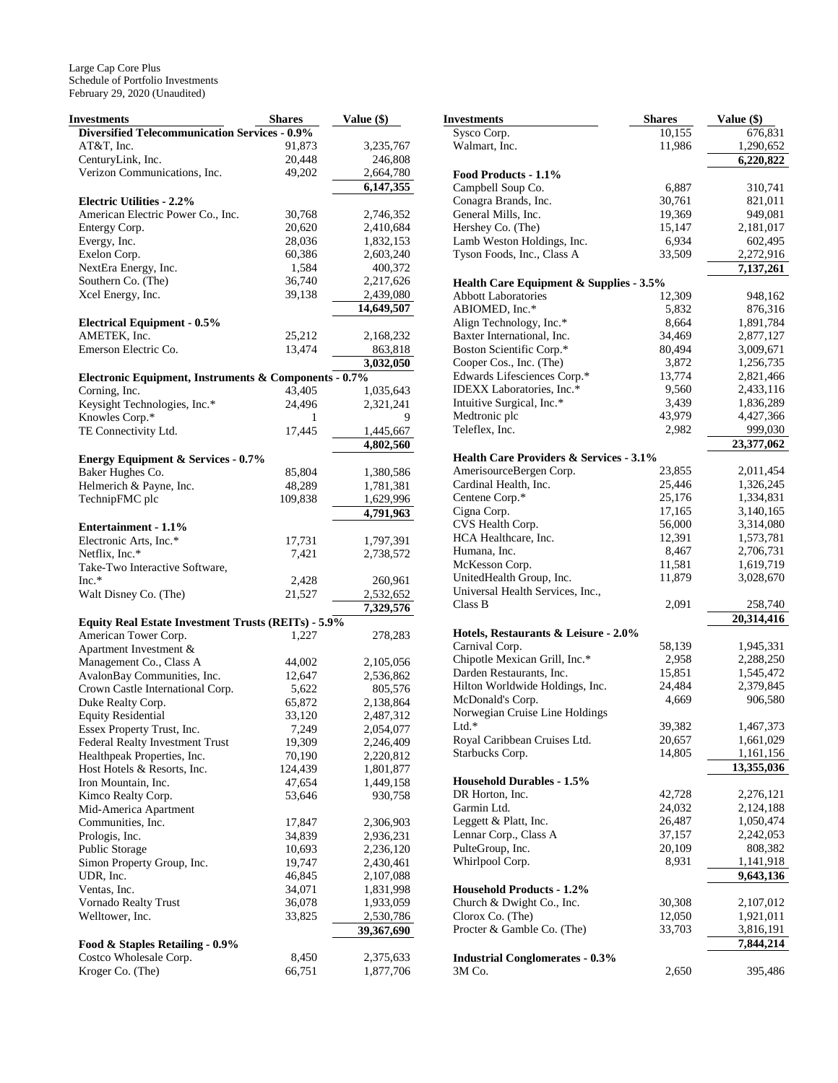| <b>Investments</b>                                    | <b>Shares</b> | Value (\$) |
|-------------------------------------------------------|---------------|------------|
| <b>Diversified Telecommunication Services - 0.9%</b>  |               |            |
| AT&T, Inc.                                            | 91,873        | 3,235,767  |
| CenturyLink, Inc.                                     | 20,448        | 246,808    |
| Verizon Communications, Inc.                          | 49,202        | 2,664,780  |
|                                                       |               | 6,147,355  |
| <b>Electric Utilities - 2.2%</b>                      |               |            |
| American Electric Power Co., Inc.                     | 30,768        | 2,746,352  |
| Entergy Corp.                                         | 20,620        | 2,410,684  |
| Evergy, Inc.                                          | 28,036        | 1,832,153  |
| Exelon Corp.                                          | 60,386        | 2,603,240  |
| NextEra Energy, Inc.                                  | 1,584         | 400,372    |
| Southern Co. (The)                                    | 36,740        | 2,217,626  |
| Xcel Energy, Inc.                                     | 39,138        | 2,439,080  |
|                                                       |               | 14,649,507 |
| <b>Electrical Equipment - 0.5%</b>                    |               |            |
| AMETEK, Inc.                                          | 25,212        | 2,168,232  |
| Emerson Electric Co.                                  | 13,474        | 863,818    |
|                                                       |               | 3,032,050  |
| Electronic Equipment, Instruments & Components - 0.7% |               |            |
| Corning, Inc.                                         | 43,405        | 1,035,643  |
| Keysight Technologies, Inc.*                          | 24,496        | 2,321,241  |
| Knowles Corp.*                                        |               |            |
| TE Connectivity Ltd.                                  | 17,445        | 1,445,667  |
|                                                       |               | 4,802,560  |
| <b>Energy Equipment &amp; Services - 0.7%</b>         |               |            |
| Baker Hughes Co.                                      | 85,804        | 1,380,586  |
| Helmerich & Payne, Inc.                               | 48,289        | 1,781,381  |
| TechnipFMC plc                                        | 109,838       | 1,629,996  |
|                                                       |               | 4,791,963  |
| Entertainment - 1.1%                                  |               |            |
| Electronic Arts, Inc.*                                | 17,731        | 1,797,391  |
| Netflix, Inc.*<br>Take-Two Interactive Software,      | 7,421         | 2,738,572  |
| Inc.*                                                 | 2,428         | 260,961    |
| Walt Disney Co. (The)                                 | 21,527        | 2,532,652  |
|                                                       |               | 7,329,576  |
| Equity Real Estate Investment Trusts (REITs) - 5.9%   |               |            |
| American Tower Corp.                                  | 1,227         | 278,283    |
| Apartment Investment &                                |               |            |
| Management Co., Class A                               | 44,002        | 2,105,056  |
| AvalonBay Communities, Inc.                           | 12,647        | 2,536,862  |
| Crown Castle International Corp.                      | 5,622         | 805,576    |
| Duke Realty Corp.                                     | 65,872        | 2,138,864  |
| <b>Equity Residential</b>                             | 33,120        | 2,487,312  |
| Essex Property Trust, Inc.                            | 7,249         | 2,054,077  |
| <b>Federal Realty Investment Trust</b>                | 19,309        | 2,246,409  |
| Healthpeak Properties, Inc.                           | 70,190        | 2,220,812  |
| Host Hotels & Resorts, Inc.                           | 124,439       | 1,801,877  |
| Iron Mountain, Inc.                                   | 47,654        | 1,449,158  |
| Kimco Realty Corp.                                    | 53,646        | 930,758    |
| Mid-America Apartment                                 |               |            |
| Communities, Inc.                                     | 17,847        | 2,306,903  |
| Prologis, Inc.                                        | 34,839        | 2,936,231  |
| Public Storage                                        | 10,693        | 2,236,120  |
| Simon Property Group, Inc.                            | 19,747        | 2,430,461  |
| UDR, Inc.                                             | 46,845        | 2,107,088  |
| Ventas, Inc.                                          | 34,071        | 1,831,998  |
| Vornado Realty Trust                                  | 36,078        | 1,933,059  |
| Welltower, Inc.                                       | 33,825        | 2,530,786  |
|                                                       |               | 39,367,690 |
| Food & Staples Retailing - 0.9%                       |               |            |
| Costco Wholesale Corp.                                | 8,450         | 2,375,633  |
| Kroger Co. (The)                                      | 66,751        | 1,877,706  |

| Investments                                        | <b>Shares</b>   | Value (\$)             |
|----------------------------------------------------|-----------------|------------------------|
| Sysco Corp.                                        | 10,155          | 676,831                |
| Walmart, Inc.                                      | 11,986          | 1,290,652              |
|                                                    |                 | 6,220,822              |
| Food Products - 1.1%                               |                 |                        |
| Campbell Soup Co.                                  | 6,887           | 310,741                |
| Conagra Brands, Inc.                               | 30,761          | 821,011                |
| General Mills, Inc.                                | 19,369          | 949,081                |
| Hershey Co. (The)                                  | 15,147          | 2,181,017              |
| Lamb Weston Holdings, Inc.                         | 6,934           | 602,495                |
| Tyson Foods, Inc., Class A                         | 33,509          | 2,272,916              |
|                                                    |                 | 7,137,261              |
| Health Care Equipment & Supplies - 3.5%            |                 |                        |
| <b>Abbott Laboratories</b>                         | 12,309          | 948,162                |
| ABIOMED, Inc.*                                     | 5,832           | 876,316                |
| Align Technology, Inc.*                            | 8,664           | 1,891,784              |
| Baxter International, Inc.                         | 34,469          | 2,877,127              |
| Boston Scientific Corp.*                           | 80,494          | 3,009,671              |
| Cooper Cos., Inc. (The)                            | 3,872           | 1,256,735              |
| Edwards Lifesciences Corp.*                        | 13,774          | 2,821,466              |
| IDEXX Laboratories, Inc.*                          | 9,560           | 2,433,116              |
| Intuitive Surgical, Inc.*                          | 3,439<br>43,979 | 1,836,289              |
| Medtronic plc<br>Teleflex, Inc.                    |                 | 4,427,366              |
|                                                    | 2,982           | 999,030                |
| <b>Health Care Providers &amp; Services - 3.1%</b> |                 | 23,377,062             |
| AmerisourceBergen Corp.                            | 23,855          | 2,011,454              |
| Cardinal Health, Inc.                              | 25,446          | 1,326,245              |
| Centene Corp.*                                     | 25,176          | 1,334,831              |
| Cigna Corp.                                        | 17,165          | 3,140,165              |
| CVS Health Corp.                                   | 56,000          | 3,314,080              |
| HCA Healthcare, Inc.                               | 12,391          | 1,573,781              |
| Humana, Inc.                                       | 8,467           | 2,706,731              |
| McKesson Corp.                                     | 11,581          | 1,619,719              |
| UnitedHealth Group, Inc.                           | 11,879          | 3,028,670              |
| Universal Health Services, Inc.,                   |                 |                        |
| Class B                                            | 2,091           | 258,740                |
|                                                    |                 | 20,314,416             |
| Hotels, Restaurants & Leisure - 2.0%               |                 |                        |
| Carnival Corp.                                     | 58,139          | 1,945,331              |
| Chipotle Mexican Grill, Inc.*                      | 2,958           | 2,288,250              |
| Darden Restaurants, Inc.                           | 15,851          | 1,545,472              |
| Hilton Worldwide Holdings, Inc.                    | 24,484          | 2,379,845              |
| McDonald's Corp.                                   | 4,669           | 906,580                |
| Norwegian Cruise Line Holdings                     |                 |                        |
| Ltd.*                                              | 39,382          | 1,467,373              |
| Royal Caribbean Cruises Ltd.                       | 20,657          | 1,661,029              |
| Starbucks Corp.                                    | 14,805          | 1,161,156              |
|                                                    |                 | 13,355,036             |
| <b>Household Durables - 1.5%</b>                   |                 |                        |
| DR Horton, Inc.                                    | 42,728          | 2,276,121              |
| Garmin Ltd.                                        | 24,032          | 2,124,188              |
| Leggett & Platt, Inc.                              | 26,487          | 1,050,474              |
| Lennar Corp., Class A                              | 37,157          | 2,242,053              |
| PulteGroup, Inc.                                   | 20,109          | 808,382                |
| Whirlpool Corp.                                    | 8,931           | 1,141,918              |
|                                                    |                 | 9,643,136              |
| <b>Household Products - 1.2%</b>                   |                 |                        |
| Church & Dwight Co., Inc.                          | 30,308          | 2,107,012              |
| Clorox Co. (The)                                   | 12,050          | 1,921,011              |
| Procter & Gamble Co. (The)                         | 33,703          | 3,816,191<br>7,844,214 |
|                                                    |                 |                        |
| <b>Industrial Conglomerates - 0.3%</b><br>3M Co.   | 2,650           | 395,486                |
|                                                    |                 |                        |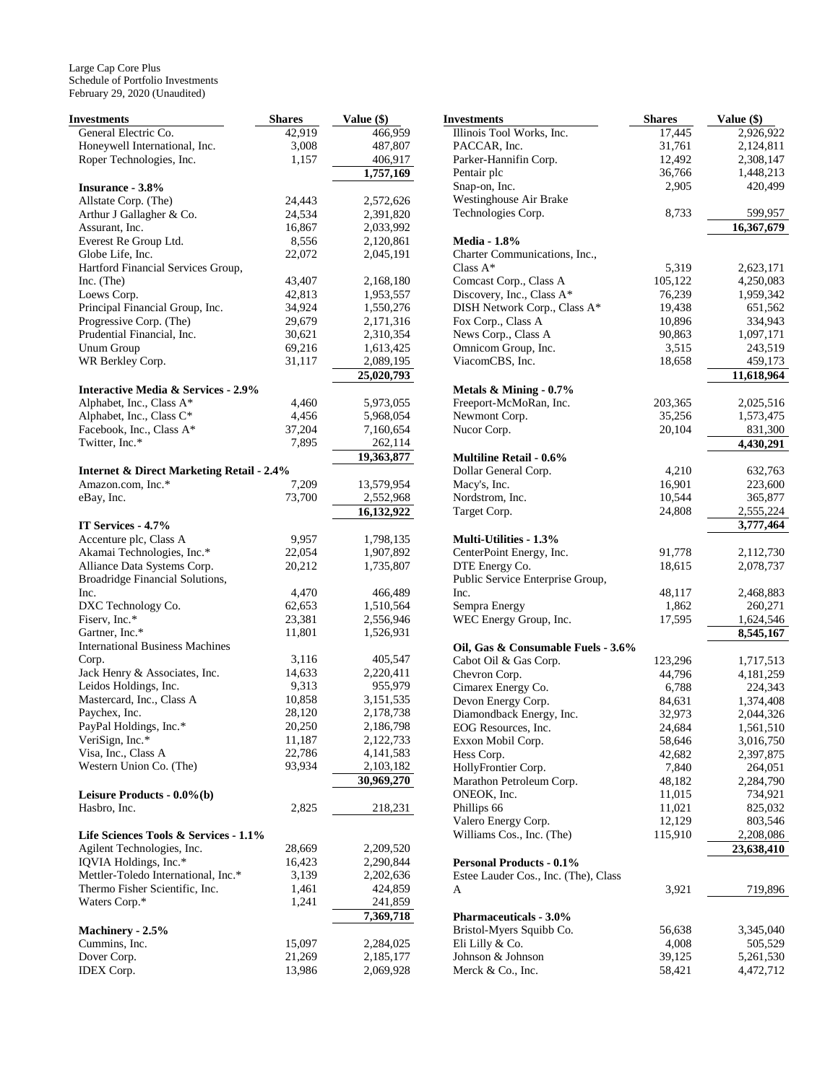| Investments                                                                | <b>Shares</b> | Value (\$)            |
|----------------------------------------------------------------------------|---------------|-----------------------|
| General Electric Co.                                                       | 42,919        | 466,959               |
| Honeywell International, Inc.                                              | 3,008         | 487,807               |
| Roper Technologies, Inc.                                                   | 1,157         | 406,917               |
|                                                                            |               | 1,757,169             |
| <b>Insurance - 3.8%</b>                                                    |               |                       |
| Allstate Corp. (The)                                                       | 24,443        | 2,572,626             |
| Arthur J Gallagher & Co.                                                   | 24,534        | 2,391,820             |
| Assurant, Inc.                                                             | 16,867        | 2,033,992             |
| Everest Re Group Ltd.                                                      | 8,556         | 2,120,861             |
| Globe Life, Inc.                                                           | 22,072        | 2,045,191             |
| Hartford Financial Services Group,                                         |               |                       |
| Inc. (The)                                                                 | 43,407        | 2,168,180             |
| Loews Corp.                                                                | 42,813        | 1,953,557             |
| Principal Financial Group, Inc.                                            | 34,924        | 1,550,276             |
| Progressive Corp. (The)                                                    | 29,679        | 2,171,316             |
| Prudential Financial, Inc.                                                 | 30,621        | 2,310,354             |
| Unum Group                                                                 | 69,216        | 1,613,425             |
| WR Berkley Corp.                                                           | 31,117        | 2,089,195             |
|                                                                            |               | 25,020,793            |
| <b>Interactive Media &amp; Services - 2.9%</b><br>Alphabet, Inc., Class A* | 4,460         | 5,973,055             |
| Alphabet, Inc., Class C*                                                   | 4,456         | 5,968,054             |
| Facebook, Inc., Class A*                                                   | 37,204        |                       |
| Twitter, Inc.*                                                             |               | 7,160,654             |
|                                                                            | 7,895         | 262,114<br>19,363,877 |
| <b>Internet &amp; Direct Marketing Retail - 2.4%</b>                       |               |                       |
| Amazon.com, Inc.*                                                          | 7,209         | 13,579,954            |
| eBay, Inc.                                                                 | 73,700        | 2,552,968             |
|                                                                            |               | 16,132,922            |
| IT Services - 4.7%                                                         |               |                       |
| Accenture plc, Class A                                                     | 9,957         | 1,798,135             |
| Akamai Technologies, Inc.*                                                 | 22,054        | 1,907,892             |
| Alliance Data Systems Corp.                                                | 20,212        | 1,735,807             |
| Broadridge Financial Solutions,                                            |               |                       |
| Inc.                                                                       | 4,470         | 466,489               |
| DXC Technology Co.                                                         | 62,653        | 1,510,564             |
| Fiserv, Inc.*                                                              | 23,381        | 2,556,946             |
| Gartner, Inc.*                                                             | 11,801        | 1,526,931             |
| <b>International Business Machines</b>                                     |               |                       |
| Corp.                                                                      | 3,116         | 405,547               |
| Jack Henry & Associates, Inc.                                              | 14,633        | 2,220,411             |
| Leidos Holdings, Inc.                                                      | 9,313         | 955,979               |
| Mastercard, Inc., Class A                                                  | 10,858        | 3,151,535             |
| Paychex, Inc.                                                              | 28,120        | 2,178,738             |
| PayPal Holdings, Inc.*                                                     | 20,250        | 2,186,798             |
| VeriSign, Inc.*                                                            | 11,187        | 2,122,733             |
| Visa, Inc., Class A                                                        | 22,786        | 4, 141, 583           |
| Western Union Co. (The)                                                    | 93,934        | 2,103,182             |
|                                                                            |               | 30,969,270            |
| Leisure Products - 0.0%(b)                                                 |               |                       |
| Hasbro, Inc.                                                               | 2,825         | 218,231               |
| Life Sciences Tools & Services - 1.1%                                      |               |                       |
| Agilent Technologies, Inc.                                                 | 28,669        | 2,209,520             |
| IQVIA Holdings, Inc.*                                                      | 16,423        | 2,290,844             |
| Mettler-Toledo International, Inc.*                                        | 3,139         | 2,202,636             |
| Thermo Fisher Scientific, Inc.                                             | 1,461         | 424,859               |
| Waters Corp.*                                                              | 1,241         | 241,859               |
|                                                                            |               | 7,369,718             |
| Machinery - 2.5%                                                           |               |                       |
| Cummins, Inc.                                                              | 15,097        | 2,284,025             |
| Dover Corp.                                                                | 21,269        | 2,185,177             |
| <b>IDEX</b> Corp.                                                          | 13,986        | 2,069,928             |
|                                                                            |               |                       |

| Investments                                        | <b>Shares</b>    | Value (\$)             |
|----------------------------------------------------|------------------|------------------------|
| Illinois Tool Works, Inc.                          | 17,445           | 2,926,922              |
| PACCAR, Inc.                                       | 31,761           | 2,124,811              |
| Parker-Hannifin Corp.                              | 12,492           | 2,308,147              |
| Pentair plc                                        | 36,766           | 1,448,213              |
| Snap-on, Inc.                                      | 2,905            | 420,499                |
| Westinghouse Air Brake                             |                  |                        |
| Technologies Corp.                                 | 8,733            | 599,957                |
|                                                    |                  | 16,367,679             |
| <b>Media - 1.8%</b>                                |                  |                        |
| Charter Communications, Inc.,                      |                  |                        |
| Class $A^*$                                        | 5,319            | 2,623,171              |
| Comcast Corp., Class A                             | 105,122          | 4,250,083              |
| Discovery, Inc., Class A*                          | 76,239           | 1,959,342              |
| DISH Network Corp., Class A*                       | 19,438           | 651,562                |
| Fox Corp., Class A                                 | 10,896           | 334,943                |
| News Corp., Class A                                | 90,863           | 1,097,171              |
| Omnicom Group, Inc.<br>ViacomCBS, Inc.             | 3,515            | 243,519                |
|                                                    | 18,658           | 459,173<br>11,618,964  |
|                                                    |                  |                        |
| Metals $&$ Mining - 0.7%<br>Freeport-McMoRan, Inc. | 203,365          | 2,025,516              |
| Newmont Corp.                                      | 35,256           | 1,573,475              |
| Nucor Corp.                                        | 20,104           | 831,300                |
|                                                    |                  | 4,430,291              |
| <b>Multiline Retail - 0.6%</b>                     |                  |                        |
| Dollar General Corp.                               | 4,210            | 632,763                |
| Macy's, Inc.                                       | 16,901           | 223,600                |
| Nordstrom, Inc.                                    | 10,544           | 365,877                |
| Target Corp.                                       | 24,808           | 2,555,224              |
|                                                    |                  | 3,777,464              |
| <b>Multi-Utilities - 1.3%</b>                      |                  |                        |
| CenterPoint Energy, Inc.                           | 91,778           | 2,112,730              |
| DTE Energy Co.                                     | 18,615           | 2,078,737              |
| Public Service Enterprise Group,                   |                  |                        |
| Inc.                                               | 48,117           | 2,468,883              |
| Sempra Energy                                      | 1,862            | 260,271                |
| WEC Energy Group, Inc.                             | 17,595           | 1,624,546              |
|                                                    |                  | 8,545,167              |
| Oil, Gas & Consumable Fuels - 3.6%                 |                  |                        |
| Cabot Oil & Gas Corp.                              | 123,296          | 1,717,513              |
| Chevron Corp.                                      | 44,796           | 4,181,259              |
| Cimarex Energy Co.                                 | 6,788            | 224,343                |
| Devon Energy Corp.                                 | 84,631           | 1,374,408              |
| Diamondback Energy, Inc.                           | 32,973           | 2,044,326              |
| EOG Resources, Inc.<br>Exxon Mobil Corp.           | 24,684<br>58,646 | 1,561,510              |
| Hess Corp.                                         | 42,682           | 3,016,750<br>2,397,875 |
| HollyFrontier Corp.                                | 7,840            | 264,051                |
| Marathon Petroleum Corp.                           | 48,182           | 2,284,790              |
| ONEOK, Inc.                                        | 11,015           | 734,921                |
| Phillips 66                                        | 11,021           | 825,032                |
| Valero Energy Corp.                                | 12,129           | 803,546                |
| Williams Cos., Inc. (The)                          | 115,910          | 2,208,086              |
|                                                    |                  | 23,638,410             |
| <b>Personal Products - 0.1%</b>                    |                  |                        |
| Estee Lauder Cos., Inc. (The), Class               |                  |                        |
| A                                                  | 3,921            | 719,896                |
|                                                    |                  |                        |
| Pharmaceuticals - 3.0%                             |                  |                        |
| Bristol-Myers Squibb Co.                           | 56,638           | 3,345,040              |
| Eli Lilly & Co.                                    | 4,008            | 505,529                |
| Johnson & Johnson                                  | 39,125           | 5,261,530              |
| Merck & Co., Inc.                                  | 58,421           | 4,472,712              |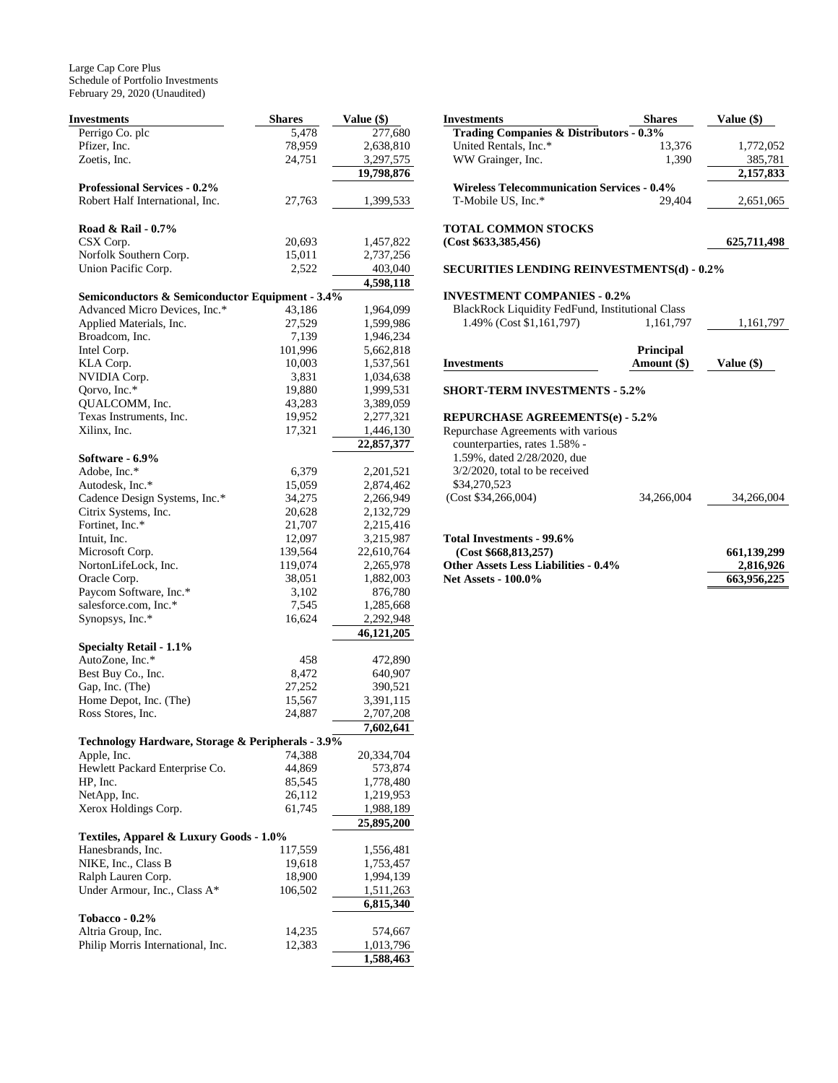| <b>Investments</b>                                               | <b>Shares</b>    | Value (\$)             |
|------------------------------------------------------------------|------------------|------------------------|
| Perrigo Co. plc                                                  | 5,478            | 277,680                |
| Pfizer, Inc.                                                     | 78,959           | 2,638,810              |
| Zoetis, Inc.                                                     | 24,751           | 3,297,575              |
|                                                                  |                  | 19,798,876             |
| <b>Professional Services - 0.2%</b>                              |                  |                        |
| Robert Half International, Inc.                                  | 27,763           | 1,399,533              |
| Road & Rail - 0.7%                                               |                  |                        |
| CSX Corp.                                                        | 20,693           | 1,457,822              |
| Norfolk Southern Corp.                                           | 15,011           | 2,737,256              |
| Union Pacific Corp.                                              | 2,522            | 403,040                |
|                                                                  |                  | 4,598,118              |
| Semiconductors & Semiconductor Equipment - 3.4%                  |                  |                        |
| Advanced Micro Devices, Inc.*                                    | 43,186           | 1,964,099              |
| Applied Materials, Inc.                                          | 27,529           | 1,599,986              |
| Broadcom, Inc.                                                   | 7,139            | 1,946,234              |
| Intel Corp.                                                      | 101,996          | 5,662,818              |
| KLA Corp.                                                        | 10,003           | 1,537,561              |
| NVIDIA Corp.                                                     | 3,831            | 1,034,638              |
| Qorvo, Inc.*                                                     | 19,880           | 1,999,531              |
| OUALCOMM, Inc.                                                   | 43,283           | 3,389,059              |
| Texas Instruments, Inc.<br>Xilinx, Inc.                          | 19,952<br>17,321 | 2,277,321<br>1,446,130 |
|                                                                  |                  | 22,857,377             |
| Software - 6.9%                                                  |                  |                        |
| Adobe, Inc.*                                                     | 6,379            | 2,201,521              |
| Autodesk, Inc.*                                                  | 15,059           | 2,874,462              |
| Cadence Design Systems, Inc.*                                    | 34,275           | 2,266,949              |
| Citrix Systems, Inc.                                             | 20,628           | 2,132,729              |
| Fortinet, Inc.*                                                  | 21,707           | 2,215,416              |
| Intuit, Inc.                                                     | 12,097           | 3,215,987              |
| Microsoft Corp.                                                  | 139,564          | 22,610,764             |
| NortonLifeLock, Inc.                                             | 119,074          | 2,265,978              |
| Oracle Corp.                                                     | 38,051           | 1,882,003              |
| Paycom Software, Inc.*                                           | 3,102            | 876,780                |
| salesforce.com, Inc.*                                            | 7,545            | 1,285,668              |
| Synopsys, Inc.*                                                  | 16,624           | 2,292,948              |
|                                                                  |                  | 46,121,205             |
| <b>Specialty Retail - 1.1%</b>                                   |                  |                        |
| AutoZone, Inc.*                                                  | 458              | 472,890                |
| Best Buy Co., Inc.                                               | 8,472            | 640,907                |
| Gap, Inc. (The)                                                  | 27,252           | 390,521                |
| Home Depot, Inc. (The)<br>Ross Stores, Inc.                      | 15,567           | 3,391,115              |
|                                                                  | 24,887           | 2,707,208              |
|                                                                  |                  | 7,602,641              |
| Technology Hardware, Storage & Peripherals - 3.9%<br>Apple, Inc. | 74,388           | 20,334,704             |
| Hewlett Packard Enterprise Co.                                   | 44,869           | 573,874                |
| HP, Inc.                                                         | 85,545           | 1,778,480              |
| NetApp, Inc.                                                     | 26,112           | 1,219,953              |
| Xerox Holdings Corp.                                             | 61,745           | 1,988,189              |
|                                                                  |                  | 25,895,200             |
| Textiles, Apparel & Luxury Goods - 1.0%                          |                  |                        |
| Hanesbrands, Inc.                                                | 117,559          | 1,556,481              |
| NIKE, Inc., Class B                                              | 19,618           | 1,753,457              |
| Ralph Lauren Corp.                                               | 18,900           | 1,994,139              |
| Under Armour, Inc., Class A*                                     | 106,502          | 1,511,263              |
|                                                                  |                  | 6,815,340              |
| <b>Tobacco - 0.2%</b>                                            |                  |                        |
| Altria Group, Inc.                                               | 14,235           | 574,667                |
| Philip Morris International, Inc.                                | 12,383           | 1,013,796              |
|                                                                  |                  | 1,588,463              |

| <b>Investments</b>                                | <b>Shares</b> | Value (\$)  |
|---------------------------------------------------|---------------|-------------|
| Trading Companies & Distributors - 0.3%           |               |             |
| United Rentals, Inc.*                             | 13,376        | 1,772,052   |
| WW Grainger, Inc.                                 | 1,390         | 385,781     |
|                                                   |               | 2,157,833   |
| <b>Wireless Telecommunication Services - 0.4%</b> |               |             |
| T-Mobile US, Inc.*                                | 29.404        | 2,651,065   |
| <b>TOTAL COMMON STOCKS</b>                        |               |             |
| (Cost \$633,385,456)                              |               | 625,711,498 |
| <b>SECURITIES LENDING REINVESTMENTS(d) - 0.2%</b> |               |             |
| <b>INVESTMENT COMPANIES - 0.2%</b>                |               |             |

| <b>BlackRock Liquidity FedFund, Institutional Class</b> |           |           |
|---------------------------------------------------------|-----------|-----------|
| 1.49% (Cost \$1,161,797)                                | 1.161.797 | 1.161.797 |

|             | <b>Principal</b> |            |
|-------------|------------------|------------|
| Investments | Amount (\$)      | Value (\$) |

#### **SHORT-TERM INVESTMENTS - 5.2%**

#### **REPURCHASE AGREEMENTS(e) - 5.2%**

| counterparties, rates 1.58% -<br>1.59%, dated 2/28/2020, due<br>$3/2/2020$ , total to be received |  |
|---------------------------------------------------------------------------------------------------|--|
|                                                                                                   |  |
|                                                                                                   |  |
|                                                                                                   |  |
| \$34,270,523                                                                                      |  |
| (Cost \$34,266,004)<br>34.266.004<br>34.266.004                                                   |  |
|                                                                                                   |  |

| Total Investments - 99.6%                   |             |
|---------------------------------------------|-------------|
| (Cost \$668.813.257)                        | 661,139,299 |
| <b>Other Assets Less Liabilities - 0.4%</b> | 2.816.926   |
| <b>Net Assets - 100.0%</b>                  | 663,956,225 |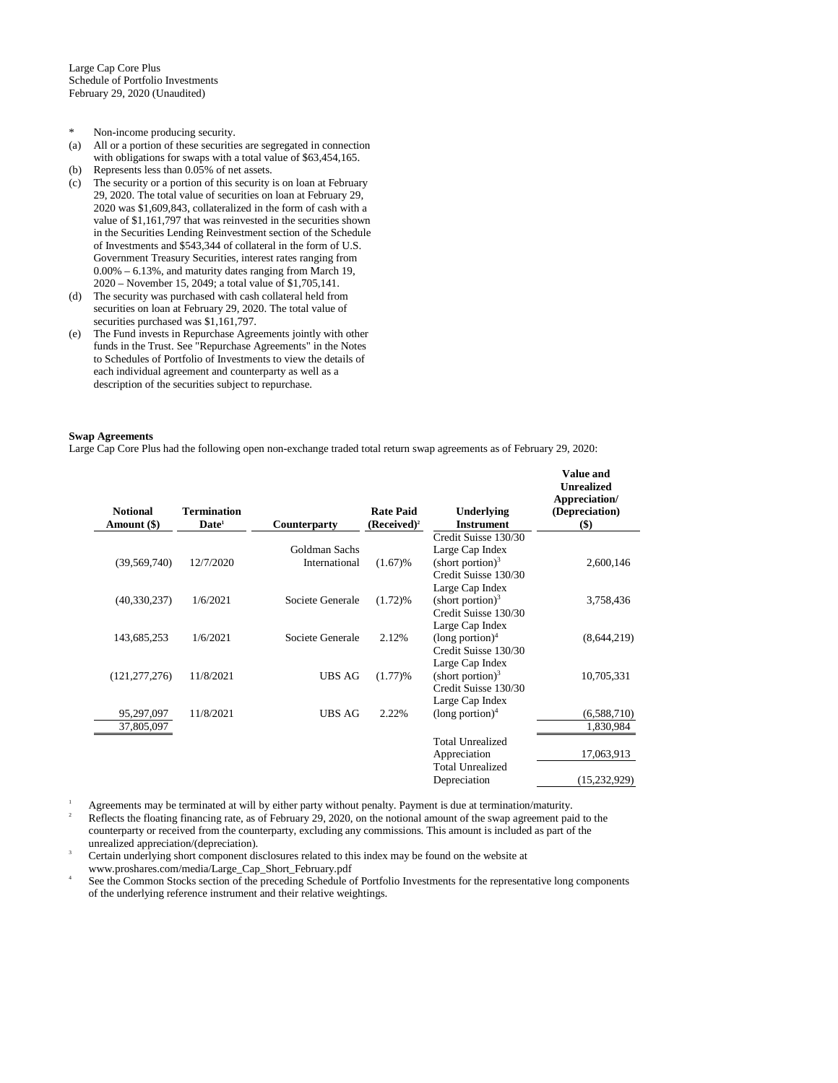- \* Non-income producing security.
- (a) All or a portion of these securities are segregated in connection with obligations for swaps with a total value of \$63,454,165.
- (b) Represents less than 0.05% of net assets.
- (c) The security or a portion of this security is on loan at February 29, 2020. The total value of securities on loan at February 29, 2020 was \$1,609,843, collateralized in the form of cash with a value of \$1,161,797 that was reinvested in the securities shown in the Securities Lending Reinvestment section of the Schedule of Investments and \$543,344 of collateral in the form of U.S. Government Treasury Securities, interest rates ranging from 0.00% – 6.13%, and maturity dates ranging from March 19, 2020 – November 15, 2049; a total value of \$1,705,141.
- (d) The security was purchased with cash collateral held from securities on loan at February 29, 2020. The total value of securities purchased was \$1,161,797.
- (e) The Fund invests in Repurchase Agreements jointly with other funds in the Trust. See "Repurchase Agreements" in the Notes to Schedules of Portfolio of Investments to view the details of each individual agreement and counterparty as well as a description of the securities subject to repurchase.

#### **Swap Agreements**

Large Cap Core Plus had the following open non-exchange traded total return swap agreements as of February 29, 2020:

| <b>Notional</b><br>Amount (\$) | <b>Termination</b><br>Date <sup>1</sup> | Counterparty     | <b>Rate Paid</b><br>$(Received)^2$ | Underlying<br><b>Instrument</b>                       | <b>Value and</b><br><b>Unrealized</b><br>Appreciation/<br>(Depreciation)<br>$($ \$) |
|--------------------------------|-----------------------------------------|------------------|------------------------------------|-------------------------------------------------------|-------------------------------------------------------------------------------------|
|                                |                                         |                  |                                    | Credit Suisse 130/30                                  |                                                                                     |
|                                |                                         | Goldman Sachs    |                                    | Large Cap Index                                       |                                                                                     |
| (39, 569, 740)                 | 12/7/2020                               | International    | (1.67)%                            | (short portion) $3$                                   | 2,600,146                                                                           |
|                                |                                         |                  |                                    | Credit Suisse 130/30                                  |                                                                                     |
|                                |                                         |                  |                                    | Large Cap Index                                       |                                                                                     |
| (40, 330, 237)                 | 1/6/2021                                | Societe Generale | (1.72)%                            | $(\text{short portion})^3$                            | 3,758,436                                                                           |
|                                |                                         |                  |                                    | Credit Suisse 130/30                                  |                                                                                     |
|                                |                                         |                  |                                    | Large Cap Index                                       |                                                                                     |
| 143,685,253                    | 1/6/2021                                | Societe Generale | 2.12%                              | $(long$ portion) <sup>4</sup><br>Credit Suisse 130/30 | (8,644,219)                                                                         |
|                                |                                         |                  |                                    | Large Cap Index                                       |                                                                                     |
| (121, 277, 276)                | 11/8/2021                               | <b>UBS AG</b>    | (1.77)%                            | $(\text{short portion})^3$                            | 10,705,331                                                                          |
|                                |                                         |                  |                                    | Credit Suisse 130/30                                  |                                                                                     |
|                                |                                         |                  |                                    | Large Cap Index                                       |                                                                                     |
| 95,297,097                     | 11/8/2021                               | <b>UBS AG</b>    | 2.22%                              | $(long$ portion) <sup>4</sup>                         | (6,588,710)                                                                         |
| 37,805,097                     |                                         |                  |                                    |                                                       | 1,830,984                                                                           |
|                                |                                         |                  |                                    | <b>Total Unrealized</b>                               |                                                                                     |
|                                |                                         |                  |                                    | Appreciation                                          | 17,063,913                                                                          |
|                                |                                         |                  |                                    | <b>Total Unrealized</b>                               |                                                                                     |
|                                |                                         |                  |                                    | Depreciation                                          | (15,232,929)                                                                        |
|                                |                                         |                  |                                    |                                                       |                                                                                     |

<sup>1</sup> Agreements may be terminated at will by either party without penalty. Payment is due at termination/maturity.

<sup>2</sup> Reflects the floating financing rate, as of February 29, 2020, on the notional amount of the swap agreement paid to the counterparty or received from the counterparty, excluding any commissions. This amount is included as part of the unrealized appreciation/(depreciation).

Certain underlying short component disclosures related to this index may be found on the website at www.proshares.com/media/Large\_Cap\_Short\_February.pdf

4 See the Common Stocks section of the preceding Schedule of Portfolio Investments for the representative long components of the underlying reference instrument and their relative weightings.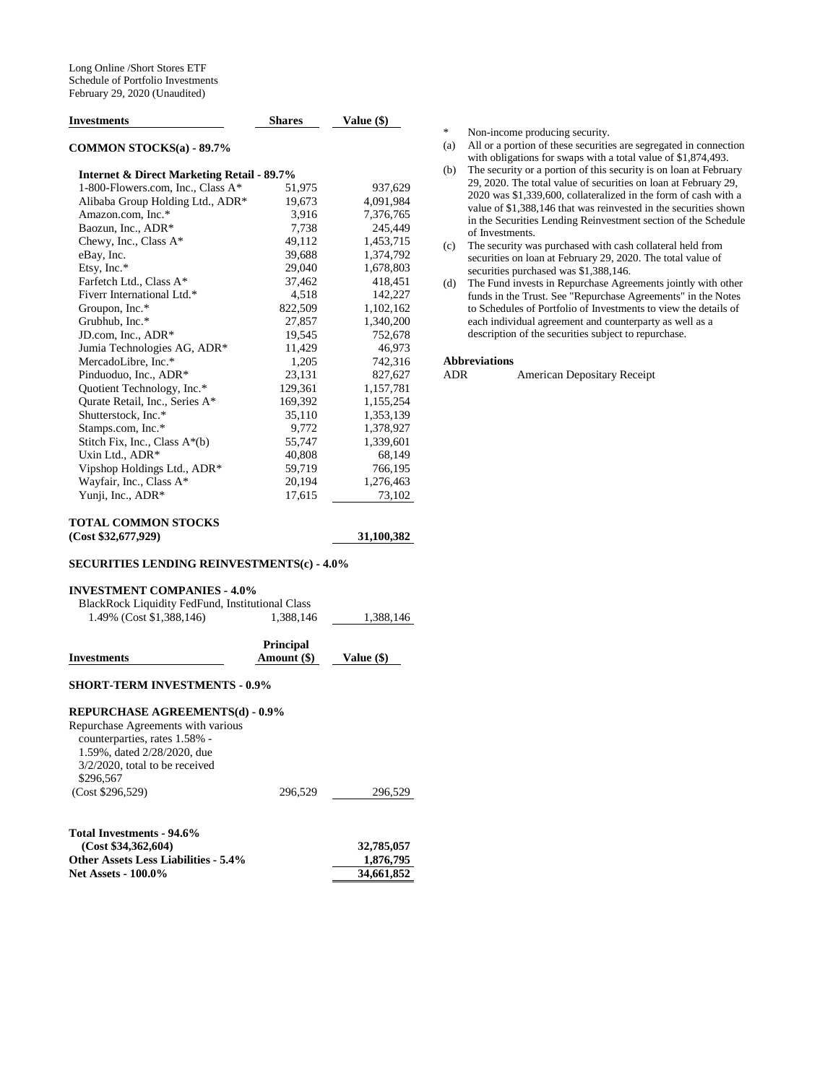| <b>Investments</b>                                    | <b>Shares</b> | Value (\$) |
|-------------------------------------------------------|---------------|------------|
| <b>COMMON STOCKS(a) - 89.7%</b>                       |               |            |
| <b>Internet &amp; Direct Marketing Retail - 89.7%</b> |               |            |
| 1-800-Flowers.com, Inc., Class A*                     | 51,975        | 937,629    |
| Alibaba Group Holding Ltd., ADR*                      | 19,673        | 4,091,984  |
| Amazon.com, Inc.*                                     | 3.916         | 7,376,765  |
| Baozun, Inc., ADR*                                    | 7,738         | 245,449    |
| Chewy, Inc., Class $A^*$                              | 49,112        | 1,453,715  |
| eBay, Inc.                                            | 39,688        | 1,374,792  |
| Etsy, Inc.*                                           | 29,040        | 1,678,803  |
| Farfetch Ltd., Class A*                               | 37,462        | 418,451    |
| Fiverr International Ltd.*                            | 4,518         | 142,227    |
| Groupon, Inc.*                                        | 822.509       | 1,102,162  |
| Grubhub, Inc.*                                        | 27,857        | 1,340,200  |
| JD.com, Inc., ADR*                                    | 19,545        | 752,678    |
| Jumia Technologies AG, ADR*                           | 11,429        | 46,973     |
| MercadoLibre, Inc.*                                   | 1,205         | 742,316    |
| Pinduoduo, Inc., ADR*                                 | 23.131        | 827,627    |
| Quotient Technology, Inc.*                            | 129,361       | 1,157,781  |
| Qurate Retail, Inc., Series A*                        | 169,392       | 1,155,254  |
| Shutterstock, Inc.*                                   | 35,110        | 1,353,139  |
| Stamps.com, Inc.*                                     | 9,772         | 1,378,927  |
| Stitch Fix, Inc., Class $A^*(b)$                      | 55,747        | 1,339,601  |
| Uxin Ltd., ADR*                                       | 40,808        | 68,149     |
| Vipshop Holdings Ltd., ADR*                           | 59,719        | 766,195    |
| Wayfair, Inc., Class A*                               | 20,194        | 1,276,463  |
| Yunji, Inc., ADR*                                     | 17,615        | 73,102     |

#### **TOTAL COMMON STOCKS (Cost \$32,677,929) 31,100,382**

#### **SECURITIES LENDING REINVESTMENTS(c) - 4.0%**

#### **INVESTMENT COMPANIES - 4.0%**

| <b>BlackRock Liquidity FedFund, Institutional Class</b> |                    |           |
|---------------------------------------------------------|--------------------|-----------|
| 1.49% (Cost \$1,388,146)                                | 1.388.146          | 1.388.146 |
|                                                         | <b>D.J., J., J</b> |           |

| <b>Investments</b>                                                                                                                                   | Principal<br>Amount (\$) | Value (\$)              |
|------------------------------------------------------------------------------------------------------------------------------------------------------|--------------------------|-------------------------|
| <b>SHORT-TERM INVESTMENTS - 0.9%</b>                                                                                                                 |                          |                         |
| <b>REPURCHASE AGREEMENTS(d) - 0.9%</b>                                                                                                               |                          |                         |
| Repurchase Agreements with various<br>counterparties, rates 1.58% -<br>1.59%, dated 2/28/2020, due<br>$3/2/2020$ , total to be received<br>\$296,567 |                          |                         |
| (Cost \$296,529)                                                                                                                                     | 296,529                  | 296,529                 |
| Total Investments - 94.6%<br>(Cost \$34,362,604)<br><b>Other Assets Less Liabilities - 5.4%</b>                                                      |                          | 32,785,057<br>1,876,795 |
| <b>Net Assets - 100.0%</b>                                                                                                                           |                          | 34,661,852              |

\* Non-income producing security.

- (a) All or a portion of these securities are segregated in connection with obligations for swaps with a total value of \$1,874,493.
- (b) The security or a portion of this security is on loan at February 29, 2020. The total value of securities on loan at February 29, 2020 was \$1,339,600, collateralized in the form of cash with a value of \$1,388,146 that was reinvested in the securities shown in the Securities Lending Reinvestment section of the Schedule of Investments.
- (c) The security was purchased with cash collateral held from securities on loan at February 29, 2020. The total value of securities purchased was \$1,388,146.
- (d) The Fund invests in Repurchase Agreements jointly with other funds in the Trust. See "Repurchase Agreements" in the Notes to Schedules of Portfolio of Investments to view the details of each individual agreement and counterparty as well as a description of the securities subject to repurchase.

#### **Abbreviations**

ADR American Depositary Receipt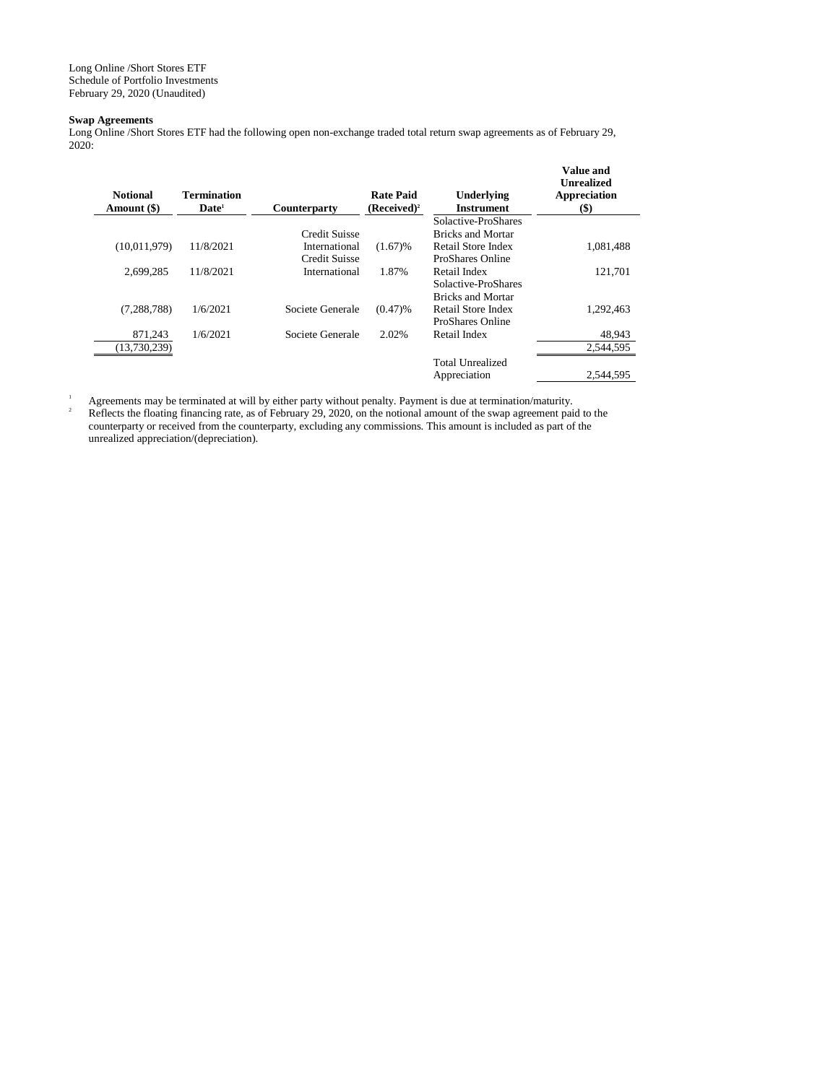Long Online /Short Stores ETF Schedule of Portfolio Investments February 29, 2020 (Unaudited)

# **Swap Agreements**

Long Online /Short Stores ETF had the following open non-exchange traded total return swap agreements as of February 29, 2020:

| <b>Notional</b><br>Amount (\$) | <b>Termination</b><br>$\mathbf{Date}^1$ | <b>Counterparty</b> | <b>Rate Paid</b><br>$(Received)^2$ | Underlying<br><b>Instrument</b> | Value and<br><b>Unrealized</b><br>Appreciation<br>(\$) |
|--------------------------------|-----------------------------------------|---------------------|------------------------------------|---------------------------------|--------------------------------------------------------|
|                                |                                         |                     |                                    | Solactive-ProShares             |                                                        |
|                                |                                         | Credit Suisse       |                                    | <b>Bricks and Mortar</b>        |                                                        |
| (10,011,979)                   | 11/8/2021                               | International       | (1.67)%                            | Retail Store Index              | 1.081.488                                              |
|                                |                                         | Credit Suisse       |                                    | ProShares Online                |                                                        |
| 2,699,285                      | 11/8/2021                               | International       | 1.87%                              | Retail Index                    | 121,701                                                |
|                                |                                         |                     |                                    | Solactive-ProShares             |                                                        |
|                                |                                         |                     |                                    | <b>Bricks and Mortar</b>        |                                                        |
| (7, 288, 788)                  | 1/6/2021                                | Societe Generale    | $(0.47)$ %                         | Retail Store Index              | 1,292,463                                              |
|                                |                                         |                     |                                    | ProShares Online                |                                                        |
| 871,243                        | 1/6/2021                                | Societe Generale    | 2.02%                              | Retail Index                    | 48,943                                                 |
| (13,730,239)                   |                                         |                     |                                    |                                 | 2,544,595                                              |
|                                |                                         |                     |                                    | Total Unrealized                |                                                        |
|                                |                                         |                     |                                    | Appreciation                    | 2.544.595                                              |
|                                |                                         |                     |                                    |                                 |                                                        |

<sup>1</sup> Agreements may be terminated at will by either party without penalty. Payment is due at termination/maturity.<br><sup>2</sup> Beflects the fleating financing rate as of February 20, 2020, on the potional smount of the sump genero

Reflects the floating financing rate, as of February 29, 2020, on the notional amount of the swap agreement paid to the counterparty or received from the counterparty, excluding any commissions. This amount is included as part of the unrealized appreciation/(depreciation).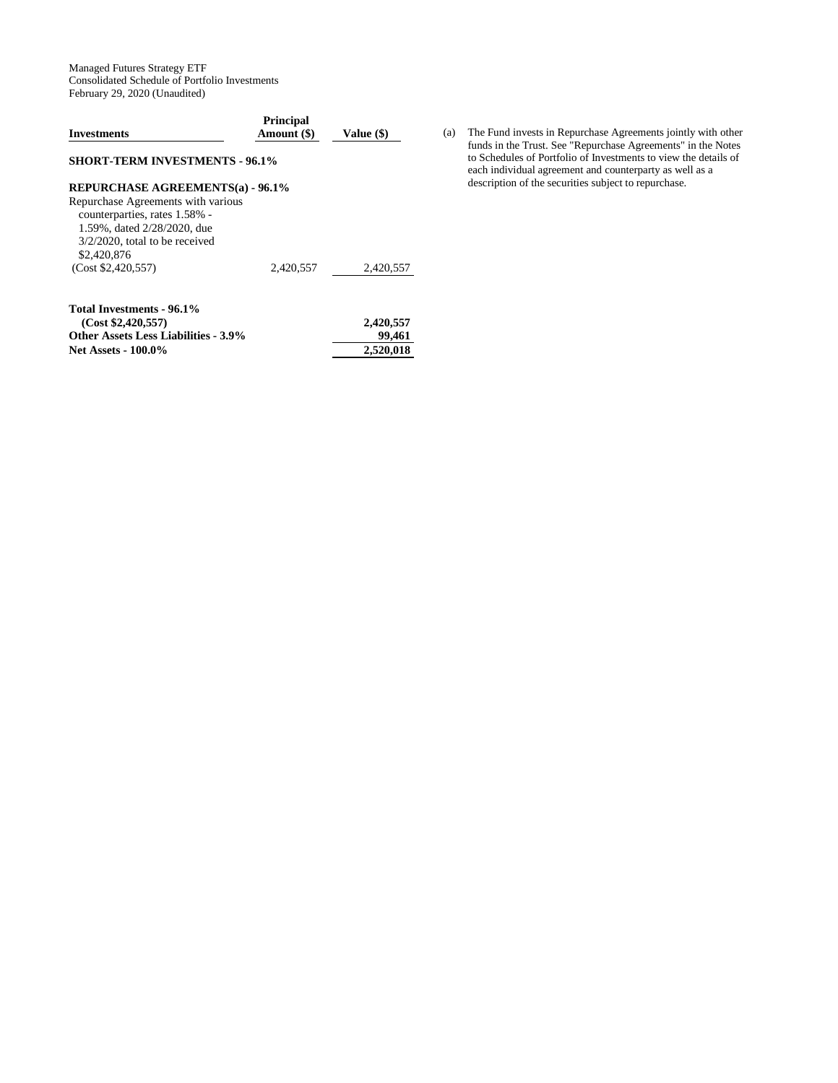Managed Futures Strategy ETF Consolidated Schedule of Portfolio Investments February 29, 2020 (Unaudited)

| <b>Investments</b>                                                                                                                                                                                                      | <b>Principal</b><br>Amount (\$) | Value (\$)                       |
|-------------------------------------------------------------------------------------------------------------------------------------------------------------------------------------------------------------------------|---------------------------------|----------------------------------|
| <b>SHORT-TERM INVESTMENTS - 96.1%</b>                                                                                                                                                                                   |                                 |                                  |
| <b>REPURCHASE AGREEMENTS(a) - 96.1%</b><br>Repurchase Agreements with various<br>counterparties, rates 1.58% -<br>1.59%, dated 2/28/2020, due<br>$3/2/2020$ , total to be received<br>\$2,420,876<br>(Cost \$2,420,557) | 2,420,557                       | 2,420,557                        |
| Total Investments - 96.1%<br>(Cost \$2,420,557)<br><b>Other Assets Less Liabilities - 3.9%</b><br><b>Net Assets - 100.0%</b>                                                                                            |                                 | 2,420,557<br>99,461<br>2,520,018 |

(a) The Fund invests in Repurchase Agreements jointly with other funds in the Trust. See "Repurchase Agreements" in the Notes to Schedules of Portfolio of Investments to view the details of each individual agreement and counterparty as well as a description of the securities subject to repurchase.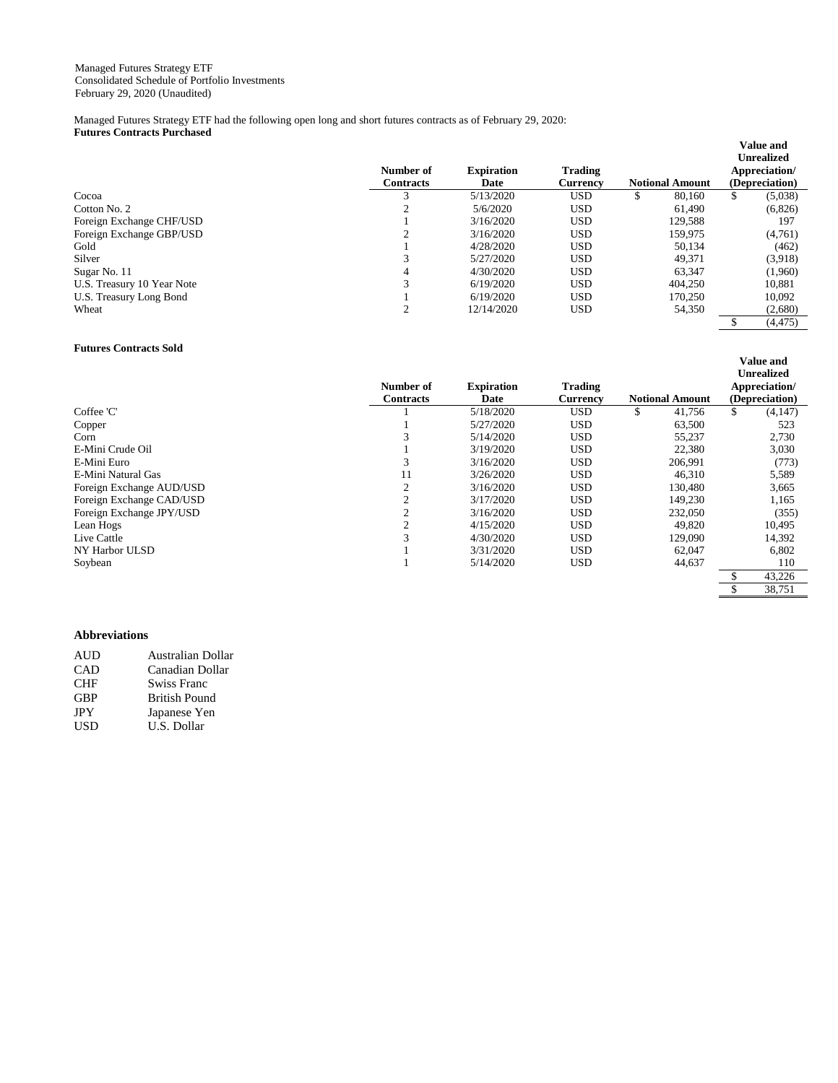Managed Futures Strategy ETF had the following open long and short futures contracts as of February 29, 2020: **Futures Contracts Purchased** 

|                            | Number of<br><b>Contracts</b> | <b>Expiration</b><br>Date | <b>Trading</b><br><b>Currency</b> | <b>Notional Amount</b> | <b>Unrealized</b><br>Appreciation/<br>(Depreciation) |
|----------------------------|-------------------------------|---------------------------|-----------------------------------|------------------------|------------------------------------------------------|
| Cocoa                      |                               | 5/13/2020                 | <b>USD</b>                        | 80,160<br>\$           | \$<br>(5,038)                                        |
| Cotton No. 2               | ◠                             | 5/6/2020                  | <b>USD</b>                        | 61,490                 | (6,826)                                              |
| Foreign Exchange CHF/USD   |                               | 3/16/2020                 | <b>USD</b>                        | 129.588                | 197                                                  |
| Foreign Exchange GBP/USD   | ◠                             | 3/16/2020                 | <b>USD</b>                        | 159,975                | (4,761)                                              |
| Gold                       |                               | 4/28/2020                 | <b>USD</b>                        | 50.134                 | (462)                                                |
| Silver                     | 3                             | 5/27/2020                 | <b>USD</b>                        | 49,371                 | (3.918)                                              |
| Sugar No. 11               | 4                             | 4/30/2020                 | <b>USD</b>                        | 63.347                 | (1,960)                                              |
| U.S. Treasury 10 Year Note | 3                             | 6/19/2020                 | <b>USD</b>                        | 404,250                | 10,881                                               |
| U.S. Treasury Long Bond    |                               | 6/19/2020                 | <b>USD</b>                        | 170,250                | 10,092                                               |
| Wheat                      | $\gamma$                      | 12/14/2020                | <b>USD</b>                        | 54,350                 | (2,680)                                              |
|                            |                               |                           |                                   |                        | (4, 475)                                             |

## **Futures Contracts Sold**

|                          |                  |                   |                 |                        | <b>Unrealized</b> |
|--------------------------|------------------|-------------------|-----------------|------------------------|-------------------|
|                          | Number of        | <b>Expiration</b> | <b>Trading</b>  |                        | Appreciation/     |
|                          | <b>Contracts</b> | Date              | <b>Currency</b> | <b>Notional Amount</b> | (Depreciation)    |
| Coffee 'C'               |                  | 5/18/2020         | USD             | 41,756<br>\$           | \$<br>(4,147)     |
| Copper                   |                  | 5/27/2020         | <b>USD</b>      | 63,500                 | 523               |
| Corn                     |                  | 5/14/2020         | <b>USD</b>      | 55,237                 | 2,730             |
| E-Mini Crude Oil         |                  | 3/19/2020         | <b>USD</b>      | 22,380                 | 3,030             |
| E-Mini Euro              | 3                | 3/16/2020         | USD             | 206,991                | (773)             |
| E-Mini Natural Gas       | 11               | 3/26/2020         | USD             | 46,310                 | 5,589             |
| Foreign Exchange AUD/USD | 2                | 3/16/2020         | USD             | 130,480                | 3,665             |
| Foreign Exchange CAD/USD | $\Omega$         | 3/17/2020         | <b>USD</b>      | 149,230                | 1,165             |
| Foreign Exchange JPY/USD | ◠                | 3/16/2020         | <b>USD</b>      | 232,050                | (355)             |
| Lean Hogs                | $\bigcap$        | 4/15/2020         | USD             | 49,820                 | 10,495            |
| Live Cattle              | 3                | 4/30/2020         | <b>USD</b>      | 129,090                | 14,392            |
| NY Harbor ULSD           |                  | 3/31/2020         | <b>USD</b>      | 62,047                 | 6,802             |
| Soybean                  |                  | 5/14/2020         | USD             | 44,637                 | 110               |
|                          |                  |                   |                 |                        | 43,226            |

 $\frac{1}{38}$  38,751

**Value and** 

**Value and** 

# **Abbreviations**

| <b>AUD</b> | Australian Dollar    |
|------------|----------------------|
| CAD        | Canadian Dollar      |
| <b>CHF</b> | <b>Swiss Franc</b>   |
| <b>GBP</b> | <b>British Pound</b> |
| JPY        | Japanese Yen         |
| <b>USD</b> | U.S. Dollar          |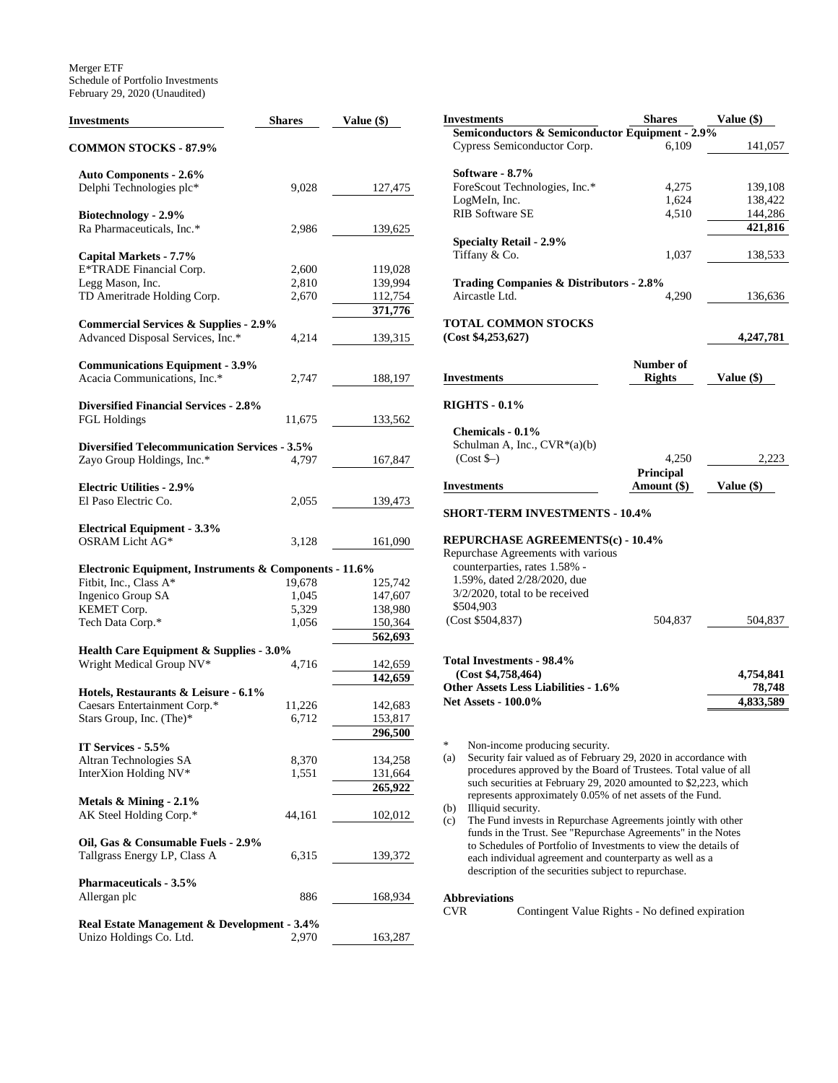Merger ETF Schedule of Portfolio Investments February 29, 2020 (Unaudited)

| <b>Investments</b>                                                  | <b>Shares</b> | Value (\$)         |  |  |
|---------------------------------------------------------------------|---------------|--------------------|--|--|
| <b>COMMON STOCKS - 87.9%</b>                                        |               |                    |  |  |
| <b>Auto Components - 2.6%</b>                                       |               |                    |  |  |
| Delphi Technologies plc*                                            | 9,028         | 127,475            |  |  |
| Biotechnology - 2.9%                                                |               |                    |  |  |
| Ra Pharmaceuticals, Inc.*                                           | 2,986         | 139,625            |  |  |
| Capital Markets - 7.7%                                              |               |                    |  |  |
| E*TRADE Financial Corp.                                             | 2,600         | 119,028            |  |  |
| Legg Mason, Inc.                                                    | 2,810         | 139,994            |  |  |
| TD Ameritrade Holding Corp.                                         | 2,670         | 112,754<br>371,776 |  |  |
| <b>Commercial Services &amp; Supplies - 2.9%</b>                    |               |                    |  |  |
| Advanced Disposal Services, Inc.*                                   | 4,214         | 139,315            |  |  |
|                                                                     |               |                    |  |  |
| <b>Communications Equipment - 3.9%</b>                              |               |                    |  |  |
| Acacia Communications, Inc.*                                        | 2,747         | 188,197            |  |  |
|                                                                     |               |                    |  |  |
| <b>Diversified Financial Services - 2.8%</b><br><b>FGL Holdings</b> |               |                    |  |  |
|                                                                     | 11,675        | 133,562            |  |  |
| <b>Diversified Telecommunication Services - 3.5%</b>                |               |                    |  |  |
| Zayo Group Holdings, Inc.*                                          | 4,797         | 167,847            |  |  |
|                                                                     |               |                    |  |  |
| <b>Electric Utilities - 2.9%</b>                                    |               |                    |  |  |
| El Paso Electric Co.                                                | 2,055         | 139,473            |  |  |
|                                                                     |               |                    |  |  |
| <b>Electrical Equipment - 3.3%</b><br>OSRAM Licht AG*               | 3,128         | 161,090            |  |  |
|                                                                     |               |                    |  |  |
| Electronic Equipment, Instruments & Components - 11.6%              |               |                    |  |  |
| Fitbit, Inc., Class A*                                              | 19,678        | 125,742            |  |  |
| Ingenico Group SA                                                   | 1,045         | 147,607            |  |  |
| KEMET Corp.                                                         | 5,329         | 138,980            |  |  |
| Tech Data Corp.*                                                    | 1,056         | 150,364<br>562,693 |  |  |
| Health Care Equipment & Supplies - 3.0%                             |               |                    |  |  |
| Wright Medical Group NV*                                            | 4,716         | 142,659            |  |  |
|                                                                     |               | 142,659            |  |  |
| Hotels, Restaurants & Leisure - 6.1%                                |               |                    |  |  |
| Caesars Entertainment Corp.*                                        | 11,226        | 142,683            |  |  |
| Stars Group, Inc. (The)*                                            | 6,712         | 153,817            |  |  |
| IT Services - 5.5%                                                  |               | 296,500            |  |  |
| Altran Technologies SA                                              | 8,370         | 134,258            |  |  |
| InterXion Holding NV*                                               | 1,551         | 131,664            |  |  |
|                                                                     |               | 265,922            |  |  |
| Metals & Mining - 2.1%                                              |               |                    |  |  |
| AK Steel Holding Corp.*                                             | 44,161        | 102,012            |  |  |
|                                                                     |               |                    |  |  |
| Oil, Gas & Consumable Fuels - 2.9%                                  |               |                    |  |  |
| Tallgrass Energy LP, Class A                                        | 6,315         | 139,372            |  |  |
| <b>Pharmaceuticals - 3.5%</b>                                       |               |                    |  |  |
| Allergan plc                                                        | 886           | 168,934            |  |  |
|                                                                     |               |                    |  |  |
| Real Estate Management & Development - 3.4%                         |               |                    |  |  |
| Unizo Holdings Co. Ltd.                                             | 2,970         | 163,287            |  |  |

| Investments                                                                                                                                                                                                                                                                                                                                                                                                                                                                                                                                                                                                                                                                 | <b>Shares</b>              | Value (\$)                       |
|-----------------------------------------------------------------------------------------------------------------------------------------------------------------------------------------------------------------------------------------------------------------------------------------------------------------------------------------------------------------------------------------------------------------------------------------------------------------------------------------------------------------------------------------------------------------------------------------------------------------------------------------------------------------------------|----------------------------|----------------------------------|
| Semiconductors & Semiconductor Equipment - 2.9%<br>Cypress Semiconductor Corp.                                                                                                                                                                                                                                                                                                                                                                                                                                                                                                                                                                                              | 6,109                      | 141,057                          |
| Software - 8.7%                                                                                                                                                                                                                                                                                                                                                                                                                                                                                                                                                                                                                                                             |                            |                                  |
| ForeScout Technologies, Inc.*                                                                                                                                                                                                                                                                                                                                                                                                                                                                                                                                                                                                                                               | 4,275                      | 139,108                          |
| LogMeIn, Inc.                                                                                                                                                                                                                                                                                                                                                                                                                                                                                                                                                                                                                                                               | 1,624                      | 138,422                          |
| <b>RIB Software SE</b>                                                                                                                                                                                                                                                                                                                                                                                                                                                                                                                                                                                                                                                      | 4,510                      | 144,286                          |
|                                                                                                                                                                                                                                                                                                                                                                                                                                                                                                                                                                                                                                                                             |                            | 421,816                          |
| <b>Specialty Retail - 2.9%</b><br>Tiffany & Co.                                                                                                                                                                                                                                                                                                                                                                                                                                                                                                                                                                                                                             | 1,037                      | 138,533                          |
| <b>Trading Companies &amp; Distributors - 2.8%</b><br>Aircastle Ltd.                                                                                                                                                                                                                                                                                                                                                                                                                                                                                                                                                                                                        | 4,290                      | 136,636                          |
| TOTAL COMMON STOCKS<br>(Cost \$4,253,627)                                                                                                                                                                                                                                                                                                                                                                                                                                                                                                                                                                                                                                   |                            |                                  |
|                                                                                                                                                                                                                                                                                                                                                                                                                                                                                                                                                                                                                                                                             |                            | 4,247,781                        |
| Investments                                                                                                                                                                                                                                                                                                                                                                                                                                                                                                                                                                                                                                                                 | Number of<br><b>Rights</b> | Value (\$)                       |
| <b>RIGHTS - 0.1%</b>                                                                                                                                                                                                                                                                                                                                                                                                                                                                                                                                                                                                                                                        |                            |                                  |
| Chemicals - 0.1%<br>Schulman A, Inc., CVR*(a)(b)<br>$(Cost$ \$–)                                                                                                                                                                                                                                                                                                                                                                                                                                                                                                                                                                                                            | 4,250                      | 2,223                            |
|                                                                                                                                                                                                                                                                                                                                                                                                                                                                                                                                                                                                                                                                             | Principal                  |                                  |
| Investments                                                                                                                                                                                                                                                                                                                                                                                                                                                                                                                                                                                                                                                                 | Amount (\$)                | Value (\$)                       |
| <b>SHORT-TERM INVESTMENTS - 10.4%</b>                                                                                                                                                                                                                                                                                                                                                                                                                                                                                                                                                                                                                                       |                            |                                  |
| REPURCHASE AGREEMENTS(c) - 10.4%<br>Repurchase Agreements with various<br>counterparties, rates 1.58% -<br>1.59%, dated 2/28/2020, due<br>3/2/2020, total to be received                                                                                                                                                                                                                                                                                                                                                                                                                                                                                                    |                            |                                  |
| \$504,903<br>(Cost \$504,837)                                                                                                                                                                                                                                                                                                                                                                                                                                                                                                                                                                                                                                               | 504,837                    | 504,837                          |
| Total Investments - 98.4%<br>(Cost \$4,758,464)<br><b>Other Assets Less Liabilities - 1.6%</b><br><b>Net Assets - 100.0%</b>                                                                                                                                                                                                                                                                                                                                                                                                                                                                                                                                                |                            | 4,754,841<br>78,748<br>4,833,589 |
| *<br>Non-income producing security.<br>Security fair valued as of February 29, 2020 in accordance with<br>(a)<br>procedures approved by the Board of Trustees. Total value of all<br>such securities at February 29, 2020 amounted to \$2,223, which<br>represents approximately 0.05% of net assets of the Fund.<br>Illiquid security.<br>(b)<br>(c)<br>The Fund invests in Repurchase Agreements jointly with other<br>funds in the Trust. See "Repurchase Agreements" in the Notes<br>to Schedules of Portfolio of Investments to view the details of<br>each individual agreement and counterparty as well as a<br>description of the securities subject to repurchase. |                            |                                  |

# **Abbreviations**

Contingent Value Rights - No defined expiration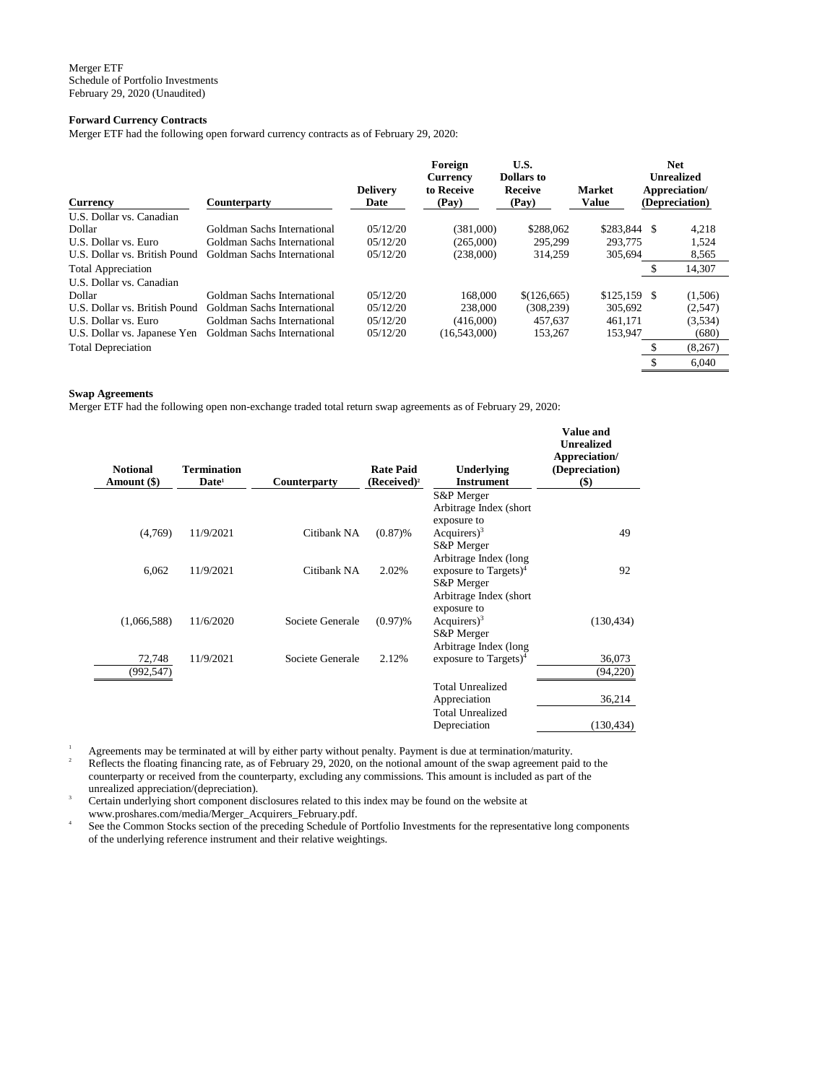# **Forward Currency Contracts**

Merger ETF had the following open forward currency contracts as of February 29, 2020:

| <b>Currency</b>               | <b>Counterparty</b>         | <b>Delivery</b><br>Date | Foreign<br><b>Currency</b><br>to Receive<br>(Pay) | U.S.<br><b>Dollars</b> to<br>Receive<br>(Pay) | <b>Market</b><br><b>Value</b> | <b>Net</b><br><b>Unrealized</b><br>Appreciation/<br>(Depreciation) |
|-------------------------------|-----------------------------|-------------------------|---------------------------------------------------|-----------------------------------------------|-------------------------------|--------------------------------------------------------------------|
| U.S. Dollar vs. Canadian      |                             |                         |                                                   |                                               |                               |                                                                    |
| Dollar                        | Goldman Sachs International | 05/12/20                | (381,000)                                         | \$288,062                                     | \$283,844 \$                  | 4,218                                                              |
| U.S. Dollar vs. Euro          | Goldman Sachs International | 0.5/12/20               | (265,000)                                         | 295.299                                       | 293,775                       | 1,524                                                              |
| U.S. Dollar vs. British Pound | Goldman Sachs International | 05/12/20                | (238,000)                                         | 314.259                                       | 305,694                       | 8,565                                                              |
| <b>Total Appreciation</b>     |                             |                         |                                                   |                                               |                               | 14,307                                                             |
| U.S. Dollar vs. Canadian      |                             |                         |                                                   |                                               |                               |                                                                    |
| Dollar                        | Goldman Sachs International | 0.5/12/20               | 168,000                                           | \$(126, 665)                                  | $$125,159$ \, \$              | (1,506)                                                            |
| U.S. Dollar vs. British Pound | Goldman Sachs International | 0.5/12/20               | 238,000                                           | (308, 239)                                    | 305.692                       | (2,547)                                                            |
| U.S. Dollar vs. Euro          | Goldman Sachs International | 05/12/20                | (416,000)                                         | 457,637                                       | 461.171                       | (3,534)                                                            |
| U.S. Dollar vs. Japanese Yen  | Goldman Sachs International | 05/12/20                | (16,543,000)                                      | 153,267                                       | 153,947                       | (680)                                                              |
| <b>Total Depreciation</b>     |                             |                         |                                                   |                                               |                               | (8,267)                                                            |
|                               |                             |                         |                                                   |                                               |                               | 6.040                                                              |

#### **Swap Agreements**

Merger ETF had the following open non-exchange traded total return swap agreements as of February 29, 2020:

| <b>Notional</b><br>Amount (\$) | <b>Termination</b><br>Date <sup>1</sup> | Counterparty     | <b>Rate Paid</b><br>$(Received)^2$ | Underlying<br><b>Instrument</b>                            | <b>Value and</b><br><b>Unrealized</b><br>Appreciation/<br>(Depreciation)<br>\$) |
|--------------------------------|-----------------------------------------|------------------|------------------------------------|------------------------------------------------------------|---------------------------------------------------------------------------------|
|                                |                                         |                  |                                    | S&P Merger                                                 |                                                                                 |
|                                |                                         |                  |                                    | Arbitrage Index (short)<br>exposure to                     |                                                                                 |
| (4,769)                        | 11/9/2021                               | Citibank NA      | (0.87)%                            | Acquirers $)^3$                                            | 49                                                                              |
|                                |                                         |                  |                                    | S&P Merger                                                 |                                                                                 |
| 6,062                          | 11/9/2021                               | Citibank NA      | 2.02%                              | Arbitrage Index (long<br>exposure to Targets) <sup>4</sup> | 92                                                                              |
|                                |                                         |                  |                                    | S&P Merger                                                 |                                                                                 |
|                                |                                         |                  |                                    | Arbitrage Index (short                                     |                                                                                 |
|                                |                                         |                  |                                    | exposure to                                                |                                                                                 |
| (1,066,588)                    | 11/6/2020                               | Societe Generale | $(0.97)$ %                         | Acquirers $)^3$<br>S&P Merger                              | (130, 434)                                                                      |
|                                |                                         |                  |                                    | Arbitrage Index (long                                      |                                                                                 |
| 72,748                         | 11/9/2021                               | Societe Generale | 2.12%                              | exposure to Targets $)^4$                                  | 36,073                                                                          |
| (992, 547)                     |                                         |                  |                                    |                                                            | (94,220)                                                                        |
|                                |                                         |                  |                                    | <b>Total Unrealized</b>                                    |                                                                                 |
|                                |                                         |                  |                                    | Appreciation                                               | 36,214                                                                          |
|                                |                                         |                  |                                    | <b>Total Unrealized</b>                                    |                                                                                 |
|                                |                                         |                  |                                    | Depreciation                                               | (130, 434)                                                                      |

<sup>1</sup> Agreements may be terminated at will by either party without penalty. Payment is due at termination/maturity.

 $2<sup>2</sup>$  Reflects the floating financing rate, as of February 29, 2020, on the notional amount of the swap agreement paid to the counterparty or received from the counterparty, excluding any commissions. This amount is included as part of the unrealized appreciation/(depreciation).

Certain underlying short component disclosures related to this index may be found on the website at www.proshares.com/media/Merger\_Acquirers\_February.pdf.

4 See the Common Stocks section of the preceding Schedule of Portfolio Investments for the representative long components of the underlying reference instrument and their relative weightings.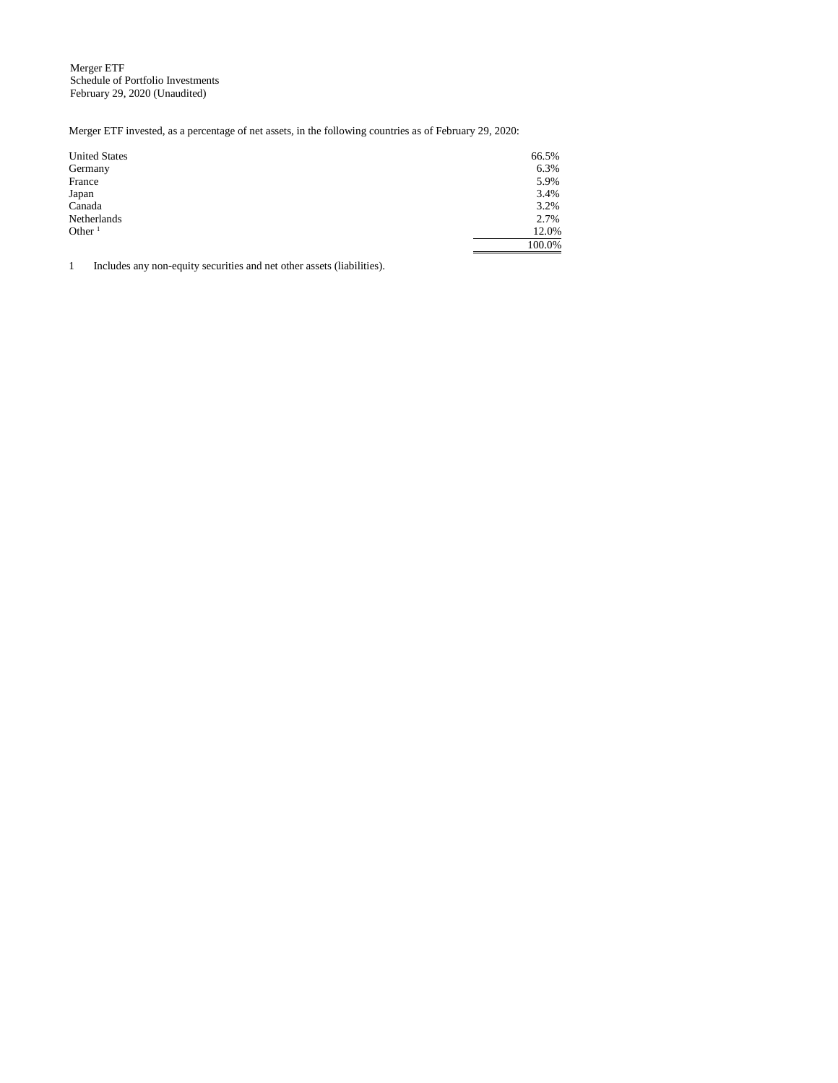Merger ETF Schedule of Portfolio Investments February 29, 2020 (Unaudited)

Merger ETF invested, as a percentage of net assets, in the following countries as of February 29, 2020:

| <b>United States</b> | 66.5%  |
|----------------------|--------|
| Germany              | 6.3%   |
| France               | 5.9%   |
| Japan                | 3.4%   |
| Canada               | 3.2%   |
| Netherlands          | 2.7%   |
| Other $1$            | 12.0%  |
|                      | 100.0% |

1 Includes any non-equity securities and net other assets (liabilities).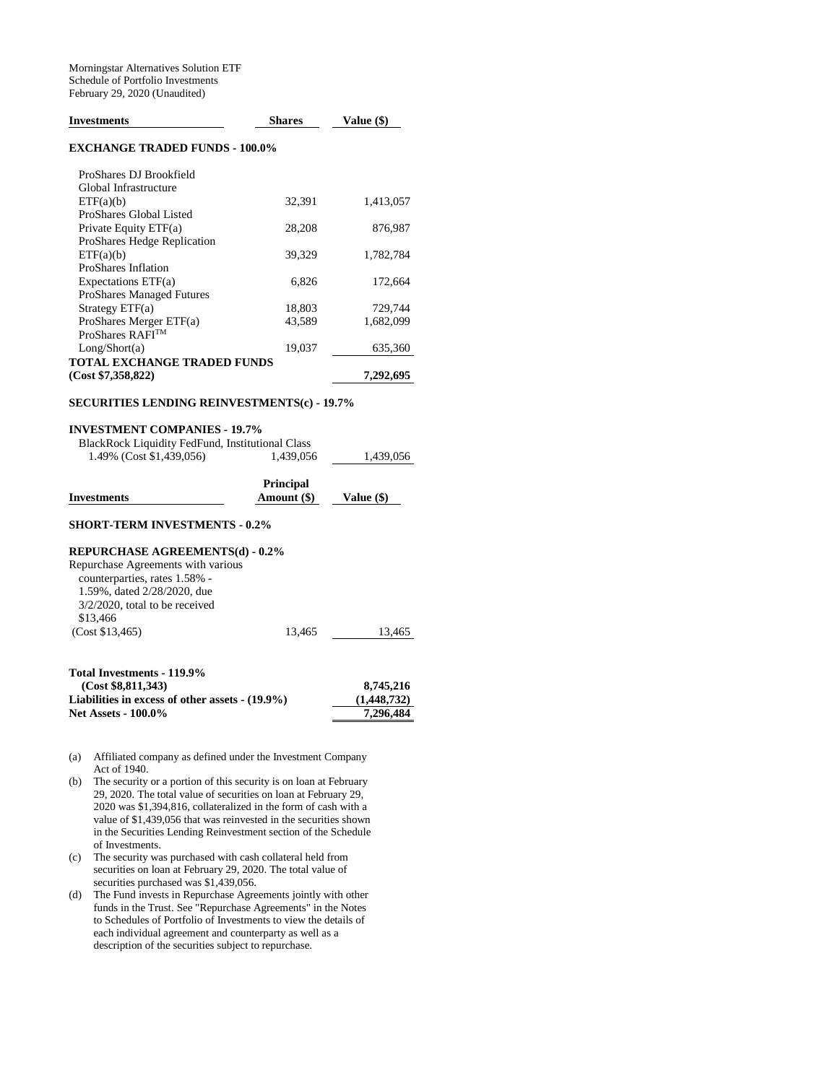| <b>Investments</b>                                 | <b>Shares</b>                   | Value (\$) |  |  |
|----------------------------------------------------|---------------------------------|------------|--|--|
| <b>EXCHANGE TRADED FUNDS - 100.0%</b>              |                                 |            |  |  |
| ProShares DJ Brookfield                            |                                 |            |  |  |
| Global Infrastructure                              |                                 |            |  |  |
| ETF(a)(b)                                          | 32,391                          | 1,413,057  |  |  |
| ProShares Global Listed                            |                                 |            |  |  |
| Private Equity ETF(a)                              | 28,208                          | 876,987    |  |  |
| ProShares Hedge Replication                        |                                 |            |  |  |
| ETF(a)(b)                                          | 39,329                          | 1,782,784  |  |  |
| <b>ProShares Inflation</b>                         |                                 |            |  |  |
| Expectations ETF(a)                                | 6,826                           | 172,664    |  |  |
| <b>ProShares Managed Futures</b>                   |                                 |            |  |  |
| Strategy $ETF(a)$                                  | 18,803                          | 729,744    |  |  |
| ProShares Merger ETF(a)                            | 43,589                          | 1,682,099  |  |  |
| ProShares RAFITM                                   |                                 |            |  |  |
| Long/Short(a)                                      | 19,037                          | 635,360    |  |  |
| <b>TOTAL EXCHANGE TRADED FUNDS</b>                 |                                 |            |  |  |
| (Cost \$7,358,822)                                 |                                 | 7,292,695  |  |  |
| <b>SECURITIES LENDING REINVESTMENTS(c) - 19.7%</b> |                                 |            |  |  |
| <b>INVESTMENT COMPANIES - 19.7%</b>                |                                 |            |  |  |
| BlackRock Liquidity FedFund, Institutional Class   |                                 |            |  |  |
| 1.49% (Cost \$1,439,056)                           | 1,439,056                       | 1,439,056  |  |  |
| <b>Investments</b>                                 | <b>Principal</b><br>Amount (\$) | Value (\$) |  |  |
| <b>SHORT-TERM INVESTMENTS - 0.2%</b>               |                                 |            |  |  |
| <b>REPURCHASE AGREEMENTS(d) - 0.2%</b>             |                                 |            |  |  |
| Repurchase Agreements with various                 |                                 |            |  |  |
| counterparties, rates 1.58% -                      |                                 |            |  |  |
| 1.59%, dated 2/28/2020, due                        |                                 |            |  |  |
| $3/2/2020$ , total to be received                  |                                 |            |  |  |
| \$13,466                                           |                                 |            |  |  |
| (Cost \$13,465)                                    | 13,465                          | 13,465     |  |  |
|                                                    |                                 |            |  |  |
| <b>Total Investments - 119.9%</b>                  |                                 |            |  |  |
| (Cost \$8.811.343)                                 |                                 | 8 745 216  |  |  |

| 8,745,216   |
|-------------|
| (1,448,732) |
| 7.296.484   |
|             |

- (a) Affiliated company as defined under the Investment Company Act of 1940.
- (b) The security or a portion of this security is on loan at February 29, 2020. The total value of securities on loan at February 29, 2020 was \$1,394,816, collateralized in the form of cash with a value of \$1,439,056 that was reinvested in the securities shown in the Securities Lending Reinvestment section of the Schedule of Investments.
- (c) The security was purchased with cash collateral held from securities on loan at February 29, 2020. The total value of securities purchased was \$1,439,056.
- (d) The Fund invests in Repurchase Agreements jointly with other funds in the Trust. See "Repurchase Agreements" in the Notes to Schedules of Portfolio of Investments to view the details of each individual agreement and counterparty as well as a description of the securities subject to repurchase.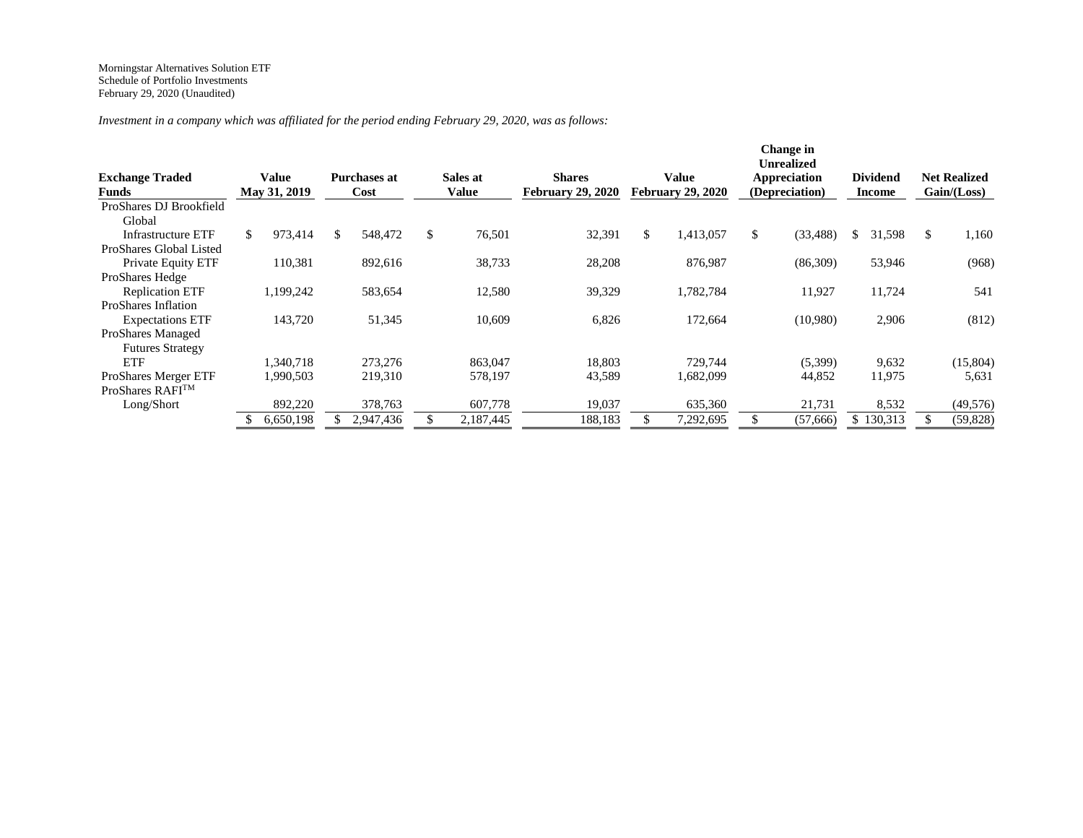*Investment in a company which was affiliated for the period ending February 29, 2020, was as follows:*

| <b>Exchange Traded</b><br>Value<br><b>May 31, 2019</b><br>Funds | Purchases at<br>Cost | Sales at<br>Value | <b>Shares</b><br><b>February 29, 2020</b> | Value<br><b>February 29, 2020</b> | Change in<br><b>Unrealized</b><br>Appreciation<br>(Depreciation) | <b>Dividend</b><br><b>Income</b> | <b>Net Realized</b><br>Gain / (Loss) |
|-----------------------------------------------------------------|----------------------|-------------------|-------------------------------------------|-----------------------------------|------------------------------------------------------------------|----------------------------------|--------------------------------------|
| ProShares DJ Brookfield                                         |                      |                   |                                           |                                   |                                                                  |                                  |                                      |
| Global                                                          |                      |                   |                                           |                                   |                                                                  |                                  |                                      |
| 973,414<br>\$<br><b>Infrastructure ETF</b>                      | 548,472<br>\$        | \$<br>76,501      | 32,391                                    | \$<br>1,413,057                   | (33, 488)<br>\$                                                  | 31,598<br>\$                     | 1,160<br>\$.                         |
| ProShares Global Listed                                         |                      |                   |                                           |                                   |                                                                  |                                  |                                      |
| 110,381<br>Private Equity ETF                                   | 892,616              | 38,733            | 28,208                                    | 876,987                           | (86,309)                                                         | 53,946                           | (968)                                |
| ProShares Hedge                                                 |                      |                   |                                           |                                   |                                                                  |                                  |                                      |
| <b>Replication ETF</b><br>1,199,242                             | 583,654              | 12,580            | 39,329                                    | 1,782,784                         | 11,927                                                           | 11,724                           | 541                                  |
| ProShares Inflation                                             |                      |                   |                                           |                                   |                                                                  |                                  |                                      |
| 143,720<br><b>Expectations ETF</b>                              | 51,345               | 10,609            | 6,826                                     | 172,664                           | (10,980)                                                         | 2,906                            | (812)                                |
| ProShares Managed                                               |                      |                   |                                           |                                   |                                                                  |                                  |                                      |
| <b>Futures Strategy</b>                                         |                      |                   |                                           |                                   |                                                                  |                                  |                                      |
| <b>ETF</b><br>1,340,718                                         | 273,276              | 863,047           | 18,803                                    | 729,744                           | (5,399)                                                          | 9,632                            | (15,804)                             |
| <b>ProShares Merger ETF</b><br>1,990,503                        | 219,310              | 578,197           | 43,589                                    | .682,099                          | 44,852                                                           | 11,975                           | 5,631                                |
| ProShares RAFI™                                                 |                      |                   |                                           |                                   |                                                                  |                                  |                                      |
| Long/Short<br>892,220                                           | 378,763              | 607,778           | 19,037                                    | 635,360                           | 21,731                                                           | 8,532                            | (49, 576)                            |
| 6,650,198                                                       | 2,947,436            | 2,187,445         | 188,183                                   | 7,292,695                         | (57,666)                                                         | \$130,313                        | (59, 828)                            |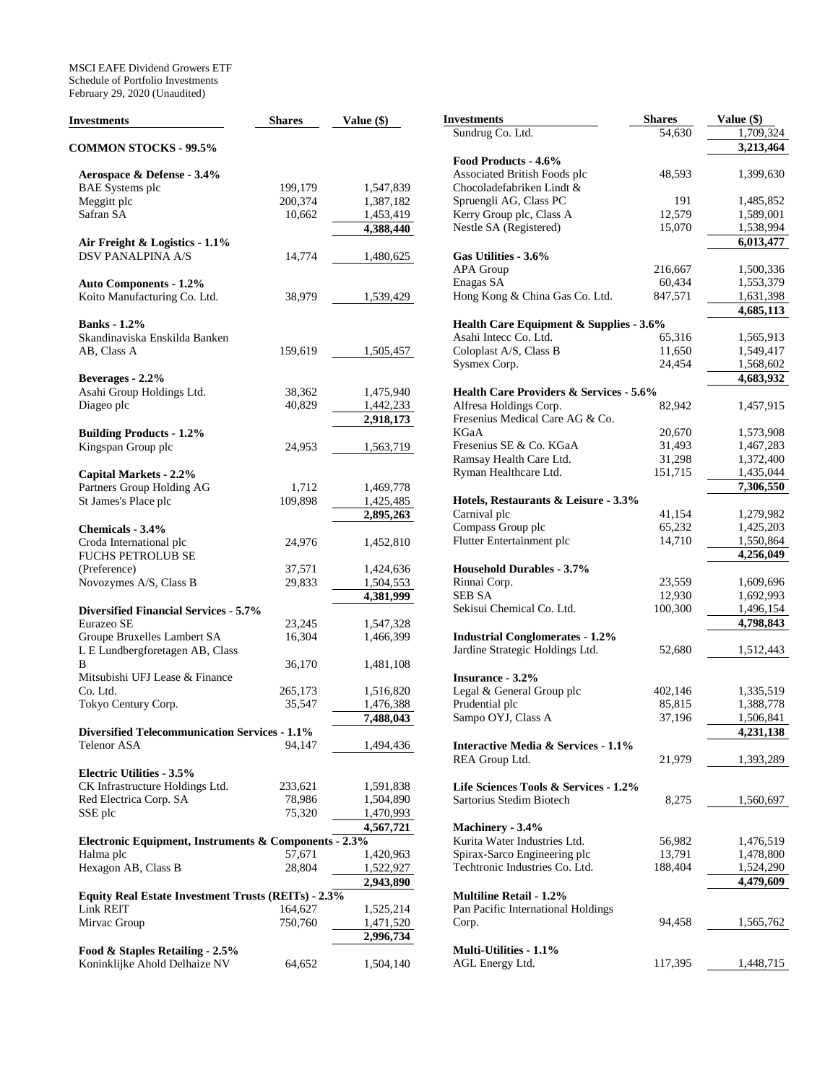MSCI EAFE Dividend Growers ETF Schedule of Portfolio Investments February 29, 2020 (Unaudited)

| <b>Investments</b>                                         | <b>Shares</b> | Value (\$) | <b>Investments</b>                                   | <b>Shares</b> | Value (\$)             |
|------------------------------------------------------------|---------------|------------|------------------------------------------------------|---------------|------------------------|
|                                                            |               |            | Sundrug Co. Ltd.                                     | 54,630        | 1,709,324              |
| <b>COMMON STOCKS - 99.5%</b>                               |               |            |                                                      |               | 3,213,464              |
|                                                            |               |            | Food Products - 4.6%<br>Associated British Foods plc | 48,593        | 1,399,630              |
| Aerospace & Defense - 3.4%                                 | 199,179       | 1,547,839  | Chocoladefabriken Lindt &                            |               |                        |
| <b>BAE</b> Systems plc                                     | 200,374       | 1,387,182  | Spruengli AG, Class PC                               | 191           | 1,485,852              |
| Meggitt plc<br>Safran SA                                   | 10,662        |            | Kerry Group plc, Class A                             | 12,579        | 1,589,001              |
|                                                            |               | 1,453,419  | Nestle SA (Registered)                               | 15,070        |                        |
|                                                            |               | 4,388,440  |                                                      |               | 1,538,994<br>6,013,477 |
| Air Freight & Logistics - 1.1%<br><b>DSV PANALPINA A/S</b> | 14,774        | 1,480,625  | Gas Utilities - 3.6%                                 |               |                        |
|                                                            |               |            | APA Group                                            | 216,667       | 1,500,336              |
|                                                            |               |            | Enagas SA                                            | 60,434        | 1,553,379              |
| <b>Auto Components - 1.2%</b>                              |               |            |                                                      |               |                        |
| Koito Manufacturing Co. Ltd.                               | 38,979        | 1,539,429  | Hong Kong & China Gas Co. Ltd.                       | 847,571       | 1,631,398<br>4,685,113 |
|                                                            |               |            |                                                      |               |                        |
| <b>Banks</b> - 1.2%                                        |               |            | Health Care Equipment & Supplies - 3.6%              |               |                        |
| Skandinaviska Enskilda Banken                              |               |            | Asahi Intecc Co. Ltd.                                | 65,316        | 1,565,913              |
| AB, Class A                                                | 159,619       | 1,505,457  | Coloplast A/S, Class B                               | 11,650        | 1,549,417              |
|                                                            |               |            | Sysmex Corp.                                         | 24,454        | 1,568,602              |
| Beverages - 2.2%                                           |               |            |                                                      |               | 4,683,932              |
| Asahi Group Holdings Ltd.                                  | 38,362        | 1,475,940  | Health Care Providers & Services - 5.6%              |               |                        |
| Diageo plc                                                 | 40,829        | 1,442,233  | Alfresa Holdings Corp.                               | 82,942        | 1,457,915              |
|                                                            |               | 2,918,173  | Fresenius Medical Care AG & Co.                      |               |                        |
| <b>Building Products - 1.2%</b>                            |               |            | <b>KGaA</b>                                          | 20.670        | 1,573,908              |
| Kingspan Group plc                                         | 24,953        | 1,563,719  | Fresenius SE & Co. KGaA                              | 31,493        | 1,467,283              |
|                                                            |               |            | Ramsay Health Care Ltd.                              | 31,298        | 1,372,400              |
| Capital Markets - 2.2%                                     |               |            | Ryman Healthcare Ltd.                                | 151,715       | 1,435,044              |
| Partners Group Holding AG                                  | 1,712         | 1,469,778  |                                                      |               | 7,306,550              |
| St James's Place plc                                       | 109,898       | 1,425,485  | Hotels, Restaurants & Leisure - 3.3%                 |               |                        |
|                                                            |               | 2,895,263  | Carnival plc                                         | 41,154        | 1,279,982              |
| Chemicals - 3.4%                                           |               |            | Compass Group plc                                    | 65,232        | 1,425,203              |
| Croda International plc                                    | 24,976        | 1,452,810  | Flutter Entertainment plc                            | 14,710        | 1,550,864              |
| FUCHS PETROLUB SE                                          |               |            |                                                      |               | 4,256,049              |
| (Preference)                                               | 37,571        | 1,424,636  | <b>Household Durables - 3.7%</b>                     |               |                        |
| Novozymes A/S, Class B                                     | 29,833        | 1,504,553  | Rinnai Corp.                                         | 23,559        | 1,609,696              |
|                                                            |               | 4,381,999  | <b>SEB SA</b>                                        | 12,930        | 1,692,993              |
| <b>Diversified Financial Services - 5.7%</b>               |               |            | Sekisui Chemical Co. Ltd.                            | 100,300       | 1,496,154              |
| Eurazeo SE                                                 | 23,245        | 1,547,328  |                                                      |               | 4,798,843              |
| Groupe Bruxelles Lambert SA                                | 16,304        | 1,466,399  | <b>Industrial Conglomerates - 1.2%</b>               |               |                        |
| L E Lundbergforetagen AB, Class                            |               |            | Jardine Strategic Holdings Ltd.                      | 52,680        | 1,512,443              |
| B                                                          | 36,170        | 1,481,108  |                                                      |               |                        |
| Mitsubishi UFJ Lease & Finance                             |               |            | <b>Insurance - 3.2%</b>                              |               |                        |
| Co. Ltd.                                                   | 265,173       | 1,516,820  | Legal & General Group plc                            | 402,146       | 1,335,519              |
| Tokyo Century Corp.                                        | 35,547        | 1,476,388  | Prudential plc                                       | 85,815        | 1,388,778              |
|                                                            |               | 7,488,043  | Sampo OYJ, Class A                                   | 37,196        | 1,506,841              |
| <b>Diversified Telecommunication Services - 1.1%</b>       |               |            |                                                      |               | 4,231,138              |
| Telenor ASA                                                | 94,147        | 1,494,436  | Interactive Media & Services - 1.1%                  |               |                        |
|                                                            |               |            | REA Group Ltd.                                       | 21,979        | 1,393,289              |
| <b>Electric Utilities - 3.5%</b>                           |               |            |                                                      |               |                        |
| CK Infrastructure Holdings Ltd.                            | 233,621       | 1,591,838  | Life Sciences Tools & Services - 1.2%                |               |                        |
| Red Electrica Corp. SA                                     | 78,986        | 1,504,890  | Sartorius Stedim Biotech                             | 8,275         | 1,560,697              |
| SSE plc                                                    | 75,320        | 1,470,993  |                                                      |               |                        |
|                                                            |               | 4,567,721  | Machinery - 3.4%                                     |               |                        |
| Electronic Equipment, Instruments & Components - 2.3%      |               |            | Kurita Water Industries Ltd.                         | 56,982        | 1,476,519              |
| Halma plc                                                  | 57,671        | 1,420,963  | Spirax-Sarco Engineering plc                         | 13,791        | 1,478,800              |
| Hexagon AB, Class B                                        | 28,804        | 1,522,927  | Techtronic Industries Co. Ltd.                       | 188,404       | 1,524,290              |
|                                                            |               | 2,943,890  |                                                      |               | 4,479,609              |
| Equity Real Estate Investment Trusts (REITs) - 2.3%        |               |            | <b>Multiline Retail - 1.2%</b>                       |               |                        |
| Link REIT                                                  | 164,627       | 1,525,214  | Pan Pacific International Holdings                   |               |                        |
| Mirvac Group                                               | 750,760       | 1,471,520  | Corp.                                                | 94,458        | 1,565,762              |
|                                                            |               | 2,996,734  |                                                      |               |                        |
| Food & Staples Retailing - 2.5%                            |               |            | Multi-Utilities - 1.1%                               |               |                        |
| Koninklijke Ahold Delhaize NV                              | 64,652        | 1,504,140  | AGL Energy Ltd.                                      | 117,395       | 1,448,715              |
|                                                            |               |            |                                                      |               |                        |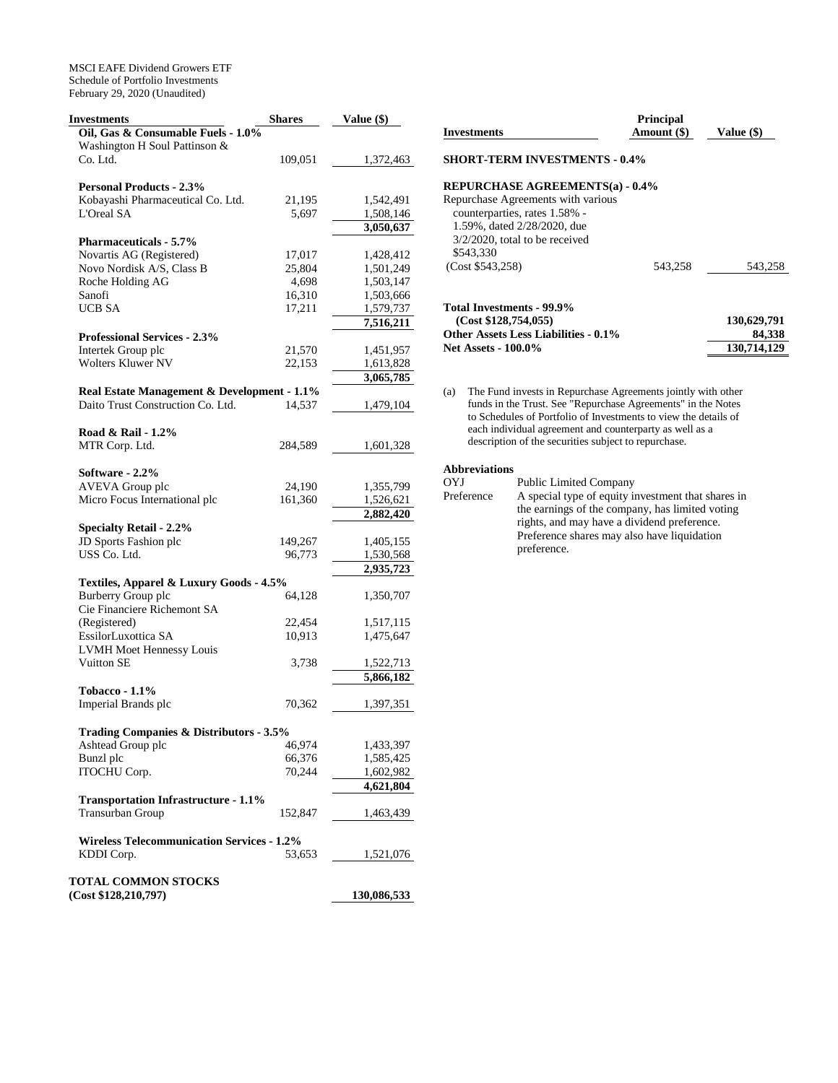MSCI EAFE Dividend Growers ETF Schedule of Portfolio Investments February 29, 2020 (Unaudited)

| <b>Investments</b>                                | <b>Shares</b> | Value (\$)  |
|---------------------------------------------------|---------------|-------------|
| Oil, Gas & Consumable Fuels - 1.0%                |               |             |
| Washington H Soul Pattinson &                     |               |             |
| Co. Ltd.                                          | 109,051       | 1,372,463   |
| <b>Personal Products - 2.3%</b>                   |               |             |
| Kobayashi Pharmaceutical Co. Ltd.                 | 21,195        | 1,542,491   |
| L'Oreal SA                                        | 5,697         | 1,508,146   |
|                                                   |               | 3,050,637   |
| <b>Pharmaceuticals - 5.7%</b>                     |               |             |
| Novartis AG (Registered)                          | 17,017        | 1,428,412   |
| Novo Nordisk A/S, Class B                         | 25,804        | 1,501,249   |
| Roche Holding AG                                  | 4,698         | 1,503,147   |
| Sanofi                                            | 16,310        | 1,503,666   |
| <b>UCB SA</b>                                     | 17,211        | 1,579,737   |
|                                                   |               | 7,516,211   |
| <b>Professional Services - 2.3%</b>               |               |             |
| Intertek Group plc                                | 21,570        | 1,451,957   |
| <b>Wolters Kluwer NV</b>                          | 22,153        | 1,613,828   |
|                                                   |               | 3,065,785   |
| Real Estate Management & Development - 1.1%       |               |             |
| Daito Trust Construction Co. Ltd.                 | 14,537        | 1,479,104   |
|                                                   |               |             |
| Road & Rail - 1.2%<br>MTR Corp. Ltd.              | 284,589       |             |
|                                                   |               | 1,601,328   |
| Software - 2.2%                                   |               |             |
| <b>AVEVA</b> Group plc                            | 24,190        | 1,355,799   |
| Micro Focus International plc                     | 161,360       | 1,526,621   |
|                                                   |               | 2,882,420   |
| <b>Specialty Retail - 2.2%</b>                    |               |             |
| JD Sports Fashion plc                             | 149,267       | 1,405,155   |
| USS Co. Ltd.                                      | 96,773        | 1,530,568   |
|                                                   |               | 2,935,723   |
| Textiles, Apparel & Luxury Goods - 4.5%           |               |             |
| <b>Burberry Group plc</b>                         | 64,128        | 1,350,707   |
| Cie Financiere Richemont SA                       |               |             |
| (Registered)                                      | 22,454        | 1,517,115   |
| EssilorLuxottica SA                               | 10,913        | 1,475,647   |
| <b>LVMH Moet Hennessy Louis</b>                   |               |             |
| Vuitton SE                                        | 3,738         | 1,522,713   |
|                                                   |               | 5,866,182   |
| <b>Tobacco - 1.1%</b>                             |               |             |
| Imperial Brands plc                               | 70,362        | 1,397,351   |
| Trading Companies & Distributors - 3.5%           |               |             |
| Ashtead Group plc                                 | 46,974        | 1,433,397   |
| Bunzl plc                                         | 66,376        | 1,585,425   |
| ITOCHU Corp.                                      | 70,244        | 1,602,982   |
|                                                   |               | 4,621,804   |
| <b>Transportation Infrastructure - 1.1%</b>       |               |             |
| <b>Transurban Group</b>                           | 152,847       | 1,463,439   |
|                                                   |               |             |
| <b>Wireless Telecommunication Services - 1.2%</b> |               |             |
| KDDI Corp.                                        | 53,653        | 1,521,076   |
|                                                   |               |             |
| <b>TOTAL COMMON STOCKS</b>                        |               |             |
| (Cost \$128, 210, 797)                            |               | 130,086,533 |

| Investments                                                                                                                                          | <b>Principal</b><br>Amount (\$) | Value (\$)            |
|------------------------------------------------------------------------------------------------------------------------------------------------------|---------------------------------|-----------------------|
| <b>SHORT-TERM INVESTMENTS - 0.4%</b>                                                                                                                 |                                 |                       |
| REPURCHASE AGREEMENTS(a) - 0.4%                                                                                                                      |                                 |                       |
| Repurchase Agreements with various<br>counterparties, rates 1.58% -<br>1.59%, dated 2/28/2020, due<br>$3/2/2020$ , total to be received<br>\$543,330 |                                 |                       |
| (Cost \$543,258)                                                                                                                                     | 543.258                         | 543,258               |
| Total Investments - 99.9%<br>(Cost \$128,754,055)<br>Other Assets Less Liabilities - 0.1%                                                            |                                 | 130,629,791<br>84,338 |
| <b>Net Assets - 100.0%</b>                                                                                                                           |                                 | 130,714,129           |

(a) The Fund invests in Repurchase Agreements jointly with other funds in the Trust. See "Repurchase Agreements" in the Notes to Schedules of Portfolio of Investments to view the details of each individual agreement and counterparty as well as a description of the securities subject to repurchase.

# **Abbreviations**

OYJ Public Limited Company<br>Preference A special type of equity in A special type of equity investment that shares in the earnings of the company, has limited voting rights, and may have a dividend preference. Preference shares may also have liquidation preference.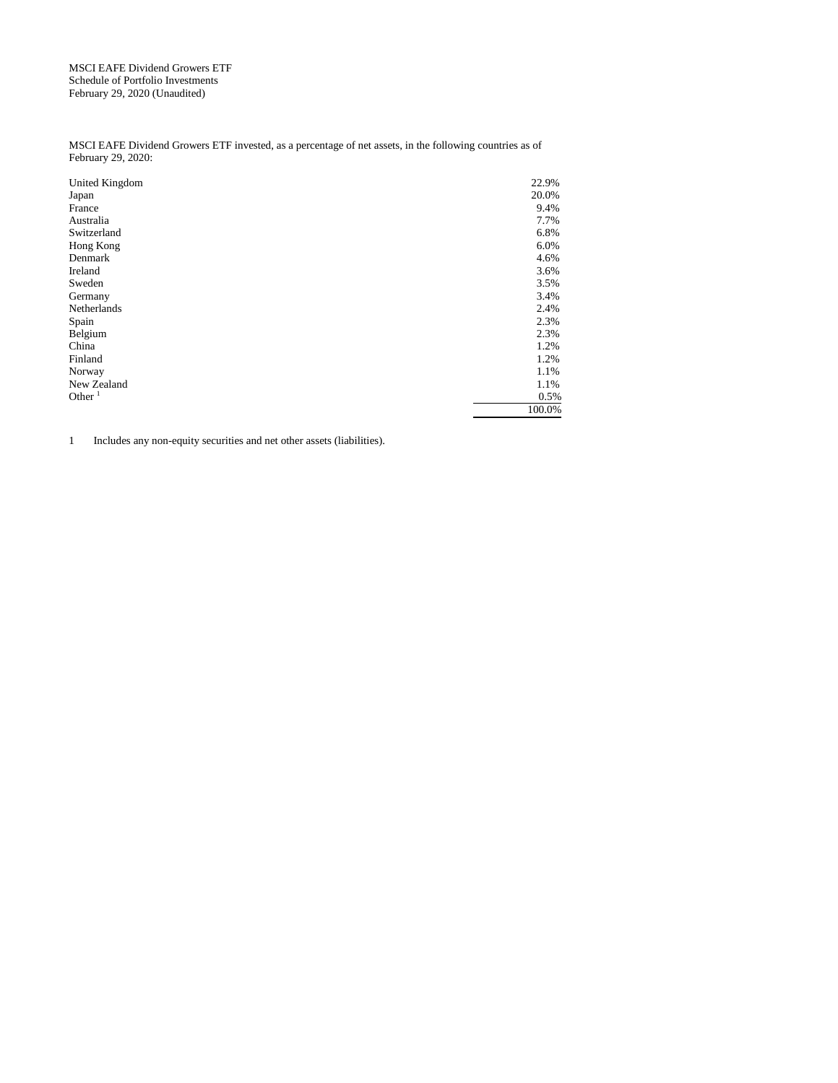MSCI EAFE Dividend Growers ETF Schedule of Portfolio Investments February 29, 2020 (Unaudited)

MSCI EAFE Dividend Growers ETF invested, as a percentage of net assets, in the following countries as of February 29, 2020:

| United Kingdom | 22.9%  |
|----------------|--------|
| Japan          | 20.0%  |
| France         | 9.4%   |
| Australia      | 7.7%   |
| Switzerland    | 6.8%   |
| Hong Kong      | 6.0%   |
| Denmark        | 4.6%   |
| Ireland        | 3.6%   |
| Sweden         | 3.5%   |
| Germany        | 3.4%   |
| Netherlands    | 2.4%   |
| Spain          | 2.3%   |
| Belgium        | 2.3%   |
| China          | 1.2%   |
| Finland        | 1.2%   |
| Norway         | 1.1%   |
| New Zealand    | 1.1%   |
| Other $1$      | 0.5%   |
|                | 100.0% |

1 Includes any non-equity securities and net other assets (liabilities).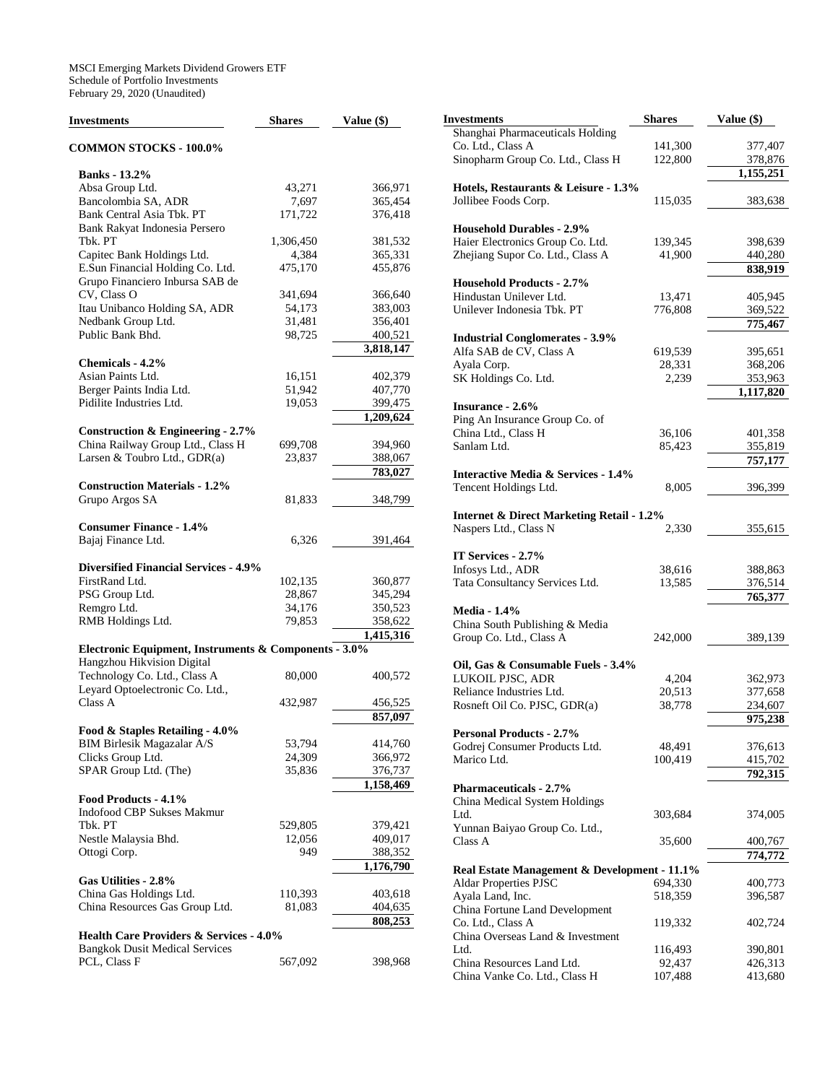MSCI Emerging Markets Dividend Growers ETF Schedule of Portfolio Investments February 29, 2020 (Unaudited)

| Investments                                           | <b>Shares</b> | Value (\$) |
|-------------------------------------------------------|---------------|------------|
| <b>COMMON STOCKS - 100.0%</b>                         |               |            |
| <b>Banks</b> - 13.2%                                  |               |            |
| Absa Group Ltd.                                       | 43,271        | 366,971    |
| Bancolombia SA, ADR                                   | 7,697         | 365,454    |
| Bank Central Asia Tbk. PT                             | 171,722       | 376,418    |
| Bank Rakyat Indonesia Persero                         |               |            |
| Tbk. PT                                               | 1,306,450     | 381,532    |
| Capitec Bank Holdings Ltd.                            | 4,384         | 365,331    |
| E.Sun Financial Holding Co. Ltd.                      | 475,170       | 455,876    |
| Grupo Financiero Inbursa SAB de                       |               |            |
| CV, Class O                                           | 341,694       | 366,640    |
| Itau Unibanco Holding SA, ADR                         | 54,173        | 383,003    |
| Nedbank Group Ltd.                                    | 31,481        | 356,401    |
| Public Bank Bhd.                                      | 98,725        | 400,521    |
|                                                       |               | 3,818,147  |
|                                                       |               |            |
| Chemicals - 4.2%                                      |               |            |
| Asian Paints Ltd.                                     | 16,151        | 402,379    |
| Berger Paints India Ltd.                              | 51,942        | 407,770    |
| Pidilite Industries Ltd.                              | 19,053        | 399,475    |
|                                                       |               | 1,209,624  |
| Construction & Engineering - $2.7\%$                  |               |            |
| China Railway Group Ltd., Class H                     | 699,708       | 394,960    |
| Larsen & Toubro Ltd., GDR(a)                          | 23,837        | 388,067    |
|                                                       |               | 783,027    |
| <b>Construction Materials - 1.2%</b>                  |               |            |
| Grupo Argos SA                                        | 81,833        | 348,799    |
|                                                       |               |            |
| <b>Consumer Finance - 1.4%</b>                        |               |            |
| Bajaj Finance Ltd.                                    | 6,326         | 391,464    |
|                                                       |               |            |
| <b>Diversified Financial Services - 4.9%</b>          |               |            |
| FirstRand Ltd.                                        | 102,135       | 360,877    |
| PSG Group Ltd.                                        | 28,867        | 345,294    |
| Remgro Ltd.                                           | 34,176        | 350,523    |
| RMB Holdings Ltd.                                     | 79,853        | 358,622    |
|                                                       |               | 1,415,316  |
| Electronic Equipment, Instruments & Components - 3.0% |               |            |
| Hangzhou Hikvision Digital                            |               |            |
| Technology Co. Ltd., Class A                          | 80,000        | 400,572    |
| Leyard Optoelectronic Co. Ltd.,                       |               |            |
| Class A                                               | 432,987       | 456,525    |
|                                                       |               | 857,097    |
| Food & Staples Retailing - 4.0%                       |               |            |
| <b>BIM Birlesik Magazalar A/S</b>                     | 53,794        | 414,760    |
| Clicks Group Ltd.                                     | 24,309        | 366,972    |
| SPAR Group Ltd. (The)                                 | 35,836        | 376,737    |
|                                                       |               | 1,158,469  |
| Food Products - 4.1%                                  |               |            |
| Indofood CBP Sukses Makmur                            |               |            |
| Tbk. PT                                               | 529,805       | 379,421    |
| Nestle Malaysia Bhd.                                  | 12,056        | 409,017    |
| Ottogi Corp.                                          | 949           | 388,352    |
|                                                       |               | 1,176,790  |
| Gas Utilities - 2.8%                                  |               |            |
| China Gas Holdings Ltd.                               | 110,393       | 403,618    |
| China Resources Gas Group Ltd.                        | 81,083        | 404,635    |
|                                                       |               | 808,253    |
| <b>Health Care Providers &amp; Services - 4.0%</b>    |               |            |
| <b>Bangkok Dusit Medical Services</b>                 |               |            |
| PCL, Class F                                          | 567,092       | 398,968    |
|                                                       |               |            |

| Investments                                          | <b>Shares</b> | Value (\$) |
|------------------------------------------------------|---------------|------------|
| Shanghai Pharmaceuticals Holding                     |               |            |
| Co. Ltd., Class A                                    | 141,300       | 377,407    |
| Sinopharm Group Co. Ltd., Class H                    | 122,800       | 378,876    |
|                                                      |               | 1,155,251  |
| Hotels, Restaurants & Leisure - 1.3%                 |               |            |
| Jollibee Foods Corp.                                 | 115,035       | 383,638    |
| <b>Household Durables - 2.9%</b>                     |               |            |
| Haier Electronics Group Co. Ltd.                     | 139,345       | 398,639    |
| Zhejiang Supor Co. Ltd., Class A                     | 41,900        | 440,280    |
|                                                      |               | 838,919    |
| <b>Household Products - 2.7%</b>                     |               |            |
| Hindustan Unilever Ltd.                              | 13,471        | 405,945    |
| Unilever Indonesia Tbk. PT                           | 776,808       | 369,522    |
|                                                      |               | 775,467    |
| <b>Industrial Conglomerates - 3.9%</b>               |               |            |
| Alfa SAB de CV, Class A                              | 619,539       | 395,651    |
| Ayala Corp.                                          | 28,331        | 368,206    |
| SK Holdings Co. Ltd.                                 | 2,239         | 353,963    |
|                                                      |               | 1,117,820  |
| <b>Insurance - 2.6%</b>                              |               |            |
| Ping An Insurance Group Co. of                       |               |            |
| China Ltd., Class H                                  | 36,106        | 401,358    |
| Sanlam Ltd.                                          | 85,423        | 355,819    |
|                                                      |               | 757,177    |
| <b>Interactive Media &amp; Services - 1.4%</b>       |               |            |
| Tencent Holdings Ltd.                                | 8,005         | 396,399    |
|                                                      |               |            |
| <b>Internet &amp; Direct Marketing Retail - 1.2%</b> |               |            |
| Naspers Ltd., Class N                                | 2,330         | 355,615    |
|                                                      |               |            |
| IT Services - 2.7%                                   |               |            |
| Infosys Ltd., ADR                                    | 38,616        | 388,863    |
| Tata Consultancy Services Ltd.                       | 13,585        | 376,514    |
|                                                      |               | 765,377    |
| <b>Media - 1.4%</b>                                  |               |            |
| China South Publishing & Media                       |               |            |
| Group Co. Ltd., Class A                              | 242,000       | 389,139    |
|                                                      |               |            |
| Oil, Gas & Consumable Fuels - 3.4%                   |               |            |
| LUKOIL PJSC, ADR                                     | 4,204         | 362,973    |
| Reliance Industries Ltd.                             | 20,513        | 377,658    |
| Rosneft Oil Co. PJSC, GDR(a)                         | 38,778        | 234,607    |
|                                                      |               | 975,238    |
| <b>Personal Products - 2.7%</b>                      |               |            |
| Godrej Consumer Products Ltd.                        | 48,491        | 376,613    |
| Marico Ltd.                                          | 100,419       | 415,702    |
|                                                      |               | 792,315    |
| <b>Pharmaceuticals - 2.7%</b>                        |               |            |
| China Medical System Holdings                        |               |            |
| Ltd.                                                 | 303,684       | 374,005    |
| Yunnan Baiyao Group Co. Ltd.,                        |               |            |
| Class A                                              | 35,600        | 400,767    |
|                                                      |               | 774,772    |
| Real Estate Management & Development - 11.1%         |               |            |
| <b>Aldar Properties PJSC</b>                         | 694,330       | 400,773    |
| Ayala Land, Inc.                                     | 518,359       | 396,587    |
| China Fortune Land Development                       |               |            |
| Co. Ltd., Class A                                    | 119,332       | 402,724    |
| China Overseas Land & Investment                     |               |            |
| Ltd.                                                 | 116,493       | 390,801    |
| China Resources Land Ltd.                            | 92,437        | 426,313    |
| China Vanke Co. Ltd., Class H                        | 107,488       | 413,680    |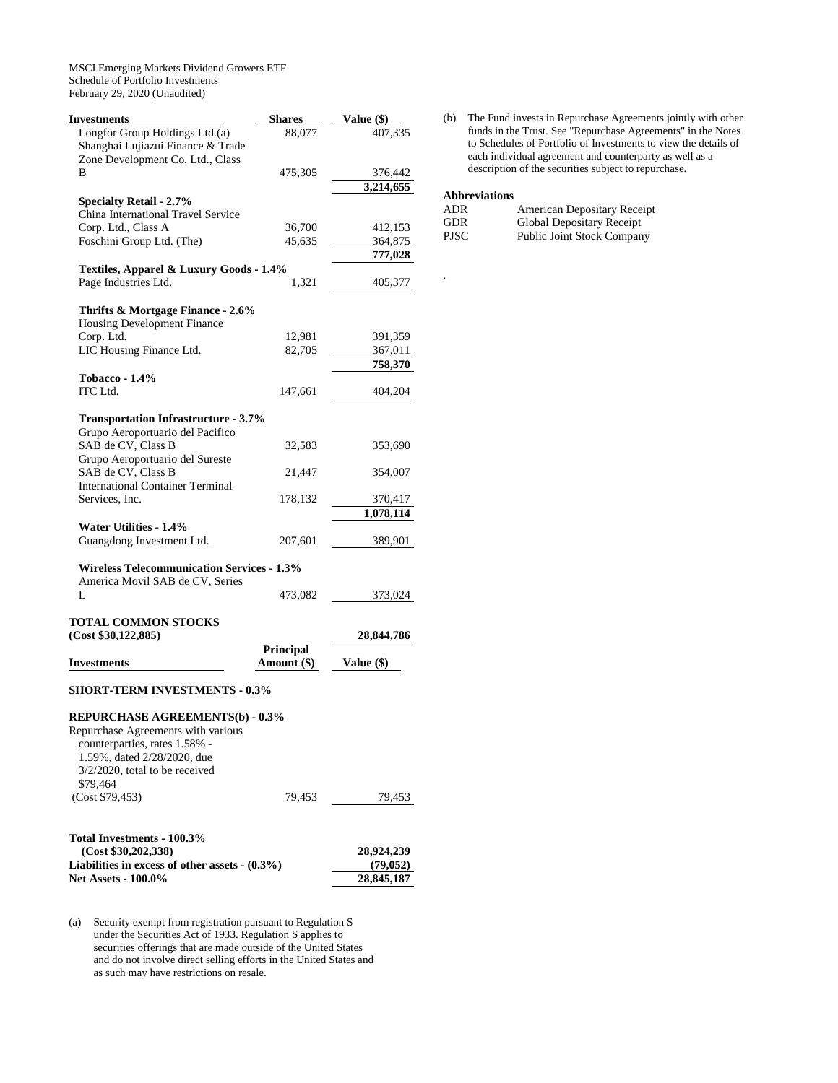MSCI Emerging Markets Dividend Growers ETF Schedule of Portfolio Investments February 29, 2020 (Unaudited)

| Investments                                                                          | <b>Shares</b>    | Value (\$)              |
|--------------------------------------------------------------------------------------|------------------|-------------------------|
| Longfor Group Holdings Ltd.(a)<br>Shanghai Lujiazui Finance & Trade                  | 88,077           | 407.335                 |
| Zone Development Co. Ltd., Class<br>B                                                | 475,305          | 376,442                 |
|                                                                                      |                  | 3,214,655               |
| <b>Specialty Retail - 2.7%</b>                                                       |                  |                         |
| China International Travel Service                                                   |                  |                         |
| Corp. Ltd., Class A<br>Foschini Group Ltd. (The)                                     | 36,700<br>45,635 | 412,153<br>364,875      |
|                                                                                      |                  | 777,028                 |
| Textiles, Apparel & Luxury Goods - 1.4%                                              |                  |                         |
| Page Industries Ltd.                                                                 | 1,321            | 405,377                 |
| Thrifts & Mortgage Finance - 2.6%<br>Housing Development Finance                     |                  |                         |
| Corp. Ltd.                                                                           | 12,981           | 391,359                 |
| LIC Housing Finance Ltd.                                                             | 82,705           | 367,011                 |
| <b>Tobacco - 1.4%</b>                                                                |                  | 758,370                 |
| ITC Ltd.                                                                             | 147,661          | 404,204                 |
| <b>Transportation Infrastructure - 3.7%</b><br>Grupo Aeroportuario del Pacifico      |                  |                         |
| SAB de CV, Class B<br>Grupo Aeroportuario del Sureste                                | 32,583           | 353,690                 |
| SAB de CV, Class B<br><b>International Container Terminal</b>                        | 21,447           | 354,007                 |
| Services, Inc.                                                                       | 178,132          | 370,417                 |
|                                                                                      |                  | 1,078,114               |
| Water Utilities - 1.4%                                                               |                  |                         |
| Guangdong Investment Ltd.                                                            | 207,601          | 389,901                 |
| <b>Wireless Telecommunication Services - 1.3%</b><br>America Movil SAB de CV, Series |                  |                         |
| L                                                                                    | 473,082          | 373,024                 |
| <b>TOTAL COMMON STOCKS</b>                                                           |                  |                         |
| (Cost \$30,122,885)                                                                  |                  | 28,844,786              |
|                                                                                      | Principal        |                         |
| <b>Investments</b>                                                                   | Amount (\$)      | Value (\$)              |
| <b>SHORT-TERM INVESTMENTS - 0.3%</b>                                                 |                  |                         |
| REPURCHASE AGREEMENTS(b) - 0.3%                                                      |                  |                         |
| Repurchase Agreements with various                                                   |                  |                         |
| counterparties, rates 1.58% -<br>1.59%, dated 2/28/2020, due                         |                  |                         |
| 3/2/2020, total to be received                                                       |                  |                         |
| \$79,464                                                                             |                  |                         |
| (Cost \$79,453)                                                                      | 79,453           | 79,453                  |
|                                                                                      |                  |                         |
| Total Investments - 100.3%                                                           |                  |                         |
| (Cost \$30,202,338)<br>Liabilities in excess of other assets $-(0.3\%)$              |                  | 28,924,239<br>(79, 052) |
| <b>Net Assets - 100.0%</b>                                                           | 28,845,187       |                         |

(a) Security exempt from registration pursuant to Regulation S under the Securities Act of 1933. Regulation S applies to securities offerings that are made outside of the United States and do not involve direct selling efforts in the United States and as such may have restrictions on resale.

(b) The Fund invests in Repurchase Agreements jointly with other funds in the Trust. See "Repurchase Agreements" in the Notes to Schedules of Portfolio of Investments to view the details of each individual agreement and counterparty as well as a description of the securities subject to repurchase.

# **Abbreviations**

.

| ADR  | American Depositary Receipt       |
|------|-----------------------------------|
| GDR  | Global Depositary Receipt         |
| PJSC | <b>Public Joint Stock Company</b> |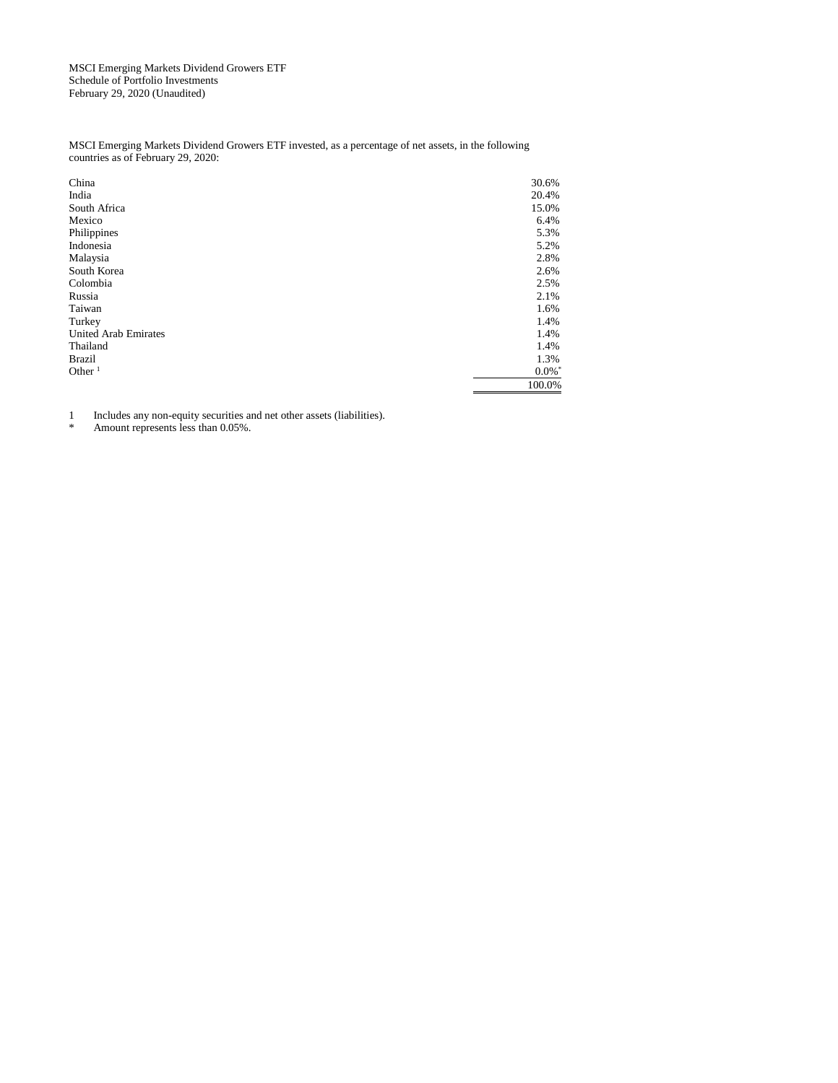MSCI Emerging Markets Dividend Growers ETF Schedule of Portfolio Investments February 29, 2020 (Unaudited)

MSCI Emerging Markets Dividend Growers ETF invested, as a percentage of net assets, in the following countries as of February 29, 2020:

| China                       | 30.6%   |
|-----------------------------|---------|
| India                       | 20.4%   |
| South Africa                | 15.0%   |
| Mexico                      | 6.4%    |
| Philippines                 | 5.3%    |
| Indonesia                   | 5.2%    |
| Malaysia                    | 2.8%    |
| South Korea                 | 2.6%    |
| Colombia                    | 2.5%    |
| Russia                      | 2.1%    |
| Taiwan                      | 1.6%    |
| Turkey                      | 1.4%    |
| <b>United Arab Emirates</b> | 1.4%    |
| Thailand                    | 1.4%    |
| Brazil                      | 1.3%    |
| Other $1$                   | $0.0\%$ |
|                             | 100.0%  |

1 Includes any non-equity securities and net other assets (liabilities).<br>
Amount represents less than 0.05%

Amount represents less than 0.05%.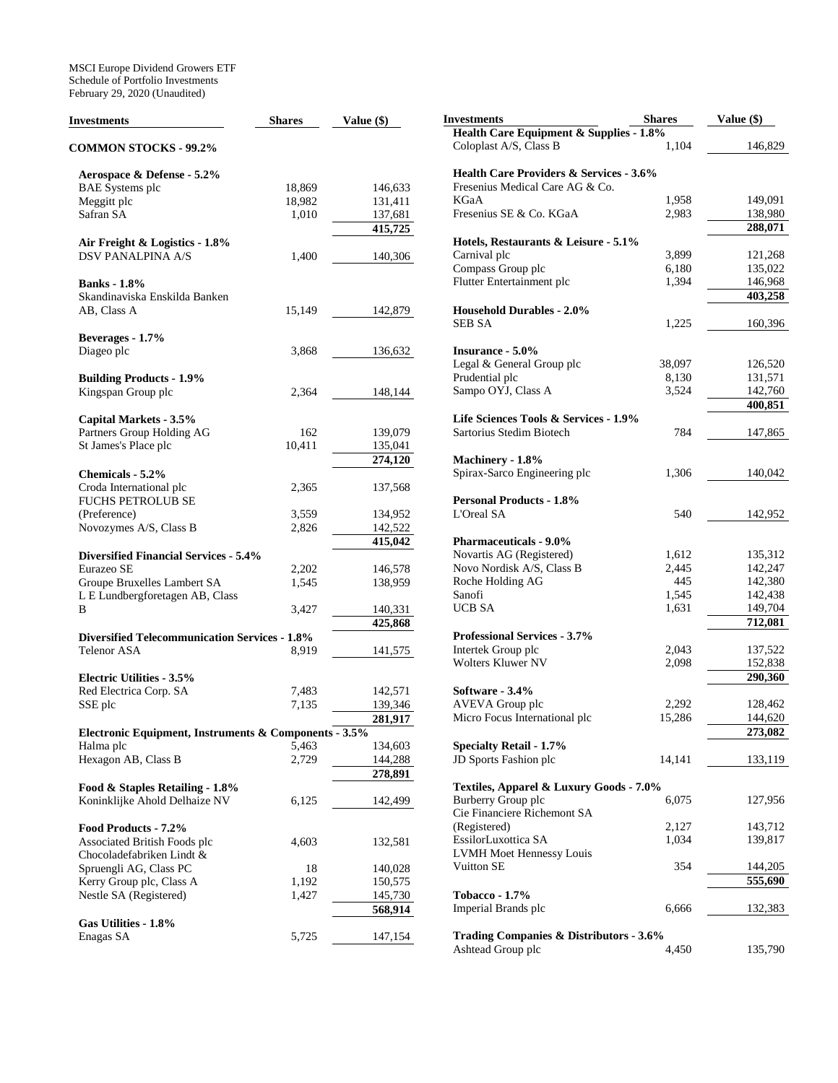MSCI Europe Dividend Growers ETF Schedule of Portfolio Investments February 29, 2020 (Unaudited)

| <b>Investments</b>                                    | <b>Shares</b> | Value (\$) | <b>Investments</b>                                                | <b>Shares</b> | Value (\$) |
|-------------------------------------------------------|---------------|------------|-------------------------------------------------------------------|---------------|------------|
| <b>COMMON STOCKS - 99.2%</b>                          |               |            | Health Care Equipment & Supplies - 1.8%<br>Coloplast A/S, Class B | 1,104         | 146,829    |
| Aerospace & Defense - 5.2%                            |               |            | <b>Health Care Providers &amp; Services - 3.6%</b>                |               |            |
| <b>BAE</b> Systems plc                                | 18,869        | 146,633    | Fresenius Medical Care AG & Co.                                   |               |            |
| Meggitt plc                                           | 18,982        | 131,411    | <b>KGaA</b>                                                       | 1,958         | 149,091    |
| Safran SA                                             | 1,010         | 137,681    | Fresenius SE & Co. KGaA                                           | 2,983         | 138,980    |
|                                                       |               | 415,725    |                                                                   |               | 288,071    |
| Air Freight & Logistics - 1.8%                        |               |            | Hotels, Restaurants & Leisure - 5.1%                              |               |            |
| DSV PANALPINA A/S                                     | 1,400         | 140,306    | Carnival plc                                                      | 3,899         | 121,268    |
|                                                       |               |            | Compass Group plc                                                 | 6,180         | 135,022    |
| <b>Banks</b> - 1.8%                                   |               |            | Flutter Entertainment plc                                         | 1,394         | 146,968    |
| Skandinaviska Enskilda Banken                         |               |            |                                                                   |               | 403,258    |
| AB, Class A                                           | 15,149        | 142,879    | <b>Household Durables - 2.0%</b>                                  |               |            |
|                                                       |               |            | <b>SEB SA</b>                                                     | 1,225         | 160,396    |
| Beverages - 1.7%                                      |               |            |                                                                   |               |            |
| Diageo plc                                            | 3,868         | 136,632    | <b>Insurance - 5.0%</b>                                           |               |            |
|                                                       |               |            | Legal & General Group plc                                         | 38,097        | 126,520    |
| <b>Building Products - 1.9%</b>                       |               |            | Prudential plc                                                    | 8,130         | 131,571    |
| Kingspan Group plc                                    | 2,364         | 148,144    | Sampo OYJ, Class A                                                | 3,524         | 142,760    |
|                                                       |               |            |                                                                   |               | 400,851    |
| Capital Markets - 3.5%                                |               |            | Life Sciences Tools & Services - 1.9%                             |               |            |
| Partners Group Holding AG                             | 162           | 139,079    | Sartorius Stedim Biotech                                          | 784           | 147,865    |
| St James's Place plc                                  | 10,411        | 135,041    |                                                                   |               |            |
|                                                       |               | 274,120    | Machinery - 1.8%                                                  |               |            |
| Chemicals - 5.2%                                      |               |            | Spirax-Sarco Engineering plc                                      | 1,306         | 140,042    |
| Croda International plc                               | 2,365         | 137,568    |                                                                   |               |            |
| <b>FUCHS PETROLUB SE</b>                              |               |            | <b>Personal Products - 1.8%</b>                                   |               |            |
| (Preference)                                          | 3,559         | 134,952    | L'Oreal SA                                                        | 540           | 142,952    |
| Novozymes A/S, Class B                                | 2,826         | 142,522    |                                                                   |               |            |
|                                                       |               | 415,042    | <b>Pharmaceuticals - 9.0%</b>                                     |               |            |
| <b>Diversified Financial Services - 5.4%</b>          |               |            | Novartis AG (Registered)                                          | 1,612         | 135,312    |
| Eurazeo SE                                            | 2,202         | 146,578    | Novo Nordisk A/S, Class B                                         | 2,445         | 142,247    |
| Groupe Bruxelles Lambert SA                           | 1,545         | 138,959    | Roche Holding AG                                                  | 445           | 142,380    |
| L E Lundbergforetagen AB, Class                       |               |            | Sanofi                                                            | 1,545         | 142,438    |
| B                                                     | 3,427         | 140,331    | <b>UCB SA</b>                                                     | 1,631         | 149,704    |
|                                                       |               | 425,868    |                                                                   |               | 712,081    |
| <b>Diversified Telecommunication Services - 1.8%</b>  |               |            | <b>Professional Services - 3.7%</b>                               |               |            |
| <b>Telenor ASA</b>                                    | 8,919         | 141,575    | Intertek Group plc                                                | 2,043         | 137,522    |
|                                                       |               |            | <b>Wolters Kluwer NV</b>                                          | 2,098         | 152,838    |
| <b>Electric Utilities - 3.5%</b>                      |               |            |                                                                   |               | 290,360    |
| Red Electrica Corp. SA                                | 7,483         | 142,571    | Software - 3.4%                                                   |               |            |
| SSE plc                                               | 7,135         | 139,346    | AVEVA Group plc                                                   | 2,292         | 128,462    |
|                                                       |               | 281,917    | Micro Focus International plc                                     | 15,286        | 144,620    |
| Electronic Equipment, Instruments & Components - 3.5% |               |            |                                                                   |               | 273,082    |
| Halma plc                                             | 5,463         | 134,603    | <b>Specialty Retail - 1.7%</b>                                    |               |            |
| Hexagon AB, Class B                                   | 2,729         | 144,288    | JD Sports Fashion plc                                             | 14,141        | 133,119    |
|                                                       |               | 278,891    |                                                                   |               |            |
| Food & Staples Retailing - 1.8%                       |               |            | Textiles, Apparel & Luxury Goods - 7.0%                           |               |            |
| Koninklijke Ahold Delhaize NV                         | 6,125         | 142,499    | Burberry Group plc                                                | 6,075         | 127,956    |
|                                                       |               |            | Cie Financiere Richemont SA                                       |               |            |
| Food Products - 7.2%                                  |               |            | (Registered)                                                      | 2,127         | 143,712    |
| Associated British Foods plc                          | 4,603         | 132,581    | EssilorLuxottica SA                                               | 1,034         | 139,817    |
| Chocoladefabriken Lindt &                             |               |            | <b>LVMH Moet Hennessy Louis</b>                                   |               |            |
| Spruengli AG, Class PC                                | 18            | 140,028    | Vuitton SE                                                        | 354           | 144,205    |
| Kerry Group plc, Class A                              | 1,192         | 150,575    |                                                                   |               | 555,690    |
| Nestle SA (Registered)                                | 1,427         | 145,730    | <b>Tobacco - 1.7%</b>                                             |               |            |
|                                                       |               | 568,914    | Imperial Brands plc                                               | 6,666         | 132,383    |
| Gas Utilities - 1.8%                                  |               |            |                                                                   |               |            |
| Enagas SA                                             | 5,725         | 147,154    | <b>Trading Companies &amp; Distributors - 3.6%</b>                |               |            |
|                                                       |               |            | Ashtead Group plc                                                 | 4,450         | 135,790    |
|                                                       |               |            |                                                                   |               |            |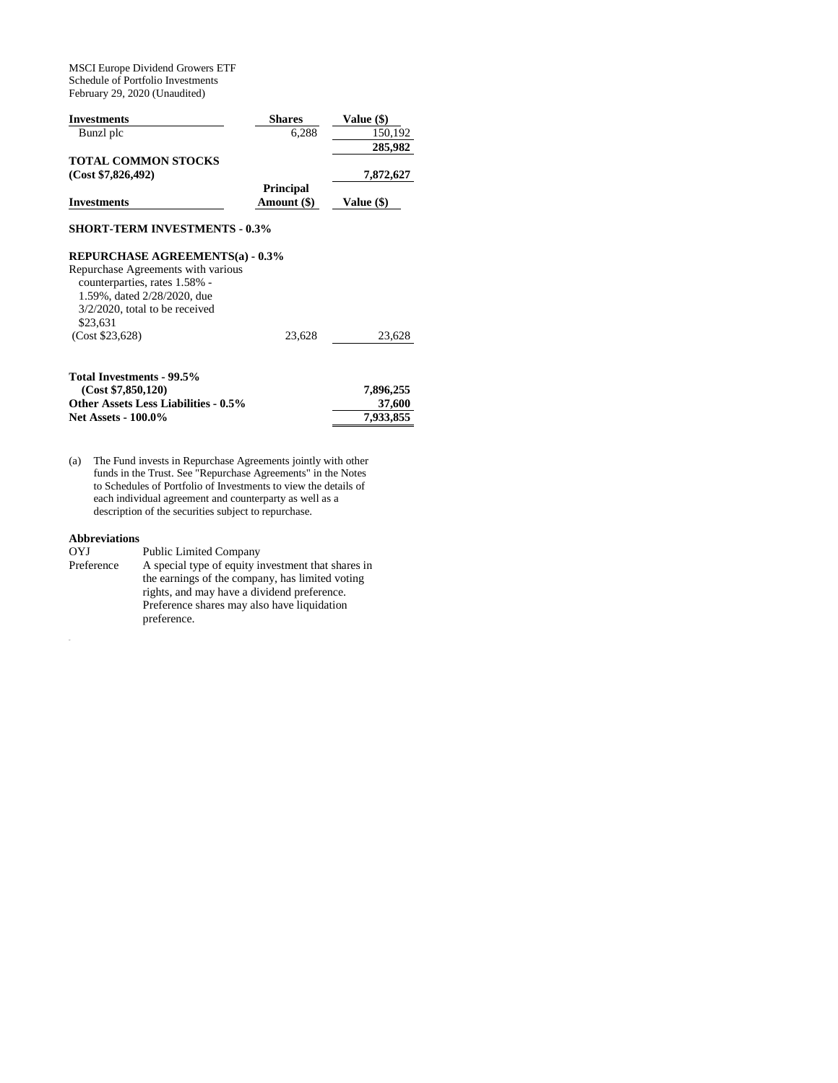MSCI Europe Dividend Growers ETF Schedule of Portfolio Investments February 29, 2020 (Unaudited)

| <b>Investments</b>         | <b>Shares</b>    | Value (\$) |
|----------------------------|------------------|------------|
| Bunzl plc                  | 6.288            | 150.192    |
|                            |                  | 285,982    |
| <b>TOTAL COMMON STOCKS</b> |                  |            |
| (Cost \$7,826,492)         |                  | 7,872,627  |
|                            | <b>Principal</b> |            |
| <b>Investments</b>         | Amount (\$)      | Value (\$) |

## **SHORT-TERM INVESTMENTS - 0.3%**

## **REPURCHASE AGREEMENTS(a) - 0.3%**

| Repurchase Agreements with various |        |        |
|------------------------------------|--------|--------|
| counterparties, rates 1.58% -      |        |        |
| 1.59%, dated 2/28/2020, due        |        |        |
| $3/2/2020$ , total to be received  |        |        |
| \$23.631                           |        |        |
| (Cost \$23,628)                    | 23.628 | 23.628 |
|                                    |        |        |

| Total Investments - 99.5%                   |           |
|---------------------------------------------|-----------|
| (Cost \$7.850.120)                          | 7.896.255 |
| <b>Other Assets Less Liabilities - 0.5%</b> | 37,600    |
| <b>Net Assets - 100.0%</b>                  | 7.933.855 |

(a) The Fund invests in Repurchase Agreements jointly with other funds in the Trust. See "Repurchase Agreements" in the Notes to Schedules of Portfolio of Investments to view the details of each individual agreement and counterparty as well as a description of the securities subject to repurchase.

## **Abbreviations**

Mi

| OYJ        | <b>Public Limited Company</b>                      |
|------------|----------------------------------------------------|
| Preference | A special type of equity investment that shares in |
|            | the earnings of the company, has limited voting    |
|            | rights, and may have a dividend preference.        |
|            | Preference shares may also have liquidation        |
|            | preference.                                        |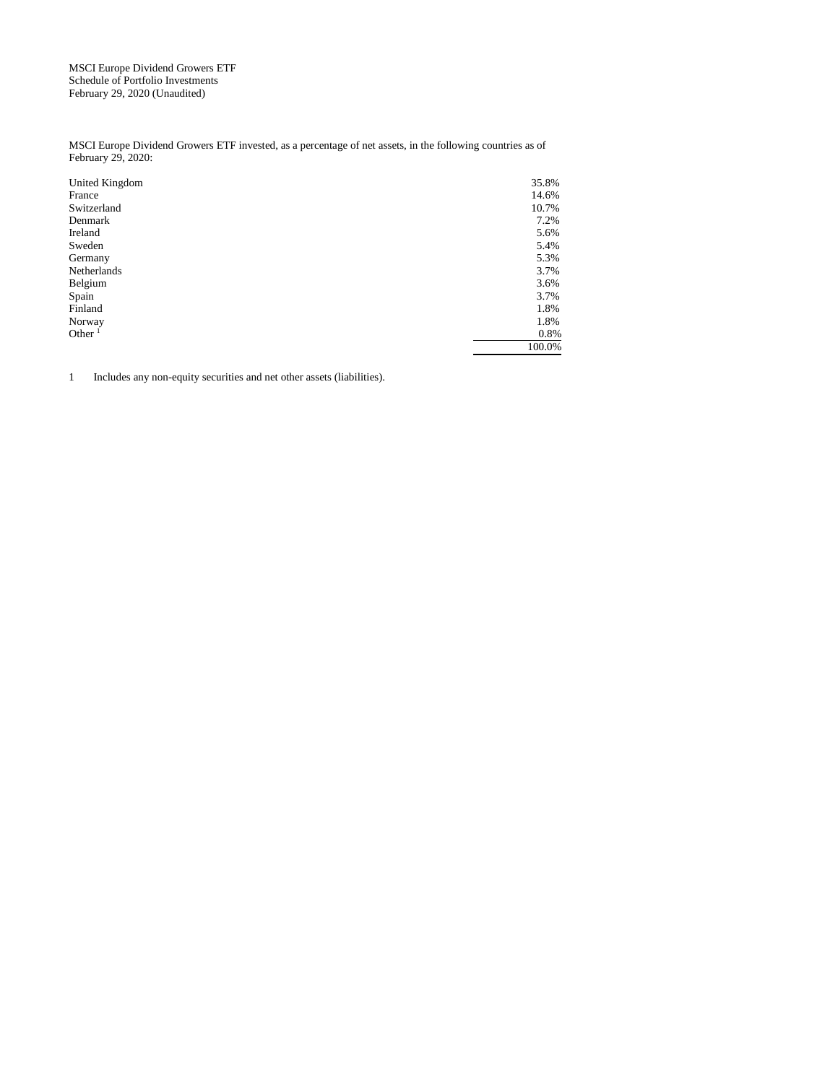MSCI Europe Dividend Growers ETF Schedule of Portfolio Investments February 29, 2020 (Unaudited)

MSCI Europe Dividend Growers ETF invested, as a percentage of net assets, in the following countries as of February 29, 2020:

| United Kingdom | 35.8%  |
|----------------|--------|
| France         | 14.6%  |
| Switzerland    | 10.7%  |
| Denmark        | 7.2%   |
| Ireland        | 5.6%   |
| Sweden         | 5.4%   |
| Germany        | 5.3%   |
| Netherlands    | 3.7%   |
| Belgium        | 3.6%   |
| Spain          | 3.7%   |
| Finland        | 1.8%   |
| Norway         | 1.8%   |
| Other $1$      | 0.8%   |
|                | 100.0% |

1 Includes any non-equity securities and net other assets (liabilities).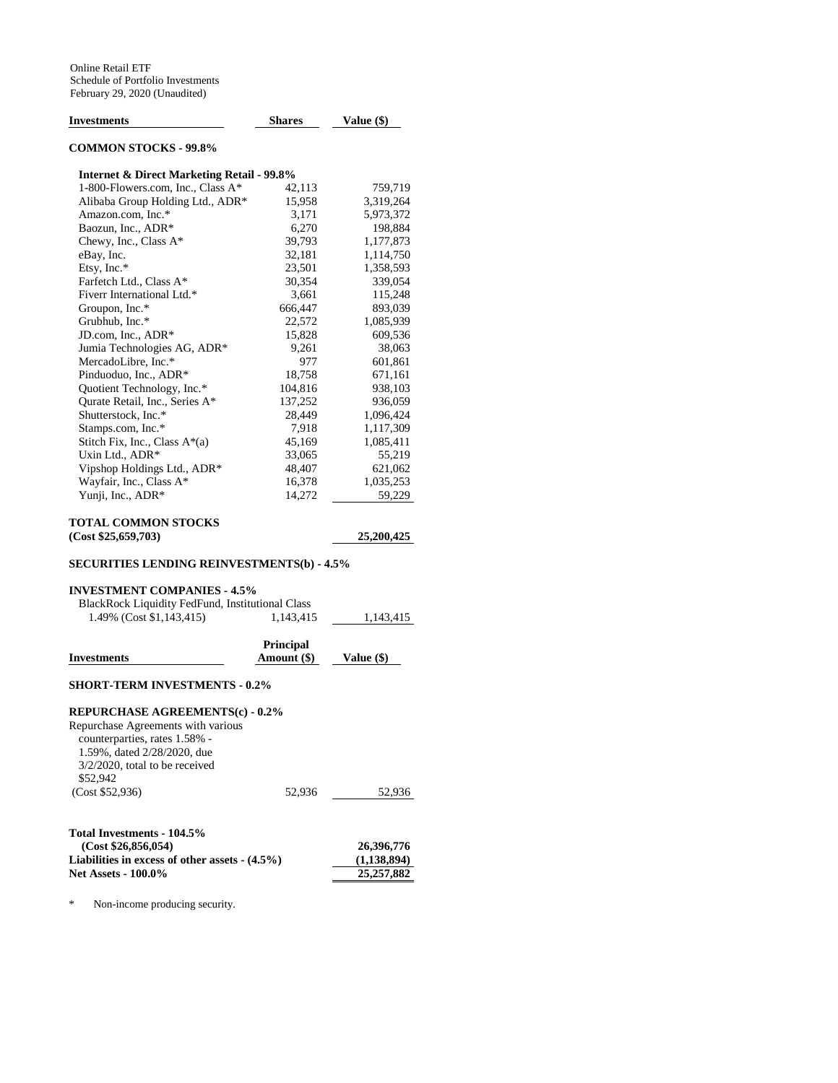| Investments                                           | <b>Shares</b>            | Value (\$) |
|-------------------------------------------------------|--------------------------|------------|
| <b>COMMON STOCKS - 99.8%</b>                          |                          |            |
| <b>Internet &amp; Direct Marketing Retail - 99.8%</b> |                          |            |
| 1-800-Flowers.com, Inc., Class A*                     | 42,113                   | 759,719    |
| Alibaba Group Holding Ltd., ADR*                      | 15,958                   | 3,319,264  |
| Amazon.com, Inc.*                                     | 3,171                    | 5,973,372  |
| Baozun, Inc., ADR*                                    | 6,270                    | 198,884    |
| Chewy, Inc., Class A*                                 | 39,793                   | 1,177,873  |
| eBay, Inc.                                            | 32,181                   | 1,114,750  |
| Etsy, Inc.*                                           | 23,501                   | 1,358,593  |
| Farfetch Ltd., Class A*                               | 30,354                   | 339,054    |
| Fiverr International Ltd.*                            | 3,661                    | 115,248    |
| Groupon, Inc.*                                        | 666,447                  | 893,039    |
| Grubhub, Inc.*                                        | 22,572                   | 1,085,939  |
| JD.com, Inc., ADR*                                    | 15,828                   | 609,536    |
| Jumia Technologies AG, ADR*                           | 9,261                    | 38,063     |
| MercadoLibre, Inc.*                                   | 977                      | 601,861    |
| Pinduoduo, Inc., ADR*                                 | 18,758                   | 671,161    |
| Quotient Technology, Inc.*                            | 104,816                  | 938,103    |
| Qurate Retail, Inc., Series A*                        | 137,252                  | 936,059    |
| Shutterstock, Inc.*                                   | 28,449                   | 1,096,424  |
| Stamps.com, Inc.*                                     | 7,918                    | 1,117,309  |
| Stitch Fix, Inc., Class A*(a)                         | 45,169                   | 1,085,411  |
| Uxin Ltd., ADR*                                       | 33,065                   | 55,219     |
| Vipshop Holdings Ltd., ADR*                           | 48,407                   | 621,062    |
| Wayfair, Inc., Class A*                               | 16,378                   | 1,035,253  |
| Yunji, Inc., ADR*                                     | 14,272                   | 59,229     |
| TOTAL COMMON STOCKS                                   |                          |            |
| (Cost \$25,659,703)                                   |                          | 25,200,425 |
| <b>SECURITIES LENDING REINVESTMENTS(b) - 4.5%</b>     |                          |            |
| <b>INVESTMENT COMPANIES - 4.5%</b>                    |                          |            |
| BlackRock Liquidity FedFund, Institutional Class      |                          |            |
| 1.49% (Cost \$1,143,415)                              | 1,143,415                | 1,143,415  |
| Investments                                           | Principal<br>Amount (\$) | Value (\$) |
| <b>SHORT-TERM INVESTMENTS - 0.2%</b>                  |                          |            |
| <b>REPURCHASE AGREEMENTS(c) - 0.2%</b>                |                          |            |
| Repurchase Agreements with various                    |                          |            |

counterparties, rates 1.58% - 1.59%, dated 2/28/2020, due 3/2/2020, total to be received \$52,942 (Cost \$52,936) 52,936 52,936 **Total Investments - 104.5% (Cost \$26,856,054)** 26,396,776<br>abilities in excess of other assets -  $(4.5\%)$  26,396,776<br>(1,138,894) **Liabilities in excess of other assets - (4.5%)** (1,138,894)<br>Net Assets - 100.0% (25,257,882) **Net Assets - 100.0%** 

\* Non-income producing security.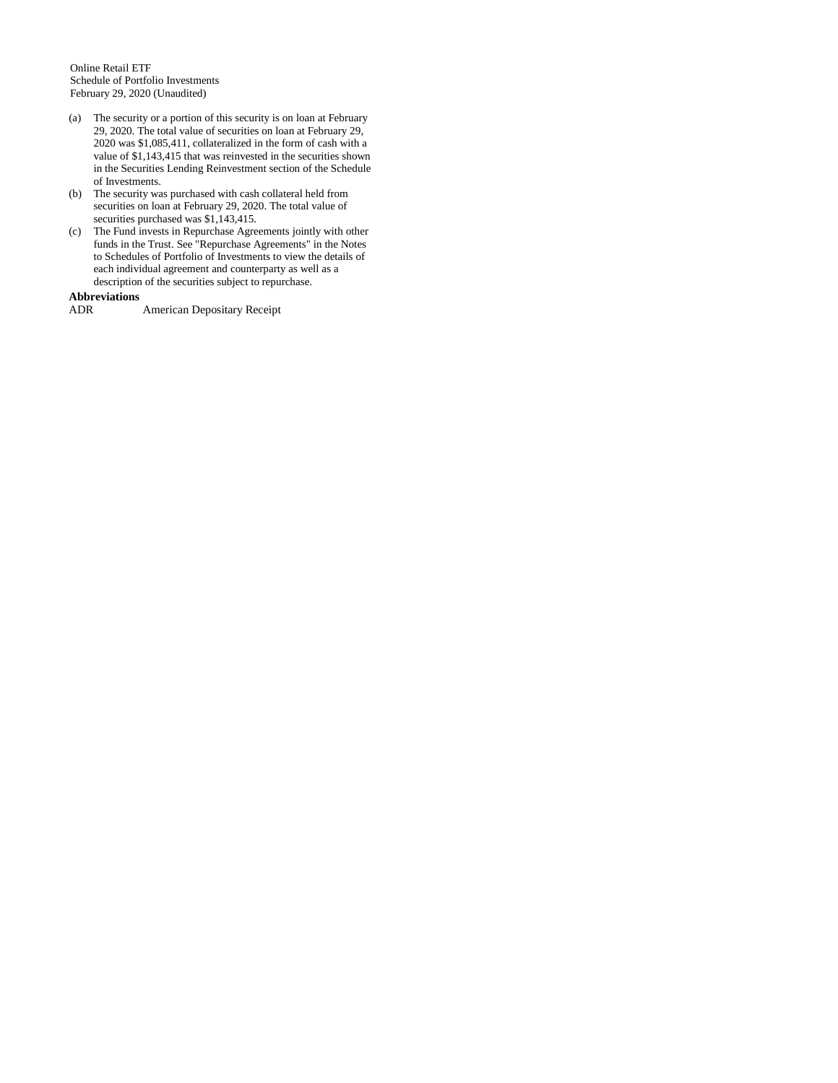Online Retail ETF Schedule of Portfolio Investments February 29, 2020 (Unaudited)

- (a) The security or a portion of this security is on loan at February 29, 2020. The total value of securities on loan at February 29, 2020 was \$1,085,411, collateralized in the form of cash with a value of \$1,143,415 that was reinvested in the securities shown in the Securities Lending Reinvestment section of the Schedule of Investments.
- (b) The security was purchased with cash collateral held from securities on loan at February 29, 2020. The total value of securities purchased was \$1,143,415.
- (c) The Fund invests in Repurchase Agreements jointly with other funds in the Trust. See "Repurchase Agreements" in the Notes to Schedules of Portfolio of Investments to view the details of each individual agreement and counterparty as well as a description of the securities subject to repurchase.

# **Abbreviations**

ADR American Depositary Receipt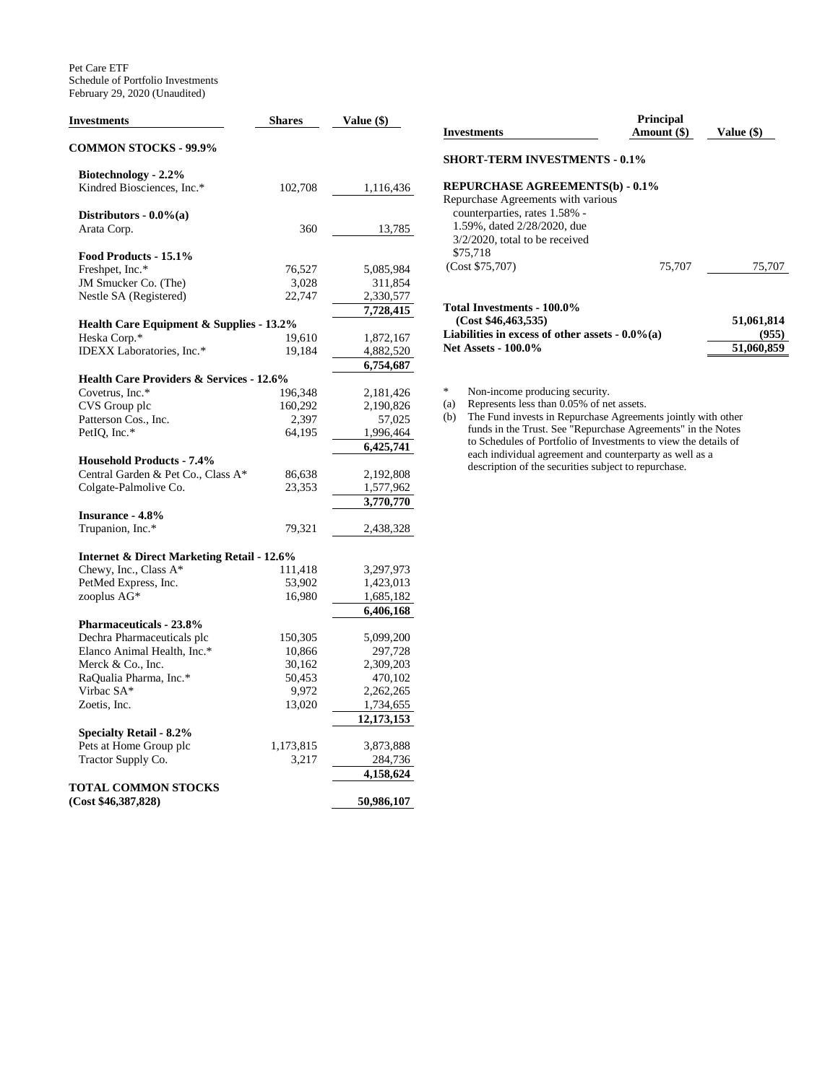Pet Care ETF Schedule of Portfolio Investments February 29, 2020 (Unaudited)

| <b>Investments</b>                                    | <b>Shares</b> | Value (\$) |
|-------------------------------------------------------|---------------|------------|
| <b>COMMON STOCKS - 99.9%</b>                          |               |            |
| Biotechnology - 2.2%                                  |               |            |
| Kindred Biosciences, Inc.*                            | 102,708       | 1,116,436  |
| Distributors - $0.0\%$ (a)                            |               |            |
| Arata Corp.                                           | 360           | 13,785     |
| Food Products - 15.1%                                 |               |            |
| Freshpet, Inc.*                                       | 76,527        | 5,085,984  |
| JM Smucker Co. (The)                                  | 3,028         | 311,854    |
| Nestle SA (Registered)                                | 22,747        | 2,330,577  |
|                                                       |               | 7,728,415  |
| <b>Health Care Equipment &amp; Supplies - 13.2%</b>   |               |            |
| Heska Corp.*                                          | 19,610        | 1,872,167  |
| IDEXX Laboratories, Inc.*                             | 19,184        | 4,882,520  |
|                                                       |               | 6,754,687  |
| <b>Health Care Providers &amp; Services - 12.6%</b>   |               |            |
| Covetrus, Inc.*                                       | 196,348       | 2,181,426  |
| CVS Group plc                                         | 160,292       | 2,190,826  |
| Patterson Cos., Inc.                                  | 2,397         | 57,025     |
| PetIQ, Inc.*                                          | 64,195        | 1,996,464  |
|                                                       |               | 6,425,741  |
| <b>Household Products - 7.4%</b>                      |               |            |
| Central Garden & Pet Co., Class A*                    | 86,638        | 2,192,808  |
| Colgate-Palmolive Co.                                 | 23,353        | 1,577,962  |
|                                                       |               | 3,770,770  |
| <b>Insurance - 4.8%</b>                               |               |            |
| Trupanion, Inc.*                                      | 79,321        | 2,438,328  |
| <b>Internet &amp; Direct Marketing Retail - 12.6%</b> |               |            |
| Chewy, Inc., Class A*                                 | 111,418       | 3,297,973  |
| PetMed Express, Inc.                                  | 53,902        | 1,423,013  |
| zooplus AG*                                           | 16,980        | 1,685,182  |
|                                                       |               | 6,406,168  |
| <b>Pharmaceuticals - 23.8%</b>                        |               |            |
| Dechra Pharmaceuticals plc                            | 150,305       | 5,099,200  |
| Elanco Animal Health, Inc.*                           | 10,866        | 297,728    |
| Merck & Co., Inc.                                     | 30,162        | 2,309,203  |
| RaQualia Pharma, Inc.*                                | 50,453        | 470,102    |
| Virbac SA*                                            | 9,972         | 2,262,265  |
| Zoetis, Inc.                                          | 13,020        | 1,734,655  |
|                                                       |               | 12,173,153 |
| <b>Specialty Retail - 8.2%</b>                        |               |            |
| Pets at Home Group plc                                | 1,173,815     | 3,873,888  |
| Tractor Supply Co.                                    | 3,217         | 284,736    |
|                                                       |               | 4,158,624  |
| TOTAL COMMON STOCKS                                   |               |            |
| (Cost \$46,387,828)                                   |               | 50,986,107 |

| <b>Investments</b>                                                                                 | <b>Principal</b><br>Amount (\$) | Value (\$)          |
|----------------------------------------------------------------------------------------------------|---------------------------------|---------------------|
| <b>SHORT-TERM INVESTMENTS - 0.1%</b>                                                               |                                 |                     |
| <b>REPURCHASE AGREEMENTS(b) - 0.1%</b>                                                             |                                 |                     |
| Repurchase Agreements with various<br>counterparties, rates 1.58% -<br>1.59%, dated 2/28/2020, due |                                 |                     |
| $3/2/2020$ , total to be received<br>\$75.718                                                      |                                 |                     |
| (Cost \$75,707)                                                                                    | 75,707                          | 75,707              |
| Total Investments - 100.0%                                                                         |                                 |                     |
| (Cost \$46,463,535)<br>Liabilities in excess of other assets $-0.0\%$ (a)                          |                                 | 51,061,814<br>(955) |
| <b>Net Assets - 100.0%</b>                                                                         |                                 | 51,060,859          |

\* Non-income producing security.<br>
(a) Represents less than 0.05% of ne

Represents less than 0.05% of net assets.

(b) The Fund invests in Repurchase Agreements jointly with other funds in the Trust. See "Repurchase Agreements" in the Notes to Schedules of Portfolio of Investments to view the details of each individual agreement and counterparty as well as a description of the securities subject to repurchase.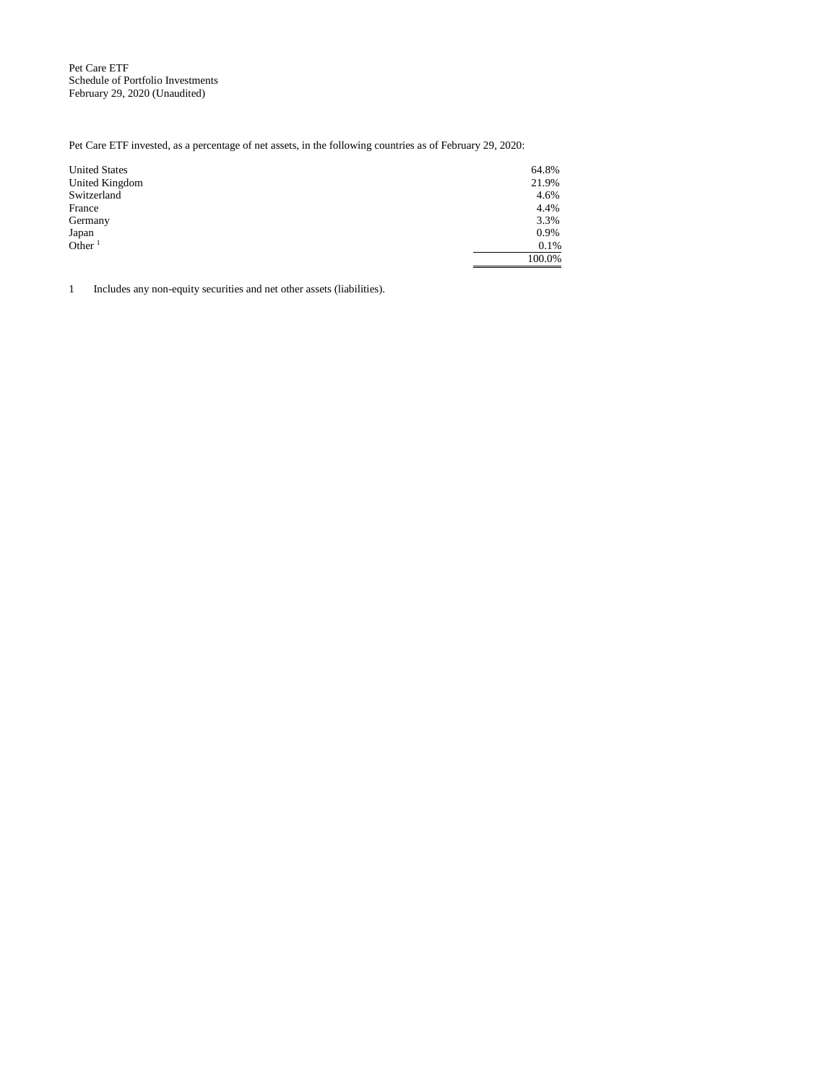Pet Care ETF Schedule of Portfolio Investments February 29, 2020 (Unaudited)

Pet Care ETF invested, as a percentage of net assets, in the following countries as of February 29, 2020:

| <b>United States</b> | 64.8%  |
|----------------------|--------|
| United Kingdom       | 21.9%  |
| Switzerland          | 4.6%   |
| France               | 4.4%   |
| Germany              | 3.3%   |
| Japan                | 0.9%   |
| Other $1$            | 0.1%   |
|                      | 100.0% |

1 Includes any non-equity securities and net other assets (liabilities).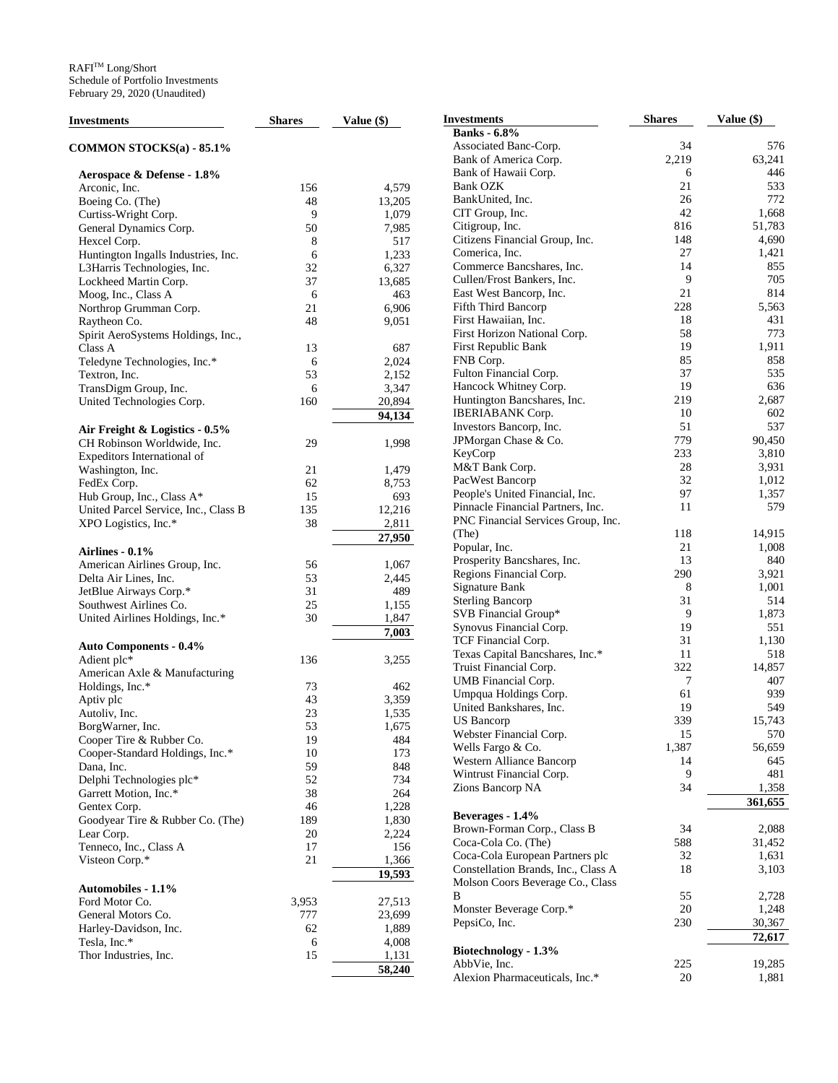| Investments                          | <b>Shares</b> | Value $(\$)$ | <b>Investments</b>                  | <b>Shares</b> | Value (\$) |
|--------------------------------------|---------------|--------------|-------------------------------------|---------------|------------|
|                                      |               |              | <b>Banks</b> - 6.8%                 |               |            |
| COMMON STOCKS(a) - 85.1%             |               |              | Associated Banc-Corp.               | 34            | 576        |
|                                      |               |              | Bank of America Corp.               | 2,219         | 63,241     |
| Aerospace & Defense - 1.8%           |               |              | Bank of Hawaii Corp.                | 6             | 446        |
| Arconic, Inc.                        | 156           | 4,579        | Bank OZK                            | 21            | 533        |
| Boeing Co. (The)                     | 48            | 13,205       | BankUnited, Inc.                    | 26            | 772        |
| Curtiss-Wright Corp.                 | 9             | 1,079        | CIT Group, Inc.                     | 42            | 1,668      |
| General Dynamics Corp.               | 50            | 7,985        | Citigroup, Inc.                     | 816           | 51,783     |
| Hexcel Corp.                         | 8             | 517          | Citizens Financial Group, Inc.      | 148           | 4,690      |
| Huntington Ingalls Industries, Inc.  | 6             | 1,233        | Comerica, Inc.                      | 27            | 1,421      |
| L3Harris Technologies, Inc.          | 32            | 6,327        | Commerce Bancshares, Inc.           | 14            | 855        |
|                                      | 37            |              | Cullen/Frost Bankers, Inc.          | 9             | 705        |
| Lockheed Martin Corp.                |               | 13,685       | East West Bancorp, Inc.             | 21            | 814        |
| Moog, Inc., Class A                  | 6             | 463          | Fifth Third Bancorp                 | 228           | 5,563      |
| Northrop Grumman Corp.               | 21            | 6,906        |                                     | 18            | 431        |
| Raytheon Co.                         | 48            | 9,051        | First Hawaiian, Inc.                |               |            |
| Spirit AeroSystems Holdings, Inc.,   |               |              | First Horizon National Corp.        | 58            | 773        |
| Class A                              | 13            | 687          | First Republic Bank                 | 19            | 1,911      |
| Teledyne Technologies, Inc.*         | 6             | 2,024        | FNB Corp.                           | 85            | 858        |
| Textron, Inc.                        | 53            | 2,152        | Fulton Financial Corp.              | 37            | 535        |
| TransDigm Group, Inc.                | 6             | 3,347        | Hancock Whitney Corp.               | 19            | 636        |
| United Technologies Corp.            | 160           | 20,894       | Huntington Bancshares, Inc.         | 219           | 2,687      |
|                                      |               | 94,134       | <b>IBERIABANK</b> Corp.             | 10            | 602        |
| Air Freight & Logistics - 0.5%       |               |              | Investors Bancorp, Inc.             | 51            | 537        |
| CH Robinson Worldwide, Inc.          | 29            | 1,998        | JPMorgan Chase & Co.                | 779           | 90,450     |
| Expeditors International of          |               |              | KeyCorp                             | 233           | 3,810      |
| Washington, Inc.                     | 21            | 1,479        | M&T Bank Corp.                      | 28            | 3,931      |
| FedEx Corp.                          | 62            | 8,753        | PacWest Bancorp                     | 32            | 1,012      |
| Hub Group, Inc., Class A*            | 15            | 693          | People's United Financial, Inc.     | 97            | 1,357      |
| United Parcel Service, Inc., Class B | 135           | 12,216       | Pinnacle Financial Partners, Inc.   | 11            | 579        |
| XPO Logistics, Inc.*                 | 38            | 2,811        | PNC Financial Services Group, Inc.  |               |            |
|                                      |               |              | (The)                               | 118           | 14,915     |
|                                      |               | 27,950       | Popular, Inc.                       | 21            | 1,008      |
| Airlines - 0.1%                      |               |              | Prosperity Bancshares, Inc.         | 13            | 840        |
| American Airlines Group, Inc.        | 56            | 1,067        | Regions Financial Corp.             | 290           | 3,921      |
| Delta Air Lines, Inc.                | 53            | 2,445        | Signature Bank                      | 8             | 1,001      |
| JetBlue Airways Corp.*               | 31            | 489          | <b>Sterling Bancorp</b>             | 31            | 514        |
| Southwest Airlines Co.               | 25            | 1,155        | SVB Financial Group*                | 9             | 1,873      |
| United Airlines Holdings, Inc.*      | 30            | 1,847        |                                     | 19            | 551        |
|                                      |               | 7,003        | Synovus Financial Corp.             |               |            |
| <b>Auto Components - 0.4%</b>        |               |              | TCF Financial Corp.                 | 31            | 1,130      |
| Adient plc*                          | 136           | 3,255        | Texas Capital Bancshares, Inc.*     | 11            | 518        |
| American Axle & Manufacturing        |               |              | Truist Financial Corp.              | 322           | 14,857     |
| Holdings, Inc.*                      | 73            | 462          | UMB Financial Corp.                 | 7             | 407        |
| Aptiv plc                            | 43            | 3,359        | Umpqua Holdings Corp.               | 61            | 939        |
| Autoliv, Inc.                        | 23            | 1,535        | United Bankshares, Inc.             | 19            | 549        |
| BorgWarner, Inc.                     | 53            | 1,675        | <b>US</b> Bancorp                   | 339           | 15.743     |
| Cooper Tire & Rubber Co.             | 19            | 484          | Webster Financial Corp.             | 15            | 570        |
| Cooper-Standard Holdings, Inc.*      | 10            | 173          | Wells Fargo & Co.                   | 1,387         | 56,659     |
| Dana, Inc.                           | 59            | 848          | Western Alliance Bancorp            | 14            | 645        |
| Delphi Technologies plc*             | 52            | 734          | Wintrust Financial Corp.            | 9             | 481        |
|                                      | 38            |              | Zions Bancorp NA                    | 34            | 1,358      |
| Garrett Motion, Inc.*                |               | 264          |                                     |               | 361,655    |
| Gentex Corp.                         | 46            | 1,228        | Beverages - 1.4%                    |               |            |
| Goodyear Tire & Rubber Co. (The)     | 189           | 1,830        | Brown-Forman Corp., Class B         | 34            | 2,088      |
| Lear Corp.                           | 20            | 2,224        | Coca-Cola Co. (The)                 | 588           | 31,452     |
| Tenneco, Inc., Class A               | 17            | 156          | Coca-Cola European Partners plc     | 32            | 1,631      |
| Visteon Corp.*                       | 21            | 1,366        | Constellation Brands, Inc., Class A | 18            | 3,103      |
|                                      |               | 19,593       | Molson Coors Beverage Co., Class    |               |            |
| Automobiles - 1.1%                   |               |              | В                                   | 55            | 2,728      |
| Ford Motor Co.                       | 3,953         | 27,513       |                                     | 20            |            |
| General Motors Co.                   | 777           | 23,699       | Monster Beverage Corp.*             |               | 1,248      |
| Harley-Davidson, Inc.                | 62            | 1,889        | PepsiCo, Inc.                       | 230           | 30,367     |
| Tesla, Inc.*                         | 6             | 4,008        |                                     |               | 72,617     |
| Thor Industries, Inc.                | 15            | 1,131        | Biotechnology - 1.3%                |               |            |
|                                      |               | 58,240       | AbbVie, Inc.                        | 225           | 19,285     |
|                                      |               |              | Alexion Pharmaceuticals, Inc.*      | 20            | 1,881      |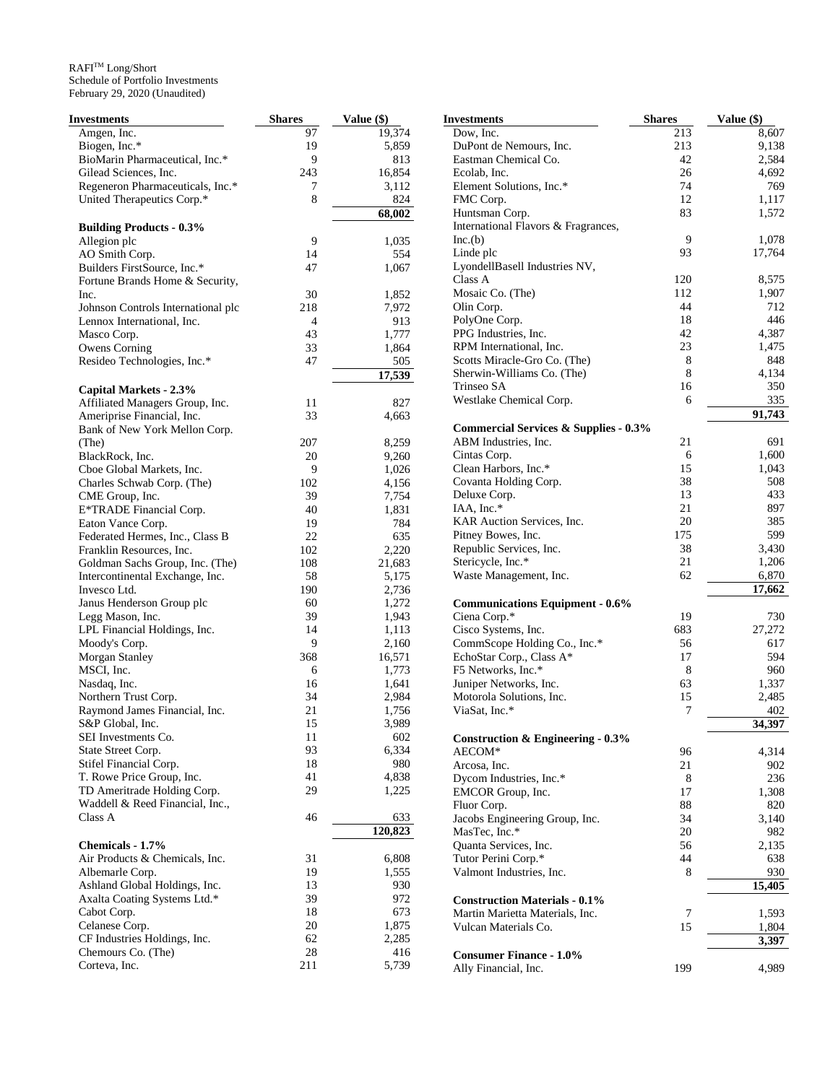| Investments                        | <b>Shares</b> | Value (\$) | <b>Investments</b>                               | <b>Shares</b> | Value (\$) |
|------------------------------------|---------------|------------|--------------------------------------------------|---------------|------------|
| Amgen, Inc.                        | 97            | 19,374     | Dow, Inc.                                        | 213           | 8,607      |
| Biogen, Inc.*                      | 19            | 5,859      | DuPont de Nemours, Inc.                          | 213           | 9,138      |
| BioMarin Pharmaceutical, Inc.*     | 9             | 813        | Eastman Chemical Co.                             | 42            | 2,584      |
| Gilead Sciences, Inc.              | 243           | 16,854     | Ecolab, Inc.                                     | 26            | 4,692      |
| Regeneron Pharmaceuticals, Inc.*   | 7             | 3,112      | Element Solutions, Inc.*                         | 74            | 769        |
| United Therapeutics Corp.*         | 8             | 824        | FMC Corp.                                        | 12            | 1,117      |
|                                    |               | 68,002     | Huntsman Corp.                                   | 83            | 1,572      |
| <b>Building Products - 0.3%</b>    |               |            | International Flavors & Fragrances,              |               |            |
| Allegion plc                       | 9             | 1,035      | Inc(b)                                           | 9             | 1,078      |
| AO Smith Corp.                     | 14            | 554        | Linde plc                                        | 93            | 17,764     |
| Builders FirstSource, Inc.*        | 47            | 1,067      | LyondellBasell Industries NV,                    |               |            |
| Fortune Brands Home & Security,    |               |            | Class A                                          | 120           | 8,575      |
| Inc.                               | 30            | 1,852      | Mosaic Co. (The)                                 | 112           | 1,907      |
| Johnson Controls International plc | 218           | 7,972      | Olin Corp.                                       | 44            | 712        |
| Lennox International, Inc.         | 4             | 913        | PolyOne Corp.                                    | 18            | 446        |
| Masco Corp.                        | 43            | 1,777      | PPG Industries, Inc.                             | 42            | 4,387      |
| <b>Owens Corning</b>               | 33            | 1,864      | RPM International, Inc.                          | 23            | 1,475      |
| Resideo Technologies, Inc.*        | 47            | 505        | Scotts Miracle-Gro Co. (The)                     | 8             | 848        |
|                                    |               | 17,539     | Sherwin-Williams Co. (The)                       | 8             | 4,134      |
| Capital Markets - 2.3%             |               |            | Trinseo SA                                       | 16            | 350        |
| Affiliated Managers Group, Inc.    | 11            | 827        | Westlake Chemical Corp.                          | 6             | 335        |
| Ameriprise Financial, Inc.         | 33            | 4,663      |                                                  |               | 91,743     |
| Bank of New York Mellon Corp.      |               |            | <b>Commercial Services &amp; Supplies - 0.3%</b> |               |            |
| (The)                              | 207           | 8,259      | ABM Industries, Inc.                             | 21            | 691        |
| BlackRock, Inc.                    | 20            | 9,260      | Cintas Corp.                                     | 6             | 1,600      |
| Cboe Global Markets, Inc.          | 9             | 1,026      | Clean Harbors, Inc.*                             | 15            | 1,043      |
| Charles Schwab Corp. (The)         | 102           | 4,156      | Covanta Holding Corp.                            | 38            | 508        |
| CME Group, Inc.                    | 39            | 7,754      | Deluxe Corp.                                     | 13            | 433        |
| E*TRADE Financial Corp.            | 40            | 1,831      | IAA, Inc.*                                       | 21            | 897        |
| Eaton Vance Corp.                  | 19            | 784        | KAR Auction Services, Inc.                       | 20            | 385        |
| Federated Hermes, Inc., Class B    | 22            | 635        | Pitney Bowes, Inc.                               | 175           | 599        |
| Franklin Resources, Inc.           | 102           | 2,220      | Republic Services, Inc.                          | 38            | 3,430      |
| Goldman Sachs Group, Inc. (The)    | 108           | 21,683     | Stericycle, Inc.*                                | 21            | 1,206      |
| Intercontinental Exchange, Inc.    | 58            | 5,175      | Waste Management, Inc.                           | 62            | 6,870      |
| Invesco Ltd.                       | 190           | 2,736      |                                                  |               | 17,662     |
| Janus Henderson Group plc          | 60            | 1,272      | <b>Communications Equipment - 0.6%</b>           |               |            |
| Legg Mason, Inc.                   | 39            | 1,943      | Ciena Corp.*                                     | 19            | 730        |
| LPL Financial Holdings, Inc.       | 14            | 1,113      | Cisco Systems, Inc.                              | 683           | 27,272     |
| Moody's Corp.                      | 9             | 2,160      | CommScope Holding Co., Inc.*                     | 56            | 617        |
| Morgan Stanley                     | 368           | 16,571     | EchoStar Corp., Class A*                         | 17            | 594        |
| MSCI, Inc.                         | 6             | 1,773      | F5 Networks, Inc.*                               | 8             | 960        |
| Nasdaq, Inc.                       | 16            | 1,641      | Juniper Networks, Inc.                           | 63            | 1,337      |
| Northern Trust Corp.               | 34            | 2,984      | Motorola Solutions, Inc.                         | 15            | 2,485      |
| Raymond James Financial, Inc.      | 21            | 1,756      | ViaSat, Inc.*                                    | 7             | 402        |
| S&P Global, Inc.                   | 15            | 3,989      |                                                  |               | 34,397     |
| SEI Investments Co.                | 11            | 602        | <b>Construction &amp; Engineering - 0.3%</b>     |               |            |
| State Street Corp.                 | 93            | 6,334      | AECOM*                                           | 96            | 4,314      |
| Stifel Financial Corp.             | 18            | 980        | Arcosa, Inc.                                     | 21            | 902        |
| T. Rowe Price Group, Inc.          | 41            | 4,838      | Dycom Industries, Inc.*                          | 8             | 236        |
| TD Ameritrade Holding Corp.        | 29            | 1,225      | EMCOR Group, Inc.                                | 17            | 1,308      |
| Waddell & Reed Financial, Inc.,    |               |            | Fluor Corp.                                      | 88            | 820        |
| Class A                            | 46            | 633        | Jacobs Engineering Group, Inc.                   | 34            | 3,140      |
|                                    |               | 120,823    | MasTec, Inc.*                                    | 20            | 982        |
| Chemicals - 1.7%                   |               |            | Quanta Services, Inc.                            | 56            | 2,135      |
| Air Products & Chemicals, Inc.     | 31            | 6,808      | Tutor Perini Corp.*                              | 44            | 638        |
| Albemarle Corp.                    | 19            | 1,555      | Valmont Industries, Inc.                         | 8             | 930        |
| Ashland Global Holdings, Inc.      | 13            | 930        |                                                  |               | 15,405     |
| Axalta Coating Systems Ltd.*       | 39            | 972        | <b>Construction Materials - 0.1%</b>             |               |            |
| Cabot Corp.                        | 18            | 673        | Martin Marietta Materials, Inc.                  | $\tau$        | 1,593      |
| Celanese Corp.                     | 20            | 1,875      | Vulcan Materials Co.                             | 15            | 1,804      |
| CF Industries Holdings, Inc.       | 62            | 2,285      |                                                  |               | 3,397      |
| Chemours Co. (The)                 | 28            | 416        | <b>Consumer Finance - 1.0%</b>                   |               |            |
| Corteva, Inc.                      | 211           | 5,739      | Ally Financial, Inc.                             | 199           | 4,989      |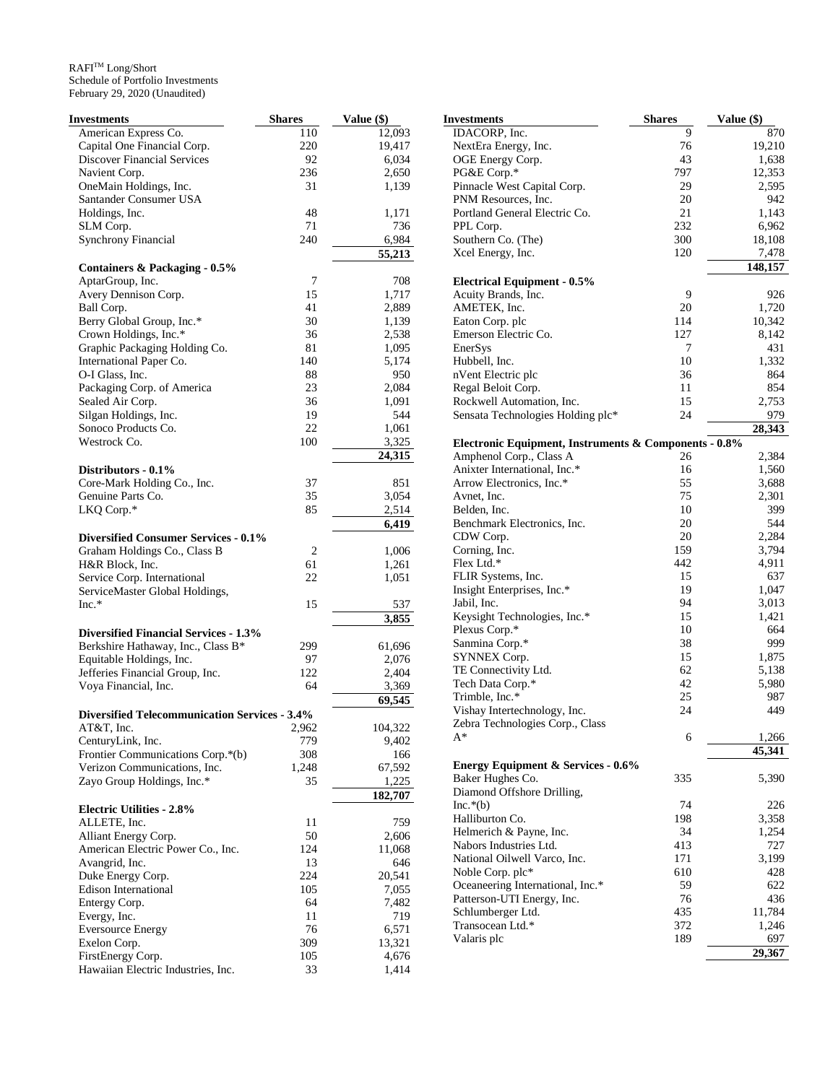| <b>Investments</b>                                   | <b>Shares</b> | Value (\$)   |
|------------------------------------------------------|---------------|--------------|
| American Express Co.                                 | 110           | 12,093       |
| Capital One Financial Corp.                          | 220           | 19,417       |
| <b>Discover Financial Services</b>                   | 92            | 6,034        |
| Navient Corp.                                        | 236           | 2,650        |
| OneMain Holdings, Inc.                               | 31            | 1,139        |
| Santander Consumer USA                               |               |              |
| Holdings, Inc.                                       | 48            | 1,171        |
| SLM Corp.                                            | 71            | 736          |
| <b>Synchrony Financial</b>                           | 240           | 6,984        |
|                                                      |               | 55,213       |
| Containers & Packaging - 0.5%                        |               |              |
| AptarGroup, Inc.                                     | 7             | 708          |
| Avery Dennison Corp.                                 | 15            | 1,717        |
| Ball Corp.                                           | 41            | 2,889        |
| Berry Global Group, Inc.*                            | 30            | 1,139        |
| Crown Holdings, Inc.*                                | 36            | 2,538        |
| Graphic Packaging Holding Co.                        | 81            | 1,095        |
| International Paper Co.                              | 140           | 5,174        |
| O-I Glass, Inc.                                      | 88            | 950          |
| Packaging Corp. of America                           | 23            | 2,084        |
| Sealed Air Corp.                                     | 36            | 1,091        |
| Silgan Holdings, Inc.                                | 19            | 544          |
| Sonoco Products Co.                                  | 22            | 1,061        |
| Westrock Co.                                         | 100           | 3,325        |
|                                                      |               | 24,315       |
| Distributors - 0.1%                                  |               |              |
| Core-Mark Holding Co., Inc.                          | 37            | 851          |
| Genuine Parts Co.                                    | 35            | 3,054        |
| LKQ Corp.*                                           | 85            | 2,514        |
|                                                      |               | 6,419        |
| <b>Diversified Consumer Services - 0.1%</b>          |               |              |
| Graham Holdings Co., Class B                         | 2             | 1,006        |
| H&R Block, Inc.                                      | 61            | 1,261        |
| Service Corp. International                          | 22            | 1,051        |
| ServiceMaster Global Holdings,                       |               |              |
| $Inc.*$                                              | 15            | 537<br>3,855 |
| <b>Diversified Financial Services - 1.3%</b>         |               |              |
| Berkshire Hathaway, Inc., Class B*                   | 299           | 61,696       |
| Equitable Holdings, Inc.                             | 97            | 2,076        |
| Jefferies Financial Group, Inc.                      | 122           | 2,404        |
| Voya Financial, Inc.                                 | 64            | 3,369        |
|                                                      |               | 69,545       |
| <b>Diversified Telecommunication Services - 3.4%</b> |               |              |
| AT&T, Inc.                                           | 2,962         | 104,322      |
| CenturyLink, Inc.                                    | 779           | 9,402        |
| Frontier Communications Corp.*(b)                    | 308           | 166          |
| Verizon Communications, Inc.                         | 1,248         | 67,592       |
| Zayo Group Holdings, Inc.*                           | 35            | 1,225        |
|                                                      |               | 182,707      |
| <b>Electric Utilities - 2.8%</b>                     |               |              |
| ALLETE, Inc.                                         | 11            | 759          |
| Alliant Energy Corp.                                 | 50            | 2,606        |
| American Electric Power Co., Inc.                    | 124           | 11,068       |
| Avangrid, Inc.                                       | 13            | 646          |
| Duke Energy Corp.                                    | 224           | 20,541       |
| Edison International                                 | 105           | 7,055        |
| Entergy Corp.                                        | 64            | 7,482        |
| Evergy, Inc.                                         | 11            | 719          |
| <b>Eversource Energy</b>                             | 76            | 6,571        |
| Exelon Corp.                                         | 309           | 13,321       |
| FirstEnergy Corp.                                    | 105           | 4,676        |
| Hawaiian Electric Industries, Inc.                   | 33            | 1,414        |

| Investments                                                                      | <b>Shares</b> | Value (\$)   |
|----------------------------------------------------------------------------------|---------------|--------------|
| IDACORP, Inc.                                                                    | 9             | 870          |
| NextEra Energy, Inc.                                                             | 76            | 19,210       |
| OGE Energy Corp.                                                                 | 43            | 1,638        |
| PG&E Corp.*                                                                      | 797           | 12,353       |
| Pinnacle West Capital Corp.                                                      | 29            | 2,595        |
| PNM Resources, Inc.                                                              | 20            | 942          |
| Portland General Electric Co.                                                    | 21            | 1,143        |
| PPL Corp.                                                                        | 232           | 6,962        |
| Southern Co. (The)                                                               | 300           | 18,108       |
| Xcel Energy, Inc.                                                                | 120           | 7,478        |
|                                                                                  |               | 148,157      |
| <b>Electrical Equipment - 0.5%</b>                                               |               |              |
| Acuity Brands, Inc.                                                              | 9             | 926          |
| AMETEK, Inc.                                                                     | 20            | 1,720        |
| Eaton Corp. plc                                                                  | 114           | 10,342       |
| Emerson Electric Co.                                                             | 127           | 8,142        |
| EnerSys                                                                          | 7             | 431          |
| Hubbell, Inc.                                                                    | 10            | 1,332        |
| nVent Electric plc                                                               | 36            | 864          |
| Regal Beloit Corp.                                                               | 11            | 854          |
| Rockwell Automation, Inc.                                                        | 15            | 2,753        |
| Sensata Technologies Holding plc*                                                | 24            | 979          |
|                                                                                  |               | 28,343       |
| Electronic Equipment, Instruments & Components - 0.8%<br>Amphenol Corp., Class A | 26            | 2,384        |
| Anixter International, Inc.*                                                     | 16            | 1,560        |
| Arrow Electronics, Inc.*                                                         | 55            | 3,688        |
| Avnet, Inc.                                                                      | 75            | 2,301        |
| Belden, Inc.                                                                     | 10            | 399          |
| Benchmark Electronics, Inc.                                                      | 20            | 544          |
| CDW Corp.                                                                        | 20            | 2,284        |
| Corning, Inc.                                                                    | 159           | 3,794        |
| Flex Ltd.*                                                                       | 442           | 4,911        |
| FLIR Systems, Inc.                                                               | 15            | 637          |
| Insight Enterprises, Inc.*                                                       | 19            | 1,047        |
| Jabil, Inc.                                                                      | 94            | 3,013        |
| Keysight Technologies, Inc.*                                                     | 15            | 1,421        |
| Plexus Corp.*                                                                    | 10            | 664          |
| Sanmina Corp.*                                                                   | 38            | 999          |
| SYNNEX Corp.                                                                     | 15            | 1,875        |
| TE Connectivity Ltd.                                                             | 62            | 5,138        |
| Tech Data Corp.*                                                                 | 42            | 5,980        |
| Trimble, Inc.*                                                                   | 25            | 987          |
| Vishay Intertechnology, Inc.                                                     | 24            | 449          |
| Zebra Technologies Corp., Class                                                  |               |              |
| A*                                                                               | 6             | 1,266        |
|                                                                                  |               | 45,341       |
| <b>Energy Equipment &amp; Services - 0.6%</b>                                    |               |              |
| Baker Hughes Co.                                                                 | 335           | 5,390        |
| Diamond Offshore Drilling,                                                       |               |              |
| $Inc.*(b)$<br>Halliburton Co.                                                    | 74<br>198     | 226<br>3,358 |
| Helmerich & Payne, Inc.                                                          | 34            | 1,254        |
| Nabors Industries Ltd.                                                           | 413           | 727          |
| National Oilwell Varco, Inc.                                                     | 171           | 3,199        |
| Noble Corp. plc*                                                                 | 610           | 428          |
| Oceaneering International, Inc.*                                                 | 59            | 622          |
| Patterson-UTI Energy, Inc.                                                       | 76            | 436          |
| Schlumberger Ltd.                                                                | 435           | 11,784       |
| Transocean Ltd.*                                                                 | 372           | 1,246        |
| Valaris plc                                                                      | 189           | 697          |
|                                                                                  |               | 29,367       |
|                                                                                  |               |              |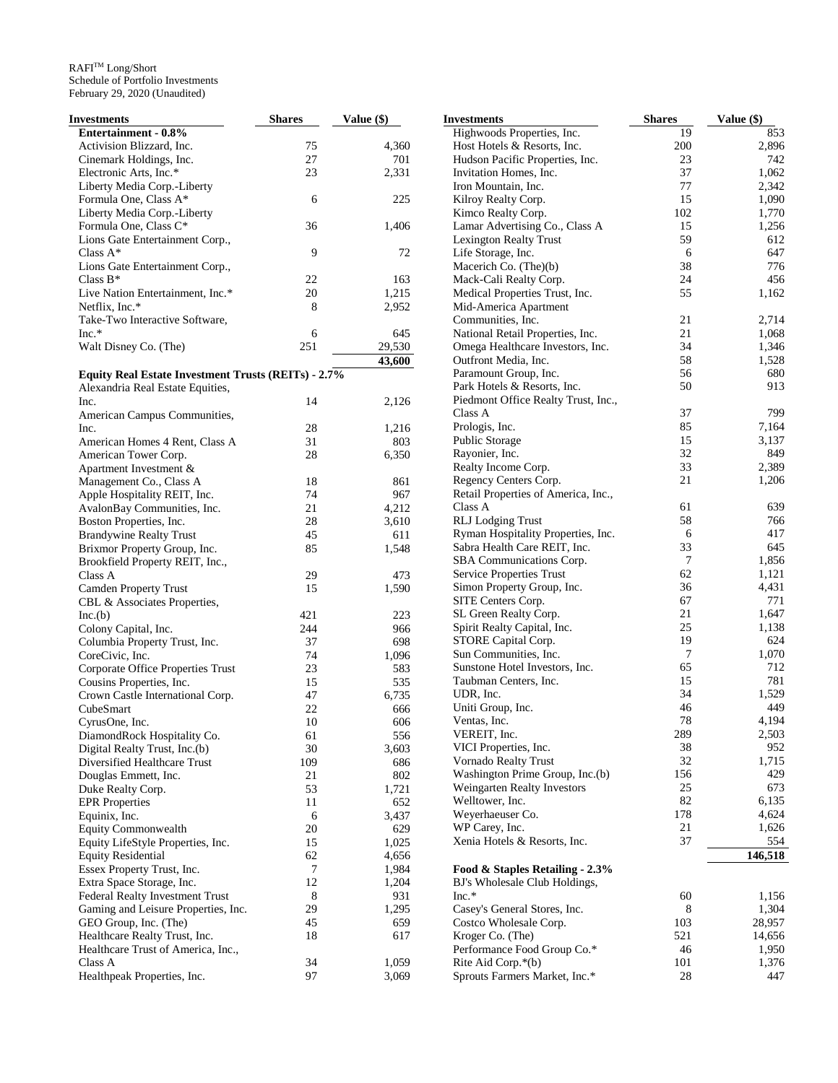| Investments                                                | <b>Shares</b> | <b>Value (\$)</b> |
|------------------------------------------------------------|---------------|-------------------|
| Entertainment - 0.8%                                       |               |                   |
| Activision Blizzard, Inc.                                  | 75            | 4,360             |
| Cinemark Holdings, Inc.                                    | 27            | 701               |
| Electronic Arts, Inc.*                                     | 23            | 2,331             |
| Liberty Media Corp.-Liberty                                |               |                   |
| Formula One, Class A*                                      | 6             | 225               |
| Liberty Media Corp.-Liberty                                |               |                   |
| Formula One, Class C*                                      | 36            | 1,406             |
| Lions Gate Entertainment Corp.,                            |               |                   |
| Class $A^*$                                                | 9             | 72                |
| Lions Gate Entertainment Corp.,                            |               |                   |
| Class $B^*$                                                | 22            | 163               |
| Live Nation Entertainment, Inc.*                           | 20            | 1,215             |
| Netflix, Inc.*                                             | 8             | 2,952             |
| Take-Two Interactive Software,                             |               |                   |
| $Inc.*$                                                    | 6             | 645               |
| Walt Disney Co. (The)                                      | 251           | 29,530            |
|                                                            |               | 43,600            |
| <b>Equity Real Estate Investment Trusts (REITs) - 2.7%</b> |               |                   |
| Alexandria Real Estate Equities,                           | 14            |                   |
| Inc.                                                       |               | 2,126             |
| American Campus Communities,<br>Inc.                       | 28            |                   |
| American Homes 4 Rent, Class A                             | 31            | 1,216<br>803      |
| American Tower Corp.                                       | 28            | 6,350             |
| Apartment Investment &                                     |               |                   |
| Management Co., Class A                                    | 18            | 861               |
| Apple Hospitality REIT, Inc.                               | 74            | 967               |
| AvalonBay Communities, Inc.                                | 21            | 4,212             |
| Boston Properties, Inc.                                    | 28            | 3,610             |
| <b>Brandywine Realty Trust</b>                             | 45            | 611               |
| Brixmor Property Group, Inc.                               | 85            | 1,548             |
| Brookfield Property REIT, Inc.,                            |               |                   |
| Class A                                                    | 29            | 473               |
| <b>Camden Property Trust</b>                               | 15            | 1,590             |
| CBL & Associates Properties,                               |               |                   |
| Inc.(b)                                                    | 421           | 223               |
| Colony Capital, Inc.                                       | 244           | 966               |
| Columbia Property Trust, Inc.                              | 37            | 698               |
| CoreCivic, Inc.                                            | 74            | 1,096             |
| Corporate Office Properties Trust                          | 23            | 583               |
| Cousins Properties, Inc.                                   | 15            | 535               |
| Crown Castle International Corp.                           | 47            | 6,735             |
| CubeSmart                                                  | 22            | 666               |
| CyrusOne, Inc.                                             | 10            | 606               |
| DiamondRock Hospitality Co.                                | 61            | 556               |
| Digital Realty Trust, Inc.(b)                              | 30            | 3,603             |
| Diversified Healthcare Trust                               | 109           | 686               |
| Douglas Emmett, Inc.                                       | 21            | 802               |
| Duke Realty Corp.                                          | 53            | 1,721             |
| <b>EPR</b> Properties                                      | 11<br>6       | 652               |
| Equinix, Inc.<br><b>Equity Commonwealth</b>                | 20            | 3,437             |
| Equity LifeStyle Properties, Inc.                          | 15            | 629<br>1,025      |
| <b>Equity Residential</b>                                  | 62            | 4,656             |
| Essex Property Trust, Inc.                                 | 7             | 1,984             |
| Extra Space Storage, Inc.                                  | 12            | 1,204             |
| Federal Realty Investment Trust                            | 8             | 931               |
| Gaming and Leisure Properties, Inc.                        | 29            | 1,295             |
| GEO Group, Inc. (The)                                      | 45            | 659               |
| Healthcare Realty Trust, Inc.                              | 18            | 617               |
| Healthcare Trust of America, Inc.,                         |               |                   |
| Class A                                                    | 34            | 1,059             |
| Healthpeak Properties, Inc.                                | 97            | 3,069             |

| <b>Investments</b>                                     | <b>Shares</b> | Value (\$)     |
|--------------------------------------------------------|---------------|----------------|
| Highwoods Properties, Inc.                             | 19            | 853            |
| Host Hotels & Resorts, Inc.                            | 200           | 2,896          |
| Hudson Pacific Properties, Inc.                        | 23            | 742            |
| Invitation Homes, Inc.                                 | 37            | 1,062          |
| Iron Mountain, Inc.                                    | 77            | 2,342          |
| Kilroy Realty Corp.                                    | 15            | 1,090          |
| Kimco Realty Corp.                                     | 102           | 1,770          |
| Lamar Advertising Co., Class A                         | 15            | 1,256          |
| <b>Lexington Realty Trust</b>                          | 59            | 612            |
| Life Storage, Inc.                                     | 6             | 647            |
| Macerich Co. (The)(b)<br>Mack-Cali Realty Corp.        | 38<br>24      | 776<br>456     |
| Medical Properties Trust, Inc.                         | 55            | 1,162          |
| Mid-America Apartment                                  |               |                |
| Communities, Inc.                                      | 21            | 2,714          |
| National Retail Properties, Inc.                       | 21            | 1,068          |
| Omega Healthcare Investors, Inc.                       | 34            | 1,346          |
| Outfront Media, Inc.                                   | 58            | 1,528          |
| Paramount Group, Inc.                                  | 56            | 680            |
| Park Hotels & Resorts, Inc.                            | 50            | 913            |
| Piedmont Office Realty Trust, Inc.,                    |               |                |
| Class A                                                | 37            | 799            |
| Prologis, Inc.                                         | 85            | 7,164          |
| Public Storage                                         | 15            | 3,137          |
| Rayonier, Inc.                                         | 32            | 849            |
| Realty Income Corp.                                    | 33            | 2,389          |
| Regency Centers Corp.                                  | 21            | 1,206          |
| Retail Properties of America, Inc.,                    |               |                |
| Class A                                                | 61            | 639            |
| <b>RLJ</b> Lodging Trust                               | 58            | 766            |
| Ryman Hospitality Properties, Inc.                     | 6             | 417            |
| Sabra Health Care REIT, Inc.                           | 33<br>7       | 645            |
| SBA Communications Corp.                               | 62            | 1,856          |
| Service Properties Trust<br>Simon Property Group, Inc. | 36            | 1,121<br>4,431 |
| SITE Centers Corp.                                     | 67            | 771            |
| SL Green Realty Corp.                                  | 21            | 1,647          |
| Spirit Realty Capital, Inc.                            | 25            | 1,138          |
| STORE Capital Corp.                                    | 19            | 624            |
| Sun Communities, Inc.                                  | 7             | 1,070          |
| Sunstone Hotel Investors, Inc.                         | 65            | 712            |
| Taubman Centers, Inc.                                  | 15            | 781            |
| UDR, Inc.                                              | 34            | 1,529          |
| Uniti Group, Inc.                                      | 46            | 449            |
| Ventas, Inc.                                           | 78            | 4,194          |
| VEREIT, Inc.                                           | 289           | 2,503          |
| VICI Properties, Inc.                                  | 38            | 952            |
| Vornado Realty Trust                                   | 32            | 1,715          |
| Washington Prime Group, Inc.(b)                        | 156           | 429            |
| <b>Weingarten Realty Investors</b>                     | 25            | 673            |
| Welltower, Inc.                                        | 82            | 6,135          |
| Weyerhaeuser Co.                                       | 178           | 4,624<br>1,626 |
| WP Carey, Inc.<br>Xenia Hotels & Resorts, Inc.         | 21<br>37      | 554            |
|                                                        |               |                |
| Food & Staples Retailing - 2.3%                        |               | 146,518        |
| BJ's Wholesale Club Holdings,                          |               |                |
| $Inc.*$                                                | 60            | 1,156          |
| Casey's General Stores, Inc.                           | 8             | 1,304          |
| Costco Wholesale Corp.                                 | 103           | 28,957         |
| Kroger Co. (The)                                       | 521           | 14,656         |
| Performance Food Group Co.*                            | 46            | 1,950          |
| Rite Aid Corp.*(b)                                     | 101           | 1,376          |
| Sprouts Farmers Market, Inc.*                          | 28            | 447            |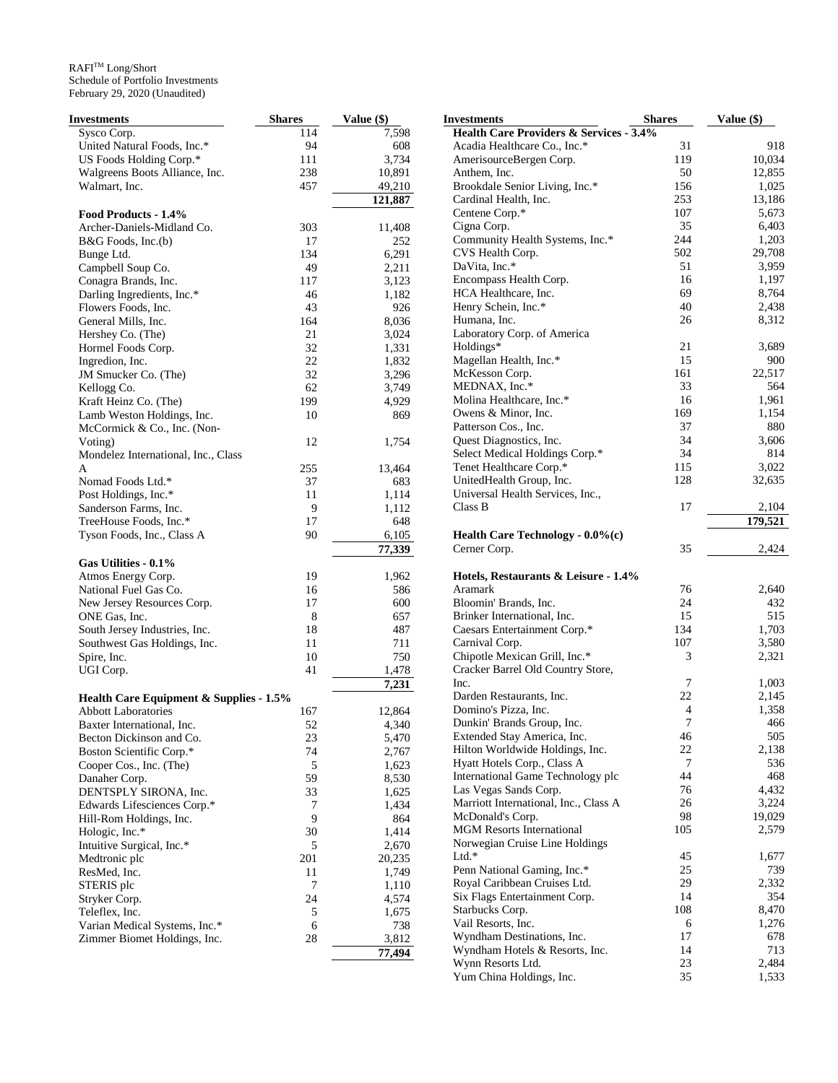| <b>Investments</b>                      | <b>Shares</b> | Value (\$) | <b>Investments</b>                                            | <b>Shares</b>            | Value (\$)   |
|-----------------------------------------|---------------|------------|---------------------------------------------------------------|--------------------------|--------------|
| Sysco Corp.                             | 114           | 7,598      | <b>Health Care Providers &amp; Services - 3.4%</b>            |                          |              |
| United Natural Foods, Inc.*             | 94            | 608        | Acadia Healthcare Co., Inc.*                                  | 31                       | 918          |
| US Foods Holding Corp.*                 | 111           | 3,734      | AmerisourceBergen Corp.                                       | 119                      | 10,034       |
| Walgreens Boots Alliance, Inc.          | 238           | 10,891     | Anthem, Inc.                                                  | 50                       | 12,855       |
| Walmart, Inc.                           | 457           | 49,210     | Brookdale Senior Living, Inc.*                                | 156                      | 1,025        |
|                                         |               | 121,887    | Cardinal Health, Inc.                                         | 253                      | 13,186       |
| Food Products - 1.4%                    |               |            | Centene Corp.*                                                | 107                      | 5,673        |
| Archer-Daniels-Midland Co.              | 303           | 11,408     | Cigna Corp.                                                   | 35                       | 6,403        |
| B&G Foods, Inc.(b)                      | 17            | 252        | Community Health Systems, Inc.*                               | 244                      | 1,203        |
| Bunge Ltd.                              | 134           | 6,291      | CVS Health Corp.                                              | 502                      | 29,708       |
| Campbell Soup Co.                       | 49            | 2,211      | DaVita, Inc.*                                                 | 51                       | 3,959        |
| Conagra Brands, Inc.                    | 117           | 3,123      | Encompass Health Corp.                                        | 16                       | 1,197        |
| Darling Ingredients, Inc.*              | 46            | 1,182      | HCA Healthcare, Inc.                                          | 69                       | 8,764        |
| Flowers Foods, Inc.                     | 43            | 926        | Henry Schein, Inc.*                                           | 40                       | 2,438        |
| General Mills, Inc.                     | 164           | 8,036      | Humana, Inc.                                                  | 26                       | 8,312        |
| Hershey Co. (The)                       | 21            | 3,024      | Laboratory Corp. of America                                   |                          |              |
| Hormel Foods Corp.                      | 32            | 1,331      | Holdings*                                                     | 21                       | 3,689        |
| Ingredion, Inc.                         | 22            | 1,832      | Magellan Health, Inc.*                                        | 15                       | 900          |
| JM Smucker Co. (The)                    | 32            | 3,296      | McKesson Corp.                                                | 161                      | 22,517       |
| Kellogg Co.                             | 62            | 3,749      | MEDNAX, Inc.*                                                 | 33                       | 564          |
| Kraft Heinz Co. (The)                   | 199           | 4,929      | Molina Healthcare, Inc.*                                      | 16                       | 1,961        |
| Lamb Weston Holdings, Inc.              | 10            | 869        | Owens & Minor, Inc.                                           | 169                      | 1,154        |
| McCormick & Co., Inc. (Non-             |               |            | Patterson Cos., Inc.                                          | 37                       | 880          |
| Voting)                                 | 12            | 1,754      | Quest Diagnostics, Inc.                                       | 34                       | 3,606        |
| Mondelez International, Inc., Class     |               |            | Select Medical Holdings Corp.*                                | 34                       | 814          |
| A                                       | 255           | 13,464     | Tenet Healthcare Corp.*                                       | 115                      | 3,022        |
| Nomad Foods Ltd.*                       | 37            | 683        | UnitedHealth Group, Inc.                                      | 128                      | 32,635       |
| Post Holdings, Inc.*                    | 11            | 1,114      | Universal Health Services, Inc.,                              |                          |              |
| Sanderson Farms, Inc.                   | 9             | 1,112      | Class B                                                       | 17                       | 2,104        |
| TreeHouse Foods, Inc.*                  | 17            | 648        |                                                               |                          | 179,521      |
| Tyson Foods, Inc., Class A              | 90            | 6,105      | Health Care Technology - 0.0%(c)                              |                          |              |
|                                         |               | 77,339     | Cerner Corp.                                                  | 35                       | 2,424        |
| Gas Utilities - 0.1%                    |               |            |                                                               |                          |              |
| Atmos Energy Corp.                      | 19            | 1,962      | Hotels, Restaurants & Leisure - 1.4%                          |                          |              |
| National Fuel Gas Co.                   | 16            | 586        | Aramark                                                       | 76                       | 2,640        |
| New Jersey Resources Corp.              | 17            | 600        | Bloomin' Brands, Inc.                                         | 24                       | 432          |
| ONE Gas, Inc.                           | 8             | 657        | Brinker International, Inc.                                   | 15                       | 515          |
| South Jersey Industries, Inc.           | 18            | 487        | Caesars Entertainment Corp.*                                  | 134                      | 1,703        |
| Southwest Gas Holdings, Inc.            | 11            | 711        | Carnival Corp.                                                | 107                      | 3,580        |
| Spire, Inc.                             | 10            | 750        | Chipotle Mexican Grill, Inc.*                                 | 3                        | 2,321        |
| UGI Corp.                               | 41            | 1,478      | Cracker Barrel Old Country Store,                             |                          |              |
|                                         |               | 7,231      | Inc.                                                          | 7                        | 1,003        |
| Health Care Equipment & Supplies - 1.5% |               |            | Darden Restaurants, Inc.                                      | 22                       | 2,145        |
| <b>Abbott Laboratories</b>              | 167           | 12,864     | Domino's Pizza, Inc.                                          | $\overline{\mathcal{A}}$ | 1,358        |
| Baxter International, Inc.              | 52            | 4,340      | Dunkin' Brands Group, Inc.                                    | 7                        | 466          |
| Becton Dickinson and Co.                | 23            | 5,470      | Extended Stay America, Inc.                                   | 46                       | 505          |
| Boston Scientific Corp.*                | 74            | 2,767      | Hilton Worldwide Holdings, Inc.                               | $22\,$                   | 2,138        |
| Cooper Cos., Inc. (The)                 | 5             | 1,623      | Hyatt Hotels Corp., Class A                                   | 7                        | 536          |
| Danaher Corp.                           | 59            | 8,530      | International Game Technology plc                             | 44                       | 468          |
| DENTSPLY SIRONA, Inc.                   | 33            | 1,625      | Las Vegas Sands Corp.                                         | 76                       | 4,432        |
| Edwards Lifesciences Corp.*             | 7             | 1,434      | Marriott International, Inc., Class A                         | 26                       | 3,224        |
| Hill-Rom Holdings, Inc.                 | 9             | 864        | McDonald's Corp.                                              | 98                       | 19,029       |
| Hologic, Inc.*                          | 30            | 1,414      | <b>MGM Resorts International</b>                              | 105                      | 2,579        |
| Intuitive Surgical, Inc.*               | 5             | 2,670      | Norwegian Cruise Line Holdings<br>Ltd.*                       |                          |              |
| Medtronic plc                           | 201           | 20,235     | Penn National Gaming, Inc.*                                   | 45<br>25                 | 1,677<br>739 |
| ResMed, Inc.                            | 11            | 1,749      |                                                               | 29                       |              |
| STERIS plc                              | 7             | 1,110      | Royal Caribbean Cruises Ltd.<br>Six Flags Entertainment Corp. | 14                       | 2,332<br>354 |
| Stryker Corp.                           | 24            | 4,574      | Starbucks Corp.                                               | 108                      | 8,470        |
| Teleflex, Inc.                          | 5             | 1,675      | Vail Resorts, Inc.                                            | 6                        | 1,276        |
| Varian Medical Systems, Inc.*           | 6             | 738        | Wyndham Destinations, Inc.                                    | 17                       | 678          |
| Zimmer Biomet Holdings, Inc.            | 28            | 3,812      | Wyndham Hotels & Resorts, Inc.                                | 14                       | 713          |
|                                         |               | 77,494     | Wynn Resorts Ltd.                                             | 23                       | 2,484        |
|                                         |               |            | Yum China Holdings, Inc.                                      | 35                       | 1,533        |
|                                         |               |            |                                                               |                          |              |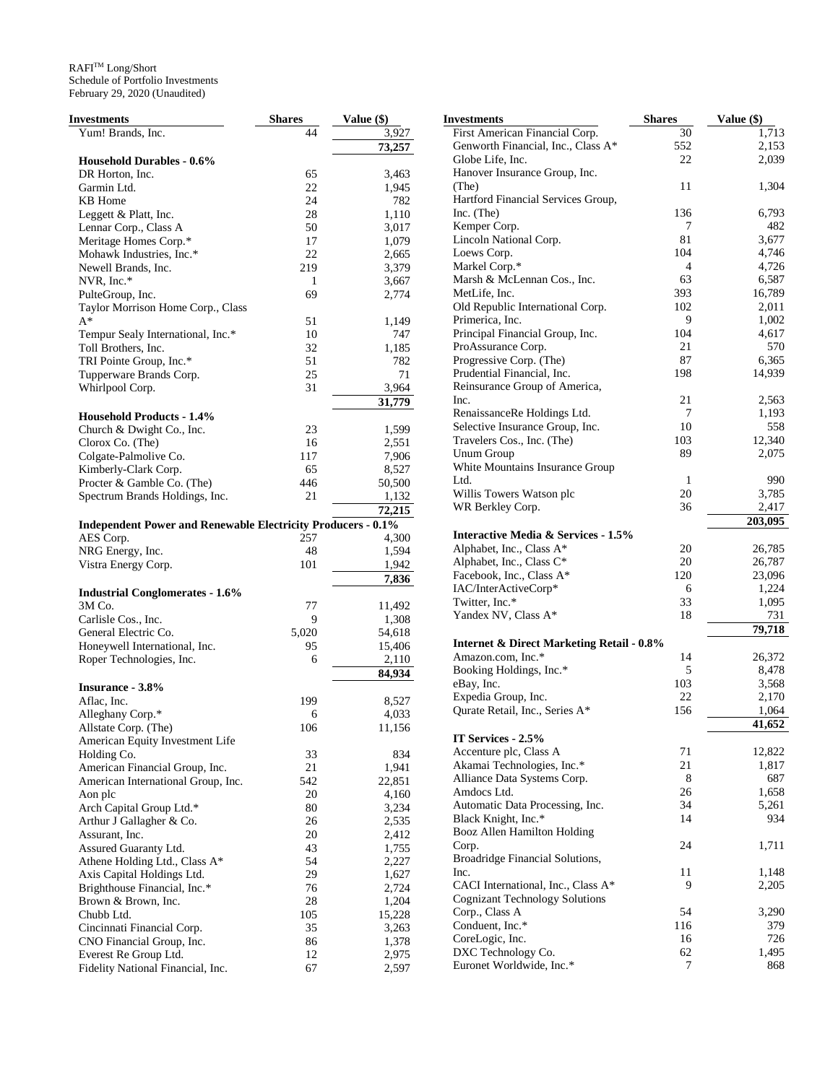| Investments                                                         | <b>Shares</b> | <b>Value (\$)</b> |
|---------------------------------------------------------------------|---------------|-------------------|
| Yum! Brands, Inc.                                                   | 44            | 3,927             |
|                                                                     |               | 73,257            |
| <b>Household Durables - 0.6%</b>                                    |               |                   |
| DR Horton, Inc.                                                     | 65            | 3,463             |
| Garmin Ltd.                                                         | 22            | 1,945             |
| KB Home                                                             | 24            | 782               |
| Leggett & Platt, Inc.                                               | 28            | 1,110             |
| Lennar Corp., Class A                                               | 50            | 3,017             |
| Meritage Homes Corp.*                                               | 17            | 1,079             |
| Mohawk Industries, Inc.*                                            | 22            | 2,665             |
| Newell Brands, Inc.                                                 | 219           | 3,379             |
| NVR, Inc.*                                                          | 1             | 3,667             |
|                                                                     | 69            |                   |
| PulteGroup, Inc.                                                    |               | 2,774             |
| Taylor Morrison Home Corp., Class<br>$A^*$                          | 51            | 1,149             |
|                                                                     | 10            | 747               |
| Tempur Sealy International, Inc.*                                   | 32            |                   |
| Toll Brothers, Inc.                                                 |               | 1,185             |
| TRI Pointe Group, Inc.*                                             | 51            | 782               |
| Tupperware Brands Corp.                                             | 25            | 71                |
| Whirlpool Corp.                                                     | 31            | 3,964             |
|                                                                     |               | 31,779            |
| <b>Household Products - 1.4%</b>                                    |               |                   |
| Church & Dwight Co., Inc.                                           | 23            | 1,599             |
| Clorox Co. (The)                                                    | 16            | 2,551             |
| Colgate-Palmolive Co.                                               | 117           | 7,906             |
| Kimberly-Clark Corp.                                                | 65            | 8,527             |
| Procter & Gamble Co. (The)                                          | 446           | 50,500            |
| Spectrum Brands Holdings, Inc.                                      | 21            | 1,132             |
|                                                                     |               | 72,215            |
| <b>Independent Power and Renewable Electricity Producers - 0.1%</b> |               |                   |
| AES Corp.                                                           | 257           | 4,300             |
| NRG Energy, Inc.                                                    | 48            | 1,594             |
| Vistra Energy Corp.                                                 | 101           | 1,942             |
|                                                                     |               | 7,836             |
| <b>Industrial Conglomerates - 1.6%</b>                              |               |                   |
| 3M Co.                                                              | 77            | 11,492            |
| Carlisle Cos., Inc.                                                 | 9             | 1,308             |
| General Electric Co.                                                | 5,020         | 54,618            |
| Honeywell International, Inc.                                       | 95            | 15,406            |
| Roper Technologies, Inc.                                            | 6             | 2,110             |
|                                                                     |               | 84,934            |
| <b>Insurance - 3.8%</b>                                             |               |                   |
| Aflac, Inc.                                                         | 199           | 8,527             |
| Alleghany Corp.*                                                    |               |                   |
|                                                                     | 6             | 4,033             |
| Allstate Corp. (The)                                                | 106           | 11,156            |
| American Equity Investment Life                                     |               |                   |
| Holding Co.                                                         | 33            | 834               |
| American Financial Group, Inc.                                      | 21            | 1,941             |
| American International Group, Inc.                                  | 542           | 22,851            |
| Aon plc                                                             | 20            | 4,160             |
| Arch Capital Group Ltd.*                                            | 80            | 3,234             |
| Arthur J Gallagher & Co.                                            | 26            | 2,535             |
| Assurant, Inc.                                                      | 20            | 2,412             |
| Assured Guaranty Ltd.                                               | 43            | 1,755             |
| Athene Holding Ltd., Class A*                                       | 54            | 2,227             |
| Axis Capital Holdings Ltd.                                          | 29            | 1,627             |
| Brighthouse Financial, Inc.*                                        | 76            | 2,724             |
| Brown & Brown, Inc.                                                 | 28            | 1,204             |
| Chubb Ltd.                                                          | 105           | 15,228            |
| Cincinnati Financial Corp.                                          | 35            | 3,263             |
| CNO Financial Group, Inc.                                           | 86            | 1,378             |
| Everest Re Group Ltd.                                               | 12            | 2,975             |
| Fidelity National Financial, Inc.                                   | 67            | 2,597             |

| Investments                                          | <b>Shares</b> | Value (\$) |
|------------------------------------------------------|---------------|------------|
| First American Financial Corp.                       | 30            | 1,713      |
| Genworth Financial, Inc., Class A*                   | 552           | 2,153      |
| Globe Life, Inc.                                     | 22            | 2,039      |
| Hanover Insurance Group, Inc.                        |               |            |
| (The)                                                | 11            | 1,304      |
| Hartford Financial Services Group,                   |               |            |
| Inc. (The)                                           | 136           | 6,793      |
| Kemper Corp.                                         | 7             | 482        |
| Lincoln National Corp.                               | 81            | 3,677      |
| Loews Corp.                                          | 104           | 4,746      |
| Markel Corp.*                                        | 4             | 4,726      |
| Marsh & McLennan Cos., Inc.                          | 63            | 6,587      |
| MetLife, Inc.                                        | 393           | 16,789     |
| Old Republic International Corp.                     | 102           | 2,011      |
| Primerica, Inc.                                      | 9             | 1,002      |
| Principal Financial Group, Inc.                      | 104           | 4,617      |
| ProAssurance Corp.                                   | 21            | 570        |
| Progressive Corp. (The)                              | 87            | 6,365      |
| Prudential Financial, Inc.                           | 198           | 14,939     |
| Reinsurance Group of America,                        |               |            |
| Inc.                                                 | 21            | 2,563      |
| RenaissanceRe Holdings Ltd.                          | 7             | 1,193      |
| Selective Insurance Group, Inc.                      | 10            | 558        |
| Travelers Cos., Inc. (The)                           | 103           | 12,340     |
| Unum Group                                           | 89            | 2,075      |
| White Mountains Insurance Group                      |               |            |
| Ltd.                                                 | 1             | 990        |
| Willis Towers Watson plc                             | 20            | 3,785      |
| WR Berkley Corp.                                     | 36            | 2,417      |
|                                                      |               | 203,095    |
| Interactive Media & Services - 1.5%                  |               |            |
| Alphabet, Inc., Class A*                             | 20            | 26,785     |
| Alphabet, Inc., Class C*                             | 20            | 26,787     |
| Facebook, Inc., Class A*                             | 120           | 23,096     |
| IAC/InterActiveCorp*                                 | 6             | 1,224      |
| Twitter, Inc.*                                       | 33            | 1,095      |
| Yandex NV, Class A*                                  | 18            | 731        |
|                                                      |               | 79,718     |
| <b>Internet &amp; Direct Marketing Retail - 0.8%</b> |               |            |
| Amazon.com, Inc.*                                    | 14            | 26,372     |
| Booking Holdings, Inc.*                              | 5             | 8,478      |
| eBay, Inc.                                           | 103           | 3,568      |
| Expedia Group, Inc.                                  | 22            | 2,170      |
| Qurate Retail, Inc., Series A*                       | 156           | 1,064      |
|                                                      |               | 41,652     |
| IT Services - 2.5%                                   |               |            |
| Accenture plc, Class A                               | 71            | 12,822     |
| Akamai Technologies, Inc.*                           | 21            | 1,817      |
| Alliance Data Systems Corp.                          | 8             | 687        |
| Amdocs Ltd.                                          | 26            | 1,658      |
| Automatic Data Processing, Inc.                      | 34            | 5,261      |
| Black Knight, Inc.*                                  | 14            | 934        |
| Booz Allen Hamilton Holding                          |               |            |
| Corp.                                                | 24            | 1,711      |
| Broadridge Financial Solutions,                      |               |            |
| Inc.                                                 | 11            | 1,148      |
| CACI International, Inc., Class A*                   | 9             | 2,205      |
| <b>Cognizant Technology Solutions</b>                |               |            |
| Corp., Class A                                       | 54            | 3,290      |
| Conduent, Inc.*                                      | 116           | 379        |
| CoreLogic, Inc.                                      | 16            | 726        |
| DXC Technology Co.                                   | 62            | 1,495      |
| Euronet Worldwide, Inc.*                             | 7             | 868        |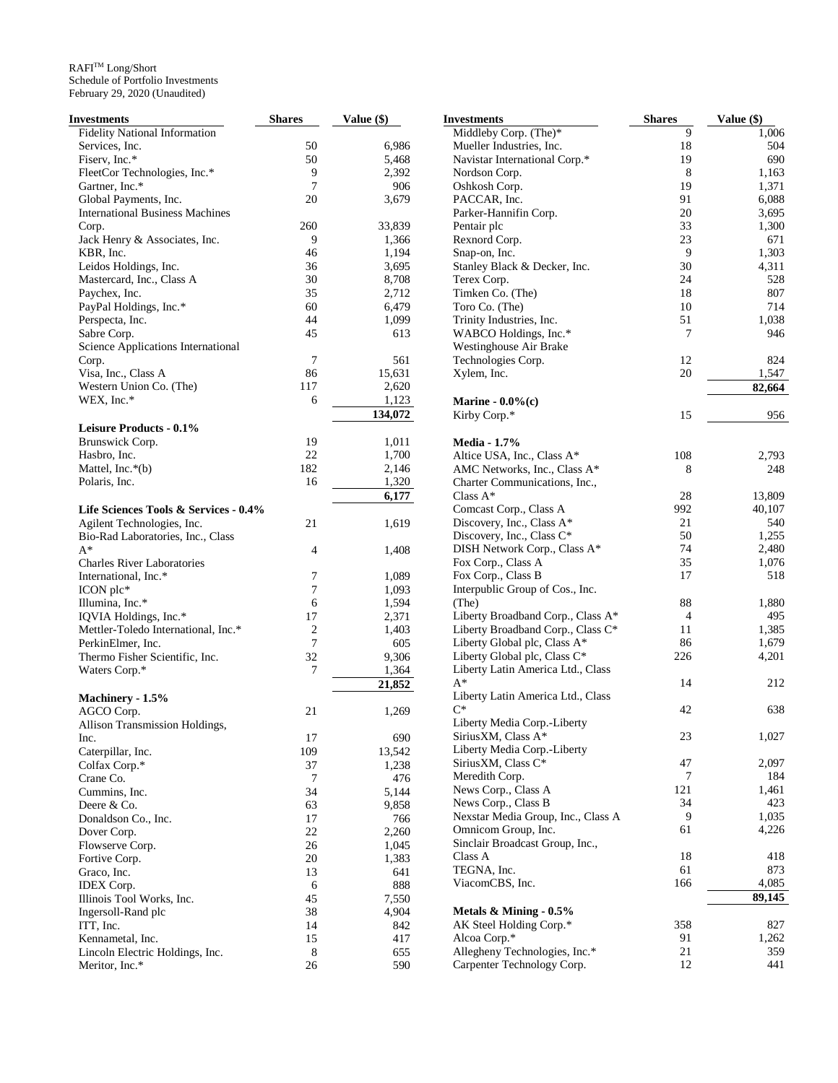| Investments                            | <b>Shares</b>  | Value (\$) | <b>Investments</b>                 | <b>Shares</b>  | Value (\$) |
|----------------------------------------|----------------|------------|------------------------------------|----------------|------------|
| <b>Fidelity National Information</b>   |                |            | Middleby Corp. (The)*              | 9              | 1,006      |
| Services, Inc.                         | 50             | 6,986      | Mueller Industries, Inc.           | 18             | 504        |
| Fiserv, Inc.*                          | 50             | 5,468      | Navistar International Corp.*      | 19             | 690        |
| FleetCor Technologies, Inc.*           | 9              | 2,392      | Nordson Corp.                      | $\,8\,$        | 1,163      |
| Gartner, Inc.*                         | $\overline{7}$ | 906        | Oshkosh Corp.                      | 19             | 1,371      |
| Global Payments, Inc.                  | 20             | 3,679      | PACCAR, Inc.                       | 91             | 6,088      |
| <b>International Business Machines</b> |                |            | Parker-Hannifin Corp.              | 20             | 3,695      |
| Corp.                                  | 260            | 33,839     | Pentair plc                        | 33             | 1,300      |
| Jack Henry & Associates, Inc.          | 9              | 1,366      | Rexnord Corp.                      | 23             | 671        |
| KBR, Inc.                              | 46             | 1,194      |                                    | 9              | 1,303      |
|                                        |                |            | Snap-on, Inc.                      | 30             |            |
| Leidos Holdings, Inc.                  | 36             | 3,695      | Stanley Black & Decker, Inc.       |                | 4,311      |
| Mastercard, Inc., Class A              | 30             | 8,708      | Terex Corp.                        | 24             | 528        |
| Paychex, Inc.                          | 35             | 2,712      | Timken Co. (The)                   | 18             | 807        |
| PayPal Holdings, Inc.*                 | 60             | 6,479      | Toro Co. (The)                     | 10             | 714        |
| Perspecta, Inc.                        | 44             | 1,099      | Trinity Industries, Inc.           | 51             | 1,038      |
| Sabre Corp.                            | 45             | 613        | WABCO Holdings, Inc.*              | 7              | 946        |
| Science Applications International     |                |            | Westinghouse Air Brake             |                |            |
| Corp.                                  | 7              | 561        | Technologies Corp.                 | 12             | 824        |
| Visa, Inc., Class A                    | 86             | 15,631     | Xylem, Inc.                        | $20\,$         | 1,547      |
| Western Union Co. (The)                | 117            | 2,620      |                                    |                | 82,664     |
| WEX, Inc.*                             | 6              | 1,123      | Marine - $0.0\%$ (c)               |                |            |
|                                        |                | 134,072    | Kirby Corp.*                       | 15             | 956        |
| Leisure Products - 0.1%                |                |            |                                    |                |            |
|                                        | 19             | 1,011      |                                    |                |            |
| Brunswick Corp.                        | 22             | 1,700      | <b>Media - 1.7%</b>                |                |            |
| Hasbro, Inc.                           |                |            | Altice USA, Inc., Class A*         | 108            | 2,793      |
| Mattel, Inc.*(b)                       | 182            | 2,146      | AMC Networks, Inc., Class A*       | 8              | 248        |
| Polaris, Inc.                          | 16             | 1,320      | Charter Communications, Inc.,      |                |            |
|                                        |                | 6,177      | Class $A^*$                        | 28             | 13,809     |
| Life Sciences Tools & Services - 0.4%  |                |            | Comcast Corp., Class A             | 992            | 40,107     |
| Agilent Technologies, Inc.             | 21             | 1,619      | Discovery, Inc., Class A*          | 21             | 540        |
| Bio-Rad Laboratories, Inc., Class      |                |            | Discovery, Inc., Class C*          | 50             | 1,255      |
| $A^*$                                  | 4              | 1,408      | DISH Network Corp., Class A*       | 74             | 2,480      |
| <b>Charles River Laboratories</b>      |                |            | Fox Corp., Class A                 | 35             | 1,076      |
| International, Inc.*                   | 7              | 1,089      | Fox Corp., Class B                 | 17             | 518        |
| ICON plc*                              | 7              | 1,093      | Interpublic Group of Cos., Inc.    |                |            |
| Illumina, Inc.*                        | 6              | 1,594      | (The)                              | 88             | 1,880      |
| IQVIA Holdings, Inc.*                  | 17             | 2,371      | Liberty Broadband Corp., Class A*  | $\overline{4}$ | 495        |
| Mettler-Toledo International, Inc.*    | 2              | 1,403      | Liberty Broadband Corp., Class C*  | 11             | 1,385      |
| PerkinElmer, Inc.                      | 7              | 605        | Liberty Global plc, Class A*       | 86             | 1,679      |
| Thermo Fisher Scientific, Inc.         | 32             | 9,306      | Liberty Global plc, Class C*       | 226            | 4,201      |
|                                        |                |            | Liberty Latin America Ltd., Class  |                |            |
| Waters Corp.*                          | $\overline{7}$ | 1,364      | $A^*$                              |                |            |
|                                        |                | 21,852     |                                    | 14             | 212        |
| Machinery - 1.5%                       |                |            | Liberty Latin America Ltd., Class  |                |            |
| AGCO Corp.                             | 21             | 1,269      | $C^*$                              | 42             | 638        |
| Allison Transmission Holdings,         |                |            | Liberty Media Corp.-Liberty        |                |            |
| Inc.                                   | 17             | 690        | SiriusXM, Class A*                 | 23             | 1,027      |
| Caterpillar, Inc.                      | 109            | 13,542     | Liberty Media Corp.-Liberty        |                |            |
| Colfax Corp.*                          | 37             | 1,238      | SiriusXM, Class C*                 | 47             | 2,097      |
| Crane Co.                              | $\tau$         | 476        | Meredith Corp.                     | 7              | 184        |
| Cummins, Inc.                          | 34             | 5,144      | News Corp., Class A                | 121            | 1,461      |
| Deere & Co.                            | 63             | 9,858      | News Corp., Class B                | 34             | 423        |
| Donaldson Co., Inc.                    | 17             | 766        | Nexstar Media Group, Inc., Class A | 9              | 1,035      |
| Dover Corp.                            | 22             | 2,260      | Omnicom Group, Inc.                | 61             | 4,226      |
| Flowserve Corp.                        | 26             | 1,045      | Sinclair Broadcast Group, Inc.,    |                |            |
|                                        | 20             | 1,383      | Class A                            | 18             | 418        |
| Fortive Corp.                          |                |            | TEGNA, Inc.                        | 61             | 873        |
| Graco, Inc.                            | 13             | 641        |                                    | 166            |            |
| IDEX Corp.                             | 6              | 888        | ViacomCBS, Inc.                    |                | 4,085      |
| Illinois Tool Works, Inc.              | 45             | 7,550      |                                    |                | 89,145     |
| Ingersoll-Rand plc                     | 38             | 4,904      | Metals & Mining - 0.5%             |                |            |
| ITT, Inc.                              | 14             | 842        | AK Steel Holding Corp.*            | 358            | 827        |
| Kennametal, Inc.                       | 15             | 417        | Alcoa Corp.*                       | 91             | 1,262      |
| Lincoln Electric Holdings, Inc.        | $\,8\,$        | 655        | Allegheny Technologies, Inc.*      | 21             | 359        |
| Meritor, Inc.*                         | 26             | 590        | Carpenter Technology Corp.         | 12             | 441        |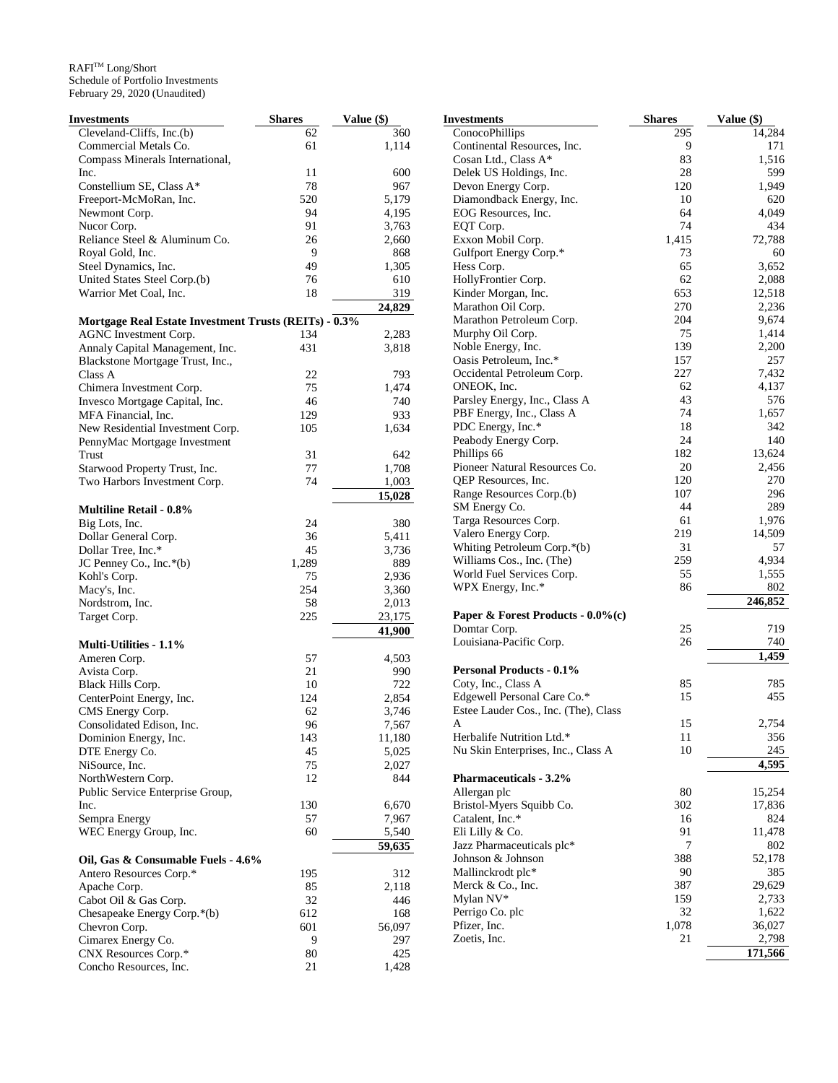| Investments                                                  | <b>Shares</b> | Value (\$) |
|--------------------------------------------------------------|---------------|------------|
| Cleveland-Cliffs, Inc.(b)                                    | 62            | 360        |
| Commercial Metals Co.                                        | 61            | 1,114      |
| Compass Minerals International,                              |               |            |
| Inc.                                                         | 11            | 600        |
| Constellium SE, Class A*                                     | 78            | 967        |
| Freeport-McMoRan, Inc.                                       | 520           | 5,179      |
| Newmont Corp.                                                | 94            | 4,195      |
| Nucor Corp.                                                  | 91            | 3,763      |
| Reliance Steel & Aluminum Co.                                | 26            | 2,660      |
| Royal Gold, Inc.                                             | 9             | 868        |
| Steel Dynamics, Inc.                                         | 49            | 1,305      |
| United States Steel Corp.(b)                                 | 76            | 610        |
| Warrior Met Coal, Inc.                                       | 18            | 319        |
|                                                              |               | 24,829     |
| <b>Mortgage Real Estate Investment Trusts (REITs) - 0.3%</b> |               |            |
| AGNC Investment Corp.                                        | 134           | 2,283      |
| Annaly Capital Management, Inc.                              | 431           | 3,818      |
| Blackstone Mortgage Trust, Inc.,                             |               |            |
| Class A                                                      | 22            | 793        |
| Chimera Investment Corp.                                     | 75            | 1,474      |
| Invesco Mortgage Capital, Inc.                               | 46            | 740        |
| MFA Financial, Inc.                                          | 129           | 933        |
| New Residential Investment Corp.                             | 105           | 1,634      |
| PennyMac Mortgage Investment                                 |               |            |
| Trust                                                        | 31            | 642        |
| Starwood Property Trust, Inc.                                | 77            | 1,708      |
| Two Harbors Investment Corp.                                 | 74            | 1,003      |
|                                                              |               | 15,028     |
| <b>Multiline Retail - 0.8%</b>                               |               |            |
| Big Lots, Inc.                                               | 24            | 380        |
| Dollar General Corp.                                         | 36            | 5,411      |
| Dollar Tree, Inc.*                                           | 45            | 3,736      |
| JC Penney Co., Inc.*(b)                                      | 1,289         | 889        |
| Kohl's Corp.                                                 | 75            | 2,936      |
| Macy's, Inc.                                                 | 254           | 3,360      |
| Nordstrom, Inc.                                              | 58            | 2,013      |
| Target Corp.                                                 | 225           | 23,175     |
|                                                              |               | 41,900     |
| Multi-Utilities - 1.1%                                       |               |            |
| Ameren Corp.                                                 | 57            | 4,503      |
| Avista Corp.                                                 | 21            | 990        |
| Black Hills Corp.                                            | 10            | 722        |
| CenterPoint Energy, Inc.                                     | 124           | 2,854      |
| CMS Energy Corp.                                             | 62            | 3,746      |
| Consolidated Edison, Inc.                                    | 96            | 7,567      |
| Dominion Energy, Inc.                                        | 143           | 11,180     |
| DTE Energy Co.                                               | 45            | 5,025      |
| NiSource, Inc.                                               | 75            | 2,027      |
| NorthWestern Corp.                                           | 12            | 844        |
| Public Service Enterprise Group,                             |               |            |
| Inc.                                                         | 130           | 6,670      |
| Sempra Energy                                                | 57            | 7,967      |
| WEC Energy Group, Inc.                                       | 60            | 5,540      |
|                                                              |               | 59,635     |
| Oil, Gas & Consumable Fuels - 4.6%                           |               |            |
| Antero Resources Corp.*                                      | 195           | 312        |
| Apache Corp.                                                 | 85            | 2,118      |
| Cabot Oil & Gas Corp.                                        | 32            | 446        |
| Chesapeake Energy Corp.*(b)                                  | 612           | 168        |
| Chevron Corp.                                                | 601           | 56,097     |
| Cimarex Energy Co.                                           | 9             | 297        |
| CNX Resources Corp.*                                         | 80            | 425        |
| Concho Resources, Inc.                                       | 21            | 1,428      |

| Investments                                            | <b>Shares</b> | Value (\$)       |
|--------------------------------------------------------|---------------|------------------|
| ConocoPhillips                                         | 295           | 14,284           |
| Continental Resources, Inc.                            | 9             | 171              |
| Cosan Ltd., Class A*                                   | 83            | 1,516            |
| Delek US Holdings, Inc.                                | 28            | 599              |
| Devon Energy Corp.                                     | 120           | 1,949            |
| Diamondback Energy, Inc.                               | 10            | 620              |
| EOG Resources, Inc.                                    | 64            | 4,049            |
| EQT Corp.                                              | 74            | 434              |
| Exxon Mobil Corp.                                      | 1,415         | 72,788           |
| Gulfport Energy Corp.*                                 | 73            | 60               |
| Hess Corp.<br>HollyFrontier Corp.                      | 65<br>62      | 3,652<br>2,088   |
| Kinder Morgan, Inc.                                    | 653           | 12,518           |
| Marathon Oil Corp.                                     | 270           | 2,236            |
| Marathon Petroleum Corp.                               | 204           | 9,674            |
| Murphy Oil Corp.                                       | 75            | 1,414            |
| Noble Energy, Inc.                                     | 139           | 2,200            |
| Oasis Petroleum, Inc.*                                 | 157           | 257              |
| Occidental Petroleum Corp.                             | 227           | 7,432            |
| ONEOK, Inc.                                            | 62            | 4,137            |
| Parsley Energy, Inc., Class A                          | 43            | 576              |
| PBF Energy, Inc., Class A                              | 74            | 1,657            |
| PDC Energy, Inc.*                                      | 18            | 342              |
| Peabody Energy Corp.                                   | 24            | 140              |
| Phillips 66                                            | 182           | 13,624           |
| Pioneer Natural Resources Co.                          | 20            | 2,456            |
| QEP Resources, Inc.                                    | 120           | 270              |
| Range Resources Corp.(b)                               | 107           | 296              |
| SM Energy Co.                                          | 44            | 289              |
| Targa Resources Corp.                                  | 61            | 1,976            |
| Valero Energy Corp.                                    | 219           | 14,509           |
| Whiting Petroleum Corp.*(b)                            | 31<br>259     | 57<br>4,934      |
| Williams Cos., Inc. (The)<br>World Fuel Services Corp. | 55            | 1,555            |
| WPX Energy, Inc.*                                      | 86            | 802              |
|                                                        |               | 246,852          |
| Paper & Forest Products - 0.0%(c)                      |               |                  |
| Domtar Corp.                                           | 25            | 719              |
| Louisiana-Pacific Corp.                                | 26            | 740              |
|                                                        |               | 1,459            |
| <b>Personal Products - 0.1%</b>                        |               |                  |
| Coty, Inc., Class A                                    | 85            | 785              |
| Edgewell Personal Care Co.*                            | 15            | 455              |
| Estee Lauder Cos., Inc. (The), Class                   |               |                  |
| A<br>Herbalife Nutrition Ltd.*                         | 15            | 2,754            |
| Nu Skin Enterprises, Inc., Class A                     | 11<br>10      | 356<br>245       |
|                                                        |               | 4,595            |
| <b>Pharmaceuticals - 3.2%</b>                          |               |                  |
| Allergan plc                                           | 80            | 15,254           |
| Bristol-Myers Squibb Co.                               | 302           | 17,836           |
| Catalent, Inc.*                                        | 16            | 824              |
| Eli Lilly & Co.                                        | 91            | 11,478           |
| Jazz Pharmaceuticals plc*                              | 7             | 802              |
| Johnson & Johnson                                      | 388           | 52,178           |
| Mallinckrodt plc*                                      | 90            | 385              |
| Merck & Co., Inc.                                      | 387           | 29,629           |
| Mylan NV*                                              | 159           | 2,733            |
| Perrigo Co. plc                                        | 32            | 1,622            |
| Pfizer, Inc.                                           | 1,078         | 36,027           |
| Zoetis, Inc.                                           | 21            | 2,798<br>171,566 |
|                                                        |               |                  |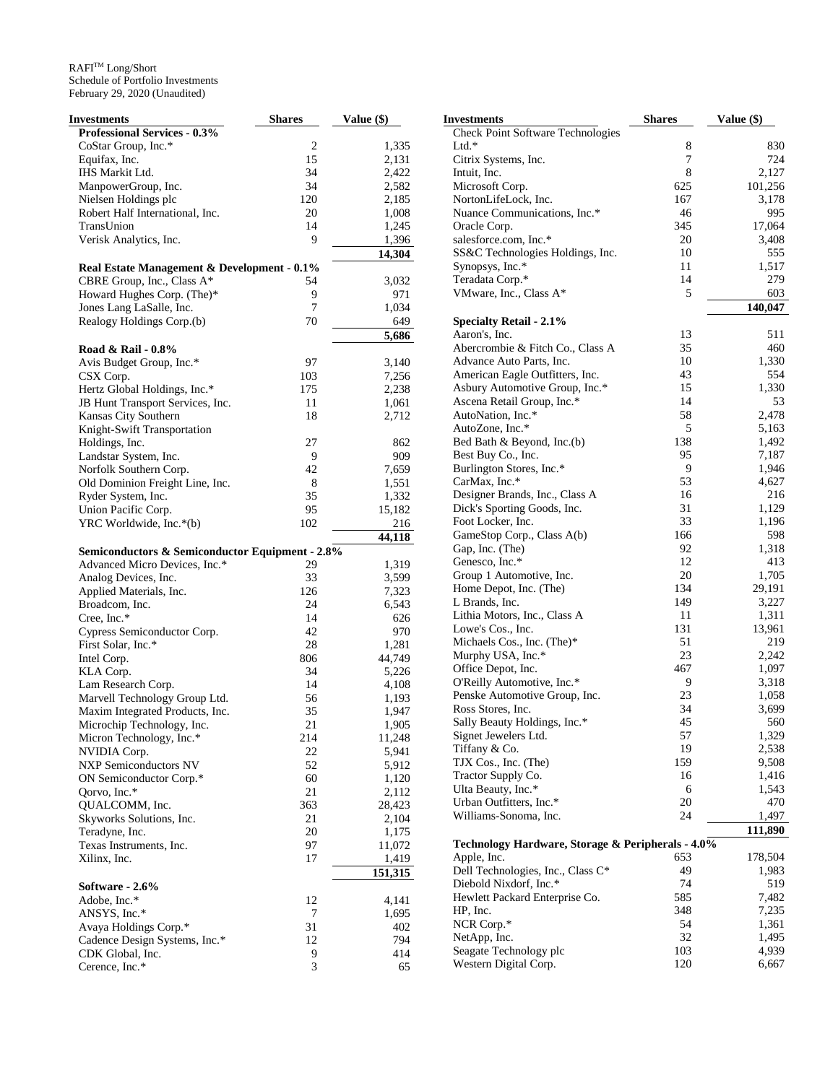| Investments                                     | <b>Shares</b> | Value (\$) |
|-------------------------------------------------|---------------|------------|
| <b>Professional Services - 0.3%</b>             |               |            |
| CoStar Group, Inc.*                             | 2             | 1,335      |
| Equifax, Inc.                                   | 15            | 2,131      |
| IHS Markit Ltd.                                 | 34            | 2,422      |
| ManpowerGroup, Inc.                             | 34            | 2,582      |
| Nielsen Holdings plc                            | 120           | 2,185      |
| Robert Half International, Inc.                 | 20            | 1,008      |
| TransUnion                                      | 14            | 1,245      |
| Verisk Analytics, Inc.                          | 9             | 1,396      |
|                                                 |               | 14,304     |
| Real Estate Management & Development - 0.1%     |               |            |
| CBRE Group, Inc., Class A*                      | 54            | 3,032      |
| Howard Hughes Corp. (The)*                      | 9             | 971        |
| Jones Lang LaSalle, Inc.                        | 7             | 1,034      |
| Realogy Holdings Corp.(b)                       | 70            | 649        |
|                                                 |               | 5,686      |
| Road & Rail - 0.8%                              |               |            |
| Avis Budget Group, Inc.*                        | 97            | 3,140      |
| CSX Corp.                                       | 103           | 7,256      |
| Hertz Global Holdings, Inc.*                    | 175           | 2,238      |
| JB Hunt Transport Services, Inc.                | 11            | 1,061      |
| Kansas City Southern                            | 18            | 2,712      |
| Knight-Swift Transportation                     |               |            |
| Holdings, Inc.                                  | 27            | 862        |
| Landstar System, Inc.                           | 9             | 909        |
| Norfolk Southern Corp.                          | 42            | 7,659      |
| Old Dominion Freight Line, Inc.                 | 8             | 1,551      |
| Ryder System, Inc.                              | 35            | 1,332      |
| Union Pacific Corp.                             | 95            | 15,182     |
| YRC Worldwide, Inc.*(b)                         | 102           | 216        |
|                                                 |               | 44,118     |
| Semiconductors & Semiconductor Equipment - 2.8% |               |            |
| Advanced Micro Devices, Inc.*                   | 29            | 1,319      |
| Analog Devices, Inc.                            | 33            | 3,599      |
| Applied Materials, Inc.                         | 126           | 7,323      |
| Broadcom, Inc.                                  | 24            | 6,543      |
| Cree, Inc.*                                     | 14            | 626        |
| Cypress Semiconductor Corp.                     | 42            | 970        |
| First Solar, Inc.*                              | 28            | 1,281      |
| Intel Corp.                                     | 806           | 44,749     |
| KLA Corp.                                       | 34            | 5,226      |
| Lam Research Corp.                              | 14            | 4,108      |
| Marvell Technology Group Ltd.                   | 56            | 1,193      |
| Maxim Integrated Products, Inc.                 | 35            | 1,947      |
| Microchip Technology, Inc.                      | 21            | 1,905      |
| Micron Technology, Inc.*                        | 214           | 11,248     |
| NVIDIA Corp.                                    | 22            | 5,941      |
| <b>NXP Semiconductors NV</b>                    | 52            | 5,912      |
| ON Semiconductor Corp.*                         | 60            | 1,120      |
| Qorvo, Inc.*                                    | 21            | 2,112      |
| QUALCOMM, Inc.                                  | 363           | 28,423     |
| Skyworks Solutions, Inc.                        | 21            | 2,104      |
| Teradyne, Inc.                                  | 20            | 1,175      |
| Texas Instruments, Inc.                         | 97            | 11,072     |
| Xilinx, Inc.                                    | 17            | 1,419      |
|                                                 |               | 151,315    |
| Software - 2.6%                                 |               |            |
| Adobe, Inc.*                                    | 12            | 4,141      |
| ANSYS, Inc.*                                    | 7             | 1,695      |
| Avaya Holdings Corp.*                           | 31            | 402        |
| Cadence Design Systems, Inc.*                   | 12            | 794        |
| CDK Global, Inc.                                | 9             | 414        |
| Cerence, Inc.*                                  | 3             | 65         |

| Investments                                                 | Shares   | Value $(\$)$   |
|-------------------------------------------------------------|----------|----------------|
| Check Point Software Technologies                           |          |                |
| Ltd.*                                                       | 8        | 830            |
| Citrix Systems, Inc.                                        | 7        | 724            |
| Intuit, Inc.                                                | 8        | 2,127          |
| Microsoft Corp.                                             | 625      | 101,256        |
| NortonLifeLock, Inc.                                        | 167      | 3,178          |
| Nuance Communications, Inc.*                                | 46       | 995            |
| Oracle Corp.                                                | 345      | 17,064         |
| salesforce.com, Inc.*                                       | 20       | 3,408          |
| SS&C Technologies Holdings, Inc.                            | 10       | 555            |
| Synopsys, Inc.*                                             | 11       | 1,517          |
| Teradata Corp.*                                             | 14       | 279            |
| VMware, Inc., Class A*                                      | 5        | 603            |
|                                                             |          | 140,047        |
| <b>Specialty Retail - 2.1%</b>                              |          |                |
| Aaron's, Inc.<br>Abercrombie & Fitch Co., Class A           | 13<br>35 | 511<br>460     |
| Advance Auto Parts, Inc.                                    | 10       | 1,330          |
| American Eagle Outfitters, Inc.                             | 43       | 554            |
| Asbury Automotive Group, Inc.*                              | 15       | 1,330          |
| Ascena Retail Group, Inc.*                                  | 14       | 53             |
| AutoNation, Inc.*                                           | 58       | 2,478          |
| AutoZone, Inc.*                                             | 5        | 5,163          |
| Bed Bath & Beyond, Inc.(b)                                  | 138      | 1,492          |
| Best Buy Co., Inc.                                          | 95       | 7,187          |
| Burlington Stores, Inc.*                                    | 9        | 1,946          |
| CarMax, Inc.*                                               | 53       | 4,627          |
| Designer Brands, Inc., Class A                              | 16       | 216            |
| Dick's Sporting Goods, Inc.                                 | 31       | 1,129          |
| Foot Locker, Inc.                                           | 33       | 1,196          |
| GameStop Corp., Class A(b)                                  | 166      | 598            |
| Gap, Inc. (The)                                             | 92       | 1,318          |
| Genesco, Inc.*                                              | 12       | 413            |
| Group 1 Automotive, Inc.                                    | 20       | 1,705          |
| Home Depot, Inc. (The)                                      | 134      | 29,191         |
| L Brands, Inc.                                              | 149      | 3,227          |
| Lithia Motors, Inc., Class A                                | 11       | 1,311          |
| Lowe's Cos., Inc.                                           | 131      | 13,961         |
| Michaels Cos., Inc. (The)*                                  | 51       | 219            |
| Murphy USA, Inc.*                                           | 23       | 2,242          |
| Office Depot, Inc.                                          | 467<br>9 | 1,097          |
| O'Reilly Automotive, Inc.*<br>Penske Automotive Group, Inc. | 23       | 3,318<br>1,058 |
| Ross Stores, Inc.                                           | 34       | 3,699          |
| Sally Beauty Holdings, Inc.*                                | 45       | 560            |
| Signet Jewelers Ltd.                                        | 57       | 1,329          |
| Tiffany & Co.                                               | 19       | 2,538          |
| TJX Cos., Inc. (The)                                        | 159      | 9,508          |
| Tractor Supply Co.                                          | 16       | 1,416          |
| Ulta Beauty, Inc.*                                          | 6        | 1,543          |
| Urban Outfitters, Inc.*                                     | 20       | 470            |
| Williams-Sonoma, Inc.                                       | 24       | 1,497          |
|                                                             |          | 111,890        |
| Technology Hardware, Storage & Peripherals - 4.0%           |          |                |
| Apple, Inc.                                                 | 653      | 178,504        |
| Dell Technologies, Inc., Class C*                           | 49       | 1,983          |
| Diebold Nixdorf, Inc.*                                      | 74       | 519            |
| Hewlett Packard Enterprise Co.                              | 585      | 7,482          |
| HP, Inc.                                                    | 348      | 7,235          |
| NCR Corp.*                                                  | 54       | 1,361          |
| NetApp, Inc.                                                | 32       | 1,495          |
| Seagate Technology plc                                      | 103      | 4,939          |
| Western Digital Corp.                                       | 120      | 6,667          |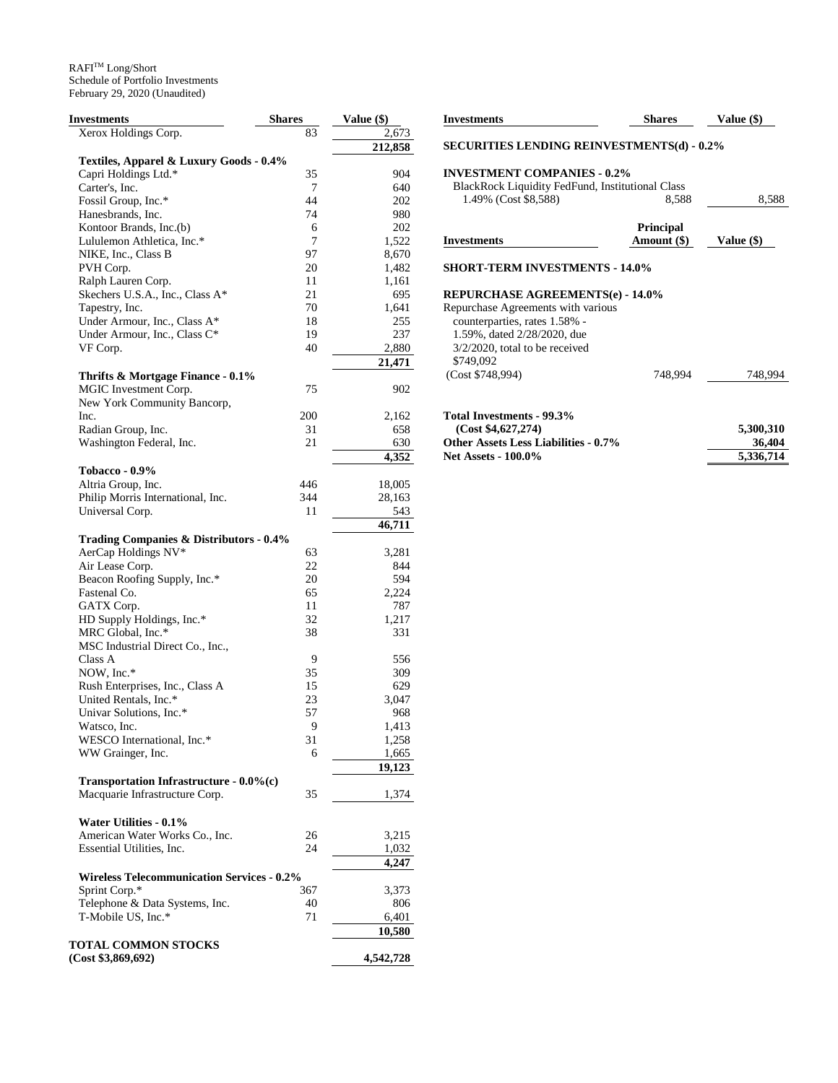| Investments                                       | <b>Shares</b> | Value (\$)     |
|---------------------------------------------------|---------------|----------------|
| Xerox Holdings Corp.                              | 83            | 2,673          |
|                                                   |               | 212,858        |
| Textiles, Apparel & Luxury Goods - 0.4%           |               |                |
| Capri Holdings Ltd.*                              | 35            | 904            |
| Carter's, Inc.                                    | 7             | 640            |
| Fossil Group, Inc.*                               | 44            | 202            |
| Hanesbrands, Inc.                                 | 74            | 980            |
| Kontoor Brands, Inc.(b)                           | 6<br>7        | 202            |
| Lululemon Athletica, Inc.*<br>NIKE, Inc., Class B | 97            | 1,522<br>8,670 |
| PVH Corp.                                         | 20            | 1,482          |
| Ralph Lauren Corp.                                | 11            | 1,161          |
| Skechers U.S.A., Inc., Class A*                   | 21            | 695            |
| Tapestry, Inc.                                    | 70            | 1,641          |
| Under Armour, Inc., Class A*                      | 18            | 255            |
| Under Armour, Inc., Class C*                      | 19            | 237            |
| VF Corp.                                          | 40            | 2,880          |
|                                                   |               | 21,471         |
| Thrifts & Mortgage Finance - 0.1%                 |               |                |
| MGIC Investment Corp.                             | 75            | 902            |
| New York Community Bancorp,                       |               |                |
| Inc.                                              | 200           | 2,162          |
| Radian Group, Inc.                                | 31            | 658            |
| Washington Federal, Inc.                          | 21            | 630            |
|                                                   |               | 4,352          |
| <b>Tobacco - 0.9%</b>                             |               |                |
| Altria Group, Inc.                                | 446           | 18,005         |
| Philip Morris International, Inc.                 | 344           | 28,163         |
| Universal Corp.                                   | 11            | 543            |
|                                                   |               | 46,711         |
| Trading Companies & Distributors - 0.4%           |               |                |
| AerCap Holdings NV*                               | 63            | 3,281          |
| Air Lease Corp.                                   | 22            | 844            |
| Beacon Roofing Supply, Inc.*                      | 20            | 594            |
| Fastenal Co.                                      | 65            | 2,224          |
| GATX Corp.                                        | 11<br>32      | 787            |
| HD Supply Holdings, Inc.*<br>MRC Global, Inc.*    | 38            | 1,217<br>331   |
| MSC Industrial Direct Co., Inc.,                  |               |                |
| Class A                                           | 9             | 556            |
| NOW, Inc.*                                        | 35            | 309            |
| Rush Enterprises, Inc., Class A                   | 15            | 629            |
| United Rentals, Inc.*                             | 23            | 3,047          |
| Univar Solutions, Inc.*                           | 57            | 968            |
| Watsco, Inc.                                      | 9             | 1,413          |
| WESCO International, Inc.*                        | 31            | 1,258          |
| WW Grainger, Inc.                                 | 6             | 1,665          |
|                                                   |               | 19,123         |
| Transportation Infrastructure - $0.0\%$ (c)       |               |                |
| Macquarie Infrastructure Corp.                    | 35            | 1,374          |
|                                                   |               |                |
| Water Utilities - 0.1%                            |               |                |
| American Water Works Co., Inc.                    | 26            | 3,215          |
| Essential Utilities, Inc.                         | 24            | 1,032          |
|                                                   |               | 4,247          |
| <b>Wireless Telecommunication Services - 0.2%</b> |               |                |
| Sprint Corp.*                                     | 367           | 3,373          |
| Telephone & Data Systems, Inc.                    | 40            | 806            |
| T-Mobile US, Inc.*                                | 71            | 6,401          |
| <b>TOTAL COMMON STOCKS</b>                        |               | 10,580         |
| (Cost \$3,869,692)                                |               | 4,542,728      |
|                                                   |               |                |

| <b>Investments</b>                                                                         | Shares           | <b>Value (\$)</b> |
|--------------------------------------------------------------------------------------------|------------------|-------------------|
| <b>SECURITIES LENDING REINVESTMENTS(d) - 0.2%</b>                                          |                  |                   |
| <b>INVESTMENT COMPANIES - 0.2%</b>                                                         |                  |                   |
| <b>BlackRock Liquidity FedFund, Institutional Class</b>                                    |                  |                   |
| 1.49% (Cost \$8,588)                                                                       | 8,588            | 8,588             |
|                                                                                            | <b>Principal</b> |                   |
| <b>Investments</b>                                                                         |                  |                   |
|                                                                                            | Amount (\$)      | Value (\$)        |
| <b>SHORT-TERM INVESTMENTS - 14.0%</b>                                                      |                  |                   |
|                                                                                            |                  |                   |
|                                                                                            |                  |                   |
| counterparties, rates 1.58% -                                                              |                  |                   |
| 1.59%, dated 2/28/2020, due                                                                |                  |                   |
| $3/2/2020$ , total to be received                                                          |                  |                   |
| <b>REPURCHASE AGREEMENTS(e) - 14.0%</b><br>Repurchase Agreements with various<br>\$749,092 |                  |                   |

| $10(a)$ Investments - $22.3/0$       |           |
|--------------------------------------|-----------|
| (Cost \$4.627.274)                   | 5.300.310 |
| Other Assets Less Liabilities - 0.7% | 36,404    |
| <b>Net Assets - 100.0%</b>           | 5.336.714 |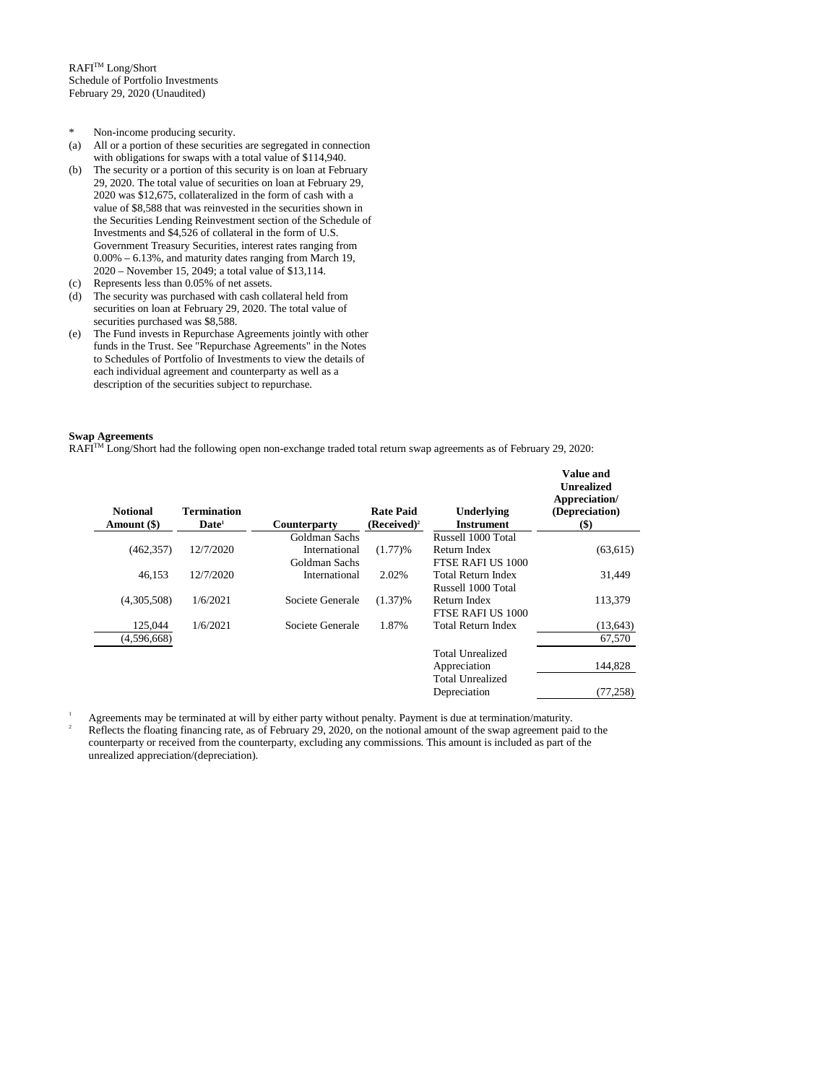$\mathbb{R}\mathsf{A}\mathsf{F}\mathsf{I}^{\mathsf{TM}}$  Long/Short Schedule of Portfolio Investments February 29, 2020 (Unaudited)

- \* Non-income producing security.
- (a) All or a portion of these securities are segregated in connection with obligations for swaps with a total value of \$114,940.
- (b) The security or a portion of this security is on loan at February 29, 2020. The total value of securities on loan at February 29, 2020 was \$12,675, collateralized in the form of cash with a value of \$8,588 that was reinvested in the securities shown in the Securities Lending Reinvestment section of the Schedule of Investments and \$4,526 of collateral in the form of U.S. Government Treasury Securities, interest rates ranging from 0.00% – 6.13%, and maturity dates ranging from March 19, 2020 – November 15, 2049; a total value of \$13,114.
- (c) Represents less than 0.05% of net assets.
- (d) The security was purchased with cash collateral held from securities on loan at February 29, 2020. The total value of securities purchased was \$8,588.
- (e) The Fund invests in Repurchase Agreements jointly with other funds in the Trust. See "Repurchase Agreements" in the Notes to Schedules of Portfolio of Investments to view the details of each individual agreement and counterparty as well as a description of the securities subject to repurchase.

### **Swap Agreements**

RAFI<sup>TM</sup> Long/Short had the following open non-exchange traded total return swap agreements as of February 29, 2020:

| <b>Notional</b><br>Amount (\$) | Termination<br>$\mathbf{Date}^1$ | Counterparty     | <b>Rate Paid</b><br>$(Received)^2$ | Underlying<br><b>Instrument</b> | <b>Value and</b><br><b>Unrealized</b><br>Appreciation/<br>(Depreciation)<br>$($)$ |
|--------------------------------|----------------------------------|------------------|------------------------------------|---------------------------------|-----------------------------------------------------------------------------------|
|                                |                                  | Goldman Sachs    |                                    | Russell 1000 Total              |                                                                                   |
| (462, 357)                     | 12/7/2020                        | International    | (1.77)%                            | Return Index                    | (63, 615)                                                                         |
|                                |                                  | Goldman Sachs    |                                    | FTSE RAFI US 1000               |                                                                                   |
| 46.153                         | 12/7/2020                        | International    | 2.02%                              | <b>Total Return Index</b>       | 31,449                                                                            |
|                                |                                  |                  |                                    | Russell 1000 Total              |                                                                                   |
| (4,305,508)                    | 1/6/2021                         | Societe Generale | $(1.37)\%$                         | Return Index                    | 113,379                                                                           |
|                                |                                  |                  |                                    | FTSE RAFI US 1000               |                                                                                   |
| 125,044                        | 1/6/2021                         | Societe Generale | 1.87%                              | <b>Total Return Index</b>       | (13, 643)                                                                         |
| (4,596,668)                    |                                  |                  |                                    |                                 | 67,570                                                                            |
|                                |                                  |                  |                                    | <b>Total Unrealized</b>         |                                                                                   |
|                                |                                  |                  |                                    | Appreciation                    | 144,828                                                                           |
|                                |                                  |                  |                                    | Total Unrealized                |                                                                                   |
|                                |                                  |                  |                                    | Depreciation                    | (77, 258)                                                                         |

<sup>1</sup> Agreements may be terminated at will by either party without penalty. Payment is due at termination/maturity. <sup>2</sup> Reflects the floating financing rate, as of February 29, 2020, on the notional amount of the swap agreement paid to the counterparty or received from the counterparty, excluding any commissions. This amount is included as part of the unrealized appreciation/(depreciation).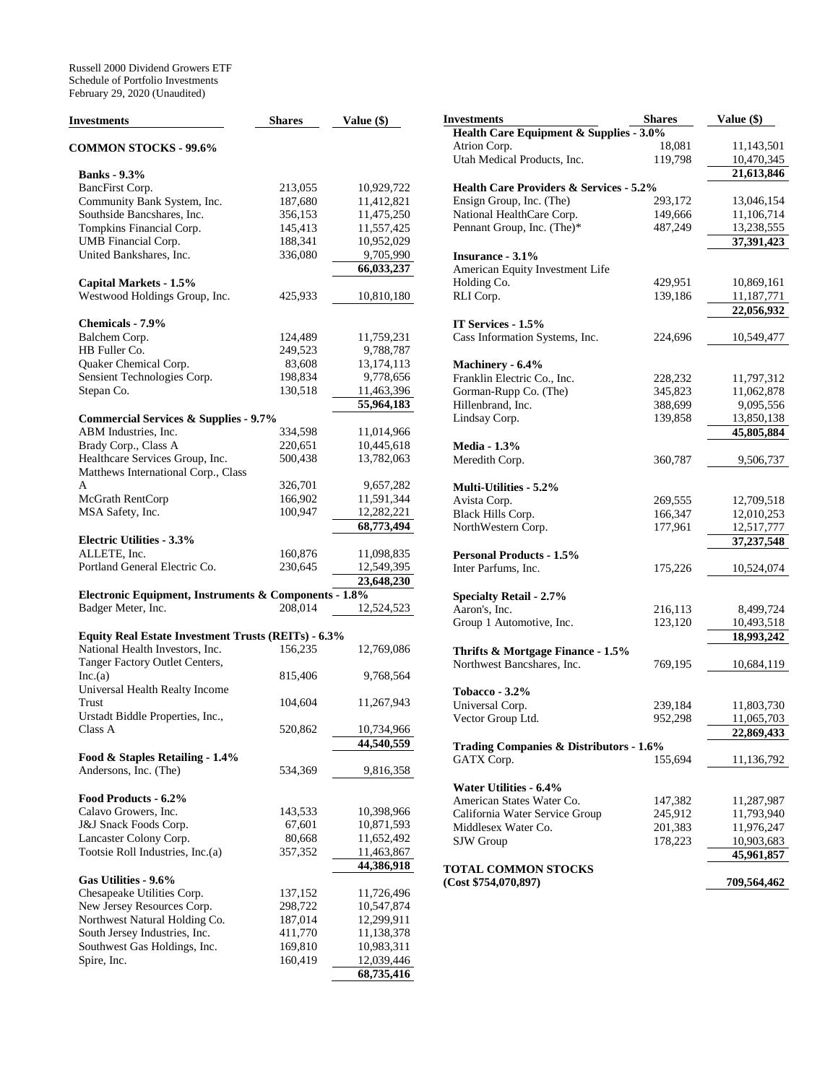| Investments                                           | <b>Shares</b> | Value (\$)   |
|-------------------------------------------------------|---------------|--------------|
| <b>COMMON STOCKS - 99.6%</b>                          |               |              |
| <b>Banks</b> - 9.3%                                   |               |              |
| BancFirst Corp.                                       | 213,055       | 10,929,722   |
| Community Bank System, Inc.                           | 187,680       | 11,412,821   |
| Southside Bancshares, Inc.                            | 356,153       | 11,475,250   |
| Tompkins Financial Corp.                              | 145,413       | 11,557,425   |
| UMB Financial Corp.                                   | 188,341       | 10,952,029   |
| United Bankshares, Inc.                               | 336,080       | 9,705,990    |
|                                                       |               | 66,033,237   |
| Capital Markets - 1.5%                                |               |              |
| Westwood Holdings Group, Inc.                         | 425,933       | 10,810,180   |
| Chemicals - 7.9%                                      |               |              |
| Balchem Corp.                                         | 124,489       | 11,759,231   |
| HB Fuller Co.                                         | 249,523       | 9,788,787    |
| Quaker Chemical Corp.                                 | 83,608        | 13, 174, 113 |
| Sensient Technologies Corp.                           | 198,834       | 9,778,656    |
| Stepan Co.                                            | 130,518       | 11,463,396   |
|                                                       |               | 55,964,183   |
| <b>Commercial Services &amp; Supplies - 9.7%</b>      |               |              |
| ABM Industries, Inc.                                  | 334,598       | 11,014,966   |
| Brady Corp., Class A                                  | 220,651       | 10,445,618   |
| Healthcare Services Group, Inc.                       | 500,438       | 13,782,063   |
| Matthews International Corp., Class                   |               |              |
| A                                                     | 326,701       | 9,657,282    |
| McGrath RentCorp                                      | 166,902       | 11,591,344   |
| MSA Safety, Inc.                                      | 100,947       | 12,282,221   |
|                                                       |               | 68,773,494   |
| <b>Electric Utilities - 3.3%</b>                      |               |              |
| ALLETE, Inc.                                          | 160,876       | 11,098,835   |
| Portland General Electric Co.                         | 230,645       | 12,549,395   |
|                                                       |               | 23,648,230   |
| Electronic Equipment, Instruments & Components - 1.8% |               |              |
| Badger Meter, Inc.                                    | 208,014       | 12,524,523   |
| Equity Real Estate Investment Trusts (REITs) - 6.3%   |               |              |
| National Health Investors, Inc.                       | 156,235       | 12,769,086   |
| Tanger Factory Outlet Centers,                        |               |              |
| Inc.(a)                                               | 815,406       | 9,768,564    |
| Universal Health Realty Income                        |               |              |
| Trust                                                 | 104,604       | 11,267,943   |
| Urstadt Biddle Properties, Inc.,                      |               |              |
| Class A                                               | 520,862       | 10,734,966   |
|                                                       |               | 44,540,559   |
| Food & Staples Retailing - 1.4%                       |               |              |
| Andersons, Inc. (The)                                 | 534,369       | 9,816,358    |
|                                                       |               |              |
| Food Products - 6.2%                                  |               |              |
| Calavo Growers, Inc.                                  | 143,533       | 10,398,966   |
| J&J Snack Foods Corp.                                 | 67,601        | 10,871,593   |
| Lancaster Colony Corp.                                | 80,668        | 11,652,492   |
| Tootsie Roll Industries, Inc.(a)                      | 357,352       | 11,463,867   |
|                                                       |               | 44,386,918   |
| Gas Utilities - 9.6%                                  |               |              |
| Chesapeake Utilities Corp.                            | 137,152       | 11,726,496   |
| New Jersey Resources Corp.                            | 298,722       | 10,547,874   |
| Northwest Natural Holding Co.                         | 187,014       | 12,299,911   |
| South Jersey Industries, Inc.                         | 411,770       | 11,138,378   |
| Southwest Gas Holdings, Inc.                          | 169,810       | 10,983,311   |
| Spire, Inc.                                           | 160,419       | 12,039,446   |
|                                                       |               | 68,735,416   |

| Investments                                        | <b>Shares</b> | Value (\$)   |
|----------------------------------------------------|---------------|--------------|
| Health Care Equipment & Supplies - 3.0%            |               |              |
| Atrion Corp.                                       | 18,081        | 11,143,501   |
| Utah Medical Products, Inc.                        | 119,798       | 10,470,345   |
|                                                    |               | 21,613,846   |
| <b>Health Care Providers &amp; Services - 5.2%</b> |               |              |
| Ensign Group, Inc. (The)                           | 293,172       | 13,046,154   |
| National HealthCare Corp.                          | 149,666       | 11,106,714   |
| Pennant Group, Inc. (The)*                         | 487,249       | 13,238,555   |
|                                                    |               | 37,391,423   |
| Insurance - 3.1%                                   |               |              |
| American Equity Investment Life                    |               |              |
| Holding Co.                                        | 429,951       | 10,869,161   |
| RLI Corp.                                          | 139,186       | 11,187,771   |
|                                                    |               | 22,056,932   |
| IT Services - 1.5%                                 |               |              |
| Cass Information Systems, Inc.                     | 224,696       | 10,549,477   |
|                                                    |               |              |
| Machinery - 6.4%                                   |               |              |
| Franklin Electric Co., Inc.                        | 228,232       | 11,797,312   |
| Gorman-Rupp Co. (The)                              | 345,823       | 11,062,878   |
| Hillenbrand, Inc.                                  | 388,699       | 9,095,556    |
| Lindsay Corp.                                      | 139,858       | 13,850,138   |
|                                                    |               | 45,805,884   |
| <b>Media - 1.3%</b>                                |               |              |
| Meredith Corp.                                     | 360,787       | 9,506,737    |
| <b>Multi-Utilities - 5.2%</b>                      |               |              |
| Avista Corp.                                       | 269,555       | 12,709,518   |
| Black Hills Corp.                                  | 166,347       | 12,010,253   |
| NorthWestern Corp.                                 | 177,961       | 12,517,777   |
|                                                    |               | 37, 237, 548 |
| <b>Personal Products - 1.5%</b>                    |               |              |
| Inter Parfums, Inc.                                | 175,226       | 10,524,074   |
|                                                    |               |              |
| <b>Specialty Retail - 2.7%</b>                     |               |              |
| Aaron's, Inc.                                      | 216,113       | 8,499,724    |
| Group 1 Automotive, Inc.                           | 123,120       | 10,493,518   |
|                                                    |               | 18,993,242   |
| Thrifts & Mortgage Finance - 1.5%                  |               |              |
| Northwest Bancshares, Inc.                         | 769,195       | 10,684,119   |
|                                                    |               |              |
| Tobacco - $3.2\%$                                  |               |              |
| Universal Corp.                                    | 239,184       | 11,803,730   |
| Vector Group Ltd.                                  | 952,298       | 11,065,703   |
|                                                    |               | 22,869,433   |
| Trading Companies & Distributors - 1.6%            |               |              |
| GATX Corp.                                         | 155,694       | 11,136,792   |
|                                                    |               |              |
| Water Utilities - 6.4%                             |               |              |
| American States Water Co.                          | 147,382       | 11,287,987   |
| California Water Service Group                     | 245,912       | 11,793,940   |
| Middlesex Water Co.                                | 201,383       | 11,976,247   |
| SJW Group                                          | 178,223       | 10,903,683   |
| TOTAL COMMON STOCKS                                |               | 45,961,857   |
| (Cost \$754,070,897)                               |               | 709,564,462  |
|                                                    |               |              |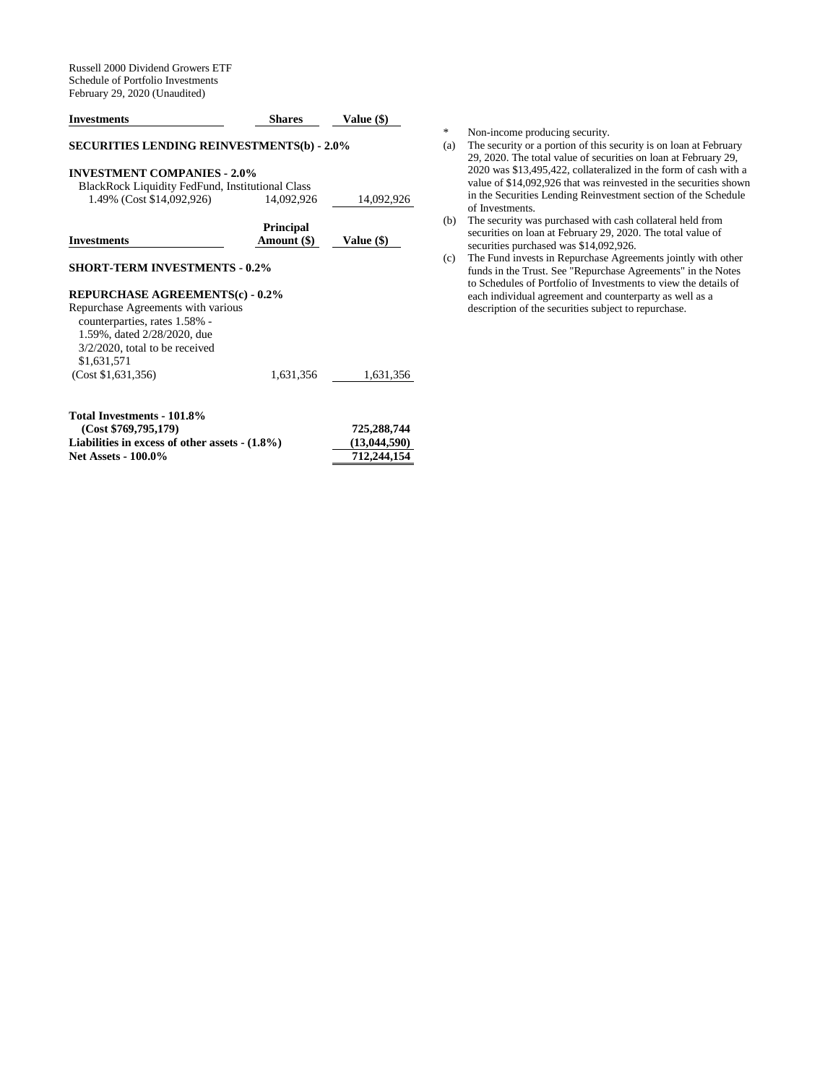| <b>Investments</b>                                                                                                                                     | <b>Shares</b>                   | <b>Value (\$)</b> |
|--------------------------------------------------------------------------------------------------------------------------------------------------------|---------------------------------|-------------------|
| <b>SECURITIES LENDING REINVESTMENTS(b) - 2.0%</b>                                                                                                      |                                 |                   |
| <b>INVESTMENT COMPANIES - 2.0%</b><br>BlackRock Liquidity FedFund, Institutional Class                                                                 |                                 |                   |
| 1.49% (Cost \$14,092,926)                                                                                                                              | 14,092,926                      | 14,092,926        |
| <b>Investments</b>                                                                                                                                     | <b>Principal</b><br>Amount (\$) | Value (\$)        |
| <b>SHORT-TERM INVESTMENTS - 0.2%</b>                                                                                                                   |                                 |                   |
| <b>REPURCHASE AGREEMENTS(c) - 0.2%</b>                                                                                                                 |                                 |                   |
| Repurchase Agreements with various<br>counterparties, rates 1.58% -<br>1.59%, dated 2/28/2020, due<br>$3/2/2020$ , total to be received<br>\$1,631,571 |                                 |                   |
| (Cost \$1,631,356)                                                                                                                                     | 1,631,356                       | 1,631,356         |
| Total Investments - 101.8%                                                                                                                             |                                 |                   |
| (Cost \$769,795,179)                                                                                                                                   |                                 | 725.288.744       |

|                                                  | $1.40$ $1.77$ |
|--------------------------------------------------|---------------|
| Liabilities in excess of other assets $-(1.8\%)$ | (13,044,590)  |
| <b>Net Assets - 100.0%</b>                       | 712,244,154   |

\* Non-income producing security.<br>(a) The security or a portion of this s

- The security or a portion of this security is on loan at February 29, 2020. The total value of securities on loan at February 29, 2020 was \$13,495,422, collateralized in the form of cash with a value of \$14,092,926 that was reinvested in the securities shown in the Securities Lending Reinvestment section of the Schedule of Investments.
- (b) The security was purchased with cash collateral held from securities on loan at February 29, 2020. The total value of securities purchased was \$14,092,926.
- (c) The Fund invests in Repurchase Agreements jointly with other funds in the Trust. See "Repurchase Agreements" in the Notes to Schedules of Portfolio of Investments to view the details of each individual agreement and counterparty as well as a description of the securities subject to repurchase.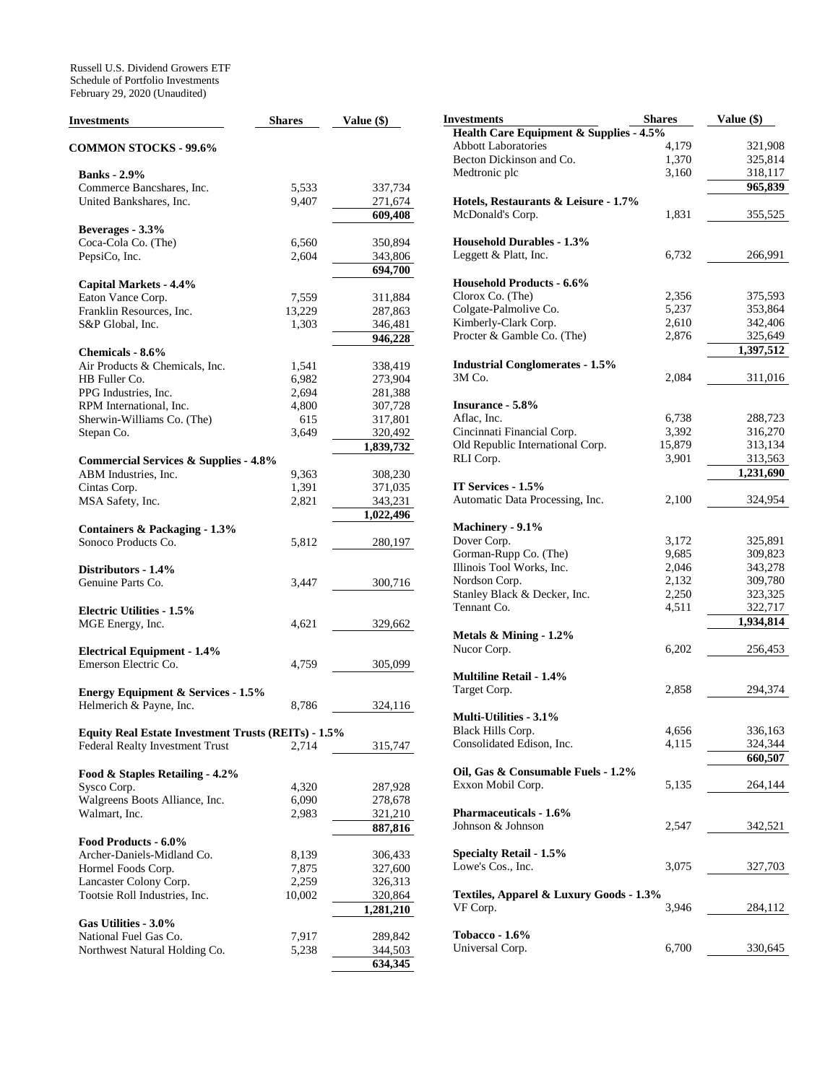Russell U.S. Dividend Growers ETF Schedule of Portfolio Investments February 29, 2020 (Unaudited)

| Investments                                         | <b>Shares</b> | Value (\$) |
|-----------------------------------------------------|---------------|------------|
| <b>COMMON STOCKS - 99.6%</b>                        |               |            |
| <b>Banks</b> - 2.9%                                 |               |            |
|                                                     | 5,533         |            |
| Commerce Bancshares, Inc.                           |               | 337,734    |
| United Bankshares, Inc.                             | 9,407         | 271,674    |
|                                                     |               | 609,408    |
| Beverages - 3.3%                                    |               |            |
| Coca-Cola Co. (The)                                 | 6,560         | 350,894    |
| PepsiCo, Inc.                                       | 2,604         | 343,806    |
|                                                     |               | 694,700    |
| Capital Markets - 4.4%                              |               |            |
| Eaton Vance Corp.                                   | 7,559         | 311,884    |
| Franklin Resources, Inc.                            | 13,229        | 287,863    |
| S&P Global, Inc.                                    | 1,303         | 346,481    |
|                                                     |               | 946,228    |
| Chemicals - 8.6%                                    |               |            |
| Air Products & Chemicals, Inc.                      | 1,541         | 338,419    |
| HB Fuller Co.                                       | 6,982         | 273,904    |
| PPG Industries, Inc.                                | 2,694         | 281,388    |
| RPM International, Inc.                             | 4,800         | 307,728    |
| Sherwin-Williams Co. (The)                          | 615           | 317,801    |
| Stepan Co.                                          | 3,649         | 320,492    |
|                                                     |               | 1,839,732  |
| <b>Commercial Services &amp; Supplies - 4.8%</b>    |               |            |
| ABM Industries, Inc.                                | 9,363         | 308,230    |
| Cintas Corp.                                        | 1,391         | 371,035    |
| MSA Safety, Inc.                                    | 2,821         | 343,231    |
|                                                     |               | 1,022,496  |
| Containers & Packaging - 1.3%                       |               |            |
| Sonoco Products Co.                                 | 5,812         | 280,197    |
|                                                     |               |            |
| Distributors - 1.4%                                 |               |            |
| Genuine Parts Co.                                   | 3,447         | 300,716    |
|                                                     |               |            |
| <b>Electric Utilities - 1.5%</b>                    |               |            |
| MGE Energy, Inc.                                    | 4,621         | 329,662    |
|                                                     |               |            |
| <b>Electrical Equipment - 1.4%</b>                  |               |            |
| Emerson Electric Co.                                | 4,759         | 305,099    |
|                                                     |               |            |
| <b>Energy Equipment &amp; Services - 1.5%</b>       |               |            |
| Helmerich & Payne, Inc.                             | 8,786         | 324,116    |
|                                                     |               |            |
| Equity Real Estate Investment Trusts (REITs) - 1.5% |               |            |
| Federal Realty Investment Trust                     | 2,714         | 315,747    |
|                                                     |               |            |
| Food & Staples Retailing - 4.2%                     |               |            |
| Sysco Corp.                                         | 4,320         | 287,928    |
| Walgreens Boots Alliance, Inc.                      | 6,090         | 278,678    |
| Walmart, Inc.                                       | 2,983         | 321,210    |
|                                                     |               | 887,816    |
| Food Products - 6.0%                                |               |            |
| Archer-Daniels-Midland Co.                          | 8,139         | 306,433    |
| Hormel Foods Corp.                                  | 7,875         | 327,600    |
| Lancaster Colony Corp.                              | 2,259         | 326,313    |
| Tootsie Roll Industries, Inc.                       | 10,002        | 320,864    |
|                                                     |               | 1,281,210  |
| Gas Utilities - 3.0%                                |               |            |
| National Fuel Gas Co.                               | 7,917         | 289,842    |
| Northwest Natural Holding Co.                       | 5,238         | 344,503    |
|                                                     |               | 634,345    |

| Investments                             | <b>Shares</b> | Value (\$) |
|-----------------------------------------|---------------|------------|
| Health Care Equipment & Supplies - 4.5% |               |            |
| <b>Abbott Laboratories</b>              | 4,179         | 321,908    |
| Becton Dickinson and Co.                | 1,370         | 325,814    |
| Medtronic plc                           | 3,160         | 318,117    |
|                                         |               | 965,839    |
| Hotels, Restaurants & Leisure - 1.7%    |               |            |
|                                         |               |            |
| McDonald's Corp.                        | 1,831         | 355,525    |
|                                         |               |            |
| <b>Household Durables - 1.3%</b>        |               |            |
| Leggett & Platt, Inc.                   | 6,732         | 266,991    |
|                                         |               |            |
| <b>Household Products - 6.6%</b>        |               |            |
| Clorox Co. (The)                        | 2,356         | 375,593    |
| Colgate-Palmolive Co.                   | 5,237         | 353,864    |
| Kimberly-Clark Corp.                    | 2,610         | 342,406    |
| Procter & Gamble Co. (The)              | 2,876         | 325,649    |
|                                         |               | 1,397,512  |
| <b>Industrial Conglomerates - 1.5%</b>  |               |            |
| 3M Co.                                  | 2,084         | 311,016    |
|                                         |               |            |
| <b>Insurance - 5.8%</b>                 |               |            |
| Aflac, Inc.                             | 6,738         | 288,723    |
| Cincinnati Financial Corp.              | 3,392         | 316,270    |
| Old Republic International Corp.        | 15,879        | 313,134    |
| RLI Corp.                               | 3,901         | 313,563    |
|                                         |               | 1,231,690  |
| IT Services - 1.5%                      |               |            |
| Automatic Data Processing, Inc.         | 2,100         | 324,954    |
|                                         |               |            |
|                                         |               |            |
| Machinery - 9.1%                        |               |            |
| Dover Corp.                             | 3,172         | 325,891    |
| Gorman-Rupp Co. (The)                   | 9,685         | 309,823    |
| Illinois Tool Works, Inc.               | 2,046         | 343,278    |
| Nordson Corp.                           | 2,132         | 309,780    |
| Stanley Black & Decker, Inc.            | 2,250         | 323,325    |
| Tennant Co.                             | 4,511         | 322,717    |
|                                         |               | 1,934,814  |
| Metals & Mining - 1.2%                  |               |            |
| Nucor Corp.                             | 6,202         | 256,453    |
|                                         |               |            |
| <b>Multiline Retail - 1.4%</b>          |               |            |
| Target Corp.                            | 2,858         | 294,374    |
|                                         |               |            |
| <b>Multi-Utilities - 3.1%</b>           |               |            |
| Black Hills Corp.                       | 4,656         | 336,163    |
| Consolidated Edison, Inc.               | 4,115         | 324,344    |
|                                         |               | 660,507    |
| Oil, Gas & Consumable Fuels - 1.2%      |               |            |
| Exxon Mobil Corp.                       | 5,135         | 264,144    |
|                                         |               |            |
| <b>Pharmaceuticals - 1.6%</b>           |               |            |
| Johnson & Johnson                       | 2,547         | 342,521    |
|                                         |               |            |
| <b>Specialty Retail - 1.5%</b>          |               |            |
| Lowe's Cos., Inc.                       |               |            |
|                                         | 3,075         | 327,703    |
|                                         |               |            |
| Textiles, Apparel & Luxury Goods - 1.3% |               |            |
| VF Corp.                                | 3,946         | 284,112    |
|                                         |               |            |
| <b>Tobacco - 1.6%</b>                   |               |            |
| Universal Corp.                         | 6,700         | 330,645    |
|                                         |               |            |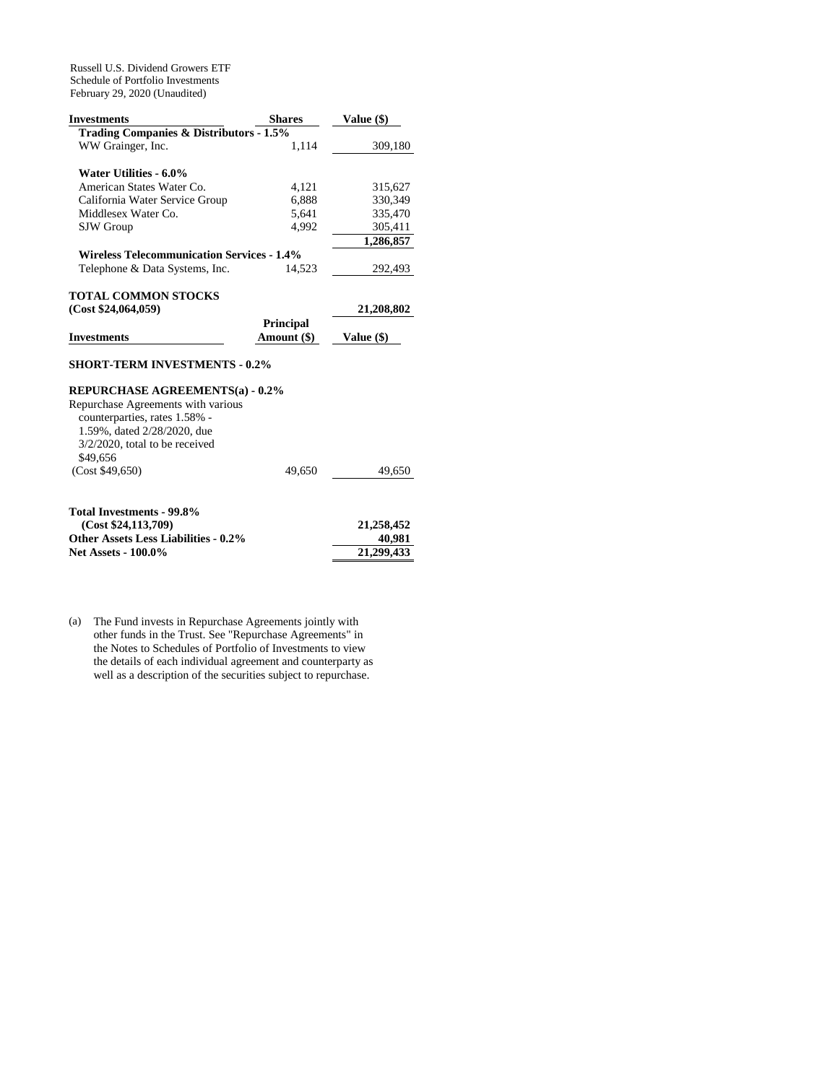Russell U.S. Dividend Growers ETF Schedule of Portfolio Investments February 29, 2020 (Unaudited)

| <b>Investments</b>                                | <b>Shares</b>    | Value (\$) |
|---------------------------------------------------|------------------|------------|
| Trading Companies & Distributors - 1.5%           |                  |            |
| WW Grainger, Inc.                                 | 1,114            | 309,180    |
|                                                   |                  |            |
| Water Utilities - 6.0%                            |                  |            |
| American States Water Co.                         | 4,121            | 315,627    |
| California Water Service Group                    | 6,888            | 330,349    |
| Middlesex Water Co.                               | 5,641            | 335,470    |
| <b>SJW</b> Group                                  | 4,992            | 305,411    |
|                                                   |                  | 1,286,857  |
| <b>Wireless Telecommunication Services - 1.4%</b> |                  |            |
| Telephone & Data Systems, Inc.                    | 14,523           | 292,493    |
|                                                   |                  |            |
| TOTAL COMMON STOCKS                               |                  |            |
|                                                   |                  |            |
| (Cost \$24,064,059)                               |                  | 21,208,802 |
|                                                   | <b>Principal</b> |            |
| <b>Investments</b>                                | Amount (\$)      | Value (\$) |
|                                                   |                  |            |
| <b>SHORT-TERM INVESTMENTS - 0.2%</b>              |                  |            |
|                                                   |                  |            |
| <b>REPURCHASE AGREEMENTS(a) - 0.2%</b>            |                  |            |
| Repurchase Agreements with various                |                  |            |
| counterparties, rates 1.58% -                     |                  |            |
| 1.59%, dated 2/28/2020, due                       |                  |            |
| $3/2/2020$ , total to be received                 |                  |            |
| \$49,656<br>(Cost \$49,650)                       | 49.650           | 49,650     |

| Total Investments - 99.8%                   |            |
|---------------------------------------------|------------|
| (Cost \$24,113,709)                         | 21,258,452 |
| <b>Other Assets Less Liabilities - 0.2%</b> | 40.981     |
| <b>Net Assets - 100.0%</b>                  | 21.299.433 |

(a) The Fund invests in Repurchase Agreements jointly with other funds in the Trust. See "Repurchase Agreements" in the Notes to Schedules of Portfolio of Investments to view the details of each individual agreement and counterparty as well as a description of the securities subject to repurchase.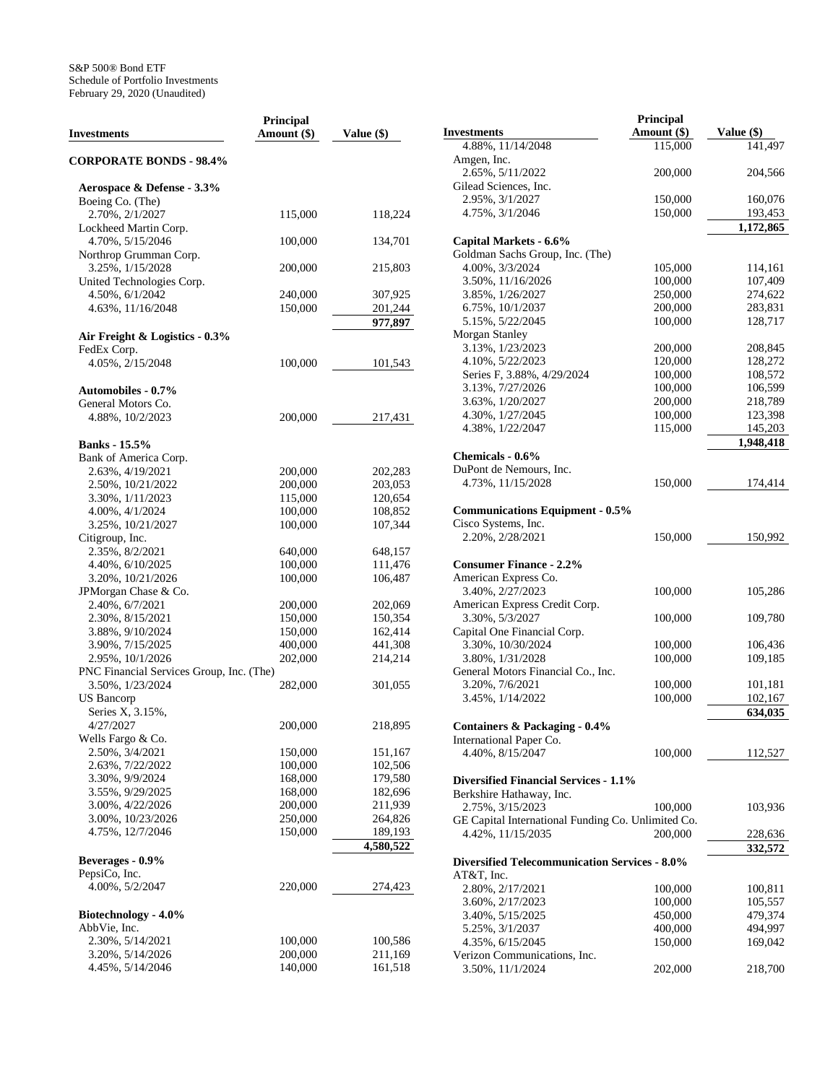| <b>Investments</b>                        | Principal<br>Amount (\$) | Value (\$)           |
|-------------------------------------------|--------------------------|----------------------|
| <b>CORPORATE BONDS - 98.4%</b>            |                          |                      |
| Aerospace & Defense - 3.3%                |                          |                      |
| Boeing Co. (The)                          |                          |                      |
| 2.70%, 2/1/2027                           | 115,000                  | 118,224              |
| Lockheed Martin Corp.<br>4.70%, 5/15/2046 |                          |                      |
| Northrop Grumman Corp.                    | 100,000                  | 134,701              |
| 3.25%, 1/15/2028                          | 200,000                  | 215,803              |
| United Technologies Corp.                 |                          |                      |
| 4.50%, 6/1/2042                           | 240,000                  | 307,925              |
| 4.63%, 11/16/2048                         | 150,000                  | 201,244              |
|                                           |                          | 977,897              |
| Air Freight & Logistics - 0.3%            |                          |                      |
| FedEx Corp.                               |                          |                      |
| 4.05%, 2/15/2048                          | 100,000                  | 101,543              |
| <b>Automobiles - 0.7%</b>                 |                          |                      |
| General Motors Co.                        |                          |                      |
| 4.88%, 10/2/2023                          | 200,000                  | 217,431              |
| <b>Banks</b> - 15.5%                      |                          |                      |
| Bank of America Corp.                     |                          |                      |
| 2.63%, 4/19/2021                          | 200,000                  | 202,283              |
| 2.50%, 10/21/2022                         | 200,000                  | 203,053              |
| 3.30%, 1/11/2023                          | 115,000                  | 120,654              |
| 4.00%, 4/1/2024                           | 100,000                  | 108,852              |
| 3.25%, 10/21/2027                         | 100,000                  | 107,344              |
| Citigroup, Inc.                           |                          |                      |
| 2.35%, 8/2/2021                           | 640,000                  | 648,157              |
| 4.40%, 6/10/2025                          | 100,000                  | 111,476              |
| 3.20%, 10/21/2026                         | 100,000                  | 106,487              |
| JPMorgan Chase & Co.                      |                          |                      |
| 2.40%, 6/7/2021                           | 200,000                  | 202,069              |
| 2.30%, 8/15/2021                          | 150,000                  | 150,354              |
| 3.88%, 9/10/2024                          | 150,000                  | 162,414              |
| 3.90%, 7/15/2025<br>2.95%, 10/1/2026      | 400,000                  | 441,308              |
| PNC Financial Services Group, Inc. (The)  | 202,000                  | 214,214              |
| 3.50%, 1/23/2024                          | 282,000                  | 301,055              |
| <b>US</b> Bancorp                         |                          |                      |
| Series X, 3.15%,                          |                          |                      |
| 4/27/2027                                 | 200,000                  | 218,895              |
| Wells Fargo & Co.                         |                          |                      |
| 2.50%, 3/4/2021                           | 150,000                  | 151,167              |
| 2.63%, 7/22/2022                          | 100,000                  | 102,506              |
| 3.30%, 9/9/2024                           | 168,000                  | 179,580              |
| 3.55%, 9/29/2025                          | 168,000                  | 182,696              |
| 3.00%, 4/22/2026                          | 200,000                  | 211,939              |
| 3.00%, 10/23/2026                         | 250,000                  | 264,826              |
| 4.75%, 12/7/2046                          | 150,000                  | 189,193<br>4,580,522 |
| Beverages - 0.9%                          |                          |                      |
| PepsiCo, Inc.                             |                          |                      |
| 4.00%, 5/2/2047                           | 220,000                  | 274,423              |
| Biotechnology - 4.0%                      |                          |                      |
| AbbVie, Inc.                              |                          |                      |
| 2.30%, 5/14/2021                          | 100,000                  | 100,586              |
| 3.20%, 5/14/2026                          | 200,000                  | 211,169              |
| 4.45%, 5/14/2046                          | 140,000                  | 161,518              |

|                                                      | Principal          |            |
|------------------------------------------------------|--------------------|------------|
| <b>Investments</b>                                   | Amount (\$)        | Value (\$) |
| 4.88%, 11/14/2048                                    | 115,000            | 141,497    |
| Amgen, Inc.                                          |                    |            |
| 2.65%, 5/11/2022                                     | 200,000            | 204,566    |
| Gilead Sciences, Inc.                                |                    |            |
| 2.95%, 3/1/2027                                      | 150,000            | 160,076    |
| 4.75%, 3/1/2046                                      | 150,000            | 193,453    |
|                                                      |                    | 1,172,865  |
| Capital Markets - 6.6%                               |                    |            |
| Goldman Sachs Group, Inc. (The)                      |                    |            |
| 4.00%, 3/3/2024                                      | 105,000            | 114,161    |
| 3.50%, 11/16/2026                                    | 100,000            | 107,409    |
| 3.85%, 1/26/2027                                     | 250,000            | 274,622    |
| 6.75%, 10/1/2037                                     | 200,000            | 283,831    |
| 5.15%, 5/22/2045                                     | 100,000            | 128,717    |
| Morgan Stanley                                       |                    |            |
| 3.13%, 1/23/2023                                     | 200,000            | 208,845    |
| 4.10%, 5/22/2023                                     | 120,000            | 128,272    |
| Series F, 3.88%, 4/29/2024                           | 100,000            | 108,572    |
| 3.13%, 7/27/2026                                     | 100,000            | 106,599    |
| 3.63%, 1/20/2027                                     | 200,000            | 218,789    |
| 4.30%, 1/27/2045                                     | 100,000            | 123,398    |
| 4.38%, 1/22/2047                                     | 115,000            | 145,203    |
|                                                      |                    | 1,948,418  |
| Chemicals - 0.6%                                     |                    |            |
| DuPont de Nemours, Inc.                              |                    |            |
| 4.73%, 11/15/2028                                    | 150,000            | 174,414    |
|                                                      |                    |            |
| <b>Communications Equipment - 0.5%</b>               |                    |            |
| Cisco Systems, Inc.                                  |                    |            |
| 2.20%, 2/28/2021                                     | 150,000            | 150,992    |
|                                                      |                    |            |
| <b>Consumer Finance - 2.2%</b>                       |                    |            |
| American Express Co.                                 |                    |            |
| 3.40%, 2/27/2023                                     | 100,000            | 105,286    |
| American Express Credit Corp.                        |                    |            |
| 3.30%, 5/3/2027                                      | 100,000            | 109,780    |
| Capital One Financial Corp.                          |                    |            |
| 3.30%, 10/30/2024<br>3.80%, 1/31/2028                | 100,000<br>100,000 | 106,436    |
| General Motors Financial Co., Inc.                   |                    | 109,185    |
| 3.20%, 7/6/2021                                      | 100,000            | 101,181    |
| 3.45%, $1/14/2022$                                   | 100,000            | 102,167    |
|                                                      |                    | 634,035    |
| <b>Containers &amp; Packaging - 0.4%</b>             |                    |            |
| International Paper Co.                              |                    |            |
| 4.40%, 8/15/2047                                     | 100,000            | 112,527    |
|                                                      |                    |            |
| <b>Diversified Financial Services - 1.1%</b>         |                    |            |
| Berkshire Hathaway, Inc.                             |                    |            |
| 2.75%, 3/15/2023                                     | 100,000            | 103,936    |
| GE Capital International Funding Co. Unlimited Co.   |                    |            |
| 4.42%, 11/15/2035                                    | 200,000            | 228,636    |
|                                                      |                    | 332,572    |
| <b>Diversified Telecommunication Services - 8.0%</b> |                    |            |
| AT&T, Inc.                                           |                    |            |
| 2.80%, 2/17/2021                                     | 100,000            | 100,811    |
| 3.60%, 2/17/2023                                     | 100,000            | 105,557    |
| 3.40%, 5/15/2025                                     | 450,000            | 479,374    |
| 5.25%, 3/1/2037                                      | 400,000            | 494,997    |
| 4.35%, 6/15/2045                                     | 150,000            | 169,042    |
| Verizon Communications, Inc.                         |                    |            |
| 3.50%, 11/1/2024                                     | 202,000            | 218,700    |
|                                                      |                    |            |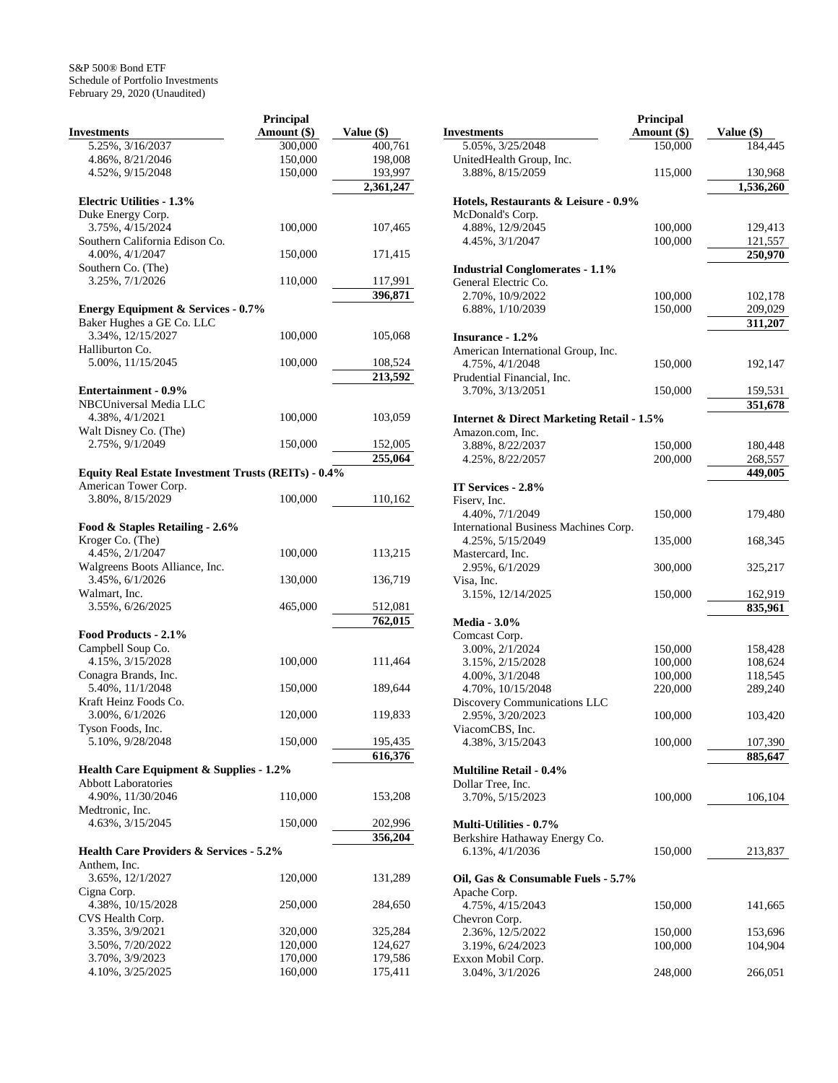|                                                     | <b>Principal</b> |                    |
|-----------------------------------------------------|------------------|--------------------|
| <b>Investments</b>                                  | Amount (\$)      | Value (\$)         |
| 5.25%, 3/16/2037                                    | 300,000          | 400,761            |
| 4.86%, 8/21/2046                                    | 150,000          | 198,008            |
| 4.52%, 9/15/2048                                    | 150,000          | 193,997            |
|                                                     |                  | 2,361,247          |
| <b>Electric Utilities - 1.3%</b>                    |                  |                    |
| Duke Energy Corp.                                   |                  |                    |
| 3.75%, 4/15/2024                                    | 100,000          | 107,465            |
| Southern California Edison Co.                      |                  |                    |
| 4.00%, 4/1/2047                                     | 150,000          | 171,415            |
| Southern Co. (The)<br>3.25%, 7/1/2026               | 110,000          |                    |
|                                                     |                  | 117,991<br>396,871 |
| <b>Energy Equipment &amp; Services - 0.7%</b>       |                  |                    |
| Baker Hughes a GE Co. LLC                           |                  |                    |
| 3.34%, 12/15/2027                                   | 100,000          | 105,068            |
| Halliburton Co.                                     |                  |                    |
| 5.00%, 11/15/2045                                   | 100,000          | 108,524            |
|                                                     |                  | 213,592            |
| <b>Entertainment - 0.9%</b>                         |                  |                    |
| NBCUniversal Media LLC                              |                  |                    |
| 4.38%, 4/1/2021                                     | 100,000          | 103,059            |
| Walt Disney Co. (The)                               |                  |                    |
| 2.75%, 9/1/2049                                     | 150,000          | 152,005            |
|                                                     |                  | 255,064            |
| Equity Real Estate Investment Trusts (REITs) - 0.4% |                  |                    |
| American Tower Corp.                                |                  |                    |
| 3.80%, 8/15/2029                                    | 100,000          | 110,162            |
|                                                     |                  |                    |
| Food & Staples Retailing - 2.6%<br>Kroger Co. (The) |                  |                    |
| 4.45%, 2/1/2047                                     | 100,000          | 113,215            |
| Walgreens Boots Alliance, Inc.                      |                  |                    |
| 3.45%, 6/1/2026                                     | 130,000          | 136,719            |
| Walmart, Inc.                                       |                  |                    |
| 3.55%, 6/26/2025                                    | 465,000          | 512,081            |
|                                                     |                  | 762,015            |
| Food Products - 2.1%                                |                  |                    |
| Campbell Soup Co.                                   |                  |                    |
| 4.15%, 3/15/2028                                    | 100,000          | 111,464            |
| Conagra Brands, Inc.                                |                  |                    |
| 5.40%, 11/1/2048                                    | 150,000          | 189,644            |
| Kraft Heinz Foods Co.                               |                  |                    |
| 3.00%, 6/1/2026                                     | 120,000          | 119,833            |
| Tyson Foods, Inc.                                   |                  |                    |
| 5.10%, 9/28/2048                                    | 150,000          | 195,435<br>616,376 |
| Health Care Equipment & Supplies - 1.2%             |                  |                    |
| <b>Abbott Laboratories</b>                          |                  |                    |
| 4.90%, 11/30/2046                                   | 110,000          | 153,208            |
| Medtronic, Inc.                                     |                  |                    |
| 4.63%, 3/15/2045                                    | 150,000          | 202,996            |
|                                                     |                  | 356,204            |
| <b>Health Care Providers &amp; Services - 5.2%</b>  |                  |                    |
| Anthem, Inc.                                        |                  |                    |
| 3.65%, 12/1/2027                                    | 120,000          | 131,289            |
| Cigna Corp.                                         |                  |                    |
| 4.38%, 10/15/2028                                   | 250,000          | 284,650            |
| CVS Health Corp.                                    |                  |                    |
| 3.35%, 3/9/2021                                     | 320,000          | 325,284            |
| 3.50%, 7/20/2022                                    | 120,000          | 124,627            |
| 3.70%, 3/9/2023                                     | 170,000          | 179,586            |
| 4.10%, 3/25/2025                                    | 160,000          | 175,411            |

|                                                           | Principal   |            |
|-----------------------------------------------------------|-------------|------------|
| <b>Investments</b>                                        | Amount (\$) | Value (\$) |
| 5.05%, 3/25/2048                                          | 150,000     | 184,445    |
| UnitedHealth Group, Inc.                                  |             |            |
| 3.88%, 8/15/2059                                          | 115,000     | 130,968    |
|                                                           |             | 1,536,260  |
| Hotels, Restaurants & Leisure - 0.9%                      |             |            |
| McDonald's Corp.                                          |             |            |
| 4.88%, 12/9/2045                                          | 100,000     | 129,413    |
| 4.45%, 3/1/2047                                           | 100,000     | 121,557    |
|                                                           |             | 250,970    |
| <b>Industrial Conglomerates - 1.1%</b>                    |             |            |
| General Electric Co.                                      |             |            |
| 2.70%, 10/9/2022                                          | 100,000     | 102,178    |
| 6.88%, 1/10/2039                                          | 150,000     | 209,029    |
|                                                           |             | 311,207    |
| <b>Insurance - 1.2%</b>                                   |             |            |
| American International Group, Inc.                        |             |            |
| 4.75%, 4/1/2048                                           | 150,000     | 192,147    |
| Prudential Financial, Inc.                                |             |            |
| 3.70%, 3/13/2051                                          | 150,000     | 159,531    |
|                                                           |             | 351,678    |
| <b>Internet &amp; Direct Marketing Retail - 1.5%</b>      |             |            |
| Amazon.com, Inc.                                          |             |            |
| 3.88%, 8/22/2037                                          | 150,000     | 180,448    |
| 4.25%, 8/22/2057                                          | 200,000     | 268,557    |
|                                                           |             | 449,005    |
| IT Services - 2.8%                                        |             |            |
| Fiserv, Inc.                                              |             |            |
| 4.40%, 7/1/2049                                           | 150,000     | 179,480    |
| International Business Machines Corp.<br>4.25%, 5/15/2049 |             |            |
| Mastercard, Inc.                                          | 135,000     | 168,345    |
| 2.95%, 6/1/2029                                           | 300,000     | 325,217    |
| Visa, Inc.                                                |             |            |
| 3.15%, 12/14/2025                                         | 150,000     | 162,919    |
|                                                           |             | 835,961    |
| <b>Media - 3.0%</b>                                       |             |            |
| Comcast Corp.                                             |             |            |
| 3.00%, 2/1/2024                                           | 150,000     | 158,428    |
| 3.15%, 2/15/2028                                          | 100,000     | 108,624    |
| 4.00%, 3/1/2048                                           | 100,000     | 118,545    |
| 4.70%, 10/15/2048                                         | 220,000     | 289,240    |
| Discovery Communications LLC                              |             |            |
| 2.95%, 3/20/2023                                          | 100,000     | 103,420    |
| ViacomCBS, Inc.                                           |             |            |
| 4.38%, 3/15/2043                                          | 100,000     | 107,390    |
|                                                           |             | 885,647    |
| <b>Multiline Retail - 0.4%</b>                            |             |            |
| Dollar Tree, Inc.                                         |             |            |
| 3.70%, 5/15/2023                                          | 100,000     | 106,104    |
|                                                           |             |            |
| <b>Multi-Utilities - 0.7%</b>                             |             |            |
| Berkshire Hathaway Energy Co.                             |             |            |
| 6.13%, 4/1/2036                                           | 150,000     | 213,837    |
|                                                           |             |            |
| Oil, Gas & Consumable Fuels - 5.7%                        |             |            |
| Apache Corp.                                              |             |            |
| 4.75%, 4/15/2043                                          | 150,000     | 141,665    |
| Chevron Corp.                                             |             |            |
| 2.36%, 12/5/2022                                          | 150,000     | 153,696    |
| 3.19%, 6/24/2023                                          | 100,000     | 104,904    |
| Exxon Mobil Corp.                                         |             |            |
| 3.04%, 3/1/2026                                           | 248,000     | 266,051    |
|                                                           |             |            |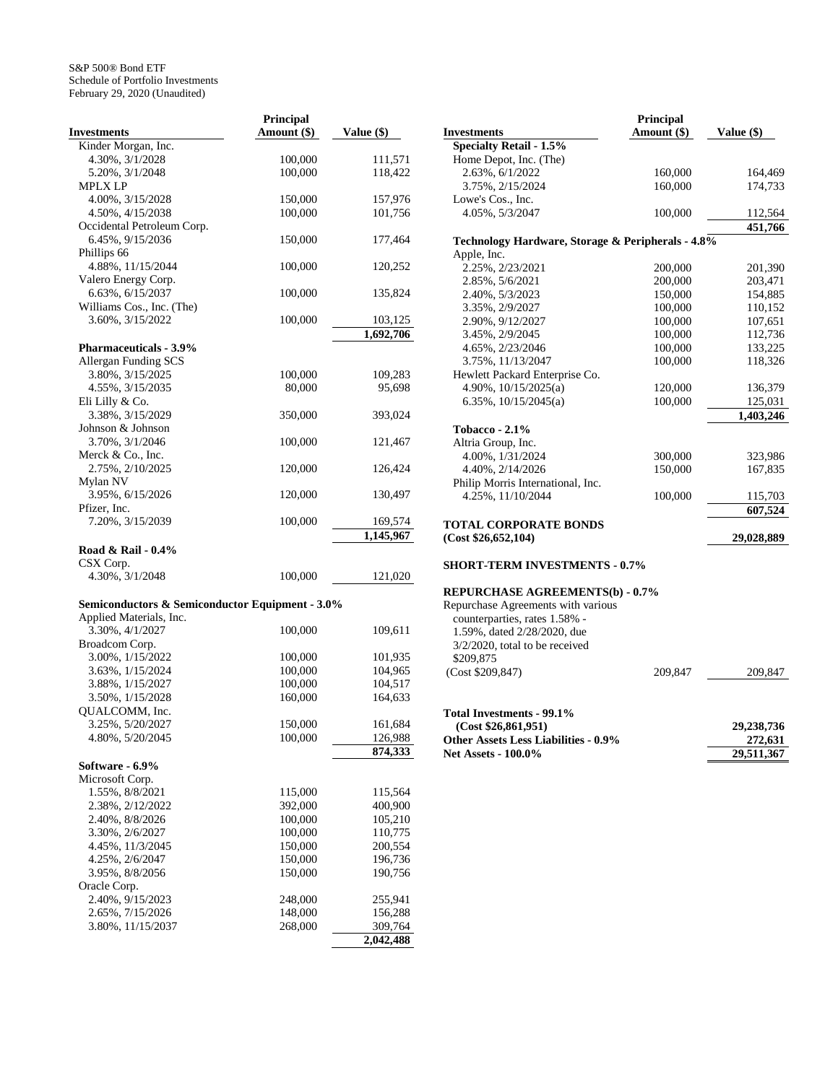|                                                 | Principal   |            |
|-------------------------------------------------|-------------|------------|
| <b>Investments</b>                              | Amount (\$) | Value (\$) |
| Kinder Morgan, Inc.                             |             |            |
| 4.30%, 3/1/2028                                 | 100,000     | 111,571    |
| 5.20%, 3/1/2048                                 | 100,000     | 118,422    |
| MPLX LP                                         |             |            |
| 4.00%, 3/15/2028                                | 150,000     | 157,976    |
| 4.50%, 4/15/2038                                | 100,000     | 101,756    |
| Occidental Petroleum Corp.                      |             |            |
| 6.45%, 9/15/2036<br>Phillips 66                 | 150,000     | 177,464    |
| 4.88%, 11/15/2044                               | 100,000     | 120,252    |
| Valero Energy Corp.                             |             |            |
| 6.63%, 6/15/2037                                | 100,000     | 135,824    |
| Williams Cos., Inc. (The)                       |             |            |
| 3.60%, 3/15/2022                                | 100,000     | 103,125    |
|                                                 |             | 1,692,706  |
| <b>Pharmaceuticals - 3.9%</b>                   |             |            |
| Allergan Funding SCS                            |             |            |
| 3.80%, 3/15/2025                                | 100,000     | 109,283    |
| 4.55%, 3/15/2035                                | 80,000      | 95,698     |
| Eli Lilly & Co.                                 |             |            |
| 3.38%, 3/15/2029                                | 350,000     | 393,024    |
| Johnson & Johnson                               |             |            |
| 3.70%, 3/1/2046                                 | 100,000     | 121,467    |
| Merck & Co., Inc.                               |             |            |
| 2.75%, 2/10/2025                                | 120,000     | 126,424    |
| Mylan NV                                        |             |            |
| 3.95%, 6/15/2026                                | 120,000     | 130,497    |
| Pfizer, Inc.                                    |             |            |
| 7.20%, 3/15/2039                                | 100,000     | 169,574    |
|                                                 |             | 1,145,967  |
| Road & Rail - 0.4%                              |             |            |
| CSX Corp.                                       |             |            |
| 4.30%, 3/1/2048                                 | 100,000     | 121,020    |
| Semiconductors & Semiconductor Equipment - 3.0% |             |            |
| Applied Materials, Inc.                         |             |            |
| 3.30%, 4/1/2027                                 | 100,000     | 109,611    |
| Broadcom Corp.                                  |             |            |
| 3.00%, 1/15/2022                                | 100,000     | 101,935    |
| 3.63%, 1/15/2024                                | 100,000     | 104,965    |
| 3.88%, 1/15/2027                                | 100,000     | 104,517    |
| 3.50%, 1/15/2028                                | 160,000     | 164,633    |
| QUALCOMM, Inc.                                  |             |            |
| 3.25%, 5/20/2027                                | 150,000     | 161,684    |
| 4.80%, 5/20/2045                                | 100,000     | 126,988    |
|                                                 |             | 874,333    |
| Software - 6.9%                                 |             |            |
| Microsoft Corp.                                 |             |            |
| 1.55%, 8/8/2021                                 | 115,000     | 115,564    |
| 2.38%, 2/12/2022                                | 392,000     | 400,900    |
| 2.40%, 8/8/2026                                 | 100,000     | 105,210    |
| 3.30%, 2/6/2027                                 | 100,000     | 110,775    |
| 4.45%, 11/3/2045                                | 150,000     | 200,554    |
| 4.25%, 2/6/2047                                 | 150,000     | 196,736    |
| 3.95%, 8/8/2056                                 | 150,000     | 190,756    |
| Oracle Corp.                                    |             |            |
| 2.40%, 9/15/2023                                | 248,000     | 255,941    |
| 2.65%, 7/15/2026                                | 148,000     | 156,288    |
| 3.80%, 11/15/2037                               | 268,000     | 309,764    |
|                                                 |             | 2,042,488  |

|                                                   | <b>Principal</b> |            |
|---------------------------------------------------|------------------|------------|
| <b>Investments</b>                                | Amount (\$)      | Value (\$) |
| <b>Specialty Retail - 1.5%</b>                    |                  |            |
| Home Depot, Inc. (The)                            |                  |            |
| 2.63%, 6/1/2022                                   | 160,000          | 164,469    |
| 3.75%, 2/15/2024                                  | 160,000          | 174,733    |
| Lowe's Cos., Inc.                                 |                  |            |
| 4.05%, 5/3/2047                                   | 100,000          | 112,564    |
|                                                   |                  | 451,766    |
| Technology Hardware, Storage & Peripherals - 4.8% |                  |            |
| Apple, Inc.                                       |                  |            |
| 2.25%, 2/23/2021                                  | 200,000          | 201,390    |
| 2.85%, 5/6/2021                                   | 200,000          | 203,471    |
| 2.40%, 5/3/2023                                   | 150,000          | 154,885    |
| 3.35%, 2/9/2027                                   | 100,000          | 110,152    |
| 2.90%, 9/12/2027                                  | 100,000          | 107,651    |
| 3.45%, 2/9/2045                                   | 100,000          | 112,736    |
| 4.65%, 2/23/2046                                  | 100,000          | 133,225    |
| 3.75%, 11/13/2047                                 | 100,000          | 118,326    |
| Hewlett Packard Enterprise Co.                    |                  |            |
| 4.90%, $10/15/2025(a)$                            | 120,000          | 136,379    |
| 6.35%, 10/15/2045(a)                              | 100.000          | 125,031    |
|                                                   |                  | 1,403,246  |
| Tobacco - $2.1\%$                                 |                  |            |
| Altria Group, Inc.                                |                  |            |
| 4.00%, 1/31/2024                                  | 300,000          | 323,986    |
| 4.40%, 2/14/2026                                  | 150,000          | 167,835    |
| Philip Morris International, Inc.                 |                  |            |
| 4.25%, 11/10/2044                                 | 100,000          | 115,703    |
|                                                   |                  | 607,524    |
| <b>TOTAL CORPORATE BONDS</b>                      |                  |            |
| (Cost \$26,652,104)                               |                  | 29,028,889 |
|                                                   |                  |            |
| <b>SHORT-TERM INVESTMENTS - 0.7%</b>              |                  |            |
|                                                   |                  |            |
| <b>REPURCHASE AGREEMENTS(b) - 0.7%</b>            |                  |            |

| REI URCHASE AGREEMEN 1909 - 0.7 70 |         |         |
|------------------------------------|---------|---------|
| Repurchase Agreements with various |         |         |
| counterparties, rates 1.58% -      |         |         |
| 1.59%, dated 2/28/2020, due        |         |         |
| $3/2/2020$ , total to be received  |         |         |
| \$209,875                          |         |         |
| (Cost \$209,847)                   | 209,847 | 209,847 |
|                                    |         |         |

# **Total Investments - 99.1%**

| (Cost \$26.861.951)                         | 29, 238, 736 |
|---------------------------------------------|--------------|
| <b>Other Assets Less Liabilities - 0.9%</b> | 272.631      |
| <b>Net Assets - 100.0%</b>                  | 29,511,367   |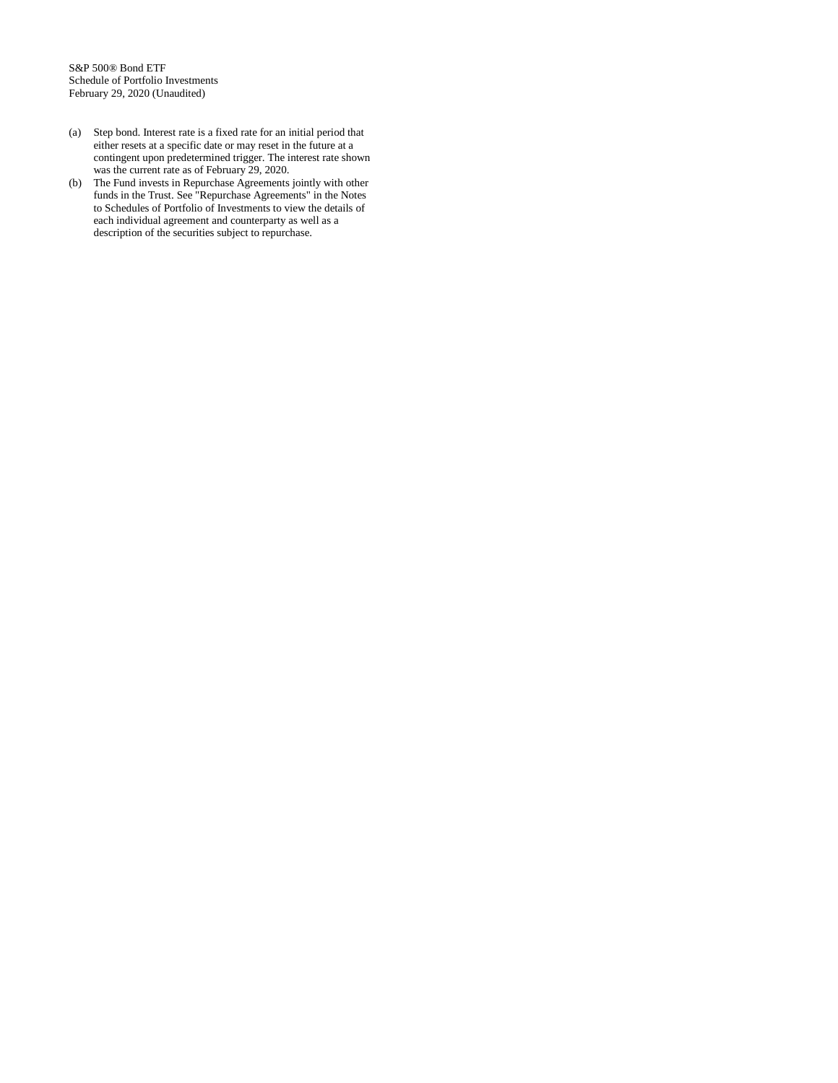- (a) Step bond. Interest rate is a fixed rate for an initial period that either resets at a specific date or may reset in the future at a contingent upon predetermined trigger. The interest rate shown was the current rate as of February 29, 2020.
- (b) The Fund invests in Repurchase Agreements jointly with other funds in the Trust. See "Repurchase Agreements" in the Notes to Schedules of Portfolio of Investments to view the details of each individual agreement and counterparty as well as a description of the securities subject to repurchase.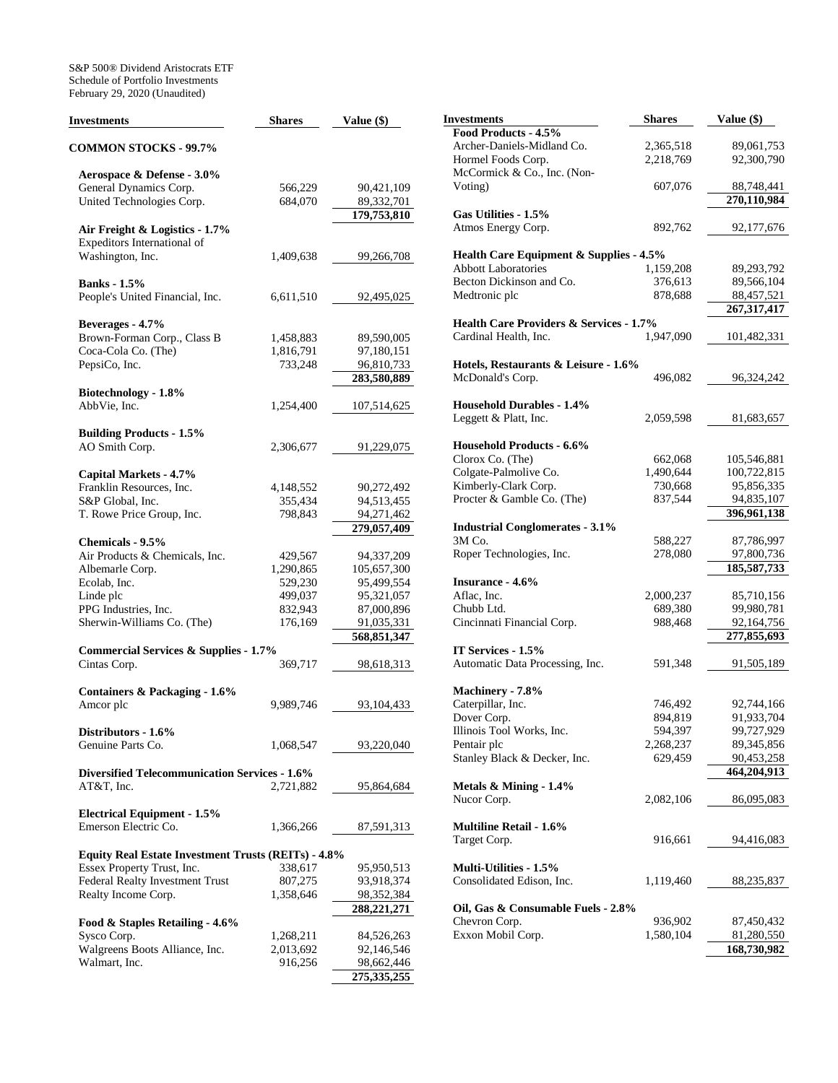S&P 500® Dividend Aristocrats ETF Schedule of Portfolio Investments February 29, 2020 (Unaudited)

| <b>Investments</b>                                         | <b>Shares</b> | Value (\$)    |
|------------------------------------------------------------|---------------|---------------|
| <b>COMMON STOCKS - 99.7%</b>                               |               |               |
| Aerospace & Defense - 3.0%                                 |               |               |
| General Dynamics Corp.                                     | 566,229       | 90,421,109    |
| United Technologies Corp.                                  | 684,070       | 89,332,701    |
|                                                            |               | 179,753,810   |
| Air Freight & Logistics - 1.7%                             |               |               |
| Expeditors International of                                |               |               |
| Washington, Inc.                                           | 1,409,638     | 99,266,708    |
|                                                            |               |               |
| <b>Banks</b> - 1.5%                                        |               |               |
| People's United Financial, Inc.                            | 6,611,510     | 92,495,025    |
| Beverages - 4.7%                                           |               |               |
| Brown-Forman Corp., Class B                                | 1,458,883     | 89,590,005    |
| Coca-Cola Co. (The)                                        | 1,816,791     | 97,180,151    |
| PepsiCo, Inc.                                              | 733,248       | 96,810,733    |
|                                                            |               | 283,580,889   |
| Biotechnology - 1.8%                                       |               |               |
| AbbVie, Inc.                                               | 1,254,400     | 107,514,625   |
|                                                            |               |               |
| <b>Building Products - 1.5%</b>                            |               |               |
| AO Smith Corp.                                             | 2,306,677     | 91,229,075    |
| Capital Markets - 4.7%                                     |               |               |
| Franklin Resources, Inc.                                   | 4,148,552     | 90,272,492    |
| S&P Global, Inc.                                           | 355,434       | 94,513,455    |
| T. Rowe Price Group, Inc.                                  | 798,843       | 94,271,462    |
|                                                            |               | 279,057,409   |
| Chemicals - 9.5%                                           |               |               |
| Air Products & Chemicals, Inc.                             | 429,567       | 94,337,209    |
| Albemarle Corp.                                            | 1,290,865     | 105,657,300   |
| Ecolab, Inc.                                               | 529,230       | 95,499,554    |
| Linde plc                                                  | 499,037       | 95,321,057    |
| PPG Industries, Inc.                                       | 832,943       | 87,000,896    |
| Sherwin-Williams Co. (The)                                 | 176,169       | 91,035,331    |
|                                                            |               | 568,851,347   |
| <b>Commercial Services &amp; Supplies - 1.7%</b>           |               |               |
| Cintas Corp.                                               | 369,717       | 98,618,313    |
| Containers & Packaging - 1.6%                              |               |               |
| Amcor plc                                                  | 9,989,746     | 93,104,433    |
|                                                            |               |               |
| Distributors - 1.6%                                        |               |               |
| Genuine Parts Co.                                          | 1,068,547     | 93,220,040    |
| <b>Diversified Telecommunication Services - 1.6%</b>       |               |               |
| AT&T, Inc.                                                 | 2,721,882     | 95,864,684    |
|                                                            |               |               |
| <b>Electrical Equipment - 1.5%</b>                         |               |               |
| Emerson Electric Co.                                       | 1,366,266     | 87,591,313    |
|                                                            |               |               |
| <b>Equity Real Estate Investment Trusts (REITs) - 4.8%</b> |               |               |
| Essex Property Trust, Inc.                                 | 338,617       | 95,950,513    |
| <b>Federal Realty Investment Trust</b>                     | 807,275       | 93,918,374    |
| Realty Income Corp.                                        | 1,358,646     | 98,352,384    |
|                                                            |               | 288,221,271   |
| Food & Staples Retailing - 4.6%<br>Sysco Corp.             |               |               |
| Walgreens Boots Alliance, Inc.                             | 1,268,211     | 84,526,263    |
| Walmart, Inc.                                              | 2,013,692     | 92,146,546    |
|                                                            | 916,256       | 98,662,446    |
|                                                            |               | 275, 335, 255 |

| Investments                                        | <b>Shares</b>      | Value (\$)    |
|----------------------------------------------------|--------------------|---------------|
| Food Products - 4.5%                               |                    |               |
| Archer-Daniels-Midland Co.                         | 2,365,518          | 89,061,753    |
| Hormel Foods Corp.                                 | 2,218,769          | 92,300,790    |
| McCormick & Co., Inc. (Non-                        |                    |               |
| Voting)                                            | 607,076            | 88,748,441    |
|                                                    |                    | 270,110,984   |
| Gas Utilities - 1.5%                               |                    |               |
| Atmos Energy Corp.                                 | 892,762            | 92,177,676    |
|                                                    |                    |               |
| <b>Health Care Equipment &amp; Supplies - 4.5%</b> |                    |               |
| Abbott Laboratories                                |                    | 89,293,792    |
| Becton Dickinson and Co.                           | 1,159,208          |               |
|                                                    | 376,613<br>878,688 | 89,566,104    |
| Medtronic plc                                      |                    | 88,457,521    |
|                                                    |                    | 267, 317, 417 |
| <b>Health Care Providers &amp; Services - 1.7%</b> |                    |               |
| Cardinal Health, Inc.                              | 1,947,090          | 101,482,331   |
|                                                    |                    |               |
| Hotels, Restaurants & Leisure - 1.6%               |                    |               |
| McDonald's Corp.                                   | 496,082            | 96,324,242    |
|                                                    |                    |               |
| <b>Household Durables - 1.4%</b>                   |                    |               |
| Leggett & Platt, Inc.                              | 2,059,598          | 81,683,657    |
|                                                    |                    |               |
| <b>Household Products - 6.6%</b>                   |                    |               |
| Clorox Co. (The)                                   | 662,068            | 105,546,881   |
| Colgate-Palmolive Co.                              | 1,490,644          | 100,722,815   |
| Kimberly-Clark Corp.                               | 730,668            | 95,856,335    |
| Procter & Gamble Co. (The)                         | 837,544            | 94,835,107    |
|                                                    |                    | 396,961,138   |
| <b>Industrial Conglomerates - 3.1%</b>             |                    |               |
| 3M Co.                                             | 588,227            | 87,786,997    |
| Roper Technologies, Inc.                           | 278,080            | 97,800,736    |
|                                                    |                    |               |
|                                                    |                    | 185,587,733   |
| <b>Insurance - 4.6%</b>                            |                    |               |
| Aflac, Inc.                                        | 2,000,237          | 85,710,156    |
| Chubb Ltd.                                         | 689,380            | 99,980,781    |
| Cincinnati Financial Corp.                         | 988,468            | 92,164,756    |
|                                                    |                    | 277,855,693   |
| IT Services - 1.5%                                 |                    |               |
| Automatic Data Processing, Inc.                    | 591,348            | 91,505,189    |
|                                                    |                    |               |
| Machinery - 7.8%                                   |                    |               |
| Caterpillar, Inc.                                  | 746,492            | 92,744,166    |
| Dover Corp.                                        | 894,819            | 91,933,704    |
| Illinois Tool Works, Inc.                          | 594,397            | 99,727,929    |
| Pentair plc                                        | 2,268,237          | 89,345,856    |
| Stanley Black & Decker, Inc.                       | 629,459            | 90,453,258    |
|                                                    |                    | 464,204,913   |
| Metals & Mining - 1.4%                             |                    |               |
| Nucor Corp.                                        | 2,082,106          | 86,095,083    |
|                                                    |                    |               |
| <b>Multiline Retail - 1.6%</b>                     |                    |               |
| Target Corp.                                       | 916,661            | 94,416,083    |
|                                                    |                    |               |
| <b>Multi-Utilities - 1.5%</b>                      |                    |               |
|                                                    |                    |               |
| Consolidated Edison, Inc.                          | 1,119,460          | 88,235,837    |
|                                                    |                    |               |
| Oil, Gas & Consumable Fuels - 2.8%                 |                    |               |
| Chevron Corp.                                      | 936,902            | 87,450,432    |
| Exxon Mobil Corp.                                  | 1,580,104          | 81,280,550    |
|                                                    |                    | 168,730,982   |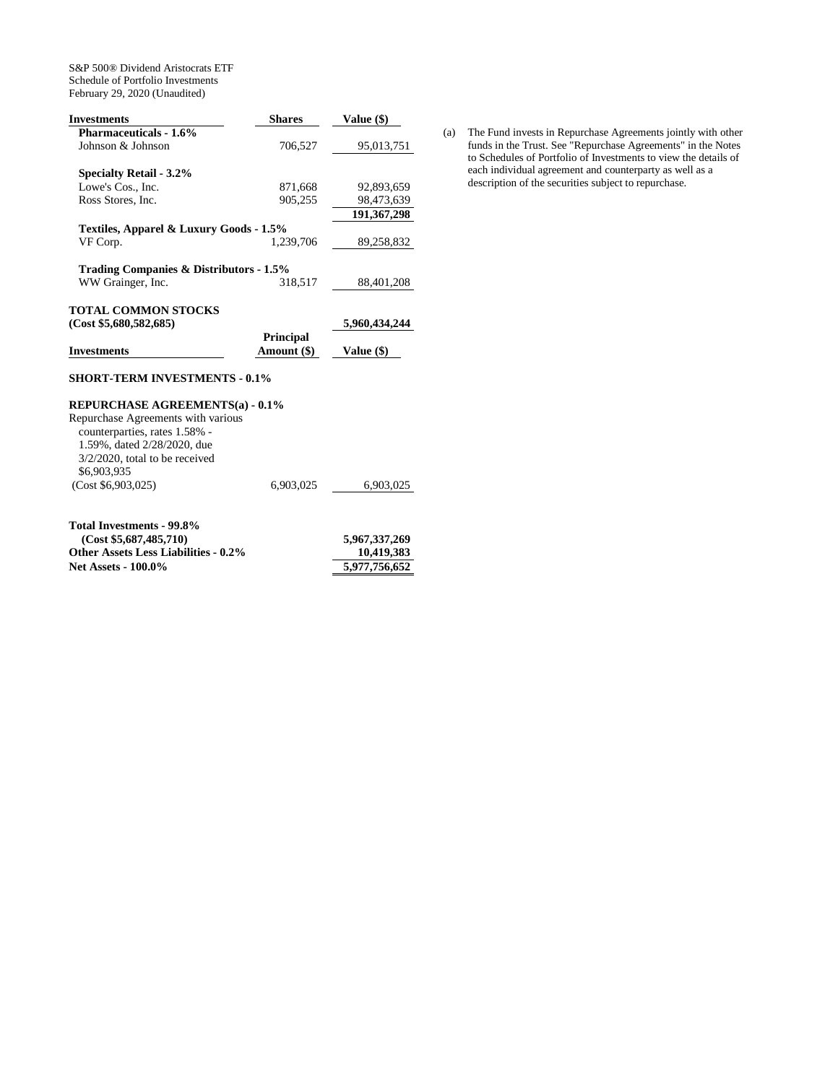S&P 500® Dividend Aristocrats ETF Schedule of Portfolio Investments February 29, 2020 (Unaudited)

| Investments                             | <b>Shares</b>    | Value (\$)        |
|-----------------------------------------|------------------|-------------------|
| <b>Pharmaceuticals - 1.6%</b>           |                  |                   |
| Johnson & Johnson                       | 706,527          | 95,013,751        |
| <b>Specialty Retail - 3.2%</b>          |                  |                   |
| Lowe's Cos., Inc.                       | 871,668          | 92,893,659        |
| Ross Stores, Inc.                       | 905,255          | 98,473,639        |
|                                         |                  | 191, 367, 298     |
| Textiles, Apparel & Luxury Goods - 1.5% |                  |                   |
| VF Corp.                                | 1.239.706        | 89,258,832        |
| Trading Companies & Distributors - 1.5% |                  |                   |
| WW Grainger, Inc.                       | 318,517          | 88,401,208        |
| TOTAL COMMON STOCKS                     |                  |                   |
| (Cost \$5,680,582,685)                  |                  | 5,960,434,244     |
|                                         | <b>Principal</b> |                   |
| <b>Investments</b>                      | Amount (\$)      | <b>Value</b> (\$) |

### **SHORT-TERM INVESTMENTS - 0.1%**

# **REPURCHASE AGREEMENTS(a) - 0.1%**

Repurchase Agreements with various counterparties, rates 1.58% - 1.59%, dated 2/28/2020, due 3/2/2020, total to be received \$6,903,935 (Cost \$6,903,025) 6,903,025 6,903,025 **Total Investments - 99.8%** 

| (Cost \$5,687,485,710)                      | 5,967,337,269 |
|---------------------------------------------|---------------|
| <b>Other Assets Less Liabilities - 0.2%</b> | 10.419.383    |
| <b>Net Assets - 100.0%</b>                  | 5,977,756,652 |
|                                             |               |

(a) The Fund invests in Repurchase Agreements jointly with other funds in the Trust. See "Repurchase Agreements" in the Notes to Schedules of Portfolio of Investments to view the details of each individual agreement and counterparty as well as a description of the securities subject to repurchase.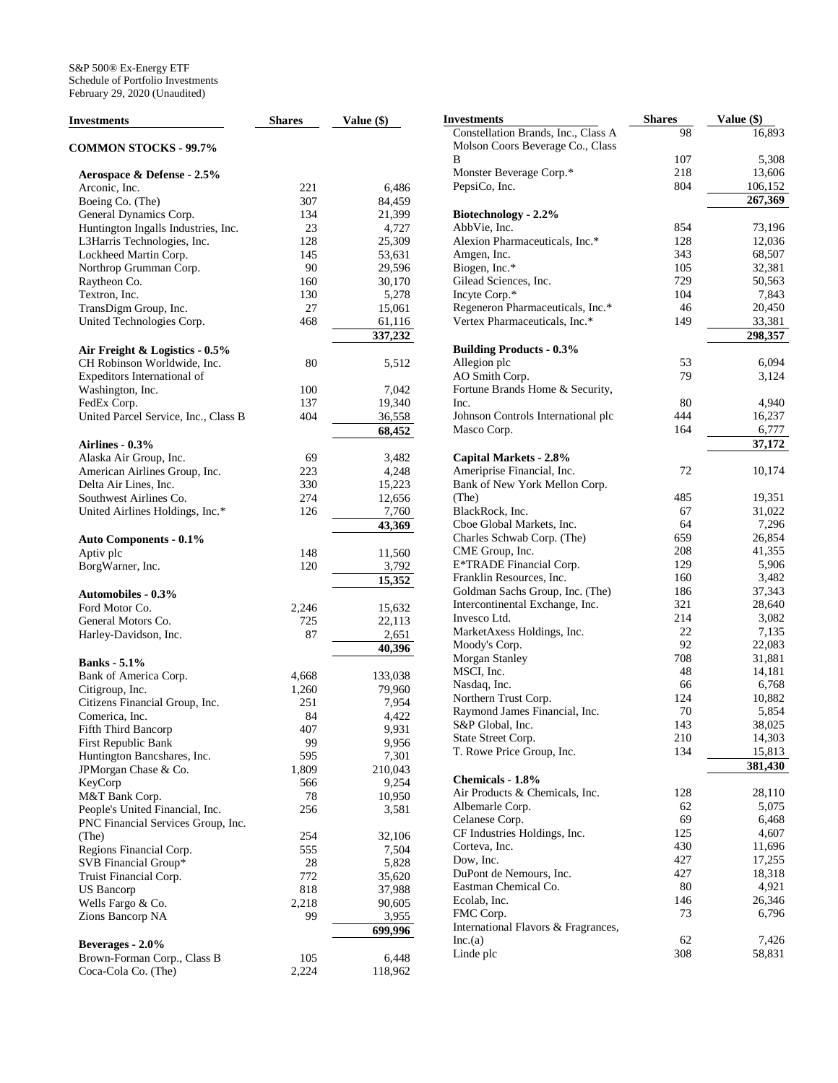| <b>Investments</b>                                  | <b>Shares</b> | Value (\$)     | Investments                |
|-----------------------------------------------------|---------------|----------------|----------------------------|
|                                                     |               |                | Constellatio               |
| <b>COMMON STOCKS - 99.7%</b>                        |               |                | Molson Coo<br>B            |
| Aerospace & Defense - 2.5%                          |               |                | Monster Bev                |
| Arconic, Inc.                                       | 221           | 6,486          | PepsiCo, Inc               |
| Boeing Co. (The)                                    | 307           | 84,459         |                            |
| General Dynamics Corp.                              | 134           | 21,399         | <b>Biotechnolo</b>         |
| Huntington Ingalls Industries, Inc.                 | 23            | 4,727          | AbbVie, Inc                |
| L3Harris Technologies, Inc.                         | 128           | 25,309         | Alexion Pha                |
| Lockheed Martin Corp.                               | 145           | 53,631         | Amgen, Inc.                |
| Northrop Grumman Corp.                              | 90            | 29,596         | Biogen, Inc.               |
| Raytheon Co.                                        | 160           | 30,170         | Gilead Scier               |
| Textron, Inc.                                       | 130           | 5,278          | Incyte Corp.               |
| TransDigm Group, Inc.                               | 27            | 15,061         | Regeneron I                |
| United Technologies Corp.                           | 468           | 61,116         | Vertex Phar                |
|                                                     |               | 337,232        |                            |
| Air Freight & Logistics - 0.5%                      |               |                | <b>Building Pr</b>         |
| CH Robinson Worldwide, Inc.                         | 80            | 5,512          | Allegion plc               |
| Expeditors International of                         |               |                | AO Smith C                 |
| Washington, Inc.                                    | 100           | 7,042          | Fortune Bra                |
| FedEx Corp.                                         | 137           | 19,340         | Inc.                       |
| United Parcel Service, Inc., Class B                | 404           | 36,558         | Johnson Cor                |
|                                                     |               | 68,452         | Masco Corp                 |
| Airlines - 0.3%                                     |               |                |                            |
| Alaska Air Group, Inc.                              | 69            | 3,482          | <b>Capital Ma</b>          |
| American Airlines Group, Inc.                       | 223           | 4,248          | Ameriprise l               |
| Delta Air Lines, Inc.                               | 330           | 15,223         | Bank of Nev                |
| Southwest Airlines Co.                              | 274           | 12,656         | (The)                      |
| United Airlines Holdings, Inc.*                     | 126           | 7,760          | BlackRock,                 |
|                                                     |               | 43,369         | Cboe Globa                 |
| <b>Auto Components - 0.1%</b>                       |               |                | Charles Sch                |
| Aptiv plc                                           | 148           | 11,560         | <b>CME</b> Group           |
| BorgWarner, Inc.                                    | 120           | 3,792          | E*TRADE I                  |
|                                                     |               | 15,352         | Franklin Re:               |
| <b>Automobiles - 0.3%</b>                           |               |                | Goldman Sa                 |
| Ford Motor Co.                                      | 2,246         | 15,632         | Intercontine               |
| General Motors Co.                                  | 725           | 22,113         | Invesco Ltd.<br>MarketAxes |
| Harley-Davidson, Inc.                               | 87            | 2,651          | Moody's Co                 |
|                                                     |               | 40,396         | Morgan Star                |
| <b>Banks</b> - 5.1%                                 |               |                | MSCI, Inc.                 |
| Bank of America Corp.                               | 4,668         | 133,038        | Nasdaq, Inc.               |
| Citigroup, Inc.                                     | 1,260         | 79,960         | Northern Tr                |
| Citizens Financial Group, Inc.                      | 251           | 7,954          | Raymond Ja                 |
| Comerica, Inc.                                      | 84            | 4,422          | S&P Global                 |
| Fifth Third Bancorp                                 | 407           | 9,931          | <b>State Street</b>        |
| First Republic Bank                                 | 99<br>595     | 9,956<br>7,301 | T. Rowe Pri                |
| Huntington Bancshares, Inc.<br>JPMorgan Chase & Co. | 1,809         | 210,043        |                            |
| KeyCorp                                             | 566           | 9,254          | Chemicals -                |
| M&T Bank Corp.                                      | 78            | 10,950         | Air Products               |
| People's United Financial, Inc.                     | 256           | 3,581          | Albemarle C                |
| PNC Financial Services Group, Inc.                  |               |                | Celanese Co                |
| (The)                                               | 254           | 32,106         | CF Industrie               |
| Regions Financial Corp.                             | 555           | 7,504          | Corteva, Inc               |
| SVB Financial Group*                                | 28            | 5,828          | Dow, Inc.                  |
| Truist Financial Corp.                              | 772           | 35,620         | DuPont de N                |
| US Bancorp                                          | 818           | 37,988         | Eastman Ch                 |
| Wells Fargo & Co.                                   | 2,218         | 90,605         | Ecolab, Inc.               |
| Zions Bancorp NA                                    | 99            | 3,955          | FMC Corp.                  |
|                                                     |               | 699,996        | Internationa               |
| Beverages - 2.0%                                    |               |                | Inc.(a)                    |
| Brown-Forman Corp., Class B                         | 105           | 6,448          | Linde plc                  |
| Coca-Cola Co. (The)                                 | 2,224         | 118,962        |                            |

| Investments                                                             | <b>Shares</b> | Value (\$)        |
|-------------------------------------------------------------------------|---------------|-------------------|
| Constellation Brands, Inc., Class A<br>Molson Coors Beverage Co., Class | 98            | 16,893            |
| В                                                                       | 107           | 5,308             |
| Monster Beverage Corp.*                                                 | 218           | 13,606            |
| PepsiCo, Inc.                                                           | 804           | 106,152           |
|                                                                         |               | 267,369           |
| Biotechnology - 2.2%                                                    |               |                   |
| AbbVie, Inc.                                                            | 854           | 73,196            |
| Alexion Pharmaceuticals, Inc.*                                          | 128           | 12,036            |
| Amgen, Inc.                                                             | 343           | 68,507            |
| Biogen, Inc.*                                                           | 105           | 32,381            |
| Gilead Sciences, Inc.                                                   | 729           | 50,563            |
| Incyte Corp.*                                                           | 104           | 7,843             |
| Regeneron Pharmaceuticals, Inc.*                                        | 46            | 20,450            |
| Vertex Pharmaceuticals, Inc.*                                           | 149           | 33,381            |
|                                                                         |               | 298,357           |
| <b>Building Products - 0.3%</b>                                         |               |                   |
| Allegion plc                                                            | 53            | 6,094             |
| AO Smith Corp.                                                          | 79            | 3,124             |
| Fortune Brands Home & Security,<br>Inc.                                 | 80            | 4,940             |
| Johnson Controls International plc                                      | 444           | 16,237            |
| Masco Corp.                                                             | 164           | 6,777             |
|                                                                         |               | 37,172            |
| <b>Capital Markets - 2.8%</b>                                           |               |                   |
| Ameriprise Financial, Inc.                                              | 72            | 10,174            |
| Bank of New York Mellon Corp.                                           |               |                   |
| (The)                                                                   | 485           | 19,351            |
| BlackRock, Inc.                                                         | 67            | 31,022            |
| Cboe Global Markets, Inc.                                               | 64            | 7,296             |
| Charles Schwab Corp. (The)                                              | 659           | 26,854            |
| CME Group, Inc.                                                         | 208           | 41,355            |
| E*TRADE Financial Corp.                                                 | 129           | 5,906             |
| Franklin Resources, Inc.                                                | 160           | 3,482             |
| Goldman Sachs Group, Inc. (The)                                         | 186           | 37,343            |
| Intercontinental Exchange, Inc.                                         | 321           | 28,640            |
| Invesco Ltd.                                                            | 214           | 3,082             |
| MarketAxess Holdings, Inc.                                              | 22            | 7,135             |
| Moody's Corp.                                                           | 92            | 22,083            |
| Morgan Stanley                                                          | 708           | 31,881            |
| MSCI, Inc.                                                              | 48            | 14,181            |
| Nasdaq, Inc.                                                            | 66            | 6,768             |
| Northern Trust Corp.                                                    | 124           | 10,882            |
| Raymond James Financial, Inc.                                           | 70            | 5,854             |
| S&P Global, Inc.                                                        | 143           | 38,025            |
| State Street Corp.                                                      | 210           | 14,303            |
| T. Rowe Price Group, Inc.                                               | 134           | 15,813<br>381,430 |
| Chemicals - 1.8%                                                        |               |                   |
| Air Products & Chemicals, Inc.                                          | 128           | 28,110            |
| Albemarle Corp.                                                         | 62            | 5,075             |
| Celanese Corp.                                                          | 69            | 6,468             |
| CF Industries Holdings, Inc.                                            | 125           | 4,607             |
| Corteva, Inc.                                                           | 430           | 11,696            |
| Dow, Inc.                                                               | 427           | 17,255            |
| DuPont de Nemours, Inc.                                                 | 427           | 18,318            |
| Eastman Chemical Co.                                                    | 80            | 4,921             |
| Ecolab, Inc.                                                            | 146           | 26,346            |
| FMC Corp.                                                               | 73            | 6,796             |
| International Flavors & Fragrances,                                     |               |                   |
| Inc.(a)                                                                 | 62            | 7,426             |
| Linde plc                                                               | 308           | 58,831            |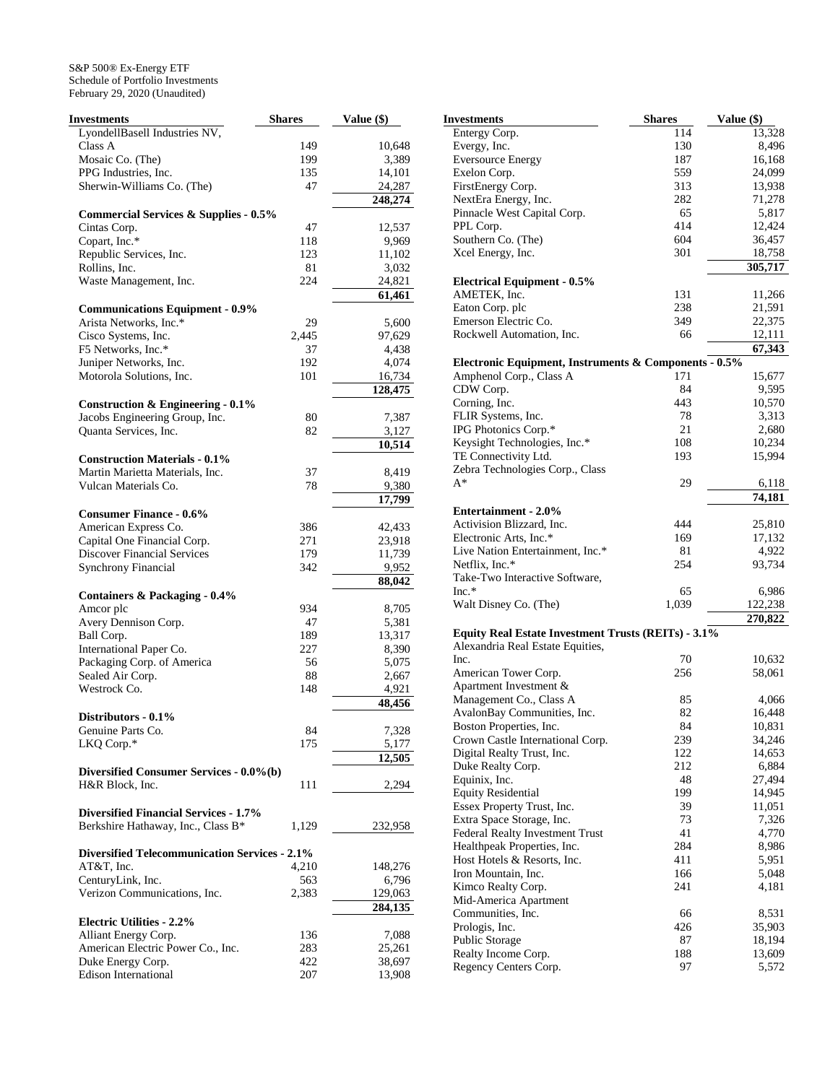| <b>Investments</b>                                   | <b>Shares</b> | Value (\$) |
|------------------------------------------------------|---------------|------------|
| LyondellBasell Industries NV,                        |               |            |
| Class A                                              | 149           | 10,648     |
| Mosaic Co. (The)                                     | 199           | 3,389      |
| PPG Industries, Inc.                                 | 135           | 14,101     |
| Sherwin-Williams Co. (The)                           | 47            | 24,287     |
|                                                      |               | 248,274    |
| <b>Commercial Services &amp; Supplies - 0.5%</b>     |               |            |
| Cintas Corp.                                         | 47            | 12,537     |
| Copart, Inc.*                                        | 118           | 9,969      |
| Republic Services, Inc.                              | 123           | 11,102     |
| Rollins, Inc.                                        | 81            | 3,032      |
| Waste Management, Inc.                               | 224           | 24,821     |
|                                                      |               | 61,461     |
| <b>Communications Equipment - 0.9%</b>               |               |            |
| Arista Networks, Inc.*                               | 29            | 5,600      |
| Cisco Systems, Inc.                                  | 2,445         | 97,629     |
| F5 Networks, Inc.*                                   | 37            | 4,438      |
| Juniper Networks, Inc.                               | 192           | 4,074      |
| Motorola Solutions, Inc.                             | 101           | 16,734     |
|                                                      |               | 128,475    |
| Construction & Engineering $-0.1\%$                  |               |            |
| Jacobs Engineering Group, Inc.                       | 80            | 7,387      |
| Quanta Services, Inc.                                | 82            | 3,127      |
|                                                      |               | 10,514     |
| <b>Construction Materials - 0.1%</b>                 |               |            |
| Martin Marietta Materials, Inc.                      | 37            | 8,419      |
| Vulcan Materials Co.                                 | 78            | 9,380      |
|                                                      |               | 17,799     |
| <b>Consumer Finance - 0.6%</b>                       |               |            |
| American Express Co.                                 | 386           | 42,433     |
| Capital One Financial Corp.                          | 271           | 23,918     |
| <b>Discover Financial Services</b>                   | 179           | 11,739     |
| <b>Synchrony Financial</b>                           | 342           | 9,952      |
|                                                      |               | 88,042     |
| Containers & Packaging - 0.4%                        |               |            |
| Amcor plc                                            | 934           | 8,705      |
| Avery Dennison Corp.                                 | 47            | 5,381      |
| Ball Corp.                                           | 189           | 13,317     |
| International Paper Co.                              | 227           | 8,390      |
| Packaging Corp. of America                           | 56            | 5,075      |
| Sealed Air Corp.                                     | 88            | 2,667      |
| Westrock Co.                                         | 148           | 4,921      |
|                                                      |               | 48,456     |
| Distributors - 0.1%                                  |               |            |
| Genuine Parts Co.                                    | 84            | 7,328      |
| LKQ Corp.*                                           | 175           | 5,177      |
|                                                      |               | 12,505     |
| Diversified Consumer Services - 0.0%(b)              |               |            |
| H&R Block, Inc.                                      | 111           | 2.294      |
|                                                      |               |            |
| <b>Diversified Financial Services - 1.7%</b>         |               |            |
| Berkshire Hathaway, Inc., Class B*                   | 1,129         | 232,958    |
|                                                      |               |            |
| <b>Diversified Telecommunication Services - 2.1%</b> |               |            |
| AT&T, Inc.                                           | 4,210         | 148,276    |
| CenturyLink, Inc.                                    | 563           | 6,796      |
| Verizon Communications, Inc.                         | 2,383         | 129,063    |
|                                                      |               | 284,135    |
| <b>Electric Utilities - 2.2%</b>                     |               |            |
| Alliant Energy Corp.                                 | 136           | 7,088      |
| American Electric Power Co., Inc.                    | 283           | 25,261     |
| Duke Energy Corp.                                    | 422           | 38,697     |
| <b>Edison International</b>                          | 207           | 13,908     |

| Investments                                                                             | Shares    | Value (\$) |
|-----------------------------------------------------------------------------------------|-----------|------------|
| Entergy Corp.                                                                           | 114       | 13,328     |
| Evergy, Inc.                                                                            | 130       | 8,496      |
| <b>Eversource Energy</b>                                                                | 187       | 16,168     |
| Exelon Corp.                                                                            | 559       | 24,099     |
| FirstEnergy Corp.                                                                       | 313       | 13,938     |
| NextEra Energy, Inc.                                                                    | 282       | 71,278     |
| Pinnacle West Capital Corp.                                                             | 65        | 5,817      |
| PPL Corp.                                                                               | 414       | 12,424     |
| Southern Co. (The)                                                                      | 604       | 36,457     |
| Xcel Energy, Inc.                                                                       | 301       | 18,758     |
|                                                                                         |           | 305,717    |
| <b>Electrical Equipment - 0.5%</b>                                                      |           |            |
| AMETEK, Inc.                                                                            | 131       | 11,266     |
| Eaton Corp. plc                                                                         | 238       | 21,591     |
| Emerson Electric Co.                                                                    | 349       | 22,375     |
| Rockwell Automation, Inc.                                                               | 66        | 12,111     |
|                                                                                         |           | 67,343     |
| Electronic Equipment, Instruments & Components - 0.5%                                   |           |            |
| Amphenol Corp., Class A                                                                 | 171       | 15,677     |
| CDW Corp.                                                                               | 84        | 9,595      |
| Corning, Inc.                                                                           | 443       | 10,570     |
| FLIR Systems, Inc.                                                                      | 78        | 3,313      |
| IPG Photonics Corp.*                                                                    | 21        | 2,680      |
| Keysight Technologies, Inc.*                                                            | 108       | 10,234     |
| TE Connectivity Ltd.                                                                    | 193       | 15,994     |
| Zebra Technologies Corp., Class                                                         |           |            |
| A*                                                                                      | 29        | 6,118      |
|                                                                                         |           | 74,181     |
| <b>Entertainment - 2.0%</b>                                                             |           |            |
| Activision Blizzard, Inc.                                                               | 444       | 25,810     |
| Electronic Arts, Inc.*                                                                  | 169       | 17,132     |
| Live Nation Entertainment, Inc.*                                                        |           |            |
| Netflix, Inc.*                                                                          | 81<br>254 | 4,922      |
|                                                                                         |           | 93,734     |
| Take-Two Interactive Software,<br>$Inc.*$                                               |           |            |
|                                                                                         | 65        | 6,986      |
| Walt Disney Co. (The)                                                                   | 1,039     | 122,238    |
|                                                                                         |           | 270,822    |
| Equity Real Estate Investment Trusts (REITs) - 3.1%<br>Alexandria Real Estate Equities, |           |            |
| Inc.                                                                                    | 70        | 10,632     |
| American Tower Corp.                                                                    | 256       | 58,061     |
| Apartment Investment &                                                                  |           |            |
| Management Co., Class A                                                                 | 85        | 4,066      |
| AvalonBay Communities, Inc.                                                             | 82        | 16,448     |
| Boston Properties, Inc.                                                                 | 84        | 10,831     |
| Crown Castle International Corp.                                                        | 239       | 34,246     |
| Digital Realty Trust, Inc.                                                              | 122       | 14,653     |
| Duke Realty Corp.                                                                       | 212       | 6,884      |
| Equinix, Inc.                                                                           | 48        | 27,494     |
|                                                                                         |           |            |
| <b>Equity Residential</b>                                                               | 199       | 14,945     |
| Essex Property Trust, Inc.                                                              | 39        | 11,051     |
| Extra Space Storage, Inc.                                                               | 73        | 7,326      |
| Federal Realty Investment Trust                                                         | 41        | 4,770      |
| Healthpeak Properties, Inc.                                                             | 284       | 8,986      |
| Host Hotels & Resorts, Inc.                                                             | 411       | 5,951      |
| Iron Mountain, Inc.                                                                     | 166       | 5,048      |
| Kimco Realty Corp.                                                                      | 241       | 4,181      |
| Mid-America Apartment                                                                   |           |            |
| Communities, Inc.                                                                       | 66        | 8,531      |
| Prologis, Inc.                                                                          | 426       | 35,903     |
| Public Storage                                                                          | 87        | 18,194     |
| Realty Income Corp.                                                                     | 188       | 13,609     |
| Regency Centers Corp.                                                                   | 97        | 5,572      |
|                                                                                         |           |            |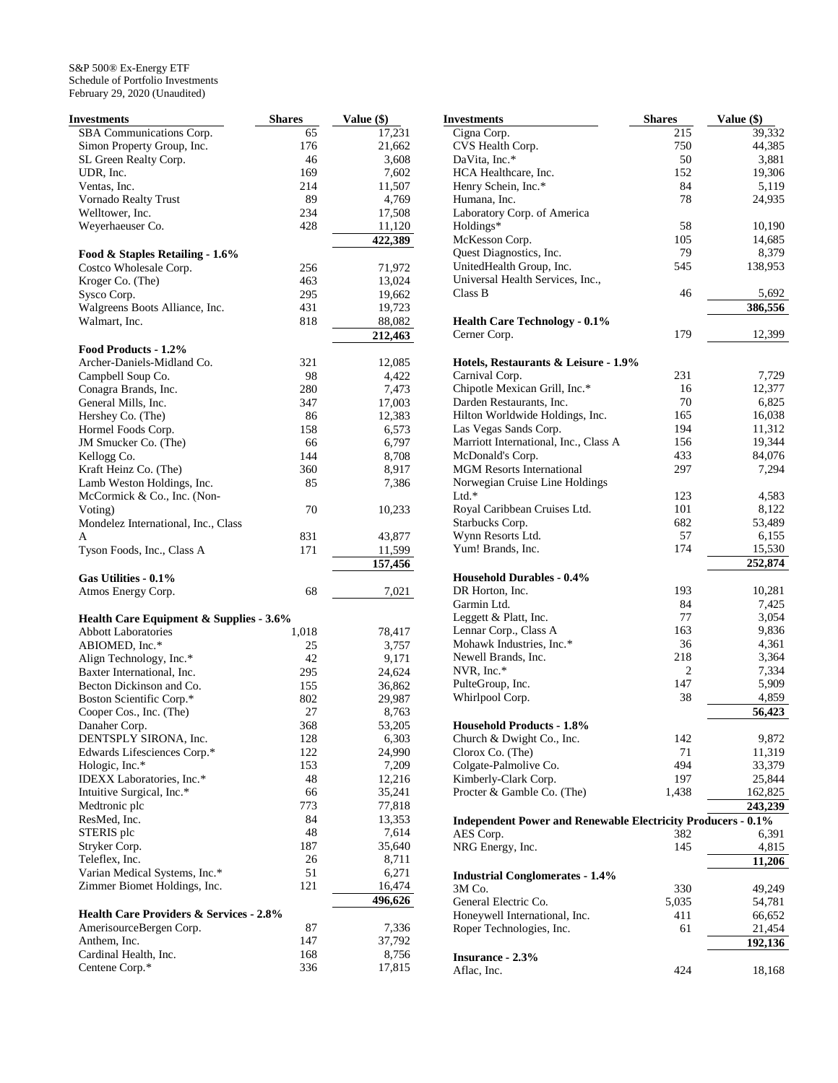| Investments                             | <b>Shares</b> | Value (\$) |
|-----------------------------------------|---------------|------------|
| SBA Communications Corp.                | 65            | 17,231     |
| Simon Property Group, Inc.              | 176           | 21,662     |
| SL Green Realty Corp.                   | 46            | 3,608      |
| UDR, Inc.                               | 169           | 7,602      |
| Ventas, Inc.                            | 214           | 11,507     |
| Vornado Realty Trust                    | 89            | 4,769      |
| Welltower, Inc.                         | 234           | 17,508     |
| Weyerhaeuser Co.                        | 428           | 11,120     |
|                                         |               | 422,389    |
| Food & Staples Retailing - 1.6%         |               |            |
| Costco Wholesale Corp.                  | 256           | 71,972     |
| Kroger Co. (The)                        | 463           | 13,024     |
| Sysco Corp.                             | 295           | 19,662     |
| Walgreens Boots Alliance, Inc.          | 431           | 19,723     |
| Walmart, Inc.                           | 818           | 88,082     |
|                                         |               | 212,463    |
| Food Products - 1.2%                    |               |            |
| Archer-Daniels-Midland Co.              | 321           | 12,085     |
| Campbell Soup Co.                       | 98            | 4,422      |
| Conagra Brands, Inc.                    | 280           | 7,473      |
| General Mills, Inc.                     | 347           | 17,003     |
| Hershey Co. (The)                       | 86            | 12,383     |
| Hormel Foods Corp.                      | 158           | 6,573      |
| JM Smucker Co. (The)                    | 66            | 6,797      |
| Kellogg Co.                             | 144           | 8,708      |
| Kraft Heinz Co. (The)                   | 360           | 8,917      |
| Lamb Weston Holdings, Inc.              | 85            | 7,386      |
| McCormick & Co., Inc. (Non-             |               |            |
| Voting)                                 | 70            | 10,233     |
| Mondelez International, Inc., Class     |               |            |
| A                                       | 831           | 43,877     |
| Tyson Foods, Inc., Class A              | 171           | 11,599     |
|                                         |               | 157,456    |
| Gas Utilities - 0.1%                    |               |            |
| Atmos Energy Corp.                      | 68            | 7,021      |
| Health Care Equipment & Supplies - 3.6% |               |            |
| <b>Abbott Laboratories</b>              | 1,018         | 78,417     |
| ABIOMED, Inc.*                          | 25            | 3,757      |
| Align Technology, Inc.*                 | 42            | 9,171      |
| Baxter International, Inc.              | 295           | 24,624     |
| Becton Dickinson and Co.                | 155           | 36,862     |
| Boston Scientific Corp.*                | 802           | 29,987     |
| Cooper Cos., Inc. (The)                 | 27            | 8,763      |
| Danaher Corp.                           | 368           | 53,205     |
| DENTSPLY SIRONA, Inc.                   | 128           | 6,303      |
| Edwards Lifesciences Corp.*             | 122           | 24,990     |
| Hologic, Inc.*                          | 153           | 7,209      |
| IDEXX Laboratories, Inc.*               | 48            | 12,216     |
| Intuitive Surgical, Inc.*               | 66            | 35,241     |
| Medtronic plc                           | 773           | 77,818     |
| ResMed, Inc.                            | 84            | 13,353     |
| STERIS plc                              | 48            | 7,614      |
| Stryker Corp.                           | 187           | 35,640     |
| Teleflex, Inc.                          | 26            | 8,711      |
| Varian Medical Systems, Inc.*           | 51            | 6,271      |
| Zimmer Biomet Holdings, Inc.            | 121           | 16,474     |
|                                         |               | 496,626    |
| Health Care Providers & Services - 2.8% |               |            |
| AmerisourceBergen Corp.                 | 87            | 7,336      |
| Anthem, Inc.                            | 147           | 37,792     |
| Cardinal Health, Inc.                   | 168           | 8,756      |
| Centene Corp.*                          | 336           | 17,815     |

| Investments                                                         | <b>Shares</b> | Value (\$)      |
|---------------------------------------------------------------------|---------------|-----------------|
| Cigna Corp.                                                         | 215           | 39,332          |
| CVS Health Corp.                                                    | 750           | 44,385          |
| DaVita, Inc.*                                                       | 50            | 3,881           |
| HCA Healthcare, Inc.                                                | 152           | 19,306          |
| Henry Schein, Inc.*                                                 | 84            | 5,119           |
| Humana, Inc.                                                        | 78            | 24,935          |
| Laboratory Corp. of America                                         |               |                 |
| Holdings*                                                           | 58            | 10,190          |
| McKesson Corp.<br>Quest Diagnostics, Inc.                           | 105<br>79     | 14,685<br>8,379 |
| UnitedHealth Group, Inc.                                            | 545           | 138,953         |
| Universal Health Services, Inc.,                                    |               |                 |
| Class B                                                             | 46            | 5,692           |
|                                                                     |               | 386,556         |
| <b>Health Care Technology - 0.1%</b>                                |               |                 |
| Cerner Corp.                                                        | 179           | 12,399          |
|                                                                     |               |                 |
| Hotels, Restaurants & Leisure - 1.9%                                |               |                 |
| Carnival Corp.                                                      | 231           | 7,729           |
| Chipotle Mexican Grill, Inc.*                                       | 16            | 12,377          |
| Darden Restaurants, Inc.                                            | 70            | 6,825           |
| Hilton Worldwide Holdings, Inc.                                     | 165           | 16,038          |
| Las Vegas Sands Corp.                                               | 194           | 11,312          |
| Marriott International, Inc., Class A                               | 156           | 19,344          |
| McDonald's Corp.                                                    | 433           | 84,076          |
| <b>MGM Resorts International</b>                                    | 297           | 7,294           |
| Norwegian Cruise Line Holdings<br>$Ltd.*$                           |               |                 |
| Royal Caribbean Cruises Ltd.                                        | 123<br>101    | 4,583<br>8,122  |
| Starbucks Corp.                                                     | 682           | 53,489          |
| Wynn Resorts Ltd.                                                   | 57            | 6,155           |
| Yum! Brands, Inc.                                                   | 174           | 15,530          |
|                                                                     |               | 252,874         |
| <b>Household Durables - 0.4%</b>                                    |               |                 |
| DR Horton, Inc.                                                     | 193           | 10,281          |
| Garmin Ltd.                                                         | 84            | 7,425           |
| Leggett & Platt, Inc.                                               | 77            | 3,054           |
| Lennar Corp., Class A                                               | 163           | 9,836           |
| Mohawk Industries, Inc.*                                            | 36            | 4,361           |
| Newell Brands, Inc.                                                 | 218           | 3,364           |
| NVR, Inc.*                                                          | 2             | 7,334           |
| PulteGroup, Inc.                                                    | 147           | 5,909           |
| Whirlpool Corp.                                                     | 38            | 4,859           |
|                                                                     |               | 56,423          |
| <b>Household Products - 1.8%</b><br>Church & Dwight Co., Inc.       |               |                 |
| Clorox Co. (The)                                                    | 142<br>71     | 9,872<br>11,319 |
| Colgate-Palmolive Co.                                               | 494           | 33,379          |
| Kimberly-Clark Corp.                                                | 197           | 25,844          |
| Procter & Gamble Co. (The)                                          | 1,438         | 162,825         |
|                                                                     |               | 243,239         |
| <b>Independent Power and Renewable Electricity Producers - 0.1%</b> |               |                 |
| AES Corp.                                                           | 382           | 6,391           |
| NRG Energy, Inc.                                                    | 145           | 4,815           |
|                                                                     |               | 11,206          |
| <b>Industrial Conglomerates - 1.4%</b>                              |               |                 |
| 3M Co.                                                              | 330           | 49,249          |
| General Electric Co.                                                | 5,035         | 54,781          |
| Honeywell International, Inc.                                       | 411           | 66,652          |
| Roper Technologies, Inc.                                            | 61            | 21,454          |
|                                                                     |               | 192,136         |
| Insurance - 2.3%                                                    |               |                 |
| Aflac, Inc.                                                         | 424           | 18,168          |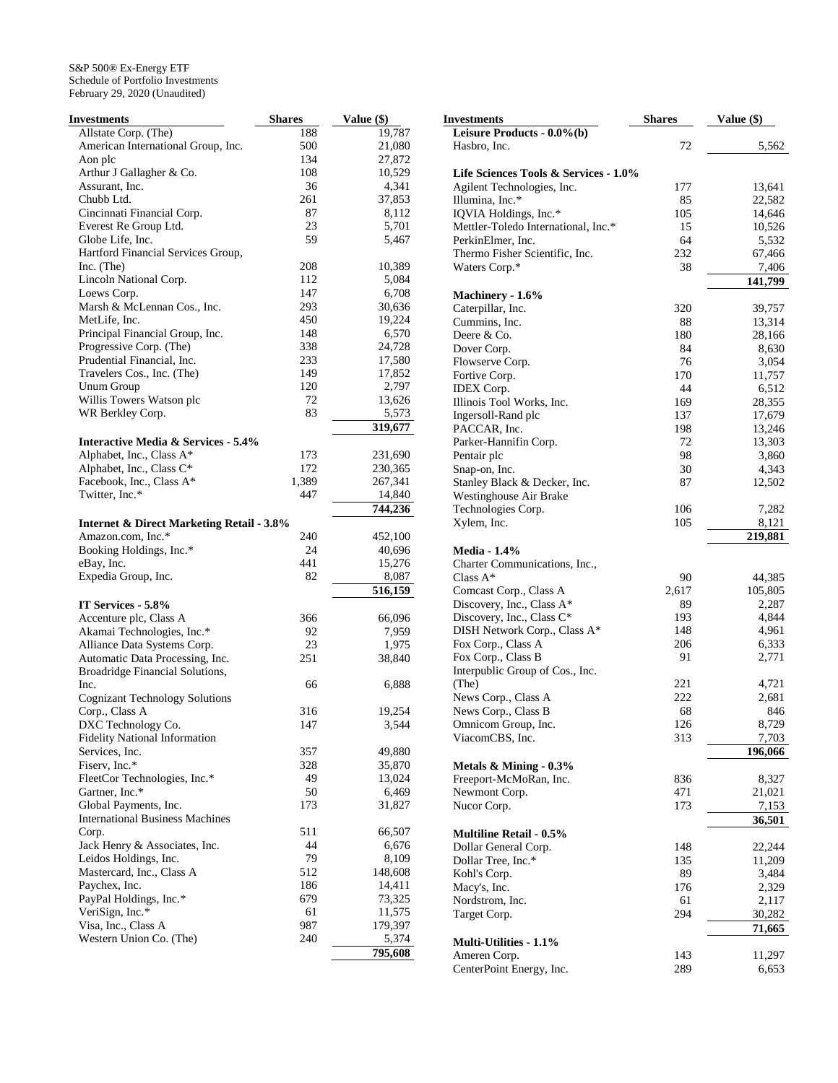| Investments                                          | <b>Shares</b> | Value (\$) |
|------------------------------------------------------|---------------|------------|
| Allstate Corp. (The)                                 | 188           | 19,787     |
| American International Group, Inc.                   | 500           | 21,080     |
| Aon plc                                              | 134           | 27,872     |
| Arthur J Gallagher & Co.                             | 108           | 10,529     |
| Assurant, Inc.                                       | 36            | 4,341      |
| Chubb Ltd.                                           | 261           | 37,853     |
| Cincinnati Financial Corp.                           | 87            | 8,112      |
| Everest Re Group Ltd.                                | 23            | 5,701      |
| Globe Life, Inc.                                     | 59            | 5,467      |
| Hartford Financial Services Group,                   |               |            |
| Inc. (The)                                           | 208           | 10,389     |
| Lincoln National Corp.                               | 112           | 5,084      |
| Loews Corp.                                          | 147           | 6,708      |
| Marsh & McLennan Cos., Inc.                          | 293           | 30,636     |
| MetLife, Inc.                                        | 450           | 19,224     |
| Principal Financial Group, Inc.                      | 148           | 6,570      |
| Progressive Corp. (The)                              | 338           | 24,728     |
| Prudential Financial, Inc.                           | 233           | 17,580     |
| Travelers Cos., Inc. (The)                           | 149           | 17,852     |
| Unum Group                                           | 120           | 2,797      |
| Willis Towers Watson plc                             | 72            | 13,626     |
| WR Berkley Corp.                                     | 83            | 5,573      |
|                                                      |               | 319,677    |
| <b>Interactive Media &amp; Services - 5.4%</b>       |               |            |
| Alphabet, Inc., Class A*                             | 173           | 231,690    |
| Alphabet, Inc., Class C*                             | 172           | 230,365    |
| Facebook, Inc., Class A*                             | 1,389         | 267,341    |
| Twitter, Inc.*                                       | 447           | 14,840     |
|                                                      |               | 744,236    |
| <b>Internet &amp; Direct Marketing Retail - 3.8%</b> |               |            |
| Amazon.com, Inc.*                                    | 240           | 452,100    |
| Booking Holdings, Inc.*                              | 24            |            |
|                                                      | 441           | 40,696     |
| eBay, Inc.                                           | 82            | 15,276     |
| Expedia Group, Inc.                                  |               | 8,087      |
|                                                      |               | 516,159    |
| IT Services - 5.8%                                   |               |            |
| Accenture plc, Class A                               | 366           | 66,096     |
| Akamai Technologies, Inc.*                           | 92            | 7,959      |
| Alliance Data Systems Corp.                          | 23            | 1,975      |
| Automatic Data Processing, Inc.                      | 251           | 38,840     |
| Broadridge Financial Solutions,                      |               |            |
| Inc.                                                 | 66            | 6,888      |
| <b>Cognizant Technology Solutions</b>                |               |            |
| Corp., Class A                                       | 316           | 19,254     |
| DXC Technology Co.                                   | 147           | 3,544      |
| <b>Fidelity National Information</b>                 |               |            |
| Services, Inc.                                       | 357           | 49,880     |
| Fiserv, Inc.*                                        | 328           | 35,870     |
| FleetCor Technologies, Inc.*                         | 49            | 13,024     |
| Gartner, Inc.*                                       | 50            | 6,469      |
| Global Payments, Inc.                                | 173           | 31,827     |
| <b>International Business Machines</b>               |               |            |
| Corp.                                                | 511           | 66,507     |
| Jack Henry & Associates, Inc.                        | 44            | 6,676      |
| Leidos Holdings, Inc.                                | 79            | 8,109      |
| Mastercard, Inc., Class A                            | 512           | 148,608    |
| Paychex, Inc.                                        | 186           | 14,411     |
| PayPal Holdings, Inc.*                               | 679           | 73,325     |
| VeriSign, Inc.*                                      | 61            | 11,575     |
| Visa, Inc., Class A                                  | 987           | 179,397    |
| Western Union Co. (The)                              | 240           | 5,374      |
|                                                      |               | 795,608    |

| Investments                                  | <b>Shares</b> | Value (\$) |
|----------------------------------------------|---------------|------------|
| Leisure Products - 0.0%(b)                   |               |            |
| Hasbro, Inc.                                 | 72            | 5,562      |
|                                              |               |            |
| Life Sciences Tools & Services - 1.0%        |               |            |
| Agilent Technologies, Inc.                   | 177           | 13,641     |
| Illumina, Inc.*                              | 85            | 22,582     |
| IQVIA Holdings, Inc.*                        | 105           | 14,646     |
| Mettler-Toledo International, Inc.*          | 15            | 10,526     |
| PerkinElmer, Inc.                            | 64            | 5,532      |
| Thermo Fisher Scientific, Inc.               | 232           | 67,466     |
| Waters Corp.*                                | 38            | 7,406      |
|                                              |               | 141,799    |
| Machinery - 1.6%                             |               |            |
| Caterpillar, Inc.                            | 320           | 39,757     |
| Cummins, Inc.                                | 88            | 13,314     |
| Deere & Co.                                  | 180           | 28,166     |
| Dover Corp.                                  | 84            | 8,630      |
| Flowserve Corp.                              | 76            | 3,054      |
| Fortive Corp.                                | 170           | 11,757     |
| <b>IDEX</b> Corp.                            | 44            | 6,512      |
| Illinois Tool Works, Inc.                    | 169           | 28,355     |
| Ingersoll-Rand plc                           | 137           | 17,679     |
| PACCAR, Inc.                                 | 198           | 13,246     |
| Parker-Hannifin Corp.                        | 72            | 13,303     |
| Pentair plc                                  | 98            | 3,860      |
| Snap-on, Inc.                                | 30            | 4,343      |
| Stanley Black & Decker, Inc.                 | 87            | 12,502     |
| Westinghouse Air Brake                       |               |            |
| Technologies Corp.                           | 106           | 7,282      |
| Xylem, Inc.                                  | 105           | 8,121      |
|                                              |               | 219,881    |
|                                              |               |            |
| <b>Media - 1.4%</b>                          |               |            |
| Charter Communications, Inc.,<br>Class $A^*$ | 90            |            |
|                                              |               | 44,385     |
| Comcast Corp., Class A                       | 2,617         | 105,805    |
| Discovery, Inc., Class A*                    | 89            | 2,287      |
| Discovery, Inc., Class C*                    | 193           | 4,844      |
| DISH Network Corp., Class A*                 | 148           | 4,961      |
| Fox Corp., Class A                           | 206           | 6,333      |
| Fox Corp., Class B                           | 91            | 2,771      |
| Interpublic Group of Cos., Inc.              |               |            |
| (The)                                        | 221           | 4,721      |
| News Corp., Class A                          | 222           | 2,681      |
| News Corp., Class B                          | 68            | 846        |
| Omnicom Group, Inc.                          | 126           | 8,729      |
| ViacomCBS, Inc.                              | 313           | 7,703      |
|                                              |               | 196,066    |
| Metals & Mining - 0.3%                       |               |            |
| Freeport-McMoRan, Inc.                       | 836           | 8,327      |
| Newmont Corp.                                | 471           | 21,021     |
| Nucor Corp.                                  | 173           | 7,153      |
|                                              |               | 36,501     |
| <b>Multiline Retail - 0.5%</b>               |               |            |
| Dollar General Corp.                         | 148           | 22,244     |
| Dollar Tree, Inc.*                           | 135           | 11,209     |
| Kohl's Corp.                                 | 89            | 3,484      |
| Macy's, Inc.                                 | 176           | 2,329      |
| Nordstrom, Inc.                              | 61            | 2,117      |
| Target Corp.                                 | 294           | 30,282     |
|                                              |               | 71,665     |
| <b>Multi-Utilities - 1.1%</b>                |               |            |
| Ameren Corp.                                 | 143           | 11,297     |
| CenterPoint Energy, Inc.                     | 289           | 6,653      |
|                                              |               |            |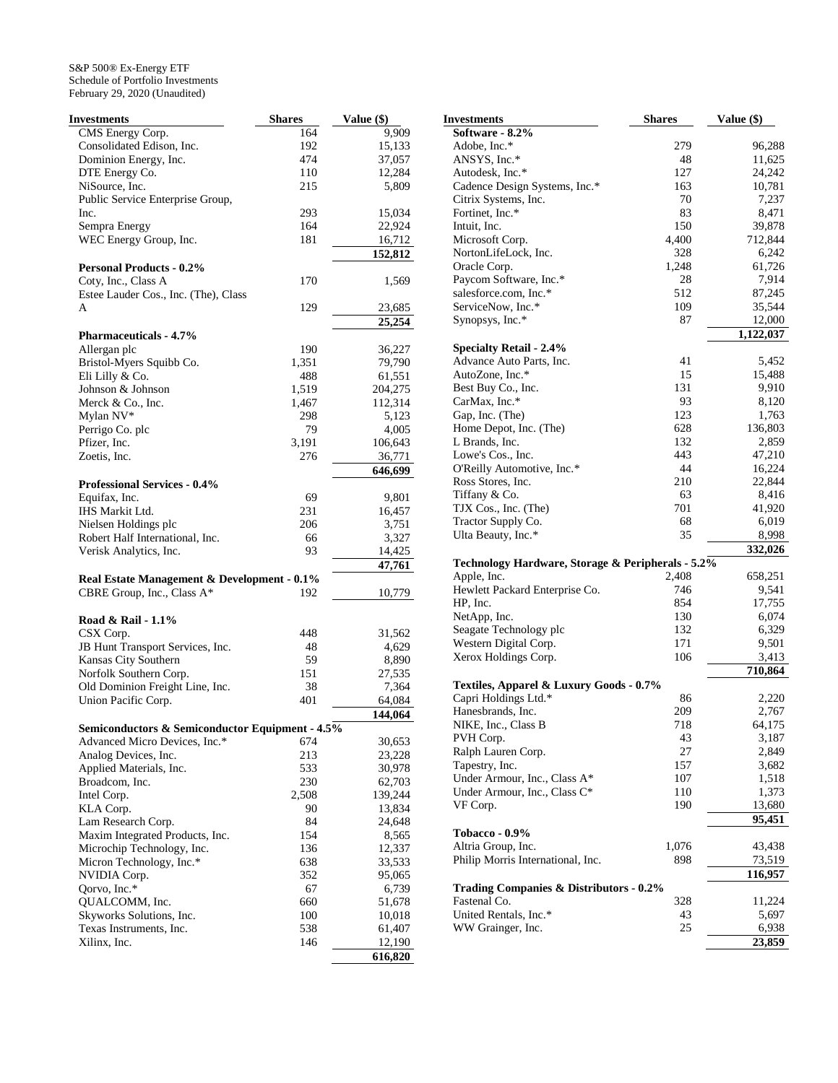| Investments                                     | <b>Shares</b> | Value (\$) |
|-------------------------------------------------|---------------|------------|
| CMS Energy Corp.                                | 164           | 9,909      |
| Consolidated Edison, Inc.                       | 192           | 15,133     |
| Dominion Energy, Inc.                           | 474           | 37,057     |
| DTE Energy Co.                                  | 110           | 12,284     |
| NiSource, Inc.                                  | 215           | 5,809      |
| Public Service Enterprise Group,                |               |            |
| Inc.                                            | 293           | 15,034     |
| Sempra Energy                                   | 164           | 22,924     |
| WEC Energy Group, Inc.                          | 181           | 16,712     |
|                                                 |               | 152,812    |
| <b>Personal Products - 0.2%</b>                 |               |            |
| Coty, Inc., Class A                             | 170           | 1,569      |
| Estee Lauder Cos., Inc. (The), Class            |               |            |
| A                                               | 129           | 23,685     |
|                                                 |               | 25,254     |
| <b>Pharmaceuticals - 4.7%</b>                   |               |            |
| Allergan plc                                    | 190           | 36,227     |
| Bristol-Myers Squibb Co.                        | 1,351         | 79,790     |
| Eli Lilly & Co.                                 | 488           | 61,551     |
| Johnson & Johnson                               | 1,519         | 204,275    |
| Merck & Co., Inc.                               | 1,467         | 112,314    |
| Mylan NV*                                       | 298           | 5,123      |
| Perrigo Co. plc                                 | 79            | 4,005      |
| Pfizer, Inc.                                    | 3,191         | 106,643    |
| Zoetis, Inc.                                    | 276           | 36,771     |
|                                                 |               |            |
|                                                 |               | 646,699    |
| <b>Professional Services - 0.4%</b>             |               |            |
| Equifax, Inc.                                   | 69            | 9,801      |
| IHS Markit Ltd.                                 | 231           | 16,457     |
| Nielsen Holdings plc                            | 206           | 3,751      |
| Robert Half International, Inc.                 | 66            | 3,327      |
| Verisk Analytics, Inc.                          | 93            | 14,425     |
|                                                 |               | 47,761     |
| Real Estate Management & Development - 0.1%     |               |            |
| CBRE Group, Inc., Class A*                      | 192           | 10,779     |
|                                                 |               |            |
| Road & Rail - 1.1%                              |               |            |
| CSX Corp.                                       | 448           | 31,562     |
| JB Hunt Transport Services, Inc.                | 48            | 4,629      |
| Kansas City Southern                            | 59            | 8,890      |
| Norfolk Southern Corp.                          | 151           | 27,535     |
| Old Dominion Freight Line, Inc.                 | 38            | 7,364      |
| Union Pacific Corp.                             | 401           | 64,084     |
|                                                 |               | 144,064    |
| Semiconductors & Semiconductor Equipment - 4.5% |               |            |
| Advanced Micro Devices, Inc.*                   | 674           | 30,653     |
| Analog Devices, Inc.                            | 213           | 23,228     |
| Applied Materials, Inc.                         | 533           | 30,978     |
| Broadcom, Inc.                                  | 230           | 62,703     |
| Intel Corp.                                     | 2,508         | 139,244    |
| KLA Corp.                                       | 90            | 13,834     |
| Lam Research Corp.                              | 84            | 24,648     |
| Maxim Integrated Products, Inc.                 | 154           | 8,565      |
| Microchip Technology, Inc.                      | 136           | 12,337     |
| Micron Technology, Inc.*                        | 638           | 33,533     |
| NVIDIA Corp.                                    | 352           | 95,065     |
| Qorvo, Inc.*                                    | 67            | 6,739      |
| QUALCOMM, Inc.                                  | 660           | 51,678     |
| Skyworks Solutions, Inc.                        | 100           | 10,018     |
| Texas Instruments, Inc.                         | 538           | 61,407     |
| Xilinx, Inc.                                    | 146           | 12,190     |
|                                                 |               | 616,820    |

| Investments                                        | <b>Shares</b> | Value (\$)    |
|----------------------------------------------------|---------------|---------------|
| Software - 8.2%                                    |               |               |
| Adobe, Inc.*                                       | 279           | 96,288        |
| ANSYS, Inc.*                                       | 48            | 11,625        |
| Autodesk, Inc.*                                    | 127           | 24,242        |
| Cadence Design Systems, Inc.*                      | 163           | 10,781        |
| Citrix Systems, Inc.                               | 70            | 7,237         |
| Fortinet, Inc.*                                    | 83            | 8,471         |
| Intuit, Inc.                                       | 150           | 39,878        |
| Microsoft Corp.                                    | 4,400         | 712,844       |
| NortonLifeLock, Inc.                               | 328           | 6,242         |
| Oracle Corp.                                       | 1,248         | 61,726        |
| Paycom Software, Inc.*                             | 28            | 7,914         |
| salesforce.com, Inc.*                              | 512           | 87,245        |
| ServiceNow, Inc.*                                  | 109           | 35,544        |
| Synopsys, Inc.*                                    | 87            | 12,000        |
|                                                    |               | 1,122,037     |
| <b>Specialty Retail - 2.4%</b>                     |               |               |
| Advance Auto Parts, Inc.                           | 41            | 5,452         |
| AutoZone, Inc.*                                    | 15            | 15,488        |
| Best Buy Co., Inc.                                 | 131           | 9,910         |
| CarMax, Inc.*                                      | 93            | 8,120         |
| Gap, Inc. (The)                                    | 123           | 1,763         |
| Home Depot, Inc. (The)                             | 628           | 136,803       |
| L Brands, Inc.                                     | 132           | 2,859         |
| Lowe's Cos., Inc.                                  | 443           | 47,210        |
| O'Reilly Automotive, Inc.*                         | 44            | 16,224        |
| Ross Stores, Inc.                                  | 210           | 22,844        |
| Tiffany & Co.                                      | 63            | 8,416         |
| TJX Cos., Inc. (The)                               | 701           | 41,920        |
| Tractor Supply Co.                                 | 68            | 6,019         |
| Ulta Beauty, Inc.*                                 | 35            | 8,998         |
|                                                    |               | 332,026       |
| Technology Hardware, Storage & Peripherals - 5.2%  |               |               |
| Apple, Inc.                                        | 2,408         | 658,251       |
| Hewlett Packard Enterprise Co.                     | 746           | 9,541         |
| HP, Inc.                                           | 854           | 17,755        |
| NetApp, Inc.                                       | 130           | 6,074         |
| Seagate Technology plc                             | 132           | 6,329         |
| Western Digital Corp.                              | 171           | 9,501         |
| Xerox Holdings Corp.                               | 106           | 3,413         |
|                                                    |               | 710,864       |
| Textiles, Apparel & Luxury Goods - 0.7%            |               |               |
| Capri Holdings Ltd.*                               | 86            | 2,220         |
| Hanesbrands, Inc.                                  | 209           | 2,767         |
| NIKE, Inc., Class B                                | 718           | 64,175        |
| PVH Corp.                                          | 43            | 3,187         |
| Ralph Lauren Corp.                                 | 27            | 2,849         |
| Tapestry, Inc.                                     | 157           | 3,682         |
| Under Armour, Inc., Class A*                       | 107           | 1,518         |
| Under Armour, Inc., Class C*                       | 110           | 1,373         |
| VF Corp.                                           | 190           | 13,680        |
|                                                    |               | 95,451        |
| <b>Tobacco - 0.9%</b>                              |               |               |
| Altria Group, Inc.                                 | 1,076         | 43,438        |
| Philip Morris International, Inc.                  | 898           | <u>73,519</u> |
|                                                    |               | 116,957       |
| <b>Trading Companies &amp; Distributors - 0.2%</b> |               |               |
| Fastenal Co.                                       | 328           | 11,224        |
| United Rentals, Inc.*                              | 43            | 5,697         |
| WW Grainger, Inc.                                  | 25            | 6,938         |
|                                                    |               | 23,859        |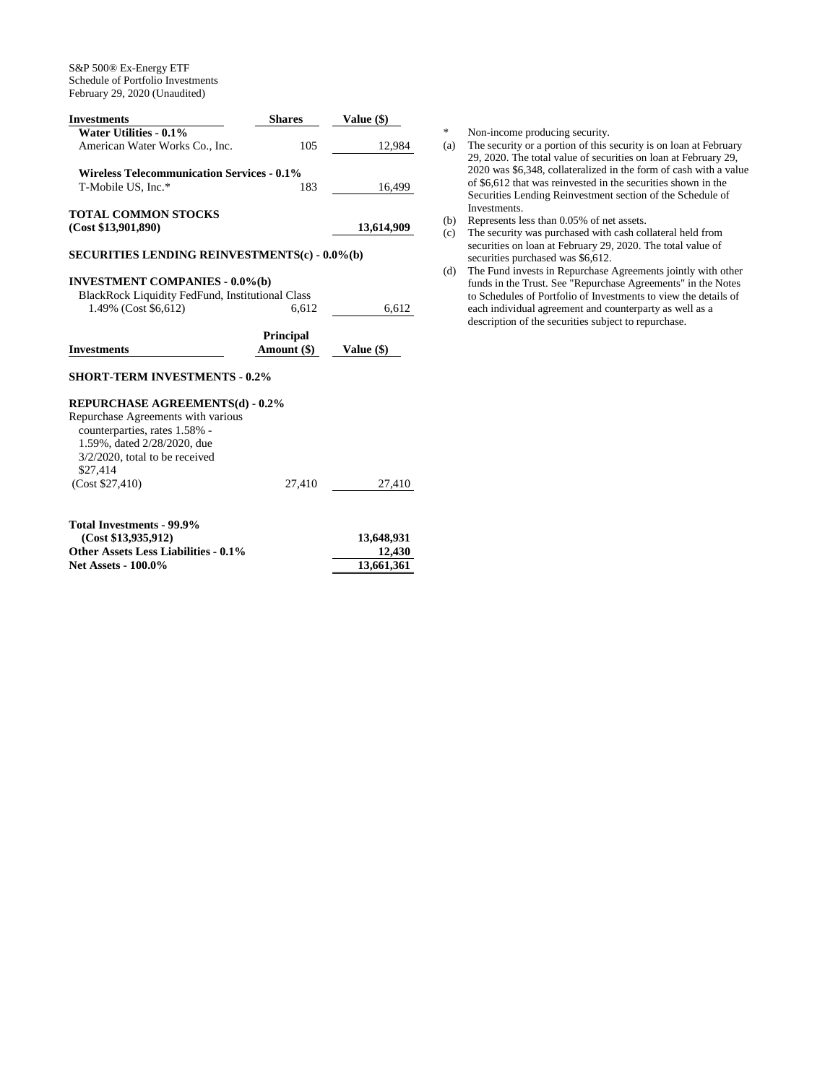| <b>Investments</b>                                      | <b>Shares</b>    | <b>Value</b> (\$) |
|---------------------------------------------------------|------------------|-------------------|
| Water Utilities - 0.1%                                  |                  |                   |
| American Water Works Co., Inc.                          | 105              | 12,984            |
| <b>Wireless Telecommunication Services - 0.1%</b>       |                  |                   |
| T-Mobile US, Inc.*                                      | 183              | 16,499            |
| <b>TOTAL COMMON STOCKS</b>                              |                  |                   |
| (Cost \$13,901,890)                                     |                  | 13,614,909        |
| <b>SECURITIES LENDING REINVESTMENTS(c) - 0.0%(b)</b>    |                  |                   |
| <b>INVESTMENT COMPANIES - 0.0%(b)</b>                   |                  |                   |
| <b>BlackRock Liquidity FedFund, Institutional Class</b> |                  |                   |
| 1.49% (Cost \$6,612)                                    | 6,612            | 6,612             |
|                                                         |                  |                   |
|                                                         | <b>Principal</b> |                   |
| <b>Investments</b>                                      | Amount (\$)      | Value $(\$)$      |
| <b>SHORT-TERM INVESTMENTS - 0.2%</b>                    |                  |                   |
| <b>REPURCHASE AGREEMENTS(d) - 0.2%</b>                  |                  |                   |
| Repurchase Agreements with various                      |                  |                   |
| counterparties, rates 1.58% -                           |                  |                   |
| 1.59%, dated 2/28/2020, due                             |                  |                   |
| $3/2/2020$ , total to be received                       |                  |                   |
| \$27.414                                                |                  |                   |
| (Cost \$27,410)                                         | 27,410           | 27,410            |
|                                                         |                  |                   |
| Total Investments - 99.9%                               |                  |                   |
| (Cost \$13,935,912)                                     |                  | 13,648,931        |
| <b>Other Assets Less Liabilities - 0.1%</b>             |                  | 12,430            |
| <b>Net Assets - 100.0%</b>                              |                  | 13,661,361        |

\* Non-income producing security.<br>(a) The security or a portion of this s

- The security or a portion of this security is on loan at February 29, 2020. The total value of securities on loan at February 29, 2020 was \$6,348, collateralized in the form of cash with a value of \$6,612 that was reinvested in the securities shown in the Securities Lending Reinvestment section of the Schedule of Investments.
- (b) Represents less than 0.05% of net assets.
- (c) The security was purchased with cash collateral held from securities on loan at February 29, 2020. The total value of securities purchased was \$6,612.
- (d) The Fund invests in Repurchase Agreements jointly with other funds in the Trust. See "Repurchase Agreements" in the Notes to Schedules of Portfolio of Investments to view the details of each individual agreement and counterparty as well as a description of the securities subject to repurchase.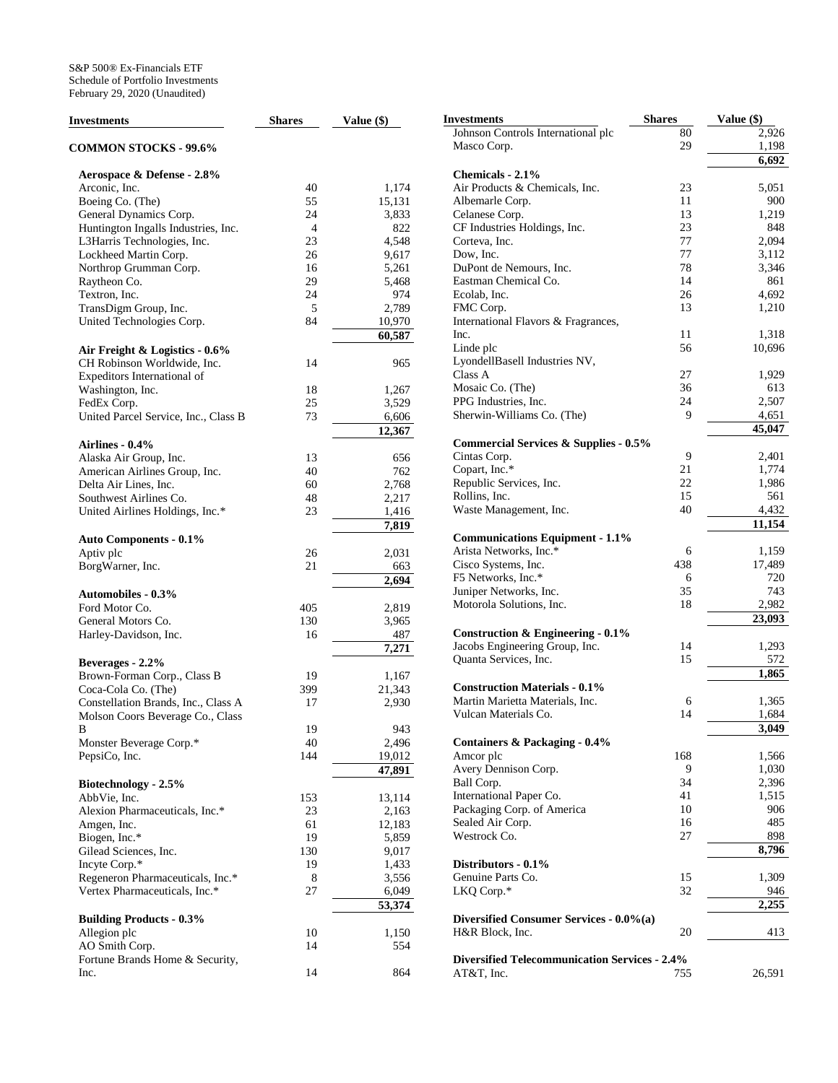| <b>Investments</b>                                                      | <b>Shares</b> | Value (\$)       | I |
|-------------------------------------------------------------------------|---------------|------------------|---|
| <b>COMMON STOCKS - 99.6%</b>                                            |               |                  |   |
| Aerospace & Defense - 2.8%                                              |               |                  |   |
| Arconic, Inc.                                                           | 40            | 1,174            |   |
| Boeing Co. (The)                                                        | 55            | 15,131           |   |
| General Dynamics Corp.                                                  | 24            | 3,833            |   |
| Huntington Ingalls Industries, Inc.                                     | 4             | 822              |   |
| L3Harris Technologies, Inc.                                             | 23            | 4,548            |   |
| Lockheed Martin Corp.                                                   | 26            | 9,617            |   |
| Northrop Grumman Corp.                                                  | 16            | 5,261            |   |
| Raytheon Co.                                                            | 29            | 5,468            |   |
| Textron, Inc.                                                           | 24            | 974              |   |
| TransDigm Group, Inc.                                                   | 5             | 2,789            |   |
| United Technologies Corp.                                               | 84            | 10,970<br>60,587 |   |
| Air Freight & Logistics - 0.6%                                          |               |                  |   |
| CH Robinson Worldwide, Inc.                                             | 14            | 965              |   |
| Expeditors International of                                             |               |                  |   |
| Washington, Inc.                                                        | 18            | 1,267            |   |
| FedEx Corp.                                                             | 25            | 3,529            |   |
| United Parcel Service, Inc., Class B                                    | 73            | 6,606            |   |
|                                                                         |               | 12,367           |   |
| Airlines - 0.4%                                                         |               |                  |   |
| Alaska Air Group, Inc.                                                  | 13            | 656              |   |
| American Airlines Group, Inc.                                           | 40            | 762              |   |
| Delta Air Lines, Inc.                                                   | 60            | 2,768            |   |
| Southwest Airlines Co.                                                  | 48            | 2,217            |   |
| United Airlines Holdings, Inc.*                                         | 23            | 1,416            |   |
|                                                                         |               | 7,819            |   |
| <b>Auto Components - 0.1%</b>                                           |               |                  |   |
| Aptiv plc                                                               | 26            | 2,031            |   |
| BorgWarner, Inc.                                                        | 21            | 663              |   |
|                                                                         |               | 2,694            |   |
| <b>Automobiles - 0.3%</b>                                               |               |                  |   |
| Ford Motor Co.                                                          | 405           | 2,819            |   |
| General Motors Co.                                                      | 130           | 3,965            |   |
| Harley-Davidson, Inc.                                                   | 16            | 487              |   |
|                                                                         |               | 7,271            |   |
| Beverages - 2.2%                                                        |               |                  |   |
| Brown-Forman Corp., Class B                                             | 19            | 1,167            |   |
| Coca-Cola Co. (The)                                                     | 399           | 21,343           |   |
| Constellation Brands, Inc., Class A<br>Molson Coors Beverage Co., Class | 17            | 2,930            |   |
| в                                                                       | 19            | 943              |   |
| Monster Beverage Corp.*                                                 | 40            | 2,496            |   |
| PepsiCo, Inc.                                                           | 144           | 19,012           |   |
|                                                                         |               | 47,891           |   |
| Biotechnology - 2.5%                                                    |               |                  |   |
| AbbVie, Inc.                                                            | 153           | 13,114           |   |
| Alexion Pharmaceuticals, Inc.*                                          | 23            | 2,163            |   |
| Amgen, Inc.                                                             | 61            | 12,183           |   |
| Biogen, Inc.*                                                           | 19            | 5,859            |   |
| Gilead Sciences, Inc.                                                   | 130           | 9,017            |   |
| Incyte Corp.*                                                           | 19            | 1,433            |   |
| Regeneron Pharmaceuticals, Inc.*                                        | 8             | 3,556            |   |
| Vertex Pharmaceuticals, Inc.*                                           | 27            | 6,049            |   |
|                                                                         |               | 53,374           |   |
| <b>Building Products - 0.3%</b>                                         |               |                  |   |
| Allegion plc                                                            | 10            | 1,150            |   |
| AO Smith Corp.                                                          | 14            | 554              |   |
| Fortune Brands Home & Security,                                         |               |                  |   |
| Inc.                                                                    | 14            | 864              |   |

| Investments                                          | <b>Shares</b> | Value (\$)   |
|------------------------------------------------------|---------------|--------------|
| Johnson Controls International plc                   | 80            | 2,926        |
| Masco Corp.                                          | 29            | 1,198        |
|                                                      |               | 6,692        |
| Chemicals - 2.1%                                     |               |              |
| Air Products & Chemicals, Inc.                       | 23            | 5,051        |
| Albemarle Corp.                                      | 11            | 900          |
| Celanese Corp.                                       | 13            | 1,219        |
| CF Industries Holdings, Inc.                         | 23            | 848          |
| Corteva, Inc.                                        | 77            | 2,094        |
| Dow, Inc.                                            | 77            | 3,112        |
| DuPont de Nemours, Inc.                              | 78<br>14      | 3,346        |
| Eastman Chemical Co.<br>Ecolab, Inc.                 | 26            | 861<br>4,692 |
| FMC Corp.                                            | 13            | 1,210        |
| International Flavors & Fragrances,                  |               |              |
| Inc.                                                 | 11            | 1,318        |
| Linde plc                                            | 56            | 10,696       |
| LyondellBasell Industries NV,                        |               |              |
| Class A                                              | 27            | 1,929        |
| Mosaic Co. (The)                                     | 36            | 613          |
| PPG Industries, Inc.                                 | 24            | 2,507        |
| Sherwin-Williams Co. (The)                           | 9             | 4,651        |
|                                                      |               | 45,047       |
| Commercial Services & Supplies - 0.5%                |               |              |
| Cintas Corp.                                         | 9             | 2,401        |
| Copart, Inc.*                                        | 21            | 1,774        |
| Republic Services, Inc.                              | 22            | 1,986        |
| Rollins, Inc.                                        | 15            | 561          |
| Waste Management, Inc.                               | 40            | 4,432        |
|                                                      |               | 11,154       |
| <b>Communications Equipment - 1.1%</b>               |               |              |
| Arista Networks, Inc.*                               | 6             | 1,159        |
| Cisco Systems, Inc.                                  | 438           | 17,489       |
| F5 Networks, Inc.*                                   | 6             | 720          |
| Juniper Networks, Inc.                               | 35            | 743          |
| Motorola Solutions, Inc.                             | 18            | 2,982        |
|                                                      |               | 23,093       |
| Construction $\&$ Engineering - 0.1%                 |               |              |
| Jacobs Engineering Group, Inc.                       | 14            | 1,293        |
| Quanta Services, Inc.                                | 15            | 572          |
|                                                      |               | 1,865        |
| <b>Construction Materials - 0.1%</b>                 |               |              |
| Martin Marietta Materials, Inc.                      | 6             | 1,365        |
| Vulcan Materials Co.                                 | 14            | 1,684        |
|                                                      |               | 3,049        |
| <b>Containers &amp; Packaging - 0.4%</b>             |               |              |
| Amcor plc                                            | 168           | 1,566        |
| Avery Dennison Corp.                                 | 9             | 1,030        |
| Ball Corp.                                           | 34            | 2,396        |
| International Paper Co.                              | 41            | 1,515        |
| Packaging Corp. of America                           | 10            | 906          |
| Sealed Air Corp.                                     | 16            | 485          |
| Westrock Co.                                         | 27            | 898          |
|                                                      |               | 8,796        |
| Distributors - 0.1%                                  |               |              |
| Genuine Parts Co.                                    | 15            | 1,309        |
| LKQ Corp.*                                           | 32            | 946          |
|                                                      |               | 2,255        |
| Diversified Consumer Services - 0.0%(a)              |               |              |
| H&R Block, Inc.                                      | 20            | 413          |
|                                                      |               |              |
| <b>Diversified Telecommunication Services - 2.4%</b> |               |              |
| AT&T, Inc.                                           | 755           | 26,591       |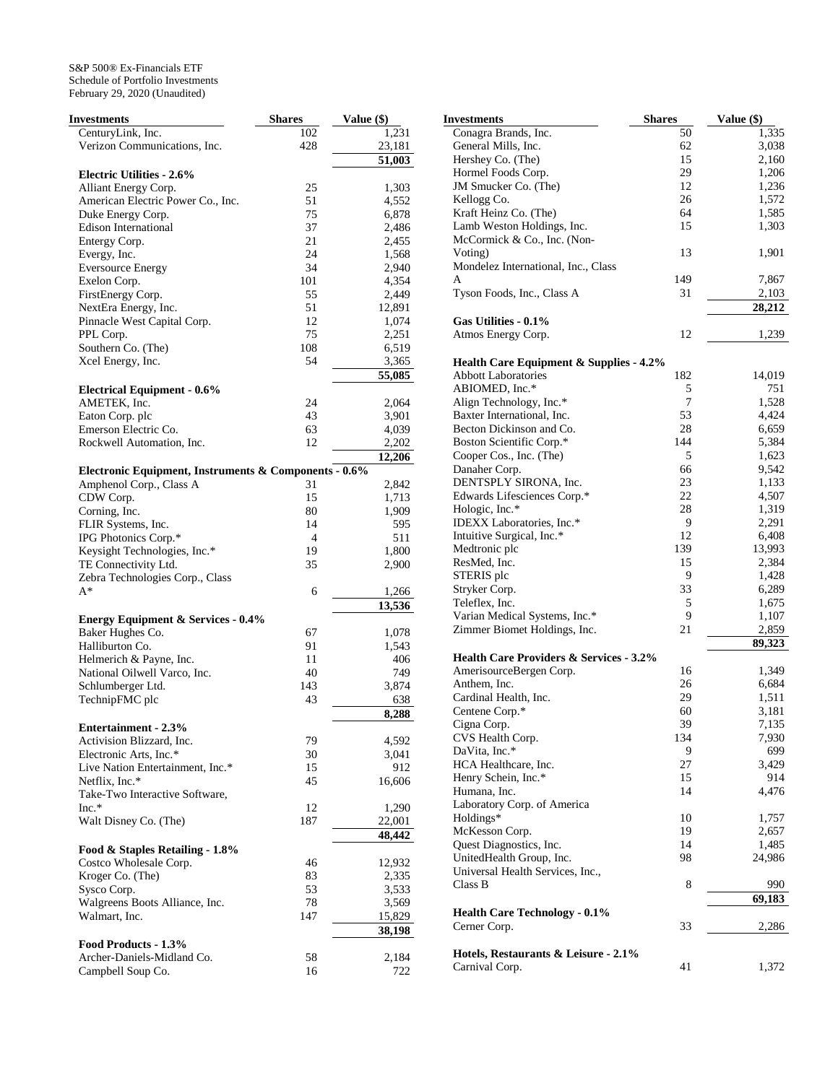| Investments                                           | <b>Shares</b> | <b>Value</b> (\$) |
|-------------------------------------------------------|---------------|-------------------|
| CenturyLink, Inc.                                     | 102           | 1,231             |
| Verizon Communications, Inc.                          | 428           | 23,181            |
|                                                       |               | 51,003            |
| <b>Electric Utilities - 2.6%</b>                      |               |                   |
| Alliant Energy Corp.                                  | 25            | 1,303             |
| American Electric Power Co., Inc.                     | 51            | 4,552             |
| Duke Energy Corp.                                     | 75            | 6,878             |
| <b>Edison International</b>                           | 37            | 2,486             |
| Entergy Corp.                                         | 21            | 2,455             |
| Evergy, Inc.                                          | 24            | 1,568             |
| <b>Eversource Energy</b>                              | 34            | 2,940             |
| Exelon Corp.                                          | 101           | 4,354             |
| FirstEnergy Corp.                                     | 55            | 2,449             |
| NextEra Energy, Inc.                                  | 51            | 12,891            |
| Pinnacle West Capital Corp.                           | 12            | 1,074             |
|                                                       | 75            | 2,251             |
| PPL Corp.<br>Southern Co. (The)                       | 108           |                   |
|                                                       |               | 6,519             |
| Xcel Energy, Inc.                                     | 54            | 3,365             |
|                                                       |               | 55,085            |
| <b>Electrical Equipment - 0.6%</b>                    |               |                   |
| AMETEK, Inc.                                          | 24            | 2,064             |
| Eaton Corp. plc                                       | 43            | 3,901             |
| Emerson Electric Co.                                  | 63            | 4,039             |
| Rockwell Automation, Inc.                             | 12            | 2,202             |
|                                                       |               | 12,206            |
| Electronic Equipment, Instruments & Components - 0.6% |               |                   |
| Amphenol Corp., Class A                               | 31            | 2,842             |
| CDW Corp.                                             | 15            | 1,713             |
| Corning, Inc.                                         | 80            | 1,909             |
| FLIR Systems, Inc.                                    | 14            | 595               |
| IPG Photonics Corp.*                                  | 4             | 511               |
| Keysight Technologies, Inc.*                          | 19            | 1,800             |
| TE Connectivity Ltd.                                  | 35            | 2,900             |
| Zebra Technologies Corp., Class                       |               |                   |
| $A^*$                                                 | 6             | 1,266             |
|                                                       |               |                   |
|                                                       |               | 13,536            |
| <b>Energy Equipment &amp; Services - 0.4%</b>         |               |                   |
| Baker Hughes Co.                                      | 67            | 1,078             |
| Halliburton Co.                                       | 91            | 1,543             |
| Helmerich & Payne, Inc.                               | 11            | 406               |
| National Oilwell Varco, Inc.                          | 40            | 749               |
| Schlumberger Ltd.                                     | 143           | 3,874             |
| TechnipFMC plc                                        | 43            | 638               |
|                                                       |               | 8,288             |
| <b>Entertainment - 2.3%</b>                           |               |                   |
| Activision Blizzard, Inc.                             | 79            | 4,592             |
| Electronic Arts, Inc.*                                | 30            | 3,041             |
| Live Nation Entertainment, Inc.*                      | 15            | 912               |
| Netflix, Inc.*                                        | 45            | 16,606            |
| Take-Two Interactive Software,                        |               |                   |
| $Inc.*$                                               | 12            | 1,290             |
| Walt Disney Co. (The)                                 | 187           | 22,001            |
|                                                       |               | 48,442            |
| Food & Staples Retailing - 1.8%                       |               |                   |
| Costco Wholesale Corp.                                | 46            | 12,932            |
|                                                       |               |                   |
| Kroger Co. (The)                                      | 83            | 2,335             |
| Sysco Corp.                                           | 53            | 3,533             |
| Walgreens Boots Alliance, Inc.                        | 78            | 3,569             |
| Walmart, Inc.                                         | 147           | 15,829            |
|                                                       |               | 38,198            |
| Food Products - 1.3%                                  |               |                   |
| Archer-Daniels-Midland Co.                            | 58            | 2,184             |
| Campbell Soup Co.                                     | 16            | 722               |

| Investments                                                                      | Shares | Value (\$) |
|----------------------------------------------------------------------------------|--------|------------|
| Conagra Brands, Inc.                                                             | 50     | 1,335      |
| General Mills, Inc.                                                              | 62     | 3,038      |
| Hershey Co. (The)                                                                | 15     | 2,160      |
| Hormel Foods Corp.                                                               | 29     | 1,206      |
| JM Smucker Co. (The)                                                             | 12     | 1,236      |
| Kellogg Co.                                                                      | 26     | 1,572      |
| Kraft Heinz Co. (The)                                                            | 64     | 1,585      |
| Lamb Weston Holdings, Inc.                                                       | 15     | 1,303      |
| McCormick & Co., Inc. (Non-                                                      |        |            |
| Voting)                                                                          | 13     | 1,901      |
| Mondelez International, Inc., Class                                              |        |            |
| A                                                                                | 149    | 7,867      |
| Tyson Foods, Inc., Class A                                                       | 31     | 2,103      |
|                                                                                  |        | 28,212     |
| Gas Utilities - 0.1%                                                             |        |            |
| Atmos Energy Corp.                                                               | 12     | 1,239      |
|                                                                                  |        |            |
| <b>Health Care Equipment &amp; Supplies - 4.2%</b><br><b>Abbott Laboratories</b> | 182    | 14,019     |
| ABIOMED, Inc.*                                                                   |        | 751        |
|                                                                                  | 5<br>7 |            |
| Align Technology, Inc.*                                                          |        | 1,528      |
| Baxter International, Inc.                                                       | 53     | 4,424      |
| Becton Dickinson and Co.                                                         | 28     | 6,659      |
| Boston Scientific Corp.*                                                         | 144    | 5,384      |
| Cooper Cos., Inc. (The)                                                          | 5      | 1,623      |
| Danaher Corp.                                                                    | 66     | 9,542      |
| DENTSPLY SIRONA, Inc.                                                            | 23     | 1,133      |
| Edwards Lifesciences Corp.*                                                      | 22     | 4,507      |
| Hologic, Inc.*                                                                   | 28     | 1,319      |
| IDEXX Laboratories, Inc.*                                                        | 9      | 2,291      |
| Intuitive Surgical, Inc.*                                                        | 12     | 6,408      |
| Medtronic plc                                                                    | 139    | 13,993     |
| ResMed, Inc.                                                                     | 15     | 2,384      |
| STERIS plc                                                                       | 9      | 1,428      |
| Stryker Corp.                                                                    | 33     | 6,289      |
| Teleflex, Inc.                                                                   | 5      | 1,675      |
| Varian Medical Systems, Inc.*                                                    | 9      | 1,107      |
| Zimmer Biomet Holdings, Inc.                                                     | 21     | 2,859      |
| <b>Health Care Providers &amp; Services - 3.2%</b>                               |        | 89,323     |
| AmerisourceBergen Corp.                                                          | 16     | 1,349      |
| Anthem, Inc.                                                                     | 26     | 6,684      |
| Cardinal Health, Inc.                                                            | 29     | 1,511      |
| Centene Corp.*                                                                   | 60     | 3,181      |
| Cigna Corp.                                                                      | 39     | 7,135      |
| CVS Health Corp.                                                                 | 134    | 7,930      |
| DaVita, Inc.*                                                                    | 9      | 699        |
| HCA Healthcare, Inc.                                                             | 27     | 3,429      |
| Henry Schein, Inc.*                                                              | 15     | 914        |
| Humana, Inc.                                                                     | 14     | 4,476      |
| Laboratory Corp. of America                                                      |        |            |
| Holdings*                                                                        | 10     | 1,757      |
| McKesson Corp.                                                                   | 19     | 2,657      |
|                                                                                  |        | 1,485      |
| Quest Diagnostics, Inc.                                                          | 14     |            |
| UnitedHealth Group, Inc.                                                         | 98     | 24,986     |
| Universal Health Services, Inc.,<br>Class B                                      | 8      | 990        |
|                                                                                  |        | 69,183     |
| <b>Health Care Technology - 0.1%</b>                                             |        |            |
| Cerner Corp.                                                                     | 33     | 2,286      |
|                                                                                  |        |            |
| Hotels, Restaurants & Leisure - 2.1%                                             |        |            |
| Carnival Corp.                                                                   | 41     | 1,372      |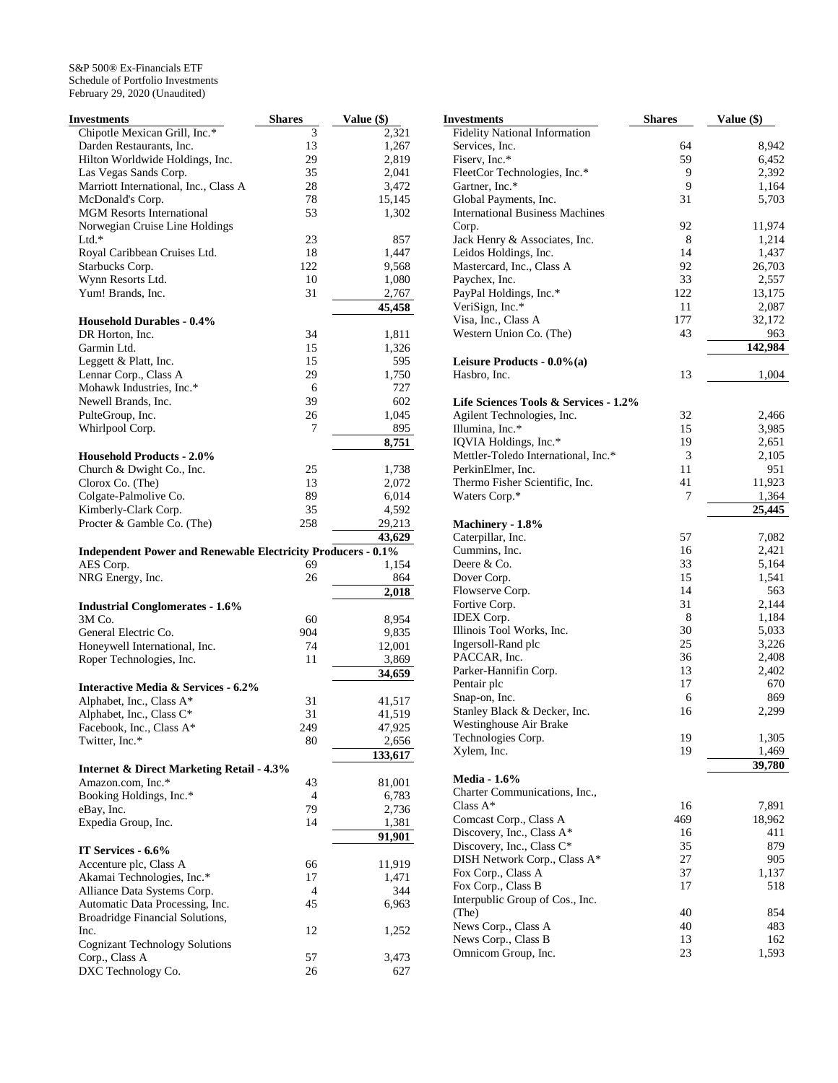| Investments                                                         | <b>Shares</b> | <b>Value</b> (\$) |
|---------------------------------------------------------------------|---------------|-------------------|
| Chipotle Mexican Grill, Inc.*                                       | 3             | 2,321             |
| Darden Restaurants, Inc.                                            | 13            | 1,267             |
| Hilton Worldwide Holdings, Inc.                                     | 29            | 2,819             |
| Las Vegas Sands Corp.                                               | 35            | 2,041             |
| Marriott International, Inc., Class A                               | 28            | 3,472             |
| McDonald's Corp.                                                    | 78            | 15,145            |
| <b>MGM Resorts International</b>                                    | 53            | 1,302             |
| Norwegian Cruise Line Holdings                                      |               |                   |
| $Ltd.*$                                                             | 23            | 857               |
| Royal Caribbean Cruises Ltd.                                        | 18            | 1,447             |
| Starbucks Corp.                                                     | 122           | 9,568             |
| Wynn Resorts Ltd.                                                   | 10            | 1,080             |
| Yum! Brands, Inc.                                                   | 31            | 2,767             |
|                                                                     |               | 45,458            |
| <b>Household Durables - 0.4%</b>                                    |               |                   |
| DR Horton, Inc.                                                     | 34            | 1,811             |
| Garmin Ltd.                                                         | 15            | 1,326             |
| Leggett & Platt, Inc.                                               | 15<br>29      | 595               |
| Lennar Corp., Class A<br>Mohawk Industries, Inc.*                   | 6             | 1,750<br>727      |
| Newell Brands, Inc.                                                 | 39            | 602               |
| PulteGroup, Inc.                                                    | 26            | 1,045             |
| Whirlpool Corp.                                                     | 7             | 895               |
|                                                                     |               | 8,751             |
| <b>Household Products - 2.0%</b>                                    |               |                   |
| Church & Dwight Co., Inc.                                           | 25            | 1,738             |
| Clorox Co. (The)                                                    | 13            | 2,072             |
| Colgate-Palmolive Co.                                               | 89            | 6,014             |
| Kimberly-Clark Corp.                                                | 35            | 4,592             |
| Procter & Gamble Co. (The)                                          | 258           | 29,213            |
|                                                                     |               | 43,629            |
| <b>Independent Power and Renewable Electricity Producers - 0.1%</b> |               |                   |
| AES Corp.                                                           | 69            | 1,154             |
| NRG Energy, Inc.                                                    | 26            | 864               |
|                                                                     |               | 2,018             |
| <b>Industrial Conglomerates - 1.6%</b>                              |               |                   |
| 3M Co.                                                              | 60            | 8,954             |
| General Electric Co.                                                | 904           | 9,835             |
| Honeywell International, Inc.                                       | 74            | 12,001            |
| Roper Technologies, Inc.                                            | 11            | 3,869             |
|                                                                     |               | 34,659            |
| <b>Interactive Media &amp; Services - 6.2%</b>                      |               |                   |
| Alphabet, Inc., Class A*                                            | 31            | 41,517            |
| Alphabet, Inc., Class C*                                            | 31            | 41,519            |
| Facebook, Inc., Class A*                                            | 249           | 47,925            |
| Twitter, Inc.*                                                      | 80            | 2,656             |
|                                                                     |               | 133,617           |
| <b>Internet &amp; Direct Marketing Retail - 4.3%</b>                |               |                   |
| Amazon.com, Inc.*                                                   | 43            | 81,001            |
| Booking Holdings, Inc.*<br>eBay, Inc.                               | 4<br>79       | 6,783<br>2,736    |
| Expedia Group, Inc.                                                 | 14            | 1,381             |
|                                                                     |               | 91,901            |
| IT Services - 6.6%                                                  |               |                   |
| Accenture plc, Class A                                              | 66            | 11,919            |
| Akamai Technologies, Inc.*                                          | 17            | 1,471             |
| Alliance Data Systems Corp.                                         | 4             | 344               |
| Automatic Data Processing, Inc.                                     | 45            | 6,963             |
| Broadridge Financial Solutions,                                     |               |                   |
| Inc.                                                                | 12            | 1,252             |
| <b>Cognizant Technology Solutions</b>                               |               |                   |
| Corp., Class A                                                      | 57            | 3,473             |
| DXC Technology Co.                                                  | 26            | 627               |

| Investments                            | <b>Shares</b> | Value (\$)     |
|----------------------------------------|---------------|----------------|
| <b>Fidelity National Information</b>   |               |                |
| Services, Inc.                         | 64            | 8,942          |
| Fiserv, Inc.*                          | 59            | 6,452          |
| FleetCor Technologies, Inc.*           | 9             | 2,392          |
| Gartner, Inc.*                         | 9             | 1,164          |
| Global Payments, Inc.                  | 31            | 5,703          |
| <b>International Business Machines</b> |               |                |
| Corp.                                  | 92            | 11,974         |
| Jack Henry & Associates, Inc.          | 8             | 1,214          |
| Leidos Holdings, Inc.                  | 14            | 1,437          |
| Mastercard, Inc., Class A              | 92            | 26,703         |
| Paychex, Inc.                          | 33            | 2,557          |
| PayPal Holdings, Inc.*                 | 122           | 13,175         |
| VeriSign, Inc.*                        | 11            | 2,087          |
| Visa, Inc., Class A                    | 177           | 32,172         |
| Western Union Co. (The)                | 43            |                |
|                                        |               | 963<br>142,984 |
| Leisure Products - $0.0\%$ (a)         |               |                |
| Hasbro, Inc.                           | 13            | 1,004          |
|                                        |               |                |
| Life Sciences Tools & Services - 1.2%  |               |                |
| Agilent Technologies, Inc.             | 32            | 2,466          |
| Illumina, Inc.*                        | 15            | 3,985          |
| IOVIA Holdings, Inc.*                  | 19            | 2,651          |
| Mettler-Toledo International, Inc.*    | 3             | 2,105          |
| PerkinElmer, Inc.                      | 11            | 951            |
| Thermo Fisher Scientific, Inc.         | 41            | 11,923         |
| Waters Corp.*                          | 7             | 1,364          |
|                                        |               | 25,445         |
| Machinery - 1.8%                       |               |                |
| Caterpillar, Inc.                      | 57            | 7,082          |
| Cummins, Inc.                          | 16            | 2,421          |
| Deere & Co.                            | 33            | 5,164          |
| Dover Corp.                            | 15            | 1,541          |
| Flowserve Corp.                        | 14            | 563            |
| Fortive Corp.                          | 31            | 2,144          |
| <b>IDEX</b> Corp.                      | 8             | 1,184          |
| Illinois Tool Works, Inc.              | 30            | 5,033          |
| Ingersoll-Rand plc                     | 25            | 3,226          |
| PACCAR, Inc.                           | 36            | 2,408          |
| Parker-Hannifin Corp.                  | 13            | 2,402          |
| Pentair plc                            | 17            | 670            |
| Snap-on, Inc.                          | 6             | 869            |
| Stanley Black & Decker, Inc.           | 16            | 2,299          |
| Westinghouse Air Brake                 |               |                |
| Technologies Corp.                     | 19            | 1,305          |
| Xylem, Inc.                            | 19            | 1,469          |
|                                        |               | 39,780         |
| <b>Media - 1.6%</b>                    |               |                |
| Charter Communications, Inc.,          |               |                |
| Class A*                               | 16            | 7,891          |
| Comcast Corp., Class A                 | 469           | 18,962         |
| Discovery, Inc., Class A*              | 16            | 411            |
| Discovery, Inc., Class C*              | 35            | 879            |
| DISH Network Corp., Class A*           | 27            | 905            |
| Fox Corp., Class A                     | 37            | 1,137          |
| Fox Corp., Class B                     | 17            | 518            |
| Interpublic Group of Cos., Inc.        |               |                |
|                                        | 40            | 854            |
| (The)                                  |               |                |
| News Corp., Class A                    | 40            | 483            |
| News Corp., Class B                    | 13            | 162            |
| Omnicom Group, Inc.                    | 23            | 1,593          |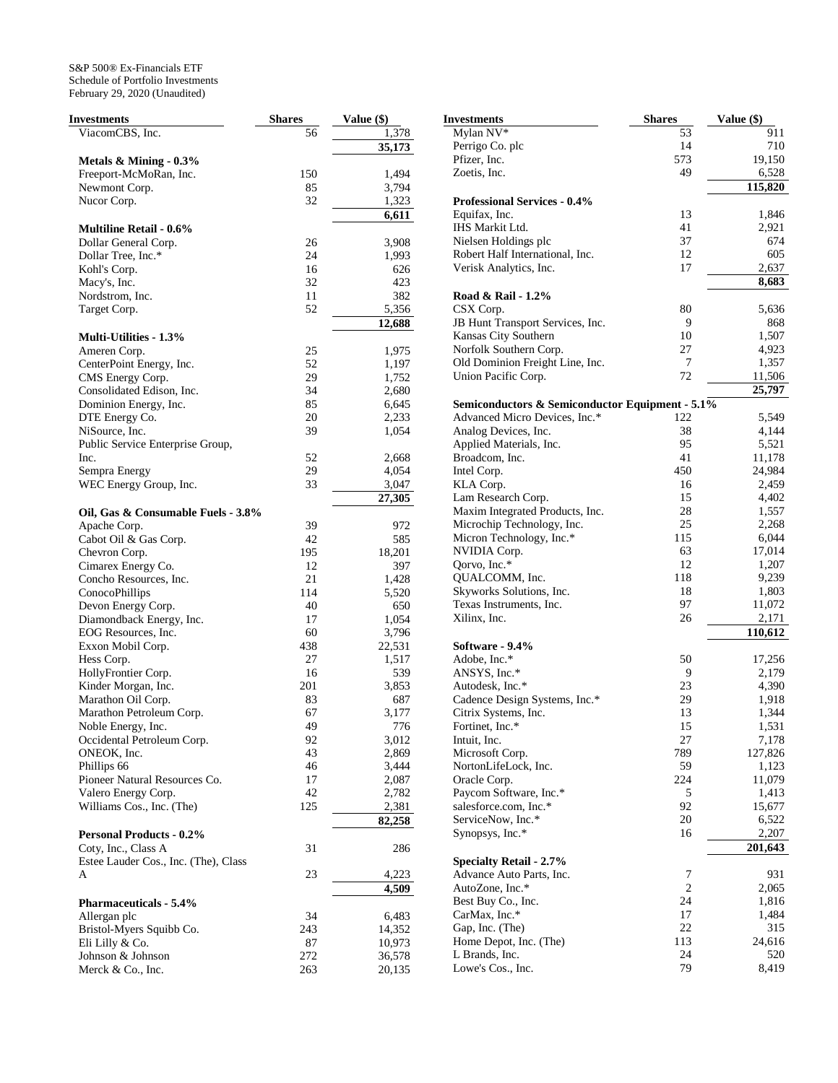| Investments                          | <b>Shares</b> | Value (\$) |
|--------------------------------------|---------------|------------|
| ViacomCBS, Inc.                      | 56            | 1,378      |
|                                      |               | 35,173     |
| Metals $\&$ Mining - 0.3%            |               |            |
| Freeport-McMoRan, Inc.               | 150           | 1,494      |
| Newmont Corp.                        | 85            | 3,794      |
| Nucor Corp.                          | 32            | 1,323      |
|                                      |               | 6,611      |
| <b>Multiline Retail - 0.6%</b>       |               |            |
| Dollar General Corp.                 | 26            | 3,908      |
|                                      | 24            |            |
| Dollar Tree, Inc.*                   |               | 1,993      |
| Kohl's Corp.                         | 16            | 626        |
| Macy's, Inc.                         | 32            | 423        |
| Nordstrom, Inc.                      | 11            | 382        |
| Target Corp.                         | 52            | 5,356      |
|                                      |               | 12,688     |
| <b>Multi-Utilities - 1.3%</b>        |               |            |
| Ameren Corp.                         | 25            | 1,975      |
| CenterPoint Energy, Inc.             | 52            | 1,197      |
| CMS Energy Corp.                     | 29            | 1,752      |
| Consolidated Edison, Inc.            | 34            | 2,680      |
| Dominion Energy, Inc.                | 85            | 6,645      |
| DTE Energy Co.                       | 20            | 2,233      |
| NiSource, Inc.                       | 39            | 1,054      |
| Public Service Enterprise Group,     |               |            |
| Inc.                                 | 52            | 2,668      |
| Sempra Energy                        | 29            | 4,054      |
| WEC Energy Group, Inc.               | 33            |            |
|                                      |               | 3,047      |
|                                      |               | 27,305     |
| Oil, Gas & Consumable Fuels - 3.8%   |               |            |
| Apache Corp.                         | 39            | 972        |
| Cabot Oil & Gas Corp.                | 42            | 585        |
| Chevron Corp.                        | 195           | 18,201     |
| Cimarex Energy Co.                   | 12            | 397        |
| Concho Resources, Inc.               | 21            | 1,428      |
| ConocoPhillips                       | 114           | 5,520      |
| Devon Energy Corp.                   | 40            | 650        |
| Diamondback Energy, Inc.             | 17            | 1,054      |
| EOG Resources, Inc.                  | 60            | 3,796      |
| Exxon Mobil Corp.                    | 438           | 22,531     |
| Hess Corp.                           | 27            | 1,517      |
| HollyFrontier Corp.                  | 16            | 539        |
| Kinder Morgan, Inc.                  | 201           | 3,853      |
| Marathon Oil Corp.                   | 83            | 687        |
| Marathon Petroleum Corp.             | 67            | 3,177      |
|                                      | 49            |            |
| Noble Energy, Inc.                   |               | 776        |
| Occidental Petroleum Corp.           | 92            | 3,012      |
| ONEOK, Inc.                          | 43            | 2,869      |
| Phillips 66                          | 46            | 3,444      |
| Pioneer Natural Resources Co.        | 17            | 2,087      |
| Valero Energy Corp.                  | 42            | 2,782      |
| Williams Cos., Inc. (The)            | 125           | 2,381      |
|                                      |               | 82,258     |
| <b>Personal Products - 0.2%</b>      |               |            |
| Coty, Inc., Class A                  | 31            | 286        |
| Estee Lauder Cos., Inc. (The), Class |               |            |
| A                                    | 23            | 4,223      |
|                                      |               | 4,509      |
| <b>Pharmaceuticals - 5.4%</b>        |               |            |
| Allergan plc                         | 34            | 6,483      |
|                                      |               |            |
| Bristol-Myers Squibb Co.             | 243           | 14,352     |
| Eli Lilly & Co.                      | 87            | 10,973     |
| Johnson & Johnson                    | 272           | 36,578     |
| Merck & Co., Inc.                    | 263           | 20,135     |

| <b>Investments</b>                                    | <b>Shares</b>  | Value (\$)     |
|-------------------------------------------------------|----------------|----------------|
| Mylan NV*                                             | 53             | 911            |
| Perrigo Co. plc                                       | 14             | 710            |
| Pfizer, Inc.                                          | 573            | 19,150         |
| Zoetis, Inc.                                          | 49             | 6,528          |
|                                                       |                | 115,820        |
| <b>Professional Services - 0.4%</b>                   |                |                |
| Equifax, Inc.                                         | 13             | 1,846          |
| IHS Markit Ltd.                                       | 41             | 2,921          |
| Nielsen Holdings plc                                  | 37             | 674            |
| Robert Half International, Inc.                       | 12             | 605            |
| Verisk Analytics, Inc.                                | 17             | 2,637          |
|                                                       |                | 8,683          |
| Road & Rail - 1.2%                                    |                |                |
| CSX Corp.                                             | 80             | 5,636          |
| JB Hunt Transport Services, Inc.                      | 9              | 868            |
| Kansas City Southern                                  | 10             | 1,507          |
| Norfolk Southern Corp.                                | 27             | 4,923          |
| Old Dominion Freight Line, Inc.                       | 7              | 1,357          |
| Union Pacific Corp.                                   | 72             | 11,506         |
|                                                       |                | 25,797         |
| Semiconductors & Semiconductor Equipment - 5.1%       |                |                |
| Advanced Micro Devices, Inc.*                         | 122            | 5,549          |
| Analog Devices, Inc.                                  | 38             | 4,144          |
| Applied Materials, Inc.                               | 95             | 5,521          |
| Broadcom, Inc.                                        | 41             | 11,178         |
| Intel Corp.                                           | 450            | 24,984         |
| KLA Corp.                                             | 16<br>15       | 2,459          |
| Lam Research Corp.<br>Maxim Integrated Products, Inc. | 28             | 4,402<br>1,557 |
| Microchip Technology, Inc.                            | 25             | 2,268          |
| Micron Technology, Inc.*                              | 115            | 6,044          |
| NVIDIA Corp.                                          | 63             | 17,014         |
| Qorvo, Inc.*                                          | 12             | 1,207          |
| QUALCOMM, Inc.                                        | 118            | 9,239          |
| Skyworks Solutions, Inc.                              | 18             | 1,803          |
| Texas Instruments, Inc.                               | 97             | 11,072         |
| Xilinx, Inc.                                          | 26             | 2,171          |
|                                                       |                | 110,612        |
| Software - 9.4%                                       |                |                |
| Adobe, Inc.*                                          | 50             | 17,256         |
| ANSYS, Inc.*                                          | 9              | 2,179          |
| Autodesk, Inc.*                                       | 23             | 4,390          |
| Cadence Design Systems, Inc.*                         | 29             | 1,918          |
| Citrix Systems, Inc.                                  | 13             | 1,344          |
| Fortinet, Inc.*                                       | 15             | 1,531          |
| Intuit, Inc.                                          | 27             | 7,178          |
| Microsoft Corp.                                       | 789            | 127,826        |
| NortonLifeLock, Inc.                                  | 59             | 1,123          |
| Oracle Corp.                                          | 224            | 11,079         |
| Paycom Software, Inc.*                                | 5              | 1,413          |
| salesforce.com, Inc.*                                 | 92             | 15,677         |
| ServiceNow, Inc.*                                     | 20             | 6,522          |
| Synopsys, Inc.*                                       | 16             | 2,207          |
|                                                       |                | 201,643        |
| <b>Specialty Retail - 2.7%</b>                        |                |                |
| Advance Auto Parts, Inc.                              | 7              | 931            |
| AutoZone, Inc.*                                       | $\overline{c}$ | 2,065          |
| Best Buy Co., Inc.                                    | 24             | 1,816          |
| CarMax, Inc.*                                         | 17             | 1,484          |
| Gap, Inc. (The)                                       | 22             | 315            |
| Home Depot, Inc. (The)                                | 113            | 24,616         |
| L Brands, Inc.                                        | 24             | 520            |
| Lowe's Cos., Inc.                                     | 79             | 8,419          |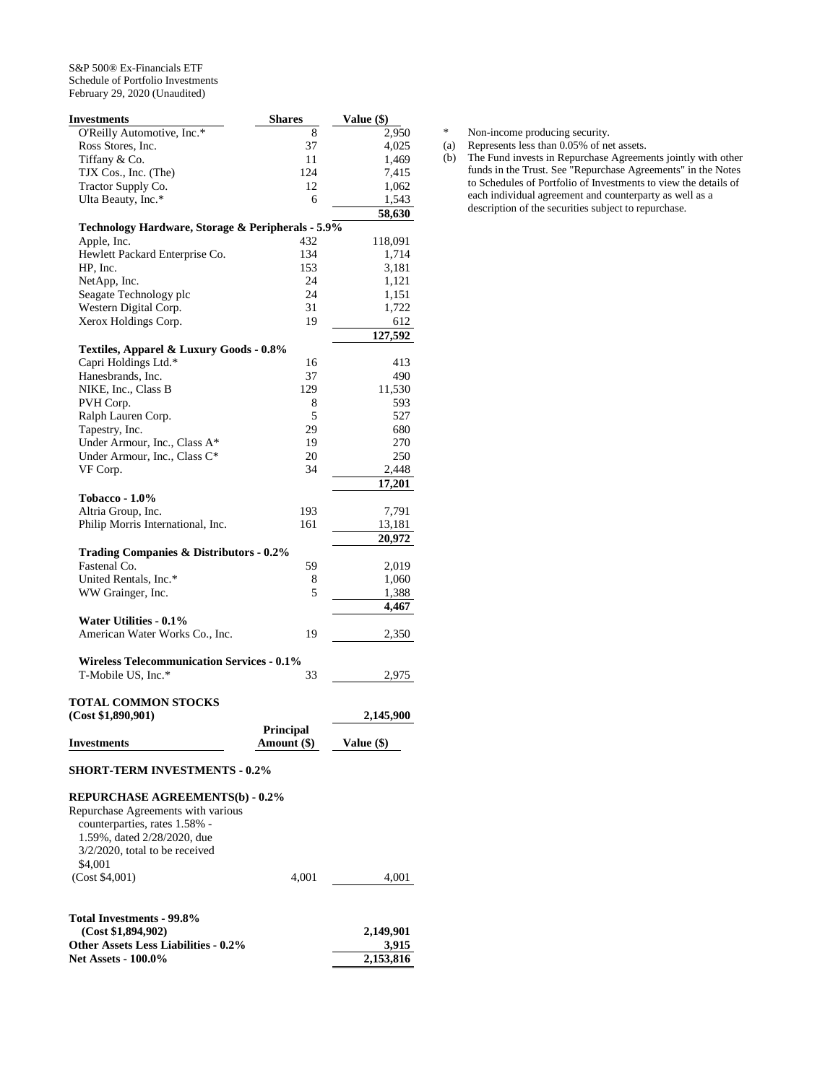**Net Assets - 100.0%** 

| <b>Investments</b>                                | <b>Shares</b> | Value (\$) |
|---------------------------------------------------|---------------|------------|
| O'Reilly Automotive, Inc.*                        | 8             | 2,950      |
| Ross Stores, Inc.                                 | 37            | 4,025      |
| Tiffany & Co.                                     | 11            | 1,469      |
| TJX Cos., Inc. (The)                              | 124           | 7,415      |
| Tractor Supply Co.                                | 12            | 1,062      |
| Ulta Beauty, Inc.*                                | 6             | 1,543      |
|                                                   |               | 58,630     |
| Technology Hardware, Storage & Peripherals - 5.9% |               |            |
| Apple, Inc.                                       | 432           | 118,091    |
| Hewlett Packard Enterprise Co.                    | 134           | 1,714      |
| HP, Inc.                                          | 153           | 3,181      |
| NetApp, Inc.                                      | 24            | 1,121      |
| Seagate Technology plc                            | 24            | 1,151      |
| Western Digital Corp.                             | 31            | 1,722      |
| Xerox Holdings Corp.                              | 19            | 612        |
|                                                   |               | 127,592    |
| Textiles, Apparel & Luxury Goods - 0.8%           |               |            |
| Capri Holdings Ltd.*                              | 16            | 413        |
| Hanesbrands, Inc.                                 | 37            | 490        |
| NIKE, Inc., Class B                               | 129           | 11,530     |
| PVH Corp.                                         | 8             | 593        |
| Ralph Lauren Corp.                                | 5             | 527        |
| Tapestry, Inc.                                    | 29            | 680        |
| Under Armour, Inc., Class A*                      | 19            | 270        |
| Under Armour, Inc., Class C*                      | 20            | 250        |
| VF Corp.                                          | 34            | 2,448      |
|                                                   |               | 17,201     |
| <b>Tobacco - 1.0%</b>                             |               |            |
| Altria Group, Inc.                                | 193           | 7,791      |
| Philip Morris International, Inc.                 | 161           | 13,181     |
|                                                   |               | 20,972     |
| Trading Companies & Distributors - 0.2%           |               |            |
| Fastenal Co.                                      | 59            | 2,019      |
| United Rentals, Inc.*                             | 8             | 1,060      |
| WW Grainger, Inc.                                 | 5             | 1,388      |
|                                                   |               | 4,467      |
| Water Utilities - 0.1%                            |               |            |
| American Water Works Co., Inc.                    | 19            | 2,350      |
|                                                   |               |            |
| <b>Wireless Telecommunication Services - 0.1%</b> |               |            |
| T-Mobile US, Inc.*                                | 33            | 2,975      |
| <b>TOTAL COMMON STOCKS</b>                        |               |            |
| (Cost \$1,890,901)                                |               | 2,145,900  |
|                                                   | Principal     |            |
| <b>Investments</b>                                | Amount (\$)   | Value (\$) |
|                                                   |               |            |
| <b>SHORT-TERM INVESTMENTS - 0.2%</b>              |               |            |
|                                                   |               |            |
| REPURCHASE AGREEMENTS(b) - 0.2%                   |               |            |
| Repurchase Agreements with various                |               |            |
| counterparties, rates 1.58% -                     |               |            |
| 1.59%, dated 2/28/2020, due                       |               |            |
| $3/2/2020$ , total to be received                 |               |            |
| \$4,001                                           |               |            |
| (Cost \$4,001)                                    | 4,001         | 4,001      |
|                                                   |               |            |
| Total Investments - 99.8%                         |               |            |
| (Cost \$1,894,902)                                |               | 2,149,901  |
| <b>Other Assets Less Liabilities - 0.2%</b>       |               | 3,915      |
| <b>Net Assets - 100.0%</b>                        |               | 2,153,816  |

\* Non-income producing security.<br>(a) Represents less than 0.05% of ne (a) Represents less than 0.05% of net assets.

(b) The Fund invests in Repurchase Agreements jointly with other funds in the Trust. See "Repurchase Agreements" in the Notes to Schedules of Portfolio of Investments to view the details of each individual agreement and counterparty as well as a description of the securities subject to repurchase.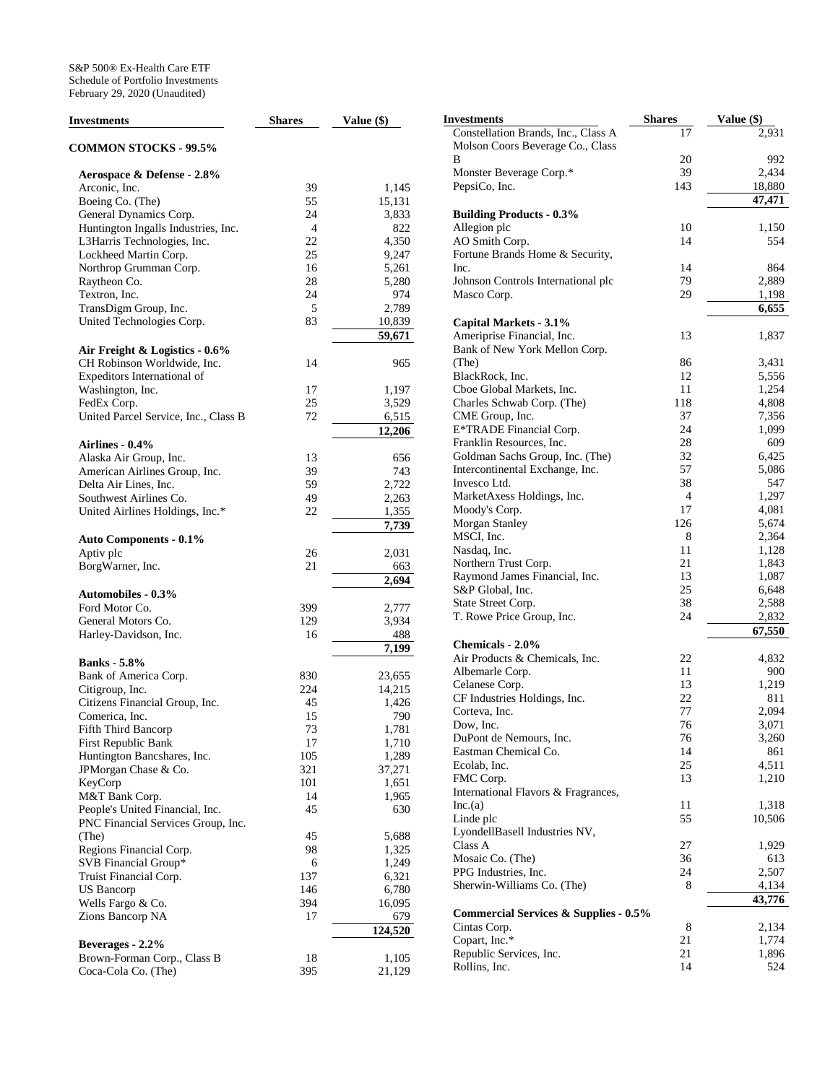| <b>Investments</b>                   | <b>Shares</b>  | Value (\$)       |
|--------------------------------------|----------------|------------------|
| <b>COMMON STOCKS - 99.5%</b>         |                |                  |
| Aerospace & Defense - 2.8%           |                |                  |
| Arconic, Inc.                        | 39             | 1,145            |
| Boeing Co. (The)                     | 55             | 15,131           |
| General Dynamics Corp.               | 24             | 3,833            |
| Huntington Ingalls Industries, Inc.  | $\overline{4}$ | 822              |
| L3Harris Technologies, Inc.          | 22             | 4,350            |
| Lockheed Martin Corp.                | 25             | 9,247            |
| Northrop Grumman Corp.               | 16             | 5,261            |
| Raytheon Co.                         | 28             | 5,280            |
| Textron, Inc.                        | 24             | 974              |
| TransDigm Group, Inc.                | 5              | 2,789            |
| United Technologies Corp.            | 83             | 10,839<br>59,671 |
| Air Freight & Logistics - 0.6%       |                |                  |
| CH Robinson Worldwide, Inc.          | 14             | 965              |
| Expeditors International of          |                |                  |
| Washington, Inc.                     | 17             | 1,197            |
| FedEx Corp.                          | 25             | 3,529            |
| United Parcel Service, Inc., Class B | 72             | 6,515            |
|                                      |                | 12,206           |
| <b>Airlines - 0.4%</b>               |                |                  |
| Alaska Air Group, Inc.               | 13             | 656              |
| American Airlines Group, Inc.        | 39             | 743              |
| Delta Air Lines, Inc.                | 59             | 2,722            |
| Southwest Airlines Co.               | 49             | 2,263            |
| United Airlines Holdings, Inc.*      | 22             | 1,355            |
|                                      |                | 7,739            |
| <b>Auto Components - 0.1%</b>        |                |                  |
| Aptiv plc                            | 26             | 2,031            |
| BorgWarner, Inc.                     | 21             | 663<br>2,694     |
| <b>Automobiles - 0.3%</b>            |                |                  |
| Ford Motor Co.                       | 399            | 2,777            |
| General Motors Co.                   | 129            | 3,934            |
| Harley-Davidson, Inc.                | 16             | 488              |
|                                      |                | 7,199            |
| <b>Banks</b> - 5.8%                  |                |                  |
| Bank of America Corp.                | 830            | 23,655           |
| Citigroup, Inc.                      | 224            | 14,215           |
| Citizens Financial Group, Inc.       | 45             | 1,426            |
| Comerica, Inc.                       | 15             | 790              |
| Fifth Third Bancorp                  | 73             | 1,781            |
| First Republic Bank                  | 17             | 1,710            |
| Huntington Bancshares, Inc.          | 105            | 1,289            |
| JPMorgan Chase & Co.                 | 321            | 37,271           |
| KeyCorp                              | 101            | 1,651            |
| M&T Bank Corp.                       | 14             | 1,965            |
| People's United Financial, Inc.      | 45             | 630              |
| PNC Financial Services Group, Inc.   |                | 5,688            |
| (The)                                | 45             |                  |
| Regions Financial Corp.              | 98             | 1,325            |
| SVB Financial Group*                 | 6              | 1,249            |
| Truist Financial Corp.               | 137            | 6,321            |
| <b>US Bancorp</b>                    | 146            | 6,780            |
| Wells Fargo & Co.                    | 394            | 16,095           |
| Zions Bancorp NA                     | 17             | 679              |
| Beverages - 2.2%                     |                | 124,520          |
| Brown-Forman Corp., Class B          | 18             | 1,105            |
| Coca-Cola Co. (The)                  | 395            | 21,129           |

| Investments                                                      | Shares   | Value (\$)   |
|------------------------------------------------------------------|----------|--------------|
| Constellation Brands, Inc., Class A                              | 17       | 2,931        |
| Molson Coors Beverage Co., Class                                 |          |              |
| В                                                                | 20       | 992          |
| Monster Beverage Corp.*                                          | 39       | 2,434        |
| PepsiCo, Inc.                                                    | 143      | 18,880       |
|                                                                  |          | 47,471       |
| <b>Building Products - 0.3%</b>                                  |          |              |
| Allegion plc                                                     | 10       | 1,150        |
| AO Smith Corp.                                                   | 14       | 554          |
| Fortune Brands Home & Security,                                  |          |              |
| Inc.                                                             | 14       | 864          |
| Johnson Controls International plc                               | 79       | 2,889        |
| Masco Corp.                                                      | 29       | 1,198        |
|                                                                  |          | 6,655        |
| Capital Markets - 3.1%                                           |          |              |
| Ameriprise Financial, Inc.                                       | 13       | 1,837        |
| Bank of New York Mellon Corp.<br>(The)                           | 86       | 3,431        |
| BlackRock, Inc.                                                  | 12       | 5,556        |
| Cboe Global Markets, Inc.                                        | 11       | 1,254        |
| Charles Schwab Corp. (The)                                       | 118      | 4,808        |
| CME Group, Inc.                                                  | 37       | 7,356        |
| E*TRADE Financial Corp.                                          | 24       | 1,099        |
| Franklin Resources, Inc.                                         | 28       | 609          |
| Goldman Sachs Group, Inc. (The)                                  | 32       | 6,425        |
| Intercontinental Exchange, Inc.                                  | 57       | 5,086        |
| Invesco Ltd.                                                     | 38       | 547          |
| MarketAxess Holdings, Inc.                                       | 4        | 1,297        |
| Moody's Corp.                                                    | 17       | 4,081        |
| Morgan Stanley                                                   | 126      | 5,674        |
| MSCI, Inc.                                                       | 8        | 2,364        |
| Nasdaq, Inc.                                                     | 11       | 1,128        |
| Northern Trust Corp.                                             | 21       | 1,843        |
| Raymond James Financial, Inc.                                    | 13       | 1,087        |
| S&P Global, Inc.                                                 | 25       | 6,648        |
| State Street Corp.                                               | 38       | 2,588        |
| T. Rowe Price Group, Inc.                                        | 24       | 2,832        |
|                                                                  |          | 67,550       |
| Chemicals - 2.0%                                                 |          |              |
| Air Products & Chemicals, Inc.                                   | 22<br>11 | 4,832        |
| Albemarle Corp.<br>Celanese Corp.                                | 13       | 900<br>1,219 |
| CF Industries Holdings, Inc.                                     | 22       | 811          |
| Corteva, Inc.                                                    | 77       | 2,094        |
| Dow, Inc.                                                        | 76       | 3,071        |
| DuPont de Nemours, Inc.                                          | 76       | 3,260        |
| Eastman Chemical Co.                                             | 14       | 861          |
| Ecolab, Inc.                                                     | 25       | 4,511        |
| FMC Corp.                                                        | 13       | 1,210        |
| International Flavors & Fragrances,                              |          |              |
| Inc.(a)                                                          | 11       | 1,318        |
| Linde plc                                                        | 55       | 10,506       |
| LyondellBasell Industries NV,                                    |          |              |
| Class A                                                          | 27       | 1,929        |
| Mosaic Co. (The)                                                 | 36       | 613          |
| PPG Industries, Inc.                                             | 24       | 2,507        |
| Sherwin-Williams Co. (The)                                       | 8        | 4,134        |
|                                                                  |          | 43,776       |
| <b>Commercial Services &amp; Supplies - 0.5%</b><br>Cintas Corp. | 8        | 2,134        |
| Copart, Inc.*                                                    | 21       | 1,774        |
| Republic Services, Inc.                                          | 21       | 1,896        |
| Rollins, Inc.                                                    | 14       | 524          |
|                                                                  |          |              |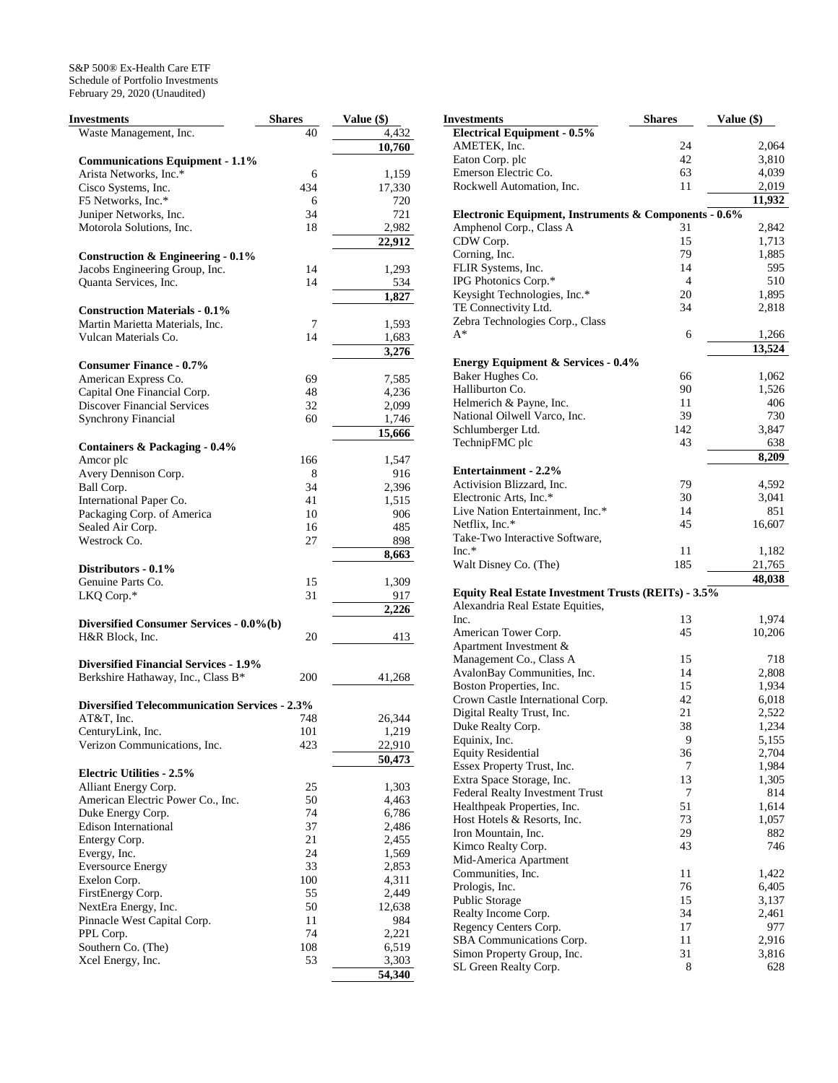| <b>Investments</b>                                   | <b>Shares</b> | Value (\$) |
|------------------------------------------------------|---------------|------------|
| Waste Management, Inc.                               | 40            | 4,432      |
|                                                      |               | 10,760     |
| <b>Communications Equipment - 1.1%</b>               |               |            |
| Arista Networks, Inc.*                               | 6             | 1,159      |
| Cisco Systems, Inc.                                  | 434           | 17,330     |
| F5 Networks, Inc.*                                   | 6             | 720        |
| Juniper Networks, Inc.                               | 34            | 721        |
| Motorola Solutions, Inc.                             | 18            | 2,982      |
|                                                      |               | 22,912     |
| Construction & Engineering $-0.1\%$                  |               |            |
| Jacobs Engineering Group, Inc.                       | 14            | 1,293      |
| Quanta Services, Inc.                                | 14            | 534        |
|                                                      |               | 1,827      |
| <b>Construction Materials - 0.1%</b>                 |               |            |
| Martin Marietta Materials, Inc.                      | 7             | 1,593      |
| Vulcan Materials Co.                                 | 14            | 1,683      |
|                                                      |               | 3,276      |
| <b>Consumer Finance - 0.7%</b>                       |               |            |
| American Express Co.                                 | 69            | 7,585      |
| Capital One Financial Corp.                          | 48            | 4,236      |
| <b>Discover Financial Services</b>                   | 32            | 2,099      |
| <b>Synchrony Financial</b>                           | 60            | 1,746      |
|                                                      |               | 15,666     |
|                                                      |               |            |
| Containers & Packaging - 0.4%<br>Amcor plc           | 166           | 1,547      |
| Avery Dennison Corp.                                 | 8             | 916        |
| Ball Corp.                                           | 34            | 2,396      |
| International Paper Co.                              | 41            | 1,515      |
|                                                      | 10            | 906        |
| Packaging Corp. of America<br>Sealed Air Corp.       | 16            | 485        |
| Westrock Co.                                         | 27            |            |
|                                                      |               | 898        |
|                                                      |               | 8,663      |
| Distributors - 0.1%                                  |               |            |
| Genuine Parts Co.                                    | 15            | 1,309      |
| LKQ Corp.*                                           | 31            | 917        |
|                                                      |               | 2,226      |
| Diversified Consumer Services - 0.0%(b)              |               |            |
| H&R Block, Inc.                                      | 20            | 413        |
|                                                      |               |            |
| <b>Diversified Financial Services - 1.9%</b>         |               |            |
| Berkshire Hathaway, Inc., Class B*                   | 200           | 41,268     |
|                                                      |               |            |
| <b>Diversified Telecommunication Services - 2.3%</b> |               |            |
| AT&T, Inc.                                           | 748           | 26,344     |
| CenturyLink, Inc.                                    | 101           | 1,219      |
| Verizon Communications, Inc.                         | 423           | 22,910     |
|                                                      |               | 50,473     |
| <b>Electric Utilities - 2.5%</b>                     |               |            |
| Alliant Energy Corp.                                 | 25            | 1,303      |
| American Electric Power Co., Inc.                    | 50            | 4,463      |
| Duke Energy Corp.                                    | 74            | 6,786      |
| <b>Edison International</b>                          | 37            | 2,486      |
| Entergy Corp.                                        | 21            | 2,455      |
| Evergy, Inc.                                         | 24            | 1,569      |
| <b>Eversource Energy</b>                             | 33            | 2,853      |
| Exelon Corp.                                         | 100           | 4,311      |
| FirstEnergy Corp.                                    | 55            | 2,449      |
| NextEra Energy, Inc.                                 | 50            | 12,638     |
| Pinnacle West Capital Corp.                          | 11            | 984        |
| PPL Corp.                                            | 74            | 2,221      |
| Southern Co. (The)                                   | 108           | 6,519      |
| Xcel Energy, Inc.                                    | 53            | 3,303      |
|                                                      |               | 54,340     |

| Investments                                           | <b>Shares</b>  | Value (\$) |        |
|-------------------------------------------------------|----------------|------------|--------|
| <b>Electrical Equipment - 0.5%</b>                    |                |            |        |
| AMETEK, Inc.                                          | 24             |            | 2,064  |
| Eaton Corp. plc                                       | 42             |            | 3,810  |
| Emerson Electric Co.                                  | 63             |            | 4,039  |
| Rockwell Automation, Inc.                             | 11             |            | 2,019  |
|                                                       |                |            | 11,932 |
| Electronic Equipment, Instruments & Components - 0.6% |                |            |        |
| Amphenol Corp., Class A                               | 31             |            | 2,842  |
| CDW Corp.                                             | 15             |            | 1,713  |
| Corning, Inc.                                         | 79             |            | 1,885  |
| FLIR Systems, Inc.                                    | 14             |            | 595    |
| IPG Photonics Corp.*                                  | $\overline{4}$ |            | 510    |
| Keysight Technologies, Inc.*                          | 20             |            | 1,895  |
| TE Connectivity Ltd.                                  | 34             |            | 2,818  |
| Zebra Technologies Corp., Class                       |                |            |        |
| $A^*$                                                 | 6              |            |        |
|                                                       |                |            | 1,266  |
|                                                       |                |            | 13,524 |
| <b>Energy Equipment &amp; Services - 0.4%</b>         |                |            |        |
| Baker Hughes Co.                                      | 66             |            | 1,062  |
| Halliburton Co.                                       | 90             |            | 1,526  |
| Helmerich & Payne, Inc.                               | 11             |            | 406    |
| National Oilwell Varco, Inc.                          | 39             |            | 730    |
| Schlumberger Ltd.                                     | 142            |            | 3,847  |
| TechnipFMC plc                                        | 43             |            | 638    |
|                                                       |                |            | 8,209  |
| Entertainment - 2.2%                                  |                |            |        |
| Activision Blizzard, Inc.                             | 79             |            | 4,592  |
| Electronic Arts, Inc.*                                | 30             |            | 3,041  |
| Live Nation Entertainment, Inc.*                      | 14             |            | 851    |
| Netflix, Inc.*                                        | 45             |            | 16,607 |
| Take-Two Interactive Software,                        |                |            |        |
| $Inc.*$                                               | 11             |            | 1,182  |
| Walt Disney Co. (The)                                 | 185            |            | 21,765 |
|                                                       |                |            | 48,038 |
| Equity Real Estate Investment Trusts (REITs) - 3.5%   |                |            |        |
| Alexandria Real Estate Equities,                      |                |            |        |
| Inc.                                                  | 13             |            | 1,974  |
| American Tower Corp.                                  | 45             |            | 10,206 |
| Apartment Investment &                                |                |            |        |
| Management Co., Class A                               | 15             |            | 718    |
| AvalonBay Communities, Inc.                           | 14             |            | 2,808  |
| Boston Properties, Inc.                               | 15             |            | 1,934  |
| Crown Castle International Corp.                      | 42             |            | 6,018  |
| Digital Realty Trust, Inc.                            | 21             |            | 2,522  |
| Duke Realty Corp.                                     | 38             |            | 1,234  |
| Equinix, Inc.                                         | 9              |            | 5,155  |
| <b>Equity Residential</b>                             | 36             |            | 2,704  |
| Essex Property Trust, Inc.                            | 7              |            | 1,984  |
| Extra Space Storage, Inc.                             | 13             |            | 1,305  |
| Federal Realty Investment Trust                       | 7              |            | 814    |
| Healthpeak Properties, Inc.                           | 51             |            | 1,614  |
| Host Hotels & Resorts, Inc.                           | 73             |            | 1,057  |
| Iron Mountain, Inc.                                   | 29             |            | 882    |
| Kimco Realty Corp.                                    | 43             |            | 746    |
| Mid-America Apartment                                 |                |            |        |
| Communities, Inc.                                     | 11             |            | 1,422  |
| Prologis, Inc.                                        | 76             |            | 6,405  |
| Public Storage                                        | 15             |            | 3,137  |
| Realty Income Corp.                                   | 34             |            | 2,461  |
| Regency Centers Corp.                                 | 17             |            | 977    |
| SBA Communications Corp.                              | 11             |            | 2,916  |
| Simon Property Group, Inc.                            | 31             |            | 3,816  |
| SL Green Realty Corp.                                 | 8              |            | 628    |
|                                                       |                |            |        |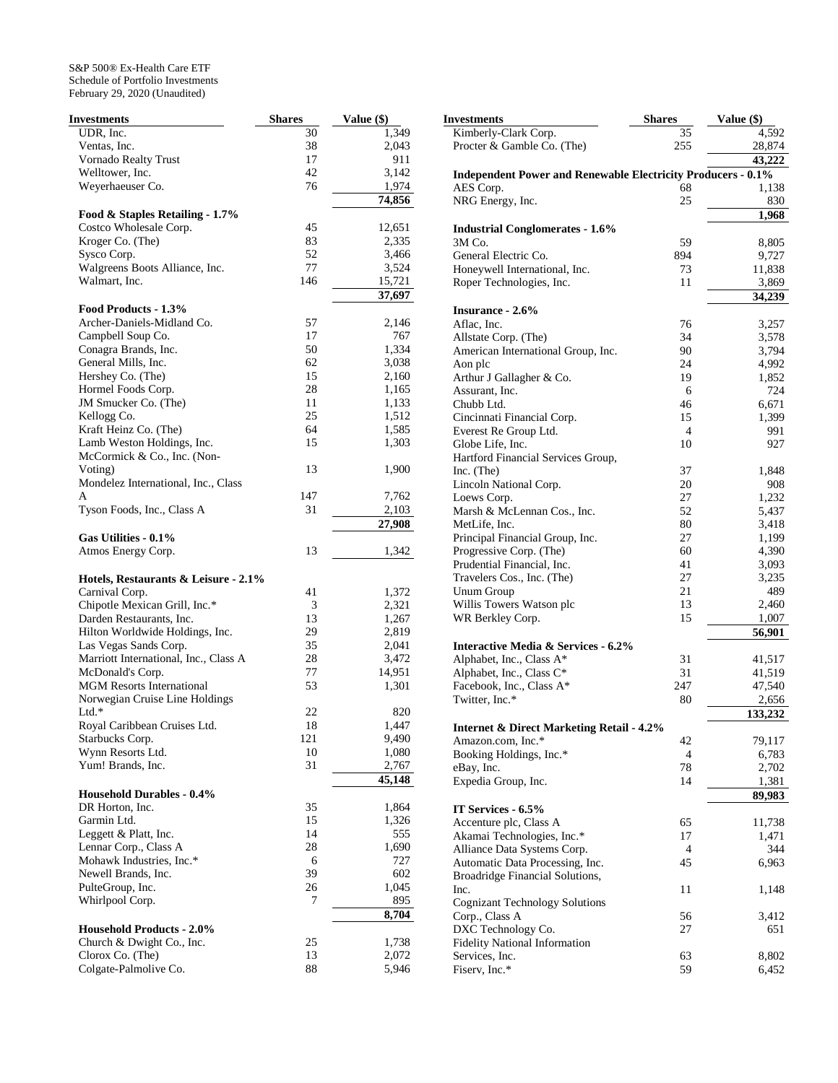| Investments                                | <b>Shares</b> | Value (\$)     |
|--------------------------------------------|---------------|----------------|
| UDR, Inc.                                  | 30            | 1,349          |
| Ventas, Inc.                               | 38            | 2,043          |
| Vornado Realty Trust                       | 17            | 911            |
| Welltower, Inc.                            | 42            | 3,142          |
| Weyerhaeuser Co.                           | 76            | 1,974          |
|                                            |               | 74,856         |
| Food & Staples Retailing - 1.7%            |               |                |
| Costco Wholesale Corp.                     | 45            | 12,651         |
| Kroger Co. (The)                           | 83            | 2,335          |
| Sysco Corp.                                | 52            | 3,466          |
| Walgreens Boots Alliance, Inc.             | 77            | 3,524          |
| Walmart, Inc.                              | 146           | 15,721         |
|                                            |               | 37,697         |
| Food Products - 1.3%                       |               |                |
| Archer-Daniels-Midland Co.                 | 57            | 2,146          |
| Campbell Soup Co.                          | 17            | 767            |
| Conagra Brands, Inc.                       | 50            | 1,334          |
| General Mills, Inc.                        | 62            | 3,038          |
| Hershey Co. (The)                          | 15<br>28      | 2,160          |
| Hormel Foods Corp.<br>JM Smucker Co. (The) | 11            | 1,165          |
| Kellogg Co.                                | 25            | 1,133<br>1,512 |
| Kraft Heinz Co. (The)                      | 64            | 1,585          |
| Lamb Weston Holdings, Inc.                 | 15            | 1,303          |
| McCormick & Co., Inc. (Non-                |               |                |
| Voting)                                    | 13            | 1,900          |
| Mondelez International, Inc., Class        |               |                |
| A                                          | 147           | 7,762          |
| Tyson Foods, Inc., Class A                 | 31            | 2,103          |
|                                            |               | 27,908         |
| Gas Utilities - 0.1%                       |               |                |
| Atmos Energy Corp.                         | 13            | 1,342          |
|                                            |               |                |
| Hotels, Restaurants & Leisure - 2.1%       |               |                |
| Carnival Corp.                             | 41            | 1,372          |
| Chipotle Mexican Grill, Inc.*              | 3             | 2,321          |
| Darden Restaurants, Inc.                   | 13            | 1,267          |
| Hilton Worldwide Holdings, Inc.            | 29            | 2,819          |
| Las Vegas Sands Corp.                      | 35            | 2,041          |
| Marriott International, Inc., Class A      | 28            | 3,472          |
| McDonald's Corp.                           | 77            | 14,951         |
| <b>MGM Resorts International</b>           | 53            | 1,301          |
| Norwegian Cruise Line Holdings             |               |                |
| $Ltd.*$                                    | 22            | 820            |
| Royal Caribbean Cruises Ltd.               | 18            | 1,447          |
| Starbucks Corp.                            | 121           | 9,490          |
| Wynn Resorts Ltd.                          | 10<br>31      | 1,080          |
| Yum! Brands, Inc.                          |               | 2,767          |
| <b>Household Durables - 0.4%</b>           |               | 45,148         |
| DR Horton, Inc.                            | 35            | 1,864          |
| Garmin Ltd.                                | 15            | 1,326          |
| Leggett & Platt, Inc.                      | 14            | 555            |
| Lennar Corp., Class A                      | 28            | 1,690          |
| Mohawk Industries, Inc.*                   | 6             | 727            |
| Newell Brands, Inc.                        | 39            | 602            |
| PulteGroup, Inc.                           | 26            | 1,045          |
| Whirlpool Corp.                            | 7             | 895            |
|                                            |               | 8,704          |
| <b>Household Products - 2.0%</b>           |               |                |
| Church & Dwight Co., Inc.                  | 25            | 1,738          |
| Clorox Co. (The)                           | 13            | 2,072          |
| Colgate-Palmolive Co.                      | 88            | 5,946          |

| Investments                                                         | <b>Shares</b>  | Value (\$)     |
|---------------------------------------------------------------------|----------------|----------------|
| Kimberly-Clark Corp.                                                | 35             | 4,592          |
| Procter & Gamble Co. (The)                                          | 255            | 28,874         |
|                                                                     |                | 43,222         |
| <b>Independent Power and Renewable Electricity Producers - 0.1%</b> |                |                |
| AES Corp.                                                           | 68             | 1,138          |
| NRG Energy, Inc.                                                    | 25             | 830            |
|                                                                     |                | 1,968          |
| <b>Industrial Conglomerates - 1.6%</b>                              |                |                |
| 3M Co.                                                              | 59             | 8,805          |
| General Electric Co.                                                | 894            | 9,727          |
| Honeywell International, Inc.                                       | 73             | 11,838         |
| Roper Technologies, Inc.                                            | 11             | 3,869          |
|                                                                     |                | 34,239         |
| Insurance - 2.6%                                                    |                |                |
| Aflac, Inc.                                                         | 76             | 3,257          |
| Allstate Corp. (The)                                                | 34             | 3,578          |
| American International Group, Inc.                                  | 90             | 3,794          |
| Aon plc                                                             | 24             | 4,992          |
| Arthur J Gallagher & Co.                                            | 19             | 1,852          |
| Assurant, Inc.                                                      | 6              | 724            |
| Chubb Ltd.                                                          | 46             | 6,671          |
| Cincinnati Financial Corp.                                          | 15             | 1,399          |
| Everest Re Group Ltd.                                               | $\overline{4}$ | 991            |
| Globe Life, Inc.                                                    | 10             | 927            |
| Hartford Financial Services Group,                                  |                |                |
| Inc. (The)                                                          | 37             | 1,848          |
| Lincoln National Corp.                                              | 20             | 908            |
| Loews Corp.                                                         | 27             | 1,232          |
| Marsh & McLennan Cos., Inc.                                         | 52             |                |
| MetLife, Inc.                                                       | 80             | 5,437<br>3,418 |
|                                                                     | 27             |                |
| Principal Financial Group, Inc.                                     |                | 1,199          |
| Progressive Corp. (The)                                             | 60             | 4,390          |
| Prudential Financial, Inc.                                          | 41             | 3,093          |
| Travelers Cos., Inc. (The)                                          | 27             | 3,235          |
| <b>Unum Group</b>                                                   | 21             | 489            |
| Willis Towers Watson plc                                            | 13             | 2,460          |
| WR Berkley Corp.                                                    | 15             | 1,007          |
|                                                                     |                | 56,901         |
| <b>Interactive Media &amp; Services - 6.2%</b>                      |                |                |
| Alphabet, Inc., Class A*                                            | 31             | 41,517         |
| Alphabet, Inc., Class C*                                            | 31             | 41,519         |
| Facebook, Inc., Class A*                                            | 247            | 47,540         |
| Twitter, Inc.*                                                      | 80             | 2,656          |
|                                                                     |                | 133,232        |
| <b>Internet &amp; Direct Marketing Retail - 4.2%</b>                |                |                |
| Amazon.com, Inc.*                                                   | 42             | 79,117         |
| Booking Holdings, Inc.*                                             | 4              | 6,783          |
| eBay, Inc.                                                          | 78             | 2,702          |
| Expedia Group, Inc.                                                 | 14             | 1,381          |
|                                                                     |                | 89,983         |
| IT Services - 6.5%                                                  |                |                |
| Accenture plc, Class A                                              | 65             | 11,738         |
| Akamai Technologies, Inc.*                                          | 17             | 1,471          |
| Alliance Data Systems Corp.                                         | 4              | 344            |
| Automatic Data Processing, Inc.                                     | 45             | 6,963          |
| Broadridge Financial Solutions,                                     |                |                |
| Inc.                                                                | 11             | 1,148          |
| <b>Cognizant Technology Solutions</b>                               |                |                |
| Corp., Class A                                                      | 56             | 3,412          |
| DXC Technology Co.                                                  | 27             | 651            |
| <b>Fidelity National Information</b>                                |                |                |
| Services, Inc.                                                      | 63             | 8,802          |
| Fiserv, Inc.*                                                       | 59             | 6,452          |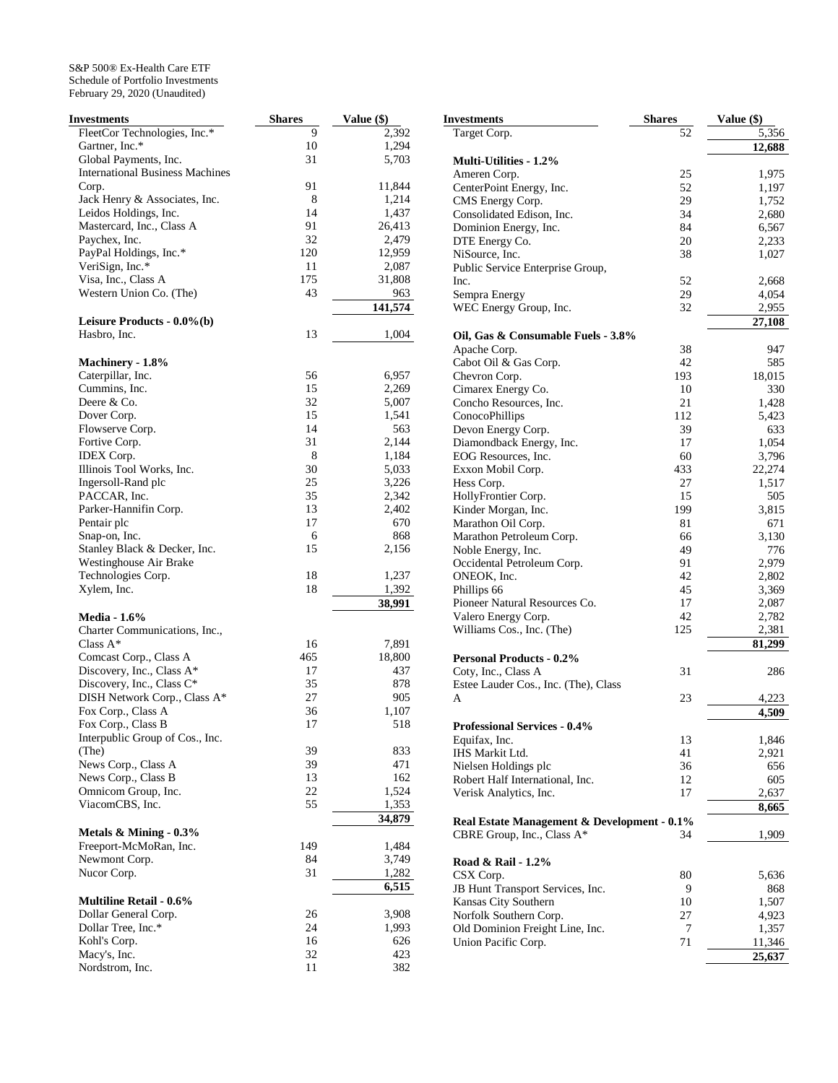| Investments                            | <b>Shares</b> | <b>Value</b> (\$) |
|----------------------------------------|---------------|-------------------|
| FleetCor Technologies, Inc.*           | 9             | 2,392             |
| Gartner, Inc.*                         | 10            | 1,294             |
| Global Payments, Inc.                  | 31            | 5,703             |
| <b>International Business Machines</b> |               |                   |
| Corp.                                  | 91            | 11,844            |
|                                        | 8             | 1,214             |
| Jack Henry & Associates, Inc.          | 14            |                   |
| Leidos Holdings, Inc.                  |               | 1,437             |
| Mastercard, Inc., Class A              | 91            | 26,413            |
| Paychex, Inc.                          | 32            | 2,479             |
| PayPal Holdings, Inc.*                 | 120           | 12,959            |
| VeriSign, Inc.*                        | 11            | 2,087             |
| Visa, Inc., Class A                    | 175           | 31,808            |
| Western Union Co. (The)                | 43            | 963               |
|                                        |               | 141,574           |
| Leisure Products - 0.0%(b)             |               |                   |
| Hasbro, Inc.                           | 13            | 1,004             |
|                                        |               |                   |
| Machinery - 1.8%                       |               |                   |
| Caterpillar, Inc.                      | 56            | 6,957             |
| Cummins, Inc.                          | 15            | 2,269             |
| Deere & Co.                            | 32            | 5,007             |
|                                        |               |                   |
| Dover Corp.                            | 15            | 1,541             |
| Flowserve Corp.                        | 14            | 563               |
| Fortive Corp.                          | 31            | 2,144             |
| <b>IDEX</b> Corp.                      | 8             | 1,184             |
| Illinois Tool Works, Inc.              | 30            | 5,033             |
| Ingersoll-Rand plc                     | 25            | 3,226             |
| PACCAR, Inc.                           | 35            | 2,342             |
| Parker-Hannifin Corp.                  | 13            | 2,402             |
| Pentair plc                            | 17            | 670               |
| Snap-on, Inc.                          | 6             | 868               |
| Stanley Black & Decker, Inc.           | 15            | 2,156             |
|                                        |               |                   |
| Westinghouse Air Brake                 |               |                   |
| Technologies Corp.                     | 18            | 1,237             |
| Xylem, Inc.                            | 18            | 1,392<br>38,991   |
|                                        |               |                   |
| <b>Media - 1.6%</b>                    |               |                   |
| Charter Communications, Inc.,          |               |                   |
| Class $A^*$                            | 16            | 7,891             |
| Comcast Corp., Class A                 | 465           | 18,800            |
| Discovery, Inc., Class A*              | 17            | 437               |
| Discovery, Inc., Class C*              | 35            | 878               |
| DISH Network Corp., Class A*           | 27            | 905               |
| Fox Corp., Class A                     | 36            | 1,107             |
| Fox Corp., Class B                     | 17            | 518               |
| Interpublic Group of Cos., Inc.        |               |                   |
| (The)                                  | 39            | 833               |
| News Corp., Class A                    | 39            | 471               |
| News Corp., Class B                    | 13            | 162               |
| Omnicom Group, Inc.                    | 22            |                   |
|                                        |               | 1,524             |
| ViacomCBS, Inc.                        | 55            | 1,353             |
|                                        |               | 34,879            |
| Metals $\&$ Mining - 0.3%              |               |                   |
| Freeport-McMoRan, Inc.                 | 149           | 1,484             |
| Newmont Corp.                          | 84            | 3,749             |
| Nucor Corp.                            | 31            | 1,282             |
|                                        |               | 6,515             |
| <b>Multiline Retail - 0.6%</b>         |               |                   |
| Dollar General Corp.                   | 26            | 3,908             |
| Dollar Tree, Inc.*                     | 24            | 1,993             |
| Kohl's Corp.                           | 16            | 626               |
| Macy's, Inc.                           | 32            | 423               |
| Nordstrom, Inc.                        | 11            | 382               |
|                                        |               |                   |

| Investments                                                 | <b>Shares</b> | Value (\$) |
|-------------------------------------------------------------|---------------|------------|
| Target Corp.                                                | 52            | 5,356      |
|                                                             |               | 12,688     |
| <b>Multi-Utilities - 1.2%</b>                               |               |            |
| Ameren Corp.                                                | 25            | 1,975      |
| CenterPoint Energy, Inc.                                    | 52            | 1,197      |
| CMS Energy Corp.                                            | 29            | 1,752      |
| Consolidated Edison, Inc.                                   | 34            | 2,680      |
| Dominion Energy, Inc.                                       | 84            | 6,567      |
| DTE Energy Co.                                              | 20            | 2,233      |
| NiSource, Inc.                                              | 38            | 1,027      |
| Public Service Enterprise Group,<br>Inc.                    | 52            | 2,668      |
| Sempra Energy                                               | 29            | 4,054      |
| WEC Energy Group, Inc.                                      | 32            | 2,955      |
|                                                             |               | 27,108     |
| Oil, Gas & Consumable Fuels - 3.8%                          |               |            |
| Apache Corp.                                                | 38            | 947        |
| Cabot Oil & Gas Corp.                                       | 42            | 585        |
| Chevron Corp.                                               | 193           | 18,015     |
| Cimarex Energy Co.                                          | 10            | 330        |
| Concho Resources, Inc.                                      | 21            | 1,428      |
| ConocoPhillips                                              | 112           | 5,423      |
| Devon Energy Corp.                                          | 39            | 633        |
| Diamondback Energy, Inc.                                    | 17            | 1,054      |
| EOG Resources, Inc.                                         | 60            | 3,796      |
| Exxon Mobil Corp.                                           | 433           | 22,274     |
| Hess Corp.                                                  | 27            | 1,517      |
| HollyFrontier Corp.                                         | 15            | 505        |
| Kinder Morgan, Inc.                                         | 199           | 3,815      |
| Marathon Oil Corp.                                          | 81            | 671        |
| Marathon Petroleum Corp.                                    | 66            | 3,130      |
| Noble Energy, Inc.                                          | 49            | 776        |
| Occidental Petroleum Corp.                                  | 91            | 2,979      |
| ONEOK, Inc.                                                 | 42            | 2,802      |
| Phillips 66                                                 | 45            | 3,369      |
| Pioneer Natural Resources Co.                               | 17            | 2,087      |
| Valero Energy Corp.                                         | 42            | 2,782      |
| Williams Cos., Inc. (The)                                   | 125           | 2,381      |
|                                                             |               | 81,299     |
| <b>Personal Products - 0.2%</b>                             | 31            | 286        |
| Coty, Inc., Class A<br>Estee Lauder Cos., Inc. (The), Class |               |            |
| A                                                           | 23            | 4,223      |
|                                                             |               | 4,509      |
| <b>Professional Services - 0.4%</b>                         |               |            |
| Equifax, Inc.                                               | 13            | 1,846      |
| IHS Markit Ltd.                                             | 41            | 2,921      |
| Nielsen Holdings plc                                        | 36            | 656        |
| Robert Half International, Inc.                             | 12            | 605        |
| Verisk Analytics, Inc.                                      | 17            | 2,637      |
|                                                             |               | 8,665      |
| Real Estate Management & Development - 0.1%                 |               |            |
| CBRE Group, Inc., Class A*                                  | 34            | 1,909      |
|                                                             |               |            |
| Road & Rail - 1.2%                                          |               |            |
| CSX Corp.                                                   | 80            | 5,636      |
| JB Hunt Transport Services, Inc.                            | 9             | 868        |
| Kansas City Southern                                        | 10            | 1,507      |
| Norfolk Southern Corp.                                      | 27            | 4,923      |
| Old Dominion Freight Line, Inc.                             | 7             | 1,357      |
| Union Pacific Corp.                                         | 71            | 11,346     |
|                                                             |               | 25,637     |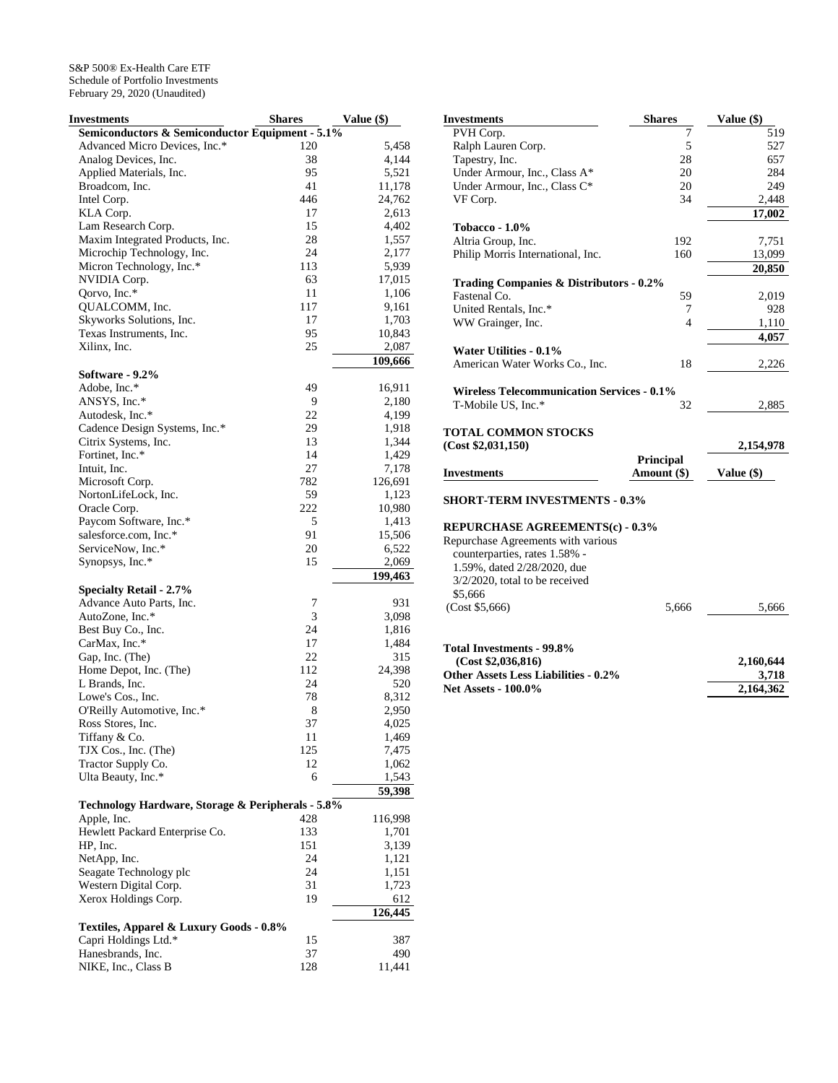| Investments                                       | <b>Shares</b> | Value (\$) |
|---------------------------------------------------|---------------|------------|
| Semiconductors & Semiconductor Equipment - 5.1%   |               |            |
| Advanced Micro Devices, Inc.*                     | 120           | 5,458      |
| Analog Devices, Inc.                              | 38            | 4,144      |
| Applied Materials, Inc.                           | 95            | 5,521      |
| Broadcom, Inc.                                    | 41            | 11,178     |
| Intel Corp.                                       | 446           | 24,762     |
| KLA Corp.                                         | 17            | 2,613      |
| Lam Research Corp.                                | 15            | 4,402      |
| Maxim Integrated Products, Inc.                   | 28            | 1,557      |
| Microchip Technology, Inc.                        | 24            | 2,177      |
| Micron Technology, Inc.*                          | 113           | 5,939      |
| NVIDIA Corp.                                      | 63            | 17,015     |
| Qorvo, Inc.*                                      | 11            | 1,106      |
| QUALCOMM, Inc.                                    | 117           | 9,161      |
| Skyworks Solutions, Inc.                          | 17            | 1,703      |
| Texas Instruments, Inc.                           | 95            | 10,843     |
| Xilinx, Inc.                                      | 25            | 2,087      |
|                                                   |               | 109,666    |
| Software - 9.2%                                   |               |            |
| Adobe, Inc.*                                      | 49            | 16,911     |
| ANSYS, Inc.*                                      | 9             | 2,180      |
| Autodesk, Inc.*                                   | 22            | 4,199      |
| Cadence Design Systems, Inc.*                     | 29            | 1,918      |
| Citrix Systems, Inc.                              | 13            | 1,344      |
| Fortinet, Inc.*                                   | 14            | 1,429      |
| Intuit, Inc.                                      | 27            | 7,178      |
| Microsoft Corp.                                   | 782           | 126,691    |
| NortonLifeLock, Inc.                              | 59            | 1,123      |
| Oracle Corp.                                      | 222           | 10,980     |
| Paycom Software, Inc.*                            | 5             | 1,413      |
| salesforce.com, Inc.*                             | 91            | 15,506     |
| ServiceNow, Inc.*                                 | 20            | 6,522      |
| Synopsys, Inc.*                                   | 15            | 2,069      |
|                                                   |               | 199,463    |
| <b>Specialty Retail - 2.7%</b>                    |               |            |
| Advance Auto Parts, Inc.                          | 7             | 931        |
| AutoZone, Inc.*                                   | 3             | 3,098      |
| Best Buy Co., Inc.                                | 24            | 1,816      |
| CarMax, Inc.*                                     | 17            | 1,484      |
| Gap, Inc. (The)                                   | 22            | 315        |
| Home Depot, Inc. (The)                            | 112           | 24,398     |
| L Brands, Inc.                                    | 24            | 520        |
| Lowe's Cos., Inc.                                 | 78            | 8,312      |
| O'Reilly Automotive, Inc.*                        | 8             | 2,950      |
| Ross Stores, Inc.                                 | 37            | 4,025      |
| Tiffany & Co.                                     | 11            | 1,469      |
| TJX Cos., Inc. (The)                              | 125           | 7,475      |
| Tractor Supply Co.                                | 12            | 1,062      |
| Ulta Beauty, Inc.*                                | 6             | 1,543      |
|                                                   |               | 59,398     |
| Technology Hardware, Storage & Peripherals - 5.8% |               |            |
| Apple, Inc.                                       | 428           | 116,998    |
| Hewlett Packard Enterprise Co.                    | 133           | 1,701      |
| HP, Inc.                                          | 151           | 3,139      |
| NetApp, Inc.                                      | 24            | 1,121      |
| Seagate Technology plc                            | 24            | 1,151      |
| Western Digital Corp.                             | 31            | 1,723      |
| Xerox Holdings Corp.                              | 19            | 612        |
|                                                   |               | 126,445    |
| Textiles, Apparel & Luxury Goods - 0.8%           |               |            |
| Capri Holdings Ltd.*                              |               |            |
|                                                   | 15            | 387        |
| Hanesbrands, Inc.                                 | 37            | 490        |
| NIKE, Inc., Class B                               | 128           | 11,441     |

| 7<br>PVH Corp.<br>519<br>5<br>Ralph Lauren Corp.<br>527<br>Tapestry, Inc.<br>28<br>657<br>Under Armour, Inc., Class A*<br>20<br>284<br>Under Armour, Inc., Class C*<br>20<br>249<br>VF Corp.<br>34<br>2,448<br>17,002<br>Tobacco - $1.0\%$<br>Altria Group, Inc.<br>192<br>7,751<br>Philip Morris International, Inc.<br>160<br>13,099<br>20,850<br>Trading Companies & Distributors - 0.2%<br>Fastenal Co.<br>59<br>2,019<br>United Rentals, Inc.*<br>928<br>7<br>$\overline{4}$<br>WW Grainger, Inc.<br>1,110<br>4,057<br>Water Utilities - 0.1%<br>American Water Works Co., Inc.<br>18<br>2,226<br><b>Wireless Telecommunication Services - 0.1%</b><br>T-Mobile US, Inc.*<br>32<br>2,885<br><b>TOTAL COMMON STOCKS</b><br>(Cost \$2,031,150)<br>2,154,978<br>Principal<br>Amount (\$)<br>Value (\$)<br><b>Investments</b><br><b>SHORT-TERM INVESTMENTS - 0.3%</b><br><b>REPURCHASE AGREEMENTS(c) - 0.3%</b><br>Repurchase Agreements with various<br>counterparties, rates 1.58% -<br>1.59%, dated 2/28/2020, due<br>$3/2/2020$ , total to be received<br>\$5,666 | <b>Investments</b> | <b>Shares</b> | Value (\$) |
|------------------------------------------------------------------------------------------------------------------------------------------------------------------------------------------------------------------------------------------------------------------------------------------------------------------------------------------------------------------------------------------------------------------------------------------------------------------------------------------------------------------------------------------------------------------------------------------------------------------------------------------------------------------------------------------------------------------------------------------------------------------------------------------------------------------------------------------------------------------------------------------------------------------------------------------------------------------------------------------------------------------------------------------------------------------------|--------------------|---------------|------------|
|                                                                                                                                                                                                                                                                                                                                                                                                                                                                                                                                                                                                                                                                                                                                                                                                                                                                                                                                                                                                                                                                        |                    |               |            |
|                                                                                                                                                                                                                                                                                                                                                                                                                                                                                                                                                                                                                                                                                                                                                                                                                                                                                                                                                                                                                                                                        |                    |               |            |
|                                                                                                                                                                                                                                                                                                                                                                                                                                                                                                                                                                                                                                                                                                                                                                                                                                                                                                                                                                                                                                                                        |                    |               |            |
|                                                                                                                                                                                                                                                                                                                                                                                                                                                                                                                                                                                                                                                                                                                                                                                                                                                                                                                                                                                                                                                                        |                    |               |            |
|                                                                                                                                                                                                                                                                                                                                                                                                                                                                                                                                                                                                                                                                                                                                                                                                                                                                                                                                                                                                                                                                        |                    |               |            |
|                                                                                                                                                                                                                                                                                                                                                                                                                                                                                                                                                                                                                                                                                                                                                                                                                                                                                                                                                                                                                                                                        |                    |               |            |
|                                                                                                                                                                                                                                                                                                                                                                                                                                                                                                                                                                                                                                                                                                                                                                                                                                                                                                                                                                                                                                                                        |                    |               |            |
|                                                                                                                                                                                                                                                                                                                                                                                                                                                                                                                                                                                                                                                                                                                                                                                                                                                                                                                                                                                                                                                                        |                    |               |            |
|                                                                                                                                                                                                                                                                                                                                                                                                                                                                                                                                                                                                                                                                                                                                                                                                                                                                                                                                                                                                                                                                        |                    |               |            |
|                                                                                                                                                                                                                                                                                                                                                                                                                                                                                                                                                                                                                                                                                                                                                                                                                                                                                                                                                                                                                                                                        |                    |               |            |
|                                                                                                                                                                                                                                                                                                                                                                                                                                                                                                                                                                                                                                                                                                                                                                                                                                                                                                                                                                                                                                                                        |                    |               |            |
|                                                                                                                                                                                                                                                                                                                                                                                                                                                                                                                                                                                                                                                                                                                                                                                                                                                                                                                                                                                                                                                                        |                    |               |            |
|                                                                                                                                                                                                                                                                                                                                                                                                                                                                                                                                                                                                                                                                                                                                                                                                                                                                                                                                                                                                                                                                        |                    |               |            |
|                                                                                                                                                                                                                                                                                                                                                                                                                                                                                                                                                                                                                                                                                                                                                                                                                                                                                                                                                                                                                                                                        |                    |               |            |
|                                                                                                                                                                                                                                                                                                                                                                                                                                                                                                                                                                                                                                                                                                                                                                                                                                                                                                                                                                                                                                                                        |                    |               |            |
|                                                                                                                                                                                                                                                                                                                                                                                                                                                                                                                                                                                                                                                                                                                                                                                                                                                                                                                                                                                                                                                                        |                    |               |            |
|                                                                                                                                                                                                                                                                                                                                                                                                                                                                                                                                                                                                                                                                                                                                                                                                                                                                                                                                                                                                                                                                        |                    |               |            |
|                                                                                                                                                                                                                                                                                                                                                                                                                                                                                                                                                                                                                                                                                                                                                                                                                                                                                                                                                                                                                                                                        |                    |               |            |
|                                                                                                                                                                                                                                                                                                                                                                                                                                                                                                                                                                                                                                                                                                                                                                                                                                                                                                                                                                                                                                                                        |                    |               |            |
|                                                                                                                                                                                                                                                                                                                                                                                                                                                                                                                                                                                                                                                                                                                                                                                                                                                                                                                                                                                                                                                                        |                    |               |            |
|                                                                                                                                                                                                                                                                                                                                                                                                                                                                                                                                                                                                                                                                                                                                                                                                                                                                                                                                                                                                                                                                        |                    |               |            |
|                                                                                                                                                                                                                                                                                                                                                                                                                                                                                                                                                                                                                                                                                                                                                                                                                                                                                                                                                                                                                                                                        |                    |               |            |
|                                                                                                                                                                                                                                                                                                                                                                                                                                                                                                                                                                                                                                                                                                                                                                                                                                                                                                                                                                                                                                                                        |                    |               |            |
|                                                                                                                                                                                                                                                                                                                                                                                                                                                                                                                                                                                                                                                                                                                                                                                                                                                                                                                                                                                                                                                                        |                    |               |            |
|                                                                                                                                                                                                                                                                                                                                                                                                                                                                                                                                                                                                                                                                                                                                                                                                                                                                                                                                                                                                                                                                        |                    |               |            |
|                                                                                                                                                                                                                                                                                                                                                                                                                                                                                                                                                                                                                                                                                                                                                                                                                                                                                                                                                                                                                                                                        |                    |               |            |
|                                                                                                                                                                                                                                                                                                                                                                                                                                                                                                                                                                                                                                                                                                                                                                                                                                                                                                                                                                                                                                                                        |                    |               |            |
|                                                                                                                                                                                                                                                                                                                                                                                                                                                                                                                                                                                                                                                                                                                                                                                                                                                                                                                                                                                                                                                                        |                    |               |            |
|                                                                                                                                                                                                                                                                                                                                                                                                                                                                                                                                                                                                                                                                                                                                                                                                                                                                                                                                                                                                                                                                        |                    |               |            |
|                                                                                                                                                                                                                                                                                                                                                                                                                                                                                                                                                                                                                                                                                                                                                                                                                                                                                                                                                                                                                                                                        |                    |               |            |
|                                                                                                                                                                                                                                                                                                                                                                                                                                                                                                                                                                                                                                                                                                                                                                                                                                                                                                                                                                                                                                                                        |                    |               |            |
|                                                                                                                                                                                                                                                                                                                                                                                                                                                                                                                                                                                                                                                                                                                                                                                                                                                                                                                                                                                                                                                                        |                    |               |            |
|                                                                                                                                                                                                                                                                                                                                                                                                                                                                                                                                                                                                                                                                                                                                                                                                                                                                                                                                                                                                                                                                        |                    |               |            |
|                                                                                                                                                                                                                                                                                                                                                                                                                                                                                                                                                                                                                                                                                                                                                                                                                                                                                                                                                                                                                                                                        |                    |               |            |
|                                                                                                                                                                                                                                                                                                                                                                                                                                                                                                                                                                                                                                                                                                                                                                                                                                                                                                                                                                                                                                                                        |                    |               |            |
|                                                                                                                                                                                                                                                                                                                                                                                                                                                                                                                                                                                                                                                                                                                                                                                                                                                                                                                                                                                                                                                                        | (Cost \$5,666)     | 5,666         | 5,666      |

| Total Investments - 99.8%                   |           |
|---------------------------------------------|-----------|
| (Cost \$2.036.816)                          | 2.160.644 |
| <b>Other Assets Less Liabilities - 0.2%</b> | 3.718     |
| <b>Net Assets - 100.0%</b>                  | 2,164,362 |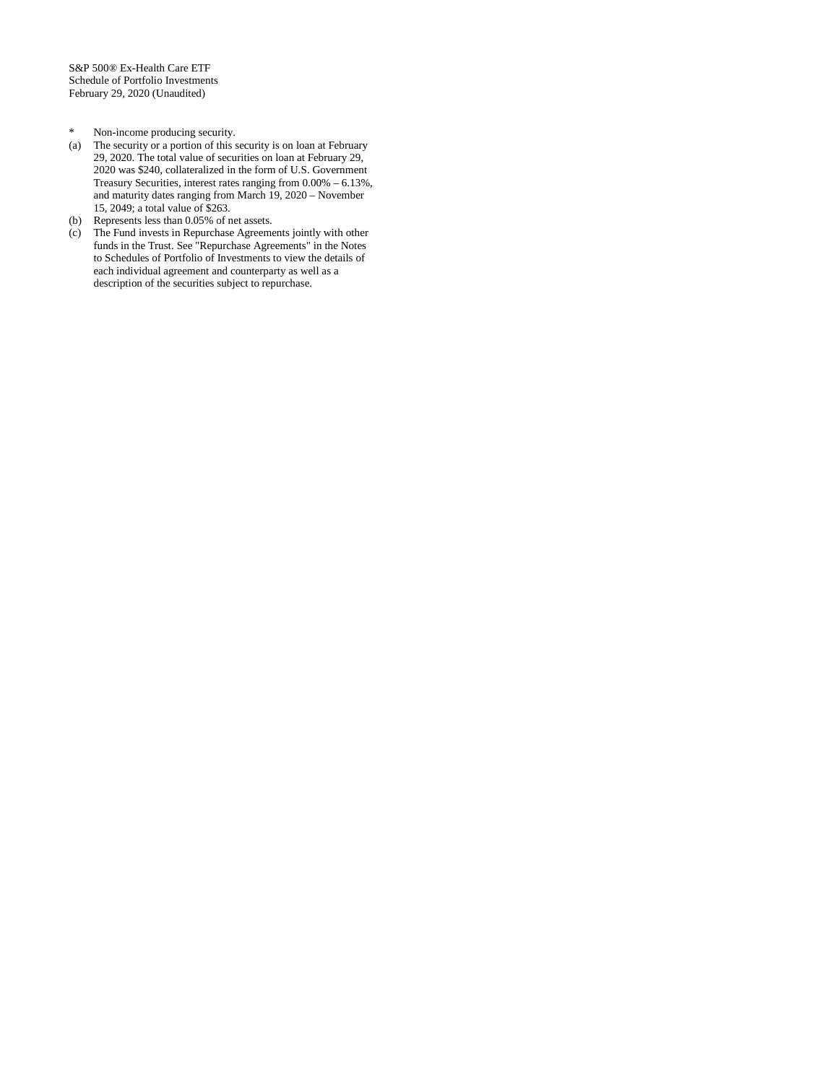- 
- \* Non-income producing security. The security or a portion of this security is on loan at February 29, 2020. The total value of securities on loan at February 29, 2020 was \$240, collateralized in the form of U.S. Government Treasury Securities, interest rates ranging from 0.00% – 6.13%, and maturity dates ranging from March 19, 2020 – November 15, 2049; a total value of \$263.
- (b) Represents less than 0.05% of net assets.
- (c) The Fund invests in Repurchase Agreements jointly with other funds in the Trust. See "Repurchase Agreements" in the Notes to Schedules of Portfolio of Investments to view the details of each individual agreement and counterparty as well as a description of the securities subject to repurchase.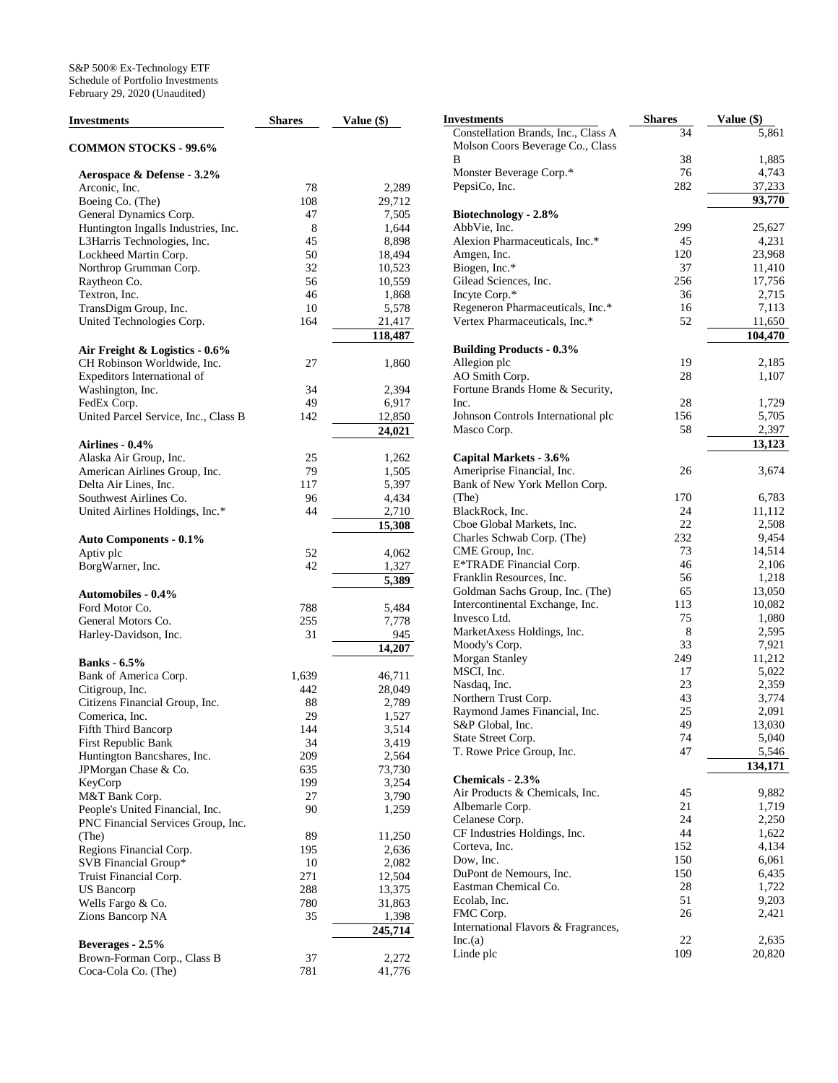| <b>Investments</b>                   | <b>Shares</b> | Value (\$)        | <b>Investments</b>                                                      | <b>Shares</b> | Value (\$)              |
|--------------------------------------|---------------|-------------------|-------------------------------------------------------------------------|---------------|-------------------------|
| <b>COMMON STOCKS - 99.6%</b>         |               |                   | Constellation Brands, Inc., Class A<br>Molson Coors Beverage Co., Class | 34            | 5                       |
|                                      |               |                   | B                                                                       | 38            | 1                       |
| Aerospace & Defense - 3.2%           |               |                   | Monster Beverage Corp.*                                                 | 76            | $\overline{4}$          |
| Arconic, Inc.                        | 78            | 2,289             | PepsiCo, Inc.                                                           | 282           | 37                      |
| Boeing Co. (The)                     | 108           | 29,712            |                                                                         |               | 93                      |
| General Dynamics Corp.               | 47            | 7,505             | Biotechnology - 2.8%                                                    |               |                         |
| Huntington Ingalls Industries, Inc.  | 8             | 1,644             | AbbVie, Inc.                                                            | 299           | 25                      |
| L3Harris Technologies, Inc.          | 45            | 8,898             | Alexion Pharmaceuticals, Inc.*                                          | 45            | $\overline{4}$          |
| Lockheed Martin Corp.                | 50            | 18,494            | Amgen, Inc.                                                             | 120           | 23                      |
| Northrop Grumman Corp.               | 32            | 10,523            | Biogen, Inc.*                                                           | 37            | 11                      |
| Raytheon Co.                         | 56            | 10,559            | Gilead Sciences, Inc.                                                   | 256           | 17                      |
| Textron, Inc.                        | 46            | 1,868             | Incyte Corp.*                                                           | 36            | $\overline{\mathbf{c}}$ |
| TransDigm Group, Inc.                | 10            | 5,578             | Regeneron Pharmaceuticals, Inc.*                                        | 16            | $\overline{7}$          |
| United Technologies Corp.            | 164           | 21,417<br>118,487 | Vertex Pharmaceuticals, Inc.*                                           | 52            | 11<br>104               |
| Air Freight & Logistics - 0.6%       |               |                   | <b>Building Products - 0.3%</b>                                         |               |                         |
| CH Robinson Worldwide, Inc.          | 27            | 1,860             | Allegion plc                                                            | 19            | $\overline{c}$          |
| Expeditors International of          |               |                   | AO Smith Corp.                                                          | 28            | 1                       |
| Washington, Inc.                     | 34            | 2,394             | Fortune Brands Home & Security,                                         |               |                         |
| FedEx Corp.                          | 49            | 6,917             | Inc.                                                                    | 28            | 1                       |
| United Parcel Service, Inc., Class B | 142           | 12,850            | Johnson Controls International plc                                      | 156           | 5                       |
|                                      |               | 24,021            | Masco Corp.                                                             | 58            | $\overline{c}$          |
| Airlines - 0.4%                      |               |                   |                                                                         |               | 13                      |
| Alaska Air Group, Inc.               | 25            | 1,262             | Capital Markets - 3.6%                                                  |               |                         |
| American Airlines Group, Inc.        | 79            | 1,505             | Ameriprise Financial, Inc.                                              | 26            | 3                       |
| Delta Air Lines, Inc.                | 117           | 5,397             | Bank of New York Mellon Corp.                                           |               |                         |
| Southwest Airlines Co.               | 96            | 4,434             | (The)                                                                   | 170           | 6                       |
| United Airlines Holdings, Inc.*      | 44            | 2,710             | BlackRock, Inc.                                                         | 24            | 11                      |
|                                      |               | 15,308            | Cboe Global Markets, Inc.                                               | 22            | $\overline{\mathbf{c}}$ |
| <b>Auto Components - 0.1%</b>        |               |                   | Charles Schwab Corp. (The)                                              | 232           | 9                       |
| Aptiv plc                            | 52            | 4,062             | CME Group, Inc.                                                         | 73            | 14                      |
| BorgWarner, Inc.                     | 42            | 1,327             | E*TRADE Financial Corp.                                                 | 46            | $\overline{\mathbf{c}}$ |
|                                      |               | 5,389             | Franklin Resources, Inc.                                                | 56            | $\mathbf{1}$            |
| <b>Automobiles - 0.4%</b>            |               |                   | Goldman Sachs Group, Inc. (The)                                         | 65            | 13                      |
| Ford Motor Co.                       | 788           | 5,484             | Intercontinental Exchange, Inc.                                         | 113           | 10                      |
| General Motors Co.                   | 255           | 7,778             | Invesco Ltd.                                                            | 75            | 1                       |
| Harley-Davidson, Inc.                | 31            | 945               | MarketAxess Holdings, Inc.                                              | 8             | $\overline{\mathbf{c}}$ |
|                                      |               | 14,207            | Moody's Corp.                                                           | 33            | $\overline{7}$          |
| <b>Banks</b> - 6.5%                  |               |                   | Morgan Stanley                                                          | 249           | 11                      |
| Bank of America Corp.                | 1,639         | 46,711            | MSCI, Inc.                                                              | 17            | 5                       |
| Citigroup, Inc.                      | 442           | 28,049            | Nasdaq, Inc.                                                            | 23            | $\overline{\mathbf{c}}$ |
| Citizens Financial Group, Inc.       | 88            | 2,789             | Northern Trust Corp.                                                    | 43            | 3                       |
| Comerica, Inc.                       | 29            | 1,527             | Raymond James Financial, Inc.                                           | 25            | $\overline{2}$          |
| Fifth Third Bancorp                  | 144           | 3,514             | S&P Global, Inc.                                                        | 49            | 13                      |
| First Republic Bank                  | 34            | 3,419             | State Street Corp.                                                      | 74            | 5                       |
| Huntington Bancshares, Inc.          | 209           | 2,564             | T. Rowe Price Group, Inc.                                               | 47            | 5                       |
| JPMorgan Chase & Co.                 | 635           | 73,730            |                                                                         |               | 134                     |
| KeyCorp                              | 199           | 3,254             | Chemicals - 2.3%                                                        |               |                         |
| M&T Bank Corp.                       | 27            | 3,790             | Air Products & Chemicals, Inc.                                          | 45            | 9                       |
| People's United Financial, Inc.      | 90            | 1,259             | Albemarle Corp.                                                         | 21            | 1                       |
| PNC Financial Services Group, Inc.   |               |                   | Celanese Corp.                                                          | 24            | $\overline{c}$          |
| (The)                                | 89            | 11,250            | CF Industries Holdings, Inc.                                            | 44            | 1                       |
| Regions Financial Corp.              | 195           | 2,636             | Corteva, Inc.                                                           | 152           | 4                       |
| SVB Financial Group*                 | 10            | 2,082             | Dow, Inc.                                                               | 150           | 6                       |
| Truist Financial Corp.               | 271           | 12,504            | DuPont de Nemours, Inc.                                                 | 150           | 6                       |
| US Bancorp                           | 288           | 13,375            | Eastman Chemical Co.                                                    | 28            | 1                       |
| Wells Fargo & Co.                    | 780           | 31,863            | Ecolab, Inc.                                                            | 51            | 9                       |
| Zions Bancorp NA                     | 35            | 1,398             | FMC Corp.                                                               | 26            | $\overline{2}$          |
|                                      |               | 245,714           | International Flavors & Fragrances,                                     |               |                         |
| Beverages - 2.5%                     |               |                   | Inc.(a)                                                                 | 22            | $\overline{2}$          |
| Brown-Forman Corp., Class B          | 37            | 2,272             | Linde plc                                                               | 109           | 20                      |
| Coca-Cola Co. (The)                  | 781           | 41,776            |                                                                         |               |                         |

Constellation Brands, Inc., Class A 34 5,861 Molson Coors Beverage Co., Class B 38 1,885 Monster Beverage Corp.\* 76 76 4,743 282 37,233 **93,770** AbbVie, Inc. 299 25,627 Alexion Pharmaceuticals, Inc.\* 45 4,231 120 23,968<br>37 11,410 37 11,410<br>256 17,756 256 17,756<br>36 2,715 Incyte Corp.\* 36 2,715 Regeneron Pharmaceuticals, Inc.\* 16 7,113 Vertex Pharmaceuticals, Inc.\* 52 11,650 **104,470** Allegion plc 2,185 AO Smith Corp. 28 28 1,107 Fortune Brands Home & Security,  $\text{Inc.} \qquad \qquad 28 \qquad \qquad 1,729$ Johnson Controls International plc 156 5,705 Masco Corp. 68 2,397 **13,123** Ameriprise Financial, Inc. 26 26 3,674 Bank of New York Mellon Corp. (The) 170 6,783 24 11,112<br>22 2,508 Cboe Global Markets, Inc. 22 2,508 Charles Schwab Corp. (The) 232 9,454 CME Group, Inc. 73 14,514 E\*TRADE Financial Corp. 46 2,106 Franklin Resources, Inc. 56 1,218 Goldman Sachs Group, Inc. (The) 65 13,050 113 10,082<br>75 1,080 Invesco Ltd. 25 2020 1,080 MarketAxess Holdings, Inc. 8 2,595 Moody's Corp. 33 7,921  $\begin{array}{cc} 249 & & 11,212 \\ 17 & & 5,022 \end{array}$ MSCI, Inc. 17 5,022 Nasdaq, Inc. 23 2,359 Northern Trust Corp. 43 3,774 Raymond James Financial, Inc. 25 2,091 S&P Global, Inc. 49 13,030 State Street Corp. 74 5,040 T. Rowe Price Group, Inc. 47 5,546 **134,171** Air Products & Chemicals, Inc. 45 9,882 Albemarle Corp. 21 21 1,719 Celanese Corp. 24 2,250 CF Industries Holdings, Inc. 44 1,622 Corteva, Inc. 152 4,134 Dow, Inc. 6,061 DuPont de Nemours, Inc. 150 6,435 Eastman Chemical Co. 28 28 1,722 Ecolab, Inc. 51 9,203 FMC Corp. 26 2,421 ces,  $Inc.(a)$  22 2,635 109 20,820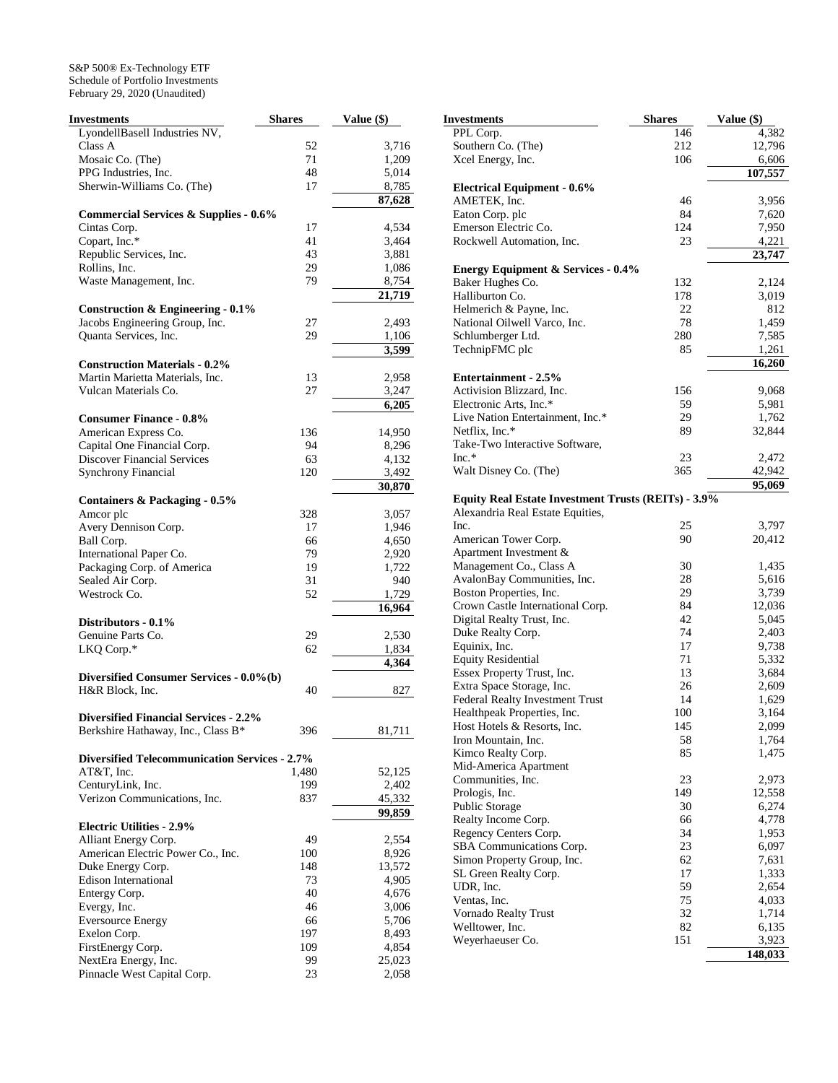| Investments                                                | <b>Shares</b> | Value (\$)      |
|------------------------------------------------------------|---------------|-----------------|
| LyondellBasell Industries NV,                              |               |                 |
| Class A                                                    | 52            | 3,716           |
| Mosaic Co. (The)                                           | 71            | 1,209           |
| PPG Industries, Inc.                                       | 48            | 5,014           |
| Sherwin-Williams Co. (The)                                 | 17            | 8,785           |
|                                                            |               | 87,628          |
| Commercial Services & Supplies - 0.6%                      |               |                 |
| Cintas Corp.                                               | 17            | 4,534           |
| Copart, Inc.*                                              | 41            | 3,464           |
| Republic Services, Inc.                                    | 43            | 3,881           |
| Rollins, Inc.                                              | 29            | 1,086           |
| Waste Management, Inc.                                     | 79            | 8,754<br>21,719 |
| <b>Construction &amp; Engineering - 0.1%</b>               |               |                 |
| Jacobs Engineering Group, Inc.                             | 27            | 2,493           |
| Quanta Services, Inc.                                      | 29            | 1,106           |
|                                                            |               | 3,599           |
| <b>Construction Materials - 0.2%</b>                       |               |                 |
| Martin Marietta Materials, Inc.                            | 13            | 2,958           |
| Vulcan Materials Co.                                       | 27            | 3,247           |
|                                                            |               | 6,205           |
| <b>Consumer Finance - 0.8%</b>                             |               |                 |
| American Express Co.                                       | 136           | 14,950          |
| Capital One Financial Corp.                                | 94            | 8,296           |
| <b>Discover Financial Services</b>                         | 63            | 4,132           |
| <b>Synchrony Financial</b>                                 | 120           | 3,492<br>30,870 |
| Containers & Packaging - 0.5%                              |               |                 |
| Amcor plc                                                  | 328           | 3,057           |
| Avery Dennison Corp.                                       | 17            | 1,946           |
| <b>Ball Corp.</b>                                          | 66            | 4,650           |
| International Paper Co.                                    | 79            | 2,920           |
| Packaging Corp. of America                                 | 19            | 1,722           |
| Sealed Air Corp.                                           | 31            | 940             |
| Westrock Co.                                               | 52            | 1,729           |
|                                                            |               | 16,964          |
| Distributors - 0.1%                                        |               |                 |
| Genuine Parts Co.                                          | 29            | 2,530           |
| LKQ Corp.*                                                 | 62            | 1,834           |
|                                                            |               | 4,364           |
| Diversified Consumer Services - 0.0%(b)<br>H&R Block, Inc. | 40            | 827             |
|                                                            |               |                 |
| <b>Diversified Financial Services - 2.2%</b>               |               |                 |
| Berkshire Hathaway, Inc., Class B*                         | 396           | 81,711          |
| Diversified Telecommunication Services - 2.7%              |               |                 |
| AT&T, Inc.                                                 | 1,480         |                 |
| CenturyLink, Inc.                                          | 199           | 52,125<br>2,402 |
| Verizon Communications, Inc.                               | 837           | 45,332          |
|                                                            |               | 99,859          |
| <b>Electric Utilities - 2.9%</b>                           |               |                 |
| Alliant Energy Corp.                                       | 49            | 2,554           |
| American Electric Power Co., Inc.                          | 100           | 8,926           |
| Duke Energy Corp.                                          | 148           | 13,572          |
| <b>Edison International</b>                                | 73            | 4,905           |
| Entergy Corp.                                              | 40            | 4,676           |
| Evergy, Inc.                                               | 46            | 3,006           |
| <b>Eversource Energy</b>                                   | 66            | 5,706           |
| Exelon Corp.                                               | 197           | 8,493           |
| FirstEnergy Corp.                                          | 109           | 4,854           |
| NextEra Energy, Inc.                                       | 99            | 25,023          |
| Pinnacle West Capital Corp.                                | 23            | 2,058           |

| Investments                                                    | <b>Shares</b> | Value (\$)          |
|----------------------------------------------------------------|---------------|---------------------|
| PPL Corp.                                                      | 146           | 4,382               |
| Southern Co. (The)                                             | 212           | 12,796              |
| Xcel Energy, Inc.                                              | 106           | 6,606               |
|                                                                |               | 107,557             |
| <b>Electrical Equipment - 0.6%</b>                             |               |                     |
| AMETEK, Inc.                                                   | 46            | 3,956               |
| Eaton Corp. plc                                                | 84            | 7,620               |
| Emerson Electric Co.                                           | 124           | 7,950               |
| Rockwell Automation, Inc.                                      | 23            | 4,221               |
|                                                                |               | $\overline{23,747}$ |
| <b>Energy Equipment &amp; Services - 0.4%</b>                  |               |                     |
| Baker Hughes Co.                                               | 132           | 2,124               |
| Halliburton Co.                                                | 178           | 3,019               |
| Helmerich & Payne, Inc.                                        | 22            | 812                 |
| National Oilwell Varco, Inc.                                   | 78<br>280     | 1,459               |
| Schlumberger Ltd.<br>TechnipFMC plc                            | 85            | 7,585<br>1,261      |
|                                                                |               | 16,260              |
| <b>Entertainment - 2.5%</b>                                    |               |                     |
| Activision Blizzard, Inc.                                      | 156           | 9,068               |
| Electronic Arts, Inc.*                                         | 59            | 5,981               |
| Live Nation Entertainment, Inc.*                               | 29            | 1,762               |
| Netflix, Inc.*                                                 | 89            | 32,844              |
| Take-Two Interactive Software,                                 |               |                     |
| $Inc.*$                                                        | 23            | 2,472               |
| Walt Disney Co. (The)                                          | 365           | 42,942              |
|                                                                |               | 95,069              |
| <b>Equity Real Estate Investment Trusts (REITs) - 3.9%</b>     |               |                     |
| Alexandria Real Estate Equities,                               |               |                     |
| Inc.                                                           | 25            | 3,797               |
| American Tower Corp.                                           | 90            | 20,412              |
| Apartment Investment &                                         |               |                     |
| Management Co., Class A                                        | 30            | 1,435               |
| AvalonBay Communities, Inc.                                    | 28            | 5,616               |
| Boston Properties, Inc.                                        | 29            | 3,739               |
| Crown Castle International Corp.                               | 84            | 12,036              |
| Digital Realty Trust, Inc.                                     | 42            | 5,045               |
| Duke Realty Corp.                                              | 74            | 2,403               |
| Equinix, Inc.                                                  | 17            | 9,738               |
| <b>Equity Residential</b>                                      | 71            | 5,332               |
| Essex Property Trust, Inc.                                     | 13            | 3,684               |
| Extra Space Storage, Inc.                                      | 26            | 2,609               |
| Federal Realty Investment Trust<br>Healthpeak Properties, Inc. | 14            | 1,629               |
|                                                                | 100           | 3,164               |
| Host Hotels & Resorts, Inc.<br>Iron Mountain, Inc.             | 145<br>58     | 2,099<br>1,764      |
| Kimco Realty Corp.                                             | 85            | 1,475               |
| Mid-America Apartment                                          |               |                     |
| Communities, Inc.                                              | 23            | 2,973               |
| Prologis, Inc.                                                 | 149           | 12,558              |
| Public Storage                                                 | 30            | 6,274               |
| Realty Income Corp.                                            | 66            | 4,778               |
| Regency Centers Corp.                                          | 34            | 1,953               |
| SBA Communications Corp.                                       | 23            | 6,097               |
| Simon Property Group, Inc.                                     | 62            | 7,631               |
| SL Green Realty Corp.                                          | 17            | 1,333               |
| UDR, Inc.                                                      | 59            | 2,654               |
| Ventas, Inc.                                                   | 75            | 4,033               |
| Vornado Realty Trust                                           | 32            | 1,714               |
| Welltower, Inc.                                                | 82            | 6,135               |
| Weyerhaeuser Co.                                               | 151           | 3,923               |
|                                                                |               | 148,033             |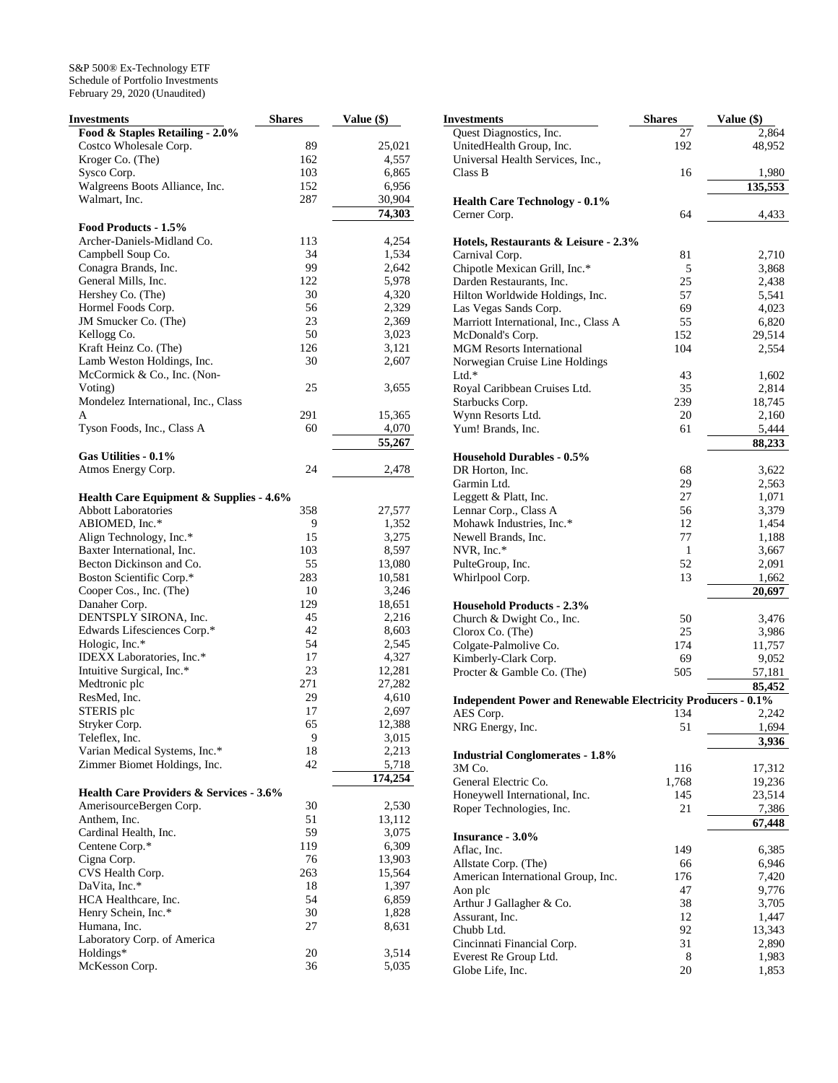| Investments                                        | <b>Shares</b> | Value (\$)      |
|----------------------------------------------------|---------------|-----------------|
| Food & Staples Retailing - 2.0%                    |               |                 |
| Costco Wholesale Corp.                             | 89            | 25,021          |
| Kroger Co. (The)                                   | 162           | 4,557           |
| Sysco Corp.                                        | 103           | 6,865           |
| Walgreens Boots Alliance, Inc.                     | 152           | 6,956           |
| Walmart, Inc.                                      | 287           | 30,904          |
|                                                    |               | 74,303          |
| Food Products - 1.5%                               |               |                 |
| Archer-Daniels-Midland Co.                         | 113           | 4,254           |
| Campbell Soup Co.                                  | 34            | 1,534           |
| Conagra Brands, Inc.                               | 99            | 2,642           |
| General Mills, Inc.                                | 122           | 5,978           |
| Hershey Co. (The)                                  | 30            | 4,320           |
| Hormel Foods Corp.                                 | 56            | 2,329           |
| JM Smucker Co. (The)                               | 23            | 2,369           |
| Kellogg Co.                                        | 50            | 3,023           |
| Kraft Heinz Co. (The)                              | 126           | 3,121           |
| Lamb Weston Holdings, Inc.                         | 30            | 2,607           |
| McCormick & Co., Inc. (Non-                        |               |                 |
| Voting)                                            | 25            | 3,655           |
| Mondelez International, Inc., Class                |               |                 |
| A                                                  | 291           | 15,365          |
| Tyson Foods, Inc., Class A                         | 60            | 4,070           |
|                                                    |               | 55,267          |
| Gas Utilities - 0.1%                               |               |                 |
| Atmos Energy Corp.                                 | 24            | 2,478           |
| <b>Health Care Equipment &amp; Supplies - 4.6%</b> |               |                 |
| <b>Abbott Laboratories</b>                         | 358           | 27,577          |
| ABIOMED, Inc.*                                     | 9             | 1,352           |
| Align Technology, Inc.*                            | 15            | 3,275           |
| Baxter International, Inc.                         | 103           | 8,597           |
| Becton Dickinson and Co.                           | 55            | 13,080          |
| Boston Scientific Corp.*                           | 283           | 10,581          |
| Cooper Cos., Inc. (The)                            | 10            | 3,246           |
| Danaher Corp.                                      | 129           | 18,651          |
| DENTSPLY SIRONA, Inc.                              | 45            | 2,216           |
| Edwards Lifesciences Corp.*                        | 42            | 8,603           |
| Hologic, Inc.*                                     | 54            | 2,545           |
| IDEXX Laboratories, Inc.*                          | 17            | 4,327           |
| Intuitive Surgical, Inc.*                          | 23            | 12,281          |
| Medtronic plc                                      | 271           | 27,282          |
| ResMed, Inc.                                       | 29            | 4,610           |
| STERIS plc                                         | 17            | 2,697           |
| Stryker Corp.                                      | 65            | 12,388          |
| Teleflex, Inc.                                     | 9             | 3,015           |
| Varian Medical Systems, Inc.*                      | 18            | 2,213           |
| Zimmer Biomet Holdings, Inc.                       | 42            | 5,718           |
|                                                    |               | 174,254         |
| <b>Health Care Providers &amp; Services - 3.6%</b> |               |                 |
| AmerisourceBergen Corp.                            | 30            | 2,530           |
| Anthem, Inc.                                       | 51            | 13,112          |
| Cardinal Health, Inc.                              | 59            | 3,075           |
| Centene Corp.*                                     | 119           | 6,309           |
| Cigna Corp.                                        | 76            | 13,903          |
| CVS Health Corp.                                   | 263           | 15,564<br>1,397 |
| DaVita, Inc.*                                      | 18            |                 |
| HCA Healthcare, Inc.                               | 54            | 6,859           |
| Henry Schein, Inc.*                                | 30            | 1,828           |
| Humana, Inc.<br>Laboratory Corp. of America        | 27            | 8,631           |
| Holdings*                                          | 20            | 3,514           |
| McKesson Corp.                                     | 36            | 5,035           |
|                                                    |               |                 |

| Investments                                                         | <b>Shares</b> | Value (\$)          |
|---------------------------------------------------------------------|---------------|---------------------|
| Quest Diagnostics, Inc.                                             | 27            | 2,864               |
| UnitedHealth Group, Inc.                                            | 192           | 48,952              |
| Universal Health Services, Inc.,                                    |               |                     |
| Class B                                                             | 16            | 1,980               |
|                                                                     |               | 135,553             |
| <b>Health Care Technology - 0.1%</b>                                |               |                     |
| Cerner Corp.                                                        | 64            | 4,433               |
|                                                                     |               |                     |
| Hotels, Restaurants & Leisure - 2.3%<br>Carnival Corp.              | 81            | 2,710               |
| Chipotle Mexican Grill, Inc.*                                       | 5             | 3,868               |
| Darden Restaurants, Inc.                                            | 25            | 2,438               |
| Hilton Worldwide Holdings, Inc.                                     | 57            | 5,541               |
| Las Vegas Sands Corp.                                               | 69            | 4,023               |
| Marriott International, Inc., Class A                               | 55            | 6,820               |
| McDonald's Corp.                                                    | 152           | 29,514              |
| <b>MGM Resorts International</b>                                    | 104           | 2,554               |
| Norwegian Cruise Line Holdings                                      |               |                     |
| $Ltd.*$                                                             | 43            | 1,602               |
| Royal Caribbean Cruises Ltd.                                        | 35            | 2,814               |
| Starbucks Corp.                                                     | 239           | 18,745              |
| Wynn Resorts Ltd.                                                   | 20            | 2,160               |
| Yum! Brands, Inc.                                                   | 61            | 5,444               |
|                                                                     |               | 88,233              |
| <b>Household Durables - 0.5%</b>                                    |               |                     |
| DR Horton, Inc.                                                     | 68            | 3,622               |
| Garmin Ltd.                                                         | 29            | 2,563               |
| Leggett & Platt, Inc.                                               | 27            | 1,071               |
| Lennar Corp., Class A                                               | 56            | 3,379               |
| Mohawk Industries, Inc.*                                            | 12            | 1,454               |
| Newell Brands, Inc.                                                 | 77            | 1,188               |
| NVR, Inc.*                                                          | 1             | 3,667               |
| PulteGroup, Inc.<br>Whirlpool Corp.                                 | 52<br>13      | 2,091<br>1,662      |
|                                                                     |               | $\overline{20,697}$ |
| <b>Household Products - 2.3%</b>                                    |               |                     |
| Church & Dwight Co., Inc.                                           | 50            | 3,476               |
| Clorox Co. (The)                                                    | 25            | 3,986               |
| Colgate-Palmolive Co.                                               | 174           | 11,757              |
| Kimberly-Clark Corp.                                                | 69            | 9,052               |
| Procter & Gamble Co. (The)                                          | 505           | 57,181              |
|                                                                     |               | 85,452              |
| <b>Independent Power and Renewable Electricity Producers - 0.1%</b> |               |                     |
| AES Corp.                                                           | 134           | 2,242               |
| NRG Energy, Inc.                                                    | 51            | 1,694<br>3,936      |
| <b>Industrial Conglomerates - 1.8%</b>                              |               |                     |
| 3M Co.                                                              | 116           | 17,312              |
| General Electric Co.                                                | 1,768         | 19,236              |
| Honeywell International, Inc.                                       | 145           | 23,514              |
| Roper Technologies, Inc.                                            | 21            | 7,386               |
|                                                                     |               | 67,448              |
| <b>Insurance - 3.0%</b>                                             |               |                     |
| Aflac, Inc.                                                         | 149           | 6,385               |
| Allstate Corp. (The)                                                | 66            | 6,946               |
| American International Group, Inc.                                  | 176           | 7,420               |
| Aon plc                                                             | 47            | 9,776               |
| Arthur J Gallagher & Co.                                            | 38            | 3,705               |
| Assurant, Inc.                                                      | 12            | 1,447               |
| Chubb Ltd.                                                          | 92            | 13,343              |
| Cincinnati Financial Corp.                                          | 31            | 2,890               |
| Everest Re Group Ltd.                                               | 8             | 1,983               |
| Globe Life, Inc.                                                    | 20            | 1,853               |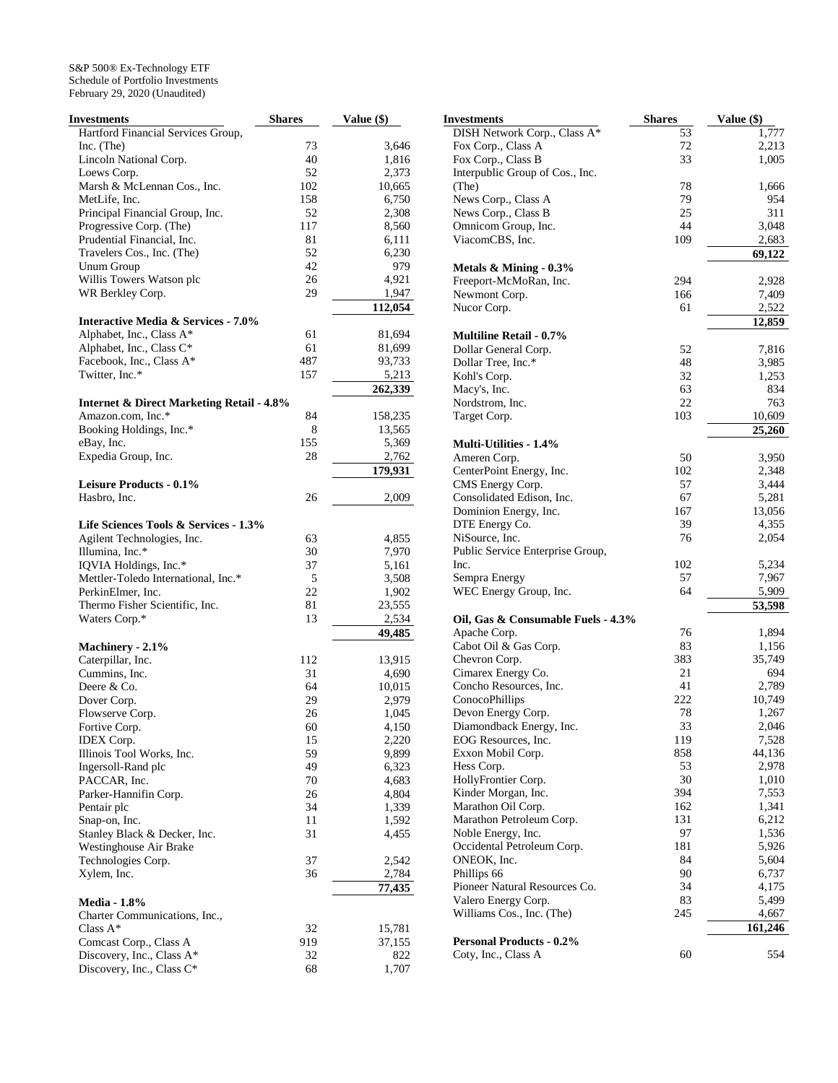| Investments                                          | <b>Shares</b> | Value (\$) |
|------------------------------------------------------|---------------|------------|
| Hartford Financial Services Group,                   |               |            |
| Inc. (The)                                           | 73            | 3,646      |
| Lincoln National Corp.                               | 40            | 1,816      |
| Loews Corp.                                          | 52            | 2,373      |
| Marsh & McLennan Cos., Inc.                          | 102           | 10,665     |
| MetLife, Inc.                                        | 158           | 6,750      |
| Principal Financial Group, Inc.                      | 52            | 2,308      |
| Progressive Corp. (The)                              | 117           | 8,560      |
| Prudential Financial, Inc.                           | 81            | 6,111      |
| Travelers Cos., Inc. (The)                           | 52            | 6,230      |
| <b>Unum Group</b>                                    | 42            | 979        |
| Willis Towers Watson plc                             | 26            | 4,921      |
| WR Berkley Corp.                                     | 29            | 1,947      |
|                                                      |               | 112,054    |
| <b>Interactive Media &amp; Services - 7.0%</b>       |               |            |
| Alphabet, Inc., Class A*                             | 61            | 81,694     |
| Alphabet, Inc., Class C*                             | 61            | 81,699     |
| Facebook, Inc., Class A*                             | 487           | 93,733     |
| Twitter, Inc.*                                       | 157           | 5,213      |
|                                                      |               | 262,339    |
| <b>Internet &amp; Direct Marketing Retail - 4.8%</b> |               |            |
| Amazon.com, Inc.*                                    | 84            | 158,235    |
| Booking Holdings, Inc.*                              | 8             | 13,565     |
| eBay, Inc.                                           | 155           | 5,369      |
| Expedia Group, Inc.                                  | 28            | 2,762      |
|                                                      |               | 179,931    |
| Leisure Products - 0.1%                              |               |            |
| Hasbro, Inc.                                         | 26            | 2,009      |
|                                                      |               |            |
| Life Sciences Tools & Services - 1.3%                |               |            |
| Agilent Technologies, Inc.                           | 63            | 4,855      |
| Illumina, Inc.*                                      | 30            | 7,970      |
| IQVIA Holdings, Inc.*                                | 37            | 5,161      |
| Mettler-Toledo International, Inc.*                  | 5             | 3,508      |
| PerkinElmer, Inc.                                    | 22            | 1,902      |
| Thermo Fisher Scientific, Inc.                       | 81            | 23,555     |
| Waters Corp.*                                        | 13            | 2,534      |
|                                                      |               | 49,485     |
| Machinery - 2.1%                                     |               |            |
| Caterpillar, Inc.                                    | 112           | 13,915     |
| Cummins, Inc.                                        | 31            | 4,690      |
| Deere & Co.                                          | 64            | 10,015     |
| Dover Corp.                                          | 29            | 2,979      |
| Flowserve Corp.                                      | 26            | 1,045      |
| Fortive Corp.                                        | 60            | 4,150      |
| <b>IDEX</b> Corp.                                    | 15            | 2,220      |
| Illinois Tool Works, Inc.                            | 59            | 9,899      |
| Ingersoll-Rand plc                                   | 49            | 6,323      |
| PACCAR, Inc.                                         | 70            | 4,683      |
| Parker-Hannifin Corp.                                | 26            | 4,804      |
| Pentair plc                                          | 34            | 1,339      |
| Snap-on, Inc.                                        | 11            | 1,592      |
| Stanley Black & Decker, Inc.                         | 31            | 4,455      |
| Westinghouse Air Brake                               |               |            |
| Technologies Corp.                                   | 37            | 2,542      |
| Xylem, Inc.                                          | 36            | 2,784      |
|                                                      |               | 77,435     |
| <b>Media - 1.8%</b>                                  |               |            |
| Charter Communications, Inc.,                        |               |            |
| Class $A^*$                                          | 32            | 15,781     |
| Comcast Corp., Class A                               | 919           | 37,155     |
| Discovery, Inc., Class A*                            | 32            | 822        |
| Discovery, Inc., Class C*                            | 68            | 1,707      |

| Investments                        | Shares   | Value (\$)      |
|------------------------------------|----------|-----------------|
| DISH Network Corp., Class A*       | 53       | 1,777           |
| Fox Corp., Class A                 | 72       | 2,213           |
| Fox Corp., Class B                 | 33       | 1,005           |
| Interpublic Group of Cos., Inc.    |          |                 |
| (The)                              | 78       | 1,666           |
| News Corp., Class A                | 79       | 954             |
| News Corp., Class B                | 25       | 311             |
| Omnicom Group, Inc.                | 44       | 3,048           |
| ViacomCBS, Inc.                    | 109      | 2,683<br>69,122 |
| Metals $&$ Mining - 0.3%           |          |                 |
| Freeport-McMoRan, Inc.             | 294      | 2,928           |
| Newmont Corp.                      | 166      | 7,409           |
| Nucor Corp.                        | 61       | 2,522           |
|                                    |          | 12,859          |
| <b>Multiline Retail - 0.7%</b>     |          |                 |
| Dollar General Corp.               | 52       | 7,816           |
| Dollar Tree, Inc.*                 | 48       | 3,985           |
| Kohl's Corp.                       | 32       | 1,253           |
| Macy's, Inc.                       | 63<br>22 | 834             |
| Nordstrom, Inc.<br>Target Corp.    | 103      | 763<br>10,609   |
|                                    |          | 25,260          |
| <b>Multi-Utilities - 1.4%</b>      |          |                 |
| Ameren Corp.                       | 50       | 3,950           |
| CenterPoint Energy, Inc.           | 102      | 2,348           |
| CMS Energy Corp.                   | 57       | 3,444           |
| Consolidated Edison, Inc.          | 67       | 5,281           |
| Dominion Energy, Inc.              | 167      | 13,056          |
| DTE Energy Co.                     | 39       | 4,355           |
| NiSource, Inc.                     | 76       | 2,054           |
| Public Service Enterprise Group,   |          |                 |
| Inc.                               | 102      | 5,234           |
| Sempra Energy                      | 57       | 7,967           |
| WEC Energy Group, Inc.             | 64       | 5,909<br>53,598 |
| Oil, Gas & Consumable Fuels - 4.3% |          |                 |
| Apache Corp.                       | 76       | 1,894           |
| Cabot Oil & Gas Corp.              | 83       | 1,156           |
| Chevron Corp.                      | 383      | 35,749          |
| Cimarex Energy Co.                 | 21       | 694             |
| Concho Resources, Inc.             | 41       | 2,789           |
| ConocoPhillips                     | 222      | 10,749          |
| Devon Energy Corp.                 | 78       | 1,267           |
| Diamondback Energy, Inc.           | 33       | 2,046           |
| EOG Resources, Inc.                | 119      | 7,528           |
| Exxon Mobil Corp.                  | 858      | 44,136          |
| Hess Corp.<br>HollyFrontier Corp.  | 53<br>30 | 2,978<br>1,010  |
| Kinder Morgan, Inc.                | 394      | 7,553           |
| Marathon Oil Corp.                 | 162      | 1,341           |
| Marathon Petroleum Corp.           | 131      | 6,212           |
| Noble Energy, Inc.                 | 97       | 1,536           |
| Occidental Petroleum Corp.         | 181      | 5,926           |
| ONEOK, Inc.                        | 84       | 5,604           |
| Phillips 66                        | 90       | 6,737           |
| Pioneer Natural Resources Co.      | 34       | 4,175           |
| Valero Energy Corp.                | 83       | 5,499           |
| Williams Cos., Inc. (The)          | 245      | 4,667           |
|                                    |          | 161,246         |
| <b>Personal Products - 0.2%</b>    |          | 554             |
| Coty, Inc., Class A                | 60       |                 |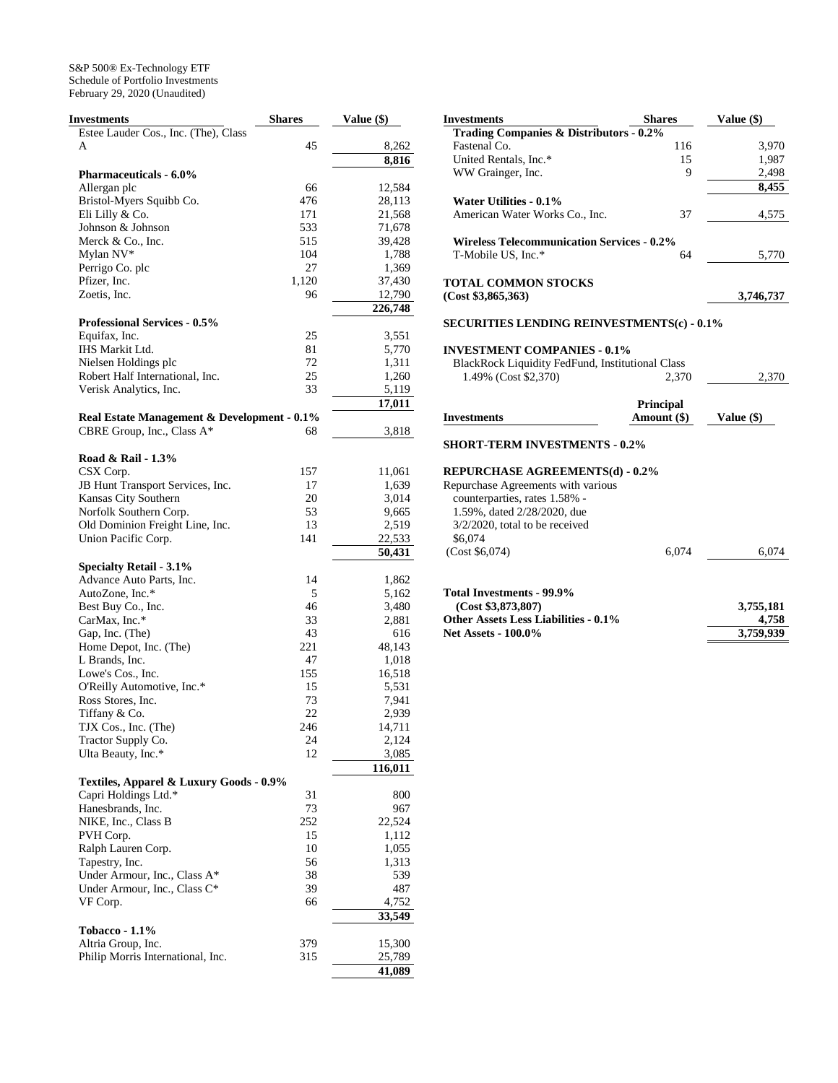| Investments                                 | <b>Shares</b> | <b>Value</b> (\$) |
|---------------------------------------------|---------------|-------------------|
| Estee Lauder Cos., Inc. (The), Class        |               |                   |
| A                                           | 45            | 8,262             |
|                                             |               | 8,816             |
| <b>Pharmaceuticals - 6.0%</b>               |               |                   |
| Allergan plc                                | 66            | 12,584            |
| Bristol-Myers Squibb Co.                    | 476           | 28,113            |
| Eli Lilly & Co.                             | 171           | 21,568            |
| Johnson & Johnson                           | 533           | 71,678            |
| Merck & Co., Inc.                           | 515           | 39,428            |
| Mylan NV*                                   | 104           | 1,788             |
| Perrigo Co. plc                             | 27            | 1,369             |
| Pfizer, Inc.                                | 1,120         | 37,430            |
| Zoetis, Inc.                                | 96            | 12,790            |
|                                             |               | 226,748           |
| <b>Professional Services - 0.5%</b>         |               |                   |
| Equifax, Inc.                               | 25            | 3,551             |
| IHS Markit Ltd.                             | 81            | 5,770             |
| Nielsen Holdings plc                        | 72            | 1,311             |
| Robert Half International, Inc.             | 25            | 1,260             |
| Verisk Analytics, Inc.                      | 33            | 5,119             |
|                                             |               | 17,011            |
| Real Estate Management & Development - 0.1% |               |                   |
| CBRE Group, Inc., Class A*                  | 68            | 3,818             |
|                                             |               |                   |
| Road & Rail - 1.3%                          |               |                   |
| CSX Corp.                                   | 157           | 11,061            |
| JB Hunt Transport Services, Inc.            | 17            | 1,639             |
| Kansas City Southern                        | 20            | 3,014             |
| Norfolk Southern Corp.                      | 53            | 9,665             |
| Old Dominion Freight Line, Inc.             | 13            | 2,519             |
| Union Pacific Corp.                         | 141           | 22,533            |
|                                             |               | 50,431            |
| <b>Specialty Retail - 3.1%</b>              |               |                   |
| Advance Auto Parts, Inc.                    | 14            | 1,862             |
| AutoZone, Inc.*                             | 5             | 5,162             |
| Best Buy Co., Inc.                          | 46            | 3,480             |
| CarMax, Inc.*                               | 33            | 2,881             |
| Gap, Inc. (The)                             | 43            | 616               |
| Home Depot, Inc. (The)                      | 221           | 48,143            |
| L Brands, Inc.                              | 47            | 1,018             |
| Lowe's Cos., Inc.                           | 155           | 16,518            |
| O'Reilly Automotive, Inc.*                  | 15            | 5,531             |
| Ross Stores, Inc.                           | 73            | 7,941             |
| Tiffany & Co.                               | 22            | 2,939             |
| TJX Cos., Inc. (The)                        | 246           | 14,711            |
| Tractor Supply Co.                          | 24            | 2,124             |
| Ulta Beauty, Inc.*                          | 12            | 3,085             |
|                                             |               | 116,011           |
| Textiles, Apparel & Luxury Goods - 0.9%     |               |                   |
| Capri Holdings Ltd.*                        | 31            | 800               |
| Hanesbrands, Inc.                           | 73            | 967               |
| NIKE, Inc., Class B                         | 252           | 22,524            |
| PVH Corp.                                   | 15            | 1,112             |
| Ralph Lauren Corp.                          | 10            | 1,055             |
| Tapestry, Inc.                              | 56            | 1,313             |
| Under Armour, Inc., Class A*                | 38            | 539               |
| Under Armour, Inc., Class C*                | 39            | 487               |
| VF Corp.                                    | 66            | 4,752             |
|                                             |               | 33,549            |
| <b>Tobacco - 1.1%</b>                       |               |                   |
| Altria Group, Inc.                          | 379           | 15,300            |
| Philip Morris International, Inc.           | 315           | 25,789            |
|                                             |               | 41,089            |

| <b>Investments</b>                                                           | <b>Shares</b>    | Value (\$)         |
|------------------------------------------------------------------------------|------------------|--------------------|
| <b>Trading Companies &amp; Distributors - 0.2%</b>                           |                  |                    |
| Fastenal Co.                                                                 | 116              | 3,970              |
| United Rentals, Inc.*                                                        | 15               | 1,987              |
| WW Grainger, Inc.                                                            | 9                | 2,498<br>8,455     |
| Water Utilities - 0.1%                                                       |                  |                    |
| American Water Works Co., Inc.                                               | 37               | 4,575              |
| <b>Wireless Telecommunication Services - 0.2%</b>                            |                  |                    |
| T-Mobile US, Inc.*                                                           | 64               | 5,770              |
| <b>TOTAL COMMON STOCKS</b>                                                   |                  |                    |
| (Cost \$3,865,363)                                                           |                  | 3,746,737          |
| <b>SECURITIES LENDING REINVESTMENTS(c) - 0.1%</b>                            |                  |                    |
| <b>INVESTMENT COMPANIES - 0.1%</b>                                           |                  |                    |
| <b>BlackRock Liquidity FedFund, Institutional Class</b>                      |                  |                    |
| 1.49% (Cost \$2,370)                                                         | 2,370            | 2,370              |
|                                                                              | <b>Principal</b> |                    |
| <b>Investments</b>                                                           | Amount (\$)      | Value $(\$)$       |
|                                                                              |                  |                    |
|                                                                              |                  |                    |
| <b>SHORT-TERM INVESTMENTS - 0.2%</b>                                         |                  |                    |
|                                                                              |                  |                    |
|                                                                              |                  |                    |
| counterparties, rates 1.58% -                                                |                  |                    |
| 1.59%, dated 2/28/2020, due<br>3/2/2020, total to be received                |                  |                    |
| \$6,074                                                                      |                  |                    |
| (Cost \$6,074)                                                               | 6,074            |                    |
| <b>REPURCHASE AGREEMENTS(d) - 0.2%</b><br>Repurchase Agreements with various |                  |                    |
| Total Investments - 99.9%                                                    |                  | 6,074              |
| (Cost \$3,873,807)                                                           |                  | 3,755,181          |
| <b>Other Assets Less Liabilities - 0.1%</b><br><b>Net Assets - 100.0%</b>    |                  | 4,758<br>3,759,939 |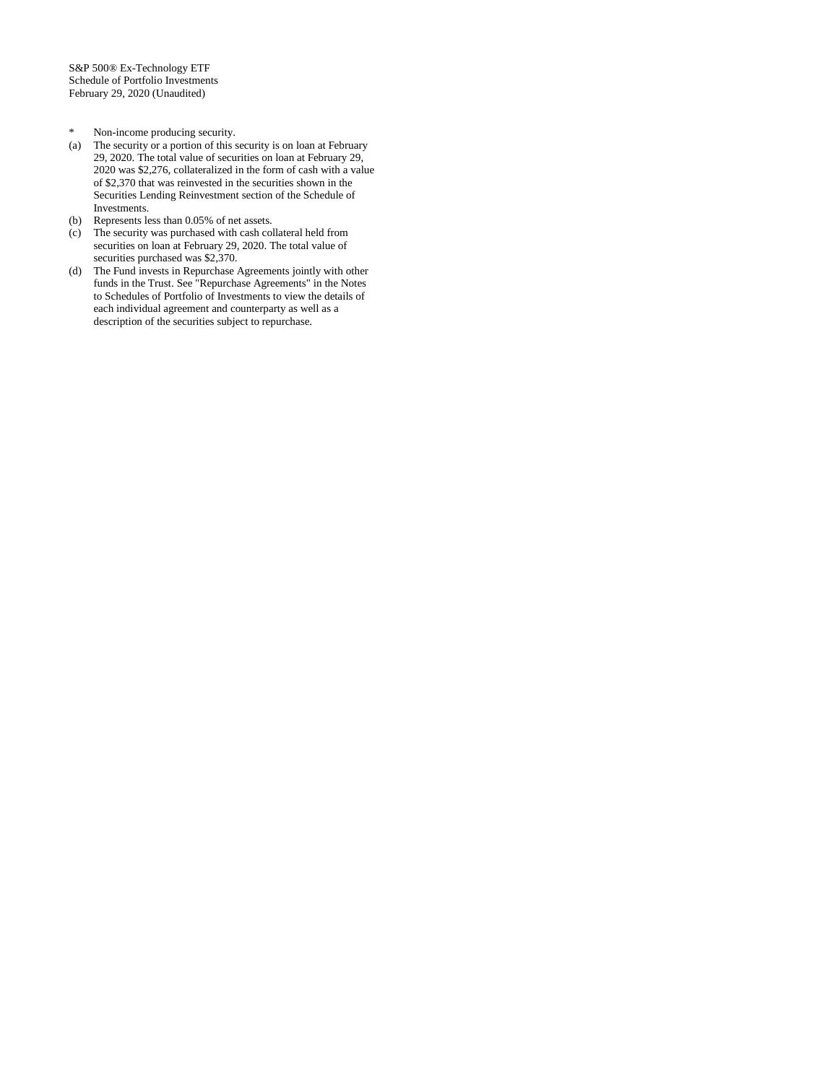- \* Non-income producing security.<br>(a) The security or a portion of this s
- The security or a portion of this security is on loan at February 29, 2020. The total value of securities on loan at February 29, 2020 was \$2,276, collateralized in the form of cash with a value of \$2,370 that was reinvested in the securities shown in the Securities Lending Reinvestment section of the Schedule of Investments.
- (b) Represents less than 0.05% of net assets.
- (c) The security was purchased with cash collateral held from securities on loan at February 29, 2020. The total value of securities purchased was \$2,370.
- (d) The Fund invests in Repurchase Agreements jointly with other funds in the Trust. See "Repurchase Agreements" in the Notes to Schedules of Portfolio of Investments to view the details of each individual agreement and counterparty as well as a description of the securities subject to repurchase.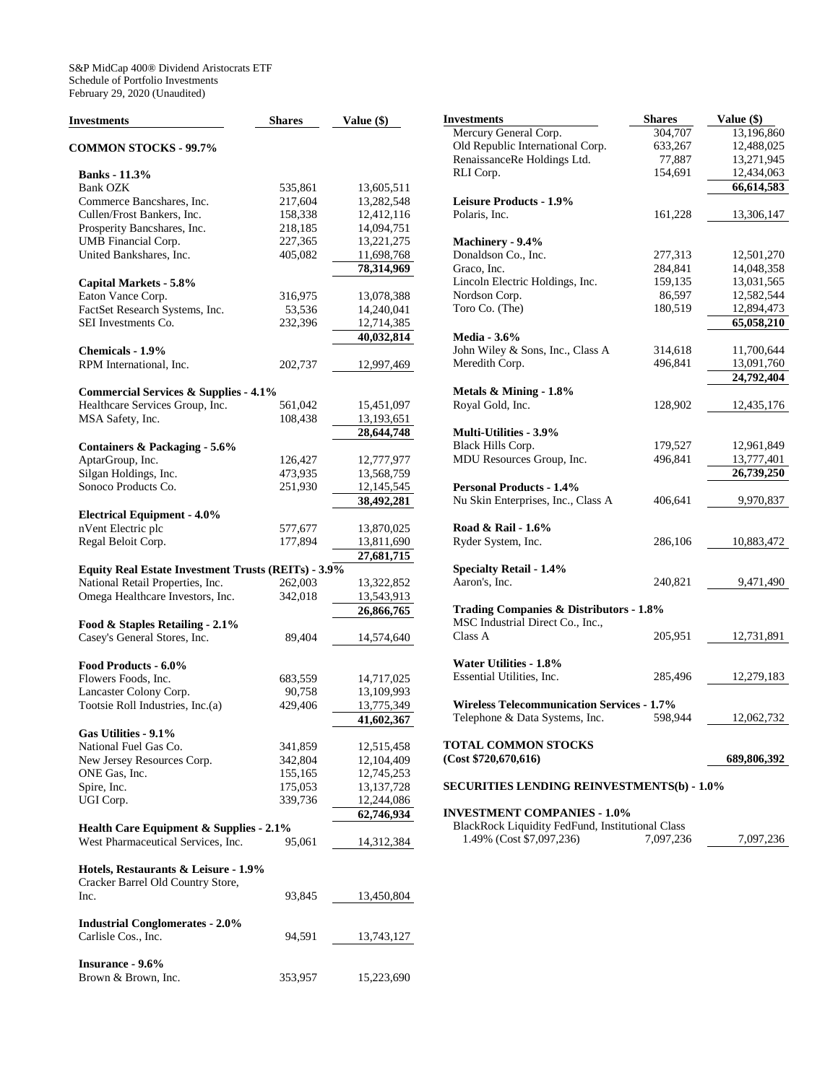| Investments                                                | <b>Shares</b> | Value (\$)   |
|------------------------------------------------------------|---------------|--------------|
| <b>COMMON STOCKS - 99.7%</b>                               |               |              |
| <b>Banks</b> - 11.3%                                       |               |              |
| <b>Bank OZK</b>                                            | 535,861       | 13,605,511   |
| Commerce Bancshares, Inc.                                  | 217,604       | 13,282,548   |
| Cullen/Frost Bankers, Inc.                                 | 158,338       | 12,412,116   |
| Prosperity Bancshares, Inc.                                | 218,185       | 14,094,751   |
| UMB Financial Corp.                                        | 227,365       | 13,221,275   |
| United Bankshares, Inc.                                    | 405,082       | 11,698,768   |
|                                                            |               | 78,314,969   |
| Capital Markets - 5.8%                                     |               |              |
| Eaton Vance Corp.                                          | 316,975       | 13,078,388   |
| FactSet Research Systems, Inc.                             | 53,536        | 14,240,041   |
| SEI Investments Co.                                        | 232,396       |              |
|                                                            |               | 12,714,385   |
|                                                            |               | 40,032,814   |
| Chemicals - 1.9%                                           |               |              |
| RPM International, Inc.                                    | 202,737       | 12,997,469   |
| <b>Commercial Services &amp; Supplies - 4.1%</b>           |               |              |
| Healthcare Services Group, Inc.                            | 561,042       | 15,451,097   |
| MSA Safety, Inc.                                           | 108,438       | 13,193,651   |
|                                                            |               | 28,644,748   |
| Containers & Packaging - 5.6%                              |               |              |
| AptarGroup, Inc.                                           | 126,427       | 12,777,977   |
| Silgan Holdings, Inc.                                      | 473,935       | 13,568,759   |
| Sonoco Products Co.                                        | 251,930       | 12,145,545   |
|                                                            |               | 38,492,281   |
| <b>Electrical Equipment - 4.0%</b>                         |               |              |
| nVent Electric plc                                         | 577,677       | 13,870,025   |
| Regal Beloit Corp.                                         | 177,894       | 13,811,690   |
|                                                            |               | 27,681,715   |
| <b>Equity Real Estate Investment Trusts (REITs) - 3.9%</b> |               |              |
| National Retail Properties, Inc.                           | 262,003       | 13,322,852   |
| Omega Healthcare Investors, Inc.                           | 342,018       | 13,543,913   |
|                                                            |               | 26,866,765   |
| Food & Staples Retailing - 2.1%                            |               |              |
| Casey's General Stores, Inc.                               | 89,404        | 14,574,640   |
|                                                            |               |              |
| Food Products - 6.0%                                       |               |              |
| Flowers Foods, Inc.                                        | 683,559       | 14,717,025   |
| Lancaster Colony Corp.                                     | 90,758        | 13,109,993   |
| Tootsie Roll Industries, Inc.(a)                           | 429,406       | 13,775,349   |
|                                                            |               | 41,602,367   |
| Gas Utilities - 9.1%                                       |               |              |
| National Fuel Gas Co.                                      | 341,859       | 12,515,458   |
| New Jersey Resources Corp.                                 | 342,804       | 12,104,409   |
| ONE Gas, Inc.                                              | 155,165       | 12,745,253   |
| Spire, Inc.                                                | 175,053       | 13, 137, 728 |
| UGI Corp.                                                  | 339,736       | 12,244,086   |
|                                                            |               | 62,746,934   |
| <b>Health Care Equipment &amp; Supplies - 2.1%</b>         |               |              |
| West Pharmaceutical Services, Inc.                         | 95,061        | 14,312,384   |
|                                                            |               |              |
| Hotels, Restaurants & Leisure - 1.9%                       |               |              |
| Cracker Barrel Old Country Store,                          |               |              |
| Inc.                                                       | 93,845        | 13,450,804   |
|                                                            |               |              |
| <b>Industrial Conglomerates - 2.0%</b>                     |               |              |
| Carlisle Cos., Inc.                                        | 94,591        | 13,743,127   |
|                                                            |               |              |
| <b>Insurance - 9.6%</b>                                    |               |              |
| Brown & Brown, Inc.                                        | 353,957       | 15,223,690   |
|                                                            |               |              |

| <b>Investments</b>                                | <b>Shares</b> | Value (\$)  |
|---------------------------------------------------|---------------|-------------|
| Mercury General Corp.                             | 304,707       | 13,196,860  |
| Old Republic International Corp.                  | 633,267       | 12,488,025  |
| RenaissanceRe Holdings Ltd.                       | 77,887        | 13,271,945  |
| RLI Corp.                                         | 154,691       | 12,434,063  |
|                                                   |               | 66,614,583  |
| <b>Leisure Products - 1.9%</b>                    |               |             |
| Polaris, Inc.                                     | 161,228       | 13,306,147  |
|                                                   |               |             |
| Machinery - 9.4%                                  |               |             |
| Donaldson Co., Inc.                               | 277,313       | 12,501,270  |
| Graco, Inc.                                       | 284,841       | 14,048,358  |
| Lincoln Electric Holdings, Inc.                   | 159,135       | 13,031,565  |
| Nordson Corp.                                     | 86,597        | 12,582,544  |
| Toro Co. (The)                                    | 180,519       | 12,894,473  |
|                                                   |               | 65,058,210  |
| Media - 3.6%                                      |               |             |
| John Wiley & Sons, Inc., Class A                  | 314,618       | 11,700,644  |
| Meredith Corp.                                    | 496,841       | 13,091,760  |
|                                                   |               | 24,792,404  |
| Metals & Mining - 1.8%                            |               |             |
| Royal Gold, Inc.                                  | 128,902       | 12,435,176  |
|                                                   |               |             |
| <b>Multi-Utilities - 3.9%</b>                     |               |             |
| Black Hills Corp.                                 | 179,527       | 12,961,849  |
| MDU Resources Group, Inc.                         | 496,841       | 13,777,401  |
|                                                   |               | 26,739,250  |
| <b>Personal Products - 1.4%</b>                   |               |             |
| Nu Skin Enterprises, Inc., Class A                | 406,641       | 9,970,837   |
|                                                   |               |             |
| Road & Rail - 1.6%                                |               |             |
| Ryder System, Inc.                                | 286,106       | 10,883,472  |
|                                                   |               |             |
| <b>Specialty Retail - 1.4%</b>                    |               |             |
| Aaron's, Inc.                                     | 240,821       | 9,471,490   |
|                                                   |               |             |
| Trading Companies & Distributors - 1.8%           |               |             |
| MSC Industrial Direct Co., Inc.,                  |               |             |
| Class A                                           | 205,951       | 12,731,891  |
|                                                   |               |             |
| Water Utilities - 1.8%                            |               |             |
| Essential Utilities, Inc.                         | 285,496       | 12,279,183  |
|                                                   |               |             |
| <b>Wireless Telecommunication Services - 1.7%</b> |               |             |
| Telephone & Data Systems, Inc.                    | 598,944       | 12,062,732  |
| <b>TOTAL COMMON STOCKS</b>                        |               |             |
| (Cost \$720,670,616)                              |               | 689,806,392 |
|                                                   |               |             |
| <b>SECURITIES LENDING REINVESTMENTS(b) - 1.0%</b> |               |             |

#### **INVESTMENT COMPANIES - 1.0%**

| <b>BlackRock Liquidity FedFund, Institutional Class</b> |           |           |
|---------------------------------------------------------|-----------|-----------|
| 1.49% (Cost \$7,097,236)                                | 7,097,236 | 7,097,236 |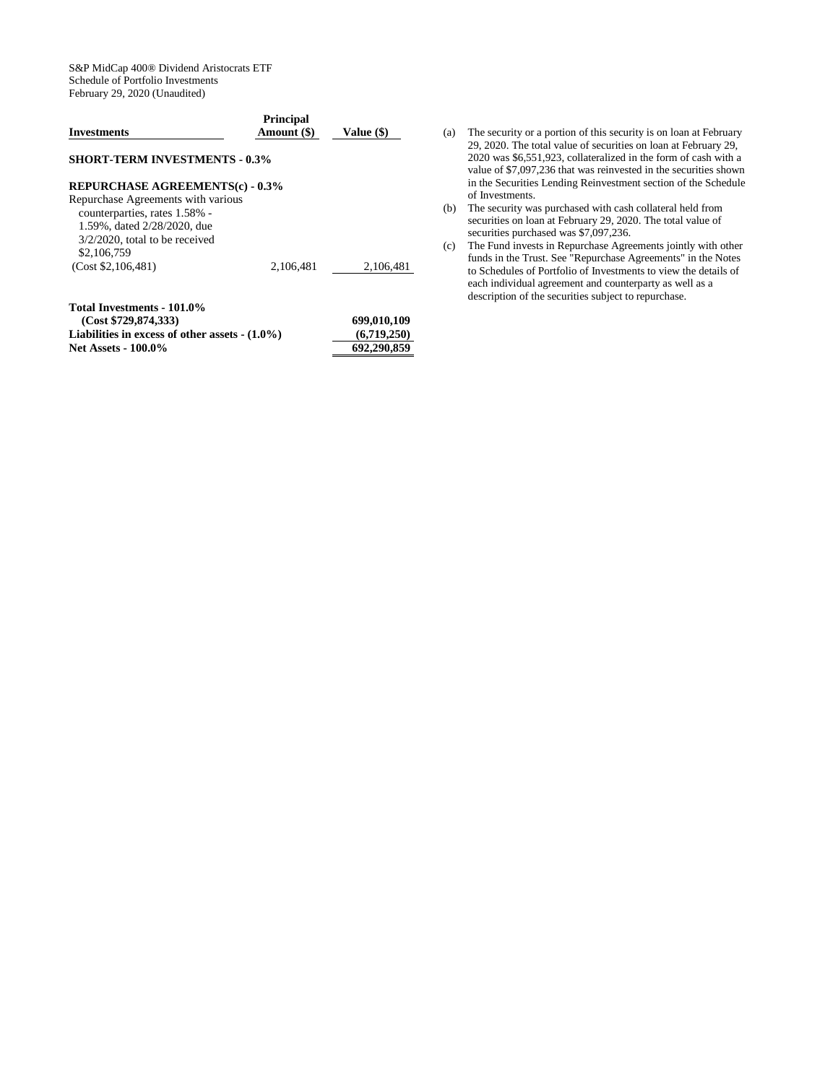S&P MidCap 400® Dividend Aristocrats ETF Schedule of Portfolio Investments February 29, 2020 (Unaudited)

| <b>Investments</b>                     | <b>Principal</b><br>Amount (\$) | Value (\$) |
|----------------------------------------|---------------------------------|------------|
| <b>SHORT-TERM INVESTMENTS - 0.3%</b>   |                                 |            |
| <b>REPURCHASE AGREEMENTS(c) - 0.3%</b> |                                 |            |
| Repurchase Agreements with various     |                                 |            |
| counterparties, rates 1.58% -          |                                 |            |
| 1.59%, dated 2/28/2020, due            |                                 |            |
| $3/2/2020$ , total to be received      |                                 |            |
| \$2,106,759                            |                                 |            |
| (Cost \$2, 106, 481)                   | 2.106.481                       | 2,106,481  |
| Total Investments - 101.0%             |                                 |            |
| --- -- - ---                           |                                 |            |

| (Cost \$729,874,333)                             | 699,010,109 |
|--------------------------------------------------|-------------|
| Liabilities in excess of other assets $-(1.0\%)$ | (6.719.250) |
| <b>Net Assets - 100.0%</b>                       | 692,290,859 |

- (a) The security or a portion of this security is on loan at February 29, 2020. The total value of securities on loan at February 29, 2020 was \$6,551,923, collateralized in the form of cash with a value of \$7,097,236 that was reinvested in the securities shown in the Securities Lending Reinvestment section of the Schedule of Investments.
- (b) The security was purchased with cash collateral held from securities on loan at February 29, 2020. The total value of securities purchased was \$7,097,236.
- (c) The Fund invests in Repurchase Agreements jointly with other funds in the Trust. See "Repurchase Agreements" in the Notes to Schedules of Portfolio of Investments to view the details of each individual agreement and counterparty as well as a description of the securities subject to repurchase.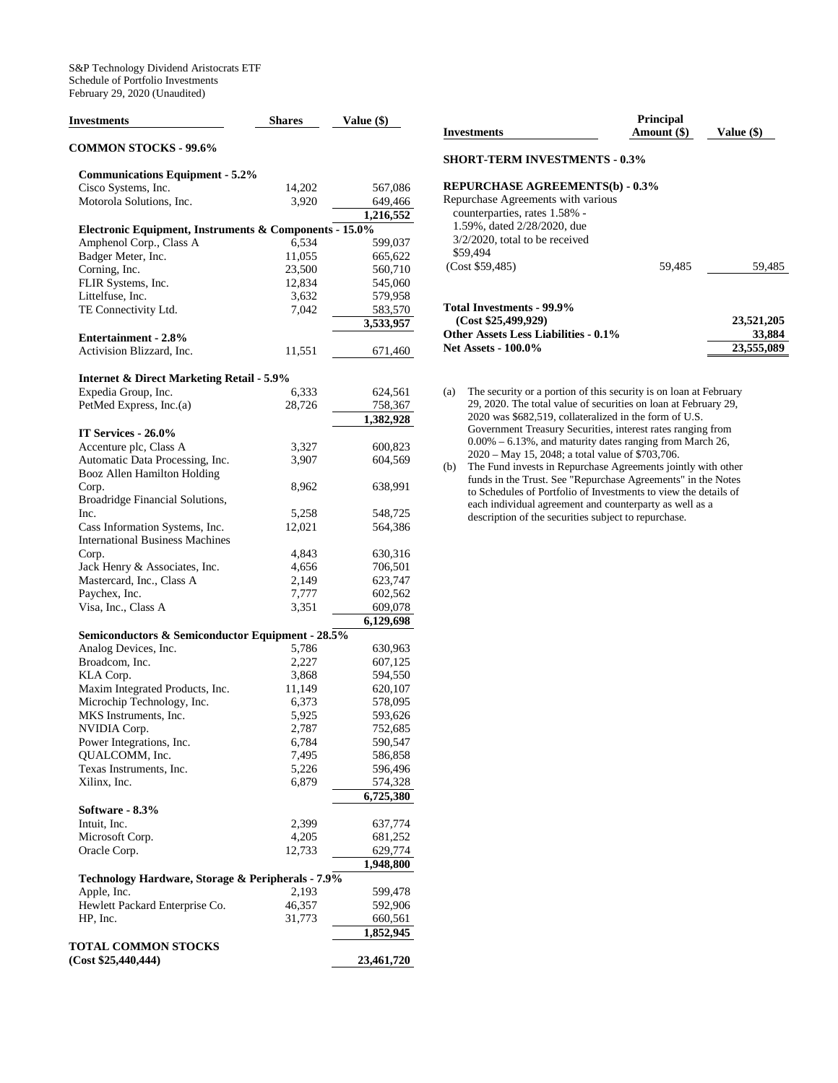| <b>Investments</b>                                     | <b>Shares</b> | Value (\$)             |
|--------------------------------------------------------|---------------|------------------------|
| <b>COMMON STOCKS - 99.6%</b>                           |               |                        |
| <b>Communications Equipment - 5.2%</b>                 |               |                        |
| Cisco Systems, Inc.                                    | 14,202        | 567,086                |
| Motorola Solutions, Inc.                               | 3,920         | 649,466                |
|                                                        |               | 1,216,552              |
| Electronic Equipment, Instruments & Components - 15.0% |               |                        |
| Amphenol Corp., Class A                                | 6,534         | 599,037                |
| Badger Meter, Inc.                                     | 11,055        | 665,622                |
| Corning, Inc.                                          | 23,500        | 560,710                |
| FLIR Systems, Inc.                                     | 12,834        | 545,060                |
| Littelfuse, Inc.                                       | 3,632         | 579,958                |
| TE Connectivity Ltd.                                   | 7,042         | 583,570                |
|                                                        |               | 3,533,957              |
| <b>Entertainment - 2.8%</b>                            |               |                        |
| Activision Blizzard, Inc.                              | 11,551        | 671,460                |
| <b>Internet &amp; Direct Marketing Retail - 5.9%</b>   |               |                        |
| Expedia Group, Inc.                                    | 6,333         | 624,561                |
| PetMed Express, Inc.(a)                                | 28,726        | 758,367                |
|                                                        |               | 1,382,928              |
| IT Services - 26.0%                                    |               |                        |
| Accenture plc, Class A                                 | 3,327         | 600,823                |
| Automatic Data Processing, Inc.                        | 3,907         | 604,569                |
| Booz Allen Hamilton Holding                            |               |                        |
| Corp.                                                  | 8,962         | 638,991                |
| Broadridge Financial Solutions,                        |               |                        |
| Inc.                                                   | 5,258         | 548,725                |
| Cass Information Systems, Inc.                         | 12,021        | 564,386                |
| <b>International Business Machines</b>                 |               |                        |
| Corp.                                                  | 4,843         | 630,316                |
| Jack Henry & Associates, Inc.                          | 4,656         | 706,501                |
| Mastercard, Inc., Class A                              | 2,149         | 623,747                |
| Paychex, Inc.                                          | 7,777         | 602,562                |
| Visa, Inc., Class A                                    | 3,351         | 609,078                |
|                                                        |               | $\overline{6,129,698}$ |
| Semiconductors & Semiconductor Equipment - 28.5%       |               |                        |
| Analog Devices, Inc.                                   | 5,786         | 630,963                |
| Broadcom, Inc.                                         | 2,227         | 607,125                |
| KLA Corp.                                              | 3,868         | 594,550                |
| Maxim Integrated Products, Inc.                        | 11,149        | 620,107                |
| Microchip Technology, Inc.                             | 6,373         | 578,095                |
| MKS Instruments, Inc.                                  | 5,925         | 593,626                |
| NVIDIA Corp.                                           | 2,787         | 752,685                |
| Power Integrations, Inc.                               | 6,784         | 590,547                |
| QUALCOMM, Inc.                                         | 7,495         | 586,858                |
| Texas Instruments, Inc.                                | 5,226         | 596,496                |
| Xilinx, Inc.                                           | 6,879         | 574,328                |
|                                                        |               | 6,725,380              |
| Software - 8.3%                                        |               |                        |
| Intuit, Inc.                                           | 2,399         | 637,774                |
| Microsoft Corp.                                        | 4,205         | 681,252                |
| Oracle Corp.                                           | 12,733        | 629,774                |
| Technology Hardware, Storage & Peripherals - 7.9%      |               | 1,948,800              |
| Apple, Inc.                                            | 2,193         | 599,478                |
| Hewlett Packard Enterprise Co.                         | 46,357        | 592,906                |
| HP, Inc.                                               | 31,773        | 660,561                |
|                                                        |               | 1,852,945              |
| TOTAL COMMON STOCKS<br>(Cost \$25,440,444)             |               | 23,461,720             |

| <b>Investments</b>                          | <b>Principal</b><br>Amount (\$) | Value (\$) |
|---------------------------------------------|---------------------------------|------------|
| <b>SHORT-TERM INVESTMENTS - 0.3%</b>        |                                 |            |
| <b>REPURCHASE AGREEMENTS(b) - 0.3%</b>      |                                 |            |
| Repurchase Agreements with various          |                                 |            |
| counterparties, rates 1.58% -               |                                 |            |
| 1.59%, dated 2/28/2020, due                 |                                 |            |
| $3/2/2020$ , total to be received           |                                 |            |
| \$59,494<br>(Cost \$59.485)                 | 59.485                          | 59,485     |
|                                             |                                 |            |
| Total Investments - 99.9%                   |                                 |            |
| (Cost \$25,499,929)                         |                                 | 23,521,205 |
| <b>Other Assets Less Liabilities - 0.1%</b> |                                 | 33,884     |
| <b>Net Assets - 100.0%</b>                  |                                 | 23,555,089 |

- (a) The security or a portion of this security is on loan at February 29, 2020. The total value of securities on loan at February 29, 2020 was \$682,519, collateralized in the form of U.S. Government Treasury Securities, interest rates ranging from 0.00% – 6.13%, and maturity dates ranging from March 26, 2020 – May 15, 2048; a total value of \$703,706.
- (b) The Fund invests in Repurchase Agreements jointly with other funds in the Trust. See "Repurchase Agreements" in the Notes to Schedules of Portfolio of Investments to view the details of each individual agreement and counterparty as well as a description of the securities subject to repurchase.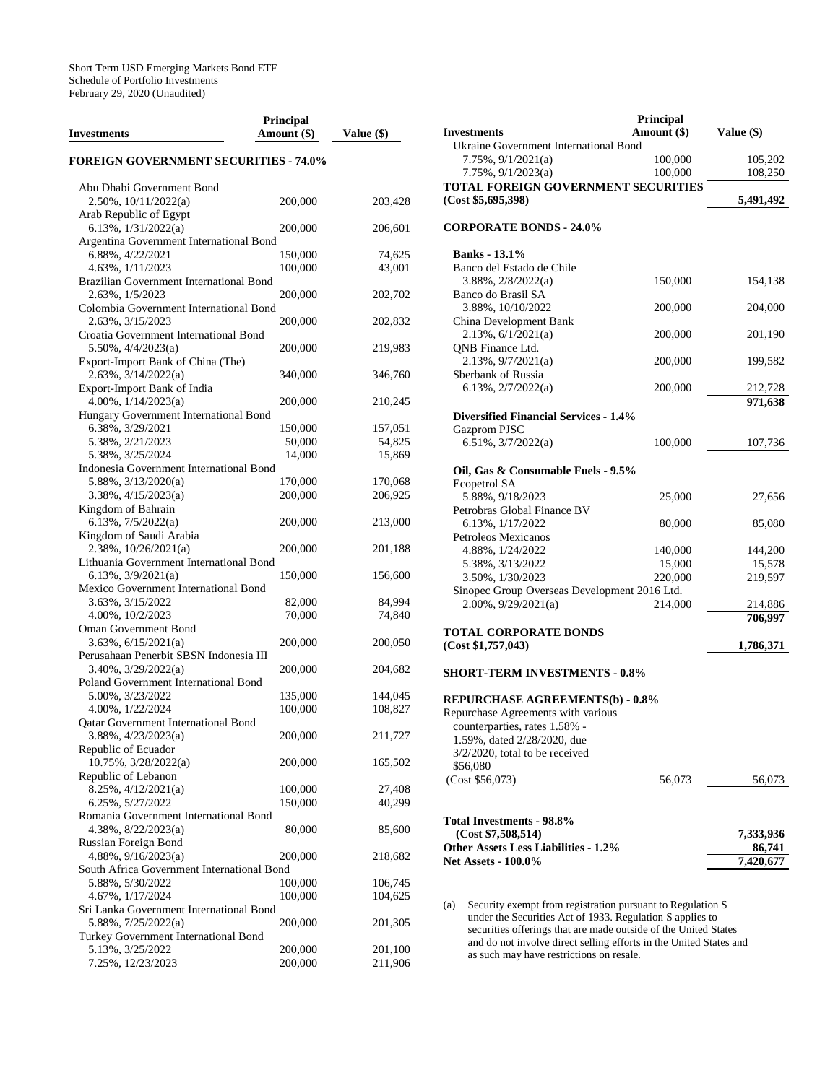| Investments                                                              | Principal<br>Amount (\$) | Value (\$)       |
|--------------------------------------------------------------------------|--------------------------|------------------|
| <b>FOREIGN GOVERNMENT SECURITIES - 74.0%</b>                             |                          |                  |
| Abu Dhabi Government Bond<br>2.50%, 10/11/2022(a)                        | 200,000                  | 203,428          |
| Arab Republic of Egypt<br>6.13%, $1/31/2022(a)$                          | 200,000                  | 206,601          |
| Argentina Government International Bond<br>6.88%, 4/22/2021              | 150,000                  | 74,625           |
| 4.63%, 1/11/2023<br>Brazilian Government International Bond              | 100,000                  | 43,001           |
| 2.63%, 1/5/2023<br>Colombia Government International Bond                | 200,000                  | 202,702          |
| 2.63%, 3/15/2023<br>Croatia Government International Bond                | 200,000                  | 202,832          |
| $5.50\%, \frac{4}{4}{2023(a)}$<br>Export-Import Bank of China (The)      | 200,000                  | 219,983          |
| $2.63\%, 3/14/2022(a)$<br>Export-Import Bank of India                    | 340,000                  | 346,760          |
| $4.00\%$ , $1/14/2023(a)$<br>Hungary Government International Bond       | 200,000                  | 210,245          |
| 6.38%, 3/29/2021                                                         | 150,000                  | 157,051          |
| 5.38%, 2/21/2023                                                         | 50,000                   | 54,825           |
| 5.38%, 3/25/2024<br>Indonesia Government International Bond              | 14,000                   | 15,869           |
| $5.88\%, \frac{3}{13}/2020(a)$                                           | 170,000                  | 170,068          |
| $3.38\%, \frac{4}{15/2023(a)}$                                           | 200,000                  | 206,925          |
| Kingdom of Bahrain<br>$6.13\%, \frac{7}{5}/2022(a)$                      | 200,000                  | 213,000          |
| Kingdom of Saudi Arabia<br>$2.38\%, 10/26/2021(a)$                       | 200,000                  | 201,188          |
| Lithuania Government International Bond<br>$6.13\%, \frac{3}{9}/2021(a)$ | 150,000                  | 156,600          |
| Mexico Government International Bond                                     |                          |                  |
| 3.63%, 3/15/2022<br>4.00%, 10/2/2023                                     | 82,000<br>70,000         | 84,994<br>74,840 |
| Oman Government Bond                                                     |                          |                  |
| $3.63\%, 6/15/2021(a)$<br>Perusahaan Penerbit SBSN Indonesia III         | 200,000                  | 200,050          |
| $3.40\%$ , $3/29/2022(a)$<br>Poland Government International Bond        | 200,000                  | 204,682          |
| 5.00%, 3/23/2022                                                         | 135,000                  | 144,045          |
| 4.00%, 1/22/2024<br><b>Qatar Government International Bond</b>           | 100,000                  | 108,827          |
| 3.88%, 4/23/2023(a)<br>Republic of Ecuador                               | 200,000                  | 211,727          |
| 10.75%, 3/28/2022(a)                                                     | 200,000                  | 165,502          |
| Republic of Lebanon<br>8.25%, 4/12/2021(a)                               | 100,000                  | 27,408           |
| 6.25%, 5/27/2022                                                         | 150,000                  | 40,299           |
| Romania Government International Bond                                    |                          |                  |
| $4.38\%, 8/22/2023(a)$<br>Russian Foreign Bond                           | 80,000                   | 85,600           |
| $4.88\%, 9/16/2023(a)$<br>South Africa Government International Bond     | 200,000                  | 218,682          |
| 5.88%, 5/30/2022                                                         | 100,000                  | 106,745          |
| 4.67%, 1/17/2024                                                         | 100,000                  | 104,625          |
| Sri Lanka Government International Bond<br>5.88%, 7/25/2022(a)           | 200,000                  | 201,305          |
| Turkey Government International Bond<br>5.13%, 3/25/2022                 | 200,000                  | 201,100          |
| 7.25%, 12/23/2023                                                        | 200,000                  | 211,906          |

|                                                                                                                                       | Principal     |                    |
|---------------------------------------------------------------------------------------------------------------------------------------|---------------|--------------------|
| <b>Investments</b>                                                                                                                    | Amount $(\$)$ | Value $(\$)$       |
| Ukraine Government International Bond                                                                                                 |               |                    |
| $7.75\%, 9/1/2021(a)$                                                                                                                 | 100,000       | 105,202            |
| $7.75\%, 9/1/2023(a)$                                                                                                                 | 100,000       | 108,250            |
| TOTAL FOREIGN GOVERNMENT SECURITIES<br>(Cost \$5,695,398)                                                                             |               | 5,491,492          |
| <b>CORPORATE BONDS - 24.0%</b>                                                                                                        |               |                    |
| <b>Banks</b> - 13.1%                                                                                                                  |               |                    |
| Banco del Estado de Chile                                                                                                             |               |                    |
| $3.88\%, 2/8/2022(a)$                                                                                                                 | 150,000       | 154,138            |
| Banco do Brasil SA                                                                                                                    |               |                    |
| 3.88%, 10/10/2022                                                                                                                     | 200,000       | 204,000            |
| China Development Bank                                                                                                                |               |                    |
| $2.13\%, 6/1/2021(a)$                                                                                                                 | 200,000       | 201,190            |
| QNB Finance Ltd.<br>2.13%, 9/7/2021(a)                                                                                                | 200,000       | 199,582            |
| Sberbank of Russia                                                                                                                    |               |                    |
| 6.13%, $2/7/2022(a)$                                                                                                                  | 200,000       | 212,728            |
|                                                                                                                                       |               | 971,638            |
| <b>Diversified Financial Services - 1.4%</b>                                                                                          |               |                    |
| Gazprom PJSC                                                                                                                          |               |                    |
| $6.51\%, \frac{3}{7}{2022(a)}$                                                                                                        | 100,000       | 107,736            |
|                                                                                                                                       |               |                    |
| Oil, Gas & Consumable Fuels - 9.5%<br><b>Ecopetrol SA</b>                                                                             |               |                    |
| 5.88%, 9/18/2023                                                                                                                      | 25,000        | 27,656             |
| Petrobras Global Finance BV                                                                                                           |               |                    |
| 6.13%, 1/17/2022                                                                                                                      | 80,000        | 85,080             |
| Petroleos Mexicanos                                                                                                                   |               |                    |
| 4.88%, 1/24/2022                                                                                                                      | 140,000       | 144,200            |
| 5.38%, 3/13/2022                                                                                                                      | 15,000        | 15,578             |
| 3.50%, 1/30/2023                                                                                                                      | 220,000       | 219,597            |
| Sinopec Group Overseas Development 2016 Ltd.<br>$2.00\%$ , $9/29/2021(a)$                                                             |               |                    |
|                                                                                                                                       | 214,000       | 214,886<br>706,997 |
| TOTAL CORPORATE BONDS                                                                                                                 |               |                    |
| (Cost \$1,757,043)                                                                                                                    |               | 1,786,371          |
| <b>SHORT-TERM INVESTMENTS - 0.8%</b>                                                                                                  |               |                    |
|                                                                                                                                       |               |                    |
| <b>REPURCHASE AGREEMENTS(b) - 0.8%</b>                                                                                                |               |                    |
| Repurchase Agreements with various                                                                                                    |               |                    |
| counterparties, rates 1.58% -                                                                                                         |               |                    |
| 1.59%, dated 2/28/2020, due                                                                                                           |               |                    |
| $3/2/2020$ , total to be received                                                                                                     |               |                    |
| \$56,080                                                                                                                              |               |                    |
| (Cost \$56,073)                                                                                                                       | 56,073        | 56,073             |
|                                                                                                                                       |               |                    |
| Total Investments - 98.8%                                                                                                             |               |                    |
| (Cost \$7,508,514)                                                                                                                    |               | 7,333,936          |
| <b>Other Assets Less Liabilities - 1.2%</b>                                                                                           |               | 86,741             |
| <b>Net Assets - 100.0%</b>                                                                                                            |               | 7,420,677          |
|                                                                                                                                       |               |                    |
|                                                                                                                                       |               |                    |
| Security exempt from registration pursuant to Regulation S<br>(a)                                                                     |               |                    |
| under the Securities Act of 1933. Regulation S applies to                                                                             |               |                    |
| securities offerings that are made outside of the United States<br>and do not involve direct selling efforts in the United States and |               |                    |

as such may have restrictions on resale.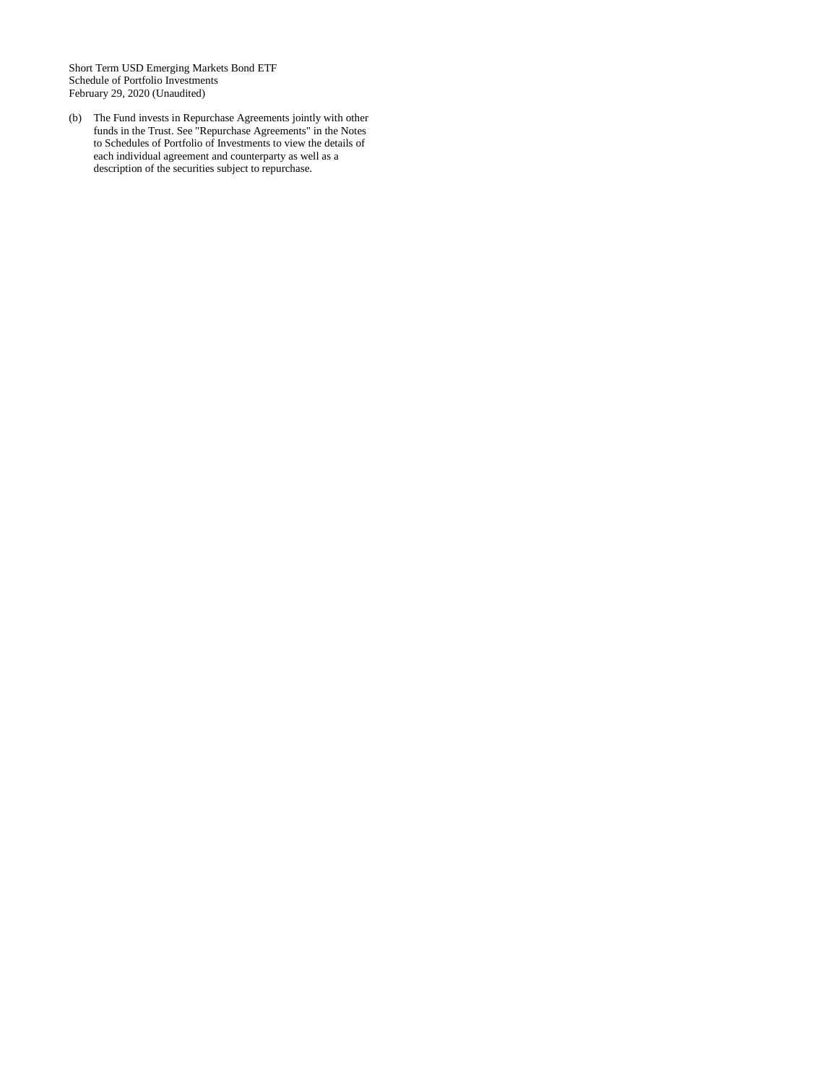Short Term USD Emerging Markets Bond ETF Schedule of Portfolio Investments February 29, 2020 (Unaudited)

(b) The Fund invests in Repurchase Agreements jointly with other funds in the Trust. See "Repurchase Agreements" in the Notes to Schedules of Portfolio of Investments to view the details of each individual agreement and counterparty as well as a description of the securities subject to repurchase.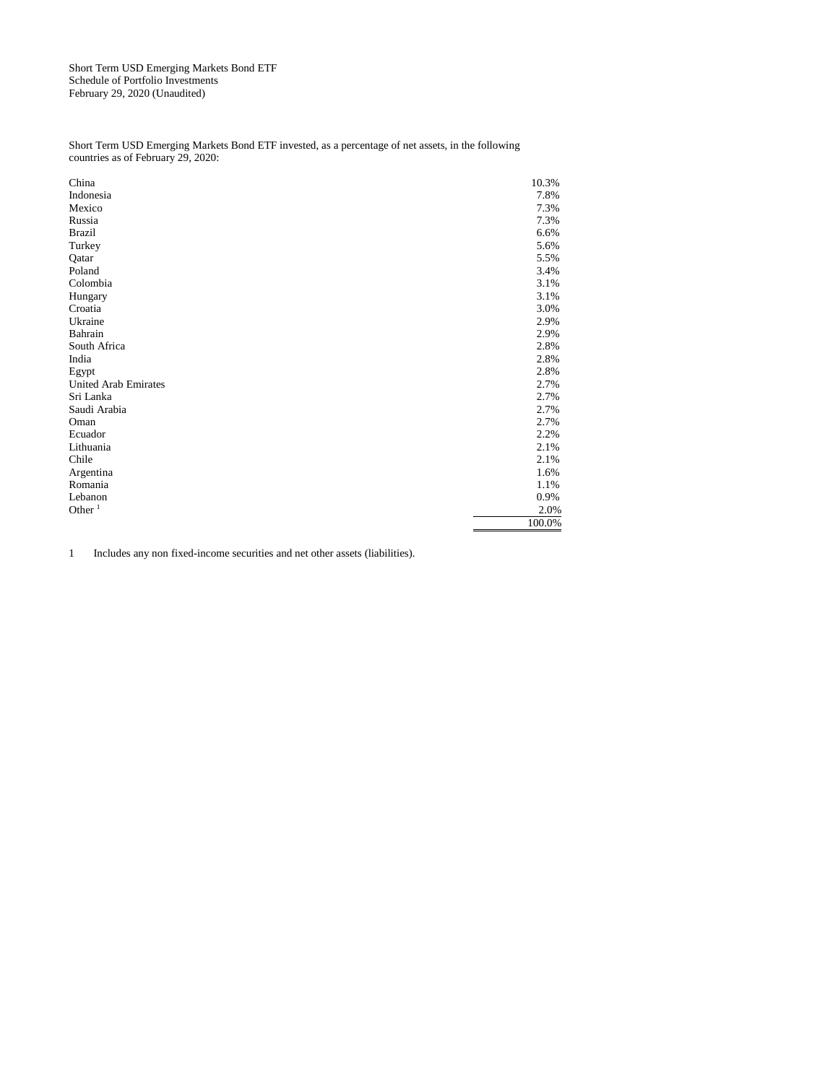Short Term USD Emerging Markets Bond ETF Schedule of Portfolio Investments February 29, 2020 (Unaudited)

Short Term USD Emerging Markets Bond ETF invested, as a percentage of net assets, in the following countries as of February 29, 2020:

| China                       | 10.3%  |
|-----------------------------|--------|
| Indonesia                   | 7.8%   |
| Mexico                      | 7.3%   |
| Russia                      | 7.3%   |
| <b>Brazil</b>               | 6.6%   |
| Turkey                      | 5.6%   |
| Qatar                       | 5.5%   |
| Poland                      | 3.4%   |
| Colombia                    | 3.1%   |
| Hungary                     | 3.1%   |
| Croatia                     | 3.0%   |
| Ukraine                     | 2.9%   |
| Bahrain                     | 2.9%   |
| South Africa                | 2.8%   |
| India                       | 2.8%   |
| Egypt                       | 2.8%   |
| <b>United Arab Emirates</b> | 2.7%   |
| Sri Lanka                   | 2.7%   |
| Saudi Arabia                | 2.7%   |
| Oman                        | 2.7%   |
| Ecuador                     | 2.2%   |
| Lithuania                   | 2.1%   |
| Chile                       | 2.1%   |
| Argentina                   | 1.6%   |
| Romania                     | 1.1%   |
| Lebanon                     | 0.9%   |
| Other $1$                   | 2.0%   |
|                             | 100.0% |

1 Includes any non fixed-income securities and net other assets (liabilities).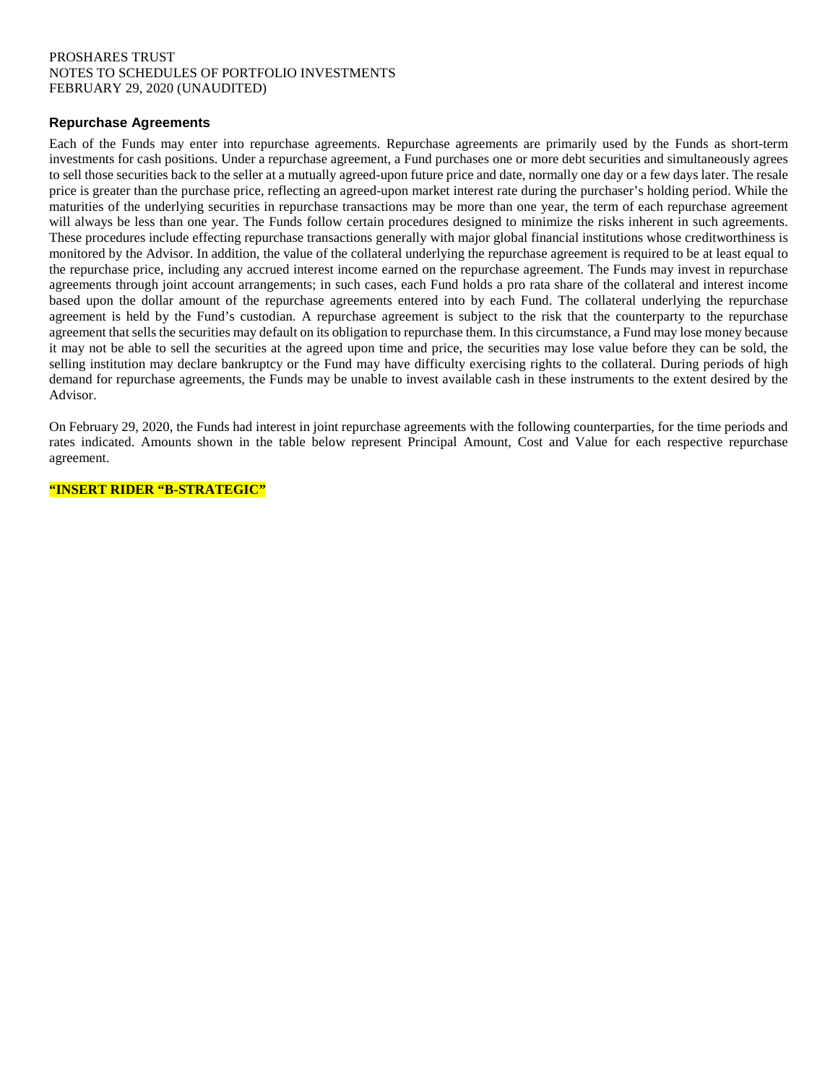# PROSHARES TRUST NOTES TO SCHEDULES OF PORTFOLIO INVESTMENTS FEBRUARY 29, 2020 (UNAUDITED)

# **Repurchase Agreements**

Each of the Funds may enter into repurchase agreements. Repurchase agreements are primarily used by the Funds as short-term investments for cash positions. Under a repurchase agreement, a Fund purchases one or more debt securities and simultaneously agrees to sell those securities back to the seller at a mutually agreed-upon future price and date, normally one day or a few days later. The resale price is greater than the purchase price, reflecting an agreed-upon market interest rate during the purchaser's holding period. While the maturities of the underlying securities in repurchase transactions may be more than one year, the term of each repurchase agreement will always be less than one year. The Funds follow certain procedures designed to minimize the risks inherent in such agreements. These procedures include effecting repurchase transactions generally with major global financial institutions whose creditworthiness is monitored by the Advisor. In addition, the value of the collateral underlying the repurchase agreement is required to be at least equal to the repurchase price, including any accrued interest income earned on the repurchase agreement. The Funds may invest in repurchase agreements through joint account arrangements; in such cases, each Fund holds a pro rata share of the collateral and interest income based upon the dollar amount of the repurchase agreements entered into by each Fund. The collateral underlying the repurchase agreement is held by the Fund's custodian. A repurchase agreement is subject to the risk that the counterparty to the repurchase agreement that sells the securities may default on its obligation to repurchase them. In this circumstance, a Fund may lose money because it may not be able to sell the securities at the agreed upon time and price, the securities may lose value before they can be sold, the selling institution may declare bankruptcy or the Fund may have difficulty exercising rights to the collateral. During periods of high demand for repurchase agreements, the Funds may be unable to invest available cash in these instruments to the extent desired by the Advisor.

On February 29, 2020, the Funds had interest in joint repurchase agreements with the following counterparties, for the time periods and rates indicated. Amounts shown in the table below represent Principal Amount, Cost and Value for each respective repurchase agreement.

**"INSERT RIDER "B-STRATEGIC"**